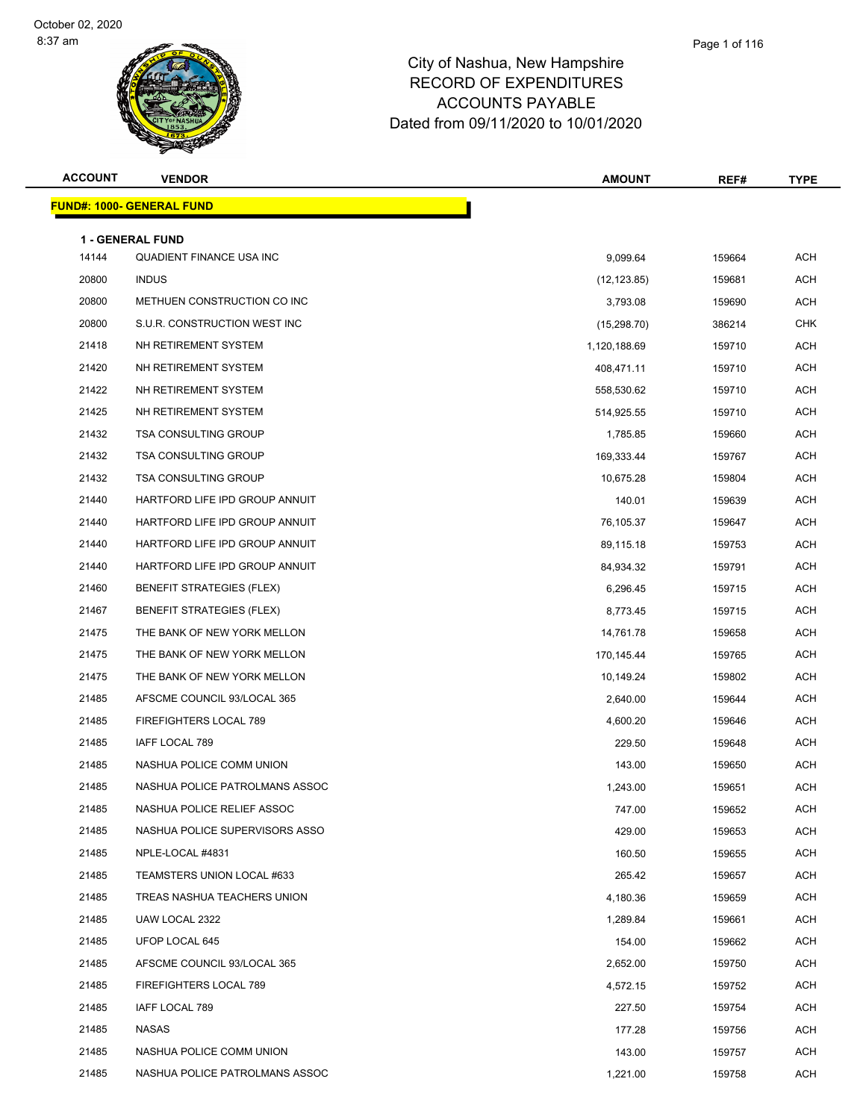### Page 1 of 116

| <b>ACCOUNT</b> | <b>VENDOR</b>                    | <b>AMOUNT</b> | REF#   | <b>TYPE</b> |
|----------------|----------------------------------|---------------|--------|-------------|
|                | <b>FUND#: 1000- GENERAL FUND</b> |               |        |             |
|                | <b>1 - GENERAL FUND</b>          |               |        |             |
| 14144          | QUADIENT FINANCE USA INC         | 9,099.64      | 159664 | <b>ACH</b>  |
| 20800          | <b>INDUS</b>                     | (12, 123.85)  | 159681 | <b>ACH</b>  |
| 20800          | METHUEN CONSTRUCTION CO INC      | 3,793.08      | 159690 | <b>ACH</b>  |
| 20800          | S.U.R. CONSTRUCTION WEST INC     | (15, 298.70)  | 386214 | <b>CHK</b>  |
| 21418          | NH RETIREMENT SYSTEM             | 1,120,188.69  | 159710 | <b>ACH</b>  |
| 21420          | NH RETIREMENT SYSTEM             | 408,471.11    | 159710 | <b>ACH</b>  |
| 21422          | NH RETIREMENT SYSTEM             | 558,530.62    | 159710 | <b>ACH</b>  |
| 21425          | NH RETIREMENT SYSTEM             | 514,925.55    | 159710 | <b>ACH</b>  |
| 21432          | <b>TSA CONSULTING GROUP</b>      | 1,785.85      | 159660 | <b>ACH</b>  |
| 21432          | <b>TSA CONSULTING GROUP</b>      | 169,333.44    | 159767 | ACH         |
| 21432          | <b>TSA CONSULTING GROUP</b>      | 10,675.28     | 159804 | <b>ACH</b>  |
| 21440          | HARTFORD LIFE IPD GROUP ANNUIT   | 140.01        | 159639 | <b>ACH</b>  |
| 21440          | HARTFORD LIFE IPD GROUP ANNUIT   | 76,105.37     | 159647 | <b>ACH</b>  |
| 21440          | HARTFORD LIFE IPD GROUP ANNUIT   | 89,115.18     | 159753 | <b>ACH</b>  |
| 21440          | HARTFORD LIFE IPD GROUP ANNUIT   | 84,934.32     | 159791 | ACH         |
| 21460          | BENEFIT STRATEGIES (FLEX)        | 6,296.45      | 159715 | <b>ACH</b>  |
| 21467          | <b>BENEFIT STRATEGIES (FLEX)</b> | 8,773.45      | 159715 | <b>ACH</b>  |
| 21475          | THE BANK OF NEW YORK MELLON      | 14,761.78     | 159658 | <b>ACH</b>  |
| 21475          | THE BANK OF NEW YORK MELLON      | 170,145.44    | 159765 | <b>ACH</b>  |
| 21475          | THE BANK OF NEW YORK MELLON      | 10,149.24     | 159802 | ACH         |
| 21485          | AFSCME COUNCIL 93/LOCAL 365      | 2,640.00      | 159644 | <b>ACH</b>  |
| 21485          | FIREFIGHTERS LOCAL 789           | 4,600.20      | 159646 | <b>ACH</b>  |
| 21485          | IAFF LOCAL 789                   | 229.50        | 159648 | <b>ACH</b>  |
| 21485          | NASHUA POLICE COMM UNION         | 143.00        | 159650 | <b>ACH</b>  |
| 21485          | NASHUA POLICE PATROLMANS ASSOC   | 1,243.00      | 159651 | ACH         |
| 21485          | NASHUA POLICE RELIEF ASSOC       | 747.00        | 159652 | <b>ACH</b>  |
| 21485          | NASHUA POLICE SUPERVISORS ASSO   | 429.00        | 159653 | ACH         |
| 21485          | NPLE-LOCAL #4831                 | 160.50        | 159655 | ACH         |
| 21485          | TEAMSTERS UNION LOCAL #633       | 265.42        | 159657 | ACH         |
| 21485          | TREAS NASHUA TEACHERS UNION      | 4,180.36      | 159659 | ACH         |
| 21485          | UAW LOCAL 2322                   | 1,289.84      | 159661 | ACH         |
| 21485          | UFOP LOCAL 645                   | 154.00        | 159662 | ACH         |
| 21485          | AFSCME COUNCIL 93/LOCAL 365      | 2,652.00      | 159750 | ACH         |
| 21485          | FIREFIGHTERS LOCAL 789           | 4,572.15      | 159752 | ACH         |
| 21485          | IAFF LOCAL 789                   | 227.50        | 159754 | ACH         |
| 21485          | NASAS                            | 177.28        | 159756 | ACH         |
| 21485          | NASHUA POLICE COMM UNION         | 143.00        | 159757 | ACH         |
| 21485          | NASHUA POLICE PATROLMANS ASSOC   | 1,221.00      | 159758 | ACH         |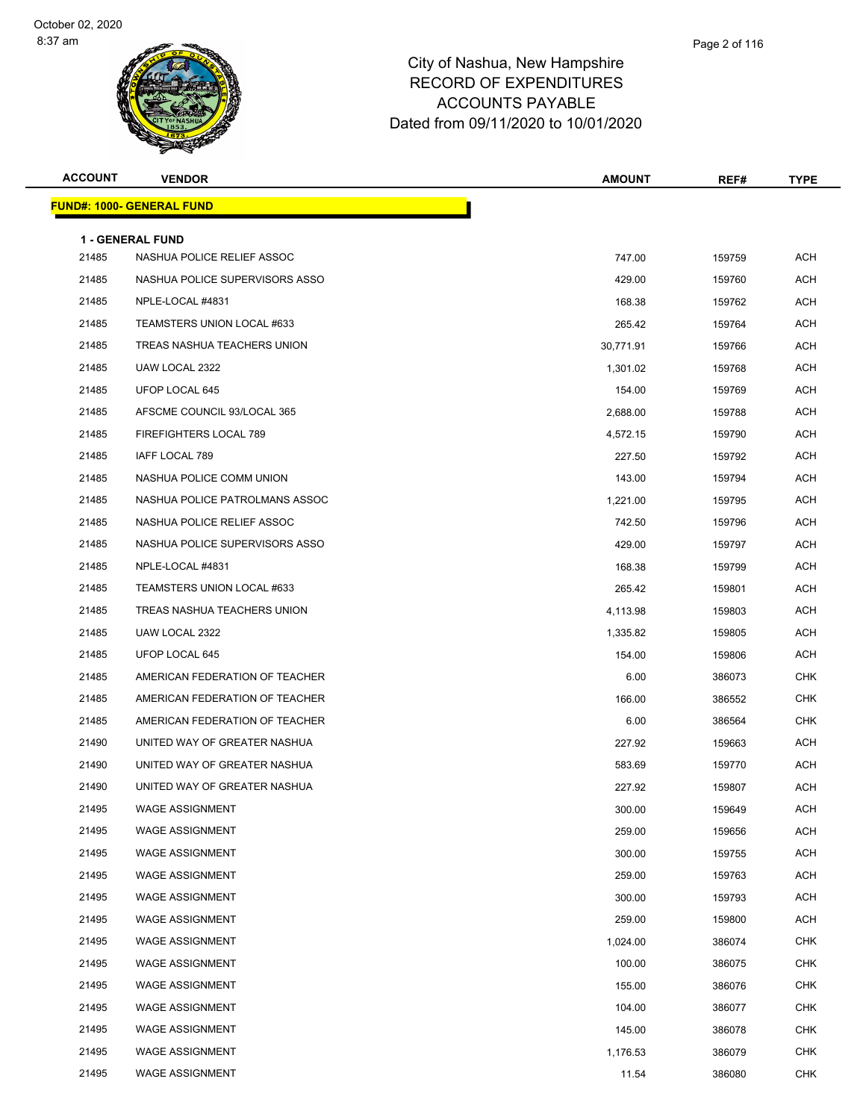| <b>ACCOUNT</b> | <b>VENDOR</b>                                         | <b>AMOUNT</b> | REF#   | <b>TYPE</b> |
|----------------|-------------------------------------------------------|---------------|--------|-------------|
|                | <b>FUND#: 1000- GENERAL FUND</b>                      |               |        |             |
|                |                                                       |               |        |             |
| 21485          | <b>1 - GENERAL FUND</b><br>NASHUA POLICE RELIEF ASSOC | 747.00        | 159759 | <b>ACH</b>  |
| 21485          | NASHUA POLICE SUPERVISORS ASSO                        | 429.00        | 159760 | ACH         |
| 21485          | NPLE-LOCAL #4831                                      | 168.38        | 159762 | ACH         |
| 21485          | TEAMSTERS UNION LOCAL #633                            | 265.42        | 159764 | ACH         |
| 21485          | TREAS NASHUA TEACHERS UNION                           | 30,771.91     | 159766 | <b>ACH</b>  |
| 21485          | UAW LOCAL 2322                                        | 1,301.02      | 159768 | ACH         |
| 21485          | UFOP LOCAL 645                                        | 154.00        | 159769 | ACH         |
| 21485          | AFSCME COUNCIL 93/LOCAL 365                           | 2,688.00      | 159788 | ACH         |
| 21485          | FIREFIGHTERS LOCAL 789                                | 4,572.15      | 159790 | ACH         |
| 21485          | IAFF LOCAL 789                                        | 227.50        | 159792 | ACH         |
| 21485          | NASHUA POLICE COMM UNION                              | 143.00        | 159794 | <b>ACH</b>  |
| 21485          | NASHUA POLICE PATROLMANS ASSOC                        | 1,221.00      | 159795 | <b>ACH</b>  |
| 21485          | NASHUA POLICE RELIEF ASSOC                            | 742.50        | 159796 | ACH         |
| 21485          | NASHUA POLICE SUPERVISORS ASSO                        | 429.00        | 159797 | ACH         |
| 21485          | NPLE-LOCAL #4831                                      | 168.38        | 159799 | ACH         |
| 21485          | TEAMSTERS UNION LOCAL #633                            | 265.42        | 159801 | ACH         |
| 21485          | TREAS NASHUA TEACHERS UNION                           | 4,113.98      | 159803 | ACH         |
| 21485          | UAW LOCAL 2322                                        | 1,335.82      | 159805 | ACH         |
| 21485          | UFOP LOCAL 645                                        | 154.00        | 159806 | ACH         |
| 21485          | AMERICAN FEDERATION OF TEACHER                        | 6.00          | 386073 | CHK         |
| 21485          | AMERICAN FEDERATION OF TEACHER                        | 166.00        | 386552 | <b>CHK</b>  |
| 21485          | AMERICAN FEDERATION OF TEACHER                        | 6.00          | 386564 | CHK         |
| 21490          | UNITED WAY OF GREATER NASHUA                          | 227.92        | 159663 | ACH         |
| 21490          | UNITED WAY OF GREATER NASHUA                          | 583.69        | 159770 | ACH         |
| 21490          | UNITED WAY OF GREATER NASHUA                          | 227.92        | 159807 | ACH         |
| 21495          | WAGE ASSIGNMENT                                       | 300.00        | 159649 | <b>ACH</b>  |
| 21495          | <b>WAGE ASSIGNMENT</b>                                | 259.00        | 159656 | <b>ACH</b>  |
| 21495          | <b>WAGE ASSIGNMENT</b>                                | 300.00        | 159755 | <b>ACH</b>  |
| 21495          | <b>WAGE ASSIGNMENT</b>                                | 259.00        | 159763 | <b>ACH</b>  |
| 21495          | <b>WAGE ASSIGNMENT</b>                                | 300.00        | 159793 | ACH         |
| 21495          | <b>WAGE ASSIGNMENT</b>                                | 259.00        | 159800 | <b>ACH</b>  |
| 21495          | <b>WAGE ASSIGNMENT</b>                                | 1,024.00      | 386074 | <b>CHK</b>  |
| 21495          | <b>WAGE ASSIGNMENT</b>                                | 100.00        | 386075 | <b>CHK</b>  |
| 21495          | <b>WAGE ASSIGNMENT</b>                                | 155.00        | 386076 | <b>CHK</b>  |
| 21495          | <b>WAGE ASSIGNMENT</b>                                | 104.00        | 386077 | CHK         |
| 21495          | <b>WAGE ASSIGNMENT</b>                                | 145.00        | 386078 | <b>CHK</b>  |
| 21495          | <b>WAGE ASSIGNMENT</b>                                | 1,176.53      | 386079 | CHK         |
| 21495          | <b>WAGE ASSIGNMENT</b>                                | 11.54         | 386080 | <b>CHK</b>  |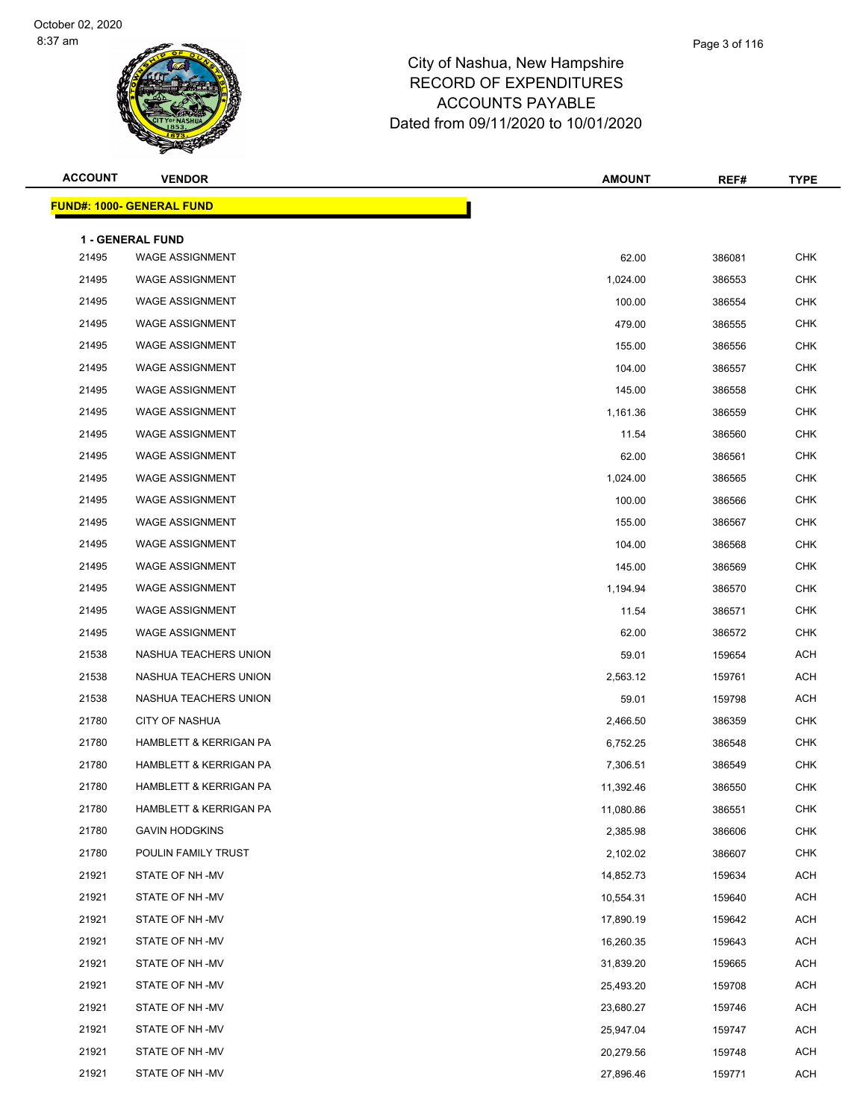| <b>ACCOUNT</b> | <b>VENDOR</b>                     | <b>AMOUNT</b> | REF#   | <b>TYPE</b> |
|----------------|-----------------------------------|---------------|--------|-------------|
|                | <b>FUND#: 1000- GENERAL FUND</b>  |               |        |             |
|                | 1 - GENERAL FUND                  |               |        |             |
| 21495          | <b>WAGE ASSIGNMENT</b>            | 62.00         | 386081 | <b>CHK</b>  |
| 21495          | <b>WAGE ASSIGNMENT</b>            | 1,024.00      | 386553 | <b>CHK</b>  |
| 21495          | <b>WAGE ASSIGNMENT</b>            | 100.00        | 386554 | <b>CHK</b>  |
| 21495          | <b>WAGE ASSIGNMENT</b>            | 479.00        | 386555 | <b>CHK</b>  |
| 21495          | <b>WAGE ASSIGNMENT</b>            | 155.00        | 386556 | <b>CHK</b>  |
| 21495          | <b>WAGE ASSIGNMENT</b>            | 104.00        | 386557 | <b>CHK</b>  |
| 21495          | <b>WAGE ASSIGNMENT</b>            | 145.00        | 386558 | <b>CHK</b>  |
| 21495          | <b>WAGE ASSIGNMENT</b>            | 1,161.36      | 386559 | <b>CHK</b>  |
| 21495          | <b>WAGE ASSIGNMENT</b>            | 11.54         | 386560 | <b>CHK</b>  |
| 21495          | <b>WAGE ASSIGNMENT</b>            | 62.00         | 386561 | <b>CHK</b>  |
| 21495          | <b>WAGE ASSIGNMENT</b>            | 1,024.00      | 386565 | <b>CHK</b>  |
| 21495          | <b>WAGE ASSIGNMENT</b>            | 100.00        | 386566 | <b>CHK</b>  |
| 21495          | <b>WAGE ASSIGNMENT</b>            | 155.00        | 386567 | <b>CHK</b>  |
| 21495          | <b>WAGE ASSIGNMENT</b>            | 104.00        | 386568 | <b>CHK</b>  |
| 21495          | <b>WAGE ASSIGNMENT</b>            | 145.00        | 386569 | <b>CHK</b>  |
| 21495          | <b>WAGE ASSIGNMENT</b>            | 1,194.94      | 386570 | <b>CHK</b>  |
| 21495          | <b>WAGE ASSIGNMENT</b>            | 11.54         | 386571 | <b>CHK</b>  |
| 21495          | <b>WAGE ASSIGNMENT</b>            | 62.00         | 386572 | <b>CHK</b>  |
| 21538          | NASHUA TEACHERS UNION             | 59.01         | 159654 | <b>ACH</b>  |
| 21538          | NASHUA TEACHERS UNION             | 2,563.12      | 159761 | <b>ACH</b>  |
| 21538          | NASHUA TEACHERS UNION             | 59.01         | 159798 | <b>ACH</b>  |
| 21780          | <b>CITY OF NASHUA</b>             | 2,466.50      | 386359 | <b>CHK</b>  |
| 21780          | <b>HAMBLETT &amp; KERRIGAN PA</b> | 6,752.25      | 386548 | <b>CHK</b>  |
| 21780          | <b>HAMBLETT &amp; KERRIGAN PA</b> | 7,306.51      | 386549 | <b>CHK</b>  |
| 21780          | <b>HAMBLETT &amp; KERRIGAN PA</b> | 11,392.46     | 386550 | <b>CHK</b>  |
| 21780          | HAMBLETT & KERRIGAN PA            | 11,080.86     | 386551 | CHK         |
| 21780          | <b>GAVIN HODGKINS</b>             | 2,385.98      | 386606 | <b>CHK</b>  |
| 21780          | POULIN FAMILY TRUST               | 2,102.02      | 386607 | <b>CHK</b>  |
| 21921          | STATE OF NH -MV                   | 14,852.73     | 159634 | ACH         |
| 21921          | STATE OF NH-MV                    | 10,554.31     | 159640 | ACH         |
| 21921          | STATE OF NH -MV                   | 17,890.19     | 159642 | ACH         |
| 21921          | STATE OF NH -MV                   | 16,260.35     | 159643 | ACH         |
| 21921          | STATE OF NH-MV                    | 31,839.20     | 159665 | ACH         |
| 21921          | STATE OF NH -MV                   | 25,493.20     | 159708 | ACH         |
| 21921          | STATE OF NH -MV                   | 23,680.27     | 159746 | ACH         |
| 21921          | STATE OF NH-MV                    | 25,947.04     | 159747 | ACH         |
| 21921          | STATE OF NH -MV                   | 20,279.56     | 159748 | ACH         |
| 21921          | STATE OF NH -MV                   | 27,896.46     | 159771 | ACH         |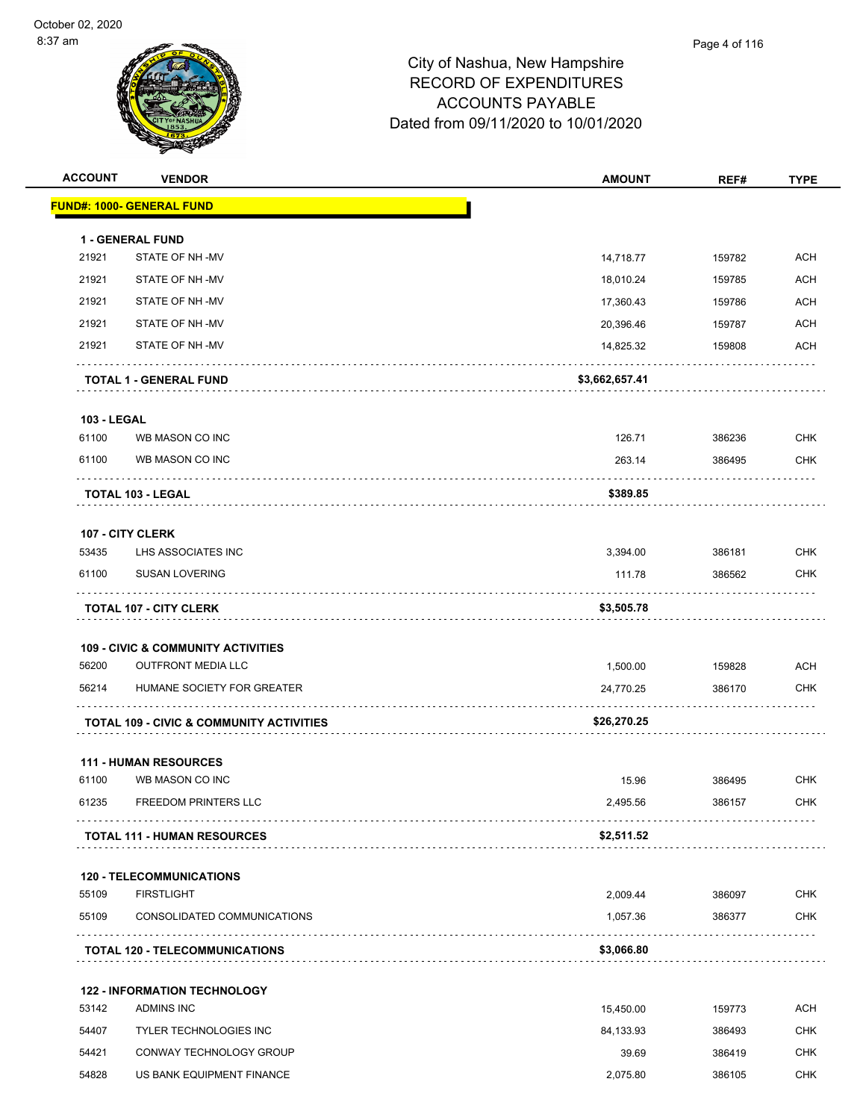

| <b>ACCOUNT</b>     | <b>VENDOR</b>                                       | <b>AMOUNT</b>          | REF#   | <b>TYPE</b>              |
|--------------------|-----------------------------------------------------|------------------------|--------|--------------------------|
|                    | <b>FUND#: 1000- GENERAL FUND</b>                    |                        |        |                          |
|                    |                                                     |                        |        |                          |
| 21921              | <b>1 - GENERAL FUND</b><br>STATE OF NH-MV           | 14,718.77              | 159782 | <b>ACH</b>               |
| 21921              | STATE OF NH-MV                                      |                        |        | <b>ACH</b>               |
| 21921              | STATE OF NH-MV                                      | 18,010.24              | 159785 | <b>ACH</b>               |
| 21921              | STATE OF NH-MV                                      | 17,360.43<br>20,396.46 | 159786 |                          |
| 21921              | STATE OF NH-MV                                      |                        | 159787 | <b>ACH</b><br><b>ACH</b> |
|                    |                                                     | 14,825.32              | 159808 |                          |
|                    | <b>TOTAL 1 - GENERAL FUND</b>                       | \$3,662,657.41         |        |                          |
| <b>103 - LEGAL</b> |                                                     |                        |        |                          |
| 61100              | WB MASON CO INC                                     | 126.71                 | 386236 | <b>CHK</b>               |
| 61100              | WB MASON CO INC                                     | 263.14                 | 386495 | <b>CHK</b>               |
|                    | TOTAL 103 - LEGAL                                   | \$389.85               |        |                          |
|                    |                                                     |                        |        |                          |
|                    | 107 - CITY CLERK                                    |                        |        |                          |
| 53435              | LHS ASSOCIATES INC                                  | 3,394.00               | 386181 | <b>CHK</b>               |
| 61100              | <b>SUSAN LOVERING</b>                               | 111.78                 | 386562 | CHK                      |
|                    | <b>TOTAL 107 - CITY CLERK</b>                       | \$3,505.78             |        |                          |
|                    | <b>109 - CIVIC &amp; COMMUNITY ACTIVITIES</b>       |                        |        |                          |
| 56200              | <b>OUTFRONT MEDIA LLC</b>                           | 1,500.00               | 159828 | <b>ACH</b>               |
| 56214              | HUMANE SOCIETY FOR GREATER                          | 24,770.25              | 386170 | <b>CHK</b>               |
|                    | <b>TOTAL 109 - CIVIC &amp; COMMUNITY ACTIVITIES</b> | \$26,270.25            |        |                          |
|                    |                                                     |                        |        |                          |
|                    | <b>111 - HUMAN RESOURCES</b>                        |                        |        |                          |
| 61100              | WB MASON CO INC                                     | 15.96                  | 386495 | <b>CHK</b>               |
| 61235              | FREEDOM PRINTERS LLC                                | 2,495.56               | 386157 | <b>CHK</b>               |
|                    | <b>TOTAL 111 - HUMAN RESOURCES</b>                  | \$2,511.52             |        |                          |
|                    | <b>120 - TELECOMMUNICATIONS</b>                     |                        |        |                          |
| 55109              | <b>FIRSTLIGHT</b>                                   | 2,009.44               | 386097 | <b>CHK</b>               |
| 55109              | CONSOLIDATED COMMUNICATIONS                         | 1,057.36               | 386377 | CHK                      |
|                    | <b>TOTAL 120 - TELECOMMUNICATIONS</b>               | \$3,066.80             |        |                          |
|                    |                                                     |                        |        |                          |
|                    | <b>122 - INFORMATION TECHNOLOGY</b>                 |                        |        |                          |
| 53142              | ADMINS INC                                          | 15,450.00              | 159773 | <b>ACH</b>               |
| 54407              | <b>TYLER TECHNOLOGIES INC</b>                       | 84,133.93              | 386493 | <b>CHK</b>               |
| 54421              | CONWAY TECHNOLOGY GROUP                             | 39.69                  | 386419 | <b>CHK</b>               |
| 54828              | US BANK EQUIPMENT FINANCE                           | 2,075.80               | 386105 | <b>CHK</b>               |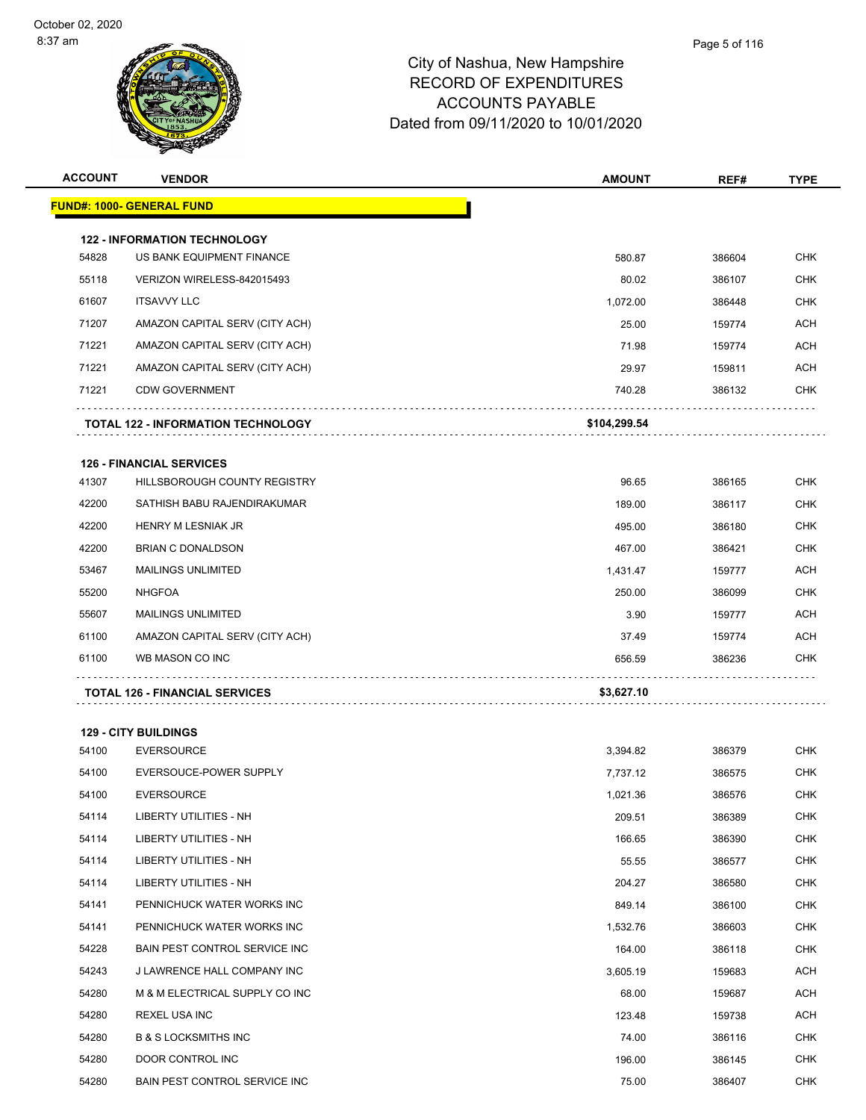| <b>ACCOUNT</b> | <b>VENDOR</b>                             | <b>AMOUNT</b> | REF#   | <b>TYPE</b> |
|----------------|-------------------------------------------|---------------|--------|-------------|
|                | <u> FUND#: 1000- GENERAL FUND</u>         |               |        |             |
|                | <b>122 - INFORMATION TECHNOLOGY</b>       |               |        |             |
| 54828          | US BANK EQUIPMENT FINANCE                 | 580.87        | 386604 | <b>CHK</b>  |
| 55118          | VERIZON WIRELESS-842015493                | 80.02         | 386107 | <b>CHK</b>  |
| 61607          | <b>ITSAVVY LLC</b>                        | 1,072.00      | 386448 | <b>CHK</b>  |
| 71207          | AMAZON CAPITAL SERV (CITY ACH)            | 25.00         | 159774 | <b>ACH</b>  |
| 71221          | AMAZON CAPITAL SERV (CITY ACH)            | 71.98         | 159774 | <b>ACH</b>  |
| 71221          | AMAZON CAPITAL SERV (CITY ACH)            | 29.97         | 159811 | ACH         |
| 71221          | <b>CDW GOVERNMENT</b>                     | 740.28        | 386132 | <b>CHK</b>  |
|                | <b>TOTAL 122 - INFORMATION TECHNOLOGY</b> | \$104,299.54  |        |             |
|                | <b>126 - FINANCIAL SERVICES</b>           |               |        |             |
| 41307          | HILLSBOROUGH COUNTY REGISTRY              | 96.65         | 386165 | <b>CHK</b>  |
| 42200          | SATHISH BABU RAJENDIRAKUMAR               | 189.00        | 386117 | <b>CHK</b>  |
| 42200          | <b>HENRY M LESNIAK JR</b>                 | 495.00        | 386180 | <b>CHK</b>  |
| 42200          | <b>BRIAN C DONALDSON</b>                  | 467.00        | 386421 | <b>CHK</b>  |
| 53467          | <b>MAILINGS UNLIMITED</b>                 | 1,431.47      | 159777 | ACH         |
| 55200          | <b>NHGFOA</b>                             | 250.00        | 386099 | <b>CHK</b>  |
| 55607          | <b>MAILINGS UNLIMITED</b>                 | 3.90          | 159777 | ACH         |
| 61100          | AMAZON CAPITAL SERV (CITY ACH)            | 37.49         | 159774 | <b>ACH</b>  |
| 61100          | WB MASON CO INC                           | 656.59        | 386236 | <b>CHK</b>  |
|                | <b>TOTAL 126 - FINANCIAL SERVICES</b>     | \$3,627.10    |        |             |
|                | <b>129 - CITY BUILDINGS</b>               |               |        |             |
| 54100          | <b>EVERSOURCE</b>                         | 3,394.82      | 386379 | <b>CHK</b>  |
| 54100          | EVERSOUCE-POWER SUPPLY                    | 7,737.12      | 386575 | <b>CHK</b>  |
| 54100          | <b>EVERSOURCE</b>                         | 1,021.36      | 386576 | <b>CHK</b>  |
| 54114          | LIBERTY UTILITIES - NH                    | 209.51        | 386389 | <b>CHK</b>  |
| 54114          | <b>LIBERTY UTILITIES - NH</b>             | 166.65        | 386390 | <b>CHK</b>  |
| 54114          | LIBERTY UTILITIES - NH                    | 55.55         | 386577 | <b>CHK</b>  |
| 54114          | LIBERTY UTILITIES - NH                    | 204.27        | 386580 | <b>CHK</b>  |
| 54141          | PENNICHUCK WATER WORKS INC                | 849.14        | 386100 | <b>CHK</b>  |
| 54141          | PENNICHUCK WATER WORKS INC                | 1,532.76      | 386603 | <b>CHK</b>  |
| 54228          | BAIN PEST CONTROL SERVICE INC             | 164.00        | 386118 | <b>CHK</b>  |
| 54243          | J LAWRENCE HALL COMPANY INC               | 3,605.19      | 159683 | <b>ACH</b>  |
| 54280          | M & M ELECTRICAL SUPPLY CO INC            | 68.00         | 159687 | <b>ACH</b>  |
| 54280          | <b>REXEL USA INC</b>                      | 123.48        | 159738 | <b>ACH</b>  |
| 54280          | <b>B &amp; S LOCKSMITHS INC</b>           | 74.00         | 386116 | <b>CHK</b>  |
| 54280          | DOOR CONTROL INC                          | 196.00        | 386145 | CHK         |
| 54280          | BAIN PEST CONTROL SERVICE INC             | 75.00         | 386407 | <b>CHK</b>  |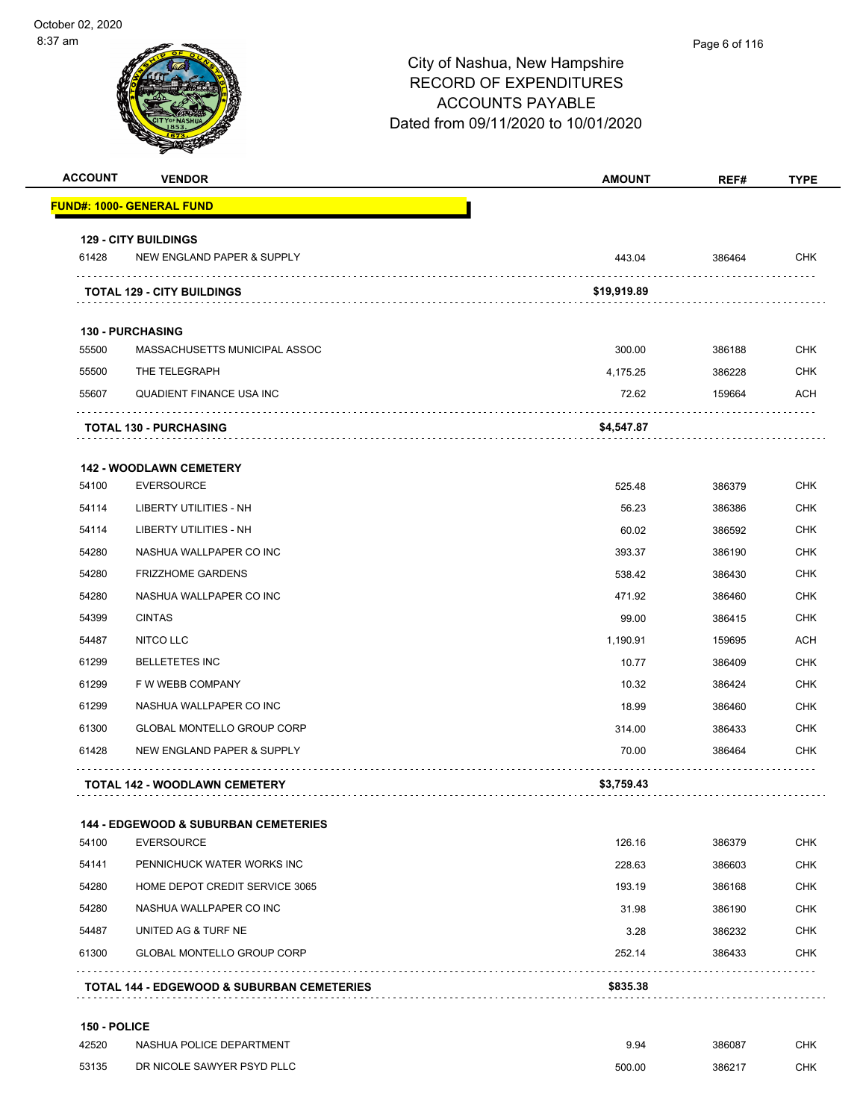| <b>ACCOUNT</b> | <b>VENDOR</b>                                   | <b>AMOUNT</b> | REF#   | <b>TYPE</b> |
|----------------|-------------------------------------------------|---------------|--------|-------------|
|                | <u> FUND#: 1000- GENERAL FUND</u>               |               |        |             |
|                | <b>129 - CITY BUILDINGS</b>                     |               |        |             |
| 61428          | NEW ENGLAND PAPER & SUPPLY                      | 443.04        | 386464 | <b>CHK</b>  |
|                | <b>TOTAL 129 - CITY BUILDINGS</b>               | \$19,919.89   |        |             |
|                | <b>130 - PURCHASING</b>                         |               |        |             |
| 55500          | MASSACHUSETTS MUNICIPAL ASSOC                   | 300.00        | 386188 | <b>CHK</b>  |
| 55500          | THE TELEGRAPH                                   | 4.175.25      | 386228 | <b>CHK</b>  |
| 55607          | QUADIENT FINANCE USA INC                        | 72.62         | 159664 | ACH         |
|                | <b>TOTAL 130 - PURCHASING</b>                   | \$4,547.87    |        |             |
|                | <b>142 - WOODLAWN CEMETERY</b>                  |               |        |             |
| 54100          | <b>EVERSOURCE</b>                               | 525.48        | 386379 | CHK         |
| 54114          | LIBERTY UTILITIES - NH                          | 56.23         | 386386 | <b>CHK</b>  |
| 54114          | <b>LIBERTY UTILITIES - NH</b>                   | 60.02         | 386592 | <b>CHK</b>  |
| 54280          | NASHUA WALLPAPER CO INC                         | 393.37        | 386190 | <b>CHK</b>  |
| 54280          | <b>FRIZZHOME GARDENS</b>                        | 538.42        | 386430 | <b>CHK</b>  |
| 54280          | NASHUA WALLPAPER CO INC                         | 471.92        | 386460 | <b>CHK</b>  |
| 54399          | <b>CINTAS</b>                                   | 99.00         | 386415 | <b>CHK</b>  |
| 54487          | NITCO LLC                                       | 1,190.91      | 159695 | ACH         |
| 61299          | <b>BELLETETES INC</b>                           | 10.77         | 386409 | <b>CHK</b>  |
| 61299          | F W WEBB COMPANY                                | 10.32         | 386424 | <b>CHK</b>  |
| 61299          | NASHUA WALLPAPER CO INC                         | 18.99         | 386460 | CHK         |
| 61300          | <b>GLOBAL MONTELLO GROUP CORP</b>               | 314.00        | 386433 | <b>CHK</b>  |
| 61428          | NEW ENGLAND PAPER & SUPPLY                      | 70.00         | 386464 | CHK         |
|                | <b>TOTAL 142 - WOODLAWN CEMETERY</b>            | \$3,759.43    |        |             |
|                | <b>144 - EDGEWOOD &amp; SUBURBAN CEMETERIES</b> |               |        |             |
| 54100          | <b>EVERSOURCE</b>                               | 126.16        | 386379 | <b>CHK</b>  |
| 54141          | PENNICHUCK WATER WORKS INC                      | 228.63        | 386603 | <b>CHK</b>  |
| 54280          | HOME DEPOT CREDIT SERVICE 3065                  | 193.19        | 386168 | CHK         |
| 54280          | NASHUA WALLPAPER CO INC                         | 31.98         | 386190 | <b>CHK</b>  |
| 54487          | UNITED AG & TURF NE                             | 3.28          | 386232 | CHK         |
| 61300          | <b>GLOBAL MONTELLO GROUP CORP</b>               | 252.14        | 386433 | CHK         |
|                | TOTAL 144 - EDGEWOOD & SUBURBAN CEMETERIES      | \$835.38      |        |             |
| 150 - POLICE   |                                                 |               |        |             |
| 42520          | NASHUA POLICE DEPARTMENT                        | 9.94          | 386087 | <b>CHK</b>  |

53135 DR NICOLE SAWYER PSYD PLLC **CHING A SET A SET A SET A SET A SET A SET A SET A SET A SET A SET A SET A SET A**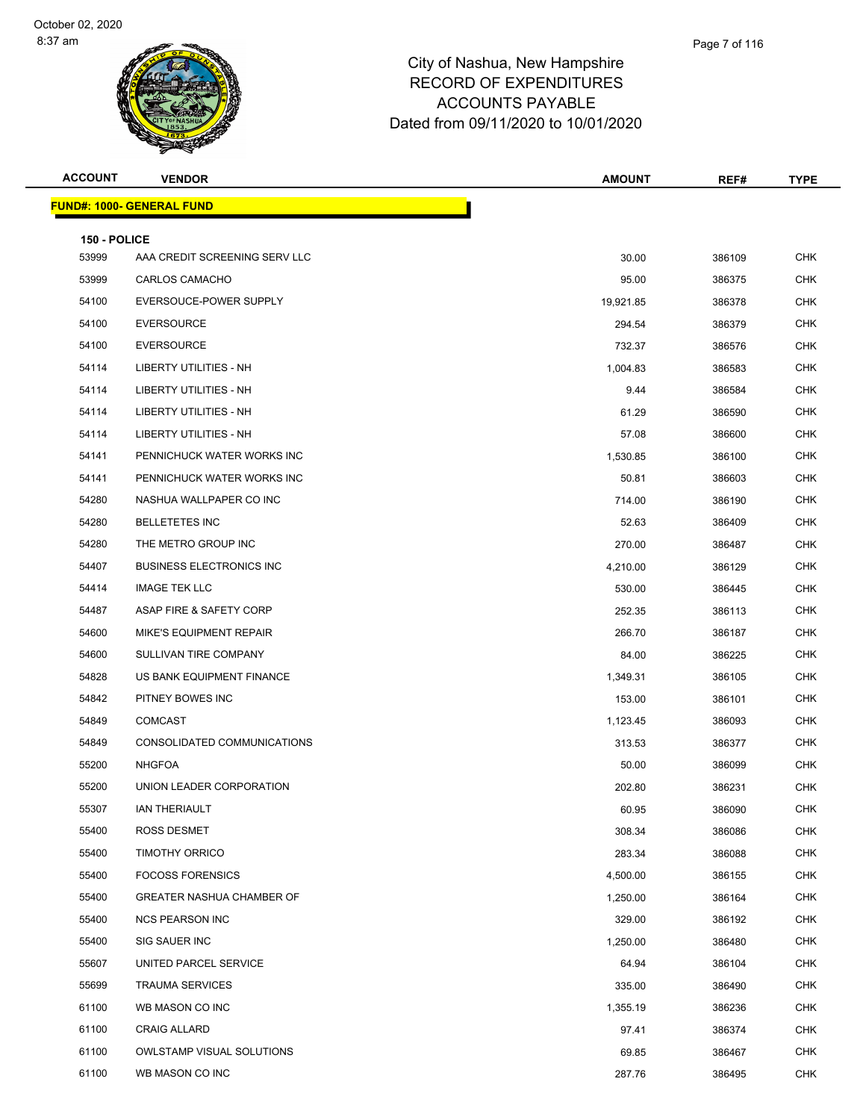| <b>ACCOUNT</b>        | <b>VENDOR</b>                     | <b>AMOUNT</b> | REF#   | <b>TYPE</b> |  |  |
|-----------------------|-----------------------------------|---------------|--------|-------------|--|--|
|                       | <u> FUND#: 1000- GENERAL FUND</u> |               |        |             |  |  |
|                       |                                   |               |        |             |  |  |
| 150 - POLICE<br>53999 | AAA CREDIT SCREENING SERV LLC     | 30.00         | 386109 | <b>CHK</b>  |  |  |
| 53999                 | CARLOS CAMACHO                    | 95.00         | 386375 | <b>CHK</b>  |  |  |
| 54100                 | EVERSOUCE-POWER SUPPLY            | 19,921.85     | 386378 | CHK         |  |  |
| 54100                 | <b>EVERSOURCE</b>                 | 294.54        | 386379 | <b>CHK</b>  |  |  |
| 54100                 | <b>EVERSOURCE</b>                 | 732.37        | 386576 | <b>CHK</b>  |  |  |
| 54114                 | <b>LIBERTY UTILITIES - NH</b>     | 1,004.83      | 386583 | CHK         |  |  |
| 54114                 | LIBERTY UTILITIES - NH            | 9.44          | 386584 | CHK         |  |  |
| 54114                 | <b>LIBERTY UTILITIES - NH</b>     | 61.29         | 386590 | CHK         |  |  |
| 54114                 | LIBERTY UTILITIES - NH            | 57.08         | 386600 | <b>CHK</b>  |  |  |
| 54141                 | PENNICHUCK WATER WORKS INC        | 1,530.85      | 386100 | <b>CHK</b>  |  |  |
| 54141                 | PENNICHUCK WATER WORKS INC        | 50.81         | 386603 | CHK         |  |  |
| 54280                 | NASHUA WALLPAPER CO INC           | 714.00        | 386190 | CHK         |  |  |
| 54280                 | <b>BELLETETES INC</b>             | 52.63         | 386409 | CHK         |  |  |
| 54280                 | THE METRO GROUP INC               | 270.00        | 386487 | <b>CHK</b>  |  |  |
| 54407                 | <b>BUSINESS ELECTRONICS INC</b>   | 4,210.00      | 386129 | <b>CHK</b>  |  |  |
| 54414                 | <b>IMAGE TEK LLC</b>              | 530.00        | 386445 | CHK         |  |  |
| 54487                 | ASAP FIRE & SAFETY CORP           | 252.35        | 386113 | CHK         |  |  |
| 54600                 | MIKE'S EQUIPMENT REPAIR           | 266.70        | 386187 | CHK         |  |  |
| 54600                 | SULLIVAN TIRE COMPANY             | 84.00         | 386225 | <b>CHK</b>  |  |  |
| 54828                 | US BANK EQUIPMENT FINANCE         | 1,349.31      | 386105 | <b>CHK</b>  |  |  |
| 54842                 | PITNEY BOWES INC                  | 153.00        | 386101 | CHK         |  |  |
| 54849                 | <b>COMCAST</b>                    | 1,123.45      | 386093 | CHK         |  |  |
| 54849                 | CONSOLIDATED COMMUNICATIONS       | 313.53        | 386377 | CHK         |  |  |
| 55200                 | <b>NHGFOA</b>                     | 50.00         | 386099 | <b>CHK</b>  |  |  |
| 55200                 | UNION LEADER CORPORATION          | 202.80        | 386231 | <b>CHK</b>  |  |  |
| 55307                 | <b>IAN THERIAULT</b>              | 60.95         | 386090 | CHK         |  |  |
| 55400                 | <b>ROSS DESMET</b>                | 308.34        | 386086 | <b>CHK</b>  |  |  |
| 55400                 | <b>TIMOTHY ORRICO</b>             | 283.34        | 386088 | <b>CHK</b>  |  |  |
| 55400                 | <b>FOCOSS FORENSICS</b>           | 4,500.00      | 386155 | <b>CHK</b>  |  |  |
| 55400                 | <b>GREATER NASHUA CHAMBER OF</b>  | 1,250.00      | 386164 | <b>CHK</b>  |  |  |
| 55400                 | <b>NCS PEARSON INC</b>            | 329.00        | 386192 | CHK         |  |  |
| 55400                 | SIG SAUER INC                     | 1,250.00      | 386480 | <b>CHK</b>  |  |  |
| 55607                 | UNITED PARCEL SERVICE             | 64.94         | 386104 | <b>CHK</b>  |  |  |
| 55699                 | <b>TRAUMA SERVICES</b>            | 335.00        | 386490 | <b>CHK</b>  |  |  |
| 61100                 | WB MASON CO INC                   | 1,355.19      | 386236 | <b>CHK</b>  |  |  |
| 61100                 | <b>CRAIG ALLARD</b>               | 97.41         | 386374 | CHK         |  |  |
| 61100                 | <b>OWLSTAMP VISUAL SOLUTIONS</b>  | 69.85         | 386467 | <b>CHK</b>  |  |  |
| 61100                 | WB MASON CO INC                   | 287.76        | 386495 | <b>CHK</b>  |  |  |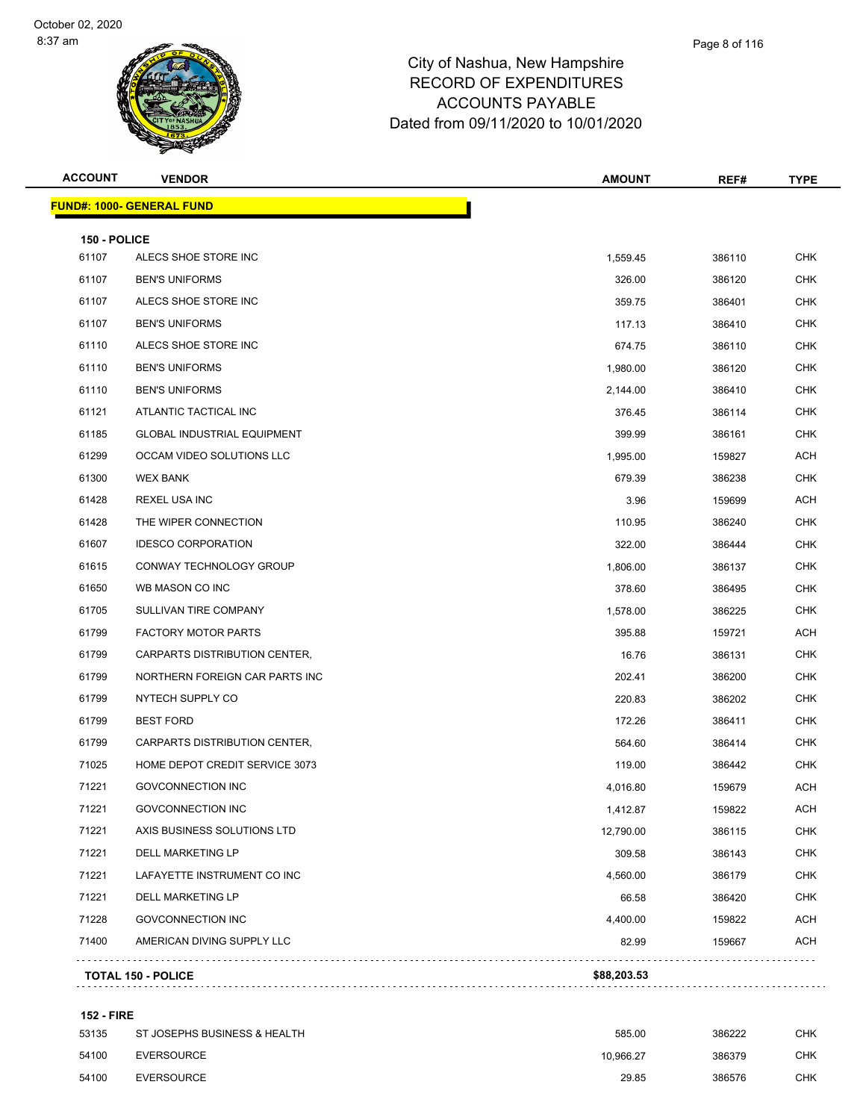| <b>ACCOUNT</b> | <b>VENDOR</b>                      | <b>AMOUNT</b> | REF#   | <b>TYPE</b> |
|----------------|------------------------------------|---------------|--------|-------------|
|                | <b>FUND#: 1000- GENERAL FUND</b>   |               |        |             |
| 150 - POLICE   |                                    |               |        |             |
| 61107          | ALECS SHOE STORE INC               | 1,559.45      | 386110 | <b>CHK</b>  |
| 61107          | <b>BEN'S UNIFORMS</b>              | 326.00        | 386120 | CHK         |
| 61107          | ALECS SHOE STORE INC               | 359.75        | 386401 | <b>CHK</b>  |
| 61107          | <b>BEN'S UNIFORMS</b>              | 117.13        | 386410 | <b>CHK</b>  |
| 61110          | ALECS SHOE STORE INC               | 674.75        | 386110 | CHK         |
| 61110          | <b>BEN'S UNIFORMS</b>              | 1,980.00      | 386120 | <b>CHK</b>  |
| 61110          | <b>BEN'S UNIFORMS</b>              | 2,144.00      | 386410 | CHK         |
| 61121          | ATLANTIC TACTICAL INC              | 376.45        | 386114 | <b>CHK</b>  |
| 61185          | <b>GLOBAL INDUSTRIAL EQUIPMENT</b> | 399.99        | 386161 | <b>CHK</b>  |
| 61299          | OCCAM VIDEO SOLUTIONS LLC          | 1,995.00      | 159827 | ACH         |
| 61300          | <b>WEX BANK</b>                    | 679.39        | 386238 | <b>CHK</b>  |
| 61428          | REXEL USA INC                      | 3.96          | 159699 | ACH         |
| 61428          | THE WIPER CONNECTION               | 110.95        | 386240 | <b>CHK</b>  |
| 61607          | <b>IDESCO CORPORATION</b>          | 322.00        | 386444 | <b>CHK</b>  |
| 61615          | CONWAY TECHNOLOGY GROUP            | 1,806.00      | 386137 | CHK         |
| 61650          | WB MASON CO INC                    | 378.60        | 386495 | <b>CHK</b>  |
| 61705          | SULLIVAN TIRE COMPANY              | 1,578.00      | 386225 | CHK         |
| 61799          | <b>FACTORY MOTOR PARTS</b>         | 395.88        | 159721 | <b>ACH</b>  |
| 61799          | CARPARTS DISTRIBUTION CENTER,      | 16.76         | 386131 | CHK         |
| 61799          | NORTHERN FOREIGN CAR PARTS INC     | 202.41        | 386200 | CHK         |
| 61799          | NYTECH SUPPLY CO                   | 220.83        | 386202 | <b>CHK</b>  |
| 61799          | <b>BEST FORD</b>                   | 172.26        | 386411 | CHK         |
| 61799          | CARPARTS DISTRIBUTION CENTER,      | 564.60        | 386414 | CHK         |
| 71025          | HOME DEPOT CREDIT SERVICE 3073     | 119.00        | 386442 | CHK         |
| 71221          | <b>GOVCONNECTION INC</b>           | 4,016.80      | 159679 | ACH         |
| 71221          | GOVCONNECTION INC                  | 1,412.87      | 159822 | <b>ACH</b>  |
| 71221          | AXIS BUSINESS SOLUTIONS LTD        | 12,790.00     | 386115 | <b>CHK</b>  |
| 71221          | DELL MARKETING LP                  | 309.58        | 386143 | <b>CHK</b>  |
| 71221          | LAFAYETTE INSTRUMENT CO INC        | 4,560.00      | 386179 | <b>CHK</b>  |
| 71221          | DELL MARKETING LP                  | 66.58         | 386420 | CHK         |
| 71228          | <b>GOVCONNECTION INC</b>           | 4,400.00      | 159822 | <b>ACH</b>  |
| 71400          | AMERICAN DIVING SUPPLY LLC         | 82.99         | 159667 | ACH         |
|                | <b>TOTAL 150 - POLICE</b>          | \$88,203.53   |        |             |
|                |                                    |               |        |             |

### **152 - FIRE**

| 53135 | ST JOSEPHS BUSINESS & HEALTH | 585.00    | 386222 | снк |
|-------|------------------------------|-----------|--------|-----|
| 54100 | EVERSOURCE                   | 10.966.27 | 386379 | снк |
| 54100 | EVERSOURCE                   | 29.85     | 386576 | СНК |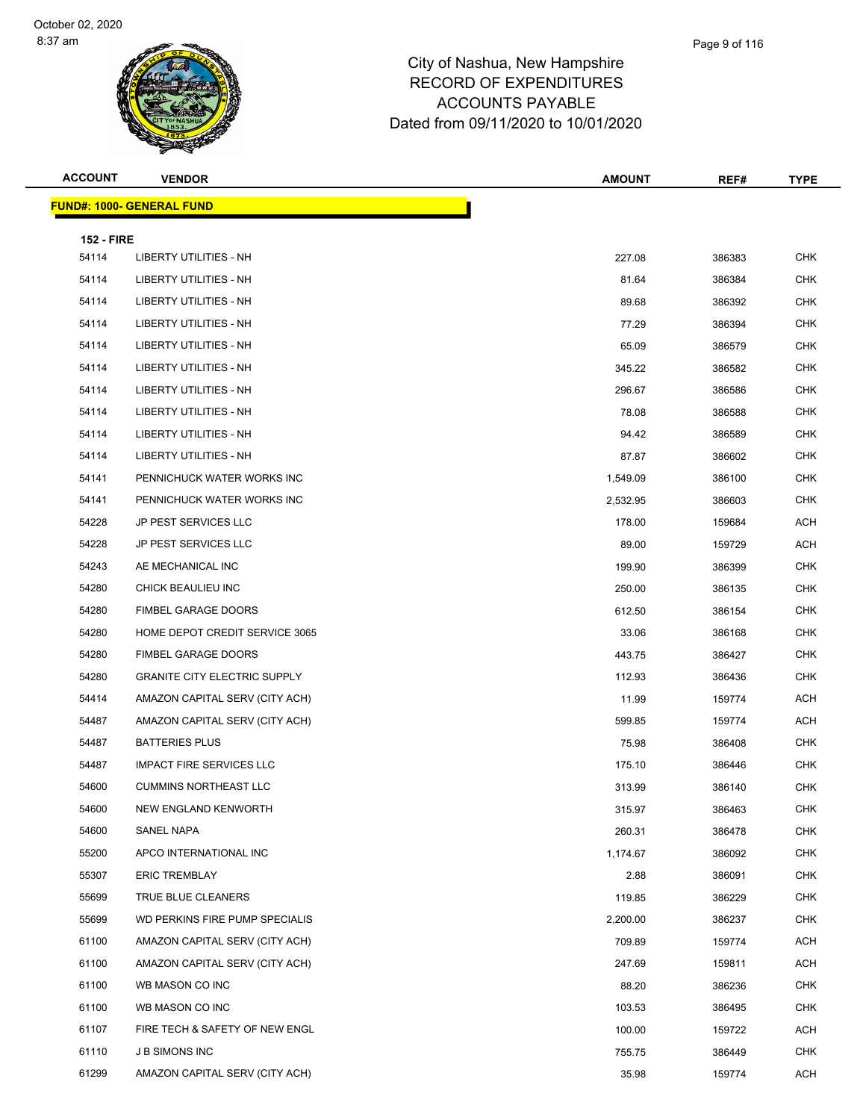| <b>ACCOUNT</b>             | <b>VENDOR</b>                       | <b>AMOUNT</b> | REF#   | <b>TYPE</b> |
|----------------------------|-------------------------------------|---------------|--------|-------------|
|                            | <b>FUND#: 1000- GENERAL FUND</b>    |               |        |             |
|                            |                                     |               |        |             |
| <b>152 - FIRE</b><br>54114 | <b>LIBERTY UTILITIES - NH</b>       | 227.08        | 386383 | <b>CHK</b>  |
| 54114                      | LIBERTY UTILITIES - NH              | 81.64         | 386384 | CHK         |
| 54114                      | LIBERTY UTILITIES - NH              | 89.68         | 386392 | <b>CHK</b>  |
| 54114                      | <b>LIBERTY UTILITIES - NH</b>       | 77.29         | 386394 | CHK         |
| 54114                      | LIBERTY UTILITIES - NH              | 65.09         | 386579 | CHK         |
| 54114                      | <b>LIBERTY UTILITIES - NH</b>       | 345.22        | 386582 | CHK         |
| 54114                      | LIBERTY UTILITIES - NH              | 296.67        | 386586 | CHK         |
| 54114                      | LIBERTY UTILITIES - NH              | 78.08         | 386588 | CHK         |
| 54114                      | LIBERTY UTILITIES - NH              | 94.42         | 386589 | CHK         |
| 54114                      | LIBERTY UTILITIES - NH              | 87.87         | 386602 | CHK         |
| 54141                      | PENNICHUCK WATER WORKS INC          | 1,549.09      | 386100 | <b>CHK</b>  |
| 54141                      | PENNICHUCK WATER WORKS INC          | 2,532.95      | 386603 | CHK         |
| 54228                      | JP PEST SERVICES LLC                | 178.00        | 159684 | ACH         |
| 54228                      | <b>JP PEST SERVICES LLC</b>         | 89.00         | 159729 | ACH         |
| 54243                      | AE MECHANICAL INC                   | 199.90        | 386399 | CHK         |
| 54280                      | CHICK BEAULIEU INC                  | 250.00        | 386135 | CHK         |
| 54280                      | FIMBEL GARAGE DOORS                 | 612.50        | 386154 | CHK         |
| 54280                      | HOME DEPOT CREDIT SERVICE 3065      | 33.06         | 386168 | CHK         |
| 54280                      | FIMBEL GARAGE DOORS                 | 443.75        | 386427 | CHK         |
| 54280                      | <b>GRANITE CITY ELECTRIC SUPPLY</b> | 112.93        | 386436 | <b>CHK</b>  |
| 54414                      | AMAZON CAPITAL SERV (CITY ACH)      | 11.99         | 159774 | ACH         |
| 54487                      | AMAZON CAPITAL SERV (CITY ACH)      | 599.85        | 159774 | ACH         |
| 54487                      | <b>BATTERIES PLUS</b>               | 75.98         | 386408 | CHK         |
| 54487                      | <b>IMPACT FIRE SERVICES LLC</b>     | 175.10        | 386446 | <b>CHK</b>  |
| 54600                      | <b>CUMMINS NORTHEAST LLC</b>        | 313.99        | 386140 | <b>CHK</b>  |
| 54600                      | NEW ENGLAND KENWORTH                | 315.97        | 386463 | <b>CHK</b>  |
| 54600                      | SANEL NAPA                          | 260.31        | 386478 | <b>CHK</b>  |
| 55200                      | APCO INTERNATIONAL INC              | 1,174.67      | 386092 | <b>CHK</b>  |
| 55307                      | <b>ERIC TREMBLAY</b>                | 2.88          | 386091 | CHK         |
| 55699                      | TRUE BLUE CLEANERS                  | 119.85        | 386229 | <b>CHK</b>  |
| 55699                      | WD PERKINS FIRE PUMP SPECIALIS      | 2,200.00      | 386237 | <b>CHK</b>  |
| 61100                      | AMAZON CAPITAL SERV (CITY ACH)      | 709.89        | 159774 | ACH         |
| 61100                      | AMAZON CAPITAL SERV (CITY ACH)      | 247.69        | 159811 | <b>ACH</b>  |
| 61100                      | WB MASON CO INC                     | 88.20         | 386236 | CHK         |
| 61100                      | WB MASON CO INC                     | 103.53        | 386495 | CHK         |
| 61107                      | FIRE TECH & SAFETY OF NEW ENGL      | 100.00        | 159722 | ACH         |
| 61110                      | <b>JB SIMONS INC</b>                | 755.75        | 386449 | CHK         |
| 61299                      | AMAZON CAPITAL SERV (CITY ACH)      | 35.98         | 159774 | ACH         |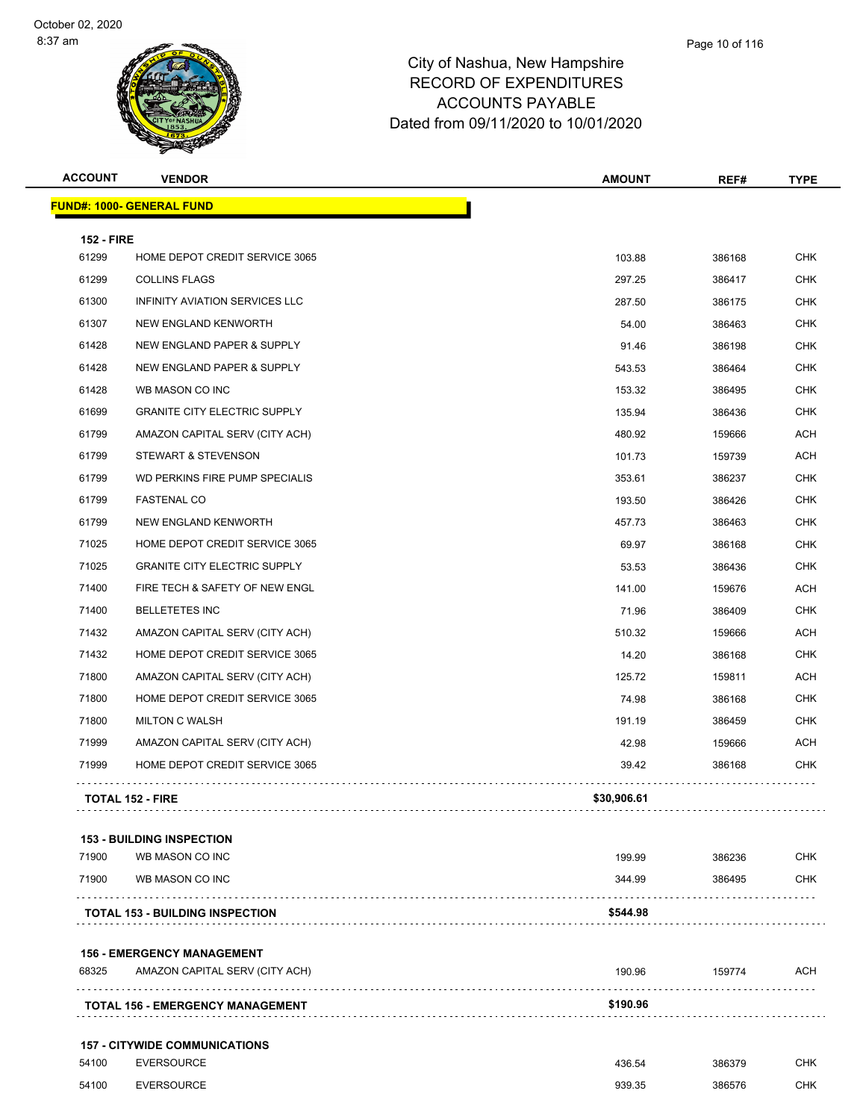| <b>ACCOUNT</b>    | <b>VENDOR</b>                                                       | <b>AMOUNT</b> | REF#   | <b>TYPE</b> |
|-------------------|---------------------------------------------------------------------|---------------|--------|-------------|
|                   | <b>FUND#: 1000- GENERAL FUND</b>                                    |               |        |             |
| <b>152 - FIRE</b> |                                                                     |               |        |             |
| 61299             | HOME DEPOT CREDIT SERVICE 3065                                      | 103.88        | 386168 | <b>CHK</b>  |
| 61299             | <b>COLLINS FLAGS</b>                                                | 297.25        | 386417 | <b>CHK</b>  |
| 61300             | INFINITY AVIATION SERVICES LLC                                      | 287.50        | 386175 | CHK         |
| 61307             | NEW ENGLAND KENWORTH                                                | 54.00         | 386463 | <b>CHK</b>  |
| 61428             | NEW ENGLAND PAPER & SUPPLY                                          | 91.46         | 386198 | <b>CHK</b>  |
| 61428             | NEW ENGLAND PAPER & SUPPLY                                          | 543.53        | 386464 | <b>CHK</b>  |
| 61428             | WB MASON CO INC                                                     | 153.32        | 386495 | <b>CHK</b>  |
| 61699             | <b>GRANITE CITY ELECTRIC SUPPLY</b>                                 | 135.94        | 386436 | CHK         |
| 61799             | AMAZON CAPITAL SERV (CITY ACH)                                      | 480.92        | 159666 | ACH         |
| 61799             | STEWART & STEVENSON                                                 | 101.73        | 159739 | ACH         |
| 61799             | WD PERKINS FIRE PUMP SPECIALIS                                      | 353.61        | 386237 | <b>CHK</b>  |
| 61799             | <b>FASTENAL CO</b>                                                  | 193.50        | 386426 | <b>CHK</b>  |
| 61799             | NEW ENGLAND KENWORTH                                                | 457.73        | 386463 | <b>CHK</b>  |
| 71025             | HOME DEPOT CREDIT SERVICE 3065                                      | 69.97         | 386168 | <b>CHK</b>  |
| 71025             | <b>GRANITE CITY ELECTRIC SUPPLY</b>                                 | 53.53         | 386436 | CHK         |
| 71400             | FIRE TECH & SAFETY OF NEW ENGL                                      | 141.00        | 159676 | ACH         |
| 71400             | <b>BELLETETES INC</b>                                               | 71.96         | 386409 | <b>CHK</b>  |
| 71432             | AMAZON CAPITAL SERV (CITY ACH)                                      | 510.32        | 159666 | ACH         |
| 71432             | HOME DEPOT CREDIT SERVICE 3065                                      | 14.20         | 386168 | <b>CHK</b>  |
| 71800             | AMAZON CAPITAL SERV (CITY ACH)                                      | 125.72        | 159811 | ACH         |
| 71800             | HOME DEPOT CREDIT SERVICE 3065                                      | 74.98         | 386168 | <b>CHK</b>  |
| 71800             | <b>MILTON C WALSH</b>                                               | 191.19        | 386459 | <b>CHK</b>  |
| 71999             | AMAZON CAPITAL SERV (CITY ACH)                                      | 42.98         | 159666 | ACH         |
| 71999             | HOME DEPOT CREDIT SERVICE 3065                                      | 39.42         | 386168 | <b>CHK</b>  |
|                   | <b>TOTAL 152 - FIRE</b>                                             | \$30,906.61   |        |             |
|                   |                                                                     |               |        |             |
| 71900             | <b>153 - BUILDING INSPECTION</b><br>WB MASON CO INC                 | 199.99        | 386236 | <b>CHK</b>  |
| 71900             | WB MASON CO INC                                                     | 344.99        | 386495 | CHK         |
|                   | <b>TOTAL 153 - BUILDING INSPECTION</b>                              | \$544.98      |        |             |
|                   |                                                                     |               |        |             |
| 68325             | <b>156 - EMERGENCY MANAGEMENT</b><br>AMAZON CAPITAL SERV (CITY ACH) | 190.96        | 159774 | ACH         |
|                   | .                                                                   |               |        |             |
|                   | <b>TOTAL 156 - EMERGENCY MANAGEMENT</b>                             | \$190.96      |        |             |
|                   | <b>157 - CITYWIDE COMMUNICATIONS</b>                                |               |        |             |
| 54100             | <b>EVERSOURCE</b>                                                   | 436.54        | 386379 | CHK         |
| 54100             | <b>EVERSOURCE</b>                                                   | 939.35        | 386576 | <b>CHK</b>  |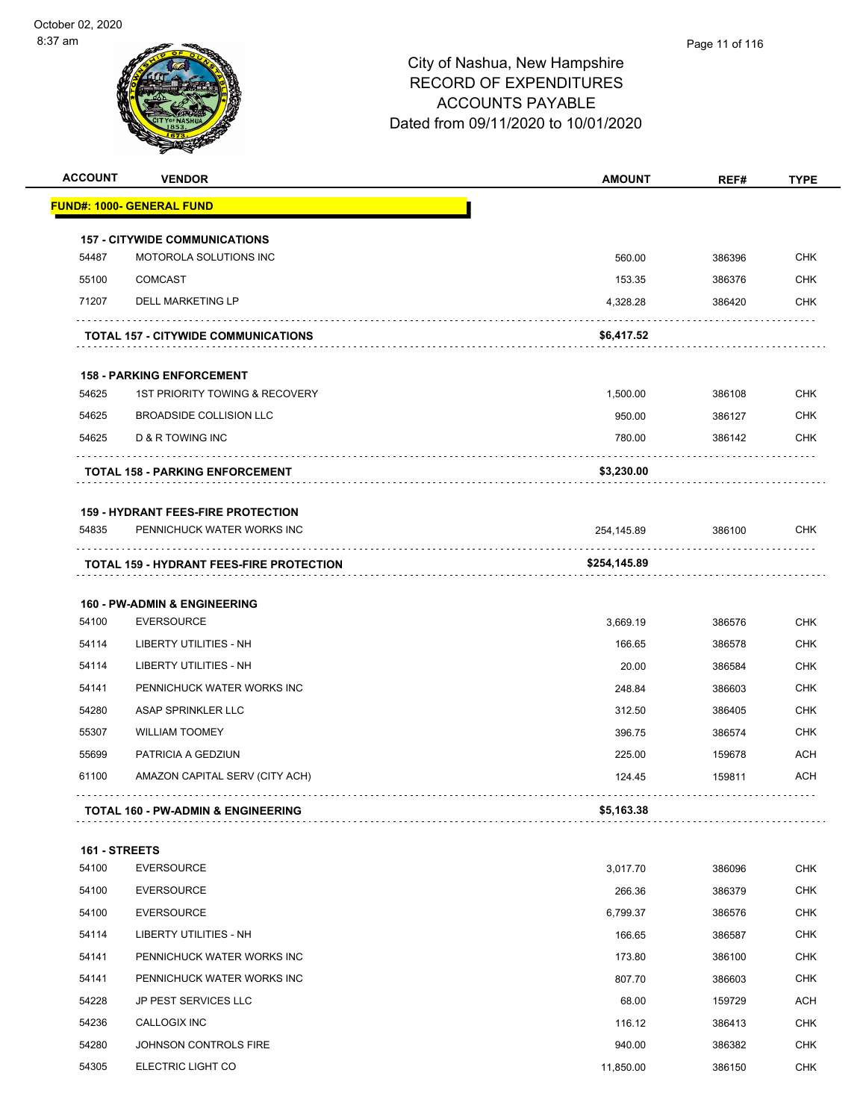| <b>ACCOUNT</b> | <b>VENDOR</b>                                   | <b>AMOUNT</b> | REF#   | <b>TYPE</b> |
|----------------|-------------------------------------------------|---------------|--------|-------------|
|                | <b>FUND#: 1000- GENERAL FUND</b>                |               |        |             |
|                | <b>157 - CITYWIDE COMMUNICATIONS</b>            |               |        |             |
| 54487          | MOTOROLA SOLUTIONS INC                          | 560.00        | 386396 | <b>CHK</b>  |
| 55100          | COMCAST                                         | 153.35        | 386376 | <b>CHK</b>  |
| 71207          | DELL MARKETING LP                               | 4,328.28      | 386420 | <b>CHK</b>  |
|                | <b>TOTAL 157 - CITYWIDE COMMUNICATIONS</b>      | \$6,417.52    |        |             |
|                | <b>158 - PARKING ENFORCEMENT</b>                |               |        |             |
| 54625          | 1ST PRIORITY TOWING & RECOVERY                  | 1,500.00      | 386108 | <b>CHK</b>  |
| 54625          | <b>BROADSIDE COLLISION LLC</b>                  | 950.00        | 386127 | <b>CHK</b>  |
| 54625          | D & R TOWING INC                                | 780.00        | 386142 | <b>CHK</b>  |
|                | <b>TOTAL 158 - PARKING ENFORCEMENT</b>          | \$3,230.00    |        |             |
|                | <b>159 - HYDRANT FEES-FIRE PROTECTION</b>       |               |        |             |
| 54835          | PENNICHUCK WATER WORKS INC                      | 254,145.89    | 386100 | <b>CHK</b>  |
|                | <b>TOTAL 159 - HYDRANT FEES-FIRE PROTECTION</b> | \$254,145.89  |        |             |
|                | <b>160 - PW-ADMIN &amp; ENGINEERING</b>         |               |        |             |
| 54100          | <b>EVERSOURCE</b>                               | 3,669.19      | 386576 | <b>CHK</b>  |
| 54114          | LIBERTY UTILITIES - NH                          | 166.65        | 386578 | <b>CHK</b>  |
| 54114          | LIBERTY UTILITIES - NH                          | 20.00         | 386584 | <b>CHK</b>  |
| 54141          | PENNICHUCK WATER WORKS INC                      | 248.84        | 386603 | <b>CHK</b>  |
| 54280          | ASAP SPRINKLER LLC                              | 312.50        | 386405 | <b>CHK</b>  |
| 55307          | <b>WILLIAM TOOMEY</b>                           | 396.75        | 386574 | <b>CHK</b>  |
| 55699          | PATRICIA A GEDZIUN                              | 225.00        | 159678 | ACH         |
| 61100          | AMAZON CAPITAL SERV (CITY ACH)                  | 124.45        | 159811 | <b>ACH</b>  |
|                | <b>TOTAL 160 - PW-ADMIN &amp; ENGINEERING</b>   | \$5,163.38    |        |             |
| 161 - STREETS  |                                                 |               |        |             |
| 54100          | <b>EVERSOURCE</b>                               | 3,017.70      | 386096 | <b>CHK</b>  |
| 54100          | <b>EVERSOURCE</b>                               | 266.36        | 386379 | <b>CHK</b>  |
| 54100          | <b>EVERSOURCE</b>                               | 6,799.37      | 386576 | CHK         |
| 54114          | LIBERTY UTILITIES - NH                          | 166.65        | 386587 | <b>CHK</b>  |
| 54141          | PENNICHUCK WATER WORKS INC                      | 173.80        | 386100 | <b>CHK</b>  |
| 54141          | PENNICHUCK WATER WORKS INC                      | 807.70        | 386603 | CHK         |
| 54228          | JP PEST SERVICES LLC                            | 68.00         | 159729 | ACH         |
| 54236          | CALLOGIX INC                                    | 116.12        | 386413 | CHK         |
| 54280          | JOHNSON CONTROLS FIRE                           | 940.00        | 386382 | <b>CHK</b>  |

54305 ELECTRIC LIGHT CO **11,850.00** 386150 CHK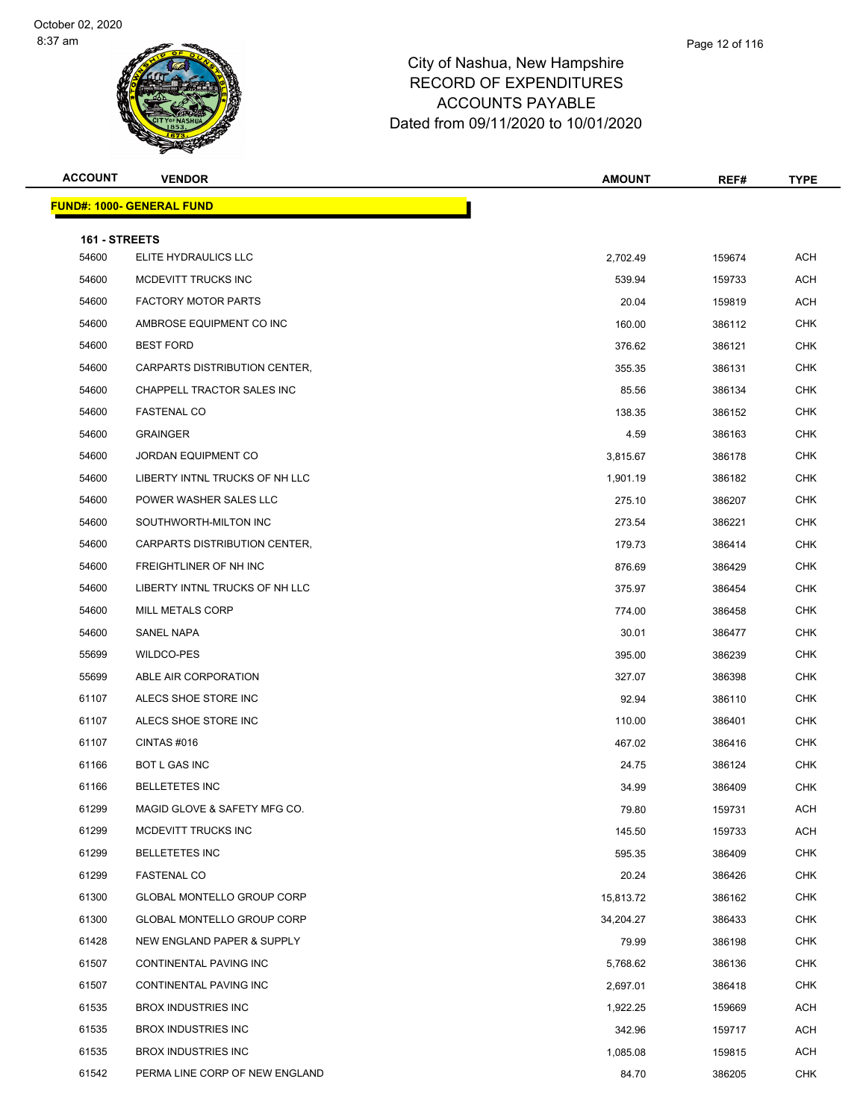| <b>ACCOUNT</b>         | <b>VENDOR</b>                                       | <b>AMOUNT</b>    | REF#             | <b>TYPE</b>              |  |  |
|------------------------|-----------------------------------------------------|------------------|------------------|--------------------------|--|--|
|                        | <b>FUND#: 1000- GENERAL FUND</b>                    |                  |                  |                          |  |  |
|                        |                                                     |                  |                  |                          |  |  |
| 161 - STREETS<br>54600 | ELITE HYDRAULICS LLC                                | 2,702.49         | 159674           | ACH                      |  |  |
| 54600                  | MCDEVITT TRUCKS INC                                 | 539.94           | 159733           | <b>ACH</b>               |  |  |
| 54600                  | <b>FACTORY MOTOR PARTS</b>                          | 20.04            | 159819           | ACH                      |  |  |
| 54600                  | AMBROSE EQUIPMENT CO INC                            | 160.00           | 386112           | <b>CHK</b>               |  |  |
| 54600                  | <b>BEST FORD</b>                                    | 376.62           | 386121           | CHK                      |  |  |
| 54600                  | CARPARTS DISTRIBUTION CENTER,                       | 355.35           | 386131           | <b>CHK</b>               |  |  |
| 54600                  | CHAPPELL TRACTOR SALES INC                          | 85.56            | 386134           | <b>CHK</b>               |  |  |
| 54600                  | <b>FASTENAL CO</b>                                  | 138.35           | 386152           | <b>CHK</b>               |  |  |
| 54600                  | <b>GRAINGER</b>                                     | 4.59             | 386163           | <b>CHK</b>               |  |  |
| 54600                  | JORDAN EQUIPMENT CO                                 | 3,815.67         | 386178           | CHK                      |  |  |
| 54600                  | LIBERTY INTNL TRUCKS OF NH LLC                      | 1,901.19         | 386182           | <b>CHK</b>               |  |  |
| 54600                  | POWER WASHER SALES LLC                              | 275.10           | 386207           | <b>CHK</b>               |  |  |
| 54600                  | SOUTHWORTH-MILTON INC                               |                  |                  | <b>CHK</b>               |  |  |
| 54600                  | CARPARTS DISTRIBUTION CENTER,                       | 273.54<br>179.73 | 386221<br>386414 | <b>CHK</b>               |  |  |
| 54600                  | FREIGHTLINER OF NH INC                              |                  |                  | CHK                      |  |  |
| 54600                  | LIBERTY INTNL TRUCKS OF NH LLC                      | 876.69<br>375.97 | 386429<br>386454 | <b>CHK</b>               |  |  |
| 54600                  | <b>MILL METALS CORP</b>                             |                  |                  | <b>CHK</b>               |  |  |
| 54600                  | SANEL NAPA                                          | 774.00           | 386458           | <b>CHK</b>               |  |  |
| 55699                  | WILDCO-PES                                          | 30.01            | 386477           |                          |  |  |
| 55699                  | ABLE AIR CORPORATION                                | 395.00           | 386239           | <b>CHK</b><br>CHK        |  |  |
|                        |                                                     | 327.07           | 386398           |                          |  |  |
| 61107                  | ALECS SHOE STORE INC                                | 92.94            | 386110           | CHK                      |  |  |
| 61107                  | ALECS SHOE STORE INC                                | 110.00           | 386401           | <b>CHK</b><br><b>CHK</b> |  |  |
| 61107                  | CINTAS#016                                          | 467.02           | 386416           |                          |  |  |
| 61166                  | BOT L GAS INC<br><b>BELLETETES INC</b>              | 24.75            | 386124           | <b>CHK</b>               |  |  |
| 61166                  |                                                     | 34.99            | 386409           | <b>CHK</b>               |  |  |
| 61299<br>61299         | MAGID GLOVE & SAFETY MFG CO.<br>MCDEVITT TRUCKS INC | 79.80            | 159731           | <b>ACH</b>               |  |  |
|                        |                                                     | 145.50           | 159733           | ACH                      |  |  |
| 61299                  | <b>BELLETETES INC</b>                               | 595.35           | 386409           | <b>CHK</b>               |  |  |
| 61299<br>61300         | <b>FASTENAL CO</b>                                  | 20.24            | 386426           | <b>CHK</b>               |  |  |
|                        | GLOBAL MONTELLO GROUP CORP                          | 15,813.72        | 386162           | <b>CHK</b>               |  |  |
| 61300                  | GLOBAL MONTELLO GROUP CORP                          | 34,204.27        | 386433           | CHK                      |  |  |
| 61428                  | NEW ENGLAND PAPER & SUPPLY                          | 79.99            | 386198           | <b>CHK</b>               |  |  |
| 61507                  | CONTINENTAL PAVING INC                              | 5,768.62         | 386136           | <b>CHK</b>               |  |  |
| 61507                  | CONTINENTAL PAVING INC                              | 2,697.01         | 386418           | <b>CHK</b>               |  |  |
| 61535                  | <b>BROX INDUSTRIES INC</b>                          | 1,922.25         | 159669           | ACH                      |  |  |
| 61535                  | <b>BROX INDUSTRIES INC</b>                          | 342.96           | 159717           | ACH                      |  |  |
| 61535                  | <b>BROX INDUSTRIES INC</b>                          | 1,085.08         | 159815           | <b>ACH</b>               |  |  |
| 61542                  | PERMA LINE CORP OF NEW ENGLAND                      | 84.70            | 386205           | <b>CHK</b>               |  |  |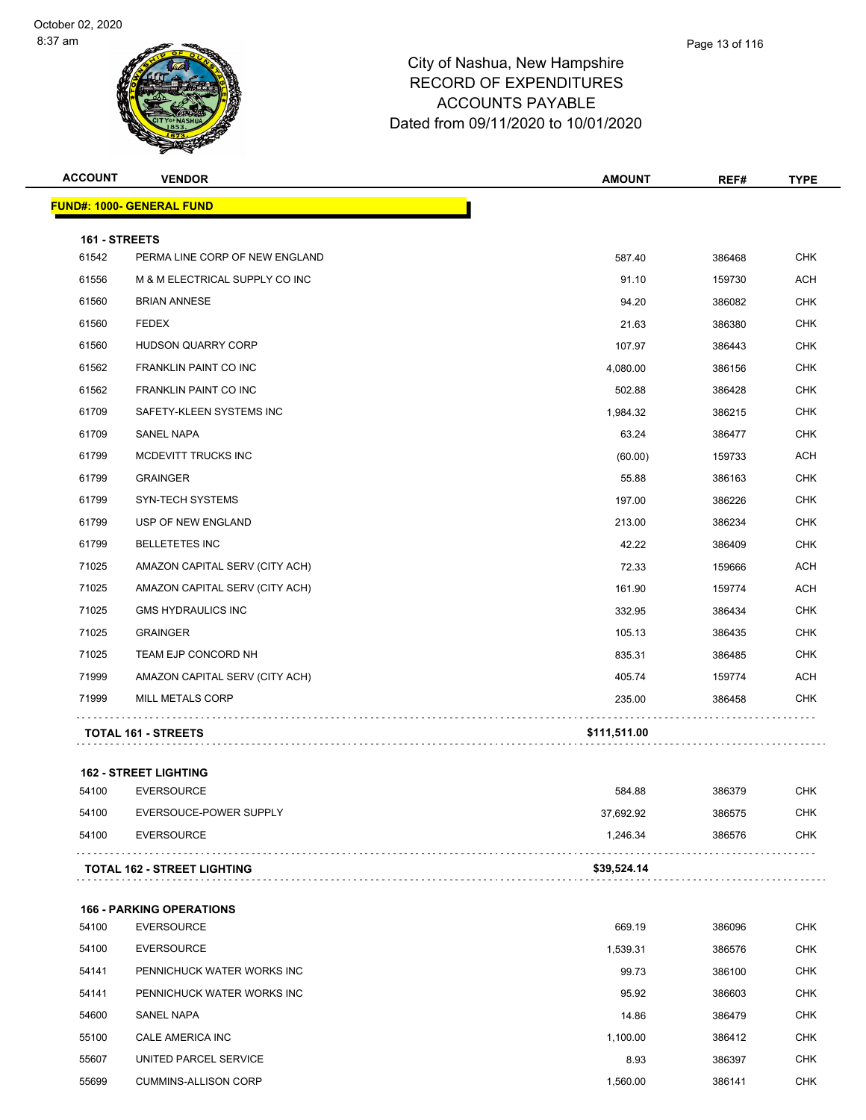| <b>ACCOUNT</b>         | <b>VENDOR</b>                      | <b>AMOUNT</b> | REF#   | <b>TYPE</b> |
|------------------------|------------------------------------|---------------|--------|-------------|
|                        | <b>FUND#: 1000- GENERAL FUND</b>   |               |        |             |
|                        |                                    |               |        |             |
| 161 - STREETS<br>61542 | PERMA LINE CORP OF NEW ENGLAND     | 587.40        | 386468 | <b>CHK</b>  |
| 61556                  | M & M ELECTRICAL SUPPLY CO INC     | 91.10         | 159730 | <b>ACH</b>  |
| 61560                  | <b>BRIAN ANNESE</b>                | 94.20         | 386082 | <b>CHK</b>  |
| 61560                  | <b>FEDEX</b>                       | 21.63         | 386380 | <b>CHK</b>  |
| 61560                  | HUDSON QUARRY CORP                 | 107.97        | 386443 | <b>CHK</b>  |
| 61562                  | FRANKLIN PAINT CO INC              | 4,080.00      | 386156 | <b>CHK</b>  |
| 61562                  | <b>FRANKLIN PAINT CO INC</b>       | 502.88        | 386428 | <b>CHK</b>  |
| 61709                  | SAFETY-KLEEN SYSTEMS INC           | 1,984.32      | 386215 | <b>CHK</b>  |
| 61709                  | SANEL NAPA                         | 63.24         | 386477 | <b>CHK</b>  |
| 61799                  | MCDEVITT TRUCKS INC                | (60.00)       | 159733 | <b>ACH</b>  |
| 61799                  | <b>GRAINGER</b>                    | 55.88         | 386163 | <b>CHK</b>  |
| 61799                  | <b>SYN-TECH SYSTEMS</b>            | 197.00        | 386226 | <b>CHK</b>  |
| 61799                  | USP OF NEW ENGLAND                 | 213.00        | 386234 | <b>CHK</b>  |
| 61799                  | <b>BELLETETES INC</b>              | 42.22         | 386409 | <b>CHK</b>  |
| 71025                  | AMAZON CAPITAL SERV (CITY ACH)     | 72.33         | 159666 | <b>ACH</b>  |
| 71025                  | AMAZON CAPITAL SERV (CITY ACH)     | 161.90        | 159774 | <b>ACH</b>  |
| 71025                  | <b>GMS HYDRAULICS INC</b>          | 332.95        | 386434 | <b>CHK</b>  |
| 71025                  | <b>GRAINGER</b>                    | 105.13        | 386435 | <b>CHK</b>  |
| 71025                  | TEAM EJP CONCORD NH                | 835.31        | 386485 | <b>CHK</b>  |
| 71999                  | AMAZON CAPITAL SERV (CITY ACH)     | 405.74        | 159774 | <b>ACH</b>  |
| 71999                  | MILL METALS CORP                   | 235.00        | 386458 | <b>CHK</b>  |
|                        |                                    |               |        |             |
|                        | <b>TOTAL 161 - STREETS</b>         | \$111,511.00  |        |             |
|                        | <b>162 - STREET LIGHTING</b>       |               |        |             |
| 54100                  | <b>EVERSOURCE</b>                  | 584.88        | 386379 | <b>CHK</b>  |
| 54100                  | EVERSOUCE-POWER SUPPLY             | 37,692.92     | 386575 | <b>CHK</b>  |
| 54100                  | <b>EVERSOURCE</b>                  | 1,246.34      | 386576 | <b>CHK</b>  |
|                        | <b>TOTAL 162 - STREET LIGHTING</b> | \$39,524.14   |        |             |
|                        |                                    |               |        |             |
|                        | <b>166 - PARKING OPERATIONS</b>    |               |        |             |
| 54100                  | <b>EVERSOURCE</b>                  | 669.19        | 386096 | <b>CHK</b>  |
| 54100                  | <b>EVERSOURCE</b>                  | 1,539.31      | 386576 | <b>CHK</b>  |
| 54141                  | PENNICHUCK WATER WORKS INC         | 99.73         | 386100 | <b>CHK</b>  |
| 54141                  | PENNICHUCK WATER WORKS INC         | 95.92         | 386603 | <b>CHK</b>  |
| 54600                  | SANEL NAPA                         | 14.86         | 386479 | <b>CHK</b>  |
| 55100                  | CALE AMERICA INC                   | 1,100.00      | 386412 | <b>CHK</b>  |
| 55607                  | UNITED PARCEL SERVICE              | 8.93          | 386397 | <b>CHK</b>  |
| 55699                  | <b>CUMMINS-ALLISON CORP</b>        | 1,560.00      | 386141 | <b>CHK</b>  |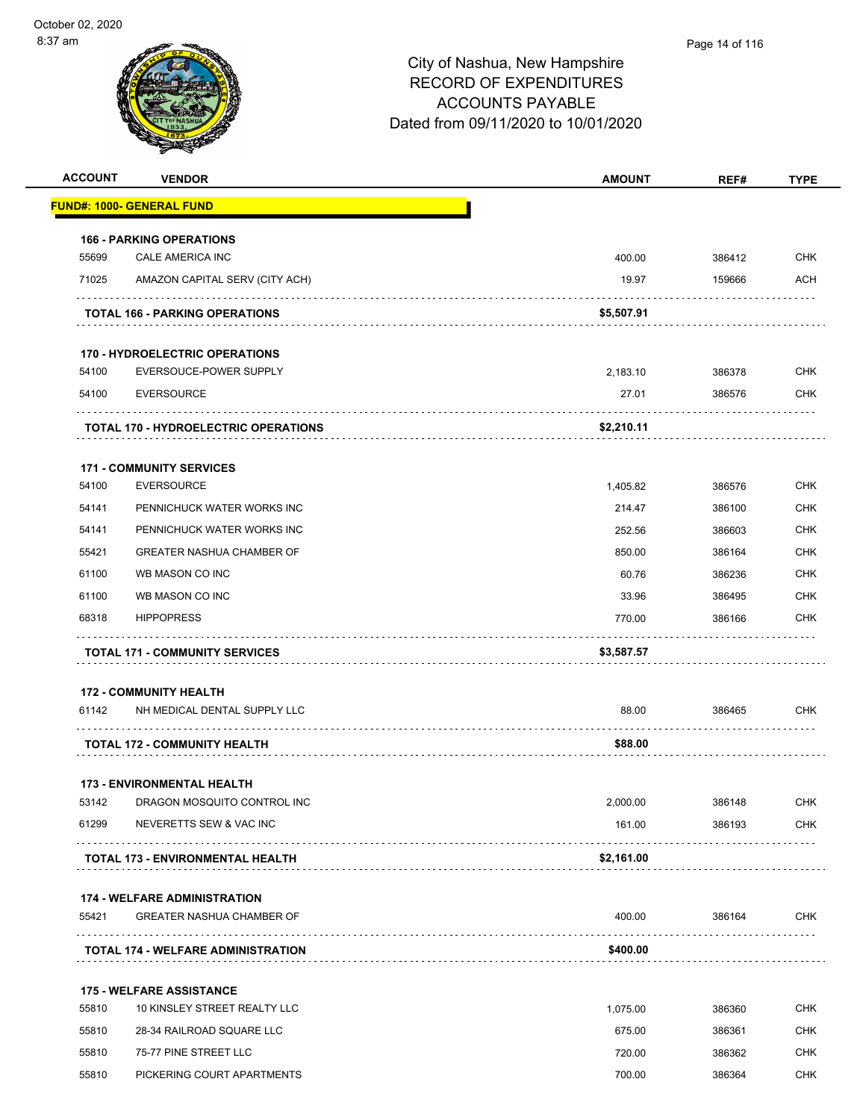| <b>ACCOUNT</b> | <b>VENDOR</b>                               | <b>AMOUNT</b> | REF#   | <b>TYPE</b>     |
|----------------|---------------------------------------------|---------------|--------|-----------------|
|                | <b>FUND#: 1000- GENERAL FUND</b>            |               |        |                 |
|                | <b>166 - PARKING OPERATIONS</b>             |               |        |                 |
| 55699          | CALE AMERICA INC                            | 400.00        | 386412 | <b>CHK</b>      |
| 71025          | AMAZON CAPITAL SERV (CITY ACH)              | 19.97         | 159666 | ACH             |
|                | <b>TOTAL 166 - PARKING OPERATIONS</b>       | \$5,507.91    |        |                 |
|                | <b>170 - HYDROELECTRIC OPERATIONS</b>       |               |        |                 |
| 54100          | EVERSOUCE-POWER SUPPLY                      | 2,183.10      | 386378 | <b>CHK</b>      |
| 54100          | <b>EVERSOURCE</b>                           | 27.01         | 386576 | CHK             |
|                | <b>TOTAL 170 - HYDROELECTRIC OPERATIONS</b> | \$2,210.11    |        |                 |
|                | <b>171 - COMMUNITY SERVICES</b>             |               |        |                 |
| 54100          | <b>EVERSOURCE</b>                           | 1,405.82      | 386576 | CHK             |
| 54141          | PENNICHUCK WATER WORKS INC                  | 214.47        | 386100 | CHK             |
| 54141          | PENNICHUCK WATER WORKS INC                  | 252.56        | 386603 | CHK             |
| 55421          | <b>GREATER NASHUA CHAMBER OF</b>            | 850.00        | 386164 | <b>CHK</b>      |
| 61100          | WB MASON CO INC                             | 60.76         | 386236 | CHK             |
| 61100          | WB MASON CO INC                             | 33.96         | 386495 | <b>CHK</b>      |
| 68318          | <b>HIPPOPRESS</b>                           | 770.00        | 386166 | CHK             |
|                | <b>TOTAL 171 - COMMUNITY SERVICES</b>       | \$3,587.57    |        |                 |
|                | <b>172 - COMMUNITY HEALTH</b>               |               |        |                 |
| 61142          | NH MEDICAL DENTAL SUPPLY LLC                | 88.00         | 386465 | CHK             |
|                | <b>TOTAL 172 - COMMUNITY HEALTH</b>         | \$88.00       |        |                 |
|                | <b>173 - ENVIRONMENTAL HEALTH</b>           |               |        |                 |
| 53142          | DRAGON MOSQUITO CONTROL INC                 | 2,000.00      | 386148 | CHK             |
| 61299          | NEVERETTS SEW & VAC INC                     | 161.00        | 386193 | <b>CHK</b>      |
|                | <b>TOTAL 173 - ENVIRONMENTAL HEALTH</b>     | \$2,161.00    |        |                 |
|                | <b>174 - WELFARE ADMINISTRATION</b>         |               |        |                 |
| 55421          | <b>GREATER NASHUA CHAMBER OF</b>            | 400.00        | 386164 | <b>CHK</b><br>. |
|                | <b>TOTAL 174 - WELFARE ADMINISTRATION</b>   | \$400.00      |        |                 |
|                |                                             |               |        |                 |
|                | <b>175 - WELFARE ASSISTANCE</b>             |               |        |                 |
| 55810          | 10 KINSLEY STREET REALTY LLC                | 1,075.00      | 386360 | CHK             |
| 55810          | 28-34 RAILROAD SQUARE LLC                   | 675.00        | 386361 | <b>CHK</b>      |
| 55810          | 75-77 PINE STREET LLC                       | 720.00        | 386362 | <b>CHK</b>      |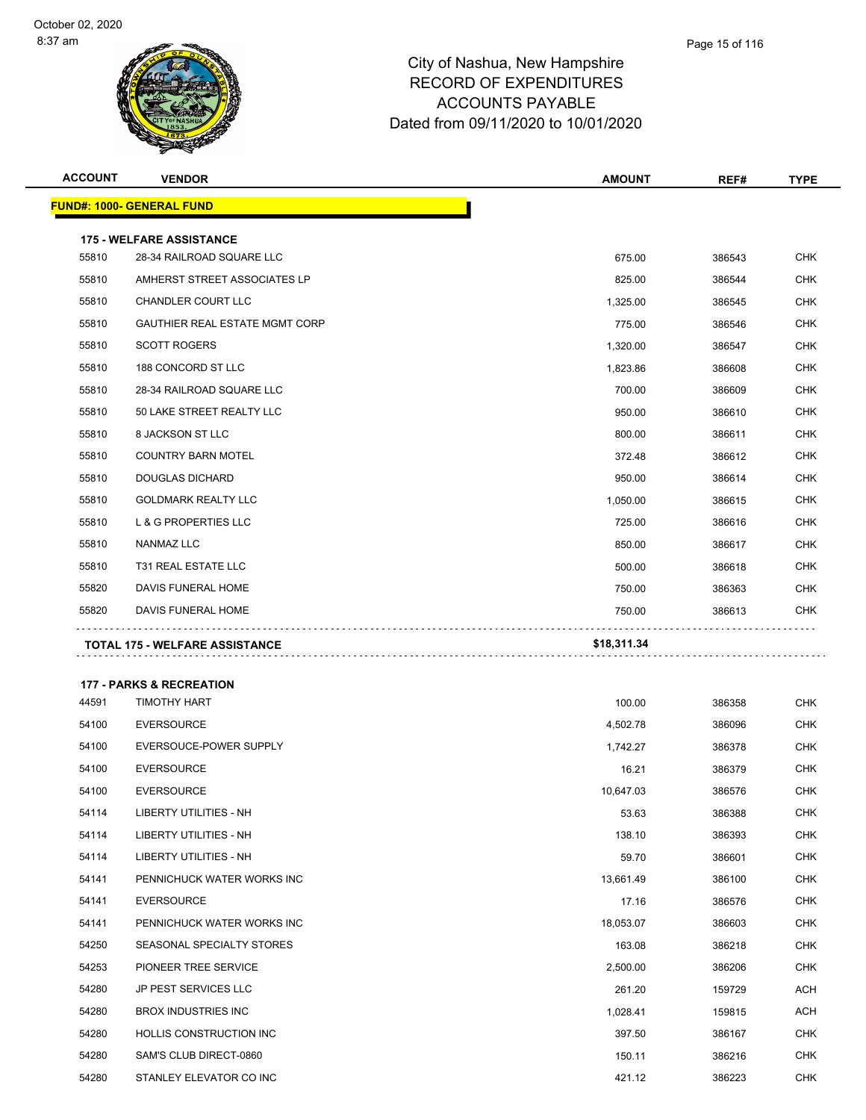| <b>ACCOUNT</b> | <b>VENDOR</b>                         | <b>AMOUNT</b> | REF#   | TYPE       |
|----------------|---------------------------------------|---------------|--------|------------|
|                | <u> FUND#: 1000- GENERAL FUND</u>     |               |        |            |
|                | <b>175 - WELFARE ASSISTANCE</b>       |               |        |            |
| 55810          | 28-34 RAILROAD SQUARE LLC             | 675.00        | 386543 | <b>CHK</b> |
| 55810          | AMHERST STREET ASSOCIATES LP          | 825.00        | 386544 | <b>CHK</b> |
| 55810          | <b>CHANDLER COURT LLC</b>             | 1,325.00      | 386545 | <b>CHK</b> |
| 55810          | <b>GAUTHIER REAL ESTATE MGMT CORP</b> | 775.00        | 386546 | CHK        |
| 55810          | <b>SCOTT ROGERS</b>                   | 1,320.00      | 386547 | <b>CHK</b> |
| 55810          | 188 CONCORD ST LLC                    | 1,823.86      | 386608 | <b>CHK</b> |
| 55810          | 28-34 RAILROAD SQUARE LLC             | 700.00        | 386609 | <b>CHK</b> |
| 55810          | 50 LAKE STREET REALTY LLC             | 950.00        | 386610 | <b>CHK</b> |
| 55810          | 8 JACKSON ST LLC                      | 800.00        | 386611 | <b>CHK</b> |
| 55810          | <b>COUNTRY BARN MOTEL</b>             | 372.48        | 386612 | <b>CHK</b> |
| 55810          | <b>DOUGLAS DICHARD</b>                | 950.00        | 386614 | <b>CHK</b> |
| 55810          | <b>GOLDMARK REALTY LLC</b>            | 1,050.00      | 386615 | <b>CHK</b> |
| 55810          | <b>L &amp; G PROPERTIES LLC</b>       | 725.00        | 386616 | <b>CHK</b> |
| 55810          | NANMAZ LLC                            | 850.00        | 386617 | <b>CHK</b> |
| 55810          | T31 REAL ESTATE LLC                   | 500.00        | 386618 | <b>CHK</b> |
| 55820          | DAVIS FUNERAL HOME                    | 750.00        | 386363 | <b>CHK</b> |
| 55820          | DAVIS FUNERAL HOME                    | 750.00        | 386613 | <b>CHK</b> |
|                | TOTAL 175 - WELFARE ASSISTANCE        | \$18,311.34   |        |            |
|                |                                       |               |        |            |
|                | <b>177 - PARKS &amp; RECREATION</b>   |               |        |            |
| 44591          | <b>TIMOTHY HART</b>                   | 100.00        | 386358 | <b>CHK</b> |
| 54100          | <b>EVERSOURCE</b>                     | 4,502.78      | 386096 | <b>CHK</b> |
| 54100          | EVERSOUCE-POWER SUPPLY                | 1,742.27      | 386378 | CHK        |
| 54100          | <b>EVERSOURCE</b>                     | 16.21         | 386379 | <b>CHK</b> |
| 54100          | <b>EVERSOURCE</b>                     | 10,647.03     | 386576 | <b>CHK</b> |
| 54114          | LIBERTY UTILITIES - NH                | 53.63         | 386388 | <b>CHK</b> |
| 54114          | LIBERTY UTILITIES - NH                | 138.10        | 386393 | <b>CHK</b> |
| 54114          | LIBERTY UTILITIES - NH                | 59.70         | 386601 | <b>CHK</b> |
| 54141          | PENNICHUCK WATER WORKS INC            | 13,661.49     | 386100 | <b>CHK</b> |
| 54141          | <b>EVERSOURCE</b>                     | 17.16         | 386576 | CHK        |
| 54141          | PENNICHUCK WATER WORKS INC            | 18,053.07     | 386603 | <b>CHK</b> |
| 54250          | SEASONAL SPECIALTY STORES             | 163.08        | 386218 | CHK        |
| 54253          | PIONEER TREE SERVICE                  | 2,500.00      | 386206 | <b>CHK</b> |
| 54280          | JP PEST SERVICES LLC                  | 261.20        | 159729 | <b>ACH</b> |
| 54280          | <b>BROX INDUSTRIES INC</b>            | 1,028.41      | 159815 | ACH        |
| 54280          | HOLLIS CONSTRUCTION INC               | 397.50        | 386167 | <b>CHK</b> |
| 54280          | SAM'S CLUB DIRECT-0860                | 150.11        | 386216 | CHK        |
| 54280          | STANLEY ELEVATOR CO INC               | 421.12        | 386223 | <b>CHK</b> |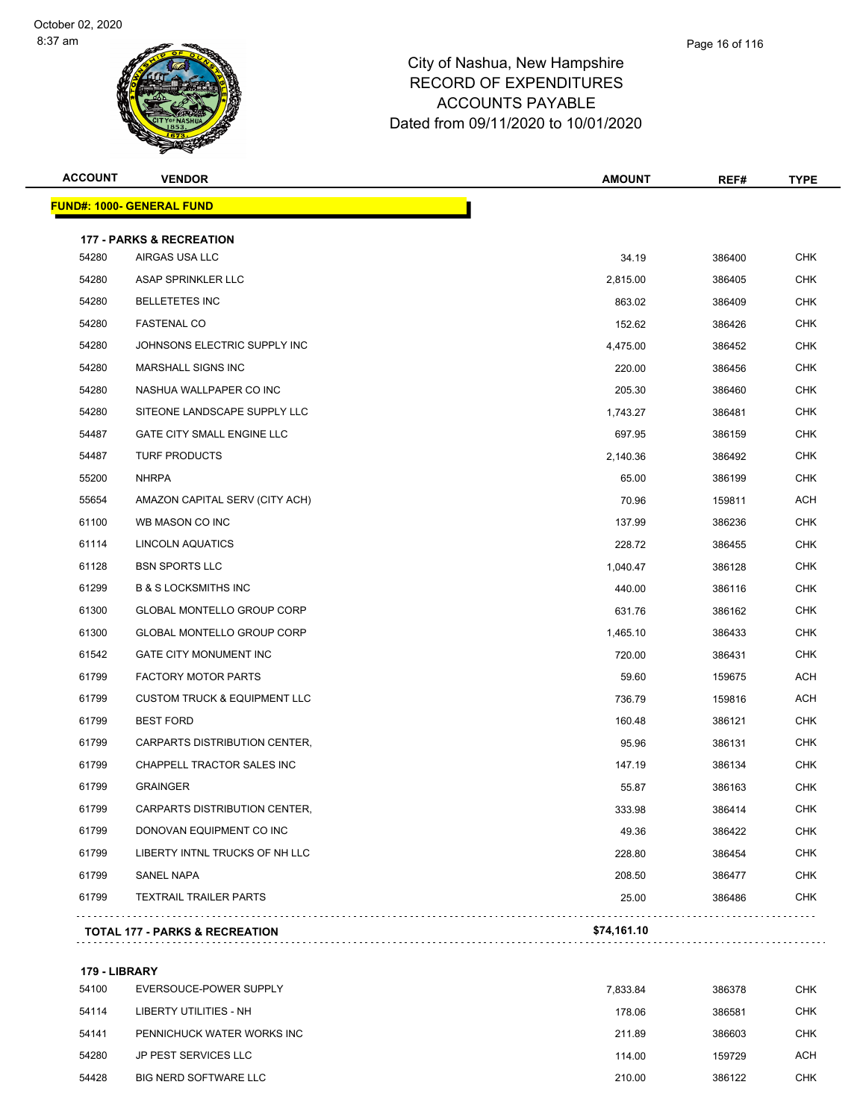| <b>ACCOUNT</b> | <b>VENDOR</b>                             | <b>AMOUNT</b> | REF#   | <b>TYPE</b> |
|----------------|-------------------------------------------|---------------|--------|-------------|
|                | <b>FUND#: 1000- GENERAL FUND</b>          |               |        |             |
|                | <b>177 - PARKS &amp; RECREATION</b>       |               |        |             |
| 54280          | AIRGAS USA LLC                            | 34.19         | 386400 | <b>CHK</b>  |
| 54280          | ASAP SPRINKLER LLC                        | 2,815.00      | 386405 | <b>CHK</b>  |
| 54280          | <b>BELLETETES INC</b>                     | 863.02        | 386409 | CHK         |
| 54280          | <b>FASTENAL CO</b>                        | 152.62        | 386426 | <b>CHK</b>  |
| 54280          | JOHNSONS ELECTRIC SUPPLY INC              | 4,475.00      | 386452 | <b>CHK</b>  |
| 54280          | <b>MARSHALL SIGNS INC</b>                 | 220.00        | 386456 | CHK         |
| 54280          | NASHUA WALLPAPER CO INC                   | 205.30        | 386460 | <b>CHK</b>  |
| 54280          | SITEONE LANDSCAPE SUPPLY LLC              | 1,743.27      | 386481 | <b>CHK</b>  |
| 54487          | <b>GATE CITY SMALL ENGINE LLC</b>         | 697.95        | 386159 | <b>CHK</b>  |
| 54487          | <b>TURF PRODUCTS</b>                      | 2,140.36      | 386492 | <b>CHK</b>  |
| 55200          | <b>NHRPA</b>                              | 65.00         | 386199 | <b>CHK</b>  |
| 55654          | AMAZON CAPITAL SERV (CITY ACH)            | 70.96         | 159811 | <b>ACH</b>  |
| 61100          | WB MASON CO INC                           | 137.99        | 386236 | CHK         |
| 61114          | LINCOLN AQUATICS                          | 228.72        | 386455 | <b>CHK</b>  |
| 61128          | <b>BSN SPORTS LLC</b>                     | 1,040.47      | 386128 | <b>CHK</b>  |
| 61299          | <b>B &amp; S LOCKSMITHS INC</b>           | 440.00        | 386116 | CHK         |
| 61300          | GLOBAL MONTELLO GROUP CORP                | 631.76        | 386162 | <b>CHK</b>  |
| 61300          | <b>GLOBAL MONTELLO GROUP CORP</b>         | 1,465.10      | 386433 | CHK         |
| 61542          | GATE CITY MONUMENT INC                    | 720.00        | 386431 | <b>CHK</b>  |
| 61799          | <b>FACTORY MOTOR PARTS</b>                | 59.60         | 159675 | <b>ACH</b>  |
| 61799          | <b>CUSTOM TRUCK &amp; EQUIPMENT LLC</b>   | 736.79        | 159816 | <b>ACH</b>  |
| 61799          | <b>BEST FORD</b>                          | 160.48        | 386121 | <b>CHK</b>  |
| 61799          | CARPARTS DISTRIBUTION CENTER,             | 95.96         | 386131 | CHK         |
| 61799          | CHAPPELL TRACTOR SALES INC                | 147.19        | 386134 | <b>CHK</b>  |
| 61799          | <b>GRAINGER</b>                           | 55.87         | 386163 | <b>CHK</b>  |
| 61799          | CARPARTS DISTRIBUTION CENTER,             | 333.98        | 386414 | <b>CHK</b>  |
| 61799          | DONOVAN EQUIPMENT CO INC                  | 49.36         | 386422 | <b>CHK</b>  |
| 61799          | LIBERTY INTNL TRUCKS OF NH LLC            | 228.80        | 386454 | <b>CHK</b>  |
| 61799          | SANEL NAPA                                | 208.50        | 386477 | <b>CHK</b>  |
| 61799          | <b>TEXTRAIL TRAILER PARTS</b>             | 25.00         | 386486 | <b>CHK</b>  |
|                | <b>TOTAL 177 - PARKS &amp; RECREATION</b> | \$74,161.10   |        |             |
|                |                                           |               |        |             |

**179 - LIBRARY**

| 54100 | EVERSOUCE-POWER SUPPLY     | 7.833.84 | 386378 | <b>CHK</b> |
|-------|----------------------------|----------|--------|------------|
| 54114 | LIBERTY UTILITIES - NH     | 178.06   | 386581 | <b>CHK</b> |
| 54141 | PENNICHUCK WATER WORKS INC | 211.89   | 386603 | <b>CHK</b> |
| 54280 | JP PEST SERVICES LLC       | 114.00   | 159729 | <b>ACH</b> |
| 54428 | BIG NERD SOFTWARE LLC      | 210.00   | 386122 | <b>CHK</b> |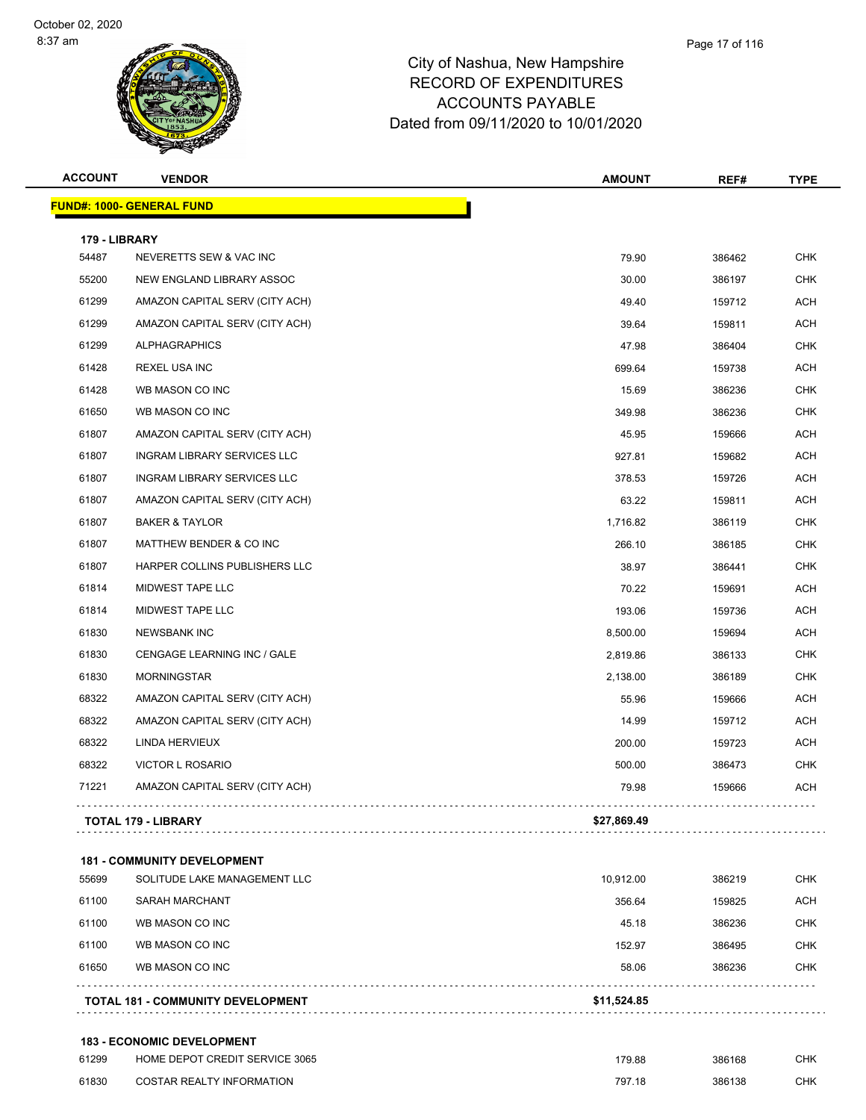| <b>ACCOUNT</b> | <b>VENDOR</b>                      | <b>AMOUNT</b> | REF#   | <b>TYPE</b> |
|----------------|------------------------------------|---------------|--------|-------------|
|                | <b>FUND#: 1000- GENERAL FUND</b>   |               |        |             |
| 179 - LIBRARY  |                                    |               |        |             |
| 54487          | NEVERETTS SEW & VAC INC            | 79.90         | 386462 | <b>CHK</b>  |
| 55200          | NEW ENGLAND LIBRARY ASSOC          | 30.00         | 386197 | <b>CHK</b>  |
| 61299          | AMAZON CAPITAL SERV (CITY ACH)     | 49.40         | 159712 | <b>ACH</b>  |
| 61299          | AMAZON CAPITAL SERV (CITY ACH)     | 39.64         | 159811 | <b>ACH</b>  |
| 61299          | <b>ALPHAGRAPHICS</b>               | 47.98         | 386404 | <b>CHK</b>  |
| 61428          | <b>REXEL USA INC</b>               | 699.64        | 159738 | <b>ACH</b>  |
| 61428          | WB MASON CO INC                    | 15.69         | 386236 | <b>CHK</b>  |
| 61650          | WB MASON CO INC                    | 349.98        | 386236 | <b>CHK</b>  |
| 61807          | AMAZON CAPITAL SERV (CITY ACH)     | 45.95         | 159666 | <b>ACH</b>  |
| 61807          | <b>INGRAM LIBRARY SERVICES LLC</b> | 927.81        | 159682 | <b>ACH</b>  |
| 61807          | INGRAM LIBRARY SERVICES LLC        | 378.53        | 159726 | <b>ACH</b>  |
| 61807          | AMAZON CAPITAL SERV (CITY ACH)     | 63.22         | 159811 | <b>ACH</b>  |
| 61807          | <b>BAKER &amp; TAYLOR</b>          | 1,716.82      | 386119 | <b>CHK</b>  |
| 61807          | MATTHEW BENDER & CO INC            | 266.10        | 386185 | <b>CHK</b>  |
| 61807          | HARPER COLLINS PUBLISHERS LLC      | 38.97         | 386441 | <b>CHK</b>  |
| 61814          | MIDWEST TAPE LLC                   | 70.22         | 159691 | <b>ACH</b>  |
| 61814          | MIDWEST TAPE LLC                   | 193.06        | 159736 | <b>ACH</b>  |
| 61830          | <b>NEWSBANK INC</b>                | 8,500.00      | 159694 | <b>ACH</b>  |
| 61830          | CENGAGE LEARNING INC / GALE        | 2,819.86      | 386133 | <b>CHK</b>  |
| 61830          | <b>MORNINGSTAR</b>                 | 2,138.00      | 386189 | <b>CHK</b>  |
| 68322          | AMAZON CAPITAL SERV (CITY ACH)     | 55.96         | 159666 | <b>ACH</b>  |
| 68322          | AMAZON CAPITAL SERV (CITY ACH)     | 14.99         | 159712 | <b>ACH</b>  |
| 68322          | LINDA HERVIEUX                     | 200.00        | 159723 | <b>ACH</b>  |
| 68322          | VICTOR L ROSARIO                   | 500.00        | 386473 | <b>CHK</b>  |
| 71221          | AMAZON CAPITAL SERV (CITY ACH)     | 79.98         | 159666 | <b>ACH</b>  |
|                | TOTAL 179 - LIBRARY                | \$27,869.49   |        |             |
|                | <b>181 - COMMUNITY DEVELOPMENT</b> |               |        |             |
| 55699          | SOLITUDE LAKE MANAGEMENT LLC       | 10,912.00     | 386219 | <b>CHK</b>  |
| 61100          | SARAH MARCHANT                     | 356.64        | 159825 | <b>ACH</b>  |
| 61100          | WB MASON CO INC                    | 45.18         | 386236 | <b>CHK</b>  |
| 61100          | WB MASON CO INC                    | 152.97        | 386495 | <b>CHK</b>  |
| 61650          | WB MASON CO INC                    | 58.06         | 386236 | <b>CHK</b>  |
|                | TOTAL 181 - COMMUNITY DEVELOPMENT  | \$11,524.85   |        |             |
|                | 183 - ECONOMIC DEVELOPMENT         |               |        |             |

| 61299 | HOME DEPOT CREDIT SERVICE 3065 | 179.88 | 386168 | CHK |
|-------|--------------------------------|--------|--------|-----|
| 61830 | COSTAR REALTY INFORMATION      | 797.18 | 386138 | СНК |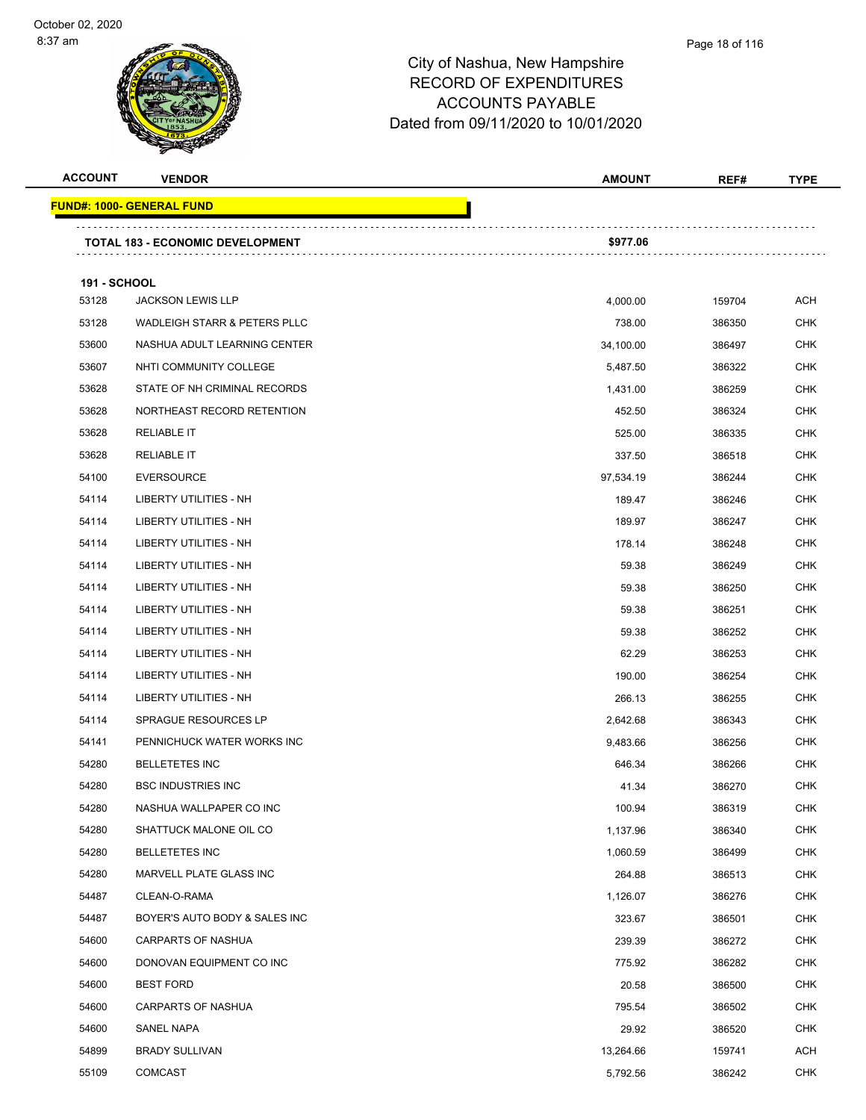### Page 18 of 116

| <b>ACCOUNT</b>      | <b>VENDOR</b>                           | <b>AMOUNT</b> | REF#   | <b>TYPE</b> |
|---------------------|-----------------------------------------|---------------|--------|-------------|
|                     | <u> FUND#: 1000- GENERAL FUND</u>       |               |        |             |
|                     | <b>TOTAL 183 - ECONOMIC DEVELOPMENT</b> | \$977.06      |        |             |
| <b>191 - SCHOOL</b> |                                         |               |        |             |
| 53128               | <b>JACKSON LEWIS LLP</b>                | 4,000.00      | 159704 | <b>ACH</b>  |
| 53128               | WADLEIGH STARR & PETERS PLLC            | 738.00        | 386350 | <b>CHK</b>  |
| 53600               | NASHUA ADULT LEARNING CENTER            | 34,100.00     | 386497 | <b>CHK</b>  |
| 53607               | NHTI COMMUNITY COLLEGE                  | 5,487.50      | 386322 | <b>CHK</b>  |
| 53628               | STATE OF NH CRIMINAL RECORDS            | 1,431.00      | 386259 | <b>CHK</b>  |
| 53628               | NORTHEAST RECORD RETENTION              | 452.50        | 386324 | <b>CHK</b>  |
| 53628               | <b>RELIABLE IT</b>                      | 525.00        | 386335 | <b>CHK</b>  |
| 53628               | <b>RELIABLE IT</b>                      | 337.50        | 386518 | CHK         |
| 54100               | <b>EVERSOURCE</b>                       | 97,534.19     | 386244 | <b>CHK</b>  |
| 54114               | <b>LIBERTY UTILITIES - NH</b>           | 189.47        | 386246 | <b>CHK</b>  |
| 54114               | LIBERTY UTILITIES - NH                  | 189.97        | 386247 | <b>CHK</b>  |
| 54114               | LIBERTY UTILITIES - NH                  | 178.14        | 386248 | <b>CHK</b>  |
| 54114               | LIBERTY UTILITIES - NH                  | 59.38         | 386249 | <b>CHK</b>  |
| 54114               | LIBERTY UTILITIES - NH                  | 59.38         | 386250 | <b>CHK</b>  |
| 54114               | LIBERTY UTILITIES - NH                  | 59.38         | 386251 | <b>CHK</b>  |
| 54114               | LIBERTY UTILITIES - NH                  | 59.38         | 386252 | <b>CHK</b>  |
| 54114               | LIBERTY UTILITIES - NH                  | 62.29         | 386253 | <b>CHK</b>  |
| 54114               | LIBERTY UTILITIES - NH                  | 190.00        | 386254 | CHK         |
| 54114               | LIBERTY UTILITIES - NH                  | 266.13        | 386255 | <b>CHK</b>  |
| 54114               | <b>SPRAGUE RESOURCES LP</b>             | 2,642.68      | 386343 | <b>CHK</b>  |
| 54141               | PENNICHUCK WATER WORKS INC              | 9,483.66      | 386256 | CHK         |
| 54280               | <b>BELLETETES INC</b>                   | 646.34        | 386266 | <b>CHK</b>  |
| 54280               | <b>BSC INDUSTRIES INC</b>               | 41.34         | 386270 | <b>CHK</b>  |
| 54280               | NASHUA WALLPAPER CO INC                 | 100.94        | 386319 | <b>CHK</b>  |
| 54280               | SHATTUCK MALONE OIL CO                  | 1,137.96      | 386340 | <b>CHK</b>  |
| 54280               | <b>BELLETETES INC</b>                   | 1,060.59      | 386499 | <b>CHK</b>  |
| 54280               | MARVELL PLATE GLASS INC                 | 264.88        | 386513 | <b>CHK</b>  |
| 54487               | CLEAN-O-RAMA                            | 1,126.07      | 386276 | <b>CHK</b>  |
| 54487               | BOYER'S AUTO BODY & SALES INC           | 323.67        | 386501 | <b>CHK</b>  |
| 54600               | <b>CARPARTS OF NASHUA</b>               | 239.39        | 386272 | <b>CHK</b>  |
| 54600               | DONOVAN EQUIPMENT CO INC                | 775.92        | 386282 | <b>CHK</b>  |
| 54600               | <b>BEST FORD</b>                        | 20.58         | 386500 | <b>CHK</b>  |
| 54600               | <b>CARPARTS OF NASHUA</b>               | 795.54        | 386502 | <b>CHK</b>  |
| 54600               | SANEL NAPA                              | 29.92         | 386520 | <b>CHK</b>  |
| 54899               | <b>BRADY SULLIVAN</b>                   | 13,264.66     | 159741 | ACH         |
| 55109               | <b>COMCAST</b>                          | 5,792.56      | 386242 | <b>CHK</b>  |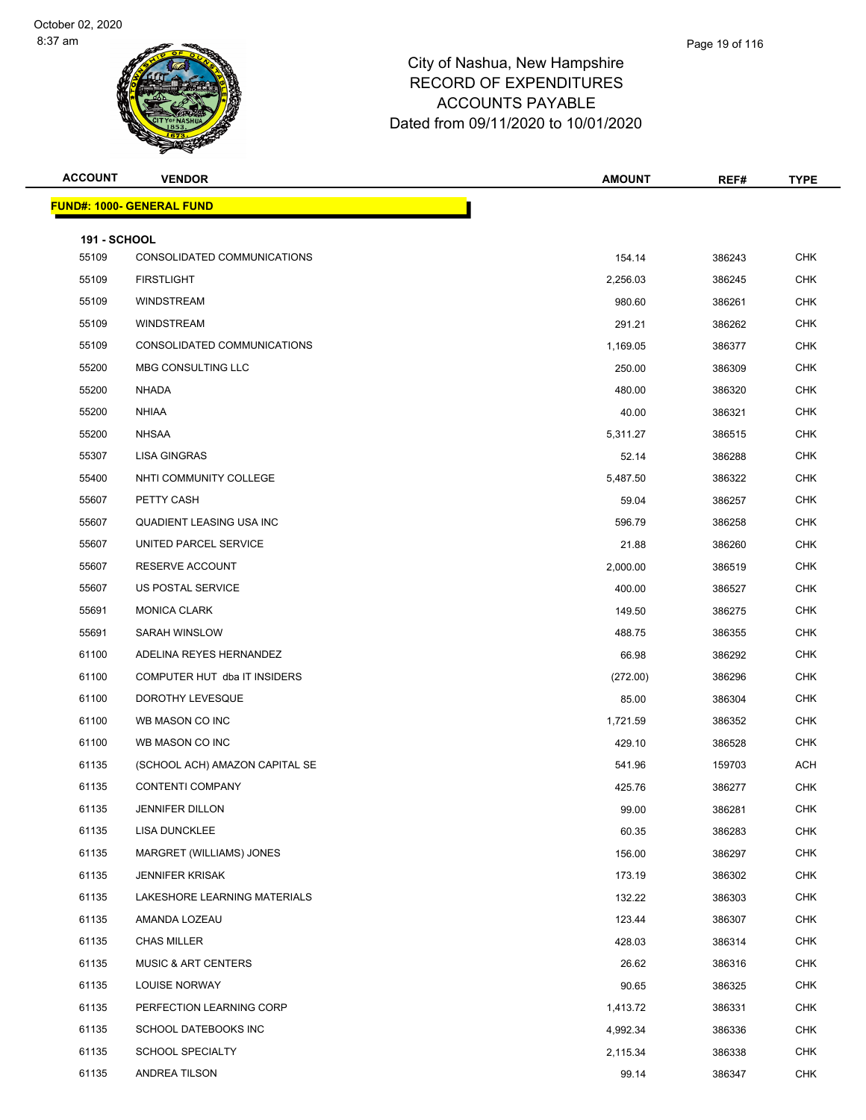| <b>ACCOUNT</b>               | <b>VENDOR</b>                          | <b>AMOUNT</b> | REF#   | <b>TYPE</b> |
|------------------------------|----------------------------------------|---------------|--------|-------------|
|                              | <mark>FUND#: 1000- GENERAL FUND</mark> |               |        |             |
|                              |                                        |               |        |             |
| <b>191 - SCHOOL</b><br>55109 | CONSOLIDATED COMMUNICATIONS            | 154.14        | 386243 | <b>CHK</b>  |
| 55109                        | <b>FIRSTLIGHT</b>                      | 2,256.03      | 386245 | <b>CHK</b>  |
| 55109                        | <b>WINDSTREAM</b>                      | 980.60        | 386261 | CHK         |
| 55109                        | <b>WINDSTREAM</b>                      | 291.21        | 386262 | <b>CHK</b>  |
| 55109                        | CONSOLIDATED COMMUNICATIONS            | 1,169.05      | 386377 | <b>CHK</b>  |
| 55200                        | MBG CONSULTING LLC                     | 250.00        | 386309 | <b>CHK</b>  |
| 55200                        | <b>NHADA</b>                           | 480.00        | 386320 | <b>CHK</b>  |
| 55200                        | <b>NHIAA</b>                           | 40.00         | 386321 | CHK         |
| 55200                        | <b>NHSAA</b>                           | 5,311.27      | 386515 | <b>CHK</b>  |
| 55307                        | <b>LISA GINGRAS</b>                    | 52.14         | 386288 | <b>CHK</b>  |
| 55400                        | NHTI COMMUNITY COLLEGE                 | 5,487.50      | 386322 | <b>CHK</b>  |
| 55607                        | PETTY CASH                             | 59.04         | 386257 | <b>CHK</b>  |
| 55607                        | QUADIENT LEASING USA INC               | 596.79        | 386258 | CHK         |
| 55607                        | UNITED PARCEL SERVICE                  | 21.88         | 386260 | <b>CHK</b>  |
| 55607                        | RESERVE ACCOUNT                        | 2,000.00      | 386519 | <b>CHK</b>  |
| 55607                        | US POSTAL SERVICE                      | 400.00        | 386527 | <b>CHK</b>  |
| 55691                        | <b>MONICA CLARK</b>                    | 149.50        | 386275 | <b>CHK</b>  |
| 55691                        | SARAH WINSLOW                          | 488.75        | 386355 | CHK         |
| 61100                        | ADELINA REYES HERNANDEZ                | 66.98         | 386292 | <b>CHK</b>  |
| 61100                        | COMPUTER HUT dba IT INSIDERS           | (272.00)      | 386296 | <b>CHK</b>  |
| 61100                        | DOROTHY LEVESQUE                       | 85.00         | 386304 | <b>CHK</b>  |
| 61100                        | WB MASON CO INC                        | 1,721.59      | 386352 | <b>CHK</b>  |
| 61100                        | WB MASON CO INC                        | 429.10        | 386528 | CHK         |
| 61135                        | (SCHOOL ACH) AMAZON CAPITAL SE         | 541.96        | 159703 | <b>ACH</b>  |
| 61135                        | <b>CONTENTI COMPANY</b>                | 425.76        | 386277 | <b>CHK</b>  |
| 61135                        | <b>JENNIFER DILLON</b>                 | 99.00         | 386281 | <b>CHK</b>  |
| 61135                        | <b>LISA DUNCKLEE</b>                   | 60.35         | 386283 | CHK         |
| 61135                        | MARGRET (WILLIAMS) JONES               | 156.00        | 386297 | <b>CHK</b>  |
| 61135                        | <b>JENNIFER KRISAK</b>                 | 173.19        | 386302 | <b>CHK</b>  |
| 61135                        | LAKESHORE LEARNING MATERIALS           | 132.22        | 386303 | <b>CHK</b>  |
| 61135                        | AMANDA LOZEAU                          | 123.44        | 386307 | <b>CHK</b>  |
| 61135                        | <b>CHAS MILLER</b>                     | 428.03        | 386314 | <b>CHK</b>  |
| 61135                        | <b>MUSIC &amp; ART CENTERS</b>         | 26.62         | 386316 | <b>CHK</b>  |
| 61135                        | <b>LOUISE NORWAY</b>                   | 90.65         | 386325 | <b>CHK</b>  |
| 61135                        | PERFECTION LEARNING CORP               | 1,413.72      | 386331 | <b>CHK</b>  |
| 61135                        | SCHOOL DATEBOOKS INC                   | 4,992.34      | 386336 | <b>CHK</b>  |
| 61135                        | <b>SCHOOL SPECIALTY</b>                | 2,115.34      | 386338 | <b>CHK</b>  |
| 61135                        | ANDREA TILSON                          | 99.14         | 386347 | <b>CHK</b>  |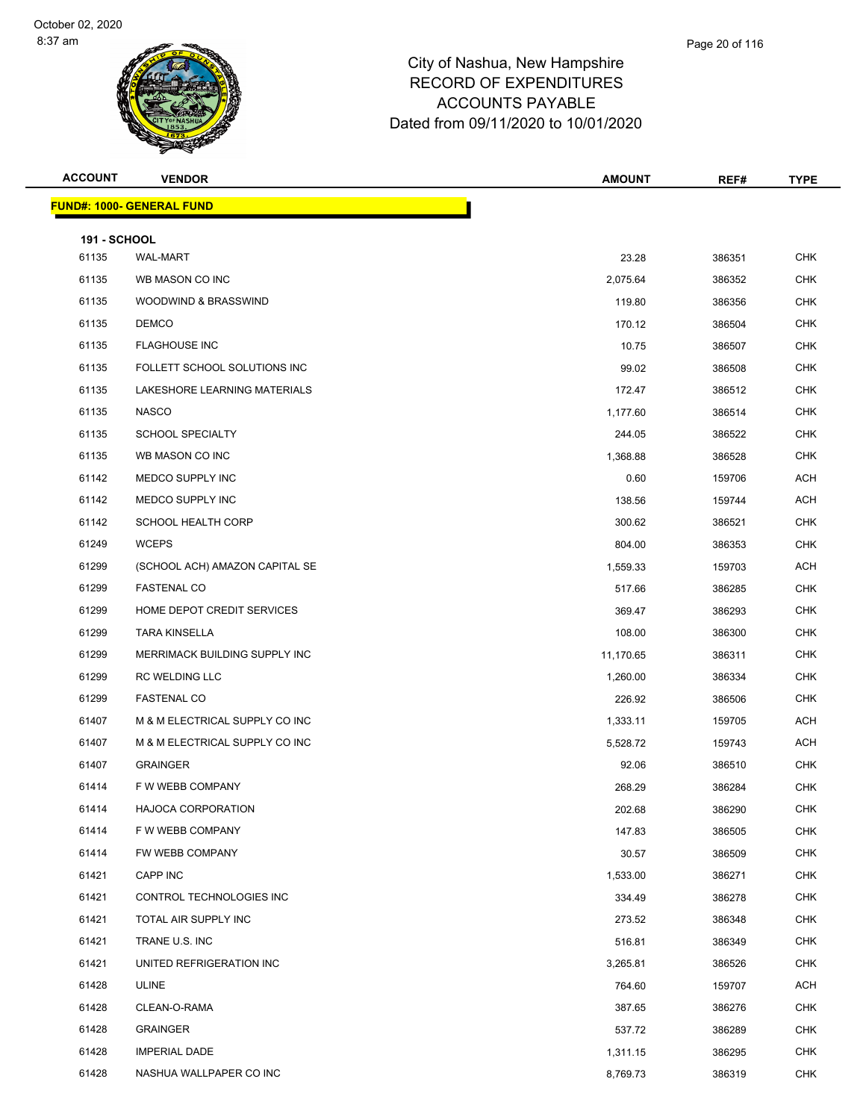| <b>ACCOUNT</b>      | <b>VENDOR</b>                    | <b>AMOUNT</b> | REF#   | <b>TYPE</b> |
|---------------------|----------------------------------|---------------|--------|-------------|
|                     | <b>FUND#: 1000- GENERAL FUND</b> |               |        |             |
| <b>191 - SCHOOL</b> |                                  |               |        |             |
| 61135               | <b>WAL-MART</b>                  | 23.28         | 386351 | <b>CHK</b>  |
| 61135               | WB MASON CO INC                  | 2,075.64      | 386352 | <b>CHK</b>  |
| 61135               | WOODWIND & BRASSWIND             | 119.80        | 386356 | <b>CHK</b>  |
| 61135               | <b>DEMCO</b>                     | 170.12        | 386504 | <b>CHK</b>  |
| 61135               | <b>FLAGHOUSE INC</b>             | 10.75         | 386507 | <b>CHK</b>  |
| 61135               | FOLLETT SCHOOL SOLUTIONS INC     | 99.02         | 386508 | <b>CHK</b>  |
| 61135               | LAKESHORE LEARNING MATERIALS     | 172.47        | 386512 | <b>CHK</b>  |
| 61135               | <b>NASCO</b>                     | 1,177.60      | 386514 | <b>CHK</b>  |
| 61135               | <b>SCHOOL SPECIALTY</b>          | 244.05        | 386522 | <b>CHK</b>  |
| 61135               | WB MASON CO INC                  | 1,368.88      | 386528 | <b>CHK</b>  |
| 61142               | MEDCO SUPPLY INC                 | 0.60          | 159706 | <b>ACH</b>  |
| 61142               | MEDCO SUPPLY INC                 | 138.56        | 159744 | <b>ACH</b>  |
| 61142               | <b>SCHOOL HEALTH CORP</b>        | 300.62        | 386521 | <b>CHK</b>  |
| 61249               | <b>WCEPS</b>                     | 804.00        | 386353 | <b>CHK</b>  |
| 61299               | (SCHOOL ACH) AMAZON CAPITAL SE   | 1,559.33      | 159703 | <b>ACH</b>  |
| 61299               | <b>FASTENAL CO</b>               | 517.66        | 386285 | <b>CHK</b>  |
| 61299               | HOME DEPOT CREDIT SERVICES       | 369.47        | 386293 | <b>CHK</b>  |
| 61299               | <b>TARA KINSELLA</b>             | 108.00        | 386300 | <b>CHK</b>  |
| 61299               | MERRIMACK BUILDING SUPPLY INC    | 11,170.65     | 386311 | <b>CHK</b>  |
| 61299               | <b>RC WELDING LLC</b>            | 1,260.00      | 386334 | <b>CHK</b>  |
| 61299               | <b>FASTENAL CO</b>               | 226.92        | 386506 | <b>CHK</b>  |
| 61407               | M & M ELECTRICAL SUPPLY CO INC   | 1,333.11      | 159705 | <b>ACH</b>  |
| 61407               | M & M ELECTRICAL SUPPLY CO INC   | 5,528.72      | 159743 | <b>ACH</b>  |
| 61407               | <b>GRAINGER</b>                  | 92.06         | 386510 | <b>CHK</b>  |
| 61414               | F W WEBB COMPANY                 | 268.29        | 386284 | <b>CHK</b>  |
| 61414               | HAJOCA CORPORATION               | 202.68        | 386290 | <b>CHK</b>  |
| 61414               | F W WEBB COMPANY                 | 147.83        | 386505 | <b>CHK</b>  |
| 61414               | FW WEBB COMPANY                  | 30.57         | 386509 | CHK         |
| 61421               | CAPP INC                         | 1,533.00      | 386271 | <b>CHK</b>  |
| 61421               | CONTROL TECHNOLOGIES INC         | 334.49        | 386278 | <b>CHK</b>  |
| 61421               | TOTAL AIR SUPPLY INC             | 273.52        | 386348 | <b>CHK</b>  |
| 61421               | TRANE U.S. INC                   | 516.81        | 386349 | <b>CHK</b>  |
| 61421               | UNITED REFRIGERATION INC         | 3,265.81      | 386526 | <b>CHK</b>  |
| 61428               | ULINE                            | 764.60        | 159707 | ACH         |
| 61428               | CLEAN-O-RAMA                     | 387.65        | 386276 | <b>CHK</b>  |
| 61428               | <b>GRAINGER</b>                  | 537.72        | 386289 | CHK         |
| 61428               | <b>IMPERIAL DADE</b>             | 1,311.15      | 386295 | <b>CHK</b>  |
| 61428               | NASHUA WALLPAPER CO INC          | 8,769.73      | 386319 | <b>CHK</b>  |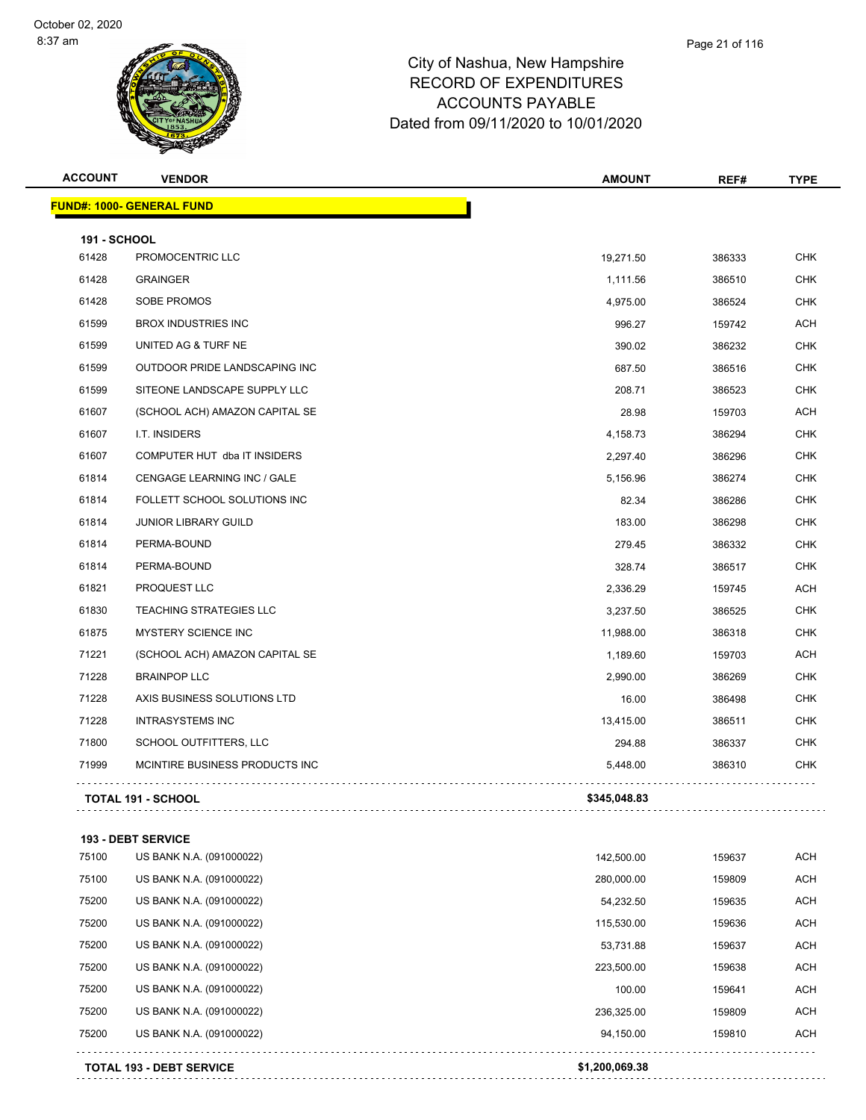## City of Nashua, New Hampshire RECORD OF EXPENDITURES Page 21 of 116

ACCOUNTS PAYABLE Dated from 09/11/2020 to 10/01/2020

| <b>ACCOUNT</b>      | <b>VENDOR</b>                     | <b>AMOUNT</b> | REF#   | <b>TYPE</b> |
|---------------------|-----------------------------------|---------------|--------|-------------|
|                     | <u> FUND#: 1000- GENERAL FUND</u> |               |        |             |
| <b>191 - SCHOOL</b> |                                   |               |        |             |
| 61428               | PROMOCENTRIC LLC                  | 19,271.50     | 386333 | <b>CHK</b>  |
| 61428               | <b>GRAINGER</b>                   | 1,111.56      | 386510 | <b>CHK</b>  |
| 61428               | SOBE PROMOS                       | 4,975.00      | 386524 | <b>CHK</b>  |
| 61599               | <b>BROX INDUSTRIES INC</b>        | 996.27        | 159742 | ACH         |
| 61599               | UNITED AG & TURF NE               | 390.02        | 386232 | <b>CHK</b>  |
| 61599               | OUTDOOR PRIDE LANDSCAPING INC     | 687.50        | 386516 | <b>CHK</b>  |
| 61599               | SITEONE LANDSCAPE SUPPLY LLC      | 208.71        | 386523 | <b>CHK</b>  |
| 61607               | (SCHOOL ACH) AMAZON CAPITAL SE    | 28.98         | 159703 | ACH         |
| 61607               | I.T. INSIDERS                     | 4,158.73      | 386294 | <b>CHK</b>  |
| 61607               | COMPUTER HUT dba IT INSIDERS      | 2,297.40      | 386296 | <b>CHK</b>  |
| 61814               | CENGAGE LEARNING INC / GALE       | 5,156.96      | 386274 | <b>CHK</b>  |
| 61814               | FOLLETT SCHOOL SOLUTIONS INC      | 82.34         | 386286 | <b>CHK</b>  |
| 61814               | <b>JUNIOR LIBRARY GUILD</b>       | 183.00        | 386298 | <b>CHK</b>  |
| 61814               | PERMA-BOUND                       | 279.45        | 386332 | <b>CHK</b>  |
| 61814               | PERMA-BOUND                       | 328.74        | 386517 | <b>CHK</b>  |
| 61821               | PROQUEST LLC                      | 2,336.29      | 159745 | <b>ACH</b>  |
| 61830               | <b>TEACHING STRATEGIES LLC</b>    | 3,237.50      | 386525 | <b>CHK</b>  |
| 61875               | <b>MYSTERY SCIENCE INC</b>        | 11,988.00     | 386318 | <b>CHK</b>  |
| 71221               | (SCHOOL ACH) AMAZON CAPITAL SE    | 1,189.60      | 159703 | ACH         |
| 71228               | <b>BRAINPOP LLC</b>               | 2,990.00      | 386269 | <b>CHK</b>  |
| 71228               | AXIS BUSINESS SOLUTIONS LTD       | 16.00         | 386498 | <b>CHK</b>  |
| 71228               | <b>INTRASYSTEMS INC</b>           | 13,415.00     | 386511 | <b>CHK</b>  |
| 71800               | SCHOOL OUTFITTERS, LLC            | 294.88        | 386337 | <b>CHK</b>  |
| 71999               | MCINTIRE BUSINESS PRODUCTS INC    | 5,448.00      | 386310 | <b>CHK</b>  |
|                     | <b>TOTAL 191 - SCHOOL</b>         | \$345,048.83  |        |             |

US BANK N.A. (091000022) 142,500.00 159637 ACH

**193 - DEBT SERVICE**

|       | <b>TOTAL 193 - DEBT SERVICE</b> | \$1.200.069.38 |        |            |
|-------|---------------------------------|----------------|--------|------------|
| 75200 | US BANK N.A. (091000022)        | 94.150.00      | 159810 | ACH        |
| 75200 | US BANK N.A. (091000022)        | 236,325.00     | 159809 | <b>ACH</b> |
| 75200 | US BANK N.A. (091000022)        | 100.00         | 159641 | ACH        |
| 75200 | US BANK N.A. (091000022)        | 223.500.00     | 159638 | ACH        |
| 75200 | US BANK N.A. (091000022)        | 53,731.88      | 159637 | ACH        |
| 75200 | US BANK N.A. (091000022)        | 115,530.00     | 159636 | <b>ACH</b> |
| 75200 | US BANK N.A. (091000022)        | 54,232.50      | 159635 | ACH        |
| 75100 | US BANK N.A. (091000022)        | 280,000.00     | 159809 | ACH        |
|       |                                 |                |        |            |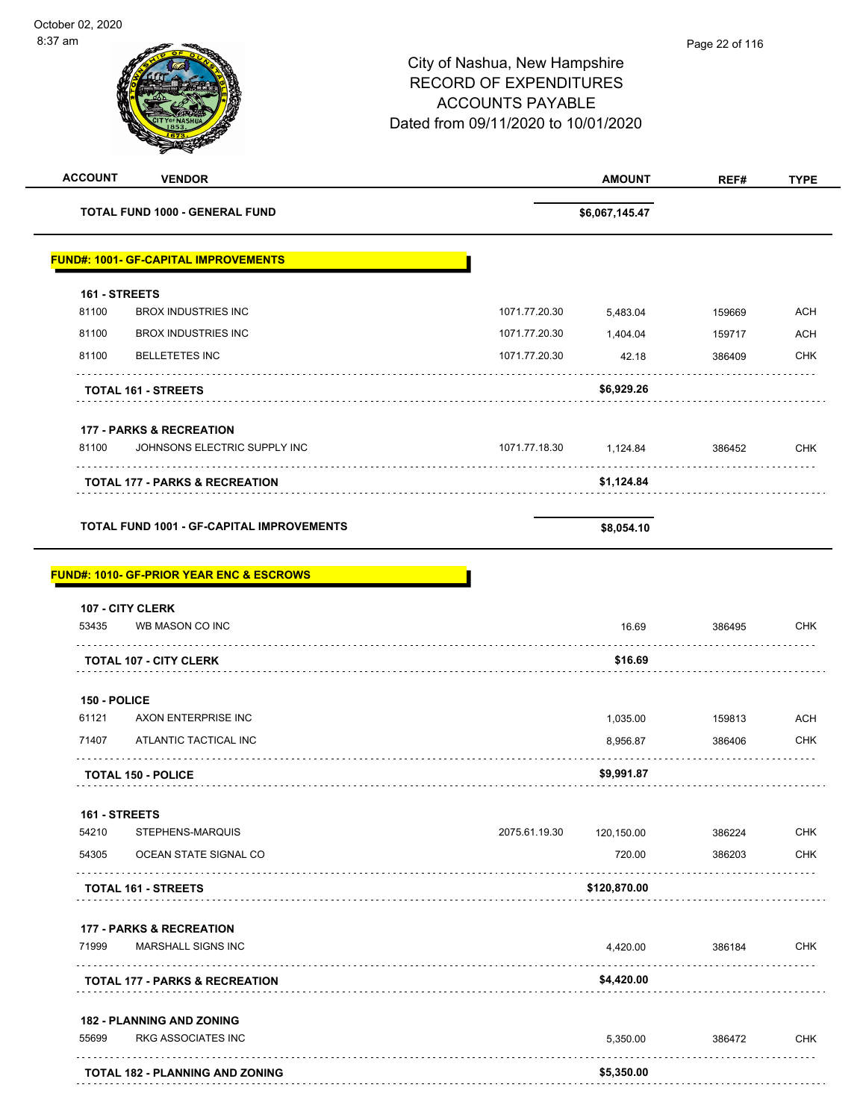$\overline{\phantom{0}}$ 

| <b>ACCOUNT</b> | <b>VENDOR</b>                                       |               | <b>AMOUNT</b>  | REF#   | <b>TYPE</b> |
|----------------|-----------------------------------------------------|---------------|----------------|--------|-------------|
|                | <b>TOTAL FUND 1000 - GENERAL FUND</b>               |               | \$6,067,145.47 |        |             |
|                | <b>FUND#: 1001- GF-CAPITAL IMPROVEMENTS</b>         |               |                |        |             |
| 161 - STREETS  |                                                     |               |                |        |             |
| 81100          | <b>BROX INDUSTRIES INC</b>                          | 1071.77.20.30 | 5,483.04       | 159669 | <b>ACH</b>  |
| 81100          | <b>BROX INDUSTRIES INC</b>                          | 1071.77.20.30 | 1,404.04       | 159717 | ACH         |
| 81100          | <b>BELLETETES INC</b>                               | 1071.77.20.30 | 42.18          | 386409 | <b>CHK</b>  |
|                | <b>TOTAL 161 - STREETS</b>                          |               | \$6,929.26     |        |             |
|                | <b>177 - PARKS &amp; RECREATION</b>                 |               |                |        |             |
| 81100          | JOHNSONS ELECTRIC SUPPLY INC                        | 1071.77.18.30 | 1,124.84       | 386452 | <b>CHK</b>  |
|                | <b>TOTAL 177 - PARKS &amp; RECREATION</b>           |               | \$1,124.84     |        |             |
|                | <b>TOTAL FUND 1001 - GF-CAPITAL IMPROVEMENTS</b>    |               | \$8,054.10     |        |             |
|                | <b>FUND#: 1010- GF-PRIOR YEAR ENC &amp; ESCROWS</b> |               |                |        |             |
|                | <b>107 - CITY CLERK</b>                             |               |                |        |             |
| 53435          | WB MASON CO INC                                     |               | 16.69          | 386495 | <b>CHK</b>  |
|                | <b>TOTAL 107 - CITY CLERK</b>                       |               | \$16.69        |        |             |
| 150 - POLICE   |                                                     |               |                |        |             |
| 61121          | AXON ENTERPRISE INC                                 |               | 1,035.00       | 159813 | <b>ACH</b>  |
| 71407          | ATLANTIC TACTICAL INC                               |               | 8,956.87       | 386406 | <b>CHK</b>  |
|                | <b>TOTAL 150 - POLICE</b>                           |               | \$9,991.87     |        |             |
| 161 - STREETS  |                                                     |               |                |        |             |
| 54210          | STEPHENS-MARQUIS                                    | 2075.61.19.30 | 120,150.00     | 386224 | <b>CHK</b>  |
| 54305          | OCEAN STATE SIGNAL CO                               |               | 720.00         | 386203 | <b>CHK</b>  |
|                | TOTAL 161 - STREETS                                 |               | \$120,870.00   |        |             |
|                | <b>177 - PARKS &amp; RECREATION</b>                 |               |                |        |             |
| 71999          | <b>MARSHALL SIGNS INC</b>                           |               | 4,420.00       | 386184 | <b>CHK</b>  |
|                | <b>TOTAL 177 - PARKS &amp; RECREATION</b>           |               | \$4,420.00     |        |             |
|                | <b>182 - PLANNING AND ZONING</b>                    |               |                |        |             |
| 55699          | <b>RKG ASSOCIATES INC</b>                           |               | 5,350.00       | 386472 | <b>CHK</b>  |
|                | TOTAL 182 - PLANNING AND ZONING                     |               | \$5,350.00     |        |             |
|                |                                                     |               |                |        |             |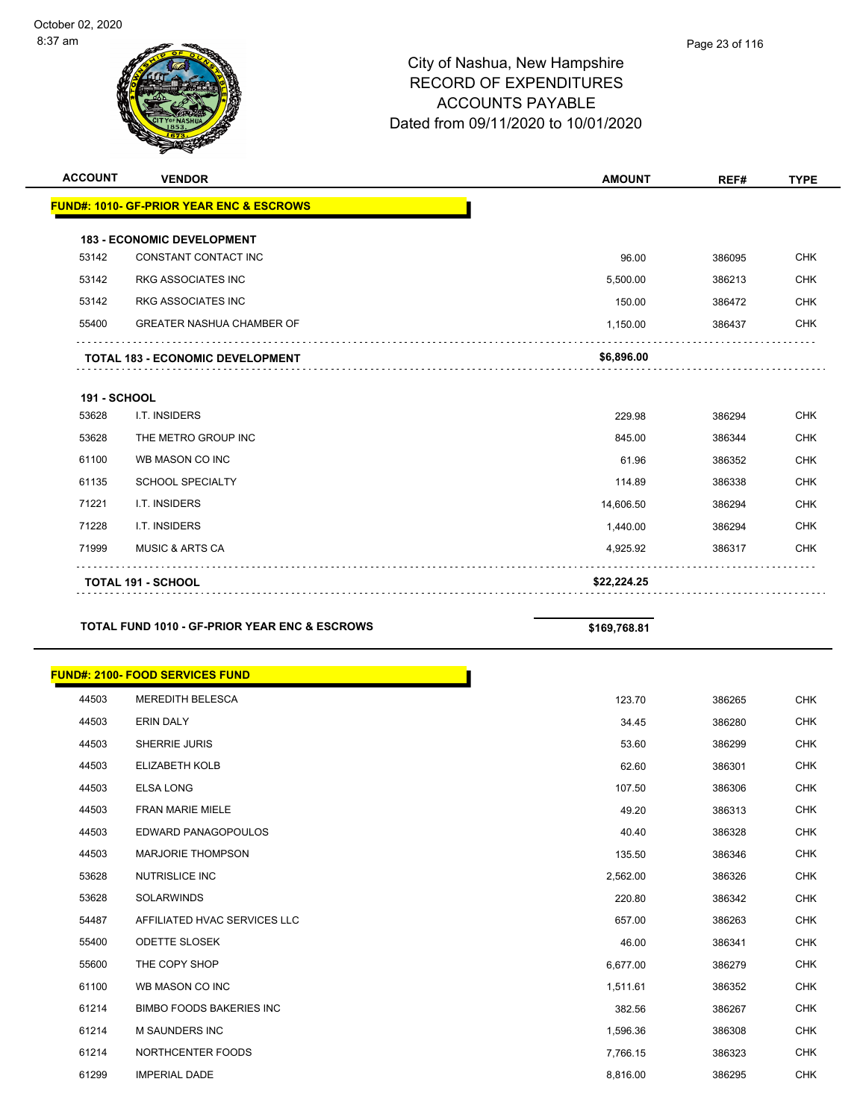| <b>FUND#: 1010- GF-PRIOR YEAR ENC &amp; ESCROWS</b><br><b>183 - ECONOMIC DEVELOPMENT</b><br>53142<br>CONSTANT CONTACT INC<br>96.00<br>386095<br>53142<br><b>RKG ASSOCIATES INC</b><br>5,500.00<br>386213<br>53142<br><b>RKG ASSOCIATES INC</b><br>150.00 | <b>CHK</b><br><b>CHK</b><br><b>CHK</b> |
|----------------------------------------------------------------------------------------------------------------------------------------------------------------------------------------------------------------------------------------------------------|----------------------------------------|
|                                                                                                                                                                                                                                                          |                                        |
|                                                                                                                                                                                                                                                          |                                        |
|                                                                                                                                                                                                                                                          |                                        |
|                                                                                                                                                                                                                                                          |                                        |
|                                                                                                                                                                                                                                                          |                                        |
| 386472                                                                                                                                                                                                                                                   |                                        |
| <b>GREATER NASHUA CHAMBER OF</b><br>55400<br>1,150.00<br>386437                                                                                                                                                                                          | <b>CHK</b>                             |
| \$6,896.00<br><b>TOTAL 183 - ECONOMIC DEVELOPMENT</b>                                                                                                                                                                                                    |                                        |
| <b>191 - SCHOOL</b>                                                                                                                                                                                                                                      |                                        |
| 53628<br>I.T. INSIDERS<br>229.98<br>386294                                                                                                                                                                                                               | <b>CHK</b>                             |
| 53628<br>THE METRO GROUP INC<br>845.00<br>386344                                                                                                                                                                                                         | <b>CHK</b>                             |
| 61100<br>WB MASON CO INC<br>61.96<br>386352                                                                                                                                                                                                              | <b>CHK</b>                             |
| 61135<br><b>SCHOOL SPECIALTY</b><br>114.89<br>386338                                                                                                                                                                                                     | <b>CHK</b>                             |
| 71221<br>I.T. INSIDERS<br>14,606.50<br>386294                                                                                                                                                                                                            | <b>CHK</b>                             |
| 71228<br>I.T. INSIDERS<br>1,440.00<br>386294                                                                                                                                                                                                             | <b>CHK</b>                             |
| 71999<br><b>MUSIC &amp; ARTS CA</b><br>4,925.92<br>386317                                                                                                                                                                                                | <b>CHK</b>                             |
| \$22,224.25<br><b>TOTAL 191 - SCHOOL</b>                                                                                                                                                                                                                 |                                        |

### TOTAL FUND 1010 - GF-PRIOR YEAR ENC & ESCROWS \$169,768.81

| <b>FUND#: 2100- FOOD SERVICES FUND</b> |          |        |            |
|----------------------------------------|----------|--------|------------|
| <b>MEREDITH BELESCA</b>                | 123.70   | 386265 | <b>CHK</b> |
| <b>ERIN DALY</b>                       | 34.45    | 386280 | <b>CHK</b> |
| <b>SHERRIE JURIS</b>                   | 53.60    | 386299 | <b>CHK</b> |
| <b>ELIZABETH KOLB</b>                  | 62.60    | 386301 | <b>CHK</b> |
| <b>ELSA LONG</b>                       | 107.50   | 386306 | <b>CHK</b> |
| <b>FRAN MARIE MIELE</b>                | 49.20    | 386313 | <b>CHK</b> |
| EDWARD PANAGOPOULOS                    | 40.40    | 386328 | <b>CHK</b> |
| <b>MARJORIE THOMPSON</b>               | 135.50   | 386346 | <b>CHK</b> |
| <b>NUTRISLICE INC</b>                  | 2,562.00 | 386326 | <b>CHK</b> |
| SOLARWINDS                             | 220.80   | 386342 | <b>CHK</b> |
| AFFILIATED HVAC SERVICES LLC           | 657.00   | 386263 | <b>CHK</b> |
| <b>ODETTE SLOSEK</b>                   | 46.00    | 386341 | <b>CHK</b> |
| THE COPY SHOP                          | 6,677.00 | 386279 | <b>CHK</b> |
| WB MASON CO INC                        | 1,511.61 | 386352 | <b>CHK</b> |
| <b>BIMBO FOODS BAKERIES INC</b>        | 382.56   | 386267 | <b>CHK</b> |
| <b>M SAUNDERS INC</b>                  | 1,596.36 | 386308 | <b>CHK</b> |
| NORTHCENTER FOODS                      | 7,766.15 | 386323 | <b>CHK</b> |
| <b>IMPERIAL DADE</b>                   | 8,816.00 | 386295 | <b>CHK</b> |
|                                        |          |        |            |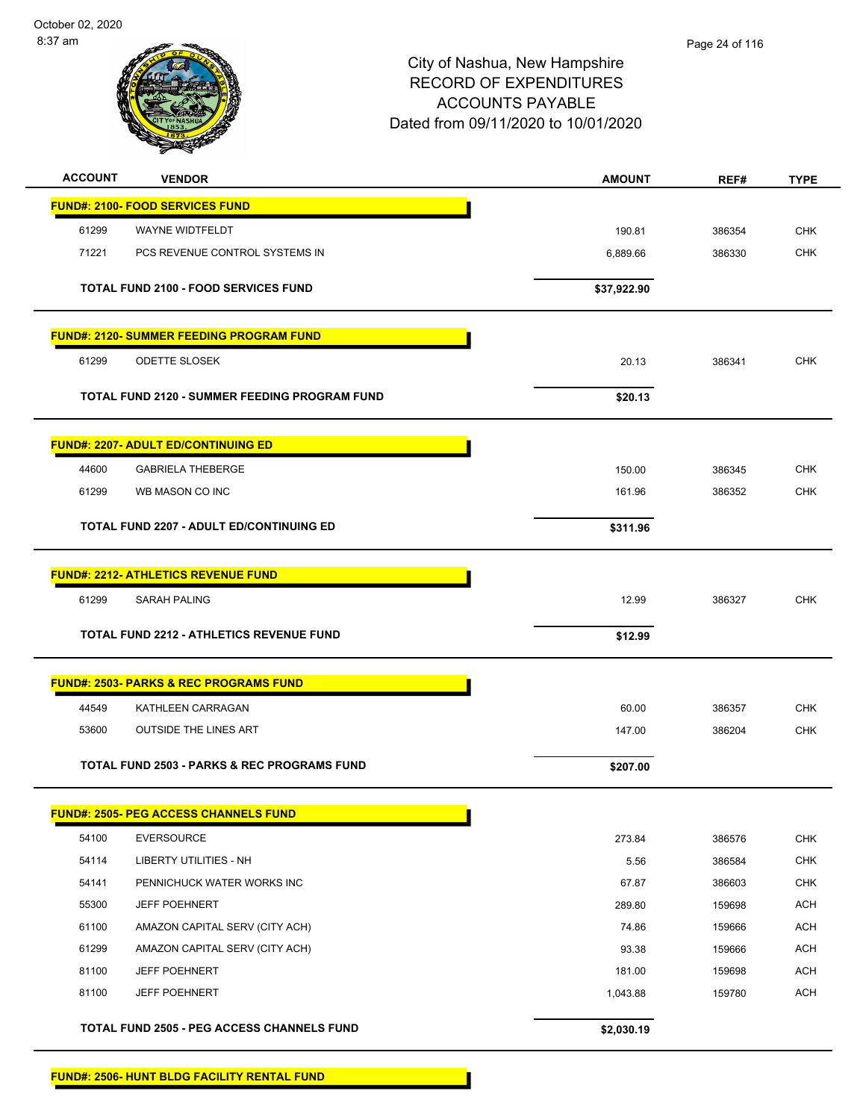### Page 24 of 116

| <b>ACCOUNT</b> | <b>VENDOR</b>                                          | <b>AMOUNT</b> | REF#   | <b>TYPE</b> |
|----------------|--------------------------------------------------------|---------------|--------|-------------|
|                | <b>FUND#: 2100- FOOD SERVICES FUND</b>                 |               |        |             |
| 61299          | WAYNE WIDTFELDT                                        | 190.81        | 386354 | <b>CHK</b>  |
| 71221          | PCS REVENUE CONTROL SYSTEMS IN                         | 6,889.66      | 386330 | <b>CHK</b>  |
|                |                                                        |               |        |             |
|                | <b>TOTAL FUND 2100 - FOOD SERVICES FUND</b>            | \$37,922.90   |        |             |
|                |                                                        |               |        |             |
|                | <u> FUND#: 2120- SUMMER FEEDING PROGRAM FUND</u>       |               |        |             |
| 61299          | <b>ODETTE SLOSEK</b>                                   | 20.13         | 386341 | <b>CHK</b>  |
|                | TOTAL FUND 2120 - SUMMER FEEDING PROGRAM FUND          | \$20.13       |        |             |
|                |                                                        |               |        |             |
|                | <b>FUND#: 2207- ADULT ED/CONTINUING ED</b>             |               |        |             |
| 44600          | <b>GABRIELA THEBERGE</b>                               | 150.00        | 386345 | <b>CHK</b>  |
| 61299          | WB MASON CO INC                                        | 161.96        | 386352 | <b>CHK</b>  |
|                | <b>TOTAL FUND 2207 - ADULT ED/CONTINUING ED</b>        | \$311.96      |        |             |
|                |                                                        |               |        |             |
|                | <b>FUND#: 2212- ATHLETICS REVENUE FUND</b>             |               |        |             |
| 61299          | <b>SARAH PALING</b>                                    | 12.99         | 386327 | <b>CHK</b>  |
|                |                                                        |               |        |             |
|                | <b>TOTAL FUND 2212 - ATHLETICS REVENUE FUND</b>        | \$12.99       |        |             |
|                | <u> FUND#: 2503- PARKS &amp; REC PROGRAMS FUND</u>     |               |        |             |
| 44549          | KATHLEEN CARRAGAN                                      | 60.00         | 386357 | <b>CHK</b>  |
| 53600          | <b>OUTSIDE THE LINES ART</b>                           | 147.00        | 386204 | <b>CHK</b>  |
|                |                                                        |               |        |             |
|                | <b>TOTAL FUND 2503 - PARKS &amp; REC PROGRAMS FUND</b> | \$207.00      |        |             |
|                |                                                        |               |        |             |
|                | <b>FUND#: 2505- PEG ACCESS CHANNELS FUND</b>           |               |        |             |
| 54100          | <b>EVERSOURCE</b>                                      | 273.84        | 386576 | <b>CHK</b>  |
| 54114          | <b>LIBERTY UTILITIES - NH</b>                          | 5.56          | 386584 | <b>CHK</b>  |
| 54141          | PENNICHUCK WATER WORKS INC                             | 67.87         | 386603 | <b>CHK</b>  |
| 55300          | JEFF POEHNERT                                          | 289.80        | 159698 | <b>ACH</b>  |
| 61100          | AMAZON CAPITAL SERV (CITY ACH)                         | 74.86         | 159666 | <b>ACH</b>  |
| 61299          | AMAZON CAPITAL SERV (CITY ACH)                         | 93.38         | 159666 | <b>ACH</b>  |
| 81100          | <b>JEFF POEHNERT</b>                                   | 181.00        | 159698 | <b>ACH</b>  |
| 81100          | <b>JEFF POEHNERT</b>                                   | 1,043.88      | 159780 | <b>ACH</b>  |
|                | TOTAL FUND 2505 - PEG ACCESS CHANNELS FUND             | \$2,030.19    |        |             |
|                |                                                        |               |        |             |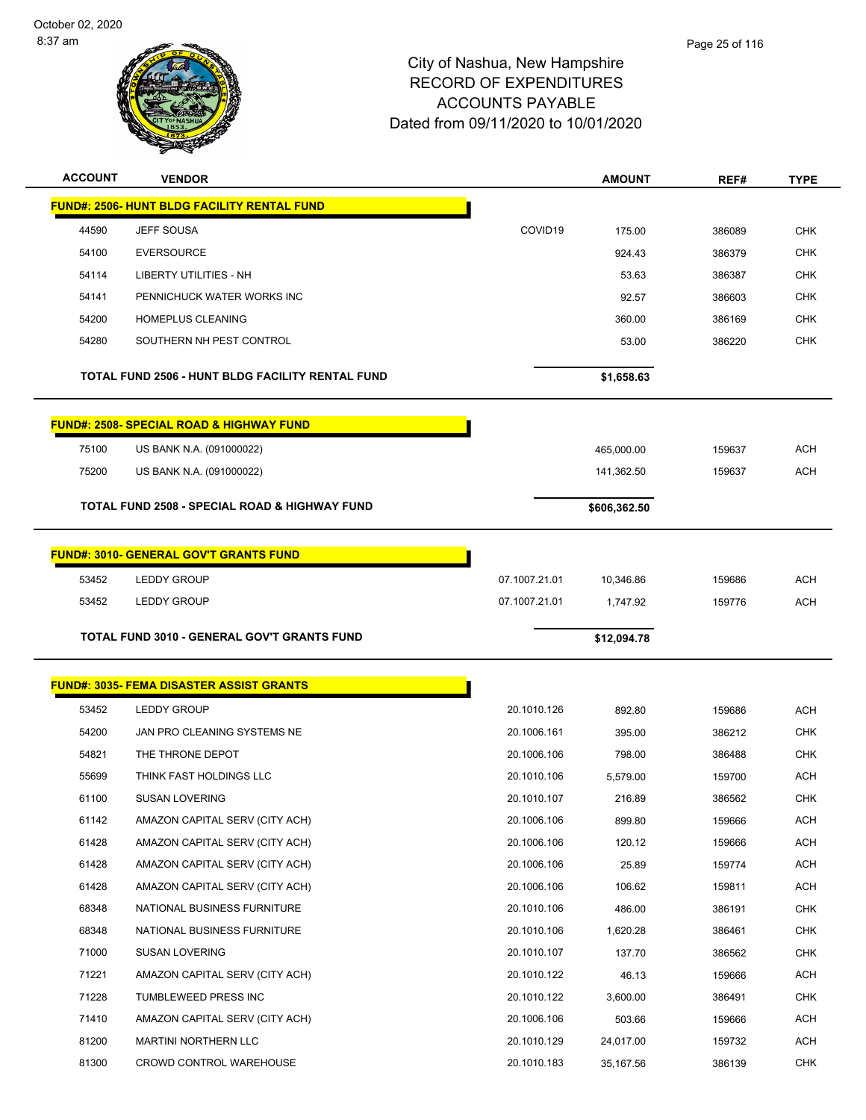

| <b>ACCOUNT</b> | <b>VENDOR</b>                                            |                            | <b>AMOUNT</b>          | REF#             | <b>TYPE</b>       |
|----------------|----------------------------------------------------------|----------------------------|------------------------|------------------|-------------------|
|                | <b>FUND#: 2506- HUNT BLDG FACILITY RENTAL FUND</b>       |                            |                        |                  |                   |
| 44590          | <b>JEFF SOUSA</b>                                        | COVID19                    | 175.00                 | 386089           | <b>CHK</b>        |
| 54100          | <b>EVERSOURCE</b>                                        |                            | 924.43                 | 386379           | <b>CHK</b>        |
| 54114          | <b>LIBERTY UTILITIES - NH</b>                            |                            | 53.63                  | 386387           | <b>CHK</b>        |
| 54141          | PENNICHUCK WATER WORKS INC                               |                            | 92.57                  | 386603           | <b>CHK</b>        |
| 54200          | <b>HOMEPLUS CLEANING</b>                                 |                            | 360.00                 | 386169           | <b>CHK</b>        |
| 54280          | SOUTHERN NH PEST CONTROL                                 |                            | 53.00                  | 386220           | <b>CHK</b>        |
|                | <b>TOTAL FUND 2506 - HUNT BLDG FACILITY RENTAL FUND</b>  |                            | \$1,658.63             |                  |                   |
|                | <b>FUND#: 2508- SPECIAL ROAD &amp; HIGHWAY FUND</b>      |                            |                        |                  |                   |
| 75100          | US BANK N.A. (091000022)                                 |                            | 465,000.00             | 159637           | <b>ACH</b>        |
| 75200          | US BANK N.A. (091000022)                                 |                            | 141,362.50             | 159637           | <b>ACH</b>        |
|                | <b>TOTAL FUND 2508 - SPECIAL ROAD &amp; HIGHWAY FUND</b> |                            | \$606,362.50           |                  |                   |
|                | <b>FUND#: 3010- GENERAL GOV'T GRANTS FUND</b>            |                            |                        |                  |                   |
| 53452          | <b>LEDDY GROUP</b>                                       | 07.1007.21.01              | 10,346.86              | 159686           | <b>ACH</b>        |
| 53452          | <b>LEDDY GROUP</b>                                       | 07.1007.21.01              | 1,747.92               | 159776           | <b>ACH</b>        |
|                | <b>TOTAL FUND 3010 - GENERAL GOV'T GRANTS FUND</b>       |                            | \$12,094.78            |                  |                   |
|                |                                                          |                            |                        |                  |                   |
|                | <b>FUND#: 3035- FEMA DISASTER ASSIST GRANTS</b>          |                            |                        |                  |                   |
| 53452          | <b>LEDDY GROUP</b>                                       | 20.1010.126                | 892.80                 | 159686           | <b>ACH</b>        |
| 54200          | JAN PRO CLEANING SYSTEMS NE                              | 20.1006.161                | 395.00                 | 386212           | <b>CHK</b>        |
| 54821          | THE THRONE DEPOT                                         |                            |                        |                  |                   |
| 55699          |                                                          | 20.1006.106                | 798.00                 | 386488           | <b>CHK</b>        |
|                | THINK FAST HOLDINGS LLC                                  | 20.1010.106                | 5,579.00               | 159700           | <b>ACH</b>        |
| 61100          | <b>SUSAN LOVERING</b>                                    | 20.1010.107                | 216.89                 | 386562           | <b>CHK</b>        |
| 61142          | AMAZON CAPITAL SERV (CITY ACH)                           | 20.1006.106                | 899.80                 | 159666           | <b>ACH</b>        |
| 61428          | AMAZON CAPITAL SERV (CITY ACH)                           | 20.1006.106                | 120.12                 | 159666           | <b>ACH</b>        |
| 61428          | AMAZON CAPITAL SERV (CITY ACH)                           | 20.1006.106                | 25.89                  | 159774           | <b>ACH</b>        |
| 61428          | AMAZON CAPITAL SERV (CITY ACH)                           | 20.1006.106                | 106.62                 | 159811           | <b>ACH</b>        |
| 68348          | NATIONAL BUSINESS FURNITURE                              | 20.1010.106                | 486.00                 | 386191           | <b>CHK</b>        |
| 68348          | NATIONAL BUSINESS FURNITURE                              | 20.1010.106                | 1,620.28               | 386461           | <b>CHK</b>        |
| 71000          | <b>SUSAN LOVERING</b>                                    | 20.1010.107                | 137.70                 | 386562           | <b>CHK</b>        |
| 71221          | AMAZON CAPITAL SERV (CITY ACH)                           | 20.1010.122                | 46.13                  | 159666           | <b>ACH</b>        |
| 71228          | TUMBLEWEED PRESS INC                                     | 20.1010.122                | 3,600.00               | 386491           | <b>CHK</b>        |
| 71410          | AMAZON CAPITAL SERV (CITY ACH)                           | 20.1006.106                | 503.66                 | 159666           | <b>ACH</b>        |
| 81200<br>81300 | MARTINI NORTHERN LLC<br>CROWD CONTROL WAREHOUSE          | 20.1010.129<br>20.1010.183 | 24,017.00<br>35,167.56 | 159732<br>386139 | ACH<br><b>CHK</b> |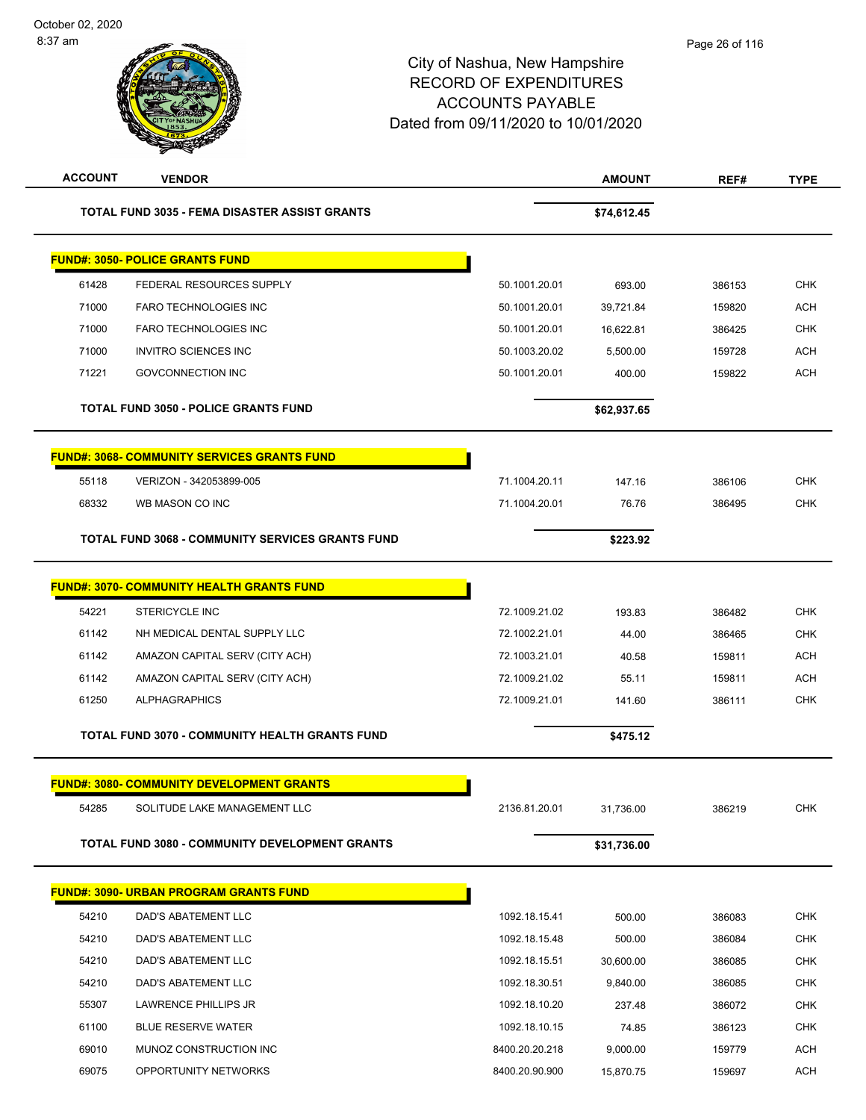| <b>ACCOUNT</b> | <b>VENDOR</b>                                        |                | <b>AMOUNT</b> | REF#   | <b>TYPE</b> |
|----------------|------------------------------------------------------|----------------|---------------|--------|-------------|
|                | <b>TOTAL FUND 3035 - FEMA DISASTER ASSIST GRANTS</b> |                | \$74,612.45   |        |             |
|                | <b>FUND#: 3050- POLICE GRANTS FUND</b>               |                |               |        |             |
| 61428          | FEDERAL RESOURCES SUPPLY                             | 50.1001.20.01  | 693.00        | 386153 | <b>CHK</b>  |
| 71000          | <b>FARO TECHNOLOGIES INC</b>                         | 50.1001.20.01  | 39,721.84     | 159820 | <b>ACH</b>  |
| 71000          | <b>FARO TECHNOLOGIES INC</b>                         | 50.1001.20.01  | 16,622.81     | 386425 | <b>CHK</b>  |
| 71000          | <b>INVITRO SCIENCES INC</b>                          | 50.1003.20.02  | 5,500.00      | 159728 | <b>ACH</b>  |
| 71221          | <b>GOVCONNECTION INC</b>                             | 50.1001.20.01  | 400.00        | 159822 | <b>ACH</b>  |
|                | <b>TOTAL FUND 3050 - POLICE GRANTS FUND</b>          |                | \$62,937.65   |        |             |
|                | <u>FUND#: 3068- COMMUNITY SERVICES GRANTS FUND</u>   |                |               |        |             |
| 55118          | VERIZON - 342053899-005                              | 71.1004.20.11  | 147.16        | 386106 | <b>CHK</b>  |
| 68332          | WB MASON CO INC                                      | 71.1004.20.01  | 76.76         | 386495 | <b>CHK</b>  |
|                | TOTAL FUND 3068 - COMMUNITY SERVICES GRANTS FUND     |                | \$223.92      |        |             |
|                | <u> FUND#: 3070- COMMUNITY HEALTH GRANTS FUND</u>    |                |               |        |             |
| 54221          | <b>STERICYCLE INC</b>                                | 72.1009.21.02  | 193.83        | 386482 | <b>CHK</b>  |
| 61142          | NH MEDICAL DENTAL SUPPLY LLC                         | 72.1002.21.01  | 44.00         | 386465 | <b>CHK</b>  |
| 61142          | AMAZON CAPITAL SERV (CITY ACH)                       | 72.1003.21.01  | 40.58         | 159811 | ACH         |
| 61142          | AMAZON CAPITAL SERV (CITY ACH)                       | 72.1009.21.02  | 55.11         | 159811 | <b>ACH</b>  |
| 61250          | <b>ALPHAGRAPHICS</b>                                 | 72.1009.21.01  | 141.60        | 386111 | <b>CHK</b>  |
|                | TOTAL FUND 3070 - COMMUNITY HEALTH GRANTS FUND       |                | \$475.12      |        |             |
|                | <b>FUND#: 3080- COMMUNITY DEVELOPMENT GRANTS</b>     |                |               |        |             |
| 54285          | SOLITUDE LAKE MANAGEMENT LLC                         | 2136.81.20.01  | 31,736.00     | 386219 | <b>CHK</b>  |
|                | TOTAL FUND 3080 - COMMUNITY DEVELOPMENT GRANTS       |                | \$31,736.00   |        |             |
|                | <b>FUND#: 3090- URBAN PROGRAM GRANTS FUND</b>        |                |               |        |             |
| 54210          | DAD'S ABATEMENT LLC                                  | 1092.18.15.41  | 500.00        | 386083 | <b>CHK</b>  |
| 54210          | DAD'S ABATEMENT LLC                                  | 1092.18.15.48  | 500.00        | 386084 | <b>CHK</b>  |
| 54210          | <b>DAD'S ABATEMENT LLC</b>                           | 1092.18.15.51  | 30,600.00     | 386085 | <b>CHK</b>  |
| 54210          | DAD'S ABATEMENT LLC                                  | 1092.18.30.51  | 9,840.00      | 386085 | <b>CHK</b>  |
| 55307          | LAWRENCE PHILLIPS JR                                 | 1092.18.10.20  | 237.48        | 386072 | <b>CHK</b>  |
| 61100          | <b>BLUE RESERVE WATER</b>                            | 1092.18.10.15  | 74.85         | 386123 | <b>CHK</b>  |
| 69010          | MUNOZ CONSTRUCTION INC                               | 8400.20.20.218 | 9,000.00      | 159779 | <b>ACH</b>  |
| 69075          | OPPORTUNITY NETWORKS                                 | 8400.20.90.900 | 15,870.75     | 159697 | <b>ACH</b>  |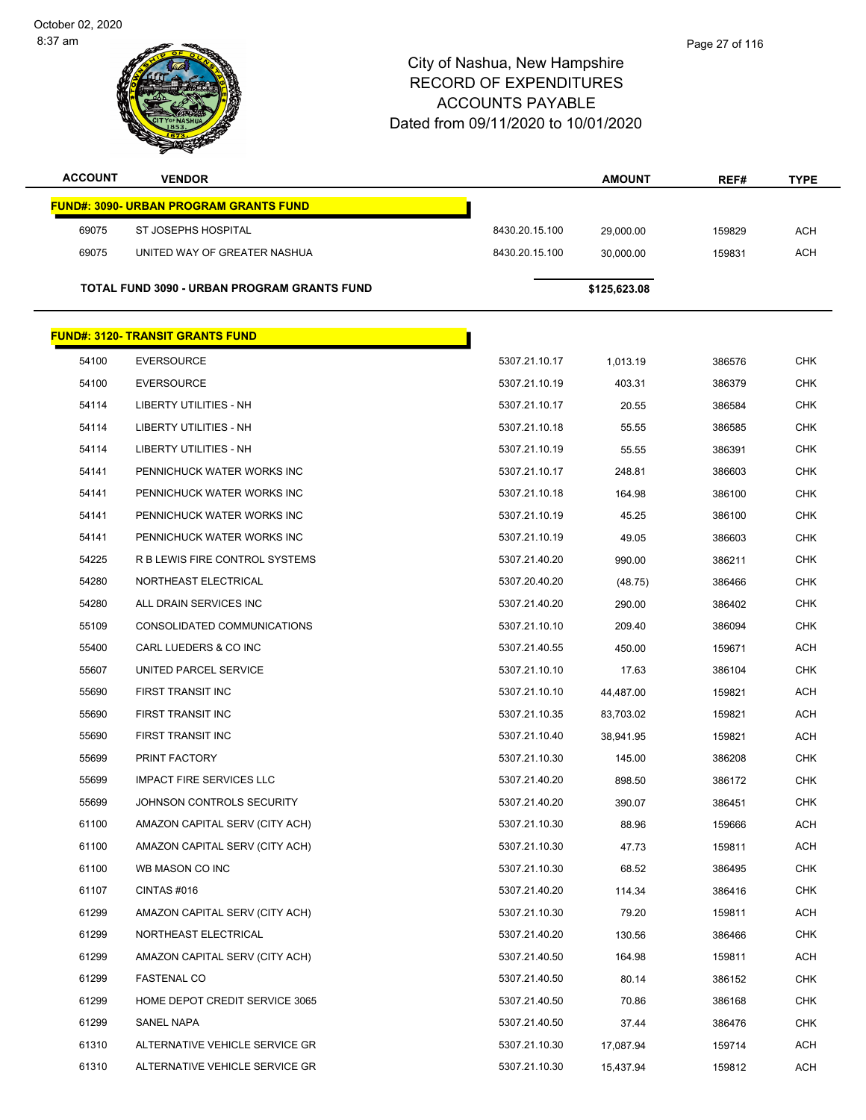| <b>ACCOUNT</b> | <b>VENDOR</b>                               |                | <b>AMOUNT</b> | REF#   | <b>TYPE</b> |
|----------------|---------------------------------------------|----------------|---------------|--------|-------------|
|                | FUND#: 3090- URBAN PROGRAM GRANTS FUND      |                |               |        |             |
| 69075          | ST JOSEPHS HOSPITAL                         | 8430.20.15.100 | 29,000.00     | 159829 | <b>ACH</b>  |
| 69075          | UNITED WAY OF GREATER NASHUA                | 8430.20.15.100 | 30,000.00     | 159831 | <b>ACH</b>  |
|                |                                             |                |               |        |             |
|                | TOTAL FUND 3090 - URBAN PROGRAM GRANTS FUND |                | \$125,623.08  |        |             |
|                | <b>FUND#: 3120- TRANSIT GRANTS FUND</b>     |                |               |        |             |
| 54100          | EVERSOURCE                                  | 5307.21.10.17  | 1,013.19      | 386576 | <b>CHK</b>  |
| 54100          | <b>EVERSOURCE</b>                           | 5307.21.10.19  | 403.31        | 386379 | <b>CHK</b>  |
| 54114          | <b>LIBERTY UTILITIES - NH</b>               | 5307.21.10.17  | 20.55         | 386584 | <b>CHK</b>  |
| 54114          | LIBERTY UTILITIES - NH                      | 5307.21.10.18  | 55.55         | 386585 | <b>CHK</b>  |
| 54114          | LIBERTY UTILITIES - NH                      | 5307.21.10.19  | 55.55         | 386391 | <b>CHK</b>  |
| 54141          | PENNICHUCK WATER WORKS INC                  | 5307.21.10.17  | 248.81        | 386603 | <b>CHK</b>  |
| 54141          | PENNICHUCK WATER WORKS INC                  | 5307.21.10.18  | 164.98        | 386100 | <b>CHK</b>  |
| 54141          | PENNICHUCK WATER WORKS INC                  | 5307.21.10.19  | 45.25         | 386100 | <b>CHK</b>  |
| 54141          | PENNICHUCK WATER WORKS INC                  | 5307.21.10.19  | 49.05         | 386603 | <b>CHK</b>  |
| 54225          | R B LEWIS FIRE CONTROL SYSTEMS              | 5307.21.40.20  | 990.00        | 386211 | <b>CHK</b>  |
| 54280          | NORTHEAST ELECTRICAL                        | 5307.20.40.20  | (48.75)       | 386466 | <b>CHK</b>  |
| 54280          | ALL DRAIN SERVICES INC                      | 5307.21.40.20  | 290.00        | 386402 | <b>CHK</b>  |
| 55109          | CONSOLIDATED COMMUNICATIONS                 | 5307.21.10.10  | 209.40        | 386094 | <b>CHK</b>  |
| 55400          | CARL LUEDERS & CO INC                       | 5307.21.40.55  | 450.00        | 159671 | <b>ACH</b>  |
| 55607          | UNITED PARCEL SERVICE                       | 5307.21.10.10  | 17.63         | 386104 | <b>CHK</b>  |
| 55690          | FIRST TRANSIT INC                           | 5307.21.10.10  | 44,487.00     | 159821 | ACH         |
| 55690          | FIRST TRANSIT INC                           | 5307.21.10.35  | 83,703.02     | 159821 | ACH         |
| 55690          | FIRST TRANSIT INC                           | 5307.21.10.40  | 38,941.95     | 159821 | ACH         |
| 55699          | PRINT FACTORY                               | 5307.21.10.30  | 145.00        | 386208 | <b>CHK</b>  |
| 55699          | <b>IMPACT FIRE SERVICES LLC</b>             | 5307.21.40.20  | 898.50        | 386172 | <b>CHK</b>  |
| 55699          | JOHNSON CONTROLS SECURITY                   | 5307.21.40.20  | 390.07        | 386451 | CHK         |
| 61100          | AMAZON CAPITAL SERV (CITY ACH)              | 5307.21.10.30  | 88.96         | 159666 | ACH         |
| 61100          | AMAZON CAPITAL SERV (CITY ACH)              | 5307.21.10.30  | 47.73         | 159811 | ACH         |
| 61100          | WB MASON CO INC                             | 5307.21.10.30  | 68.52         | 386495 | <b>CHK</b>  |
| 61107          | CINTAS #016                                 | 5307.21.40.20  | 114.34        | 386416 | <b>CHK</b>  |
| 61299          | AMAZON CAPITAL SERV (CITY ACH)              | 5307.21.10.30  | 79.20         | 159811 | ACH         |
| 61299          | NORTHEAST ELECTRICAL                        | 5307.21.40.20  | 130.56        | 386466 | <b>CHK</b>  |
| 61299          | AMAZON CAPITAL SERV (CITY ACH)              | 5307.21.40.50  | 164.98        | 159811 | ACH         |
| 61299          | <b>FASTENAL CO</b>                          | 5307.21.40.50  | 80.14         | 386152 | <b>CHK</b>  |
| 61299          | HOME DEPOT CREDIT SERVICE 3065              | 5307.21.40.50  | 70.86         | 386168 | <b>CHK</b>  |
| 61299          | SANEL NAPA                                  | 5307.21.40.50  | 37.44         | 386476 | CHK         |
| 61310          | ALTERNATIVE VEHICLE SERVICE GR              | 5307.21.10.30  | 17,087.94     | 159714 | ACH         |
| 61310          | ALTERNATIVE VEHICLE SERVICE GR              | 5307.21.10.30  | 15,437.94     | 159812 | <b>ACH</b>  |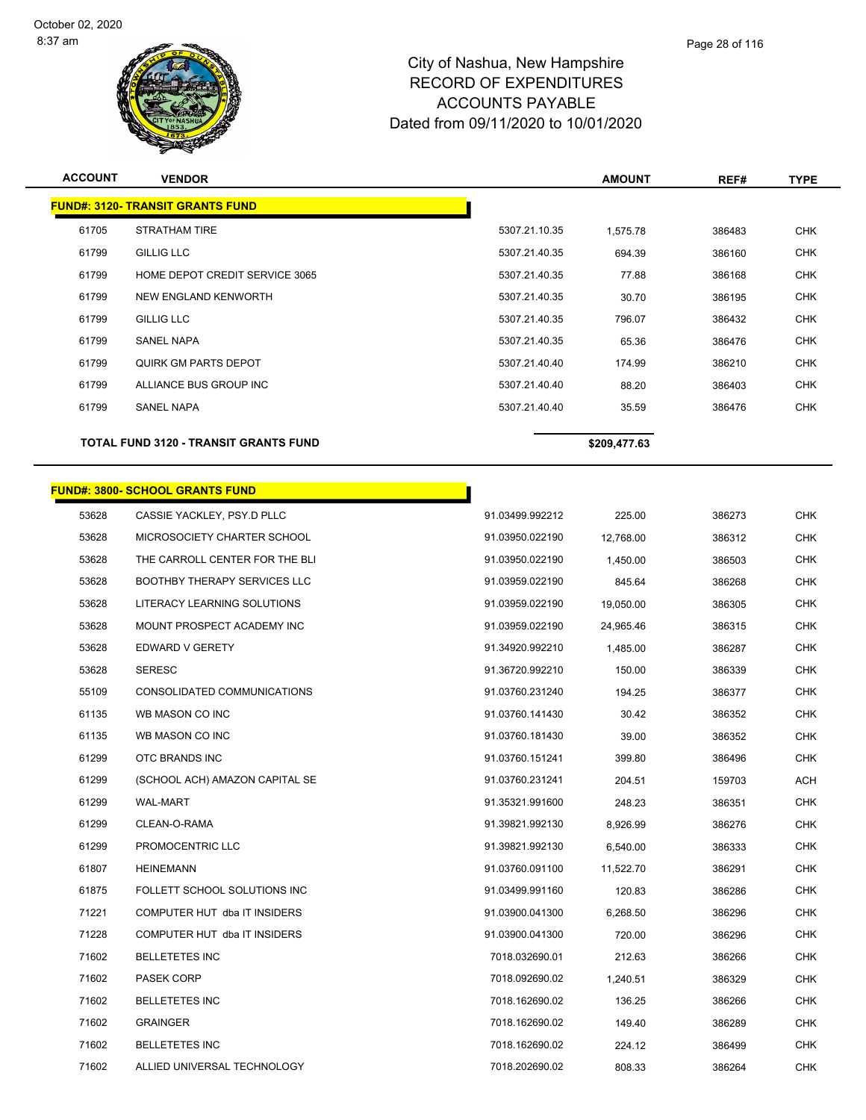

Page 28 of 116

| <b>ACCOUNT</b> | <b>VENDOR</b>                                                        |                                    | <b>AMOUNT</b>         | REF#             | <b>TYPE</b>              |
|----------------|----------------------------------------------------------------------|------------------------------------|-----------------------|------------------|--------------------------|
|                | <b>FUND#: 3120- TRANSIT GRANTS FUND</b>                              |                                    |                       |                  |                          |
| 61705          | STRATHAM TIRE                                                        | 5307.21.10.35                      | 1,575.78              | 386483           | <b>CHK</b>               |
| 61799          | <b>GILLIG LLC</b>                                                    | 5307.21.40.35                      | 694.39                | 386160           | <b>CHK</b>               |
| 61799          | HOME DEPOT CREDIT SERVICE 3065                                       | 5307.21.40.35                      | 77.88                 | 386168           | <b>CHK</b>               |
| 61799          | NEW ENGLAND KENWORTH                                                 | 5307.21.40.35                      | 30.70                 | 386195           | <b>CHK</b>               |
| 61799          | <b>GILLIG LLC</b>                                                    | 5307.21.40.35                      | 796.07                | 386432           | <b>CHK</b>               |
| 61799          | <b>SANEL NAPA</b>                                                    | 5307.21.40.35                      | 65.36                 | 386476           | <b>CHK</b>               |
| 61799          | <b>QUIRK GM PARTS DEPOT</b>                                          | 5307.21.40.40                      | 174.99                | 386210           | <b>CHK</b>               |
| 61799          | ALLIANCE BUS GROUP INC                                               | 5307.21.40.40                      | 88.20                 | 386403           | <b>CHK</b>               |
| 61799          | SANEL NAPA                                                           | 5307.21.40.40                      | 35.59                 | 386476           | <b>CHK</b>               |
|                | TOTAL FUND 3120 - TRANSIT GRANTS FUND                                |                                    | \$209,477.63          |                  |                          |
|                |                                                                      |                                    |                       |                  |                          |
| 53628          | <b>FUND#: 3800- SCHOOL GRANTS FUND</b><br>CASSIE YACKLEY, PSY.D PLLC | 91.03499.992212                    |                       |                  | <b>CHK</b>               |
| 53628          | MICROSOCIETY CHARTER SCHOOL                                          | 91.03950.022190                    | 225.00                | 386273<br>386312 | <b>CHK</b>               |
| 53628          | THE CARROLL CENTER FOR THE BLI                                       | 91.03950.022190                    | 12,768.00<br>1,450.00 | 386503           | <b>CHK</b>               |
| 53628          | <b>BOOTHBY THERAPY SERVICES LLC</b>                                  | 91.03959.022190                    |                       |                  | <b>CHK</b>               |
| 53628          | LITERACY LEARNING SOLUTIONS                                          | 91.03959.022190                    | 845.64                | 386268           | <b>CHK</b>               |
| 53628          | MOUNT PROSPECT ACADEMY INC                                           | 91.03959.022190                    | 19,050.00             | 386305           | <b>CHK</b>               |
| 53628          | EDWARD V GERETY                                                      | 91.34920.992210                    | 24,965.46             | 386315<br>386287 | <b>CHK</b>               |
| 53628          | <b>SERESC</b>                                                        | 91.36720.992210                    | 1,485.00              |                  |                          |
|                |                                                                      |                                    | 150.00                | 386339           | <b>CHK</b><br><b>CHK</b> |
| 55109<br>61135 | CONSOLIDATED COMMUNICATIONS<br>WB MASON CO INC                       | 91.03760.231240<br>91.03760.141430 | 194.25                | 386377           |                          |
| 61135          | WB MASON CO INC                                                      | 91.03760.181430                    | 30.42                 | 386352           | <b>CHK</b>               |
| 61299          |                                                                      |                                    | 39.00                 | 386352           | <b>CHK</b><br><b>CHK</b> |
|                | OTC BRANDS INC                                                       | 91.03760.151241<br>91.03760.231241 | 399.80                | 386496           |                          |
| 61299          | (SCHOOL ACH) AMAZON CAPITAL SE                                       |                                    | 204.51                | 159703           | ACH                      |
| 61299          | <b>WAL-MART</b>                                                      | 91.35321.991600                    | 248.23                | 386351           | <b>CHK</b>               |
| 61299          | CLEAN-O-RAMA                                                         | 91.39821.992130                    | 8,926.99              | 386276           | <b>CHK</b>               |
| 61299          | PROMOCENTRIC LLC                                                     | 91.39821.992130                    | 6,540.00              | 386333           | <b>CHK</b>               |
| 61807          | <b>HEINEMANN</b>                                                     | 91.03760.091100                    | 11,522.70             | 386291           | <b>CHK</b>               |
| 61875          | FOLLETT SCHOOL SOLUTIONS INC                                         | 91.03499.991160                    | 120.83                | 386286           | <b>CHK</b>               |
| 71221          | COMPUTER HUT dba IT INSIDERS                                         | 91.03900.041300                    | 6,268.50              | 386296           | <b>CHK</b>               |
| 71228          | COMPUTER HUT dba IT INSIDERS                                         | 91.03900.041300                    | 720.00                | 386296           | <b>CHK</b>               |
| 71602          | <b>BELLETETES INC</b>                                                | 7018.032690.01                     | 212.63                | 386266           | <b>CHK</b>               |

 PASEK CORP 7018.092690.02 1,240.51 386329 CHK BELLETETES INC 7018.162690.02 136.25 386266 CHK GRAINGER 7018.162690.02 149.40 386289 CHK BELLETETES INC 7018.162690.02 224.12 386499 CHK ALLIED UNIVERSAL TECHNOLOGY 7018.202690.02 808.33 386264 CHK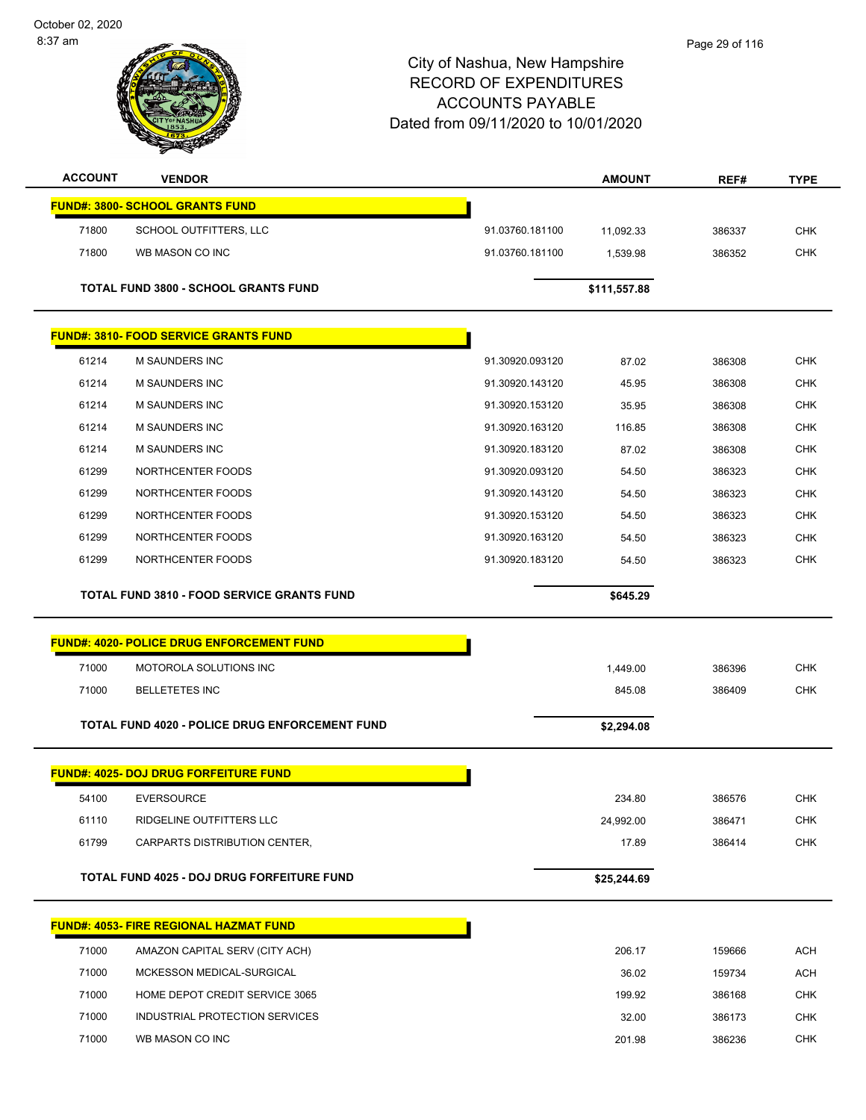October 02, 2020 8:37 am



| <b>ACCOUNT</b> | <b>VENDOR</b>                                     |                 | <b>AMOUNT</b> | REF#   | <b>TYPE</b> |
|----------------|---------------------------------------------------|-----------------|---------------|--------|-------------|
|                | <b>FUND#: 3800- SCHOOL GRANTS FUND</b>            |                 |               |        |             |
| 71800          | SCHOOL OUTFITTERS, LLC                            | 91.03760.181100 | 11,092.33     | 386337 | <b>CHK</b>  |
| 71800          | WB MASON CO INC                                   | 91.03760.181100 | 1,539.98      | 386352 | <b>CHK</b>  |
|                |                                                   |                 |               |        |             |
|                | <b>TOTAL FUND 3800 - SCHOOL GRANTS FUND</b>       |                 | \$111,557.88  |        |             |
|                | <b>FUND#: 3810- FOOD SERVICE GRANTS FUND</b>      |                 |               |        |             |
| 61214          | <b>M SAUNDERS INC</b>                             | 91.30920.093120 | 87.02         | 386308 | <b>CHK</b>  |
| 61214          | M SAUNDERS INC                                    | 91.30920.143120 | 45.95         | 386308 | <b>CHK</b>  |
| 61214          | M SAUNDERS INC                                    | 91.30920.153120 | 35.95         | 386308 | CHK         |
| 61214          | M SAUNDERS INC                                    | 91.30920.163120 | 116.85        | 386308 | <b>CHK</b>  |
| 61214          | <b>M SAUNDERS INC</b>                             | 91.30920.183120 | 87.02         | 386308 | <b>CHK</b>  |
| 61299          | NORTHCENTER FOODS                                 | 91.30920.093120 | 54.50         | 386323 | <b>CHK</b>  |
| 61299          | NORTHCENTER FOODS                                 | 91.30920.143120 | 54.50         | 386323 | <b>CHK</b>  |
| 61299          | NORTHCENTER FOODS                                 | 91.30920.153120 | 54.50         | 386323 | CHK         |
| 61299          | NORTHCENTER FOODS                                 | 91.30920.163120 | 54.50         | 386323 | <b>CHK</b>  |
| 61299          | NORTHCENTER FOODS                                 | 91.30920.183120 | 54.50         | 386323 | <b>CHK</b>  |
|                | <b>TOTAL FUND 3810 - FOOD SERVICE GRANTS FUND</b> |                 | \$645.29      |        |             |
|                |                                                   |                 |               |        |             |
|                | <b>FUND#: 4020- POLICE DRUG ENFORCEMENT FUND</b>  |                 |               |        |             |
| 71000          | MOTOROLA SOLUTIONS INC                            |                 | 1,449.00      | 386396 | <b>CHK</b>  |
| 71000          | <b>BELLETETES INC</b>                             |                 | 845.08        | 386409 | <b>CHK</b>  |
|                | TOTAL FUND 4020 - POLICE DRUG ENFORCEMENT FUND    |                 | \$2,294.08    |        |             |
|                | <b>FUND#: 4025- DOJ DRUG FORFEITURE FUND</b>      |                 |               |        |             |
| 54100          | <b>EVERSOURCE</b>                                 |                 | 234.80        | 386576 | <b>CHK</b>  |
| 61110          | RIDGELINE OUTFITTERS LLC                          |                 | 24,992.00     | 386471 | <b>CHK</b>  |
| 61799          | CARPARTS DISTRIBUTION CENTER,                     |                 | 17.89         | 386414 | <b>CHK</b>  |
|                | <b>TOTAL FUND 4025 - DOJ DRUG FORFEITURE FUND</b> |                 | \$25,244.69   |        |             |
|                |                                                   |                 |               |        |             |
|                | FUND#: 4053- FIRE REGIONAL HAZMAT FUND            |                 |               |        |             |
| 71000          | AMAZON CAPITAL SERV (CITY ACH)                    |                 | 206.17        | 159666 | <b>ACH</b>  |
| 71000          | MCKESSON MEDICAL-SURGICAL                         |                 | 36.02         | 159734 | <b>ACH</b>  |
| 71000          | HOME DEPOT CREDIT SERVICE 3065                    |                 | 199.92        | 386168 | <b>CHK</b>  |
| 71000          | INDUSTRIAL PROTECTION SERVICES                    |                 | 32.00         | 386173 | <b>CHK</b>  |
| 71000          | WB MASON CO INC                                   |                 | 201.98        | 386236 | <b>CHK</b>  |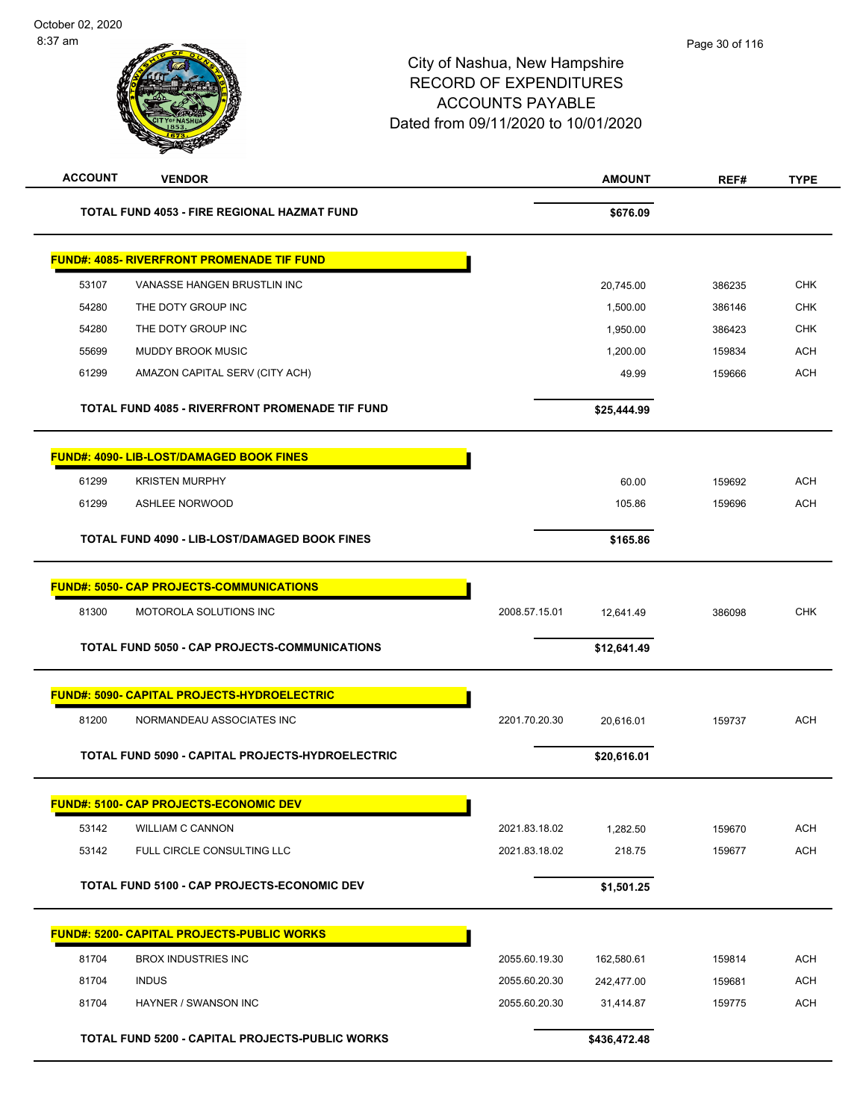| <b>ACCOUNT</b> | <b>VENDOR</b>                                          |               | <b>AMOUNT</b> | REF#   | <b>TYPE</b> |
|----------------|--------------------------------------------------------|---------------|---------------|--------|-------------|
|                | TOTAL FUND 4053 - FIRE REGIONAL HAZMAT FUND            |               | \$676.09      |        |             |
|                | <b>FUND#: 4085- RIVERFRONT PROMENADE TIF FUND</b>      |               |               |        |             |
| 53107          | VANASSE HANGEN BRUSTLIN INC                            |               | 20,745.00     | 386235 | <b>CHK</b>  |
| 54280          | THE DOTY GROUP INC                                     |               | 1,500.00      | 386146 | <b>CHK</b>  |
| 54280          | THE DOTY GROUP INC                                     |               | 1,950.00      | 386423 | <b>CHK</b>  |
| 55699          | MUDDY BROOK MUSIC                                      |               | 1,200.00      | 159834 | <b>ACH</b>  |
| 61299          | AMAZON CAPITAL SERV (CITY ACH)                         |               | 49.99         | 159666 | <b>ACH</b>  |
|                | <b>TOTAL FUND 4085 - RIVERFRONT PROMENADE TIF FUND</b> |               | \$25,444.99   |        |             |
|                | <b>FUND#: 4090- LIB-LOST/DAMAGED BOOK FINES</b>        |               |               |        |             |
| 61299          | <b>KRISTEN MURPHY</b>                                  |               | 60.00         | 159692 | <b>ACH</b>  |
| 61299          | ASHLEE NORWOOD                                         |               | 105.86        | 159696 | <b>ACH</b>  |
|                | TOTAL FUND 4090 - LIB-LOST/DAMAGED BOOK FINES          |               | \$165.86      |        |             |
|                | <b>FUND#: 5050- CAP PROJECTS-COMMUNICATIONS</b>        |               |               |        |             |
| 81300          | MOTOROLA SOLUTIONS INC                                 | 2008.57.15.01 | 12,641.49     | 386098 | <b>CHK</b>  |
|                | <b>TOTAL FUND 5050 - CAP PROJECTS-COMMUNICATIONS</b>   |               | \$12,641.49   |        |             |
|                | <b>FUND#: 5090- CAPITAL PROJECTS-HYDROELECTRIC</b>     |               |               |        |             |
| 81200          | NORMANDEAU ASSOCIATES INC                              | 2201.70.20.30 | 20,616.01     | 159737 | <b>ACH</b>  |
|                | TOTAL FUND 5090 - CAPITAL PROJECTS-HYDROELECTRIC       |               | \$20,616.01   |        |             |
|                | <b>FUND#: 5100- CAP PROJECTS-ECONOMIC DEV</b>          |               |               |        |             |
| 53142          | <b>WILLIAM C CANNON</b>                                | 2021.83.18.02 | 1,282.50      | 159670 | <b>ACH</b>  |
| 53142          | FULL CIRCLE CONSULTING LLC                             | 2021.83.18.02 | 218.75        | 159677 | <b>ACH</b>  |
|                | <b>TOTAL FUND 5100 - CAP PROJECTS-ECONOMIC DEV</b>     |               | \$1,501.25    |        |             |
|                | <b>FUND#: 5200- CAPITAL PROJECTS-PUBLIC WORKS</b>      |               |               |        |             |
| 81704          | <b>BROX INDUSTRIES INC</b>                             | 2055.60.19.30 | 162,580.61    | 159814 | <b>ACH</b>  |
| 81704          | <b>INDUS</b>                                           | 2055.60.20.30 | 242,477.00    | 159681 | <b>ACH</b>  |
| 81704          | HAYNER / SWANSON INC                                   | 2055.60.20.30 | 31,414.87     | 159775 | <b>ACH</b>  |
|                | <b>TOTAL FUND 5200 - CAPITAL PROJECTS-PUBLIC WORKS</b> |               | \$436,472.48  |        |             |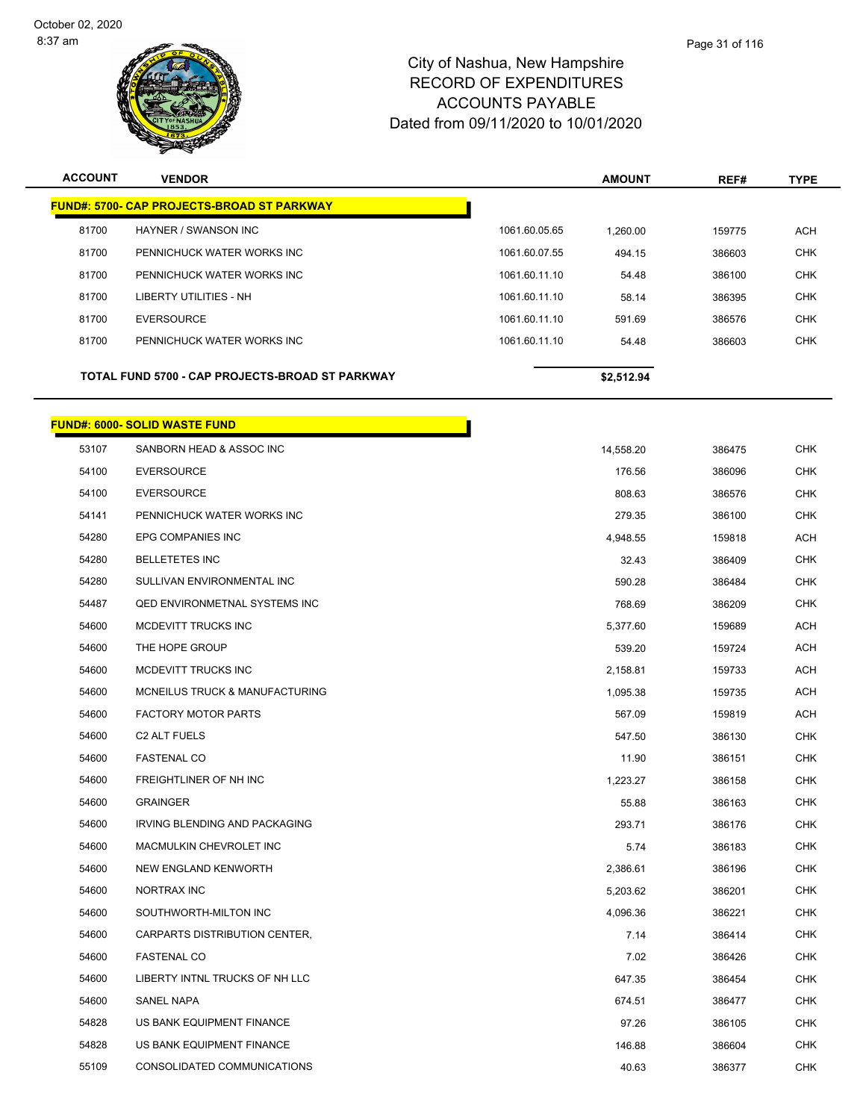

| <b>ACCOUNT</b> | <b>VENDOR</b>                                     |               | <b>AMOUNT</b> | REF#   | <b>TYPE</b> |
|----------------|---------------------------------------------------|---------------|---------------|--------|-------------|
|                | <b>FUND#: 5700- CAP PROJECTS-BROAD ST PARKWAY</b> |               |               |        |             |
| 81700          | HAYNER / SWANSON INC                              | 1061.60.05.65 | 1,260.00      | 159775 | <b>ACH</b>  |
| 81700          | PENNICHUCK WATER WORKS INC                        | 1061.60.07.55 | 494.15        | 386603 | <b>CHK</b>  |
| 81700          | PENNICHUCK WATER WORKS INC                        | 1061.60.11.10 | 54.48         | 386100 | <b>CHK</b>  |
| 81700          | LIBERTY UTILITIES - NH                            | 1061.60.11.10 | 58.14         | 386395 | <b>CHK</b>  |
| 81700          | <b>EVERSOURCE</b>                                 | 1061.60.11.10 | 591.69        | 386576 | <b>CHK</b>  |
| 81700          | PENNICHUCK WATER WORKS INC                        | 1061.60.11.10 | 54.48         | 386603 | <b>CHK</b>  |
|                | TOTAL FUND 5700 - CAP PROJECTS-BROAD ST PARKWAY   |               | \$2,512.94    |        |             |
|                | <b>FUND#: 6000- SOLID WASTE FUND</b>              |               |               |        |             |
| 53107          | SANBORN HEAD & ASSOC INC                          |               | 14,558.20     | 386475 | <b>CHK</b>  |
| 54100          | <b>EVERSOURCE</b>                                 |               | 176.56        | 386096 | <b>CHK</b>  |
| 54100          | <b>EVERSOURCE</b>                                 |               | 808.63        | 386576 | <b>CHK</b>  |
| 54141          | PENNICHUCK WATER WORKS INC                        |               | 279.35        | 386100 | <b>CHK</b>  |
| 54280          | EPG COMPANIES INC                                 |               | 4,948.55      | 159818 | <b>ACH</b>  |
| 54280          | <b>BELLETETES INC</b>                             |               | 32.43         | 386409 | <b>CHK</b>  |
| 54280          | SULLIVAN ENVIRONMENTAL INC                        |               | 590.28        | 386484 | <b>CHK</b>  |
| 54487          | <b>QED ENVIRONMETNAL SYSTEMS INC</b>              |               | 768.69        | 386209 | <b>CHK</b>  |
| 54600          | MCDEVITT TRUCKS INC                               |               | 5,377.60      | 159689 | <b>ACH</b>  |
| 54600          | THE HOPE GROUP                                    |               | 539.20        | 159724 | <b>ACH</b>  |
| 54600          | MCDEVITT TRUCKS INC                               |               | 2,158.81      | 159733 | <b>ACH</b>  |
| 54600          | MCNEILUS TRUCK & MANUFACTURING                    |               | 1,095.38      | 159735 | <b>ACH</b>  |
| 54600          | <b>FACTORY MOTOR PARTS</b>                        |               | 567.09        | 159819 | ACH         |
| 54600          | <b>C2 ALT FUELS</b>                               |               | 547.50        | 386130 | <b>CHK</b>  |
| 54600          | <b>FASTENAL CO</b>                                |               | 11.90         | 386151 | <b>CHK</b>  |
| 54600          | <b>FREIGHTLINER OF NH INC</b>                     |               | 1,223.27      | 386158 | <b>CHK</b>  |
| 54600          | <b>GRAINGER</b>                                   |               | 55.88         | 386163 | <b>CHK</b>  |
| 54600          | IRVING BLENDING AND PACKAGING                     |               | 293.71        | 386176 | <b>CHK</b>  |
| 54600          | MACMULKIN CHEVROLET INC                           |               | 5.74          | 386183 | <b>CHK</b>  |
| 54600          | NEW ENGLAND KENWORTH                              |               | 2,386.61      | 386196 | <b>CHK</b>  |
| 54600          | NORTRAX INC                                       |               | 5,203.62      | 386201 | <b>CHK</b>  |
| 54600          | SOUTHWORTH-MILTON INC                             |               | 4,096.36      | 386221 | <b>CHK</b>  |
| 54600          | CARPARTS DISTRIBUTION CENTER,                     |               | 7.14          | 386414 | <b>CHK</b>  |
| 54600          | <b>FASTENAL CO</b>                                |               | 7.02          | 386426 | <b>CHK</b>  |
| 54600          | LIBERTY INTNL TRUCKS OF NH LLC                    |               | 647.35        | 386454 | CHK         |
| 54600          | SANEL NAPA                                        |               | 674.51        | 386477 | <b>CHK</b>  |
| 54828          | US BANK EQUIPMENT FINANCE                         |               | 97.26         | 386105 | <b>CHK</b>  |
| 54828          | US BANK EQUIPMENT FINANCE                         |               | 146.88        | 386604 | CHK         |
| 55109          | CONSOLIDATED COMMUNICATIONS                       |               | 40.63         | 386377 | <b>CHK</b>  |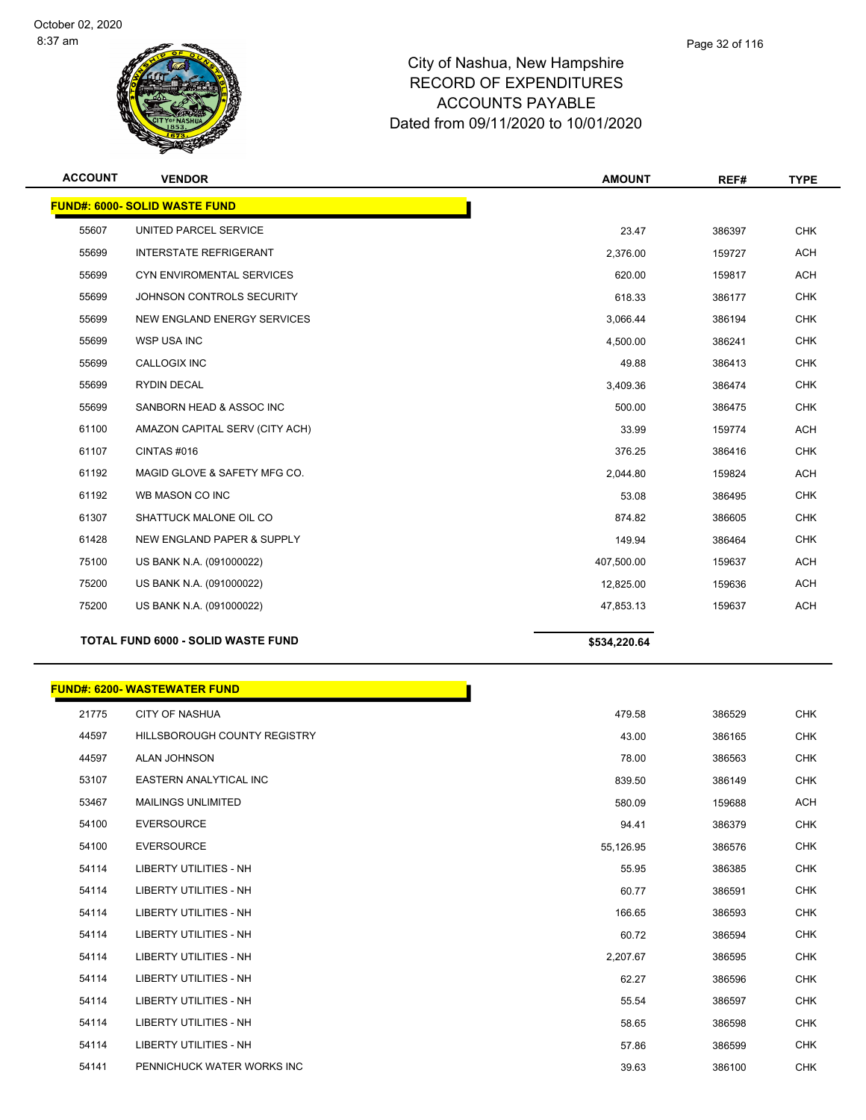

| <b>ACCOUNT</b> | <b>VENDOR</b>                             | <b>AMOUNT</b> | REF#   | <b>TYPE</b> |
|----------------|-------------------------------------------|---------------|--------|-------------|
|                | <b>FUND#: 6000- SOLID WASTE FUND</b>      |               |        |             |
| 55607          | UNITED PARCEL SERVICE                     | 23.47         | 386397 | <b>CHK</b>  |
| 55699          | <b>INTERSTATE REFRIGERANT</b>             | 2,376.00      | 159727 | <b>ACH</b>  |
| 55699          | CYN ENVIROMENTAL SERVICES                 | 620.00        | 159817 | <b>ACH</b>  |
| 55699          | JOHNSON CONTROLS SECURITY                 | 618.33        | 386177 | <b>CHK</b>  |
| 55699          | NEW ENGLAND ENERGY SERVICES               | 3,066.44      | 386194 | <b>CHK</b>  |
| 55699          | WSP USA INC                               | 4,500.00      | 386241 | <b>CHK</b>  |
| 55699          | CALLOGIX INC                              | 49.88         | 386413 | <b>CHK</b>  |
| 55699          | <b>RYDIN DECAL</b>                        | 3,409.36      | 386474 | <b>CHK</b>  |
| 55699          | SANBORN HEAD & ASSOC INC                  | 500.00        | 386475 | <b>CHK</b>  |
| 61100          | AMAZON CAPITAL SERV (CITY ACH)            | 33.99         | 159774 | <b>ACH</b>  |
| 61107          | CINTAS#016                                | 376.25        | 386416 | <b>CHK</b>  |
| 61192          | MAGID GLOVE & SAFETY MFG CO.              | 2,044.80      | 159824 | <b>ACH</b>  |
| 61192          | WB MASON CO INC                           | 53.08         | 386495 | <b>CHK</b>  |
| 61307          | SHATTUCK MALONE OIL CO                    | 874.82        | 386605 | <b>CHK</b>  |
| 61428          | NEW ENGLAND PAPER & SUPPLY                | 149.94        | 386464 | <b>CHK</b>  |
| 75100          | US BANK N.A. (091000022)                  | 407,500.00    | 159637 | <b>ACH</b>  |
| 75200          | US BANK N.A. (091000022)                  | 12,825.00     | 159636 | <b>ACH</b>  |
| 75200          | US BANK N.A. (091000022)                  | 47,853.13     | 159637 | <b>ACH</b>  |
|                | <b>TOTAL FUND 6000 - SOLID WASTE FUND</b> | \$534,220.64  |        |             |

|  | <b>FUND#: 6200- WASTEWATER FUND</b> |  |
|--|-------------------------------------|--|
|--|-------------------------------------|--|

| 21775 | <b>CITY OF NASHUA</b>               | 479.58    | 386529 |
|-------|-------------------------------------|-----------|--------|
| 44597 | <b>HILLSBOROUGH COUNTY REGISTRY</b> | 43.00     | 386165 |
| 44597 | <b>ALAN JOHNSON</b>                 | 78.00     | 386563 |
| 53107 | <b>EASTERN ANALYTICAL INC</b>       | 839.50    | 386149 |
| 53467 | <b>MAILINGS UNLIMITED</b>           | 580.09    | 159688 |
| 54100 | <b>EVERSOURCE</b>                   | 94.41     | 386379 |
| 54100 | <b>EVERSOURCE</b>                   | 55,126.95 | 386576 |
| 54114 | <b>LIBERTY UTILITIES - NH</b>       | 55.95     | 386385 |
| 54114 | <b>LIBERTY UTILITIES - NH</b>       | 60.77     | 386591 |
| 54114 | <b>LIBERTY UTILITIES - NH</b>       | 166.65    | 386593 |
| 54114 | <b>LIBERTY UTILITIES - NH</b>       | 60.72     | 386594 |
| 54114 | <b>LIBERTY UTILITIES - NH</b>       | 2,207.67  | 386595 |
| 54114 | <b>LIBERTY UTILITIES - NH</b>       | 62.27     | 386596 |
| 54114 | <b>LIBERTY UTILITIES - NH</b>       | 55.54     | 386597 |
| 54114 | <b>LIBERTY UTILITIES - NH</b>       | 58.65     | 386598 |
| 54114 | <b>LIBERTY UTILITIES - NH</b>       | 57.86     | 386599 |
| 54141 | PENNICHUCK WATER WORKS INC          | 39.63     | 386100 |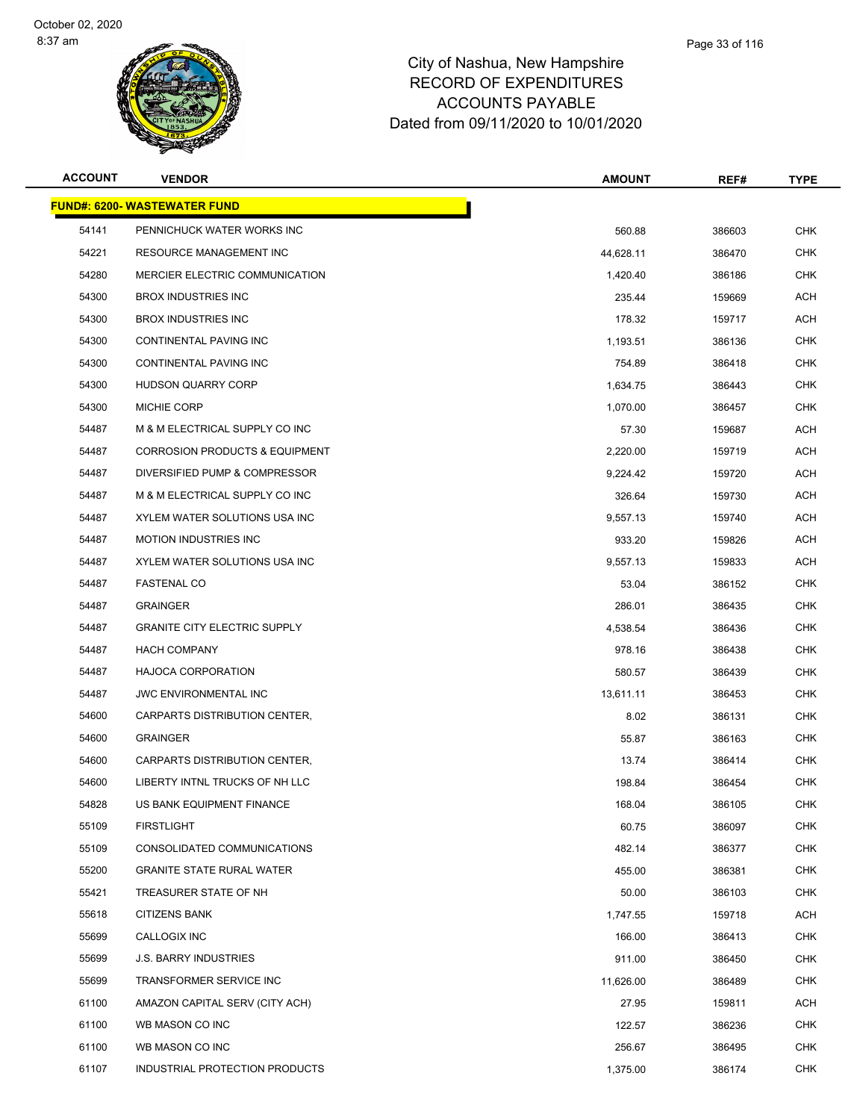

| <b>ACCOUNT</b> | <b>VENDOR</b>                             | <b>AMOUNT</b> | REF#   | <b>TYPE</b> |
|----------------|-------------------------------------------|---------------|--------|-------------|
|                | <u> FUND#: 6200- WASTEWATER FUND</u>      |               |        |             |
| 54141          | PENNICHUCK WATER WORKS INC                | 560.88        | 386603 | <b>CHK</b>  |
| 54221          | <b>RESOURCE MANAGEMENT INC</b>            | 44,628.11     | 386470 | <b>CHK</b>  |
| 54280          | MERCIER ELECTRIC COMMUNICATION            | 1,420.40      | 386186 | <b>CHK</b>  |
| 54300          | <b>BROX INDUSTRIES INC</b>                | 235.44        | 159669 | ACH         |
| 54300          | <b>BROX INDUSTRIES INC</b>                | 178.32        | 159717 | ACH         |
| 54300          | CONTINENTAL PAVING INC                    | 1,193.51      | 386136 | <b>CHK</b>  |
| 54300          | CONTINENTAL PAVING INC                    | 754.89        | 386418 | <b>CHK</b>  |
| 54300          | HUDSON QUARRY CORP                        | 1,634.75      | 386443 | <b>CHK</b>  |
| 54300          | <b>MICHIE CORP</b>                        | 1,070.00      | 386457 | CHK         |
| 54487          | M & M ELECTRICAL SUPPLY CO INC            | 57.30         | 159687 | ACH         |
| 54487          | <b>CORROSION PRODUCTS &amp; EQUIPMENT</b> | 2,220.00      | 159719 | ACH         |
| 54487          | DIVERSIFIED PUMP & COMPRESSOR             | 9,224.42      | 159720 | ACH         |
| 54487          | M & M ELECTRICAL SUPPLY CO INC            | 326.64        | 159730 | ACH         |
| 54487          | XYLEM WATER SOLUTIONS USA INC             | 9,557.13      | 159740 | ACH         |
| 54487          | <b>MOTION INDUSTRIES INC</b>              | 933.20        | 159826 | ACH         |
| 54487          | XYLEM WATER SOLUTIONS USA INC             | 9,557.13      | 159833 | ACH         |
| 54487          | <b>FASTENAL CO</b>                        | 53.04         | 386152 | <b>CHK</b>  |
| 54487          | <b>GRAINGER</b>                           | 286.01        | 386435 | <b>CHK</b>  |
| 54487          | <b>GRANITE CITY ELECTRIC SUPPLY</b>       | 4,538.54      | 386436 | <b>CHK</b>  |
| 54487          | <b>HACH COMPANY</b>                       | 978.16        | 386438 | <b>CHK</b>  |
| 54487          | <b>HAJOCA CORPORATION</b>                 | 580.57        | 386439 | <b>CHK</b>  |
| 54487          | <b>JWC ENVIRONMENTAL INC</b>              | 13,611.11     | 386453 | <b>CHK</b>  |
| 54600          | CARPARTS DISTRIBUTION CENTER,             | 8.02          | 386131 | <b>CHK</b>  |
| 54600          | <b>GRAINGER</b>                           | 55.87         | 386163 | <b>CHK</b>  |
| 54600          | CARPARTS DISTRIBUTION CENTER,             | 13.74         | 386414 | <b>CHK</b>  |
| 54600          | LIBERTY INTNL TRUCKS OF NH LLC            | 198.84        | 386454 | <b>CHK</b>  |
| 54828          | US BANK EQUIPMENT FINANCE                 | 168.04        | 386105 | <b>CHK</b>  |
| 55109          | <b>FIRSTLIGHT</b>                         | 60.75         | 386097 | <b>CHK</b>  |
| 55109          | CONSOLIDATED COMMUNICATIONS               | 482.14        | 386377 | <b>CHK</b>  |
| 55200          | <b>GRANITE STATE RURAL WATER</b>          | 455.00        | 386381 | <b>CHK</b>  |
| 55421          | TREASURER STATE OF NH                     | 50.00         | 386103 | <b>CHK</b>  |
| 55618          | <b>CITIZENS BANK</b>                      | 1,747.55      | 159718 | ACH         |
| 55699          | CALLOGIX INC                              | 166.00        | 386413 | <b>CHK</b>  |
| 55699          | <b>J.S. BARRY INDUSTRIES</b>              | 911.00        | 386450 | <b>CHK</b>  |
| 55699          | TRANSFORMER SERVICE INC                   | 11,626.00     | 386489 | <b>CHK</b>  |
| 61100          | AMAZON CAPITAL SERV (CITY ACH)            | 27.95         | 159811 | ACH         |
| 61100          | WB MASON CO INC                           | 122.57        | 386236 | <b>CHK</b>  |
| 61100          | WB MASON CO INC                           | 256.67        | 386495 | <b>CHK</b>  |
| 61107          | INDUSTRIAL PROTECTION PRODUCTS            | 1,375.00      | 386174 | <b>CHK</b>  |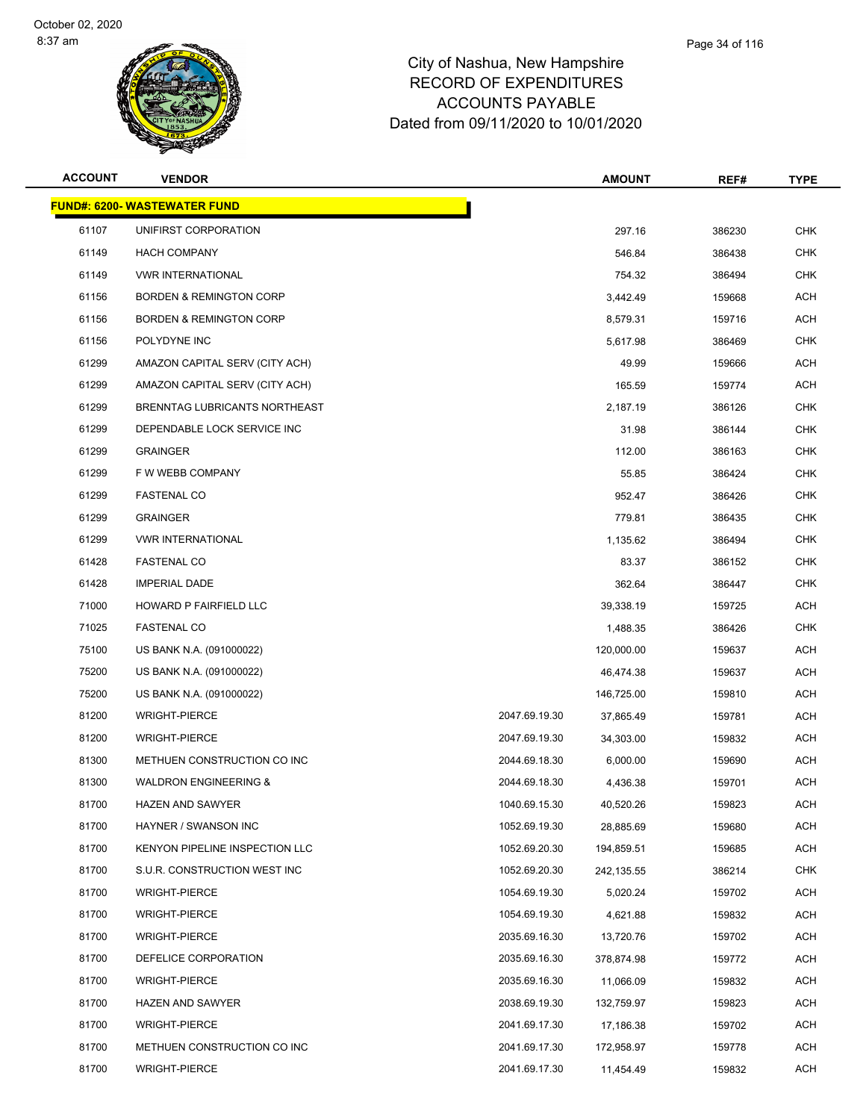**FUND#: 6200- WASTEWATER FUND**



## City of Nashua, New Hampshire RECORD OF EXPENDITURES ACCOUNTS PAYABLE Dated from 09/11/2020 to 10/01/2020

| <b>ACCOUNT</b> | <b>VENDOR</b>                       |               | <b>AMOUNT</b> | REF#   | <b>TYPE</b> |
|----------------|-------------------------------------|---------------|---------------|--------|-------------|
|                | <u> IND#: 6200- WASTEWATER FUND</u> |               |               |        |             |
| 61107          | UNIFIRST CORPORATION                |               | 297.16        | 386230 | <b>CHK</b>  |
| 61149          | <b>HACH COMPANY</b>                 |               | 546.84        | 386438 | <b>CHK</b>  |
| 61149          | <b>VWR INTERNATIONAL</b>            |               | 754.32        | 386494 | <b>CHK</b>  |
| 61156          | <b>BORDEN &amp; REMINGTON CORP</b>  |               | 3,442.49      | 159668 | ACH         |
| 61156          | <b>BORDEN &amp; REMINGTON CORP</b>  |               | 8,579.31      | 159716 | ACH         |
| 61156          | POLYDYNE INC                        |               | 5,617.98      | 386469 | CHK         |
| 61299          | AMAZON CAPITAL SERV (CITY ACH)      |               | 49.99         | 159666 | ACH         |
| 61299          | AMAZON CAPITAL SERV (CITY ACH)      |               | 165.59        | 159774 | <b>ACH</b>  |
| 61299          | BRENNTAG LUBRICANTS NORTHEAST       |               | 2,187.19      | 386126 | <b>CHK</b>  |
| 61299          | DEPENDABLE LOCK SERVICE INC         |               | 31.98         | 386144 | <b>CHK</b>  |
| 61299          | <b>GRAINGER</b>                     |               | 112.00        | 386163 | CHK         |
| 61299          | F W WEBB COMPANY                    |               | 55.85         | 386424 | <b>CHK</b>  |
| 61299          | <b>FASTENAL CO</b>                  |               | 952.47        | 386426 | <b>CHK</b>  |
| 61299          | <b>GRAINGER</b>                     |               | 779.81        | 386435 | <b>CHK</b>  |
| 61299          | <b>VWR INTERNATIONAL</b>            |               | 1,135.62      | 386494 | <b>CHK</b>  |
| 61428          | <b>FASTENAL CO</b>                  |               | 83.37         | 386152 | <b>CHK</b>  |
| 61428          | <b>IMPERIAL DADE</b>                |               | 362.64        | 386447 | <b>CHK</b>  |
| 71000          | HOWARD P FAIRFIELD LLC              |               | 39,338.19     | 159725 | ACH         |
| 71025          | <b>FASTENAL CO</b>                  |               | 1,488.35      | 386426 | <b>CHK</b>  |
| 75100          | US BANK N.A. (091000022)            |               | 120,000.00    | 159637 | ACH         |
| 75200          | US BANK N.A. (091000022)            |               | 46,474.38     | 159637 | ACH         |
| 75200          | US BANK N.A. (091000022)            |               | 146,725.00    | 159810 | ACH         |
| 81200          | <b>WRIGHT-PIERCE</b>                | 2047.69.19.30 | 37,865.49     | 159781 | <b>ACH</b>  |
| 81200          | <b>WRIGHT-PIERCE</b>                | 2047.69.19.30 | 34,303.00     | 159832 | ACH         |
| 81300          | METHUEN CONSTRUCTION CO INC         | 2044.69.18.30 | 6,000.00      | 159690 | ACH         |
| 81300          | <b>WALDRON ENGINEERING &amp;</b>    | 2044.69.18.30 | 4,436.38      | 159701 | ACH         |
| 81700          | HAZEN AND SAWYER                    | 1040.69.15.30 | 40,520.26     | 159823 | ACH         |
| 81700          | HAYNER / SWANSON INC                | 1052.69.19.30 | 28,885.69     | 159680 | ACH         |
| 81700          | KENYON PIPELINE INSPECTION LLC      | 1052.69.20.30 | 194,859.51    | 159685 | ACH         |
| 81700          | S.U.R. CONSTRUCTION WEST INC        | 1052.69.20.30 | 242,135.55    | 386214 | <b>CHK</b>  |
| 81700          | <b>WRIGHT-PIERCE</b>                | 1054.69.19.30 | 5,020.24      | 159702 | <b>ACH</b>  |
| 81700          | <b>WRIGHT-PIERCE</b>                | 1054.69.19.30 | 4,621.88      | 159832 | ACH         |
| 81700          | <b>WRIGHT-PIERCE</b>                | 2035.69.16.30 | 13,720.76     | 159702 | <b>ACH</b>  |
| 81700          | DEFELICE CORPORATION                | 2035.69.16.30 | 378,874.98    | 159772 | ACH         |
| 81700          | <b>WRIGHT-PIERCE</b>                | 2035.69.16.30 | 11,066.09     | 159832 | ACH         |
| 81700          | <b>HAZEN AND SAWYER</b>             | 2038.69.19.30 | 132,759.97    | 159823 | <b>ACH</b>  |
| 81700          | <b>WRIGHT-PIERCE</b>                | 2041.69.17.30 | 17,186.38     | 159702 | <b>ACH</b>  |
| 81700          | METHUEN CONSTRUCTION CO INC         | 2041.69.17.30 | 172,958.97    | 159778 | <b>ACH</b>  |

WRIGHT-PIERCE 2041.69.17.30 11,454.49 159832 ACH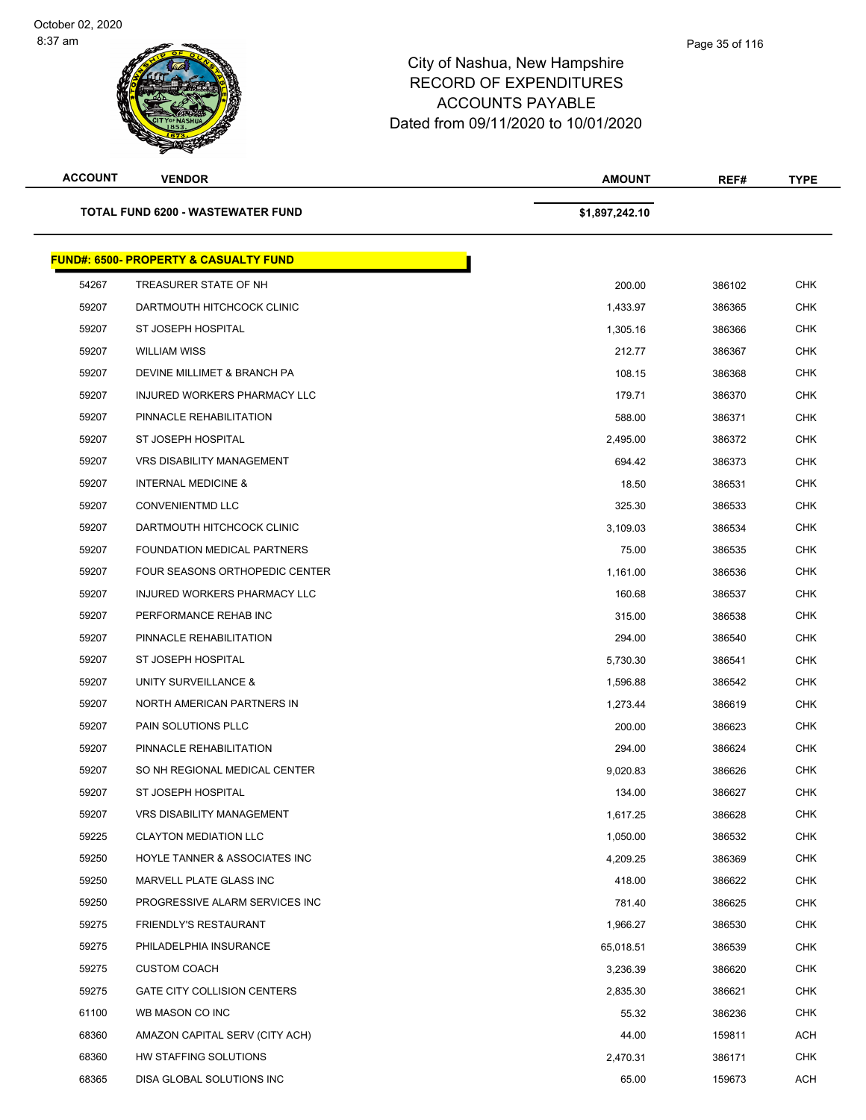| <b>ACCOUNT</b> | <b>VENDOR</b>                                    | <b>AMOUNT</b>  | REF#   | <b>TYPE</b> |
|----------------|--------------------------------------------------|----------------|--------|-------------|
|                | <b>TOTAL FUND 6200 - WASTEWATER FUND</b>         | \$1,897,242.10 |        |             |
|                | <b>FUND#: 6500- PROPERTY &amp; CASUALTY FUND</b> |                |        |             |
| 54267          | TREASURER STATE OF NH                            | 200.00         | 386102 | <b>CHK</b>  |
| 59207          | DARTMOUTH HITCHCOCK CLINIC                       | 1,433.97       | 386365 | <b>CHK</b>  |
| 59207          | ST JOSEPH HOSPITAL                               | 1,305.16       | 386366 | <b>CHK</b>  |
| 59207          | <b>WILLIAM WISS</b>                              | 212.77         | 386367 | <b>CHK</b>  |
| 59207          | DEVINE MILLIMET & BRANCH PA                      | 108.15         | 386368 | <b>CHK</b>  |
| 59207          | INJURED WORKERS PHARMACY LLC                     | 179.71         | 386370 | <b>CHK</b>  |
| 59207          | PINNACLE REHABILITATION                          | 588.00         | 386371 | <b>CHK</b>  |
| 59207          | ST JOSEPH HOSPITAL                               | 2,495.00       | 386372 | <b>CHK</b>  |
| 59207          | <b>VRS DISABILITY MANAGEMENT</b>                 | 694.42         | 386373 | <b>CHK</b>  |
| 59207          | <b>INTERNAL MEDICINE &amp;</b>                   | 18.50          | 386531 | <b>CHK</b>  |
| 59207          | <b>CONVENIENTMD LLC</b>                          | 325.30         | 386533 | <b>CHK</b>  |
| 59207          | DARTMOUTH HITCHCOCK CLINIC                       | 3,109.03       | 386534 | <b>CHK</b>  |
| 59207          | <b>FOUNDATION MEDICAL PARTNERS</b>               | 75.00          | 386535 | <b>CHK</b>  |
| 59207          | FOUR SEASONS ORTHOPEDIC CENTER                   | 1,161.00       | 386536 | <b>CHK</b>  |
| 59207          | INJURED WORKERS PHARMACY LLC                     | 160.68         | 386537 | <b>CHK</b>  |
| 59207          | PERFORMANCE REHAB INC                            | 315.00         | 386538 | <b>CHK</b>  |
| 59207          | PINNACLE REHABILITATION                          | 294.00         | 386540 | <b>CHK</b>  |
| 59207          | ST JOSEPH HOSPITAL                               | 5,730.30       | 386541 | <b>CHK</b>  |
| 59207          | UNITY SURVEILLANCE &                             | 1,596.88       | 386542 | <b>CHK</b>  |
| 59207          | NORTH AMERICAN PARTNERS IN                       | 1,273.44       | 386619 | <b>CHK</b>  |
| 59207          | PAIN SOLUTIONS PLLC                              | 200.00         | 386623 | <b>CHK</b>  |
| 59207          | PINNACLE REHABILITATION                          | 294.00         | 386624 | <b>CHK</b>  |
| 59207          | SO NH REGIONAL MEDICAL CENTER                    | 9.020.83       | 386626 | <b>CHK</b>  |
| 59207          | ST JOSEPH HOSPITAL                               | 134.00         | 386627 | <b>CHK</b>  |
| 59207          | <b>VRS DISABILITY MANAGEMENT</b>                 | 1,617.25       | 386628 | <b>CHK</b>  |
| 59225          | <b>CLAYTON MEDIATION LLC</b>                     | 1,050.00       | 386532 | <b>CHK</b>  |
| 59250          | HOYLE TANNER & ASSOCIATES INC                    | 4,209.25       | 386369 | CHK         |
| 59250          | MARVELL PLATE GLASS INC                          | 418.00         | 386622 | <b>CHK</b>  |
| 59250          | PROGRESSIVE ALARM SERVICES INC                   | 781.40         | 386625 | <b>CHK</b>  |
| 59275          | <b>FRIENDLY'S RESTAURANT</b>                     | 1,966.27       | 386530 | <b>CHK</b>  |
| 59275          | PHILADELPHIA INSURANCE                           | 65,018.51      | 386539 | <b>CHK</b>  |
| 59275          | <b>CUSTOM COACH</b>                              | 3,236.39       | 386620 | <b>CHK</b>  |
| 59275          | GATE CITY COLLISION CENTERS                      | 2,835.30       | 386621 | <b>CHK</b>  |
| 61100          | WB MASON CO INC                                  | 55.32          | 386236 | <b>CHK</b>  |
| 68360          | AMAZON CAPITAL SERV (CITY ACH)                   | 44.00          | 159811 | <b>ACH</b>  |
| 68360          | HW STAFFING SOLUTIONS                            | 2,470.31       | 386171 | <b>CHK</b>  |
| 68365          | DISA GLOBAL SOLUTIONS INC                        | 65.00          | 159673 | <b>ACH</b>  |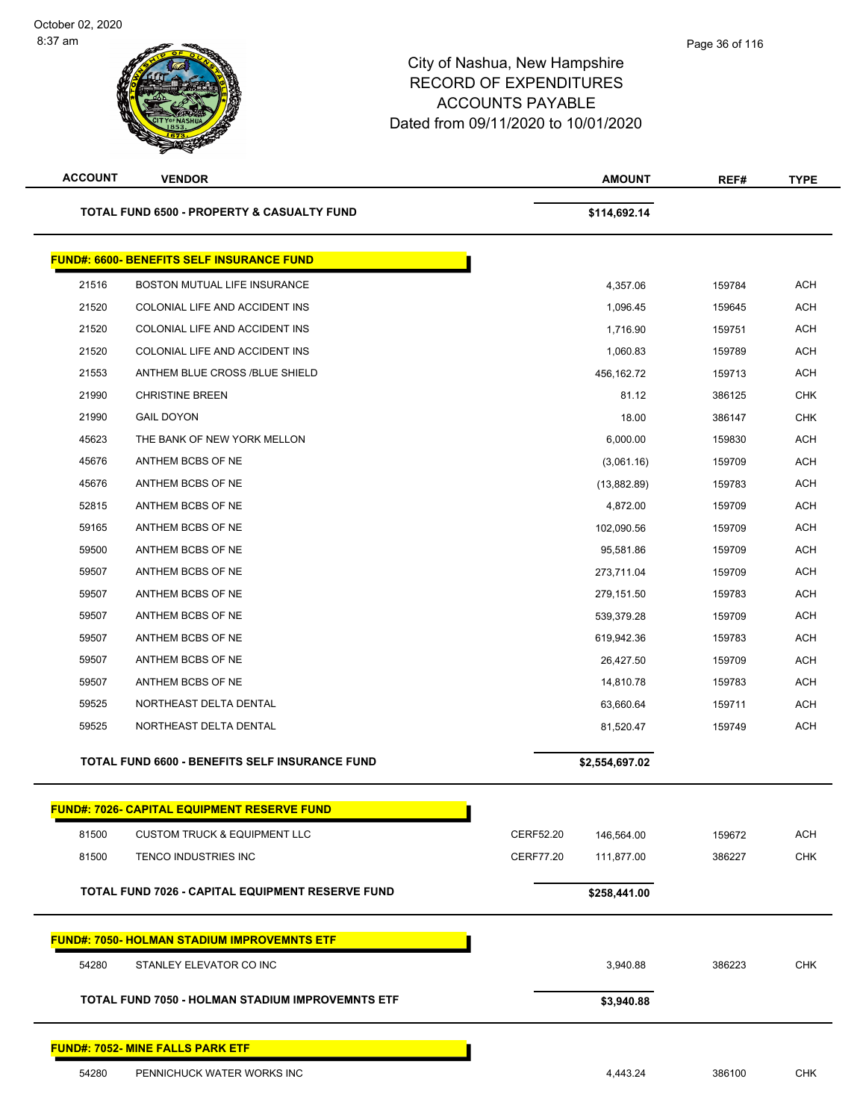| <b>ACCOUNT</b> | <b>VENDOR</b>                                         |                  | <b>AMOUNT</b>  | REF#   | <b>TYPE</b> |
|----------------|-------------------------------------------------------|------------------|----------------|--------|-------------|
|                | <b>TOTAL FUND 6500 - PROPERTY &amp; CASUALTY FUND</b> |                  | \$114,692.14   |        |             |
|                | <b>FUND#: 6600- BENEFITS SELF INSURANCE FUND</b>      |                  |                |        |             |
| 21516          | BOSTON MUTUAL LIFE INSURANCE                          |                  | 4,357.06       | 159784 | <b>ACH</b>  |
| 21520          | COLONIAL LIFE AND ACCIDENT INS                        |                  | 1,096.45       | 159645 | <b>ACH</b>  |
| 21520          | COLONIAL LIFE AND ACCIDENT INS                        |                  | 1,716.90       | 159751 | <b>ACH</b>  |
| 21520          | COLONIAL LIFE AND ACCIDENT INS                        |                  | 1,060.83       | 159789 | <b>ACH</b>  |
| 21553          | ANTHEM BLUE CROSS /BLUE SHIELD                        |                  | 456,162.72     | 159713 | <b>ACH</b>  |
| 21990          | <b>CHRISTINE BREEN</b>                                |                  | 81.12          | 386125 | <b>CHK</b>  |
| 21990          | <b>GAIL DOYON</b>                                     |                  | 18.00          | 386147 | <b>CHK</b>  |
| 45623          | THE BANK OF NEW YORK MELLON                           |                  | 6,000.00       | 159830 | <b>ACH</b>  |
| 45676          | ANTHEM BCBS OF NE                                     |                  | (3,061.16)     | 159709 | <b>ACH</b>  |
| 45676          | ANTHEM BCBS OF NE                                     |                  | (13,882.89)    | 159783 | <b>ACH</b>  |
| 52815          | ANTHEM BCBS OF NE                                     |                  | 4,872.00       | 159709 | <b>ACH</b>  |
| 59165          | ANTHEM BCBS OF NE                                     |                  | 102,090.56     | 159709 | <b>ACH</b>  |
| 59500          | ANTHEM BCBS OF NE                                     |                  | 95,581.86      | 159709 | <b>ACH</b>  |
| 59507          | ANTHEM BCBS OF NE                                     |                  | 273,711.04     | 159709 | <b>ACH</b>  |
| 59507          | ANTHEM BCBS OF NE                                     |                  | 279,151.50     | 159783 | <b>ACH</b>  |
| 59507          | ANTHEM BCBS OF NE                                     |                  | 539,379.28     | 159709 | <b>ACH</b>  |
| 59507          | ANTHEM BCBS OF NE                                     |                  | 619,942.36     | 159783 | <b>ACH</b>  |
| 59507          | ANTHEM BCBS OF NE                                     |                  | 26,427.50      | 159709 | <b>ACH</b>  |
| 59507          | ANTHEM BCBS OF NE                                     |                  | 14,810.78      | 159783 | <b>ACH</b>  |
| 59525          | NORTHEAST DELTA DENTAL                                |                  | 63,660.64      | 159711 | <b>ACH</b>  |
| 59525          | NORTHEAST DELTA DENTAL                                |                  | 81,520.47      | 159749 | <b>ACH</b>  |
|                | <b>TOTAL FUND 6600 - BENEFITS SELF INSURANCE FUND</b> |                  | \$2,554,697.02 |        |             |
|                | FUND#: 7026- CAPITAL EQUIPMENT RESERVE FUND           |                  |                |        |             |
| 81500          | <b>CUSTOM TRUCK &amp; EQUIPMENT LLC</b>               | CERF52.20        | 146,564.00     | 159672 | <b>ACH</b>  |
| 81500          | TENCO INDUSTRIES INC                                  | <b>CERF77.20</b> | 111,877.00     | 386227 | <b>CHK</b>  |
|                | TOTAL FUND 7026 - CAPITAL EQUIPMENT RESERVE FUND      |                  | \$258,441.00   |        |             |
|                | <b>FUND#: 7050- HOLMAN STADIUM IMPROVEMNTS ETF</b>    |                  |                |        |             |
| 54280          | STANLEY ELEVATOR CO INC                               |                  | 3,940.88       | 386223 | <b>CHK</b>  |
|                | TOTAL FUND 7050 - HOLMAN STADIUM IMPROVEMNTS ETF      |                  | \$3,940.88     |        |             |
|                | <b>FUND#: 7052- MINE FALLS PARK ETF</b>               |                  |                |        |             |
| 54280          | PENNICHUCK WATER WORKS INC                            |                  | 4,443.24       | 386100 | <b>CHK</b>  |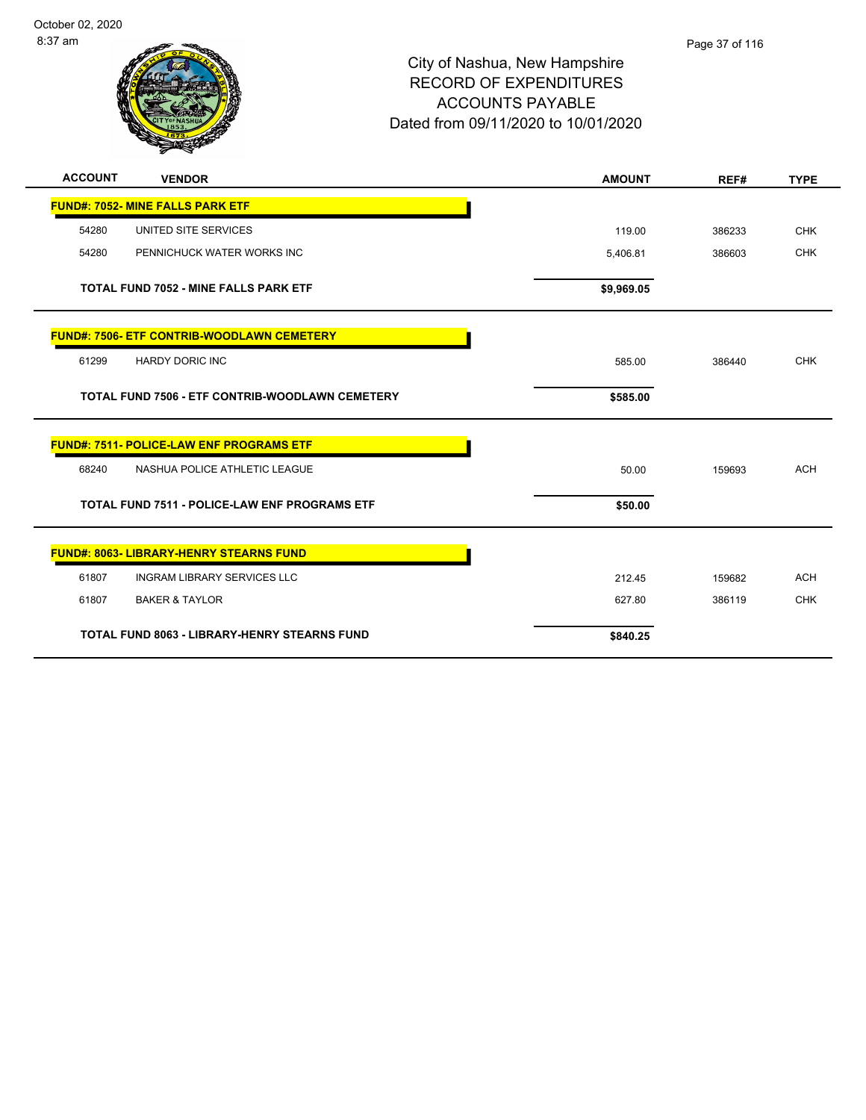

# City of Nashua, New Hampshire RECORD OF EXPENDITURES ACCOUNTS PAYABLE Dated from 09/11/2020 to 10/01/2020

| <b>ACCOUNT</b> | <b>VENDOR</b>                                          | <b>AMOUNT</b> | REF#   | <b>TYPE</b> |
|----------------|--------------------------------------------------------|---------------|--------|-------------|
|                | <b>FUND#: 7052- MINE FALLS PARK ETF</b>                |               |        |             |
| 54280          | UNITED SITE SERVICES                                   | 119.00        | 386233 | <b>CHK</b>  |
| 54280          | PENNICHUCK WATER WORKS INC                             | 5,406.81      | 386603 | <b>CHK</b>  |
|                | <b>TOTAL FUND 7052 - MINE FALLS PARK ETF</b>           | \$9,969.05    |        |             |
|                | <b>FUND#: 7506- ETF CONTRIB-WOODLAWN CEMETERY</b>      |               |        |             |
| 61299          | <b>HARDY DORIC INC</b>                                 | 585.00        | 386440 | <b>CHK</b>  |
|                | <b>TOTAL FUND 7506 - ETF CONTRIB-WOODLAWN CEMETERY</b> | \$585.00      |        |             |
|                | <b>FUND#: 7511- POLICE-LAW ENF PROGRAMS ETF</b>        |               |        |             |
| 68240          | NASHUA POLICE ATHLETIC LEAGUE                          | 50.00         | 159693 | <b>ACH</b>  |
|                | <b>TOTAL FUND 7511 - POLICE-LAW ENF PROGRAMS ETF</b>   | \$50.00       |        |             |
|                | <b>FUND#: 8063- LIBRARY-HENRY STEARNS FUND</b>         |               |        |             |
| 61807          | <b>INGRAM LIBRARY SERVICES LLC</b>                     | 212.45        | 159682 | <b>ACH</b>  |
| 61807          | <b>BAKER &amp; TAYLOR</b>                              | 627.80        | 386119 | <b>CHK</b>  |
|                | <b>TOTAL FUND 8063 - LIBRARY-HENRY STEARNS FUND</b>    | \$840.25      |        |             |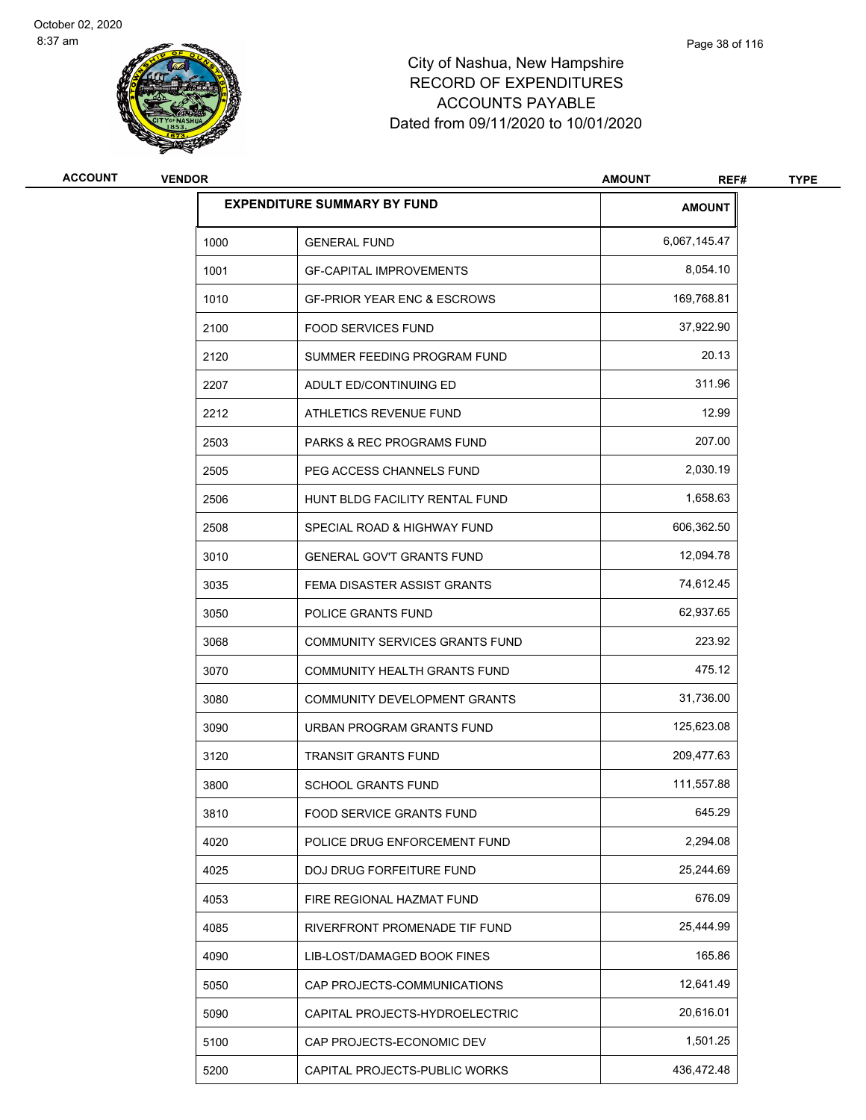

# City of Nashua, New Hampshire RECORD OF EXPENDITURES ACCOUNTS PAYABLE Dated from 09/11/2020 to 10/01/2020

| <b>ACCOUNT</b> | <b>VENDOR</b> |                                        | <b>AMOUNT</b><br>REF# | <b>TYPE</b> |
|----------------|---------------|----------------------------------------|-----------------------|-------------|
|                |               | <b>EXPENDITURE SUMMARY BY FUND</b>     | <b>AMOUNT</b>         |             |
|                | 1000          | <b>GENERAL FUND</b>                    | 6,067,145.47          |             |
|                | 1001          | <b>GF-CAPITAL IMPROVEMENTS</b>         | 8,054.10              |             |
|                | 1010          | <b>GF-PRIOR YEAR ENC &amp; ESCROWS</b> | 169,768.81            |             |
|                | 2100          | <b>FOOD SERVICES FUND</b>              | 37,922.90             |             |
|                | 2120          | SUMMER FEEDING PROGRAM FUND            | 20.13                 |             |
|                | 2207          | ADULT ED/CONTINUING ED                 | 311.96                |             |
|                | 2212          | ATHLETICS REVENUE FUND                 | 12.99                 |             |
|                | 2503          | PARKS & REC PROGRAMS FUND              | 207.00                |             |
|                | 2505          | PEG ACCESS CHANNELS FUND               | 2,030.19              |             |
|                | 2506          | HUNT BLDG FACILITY RENTAL FUND         | 1,658.63              |             |
|                | 2508          | SPECIAL ROAD & HIGHWAY FUND            | 606,362.50            |             |
|                | 3010          | <b>GENERAL GOV'T GRANTS FUND</b>       | 12,094.78             |             |
|                | 3035          | FEMA DISASTER ASSIST GRANTS            | 74,612.45             |             |
|                | 3050          | POLICE GRANTS FUND                     | 62,937.65             |             |
|                | 3068          | COMMUNITY SERVICES GRANTS FUND         | 223.92                |             |
|                | 3070          | COMMUNITY HEALTH GRANTS FUND           | 475.12                |             |
|                | 3080          | COMMUNITY DEVELOPMENT GRANTS           | 31,736.00             |             |
|                | 3090          | URBAN PROGRAM GRANTS FUND              | 125,623.08            |             |
|                | 3120          | <b>TRANSIT GRANTS FUND</b>             | 209,477.63            |             |
|                | 3800          | <b>SCHOOL GRANTS FUND</b>              | 111,557.88            |             |
|                | 3810          | FOOD SERVICE GRANTS FUND               | 645.29                |             |
|                | 4020          | POLICE DRUG ENFORCEMENT FUND           | 2,294.08              |             |
|                | 4025          | DOJ DRUG FORFEITURE FUND               | 25,244.69             |             |
|                | 4053          | FIRE REGIONAL HAZMAT FUND              | 676.09                |             |
|                | 4085          | RIVERFRONT PROMENADE TIF FUND          | 25,444.99             |             |
|                | 4090          | LIB-LOST/DAMAGED BOOK FINES            | 165.86                |             |
|                | 5050          | CAP PROJECTS-COMMUNICATIONS            | 12,641.49             |             |
|                | 5090          | CAPITAL PROJECTS-HYDROELECTRIC         | 20,616.01             |             |
|                | 5100          | CAP PROJECTS-ECONOMIC DEV              | 1,501.25              |             |
|                | 5200          | CAPITAL PROJECTS-PUBLIC WORKS          | 436,472.48            |             |
|                |               |                                        |                       |             |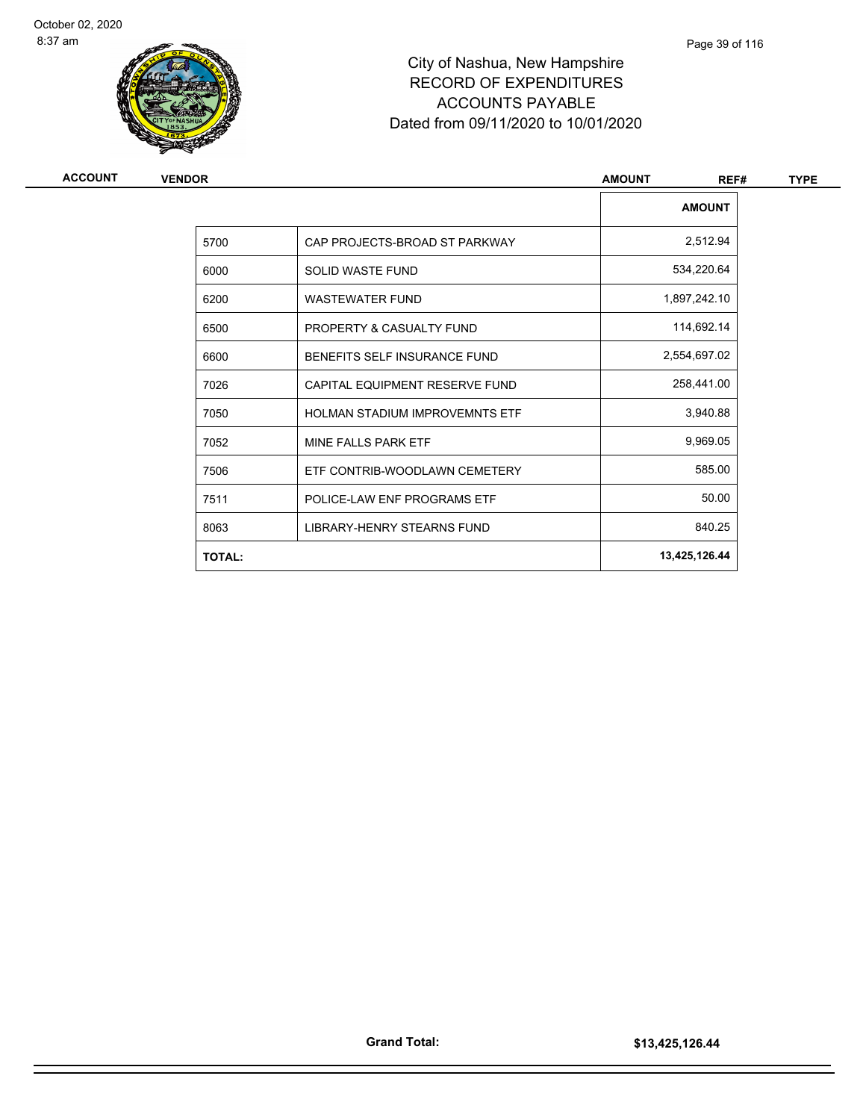

# City of Nashua, New Hampshire RECORD OF EXPENDITURES ACCOUNTS PAYABLE Dated from 09/11/2020 to 10/01/2020

| <b>ACCOUNT</b> | <b>VENDOR</b> |                                       | <b>AMOUNT</b><br>REF# | <b>TYPE</b> |
|----------------|---------------|---------------------------------------|-----------------------|-------------|
|                |               |                                       | <b>AMOUNT</b>         |             |
|                | 5700          | CAP PROJECTS-BROAD ST PARKWAY         | 2,512.94              |             |
|                | 6000          | <b>SOLID WASTE FUND</b>               | 534,220.64            |             |
|                | 6200          | <b>WASTEWATER FUND</b>                | 1,897,242.10          |             |
|                | 6500          | PROPERTY & CASUALTY FUND              | 114,692.14            |             |
|                | 6600          | BENEFITS SELF INSURANCE FUND          | 2,554,697.02          |             |
|                | 7026          | CAPITAL EQUIPMENT RESERVE FUND        | 258,441.00            |             |
|                | 7050          | <b>HOLMAN STADIUM IMPROVEMNTS ETF</b> | 3,940.88              |             |
|                | 7052          | MINE FALLS PARK ETF                   | 9,969.05              |             |
|                | 7506          | ETF CONTRIB-WOODLAWN CEMETERY         | 585.00                |             |
|                | 7511          | POLICE-LAW ENF PROGRAMS ETF           | 50.00                 |             |
|                | 8063          | LIBRARY-HENRY STEARNS FUND            | 840.25                |             |
|                | <b>TOTAL:</b> |                                       | 13,425,126.44         |             |
|                |               |                                       |                       |             |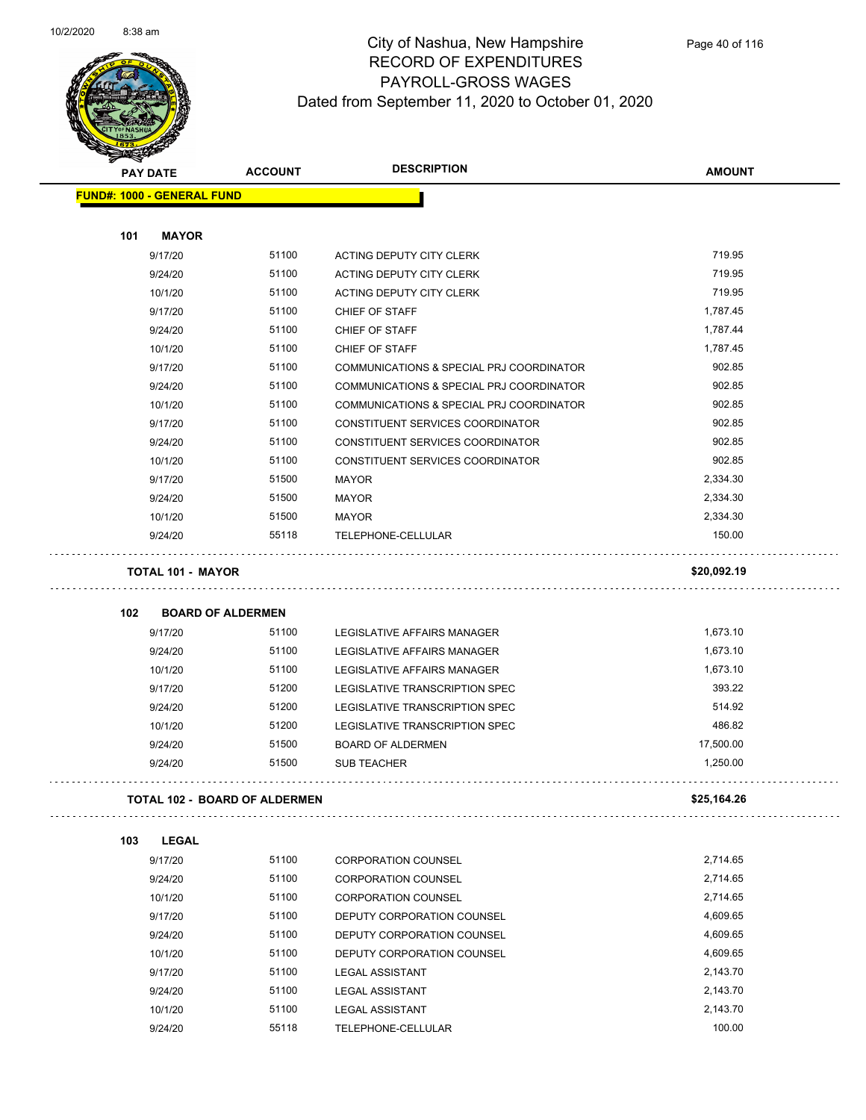

| $\tilde{\phantom{a}}$ | <b>PAY DATE</b>                   | <b>ACCOUNT</b>                | <b>DESCRIPTION</b>                       | <b>AMOUNT</b> |
|-----------------------|-----------------------------------|-------------------------------|------------------------------------------|---------------|
|                       | <b>FUND#: 1000 - GENERAL FUND</b> |                               |                                          |               |
|                       |                                   |                               |                                          |               |
| 101                   | <b>MAYOR</b>                      |                               |                                          |               |
|                       | 9/17/20                           | 51100                         | ACTING DEPUTY CITY CLERK                 | 719.95        |
|                       | 9/24/20                           | 51100                         | ACTING DEPUTY CITY CLERK                 | 719.95        |
|                       | 10/1/20                           | 51100                         | ACTING DEPUTY CITY CLERK                 | 719.95        |
|                       | 9/17/20                           | 51100                         | CHIEF OF STAFF                           | 1,787.45      |
|                       | 9/24/20                           | 51100                         | CHIEF OF STAFF                           | 1,787.44      |
|                       | 10/1/20                           | 51100                         | CHIEF OF STAFF                           | 1,787.45      |
|                       | 9/17/20                           | 51100                         | COMMUNICATIONS & SPECIAL PRJ COORDINATOR | 902.85        |
|                       | 9/24/20                           | 51100                         | COMMUNICATIONS & SPECIAL PRJ COORDINATOR | 902.85        |
|                       | 10/1/20                           | 51100                         | COMMUNICATIONS & SPECIAL PRJ COORDINATOR | 902.85        |
|                       | 9/17/20                           | 51100                         | CONSTITUENT SERVICES COORDINATOR         | 902.85        |
|                       | 9/24/20                           | 51100                         | CONSTITUENT SERVICES COORDINATOR         | 902.85        |
|                       | 10/1/20                           | 51100                         | CONSTITUENT SERVICES COORDINATOR         | 902.85        |
|                       | 9/17/20                           | 51500                         | <b>MAYOR</b>                             | 2,334.30      |
|                       | 9/24/20                           | 51500                         | <b>MAYOR</b>                             | 2,334.30      |
|                       | 10/1/20                           | 51500                         | <b>MAYOR</b>                             | 2,334.30      |
|                       | 9/24/20                           | 55118                         | TELEPHONE-CELLULAR                       | 150.00        |
|                       | <b>TOTAL 101 - MAYOR</b>          |                               |                                          | \$20,092.19   |
| 102                   |                                   | <b>BOARD OF ALDERMEN</b>      |                                          |               |
|                       | 9/17/20                           | 51100                         | LEGISLATIVE AFFAIRS MANAGER              | 1,673.10      |
|                       | 9/24/20                           | 51100                         | LEGISLATIVE AFFAIRS MANAGER              | 1,673.10      |
|                       | 10/1/20                           | 51100                         | LEGISLATIVE AFFAIRS MANAGER              | 1,673.10      |
|                       | 9/17/20                           | 51200                         | LEGISLATIVE TRANSCRIPTION SPEC           | 393.22        |
|                       | 9/24/20                           | 51200                         | LEGISLATIVE TRANSCRIPTION SPEC           | 514.92        |
|                       | 10/1/20                           | 51200                         | LEGISLATIVE TRANSCRIPTION SPEC           | 486.82        |
|                       | 9/24/20                           | 51500                         | <b>BOARD OF ALDERMEN</b>                 | 17,500.00     |
|                       | 9/24/20                           | 51500                         | <b>SUB TEACHER</b>                       | 1,250.00      |
|                       |                                   | TOTAL 102 - BOARD OF ALDERMEN |                                          | \$25,164.26   |
|                       |                                   |                               |                                          |               |
| 103                   | <b>LEGAL</b>                      |                               |                                          |               |
|                       | 9/17/20                           | 51100                         | <b>CORPORATION COUNSEL</b>               | 2,714.65      |
|                       | 9/24/20                           | 51100                         | <b>CORPORATION COUNSEL</b>               | 2,714.65      |
|                       | 10/1/20                           | 51100                         | <b>CORPORATION COUNSEL</b>               | 2,714.65      |
|                       | 9/17/20                           | 51100                         | DEPUTY CORPORATION COUNSEL               | 4,609.65      |
|                       | 9/24/20                           | 51100                         | DEPUTY CORPORATION COUNSEL               | 4,609.65      |
|                       | 10/1/20                           | 51100                         | DEPUTY CORPORATION COUNSEL               | 4,609.65      |
|                       | 9/17/20                           | 51100                         | <b>LEGAL ASSISTANT</b>                   | 2,143.70      |
|                       | 9/24/20                           | 51100                         | <b>LEGAL ASSISTANT</b>                   | 2,143.70      |
|                       | 10/1/20                           | 51100                         | <b>LEGAL ASSISTANT</b>                   | 2,143.70      |

9/24/20 55118 TELEPHONE-CELLULAR 100.00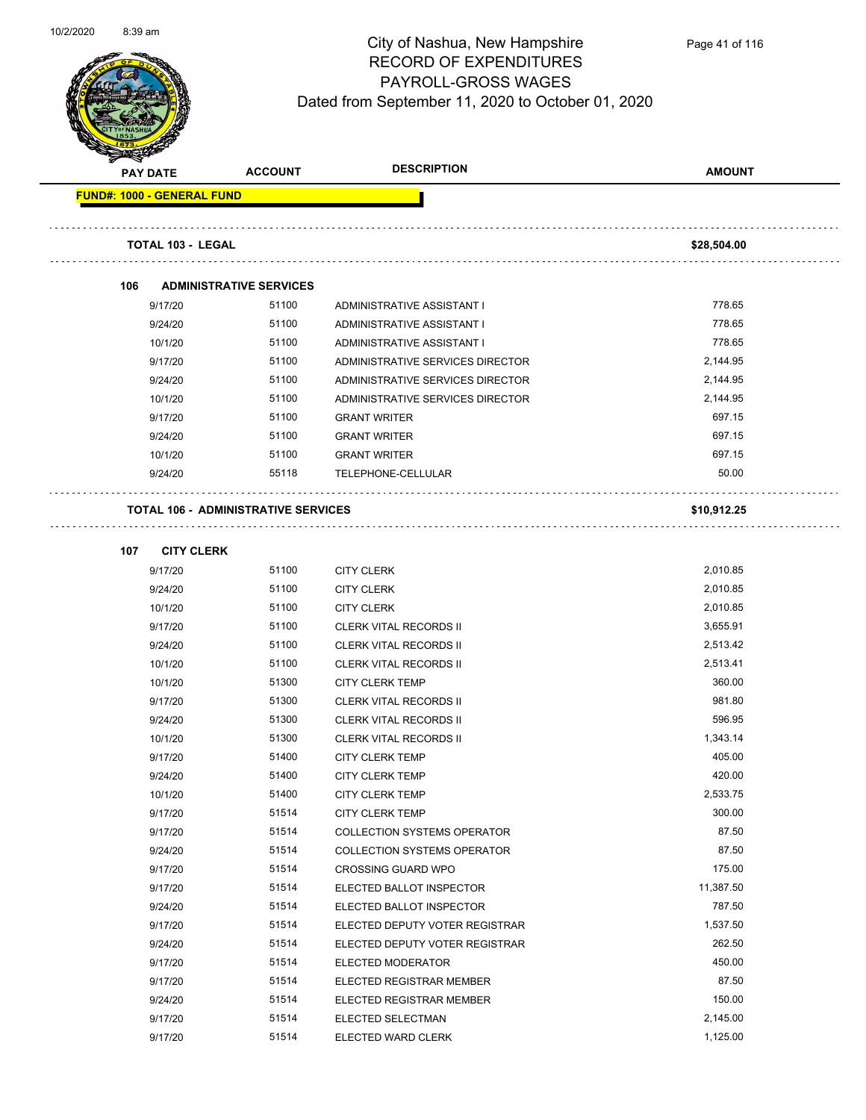

| <b>Survivor</b><br><b>PAY DATE</b> | <b>ACCOUNT</b>                             | <b>DESCRIPTION</b>                                           | <b>AMOUNT</b>      |
|------------------------------------|--------------------------------------------|--------------------------------------------------------------|--------------------|
| FUND#: 1000 - GENERAL FUND         |                                            |                                                              |                    |
|                                    |                                            |                                                              |                    |
| <b>TOTAL 103 - LEGAL</b>           |                                            |                                                              | \$28,504.00        |
| 106                                | <b>ADMINISTRATIVE SERVICES</b>             |                                                              |                    |
| 9/17/20                            | 51100                                      | ADMINISTRATIVE ASSISTANT I                                   | 778.65             |
| 9/24/20                            | 51100                                      | ADMINISTRATIVE ASSISTANT I                                   | 778.65             |
| 10/1/20                            | 51100                                      | ADMINISTRATIVE ASSISTANT I                                   | 778.65             |
| 9/17/20                            | 51100                                      | ADMINISTRATIVE SERVICES DIRECTOR                             | 2,144.95           |
| 9/24/20                            | 51100                                      | ADMINISTRATIVE SERVICES DIRECTOR                             | 2,144.95           |
| 10/1/20                            | 51100                                      | ADMINISTRATIVE SERVICES DIRECTOR                             | 2,144.95           |
| 9/17/20                            | 51100                                      | <b>GRANT WRITER</b>                                          | 697.15             |
| 9/24/20                            | 51100                                      | <b>GRANT WRITER</b>                                          | 697.15             |
| 10/1/20                            | 51100                                      | <b>GRANT WRITER</b>                                          | 697.15             |
| 9/24/20                            | 55118                                      | TELEPHONE-CELLULAR                                           | 50.00              |
|                                    | <b>TOTAL 106 - ADMINISTRATIVE SERVICES</b> |                                                              | \$10,912.25        |
|                                    |                                            |                                                              |                    |
| <b>CITY CLERK</b><br>107           |                                            |                                                              |                    |
| 9/17/20                            | 51100                                      | <b>CITY CLERK</b>                                            | 2,010.85           |
| 9/24/20                            | 51100                                      | <b>CITY CLERK</b>                                            | 2,010.85           |
| 10/1/20                            | 51100                                      | <b>CITY CLERK</b>                                            | 2,010.85           |
| 9/17/20                            | 51100                                      | <b>CLERK VITAL RECORDS II</b>                                | 3,655.91           |
| 9/24/20                            | 51100                                      | <b>CLERK VITAL RECORDS II</b>                                | 2,513.42           |
| 10/1/20                            | 51100                                      | <b>CLERK VITAL RECORDS II</b>                                | 2,513.41           |
| 10/1/20                            | 51300                                      | <b>CITY CLERK TEMP</b>                                       | 360.00             |
| 9/17/20                            | 51300                                      | <b>CLERK VITAL RECORDS II</b>                                | 981.80             |
| 9/24/20                            | 51300                                      | <b>CLERK VITAL RECORDS II</b>                                | 596.95             |
| 10/1/20                            | 51300                                      | <b>CLERK VITAL RECORDS II</b>                                | 1,343.14           |
| 9/17/20                            | 51400                                      | <b>CITY CLERK TEMP</b>                                       | 405.00             |
| 9/24/20                            | 51400                                      | <b>CITY CLERK TEMP</b>                                       | 420.00             |
| 10/1/20                            | 51400<br>51514                             | <b>CITY CLERK TEMP</b>                                       | 2,533.75<br>300.00 |
| 9/17/20<br>9/17/20                 | 51514                                      | <b>CITY CLERK TEMP</b><br><b>COLLECTION SYSTEMS OPERATOR</b> | 87.50              |
| 9/24/20                            | 51514                                      | <b>COLLECTION SYSTEMS OPERATOR</b>                           | 87.50              |
| 9/17/20                            | 51514                                      | <b>CROSSING GUARD WPO</b>                                    | 175.00             |
| 9/17/20                            | 51514                                      | ELECTED BALLOT INSPECTOR                                     | 11,387.50          |
| 9/24/20                            | 51514                                      | ELECTED BALLOT INSPECTOR                                     | 787.50             |
| 9/17/20                            | 51514                                      | ELECTED DEPUTY VOTER REGISTRAR                               | 1,537.50           |
| 9/24/20                            | 51514                                      | ELECTED DEPUTY VOTER REGISTRAR                               | 262.50             |
| 9/17/20                            | 51514                                      | ELECTED MODERATOR                                            | 450.00             |
| 9/17/20                            | 51514                                      | ELECTED REGISTRAR MEMBER                                     | 87.50              |
| 9/24/20                            | 51514                                      | ELECTED REGISTRAR MEMBER                                     | 150.00             |
| 9/17/20                            | 51514                                      | ELECTED SELECTMAN                                            | 2,145.00           |
| 9/17/20                            | 51514                                      | ELECTED WARD CLERK                                           | 1,125.00           |
|                                    |                                            |                                                              |                    |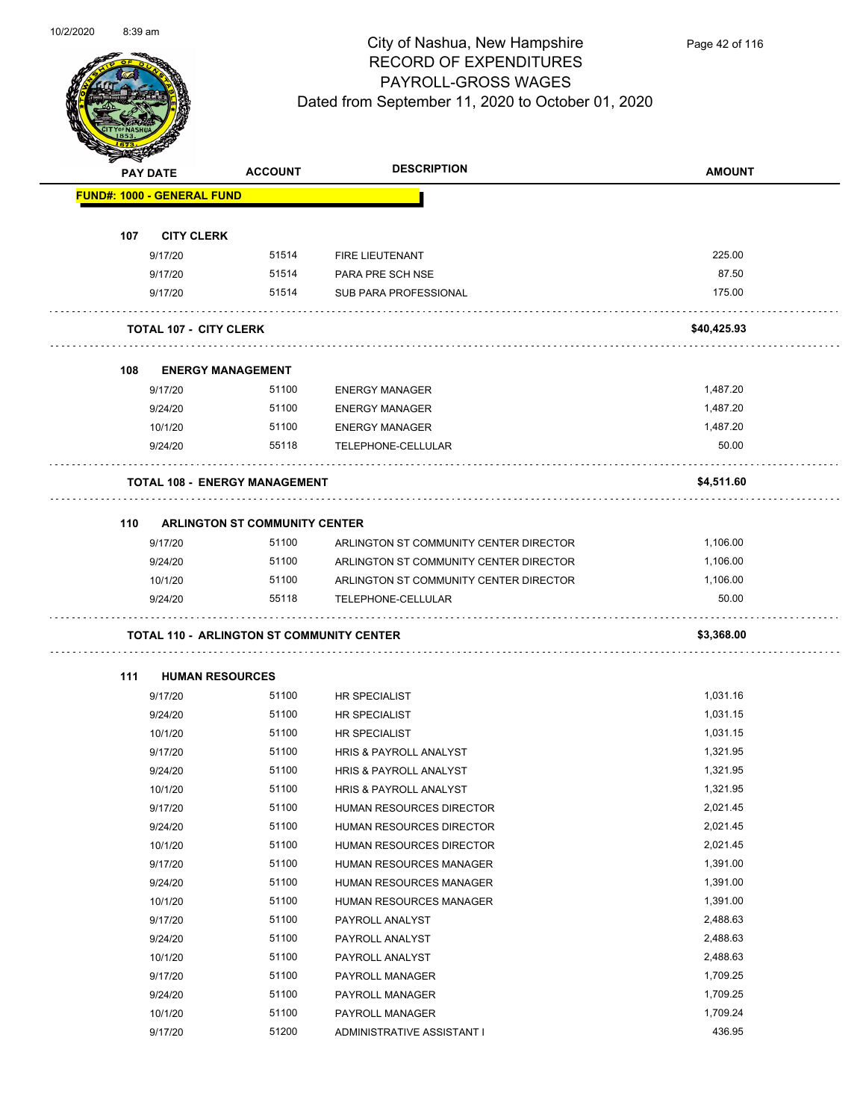

| <b>Antarchie</b> |                                                  |                                      | <b>DESCRIPTION</b>                     |               |
|------------------|--------------------------------------------------|--------------------------------------|----------------------------------------|---------------|
|                  | <b>PAY DATE</b>                                  | <b>ACCOUNT</b>                       |                                        | <b>AMOUNT</b> |
|                  | <b>FUND#: 1000 - GENERAL FUND</b>                |                                      |                                        |               |
|                  |                                                  |                                      |                                        |               |
| 107              | <b>CITY CLERK</b>                                |                                      |                                        |               |
|                  | 9/17/20                                          | 51514                                | FIRE LIEUTENANT                        | 225.00        |
|                  | 9/17/20                                          | 51514                                | PARA PRE SCH NSE                       | 87.50         |
|                  | 9/17/20                                          | 51514                                | SUB PARA PROFESSIONAL                  | 175.00        |
|                  |                                                  |                                      |                                        |               |
|                  | <b>TOTAL 107 - CITY CLERK</b>                    |                                      |                                        | \$40,425.93   |
| 108              | <b>ENERGY MANAGEMENT</b>                         |                                      |                                        |               |
|                  | 9/17/20                                          | 51100                                | <b>ENERGY MANAGER</b>                  | 1,487.20      |
|                  | 9/24/20                                          | 51100                                | <b>ENERGY MANAGER</b>                  | 1,487.20      |
|                  | 10/1/20                                          | 51100                                | <b>ENERGY MANAGER</b>                  | 1,487.20      |
|                  | 9/24/20                                          | 55118                                | TELEPHONE-CELLULAR                     | 50.00         |
|                  |                                                  |                                      |                                        |               |
|                  | <b>TOTAL 108 - ENERGY MANAGEMENT</b>             |                                      |                                        | \$4,511.60    |
|                  |                                                  |                                      |                                        |               |
| 110              |                                                  | <b>ARLINGTON ST COMMUNITY CENTER</b> |                                        |               |
|                  | 9/17/20                                          | 51100                                | ARLINGTON ST COMMUNITY CENTER DIRECTOR | 1,106.00      |
|                  | 9/24/20                                          | 51100                                | ARLINGTON ST COMMUNITY CENTER DIRECTOR | 1,106.00      |
|                  | 10/1/20                                          | 51100                                | ARLINGTON ST COMMUNITY CENTER DIRECTOR | 1,106.00      |
|                  | 9/24/20                                          | 55118                                | TELEPHONE-CELLULAR                     | 50.00         |
|                  | <b>TOTAL 110 - ARLINGTON ST COMMUNITY CENTER</b> |                                      |                                        | \$3,368.00    |
|                  |                                                  |                                      |                                        |               |
| 111              | <b>HUMAN RESOURCES</b>                           |                                      |                                        |               |
|                  | 9/17/20                                          | 51100                                | <b>HR SPECIALIST</b>                   | 1,031.16      |
|                  | 9/24/20                                          | 51100                                | <b>HR SPECIALIST</b>                   | 1,031.15      |
|                  | 10/1/20                                          | 51100                                | <b>HR SPECIALIST</b>                   | 1,031.15      |
|                  | 9/17/20                                          | 51100                                | HRIS & PAYROLL ANALYST                 | 1,321.95      |
|                  | 9/24/20                                          | 51100                                | HRIS & PAYROLL ANALYST                 | 1,321.95      |
|                  | 10/1/20                                          | 51100                                | HRIS & PAYROLL ANALYST                 | 1,321.95      |
|                  | 9/17/20                                          | 51100                                | HUMAN RESOURCES DIRECTOR               | 2,021.45      |
|                  | 9/24/20                                          | 51100                                | HUMAN RESOURCES DIRECTOR               | 2,021.45      |
|                  | 10/1/20                                          | 51100                                | HUMAN RESOURCES DIRECTOR               | 2,021.45      |
|                  | 9/17/20                                          | 51100                                | HUMAN RESOURCES MANAGER                | 1,391.00      |
|                  | 9/24/20                                          | 51100                                | HUMAN RESOURCES MANAGER                | 1,391.00      |
|                  | 10/1/20                                          | 51100                                | HUMAN RESOURCES MANAGER                | 1,391.00      |
|                  | 9/17/20                                          | 51100                                | PAYROLL ANALYST                        | 2,488.63      |
|                  | 9/24/20                                          | 51100                                | PAYROLL ANALYST                        | 2,488.63      |
|                  | 10/1/20                                          | 51100                                | PAYROLL ANALYST                        | 2,488.63      |
|                  | 9/17/20                                          | 51100                                | PAYROLL MANAGER                        | 1,709.25      |
|                  | 9/24/20                                          | 51100                                | PAYROLL MANAGER                        | 1,709.25      |
|                  | 10/1/20                                          | 51100                                | PAYROLL MANAGER                        | 1,709.24      |
|                  | 9/17/20                                          | 51200                                | ADMINISTRATIVE ASSISTANT I             | 436.95        |
|                  |                                                  |                                      |                                        |               |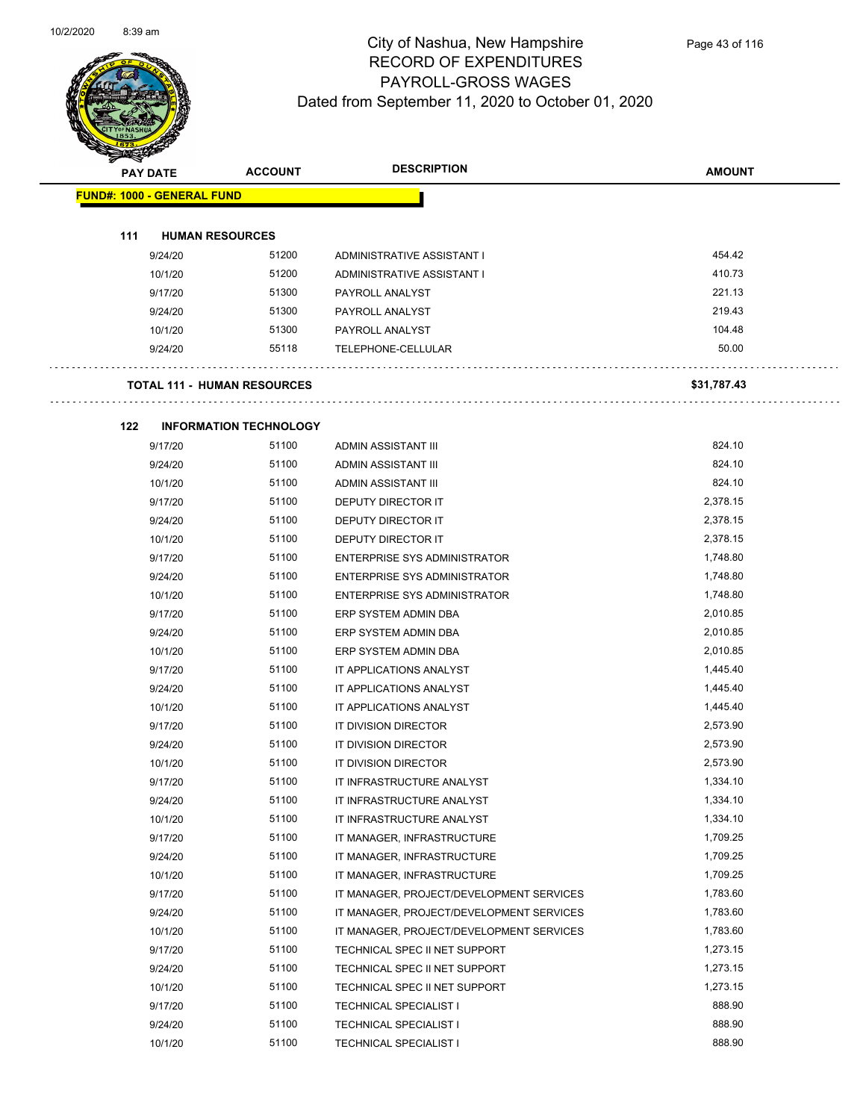

| <b>PAY DATE</b>                   | <b>ACCOUNT</b>                     | <b>DESCRIPTION</b>                       | <b>AMOUNT</b> |  |
|-----------------------------------|------------------------------------|------------------------------------------|---------------|--|
| <b>FUND#: 1000 - GENERAL FUND</b> |                                    |                                          |               |  |
|                                   |                                    |                                          |               |  |
| 111                               | <b>HUMAN RESOURCES</b>             |                                          |               |  |
| 9/24/20                           | 51200                              | ADMINISTRATIVE ASSISTANT I               | 454.42        |  |
| 10/1/20                           | 51200                              | ADMINISTRATIVE ASSISTANT I               | 410.73        |  |
| 9/17/20                           | 51300                              | PAYROLL ANALYST                          | 221.13        |  |
| 9/24/20                           | 51300                              | PAYROLL ANALYST                          | 219.43        |  |
| 10/1/20                           | 51300                              | PAYROLL ANALYST                          | 104.48        |  |
| 9/24/20                           | 55118                              | <b>TELEPHONE-CELLULAR</b>                | 50.00         |  |
|                                   |                                    |                                          |               |  |
|                                   | <b>TOTAL 111 - HUMAN RESOURCES</b> |                                          | \$31,787.43   |  |
|                                   |                                    |                                          |               |  |
| 122                               | <b>INFORMATION TECHNOLOGY</b>      |                                          |               |  |
| 9/17/20                           | 51100                              | <b>ADMIN ASSISTANT III</b>               | 824.10        |  |
| 9/24/20                           | 51100                              | <b>ADMIN ASSISTANT III</b>               | 824.10        |  |
| 10/1/20                           | 51100                              | ADMIN ASSISTANT III                      | 824.10        |  |
| 9/17/20                           | 51100                              | DEPUTY DIRECTOR IT                       | 2,378.15      |  |
| 9/24/20                           | 51100                              | <b>DEPUTY DIRECTOR IT</b>                | 2,378.15      |  |
| 10/1/20                           | 51100                              | DEPUTY DIRECTOR IT                       | 2,378.15      |  |
| 9/17/20                           | 51100                              | <b>ENTERPRISE SYS ADMINISTRATOR</b>      | 1,748.80      |  |
| 9/24/20                           | 51100                              | ENTERPRISE SYS ADMINISTRATOR             | 1,748.80      |  |
| 10/1/20                           | 51100                              | <b>ENTERPRISE SYS ADMINISTRATOR</b>      | 1,748.80      |  |
| 9/17/20                           | 51100                              | ERP SYSTEM ADMIN DBA                     | 2,010.85      |  |
| 9/24/20                           | 51100                              | ERP SYSTEM ADMIN DBA                     | 2,010.85      |  |
| 10/1/20                           | 51100                              | ERP SYSTEM ADMIN DBA                     | 2,010.85      |  |
| 9/17/20                           | 51100                              | IT APPLICATIONS ANALYST                  | 1,445.40      |  |
| 9/24/20                           | 51100                              | IT APPLICATIONS ANALYST                  | 1,445.40      |  |
| 10/1/20                           | 51100                              | IT APPLICATIONS ANALYST                  | 1,445.40      |  |
| 9/17/20                           | 51100                              | IT DIVISION DIRECTOR                     | 2,573.90      |  |
| 9/24/20                           | 51100                              | IT DIVISION DIRECTOR                     | 2,573.90      |  |
| 10/1/20                           | 51100                              | IT DIVISION DIRECTOR                     | 2,573.90      |  |
| 9/17/20                           | 51100                              | IT INFRASTRUCTURE ANALYST                | 1,334.10      |  |
| 9/24/20                           | 51100                              | IT INFRASTRUCTURE ANALYST                | 1,334.10      |  |
| 10/1/20                           | 51100                              | IT INFRASTRUCTURE ANALYST                | 1,334.10      |  |
| 9/17/20                           | 51100                              | IT MANAGER, INFRASTRUCTURE               | 1,709.25      |  |
| 9/24/20                           | 51100                              | IT MANAGER, INFRASTRUCTURE               | 1,709.25      |  |
| 10/1/20                           | 51100                              | IT MANAGER, INFRASTRUCTURE               | 1,709.25      |  |
| 9/17/20                           | 51100                              | IT MANAGER, PROJECT/DEVELOPMENT SERVICES | 1,783.60      |  |
| 9/24/20                           | 51100                              | IT MANAGER, PROJECT/DEVELOPMENT SERVICES | 1,783.60      |  |
| 10/1/20                           | 51100                              | IT MANAGER, PROJECT/DEVELOPMENT SERVICES | 1,783.60      |  |
| 9/17/20                           | 51100                              | TECHNICAL SPEC II NET SUPPORT            | 1,273.15      |  |
| 9/24/20                           | 51100                              | TECHNICAL SPEC II NET SUPPORT            | 1,273.15      |  |
| 10/1/20                           | 51100                              | TECHNICAL SPEC II NET SUPPORT            | 1,273.15      |  |
| 9/17/20                           | 51100                              | <b>TECHNICAL SPECIALIST I</b>            | 888.90        |  |
| 9/24/20                           | 51100                              | <b>TECHNICAL SPECIALIST I</b>            | 888.90        |  |
| 10/1/20                           | 51100                              | <b>TECHNICAL SPECIALIST I</b>            | 888.90        |  |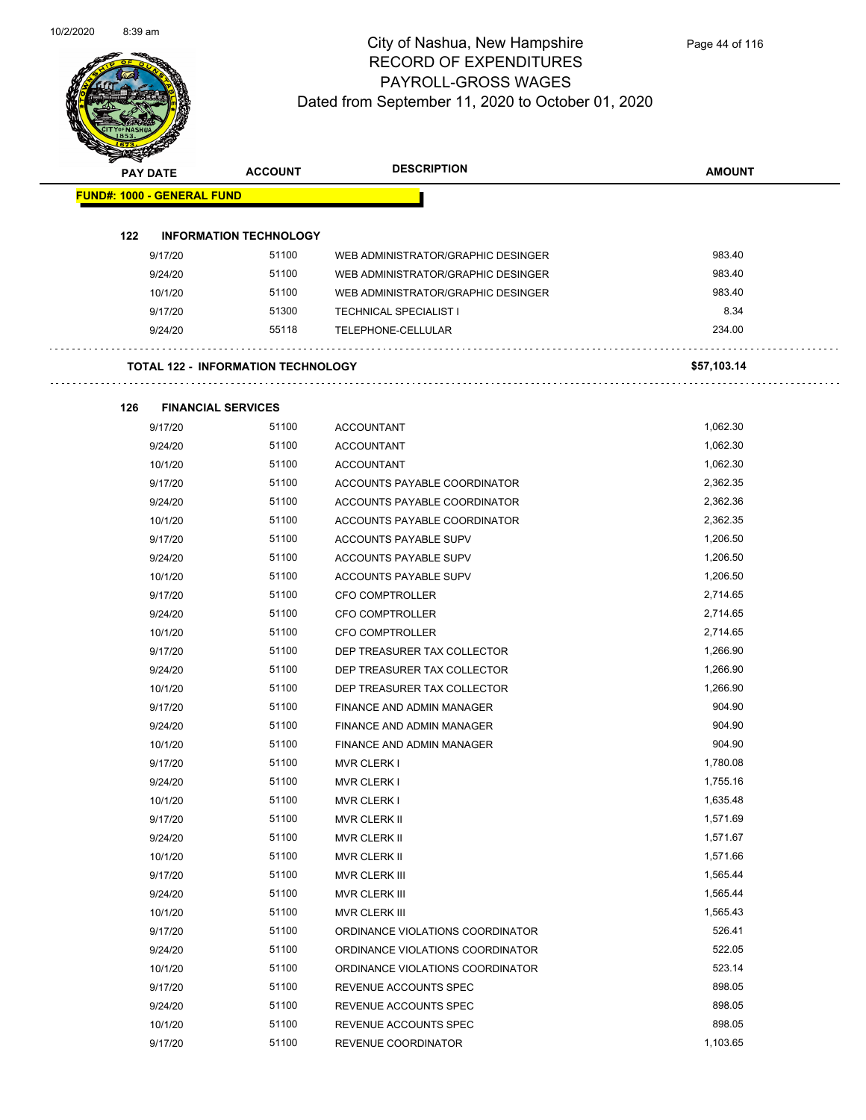

## City of Nashua, New Hampshire RECORD OF EXPENDITURES PAYROLL-GROSS WAGES Dated from September 11, 2020 to October 01, 2020

| <b>Anton</b>                      |                 |                                           |                                    |               |
|-----------------------------------|-----------------|-------------------------------------------|------------------------------------|---------------|
|                                   | <b>PAY DATE</b> | <b>ACCOUNT</b>                            | <b>DESCRIPTION</b>                 | <b>AMOUNT</b> |
| <b>FUND#: 1000 - GENERAL FUND</b> |                 |                                           |                                    |               |
|                                   |                 |                                           |                                    |               |
| 122                               |                 | <b>INFORMATION TECHNOLOGY</b>             |                                    |               |
|                                   | 9/17/20         | 51100                                     | WEB ADMINISTRATOR/GRAPHIC DESINGER | 983.40        |
|                                   | 9/24/20         | 51100                                     | WEB ADMINISTRATOR/GRAPHIC DESINGER | 983.40        |
|                                   | 10/1/20         | 51100                                     | WEB ADMINISTRATOR/GRAPHIC DESINGER | 983.40        |
|                                   | 9/17/20         | 51300                                     | <b>TECHNICAL SPECIALIST I</b>      | 8.34          |
|                                   | 9/24/20         | 55118                                     | <b>TELEPHONE-CELLULAR</b>          | 234.00        |
|                                   |                 | <b>TOTAL 122 - INFORMATION TECHNOLOGY</b> |                                    | \$57,103.14   |
| 126                               |                 | <b>FINANCIAL SERVICES</b>                 |                                    |               |
|                                   | 9/17/20         | 51100                                     | <b>ACCOUNTANT</b>                  | 1,062.30      |
|                                   | 9/24/20         | 51100                                     | <b>ACCOUNTANT</b>                  | 1,062.30      |
|                                   | 10/1/20         | 51100                                     | <b>ACCOUNTANT</b>                  | 1,062.30      |
|                                   | 9/17/20         | 51100                                     | ACCOUNTS PAYABLE COORDINATOR       | 2,362.35      |
|                                   | 9/24/20         | 51100                                     | ACCOUNTS PAYABLE COORDINATOR       | 2,362.36      |
|                                   | 10/1/20         | 51100                                     | ACCOUNTS PAYABLE COORDINATOR       | 2,362.35      |
|                                   | 9/17/20         | 51100                                     | ACCOUNTS PAYABLE SUPV              | 1,206.50      |
|                                   | 9/24/20         | 51100                                     | ACCOUNTS PAYABLE SUPV              | 1,206.50      |
|                                   | 10/1/20         | 51100                                     | ACCOUNTS PAYABLE SUPV              | 1,206.50      |
|                                   | 9/17/20         | 51100                                     | <b>CFO COMPTROLLER</b>             | 2,714.65      |
|                                   | 9/24/20         | 51100                                     | <b>CFO COMPTROLLER</b>             | 2,714.65      |
|                                   | 10/1/20         | 51100                                     | <b>CFO COMPTROLLER</b>             | 2,714.65      |
|                                   | 9/17/20         | 51100                                     | DEP TREASURER TAX COLLECTOR        | 1,266.90      |
|                                   | 9/24/20         | 51100                                     | DEP TREASURER TAX COLLECTOR        | 1,266.90      |
|                                   | 10/1/20         | 51100                                     | DEP TREASURER TAX COLLECTOR        | 1,266.90      |
|                                   | 9/17/20         | 51100                                     | FINANCE AND ADMIN MANAGER          | 904.90        |
|                                   | 9/24/20         | 51100                                     | FINANCE AND ADMIN MANAGER          | 904.90        |
|                                   | 10/1/20         | 51100                                     | FINANCE AND ADMIN MANAGER          | 904.90        |
|                                   | 9/17/20         | 51100                                     | <b>MVR CLERK I</b>                 | 1,780.08      |
|                                   | 9/24/20         | 51100                                     | <b>MVR CLERK I</b>                 | 1,755.16      |
|                                   | 10/1/20         | 51100                                     | <b>MVR CLERK I</b>                 | 1,635.48      |
|                                   | 9/17/20         | 51100                                     | MVR CLERK II                       | 1,571.69      |
|                                   | 9/24/20         | 51100                                     | MVR CLERK II                       | 1,571.67      |
|                                   | 10/1/20         | 51100                                     | MVR CLERK II                       | 1,571.66      |
|                                   | 9/17/20         | 51100                                     | MVR CLERK III                      | 1,565.44      |
|                                   | 9/24/20         | 51100                                     | MVR CLERK III                      | 1,565.44      |
|                                   | 10/1/20         | 51100                                     | MVR CLERK III                      | 1,565.43      |
|                                   | 9/17/20         | 51100                                     | ORDINANCE VIOLATIONS COORDINATOR   | 526.41        |
|                                   | 9/24/20         | 51100                                     | ORDINANCE VIOLATIONS COORDINATOR   | 522.05        |
|                                   | 10/1/20         | 51100                                     | ORDINANCE VIOLATIONS COORDINATOR   | 523.14        |
|                                   | 9/17/20         | 51100                                     | REVENUE ACCOUNTS SPEC              | 898.05        |
|                                   | 9/24/20         | 51100                                     | REVENUE ACCOUNTS SPEC              | 898.05        |
|                                   | 10/1/20         | 51100                                     | REVENUE ACCOUNTS SPEC              | 898.05        |

9/17/20 51100 REVENUE COORDINATOR 51100 51100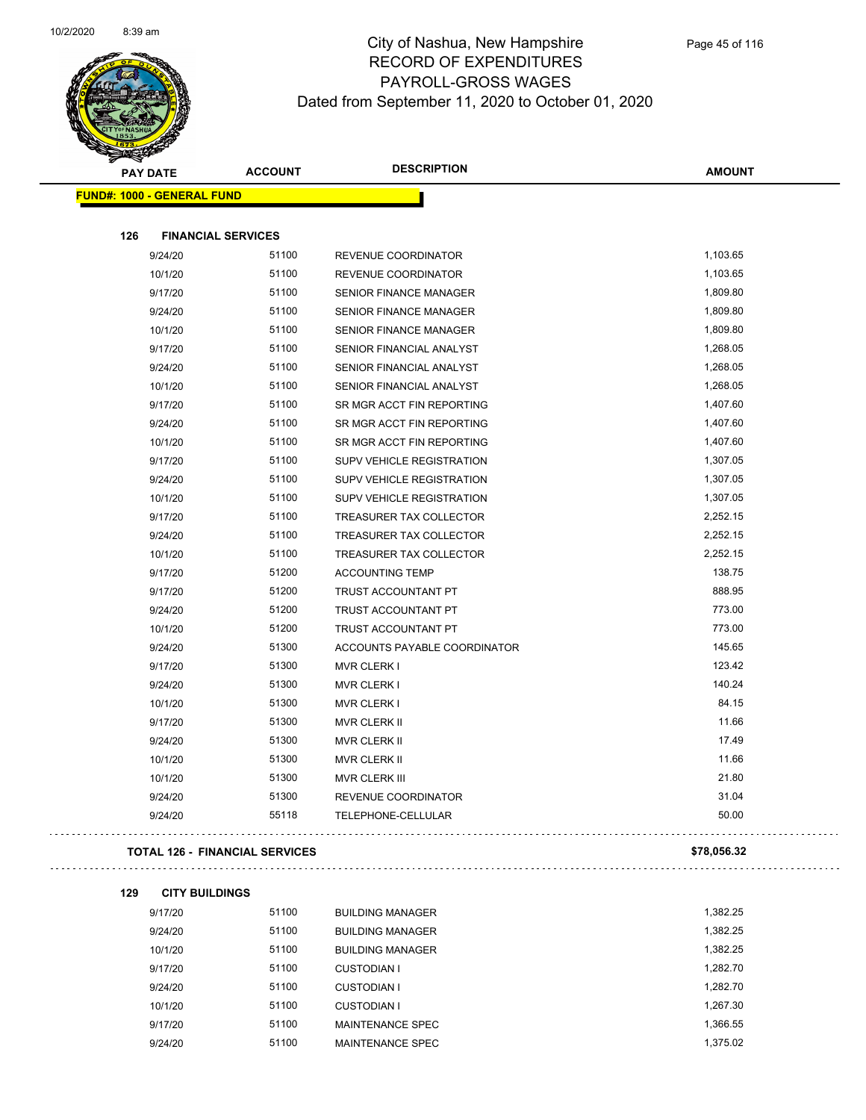

| <b>PAY DATE</b>                   | <b>ACCOUNT</b>                        | <b>DESCRIPTION</b>               | <b>AMOUNT</b> |
|-----------------------------------|---------------------------------------|----------------------------------|---------------|
| <b>FUND#: 1000 - GENERAL FUND</b> |                                       |                                  |               |
| 126                               | <b>FINANCIAL SERVICES</b>             |                                  |               |
| 9/24/20                           | 51100                                 | REVENUE COORDINATOR              | 1,103.65      |
| 10/1/20                           | 51100                                 | REVENUE COORDINATOR              | 1,103.65      |
| 9/17/20                           | 51100                                 | SENIOR FINANCE MANAGER           | 1,809.80      |
| 9/24/20                           | 51100                                 | <b>SENIOR FINANCE MANAGER</b>    | 1,809.80      |
| 10/1/20                           | 51100                                 | SENIOR FINANCE MANAGER           | 1,809.80      |
| 9/17/20                           | 51100                                 | SENIOR FINANCIAL ANALYST         | 1,268.05      |
| 9/24/20                           | 51100                                 | SENIOR FINANCIAL ANALYST         | 1,268.05      |
| 10/1/20                           | 51100                                 | SENIOR FINANCIAL ANALYST         | 1,268.05      |
| 9/17/20                           | 51100                                 | SR MGR ACCT FIN REPORTING        | 1,407.60      |
| 9/24/20                           | 51100                                 | SR MGR ACCT FIN REPORTING        | 1,407.60      |
| 10/1/20                           | 51100                                 | SR MGR ACCT FIN REPORTING        | 1,407.60      |
| 9/17/20                           | 51100                                 | <b>SUPV VEHICLE REGISTRATION</b> | 1,307.05      |
| 9/24/20                           | 51100                                 | SUPV VEHICLE REGISTRATION        | 1,307.05      |
| 10/1/20                           | 51100                                 | SUPV VEHICLE REGISTRATION        | 1,307.05      |
| 9/17/20                           | 51100                                 | TREASURER TAX COLLECTOR          | 2,252.15      |
| 9/24/20                           | 51100                                 | TREASURER TAX COLLECTOR          | 2,252.15      |
| 10/1/20                           | 51100                                 | TREASURER TAX COLLECTOR          | 2,252.15      |
| 9/17/20                           | 51200                                 | <b>ACCOUNTING TEMP</b>           | 138.75        |
| 9/17/20                           | 51200                                 | TRUST ACCOUNTANT PT              | 888.95        |
| 9/24/20                           | 51200                                 | TRUST ACCOUNTANT PT              | 773.00        |
| 10/1/20                           | 51200                                 | TRUST ACCOUNTANT PT              | 773.00        |
| 9/24/20                           | 51300                                 | ACCOUNTS PAYABLE COORDINATOR     | 145.65        |
| 9/17/20                           | 51300                                 | <b>MVR CLERK I</b>               | 123.42        |
| 9/24/20                           | 51300                                 | <b>MVR CLERK I</b>               | 140.24        |
| 10/1/20                           | 51300                                 | <b>MVR CLERK I</b>               | 84.15         |
| 9/17/20                           | 51300                                 | MVR CLERK II                     | 11.66         |
| 9/24/20                           | 51300                                 | <b>MVR CLERK II</b>              | 17.49         |
| 10/1/20                           | 51300                                 | <b>MVR CLERK II</b>              | 11.66         |
| 10/1/20                           | 51300                                 | MVR CLERK III                    | 21.80         |
| 9/24/20                           | 51300                                 | REVENUE COORDINATOR              | 31.04         |
| 9/24/20                           | 55118                                 | TELEPHONE-CELLULAR               | 50.00         |
|                                   | <b>TOTAL 126 - FINANCIAL SERVICES</b> |                                  | \$78,056.32   |

| 129 | <b>CITY BUILDINGS</b> |       |                         |          |
|-----|-----------------------|-------|-------------------------|----------|
|     | 9/17/20               | 51100 | <b>BUILDING MANAGER</b> | 1,382.25 |
|     | 9/24/20               | 51100 | <b>BUILDING MANAGER</b> | 1,382.25 |
|     | 10/1/20               | 51100 | <b>BUILDING MANAGER</b> | 1,382.25 |
|     | 9/17/20               | 51100 | CUSTODIAN I             | 1,282.70 |
|     | 9/24/20               | 51100 | <b>CUSTODIAN I</b>      | 1,282.70 |
|     | 10/1/20               | 51100 | <b>CUSTODIAN I</b>      | 1,267.30 |
|     | 9/17/20               | 51100 | MAINTENANCE SPEC        | 1,366.55 |
|     | 9/24/20               | 51100 | <b>MAINTENANCE SPEC</b> | 1.375.02 |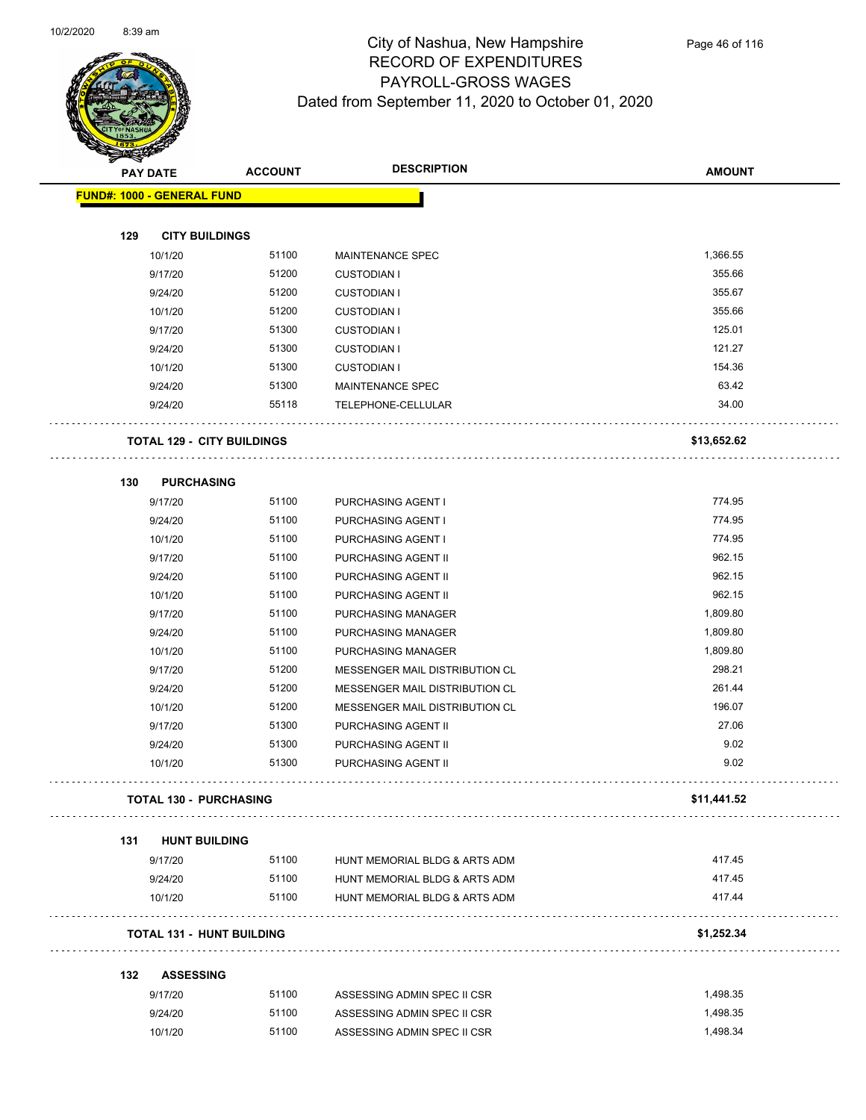

| <b>Anta</b> | <b>PAY DATE</b>                   | <b>ACCOUNT</b> | <b>DESCRIPTION</b>                    | <b>AMOUNT</b> |
|-------------|-----------------------------------|----------------|---------------------------------------|---------------|
|             | <b>FUND#: 1000 - GENERAL FUND</b> |                |                                       |               |
|             |                                   |                |                                       |               |
| 129         | <b>CITY BUILDINGS</b>             |                |                                       |               |
|             | 10/1/20                           | 51100          | MAINTENANCE SPEC                      | 1,366.55      |
|             | 9/17/20                           | 51200          | <b>CUSTODIAN I</b>                    | 355.66        |
|             | 9/24/20                           | 51200          | <b>CUSTODIAN I</b>                    | 355.67        |
|             | 10/1/20                           | 51200          | <b>CUSTODIAN I</b>                    | 355.66        |
|             | 9/17/20                           | 51300          | <b>CUSTODIAN I</b>                    | 125.01        |
|             | 9/24/20                           | 51300          | <b>CUSTODIAN I</b>                    | 121.27        |
|             | 10/1/20                           | 51300          | <b>CUSTODIAN I</b>                    | 154.36        |
|             | 9/24/20                           | 51300          | MAINTENANCE SPEC                      | 63.42         |
|             | 9/24/20                           | 55118          | TELEPHONE-CELLULAR                    | 34.00         |
|             | <b>TOTAL 129 - CITY BUILDINGS</b> |                |                                       | \$13,652.62   |
| 130         | <b>PURCHASING</b>                 |                |                                       |               |
|             | 9/17/20                           | 51100          | PURCHASING AGENT I                    | 774.95        |
|             | 9/24/20                           | 51100          | PURCHASING AGENT I                    | 774.95        |
|             | 10/1/20                           | 51100          | PURCHASING AGENT I                    | 774.95        |
|             | 9/17/20                           | 51100          | PURCHASING AGENT II                   | 962.15        |
|             | 9/24/20                           | 51100          | PURCHASING AGENT II                   | 962.15        |
|             | 10/1/20                           | 51100          | PURCHASING AGENT II                   | 962.15        |
|             | 9/17/20                           | 51100          | PURCHASING MANAGER                    | 1,809.80      |
|             | 9/24/20                           | 51100          | PURCHASING MANAGER                    | 1,809.80      |
|             | 10/1/20                           | 51100          | PURCHASING MANAGER                    | 1,809.80      |
|             | 9/17/20                           | 51200          | MESSENGER MAIL DISTRIBUTION CL        | 298.21        |
|             | 9/24/20                           | 51200          | <b>MESSENGER MAIL DISTRIBUTION CL</b> | 261.44        |
|             | 10/1/20                           | 51200          | <b>MESSENGER MAIL DISTRIBUTION CL</b> | 196.07        |
|             | 9/17/20                           | 51300          | PURCHASING AGENT II                   | 27.06         |
|             | 9/24/20                           | 51300          | PURCHASING AGENT II                   | 9.02          |
|             | 10/1/20                           | 51300          | PURCHASING AGENT II                   | 9.02          |
|             | <b>TOTAL 130 - PURCHASING</b>     |                |                                       | \$11,441.52   |
| 131         | <b>HUNT BUILDING</b>              |                |                                       |               |
|             | 9/17/20                           | 51100          | HUNT MEMORIAL BLDG & ARTS ADM         | 417.45        |
|             | 9/24/20                           | 51100          | HUNT MEMORIAL BLDG & ARTS ADM         | 417.45        |
|             | 10/1/20                           | 51100          | HUNT MEMORIAL BLDG & ARTS ADM         | 417.44        |
|             | <b>TOTAL 131 - HUNT BUILDING</b>  |                |                                       | \$1,252.34    |
| 132         | <b>ASSESSING</b>                  |                |                                       |               |
|             | 9/17/20                           | 51100          | ASSESSING ADMIN SPEC II CSR           | 1,498.35      |
|             | 9/24/20                           | 51100          | ASSESSING ADMIN SPEC II CSR           | 1,498.35      |
|             |                                   |                |                                       |               |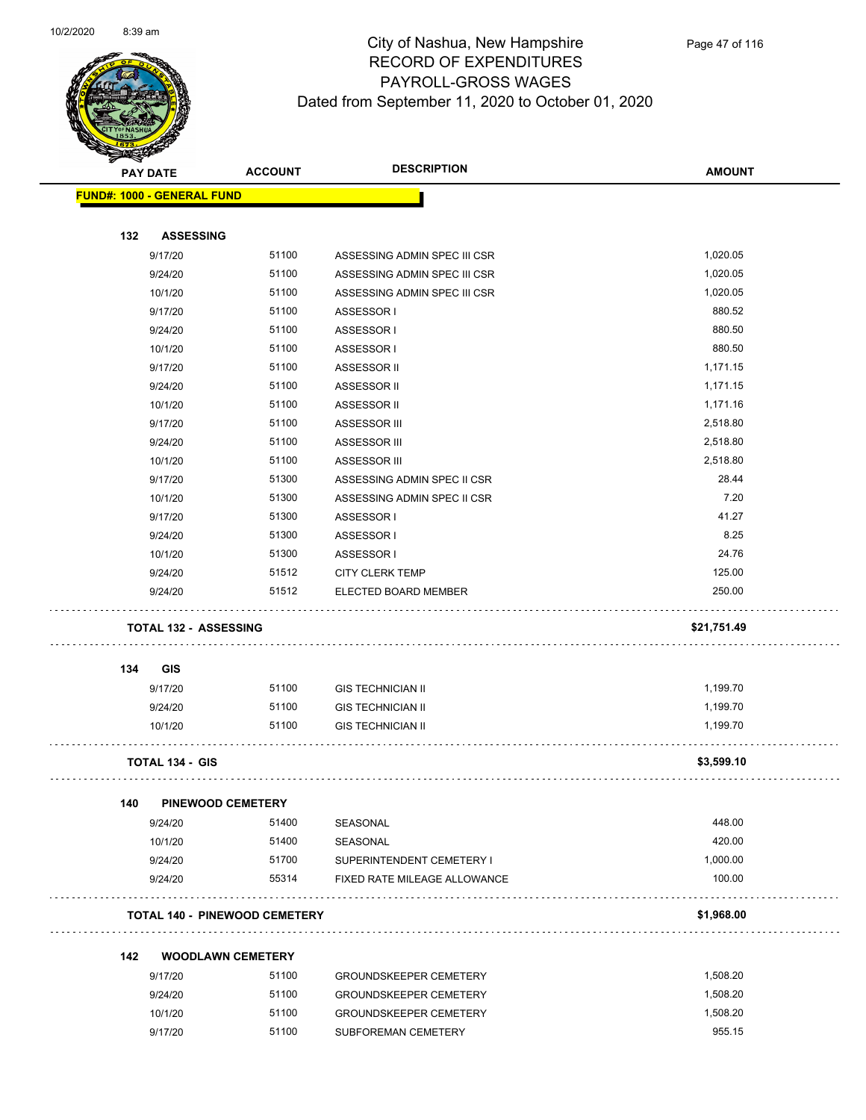

| B.  | <b>PAY DATE</b>                      | <b>ACCOUNT</b> | <b>DESCRIPTION</b>            | <b>AMOUNT</b> |
|-----|--------------------------------------|----------------|-------------------------------|---------------|
|     | <b>FUND#: 1000 - GENERAL FUND</b>    |                |                               |               |
| 132 | <b>ASSESSING</b>                     |                |                               |               |
|     | 9/17/20                              | 51100          | ASSESSING ADMIN SPEC III CSR  | 1,020.05      |
|     | 9/24/20                              | 51100          | ASSESSING ADMIN SPEC III CSR  | 1,020.05      |
|     | 10/1/20                              | 51100          | ASSESSING ADMIN SPEC III CSR  | 1,020.05      |
|     | 9/17/20                              | 51100          | ASSESSOR I                    | 880.52        |
|     | 9/24/20                              | 51100          | ASSESSOR I                    | 880.50        |
|     | 10/1/20                              | 51100          | ASSESSOR I                    | 880.50        |
|     | 9/17/20                              | 51100          | ASSESSOR II                   | 1,171.15      |
|     | 9/24/20                              | 51100          | ASSESSOR II                   | 1,171.15      |
|     | 10/1/20                              | 51100          | ASSESSOR II                   | 1,171.16      |
|     | 9/17/20                              | 51100          | ASSESSOR III                  | 2,518.80      |
|     | 9/24/20                              | 51100          | ASSESSOR III                  | 2,518.80      |
|     | 10/1/20                              | 51100          | ASSESSOR III                  | 2,518.80      |
|     | 9/17/20                              | 51300          | ASSESSING ADMIN SPEC II CSR   | 28.44         |
|     | 10/1/20                              | 51300          | ASSESSING ADMIN SPEC II CSR   | 7.20          |
|     | 9/17/20                              | 51300          | ASSESSOR I                    | 41.27         |
|     | 9/24/20                              | 51300          | ASSESSOR I                    | 8.25          |
|     | 10/1/20                              | 51300          | ASSESSOR I                    | 24.76         |
|     | 9/24/20                              | 51512          | <b>CITY CLERK TEMP</b>        | 125.00        |
|     | 9/24/20                              | 51512          | ELECTED BOARD MEMBER          | 250.00        |
|     | <b>TOTAL 132 - ASSESSING</b>         |                |                               | \$21,751.49   |
| 134 | <b>GIS</b>                           |                |                               |               |
|     | 9/17/20                              | 51100          | <b>GIS TECHNICIAN II</b>      | 1,199.70      |
|     | 9/24/20                              | 51100          | <b>GIS TECHNICIAN II</b>      | 1,199.70      |
|     | 10/1/20                              | 51100          | <b>GIS TECHNICIAN II</b>      | 1,199.70      |
|     | <b>TOTAL 134 - GIS</b>               |                |                               | \$3,599.10    |
| 140 | <b>PINEWOOD CEMETERY</b>             |                |                               |               |
|     | 9/24/20                              | 51400          | SEASONAL                      | 448.00        |
|     | 10/1/20                              | 51400          | SEASONAL                      | 420.00        |
|     | 9/24/20                              | 51700          | SUPERINTENDENT CEMETERY I     | 1,000.00      |
|     | 9/24/20                              | 55314          | FIXED RATE MILEAGE ALLOWANCE  | 100.00        |
|     |                                      |                |                               |               |
|     | <b>TOTAL 140 - PINEWOOD CEMETERY</b> |                |                               | \$1,968.00    |
| 142 | <b>WOODLAWN CEMETERY</b>             |                |                               |               |
|     | 9/17/20                              | 51100          | <b>GROUNDSKEEPER CEMETERY</b> | 1,508.20      |
|     | 9/24/20                              | 51100          | <b>GROUNDSKEEPER CEMETERY</b> | 1,508.20      |
|     | 10/1/20                              | 51100          | <b>GROUNDSKEEPER CEMETERY</b> | 1,508.20      |

9/17/20 51100 SUBFOREMAN CEMETERY 955.15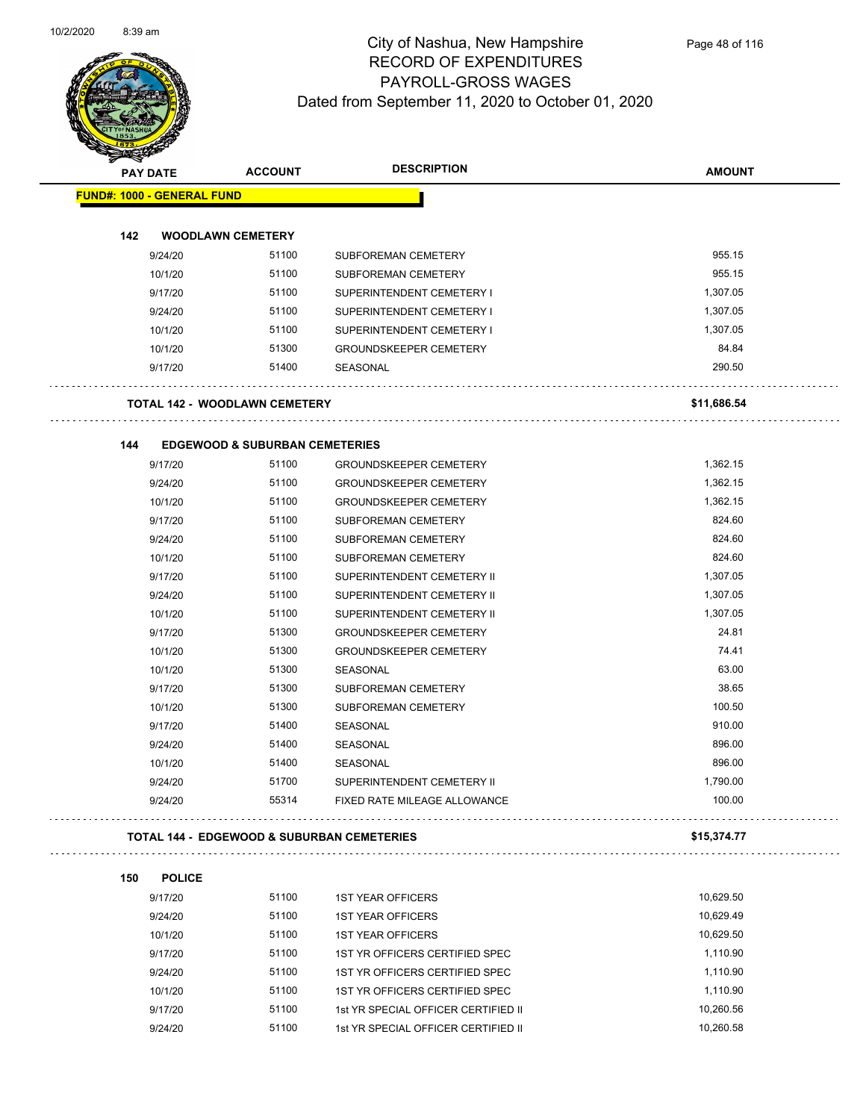

| <b>STATER</b>                     |                 |                                                       |                                |               |
|-----------------------------------|-----------------|-------------------------------------------------------|--------------------------------|---------------|
|                                   | <b>PAY DATE</b> | <b>ACCOUNT</b>                                        | <b>DESCRIPTION</b>             | <b>AMOUNT</b> |
| <b>FUND#: 1000 - GENERAL FUND</b> |                 |                                                       |                                |               |
|                                   |                 |                                                       |                                |               |
| 142                               |                 | <b>WOODLAWN CEMETERY</b>                              |                                |               |
|                                   | 9/24/20         | 51100                                                 | SUBFOREMAN CEMETERY            | 955.15        |
|                                   | 10/1/20         | 51100                                                 | SUBFOREMAN CEMETERY            | 955.15        |
|                                   | 9/17/20         | 51100                                                 | SUPERINTENDENT CEMETERY I      | 1,307.05      |
|                                   | 9/24/20         | 51100                                                 | SUPERINTENDENT CEMETERY I      | 1,307.05      |
|                                   | 10/1/20         | 51100                                                 | SUPERINTENDENT CEMETERY I      | 1,307.05      |
|                                   | 10/1/20         | 51300                                                 | <b>GROUNDSKEEPER CEMETERY</b>  | 84.84         |
|                                   | 9/17/20         | 51400                                                 | SEASONAL                       | 290.50        |
|                                   |                 | <b>TOTAL 142 - WOODLAWN CEMETERY</b>                  |                                | \$11,686.54   |
|                                   |                 |                                                       |                                |               |
| 144                               |                 | <b>EDGEWOOD &amp; SUBURBAN CEMETERIES</b>             |                                |               |
|                                   | 9/17/20         | 51100                                                 | <b>GROUNDSKEEPER CEMETERY</b>  | 1,362.15      |
|                                   | 9/24/20         | 51100                                                 | <b>GROUNDSKEEPER CEMETERY</b>  | 1,362.15      |
|                                   | 10/1/20         | 51100                                                 | <b>GROUNDSKEEPER CEMETERY</b>  | 1,362.15      |
|                                   | 9/17/20         | 51100                                                 | SUBFOREMAN CEMETERY            | 824.60        |
|                                   | 9/24/20         | 51100                                                 | SUBFOREMAN CEMETERY            | 824.60        |
|                                   | 10/1/20         | 51100                                                 | <b>SUBFOREMAN CEMETERY</b>     | 824.60        |
|                                   | 9/17/20         | 51100                                                 | SUPERINTENDENT CEMETERY II     | 1,307.05      |
|                                   | 9/24/20         | 51100                                                 | SUPERINTENDENT CEMETERY II     | 1,307.05      |
|                                   | 10/1/20         | 51100                                                 | SUPERINTENDENT CEMETERY II     | 1,307.05      |
|                                   | 9/17/20         | 51300                                                 | <b>GROUNDSKEEPER CEMETERY</b>  | 24.81         |
|                                   | 10/1/20         | 51300                                                 | <b>GROUNDSKEEPER CEMETERY</b>  | 74.41         |
|                                   | 10/1/20         | 51300                                                 | SEASONAL                       | 63.00         |
|                                   | 9/17/20         | 51300                                                 | SUBFOREMAN CEMETERY            | 38.65         |
|                                   | 10/1/20         | 51300                                                 | SUBFOREMAN CEMETERY            | 100.50        |
|                                   | 9/17/20         | 51400                                                 | SEASONAL                       | 910.00        |
|                                   | 9/24/20         | 51400                                                 | SEASONAL                       | 896.00        |
|                                   | 10/1/20         | 51400                                                 | SEASONAL                       | 896.00        |
|                                   | 9/24/20         | 51700                                                 | SUPERINTENDENT CEMETERY II     | 1,790.00      |
|                                   | 9/24/20         | 55314                                                 | FIXED RATE MILEAGE ALLOWANCE   | 100.00        |
|                                   |                 | <b>TOTAL 144 - EDGEWOOD &amp; SUBURBAN CEMETERIES</b> |                                | \$15,374.77   |
|                                   |                 |                                                       |                                |               |
| 150                               | <b>POLICE</b>   |                                                       |                                |               |
|                                   | 9/17/20         | 51100                                                 | <b>1ST YEAR OFFICERS</b>       | 10,629.50     |
|                                   | 9/24/20         | 51100                                                 | <b>1ST YEAR OFFICERS</b>       | 10,629.49     |
|                                   | 10/1/20         | 51100                                                 | <b>1ST YEAR OFFICERS</b>       | 10,629.50     |
|                                   | 9/17/20         | 51100                                                 | 1ST YR OFFICERS CERTIFIED SPEC | 1,110.90      |

9/24/20 51100 1ST YR OFFICERS CERTIFIED SPEC 1,110.90 10/1/20 51100 1ST YR OFFICERS CERTIFIED SPEC 1,110.90 9/17/20 51100 1st YR SPECIAL OFFICER CERTIFIED II 10,260.56 9/24/20 51100 1st YR SPECIAL OFFICER CERTIFIED II 10,260.58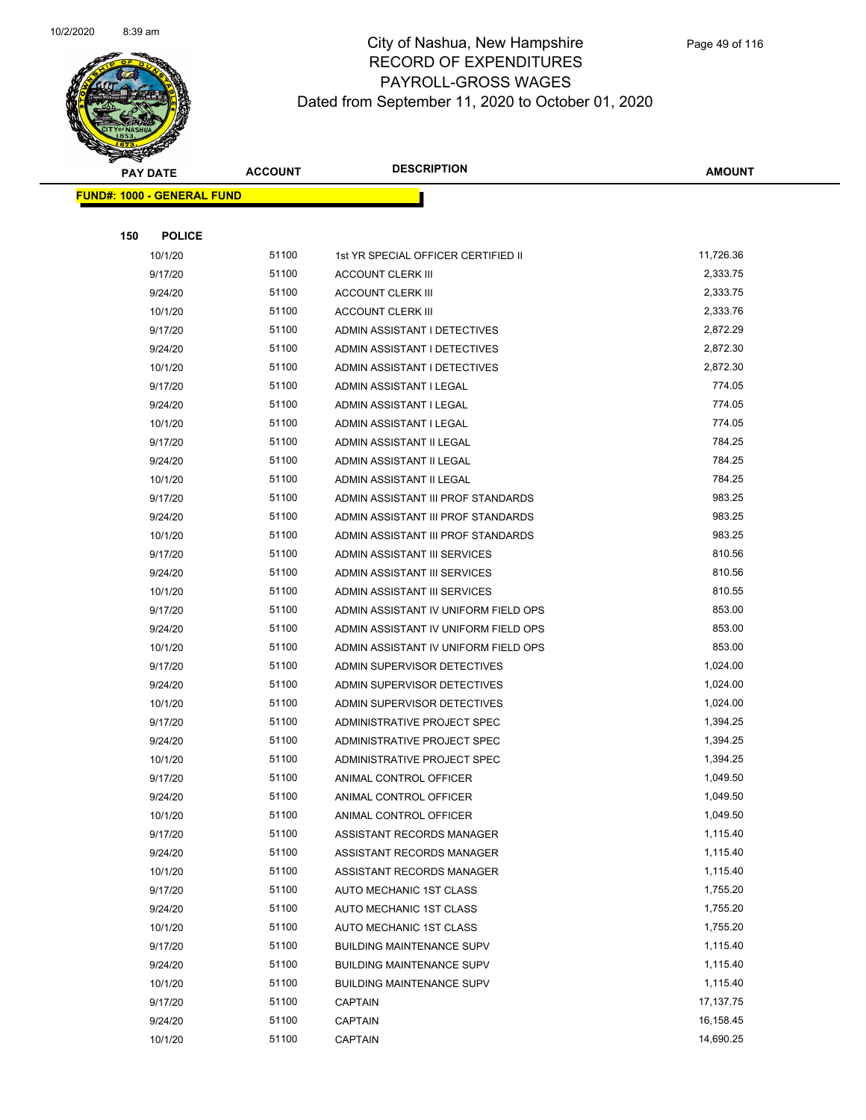

|     | <b>PAY DATE</b>                   | <b>ACCOUNT</b> | <b>DESCRIPTION</b>                   | <b>AMOUNT</b> |
|-----|-----------------------------------|----------------|--------------------------------------|---------------|
|     | <b>FUND#: 1000 - GENERAL FUND</b> |                |                                      |               |
|     |                                   |                |                                      |               |
| 150 | <b>POLICE</b>                     |                |                                      |               |
|     | 10/1/20                           | 51100          | 1st YR SPECIAL OFFICER CERTIFIED II  | 11,726.36     |
|     | 9/17/20                           | 51100          | <b>ACCOUNT CLERK III</b>             | 2,333.75      |
|     | 9/24/20                           | 51100          | <b>ACCOUNT CLERK III</b>             | 2,333.75      |
|     | 10/1/20                           | 51100          | <b>ACCOUNT CLERK III</b>             | 2,333.76      |
|     | 9/17/20                           | 51100          | ADMIN ASSISTANT I DETECTIVES         | 2,872.29      |
|     | 9/24/20                           | 51100          | ADMIN ASSISTANT I DETECTIVES         | 2,872.30      |
|     | 10/1/20                           | 51100          | ADMIN ASSISTANT I DETECTIVES         | 2,872.30      |
|     | 9/17/20                           | 51100          | ADMIN ASSISTANT I LEGAL              | 774.05        |
|     | 9/24/20                           | 51100          | ADMIN ASSISTANT I LEGAL              | 774.05        |
|     | 10/1/20                           | 51100          | ADMIN ASSISTANT I LEGAL              | 774.05        |
|     | 9/17/20                           | 51100          | ADMIN ASSISTANT II LEGAL             | 784.25        |
|     | 9/24/20                           | 51100          | ADMIN ASSISTANT II LEGAL             | 784.25        |
|     | 10/1/20                           | 51100          | ADMIN ASSISTANT II LEGAL             | 784.25        |
|     | 9/17/20                           | 51100          | ADMIN ASSISTANT III PROF STANDARDS   | 983.25        |
|     | 9/24/20                           | 51100          | ADMIN ASSISTANT III PROF STANDARDS   | 983.25        |
|     | 10/1/20                           | 51100          | ADMIN ASSISTANT III PROF STANDARDS   | 983.25        |
|     | 9/17/20                           | 51100          | ADMIN ASSISTANT III SERVICES         | 810.56        |
|     | 9/24/20                           | 51100          | ADMIN ASSISTANT III SERVICES         | 810.56        |
|     | 10/1/20                           | 51100          | ADMIN ASSISTANT III SERVICES         | 810.55        |
|     | 9/17/20                           | 51100          | ADMIN ASSISTANT IV UNIFORM FIELD OPS | 853.00        |
|     | 9/24/20                           | 51100          | ADMIN ASSISTANT IV UNIFORM FIELD OPS | 853.00        |
|     | 10/1/20                           | 51100          | ADMIN ASSISTANT IV UNIFORM FIELD OPS | 853.00        |
|     | 9/17/20                           | 51100          | ADMIN SUPERVISOR DETECTIVES          | 1,024.00      |
|     | 9/24/20                           | 51100          | ADMIN SUPERVISOR DETECTIVES          | 1,024.00      |
|     | 10/1/20                           | 51100          | ADMIN SUPERVISOR DETECTIVES          | 1,024.00      |
|     | 9/17/20                           | 51100          | ADMINISTRATIVE PROJECT SPEC          | 1,394.25      |
|     | 9/24/20                           | 51100          | ADMINISTRATIVE PROJECT SPEC          | 1,394.25      |
|     | 10/1/20                           | 51100          | ADMINISTRATIVE PROJECT SPEC          | 1,394.25      |
|     | 9/17/20                           | 51100          | ANIMAL CONTROL OFFICER               | 1,049.50      |
|     | 9/24/20                           | 51100          | ANIMAL CONTROL OFFICER               | 1,049.50      |
|     | 10/1/20                           | 51100          | ANIMAL CONTROL OFFICER               | 1,049.50      |
|     | 9/17/20                           | 51100          | ASSISTANT RECORDS MANAGER            | 1,115.40      |
|     | 9/24/20                           | 51100          | ASSISTANT RECORDS MANAGER            | 1,115.40      |
|     | 10/1/20                           | 51100          | ASSISTANT RECORDS MANAGER            | 1,115.40      |
|     | 9/17/20                           | 51100          | AUTO MECHANIC 1ST CLASS              | 1,755.20      |
|     | 9/24/20                           | 51100          | AUTO MECHANIC 1ST CLASS              | 1,755.20      |
|     | 10/1/20                           | 51100          | AUTO MECHANIC 1ST CLASS              | 1,755.20      |
|     | 9/17/20                           | 51100          | <b>BUILDING MAINTENANCE SUPV</b>     | 1,115.40      |
|     | 9/24/20                           | 51100          | <b>BUILDING MAINTENANCE SUPV</b>     | 1,115.40      |
|     | 10/1/20                           | 51100          | <b>BUILDING MAINTENANCE SUPV</b>     | 1,115.40      |
|     | 9/17/20                           | 51100          | CAPTAIN                              | 17,137.75     |
|     | 9/24/20                           | 51100          | <b>CAPTAIN</b>                       | 16,158.45     |
|     | 10/1/20                           | 51100          | <b>CAPTAIN</b>                       | 14,690.25     |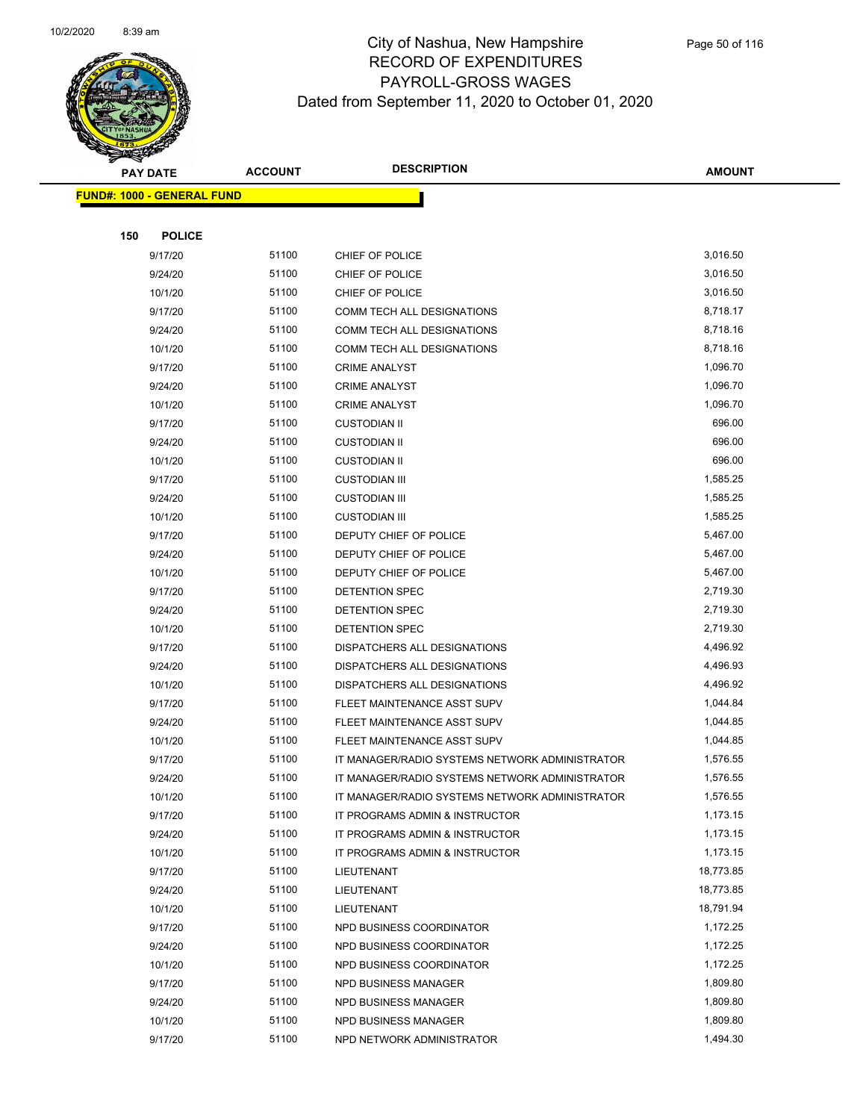

|     | <b>PAY DATE</b>                   | <b>ACCOUNT</b> | <b>DESCRIPTION</b>                             | <b>AMOUNT</b> |
|-----|-----------------------------------|----------------|------------------------------------------------|---------------|
|     | <b>FUND#: 1000 - GENERAL FUND</b> |                |                                                |               |
|     |                                   |                |                                                |               |
| 150 | <b>POLICE</b>                     |                |                                                |               |
|     | 9/17/20                           | 51100          | CHIEF OF POLICE                                | 3,016.50      |
|     | 9/24/20                           | 51100          | CHIEF OF POLICE                                | 3,016.50      |
|     | 10/1/20                           | 51100          | CHIEF OF POLICE                                | 3,016.50      |
|     | 9/17/20                           | 51100          | COMM TECH ALL DESIGNATIONS                     | 8,718.17      |
|     | 9/24/20                           | 51100          | COMM TECH ALL DESIGNATIONS                     | 8,718.16      |
|     | 10/1/20                           | 51100          | COMM TECH ALL DESIGNATIONS                     | 8,718.16      |
|     | 9/17/20                           | 51100          | <b>CRIME ANALYST</b>                           | 1,096.70      |
|     | 9/24/20                           | 51100          | <b>CRIME ANALYST</b>                           | 1,096.70      |
|     | 10/1/20                           | 51100          | <b>CRIME ANALYST</b>                           | 1,096.70      |
|     | 9/17/20                           | 51100          | <b>CUSTODIAN II</b>                            | 696.00        |
|     | 9/24/20                           | 51100          | <b>CUSTODIAN II</b>                            | 696.00        |
|     | 10/1/20                           | 51100          | <b>CUSTODIAN II</b>                            | 696.00        |
|     | 9/17/20                           | 51100          | <b>CUSTODIAN III</b>                           | 1,585.25      |
|     | 9/24/20                           | 51100          | <b>CUSTODIAN III</b>                           | 1,585.25      |
|     | 10/1/20                           | 51100          | <b>CUSTODIAN III</b>                           | 1,585.25      |
|     | 9/17/20                           | 51100          | DEPUTY CHIEF OF POLICE                         | 5,467.00      |
|     | 9/24/20                           | 51100          | DEPUTY CHIEF OF POLICE                         | 5,467.00      |
|     | 10/1/20                           | 51100          | DEPUTY CHIEF OF POLICE                         | 5,467.00      |
|     | 9/17/20                           | 51100          | DETENTION SPEC                                 | 2,719.30      |
|     | 9/24/20                           | 51100          | DETENTION SPEC                                 | 2,719.30      |
|     | 10/1/20                           | 51100          | DETENTION SPEC                                 | 2,719.30      |
|     | 9/17/20                           | 51100          | DISPATCHERS ALL DESIGNATIONS                   | 4,496.92      |
|     | 9/24/20                           | 51100          | DISPATCHERS ALL DESIGNATIONS                   | 4,496.93      |
|     | 10/1/20                           | 51100          | DISPATCHERS ALL DESIGNATIONS                   | 4,496.92      |
|     | 9/17/20                           | 51100          | FLEET MAINTENANCE ASST SUPV                    | 1,044.84      |
|     | 9/24/20                           | 51100          | FLEET MAINTENANCE ASST SUPV                    | 1,044.85      |
|     | 10/1/20                           | 51100          | FLEET MAINTENANCE ASST SUPV                    | 1,044.85      |
|     | 9/17/20                           | 51100          | IT MANAGER/RADIO SYSTEMS NETWORK ADMINISTRATOR | 1,576.55      |
|     | 9/24/20                           | 51100          | IT MANAGER/RADIO SYSTEMS NETWORK ADMINISTRATOR | 1,576.55      |
|     | 10/1/20                           | 51100          | IT MANAGER/RADIO SYSTEMS NETWORK ADMINISTRATOR | 1,576.55      |
|     | 9/17/20                           | 51100          | IT PROGRAMS ADMIN & INSTRUCTOR                 | 1,173.15      |
|     | 9/24/20                           | 51100          | IT PROGRAMS ADMIN & INSTRUCTOR                 | 1,173.15      |
|     | 10/1/20                           | 51100          | IT PROGRAMS ADMIN & INSTRUCTOR                 | 1,173.15      |
|     | 9/17/20                           | 51100          | LIEUTENANT                                     | 18,773.85     |
|     | 9/24/20                           | 51100          | LIEUTENANT                                     | 18,773.85     |
|     | 10/1/20                           | 51100          | LIEUTENANT                                     | 18,791.94     |
|     | 9/17/20                           | 51100          | NPD BUSINESS COORDINATOR                       | 1,172.25      |
|     | 9/24/20                           | 51100          | NPD BUSINESS COORDINATOR                       | 1,172.25      |
|     | 10/1/20                           | 51100          | NPD BUSINESS COORDINATOR                       | 1,172.25      |
|     | 9/17/20                           | 51100          | NPD BUSINESS MANAGER                           | 1,809.80      |
|     | 9/24/20                           | 51100          | NPD BUSINESS MANAGER                           | 1,809.80      |
|     | 10/1/20                           | 51100          | NPD BUSINESS MANAGER                           | 1,809.80      |
|     | 9/17/20                           | 51100          | NPD NETWORK ADMINISTRATOR                      | 1,494.30      |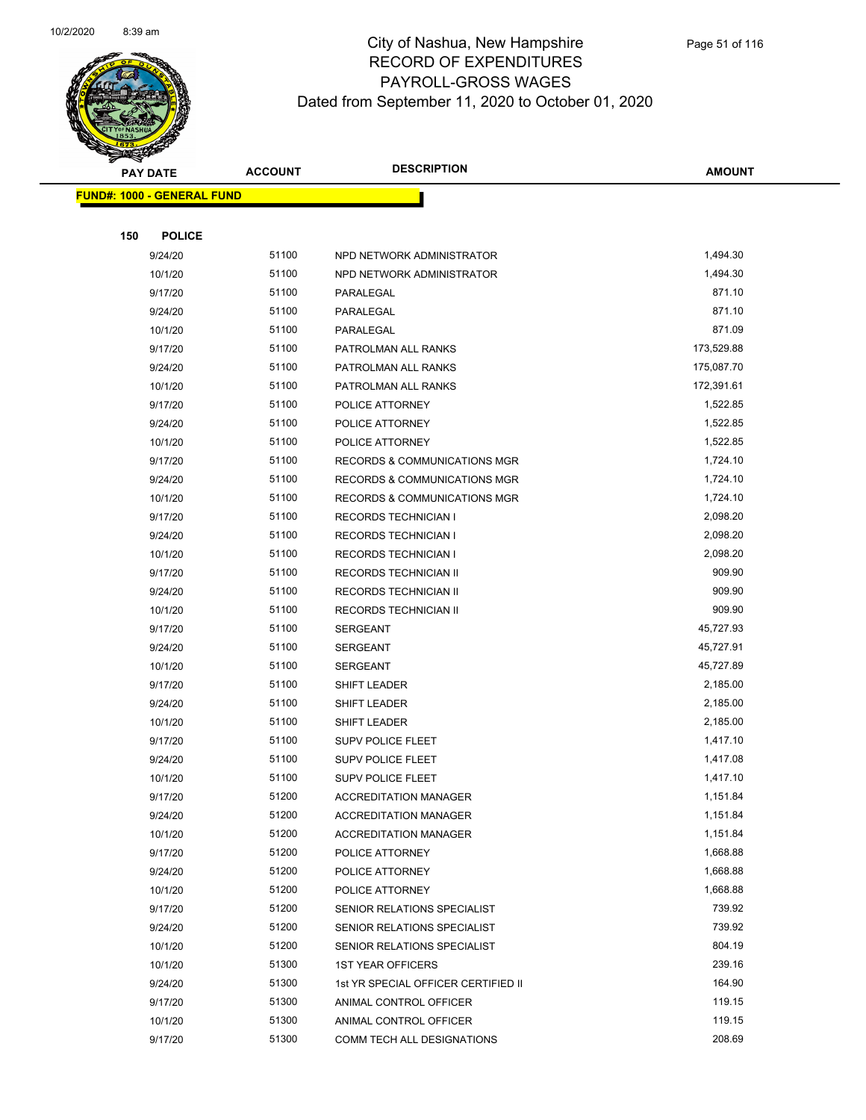

|     | <b>PAY DATE</b>                    | <b>ACCOUNT</b> | <b>DESCRIPTION</b>                      | AMOUNT     |
|-----|------------------------------------|----------------|-----------------------------------------|------------|
|     | <u> FUND#: 1000 - GENERAL FUND</u> |                |                                         |            |
|     |                                    |                |                                         |            |
| 150 | <b>POLICE</b>                      |                |                                         |            |
|     | 9/24/20                            | 51100          | NPD NETWORK ADMINISTRATOR               | 1,494.30   |
|     | 10/1/20                            | 51100          | NPD NETWORK ADMINISTRATOR               | 1,494.30   |
|     | 9/17/20                            | 51100          | PARALEGAL                               | 871.10     |
|     | 9/24/20                            | 51100          | PARALEGAL                               | 871.10     |
|     | 10/1/20                            | 51100          | PARALEGAL                               | 871.09     |
|     | 9/17/20                            | 51100          | PATROLMAN ALL RANKS                     | 173,529.88 |
|     | 9/24/20                            | 51100          | PATROLMAN ALL RANKS                     | 175,087.70 |
|     | 10/1/20                            | 51100          | PATROLMAN ALL RANKS                     | 172,391.61 |
|     | 9/17/20                            | 51100          | POLICE ATTORNEY                         | 1,522.85   |
|     | 9/24/20                            | 51100          | POLICE ATTORNEY                         | 1,522.85   |
|     | 10/1/20                            | 51100          | POLICE ATTORNEY                         | 1,522.85   |
|     | 9/17/20                            | 51100          | <b>RECORDS &amp; COMMUNICATIONS MGR</b> | 1,724.10   |
|     | 9/24/20                            | 51100          | <b>RECORDS &amp; COMMUNICATIONS MGR</b> | 1,724.10   |
|     | 10/1/20                            | 51100          | RECORDS & COMMUNICATIONS MGR            | 1,724.10   |
|     | 9/17/20                            | 51100          | <b>RECORDS TECHNICIAN I</b>             | 2,098.20   |
|     | 9/24/20                            | 51100          | <b>RECORDS TECHNICIAN I</b>             | 2,098.20   |
|     | 10/1/20                            | 51100          | <b>RECORDS TECHNICIAN I</b>             | 2,098.20   |
|     | 9/17/20                            | 51100          | RECORDS TECHNICIAN II                   | 909.90     |
|     | 9/24/20                            | 51100          | RECORDS TECHNICIAN II                   | 909.90     |
|     | 10/1/20                            | 51100          | RECORDS TECHNICIAN II                   | 909.90     |
|     | 9/17/20                            | 51100          | <b>SERGEANT</b>                         | 45,727.93  |
|     | 9/24/20                            | 51100          | <b>SERGEANT</b>                         | 45,727.91  |
|     | 10/1/20                            | 51100          | <b>SERGEANT</b>                         | 45,727.89  |
|     | 9/17/20                            | 51100          | SHIFT LEADER                            | 2,185.00   |
|     | 9/24/20                            | 51100          | SHIFT LEADER                            | 2,185.00   |
|     | 10/1/20                            | 51100          | SHIFT LEADER                            | 2,185.00   |
|     | 9/17/20                            | 51100          | SUPV POLICE FLEET                       | 1,417.10   |
|     | 9/24/20                            | 51100          | SUPV POLICE FLEET                       | 1,417.08   |
|     | 10/1/20                            | 51100          | <b>SUPV POLICE FLEET</b>                | 1,417.10   |
|     | 9/17/20                            | 51200          | <b>ACCREDITATION MANAGER</b>            | 1,151.84   |
|     | 9/24/20                            | 51200          | <b>ACCREDITATION MANAGER</b>            | 1,151.84   |
|     | 10/1/20                            | 51200          | <b>ACCREDITATION MANAGER</b>            | 1,151.84   |
|     | 9/17/20                            | 51200          | POLICE ATTORNEY                         | 1,668.88   |
|     | 9/24/20                            | 51200          | POLICE ATTORNEY                         | 1,668.88   |
|     | 10/1/20                            | 51200          | POLICE ATTORNEY                         | 1,668.88   |
|     | 9/17/20                            | 51200          | SENIOR RELATIONS SPECIALIST             | 739.92     |
|     | 9/24/20                            | 51200          | SENIOR RELATIONS SPECIALIST             | 739.92     |
|     | 10/1/20                            | 51200          | SENIOR RELATIONS SPECIALIST             | 804.19     |
|     | 10/1/20                            | 51300          | <b>1ST YEAR OFFICERS</b>                | 239.16     |
|     | 9/24/20                            | 51300          | 1st YR SPECIAL OFFICER CERTIFIED II     | 164.90     |
|     | 9/17/20                            | 51300          | ANIMAL CONTROL OFFICER                  | 119.15     |
|     | 10/1/20                            | 51300          | ANIMAL CONTROL OFFICER                  | 119.15     |
|     | 9/17/20                            | 51300          | COMM TECH ALL DESIGNATIONS              | 208.69     |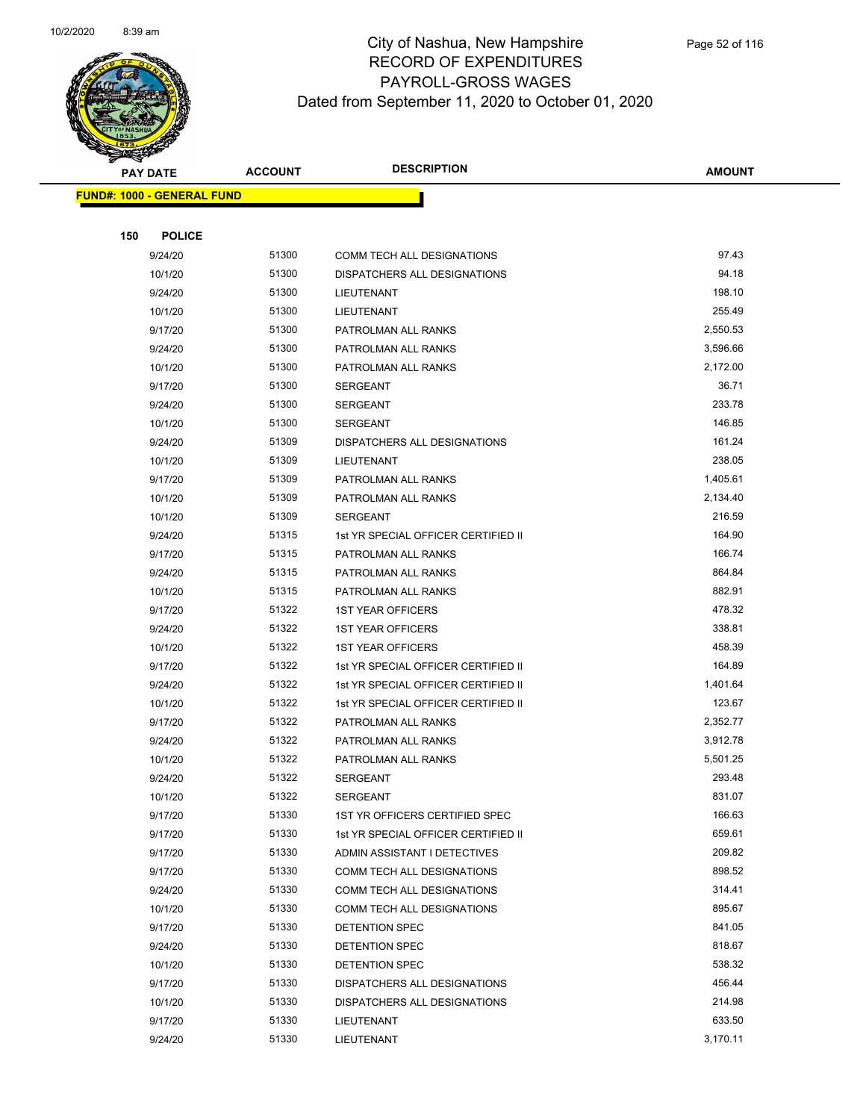

|     | <b>PAY DATE</b>                   | <b>ACCOUNT</b> | <b>DESCRIPTION</b>                  | <b>AMOUNT</b> |
|-----|-----------------------------------|----------------|-------------------------------------|---------------|
|     | <b>FUND#: 1000 - GENERAL FUND</b> |                |                                     |               |
|     |                                   |                |                                     |               |
| 150 | <b>POLICE</b>                     |                |                                     |               |
|     | 9/24/20                           | 51300          | COMM TECH ALL DESIGNATIONS          | 97.43         |
|     | 10/1/20                           | 51300          | DISPATCHERS ALL DESIGNATIONS        | 94.18         |
|     | 9/24/20                           | 51300          | LIEUTENANT                          | 198.10        |
|     | 10/1/20                           | 51300          | LIEUTENANT                          | 255.49        |
|     | 9/17/20                           | 51300          | PATROLMAN ALL RANKS                 | 2,550.53      |
|     | 9/24/20                           | 51300          | PATROLMAN ALL RANKS                 | 3,596.66      |
|     | 10/1/20                           | 51300          | PATROLMAN ALL RANKS                 | 2,172.00      |
|     | 9/17/20                           | 51300          | SERGEANT                            | 36.71         |
|     | 9/24/20                           | 51300          | <b>SERGEANT</b>                     | 233.78        |
|     | 10/1/20                           | 51300          | <b>SERGEANT</b>                     | 146.85        |
|     | 9/24/20                           | 51309          | DISPATCHERS ALL DESIGNATIONS        | 161.24        |
|     | 10/1/20                           | 51309          | LIEUTENANT                          | 238.05        |
|     | 9/17/20                           | 51309          | PATROLMAN ALL RANKS                 | 1,405.61      |
|     | 10/1/20                           | 51309          | PATROLMAN ALL RANKS                 | 2,134.40      |
|     | 10/1/20                           | 51309          | SERGEANT                            | 216.59        |
|     | 9/24/20                           | 51315          | 1st YR SPECIAL OFFICER CERTIFIED II | 164.90        |
|     | 9/17/20                           | 51315          | PATROLMAN ALL RANKS                 | 166.74        |
|     | 9/24/20                           | 51315          | PATROLMAN ALL RANKS                 | 864.84        |
|     | 10/1/20                           | 51315          | PATROLMAN ALL RANKS                 | 882.91        |
|     | 9/17/20                           | 51322          | <b>1ST YEAR OFFICERS</b>            | 478.32        |
|     | 9/24/20                           | 51322          | <b>1ST YEAR OFFICERS</b>            | 338.81        |
|     | 10/1/20                           | 51322          | <b>1ST YEAR OFFICERS</b>            | 458.39        |
|     | 9/17/20                           | 51322          | 1st YR SPECIAL OFFICER CERTIFIED II | 164.89        |
|     | 9/24/20                           | 51322          | 1st YR SPECIAL OFFICER CERTIFIED II | 1,401.64      |
|     | 10/1/20                           | 51322          | 1st YR SPECIAL OFFICER CERTIFIED II | 123.67        |
|     | 9/17/20                           | 51322          | PATROLMAN ALL RANKS                 | 2,352.77      |
|     | 9/24/20                           | 51322          | PATROLMAN ALL RANKS                 | 3,912.78      |
|     | 10/1/20                           | 51322          | PATROLMAN ALL RANKS                 | 5,501.25      |
|     | 9/24/20                           | 51322          | <b>SERGEANT</b>                     | 293.48        |
|     | 10/1/20                           | 51322          | SERGEANT                            | 831.07        |
|     | 9/17/20                           | 51330          | 1ST YR OFFICERS CERTIFIED SPEC      | 166.63        |
|     | 9/17/20                           | 51330          | 1st YR SPECIAL OFFICER CERTIFIED II | 659.61        |
|     | 9/17/20                           | 51330          | ADMIN ASSISTANT I DETECTIVES        | 209.82        |
|     | 9/17/20                           | 51330          | COMM TECH ALL DESIGNATIONS          | 898.52        |
|     | 9/24/20                           | 51330          | COMM TECH ALL DESIGNATIONS          | 314.41        |
|     | 10/1/20                           | 51330          | COMM TECH ALL DESIGNATIONS          | 895.67        |
|     | 9/17/20                           | 51330          | DETENTION SPEC                      | 841.05        |
|     | 9/24/20                           | 51330          | DETENTION SPEC                      | 818.67        |
|     | 10/1/20                           | 51330          | DETENTION SPEC                      | 538.32        |
|     | 9/17/20                           | 51330          | DISPATCHERS ALL DESIGNATIONS        | 456.44        |
|     | 10/1/20                           | 51330          | DISPATCHERS ALL DESIGNATIONS        | 214.98        |
|     | 9/17/20                           | 51330          | LIEUTENANT                          | 633.50        |
|     | 9/24/20                           | 51330          | LIEUTENANT                          | 3,170.11      |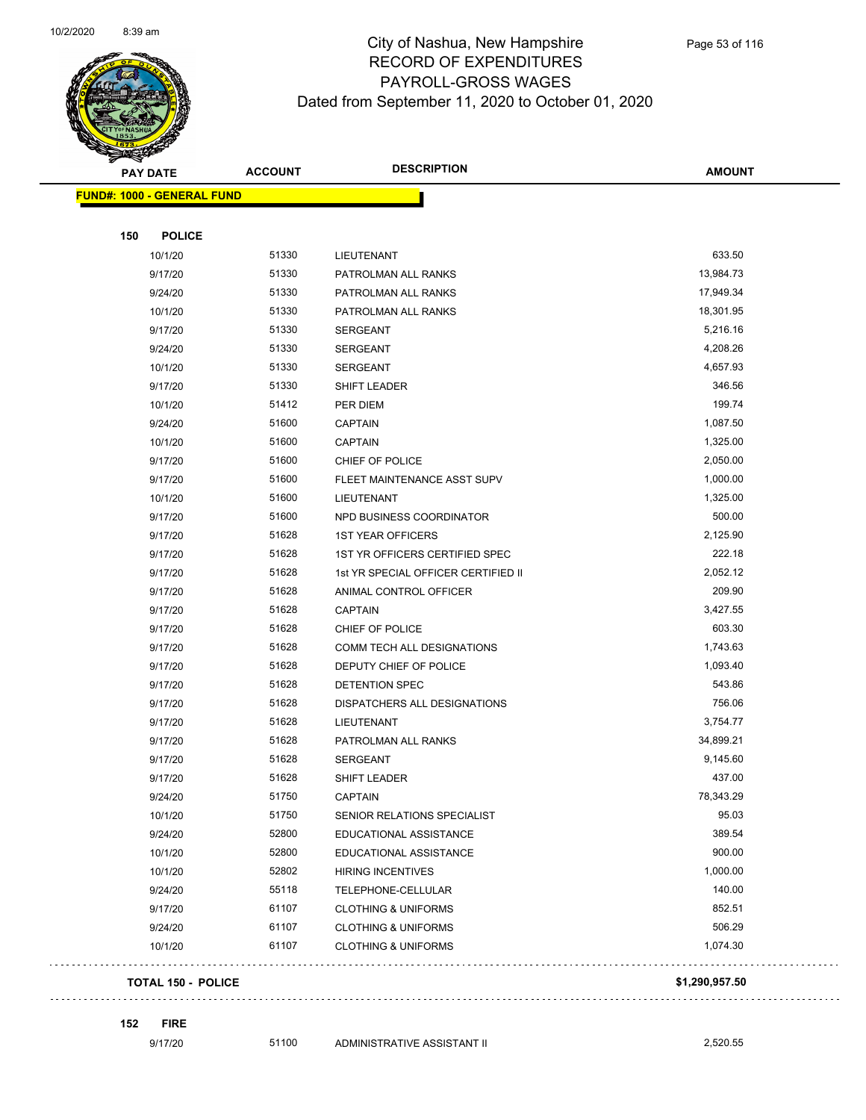

| <b>PAY DATE</b>                   | <b>ACCOUNT</b> | <b>DESCRIPTION</b>                  | <b>AMOUNT</b>  |
|-----------------------------------|----------------|-------------------------------------|----------------|
| <b>FUND#: 1000 - GENERAL FUND</b> |                |                                     |                |
|                                   |                |                                     |                |
| 150<br><b>POLICE</b>              |                |                                     |                |
| 10/1/20                           | 51330          | LIEUTENANT                          | 633.50         |
| 9/17/20                           | 51330          | PATROLMAN ALL RANKS                 | 13,984.73      |
| 9/24/20                           | 51330          | PATROLMAN ALL RANKS                 | 17,949.34      |
| 10/1/20                           | 51330          | PATROLMAN ALL RANKS                 | 18,301.95      |
| 9/17/20                           | 51330          | <b>SERGEANT</b>                     | 5,216.16       |
| 9/24/20                           | 51330          | <b>SERGEANT</b>                     | 4,208.26       |
| 10/1/20                           | 51330          | <b>SERGEANT</b>                     | 4,657.93       |
| 9/17/20                           | 51330          | SHIFT LEADER                        | 346.56         |
| 10/1/20                           | 51412          | PER DIEM                            | 199.74         |
| 9/24/20                           | 51600          | <b>CAPTAIN</b>                      | 1,087.50       |
| 10/1/20                           | 51600          | <b>CAPTAIN</b>                      | 1,325.00       |
| 9/17/20                           | 51600          | CHIEF OF POLICE                     | 2,050.00       |
| 9/17/20                           | 51600          | FLEET MAINTENANCE ASST SUPV         | 1,000.00       |
| 10/1/20                           | 51600          | LIEUTENANT                          | 1,325.00       |
| 9/17/20                           | 51600          | NPD BUSINESS COORDINATOR            | 500.00         |
| 9/17/20                           | 51628          | <b>1ST YEAR OFFICERS</b>            | 2,125.90       |
| 9/17/20                           | 51628          | 1ST YR OFFICERS CERTIFIED SPEC      | 222.18         |
| 9/17/20                           | 51628          | 1st YR SPECIAL OFFICER CERTIFIED II | 2,052.12       |
| 9/17/20                           | 51628          | ANIMAL CONTROL OFFICER              | 209.90         |
| 9/17/20                           | 51628          | <b>CAPTAIN</b>                      | 3,427.55       |
| 9/17/20                           | 51628          | CHIEF OF POLICE                     | 603.30         |
| 9/17/20                           | 51628          | COMM TECH ALL DESIGNATIONS          | 1,743.63       |
| 9/17/20                           | 51628          | DEPUTY CHIEF OF POLICE              | 1,093.40       |
| 9/17/20                           | 51628          | DETENTION SPEC                      | 543.86         |
| 9/17/20                           | 51628          | DISPATCHERS ALL DESIGNATIONS        | 756.06         |
| 9/17/20                           | 51628          | LIEUTENANT                          | 3,754.77       |
| 9/17/20                           | 51628          | PATROLMAN ALL RANKS                 | 34,899.21      |
| 9/17/20                           | 51628          | <b>SERGEANT</b>                     | 9,145.60       |
| 9/17/20                           | 51628          | SHIFT LEADER                        | 437.00         |
| 9/24/20                           | 51750          | CAPTAIN                             | 78,343.29      |
| 10/1/20                           | 51750          | SENIOR RELATIONS SPECIALIST         | 95.03          |
| 9/24/20                           | 52800          | EDUCATIONAL ASSISTANCE              | 389.54         |
| 10/1/20                           | 52800          | EDUCATIONAL ASSISTANCE              | 900.00         |
| 10/1/20                           | 52802          | <b>HIRING INCENTIVES</b>            | 1,000.00       |
| 9/24/20                           | 55118          | TELEPHONE-CELLULAR                  | 140.00         |
| 9/17/20                           | 61107          | <b>CLOTHING &amp; UNIFORMS</b>      | 852.51         |
| 9/24/20                           | 61107          | <b>CLOTHING &amp; UNIFORMS</b>      | 506.29         |
| 10/1/20                           | 61107          | <b>CLOTHING &amp; UNIFORMS</b>      | 1,074.30       |
| <b>TOTAL 150 - POLICE</b>         |                |                                     | \$1,290,957.50 |

**152 FIRE**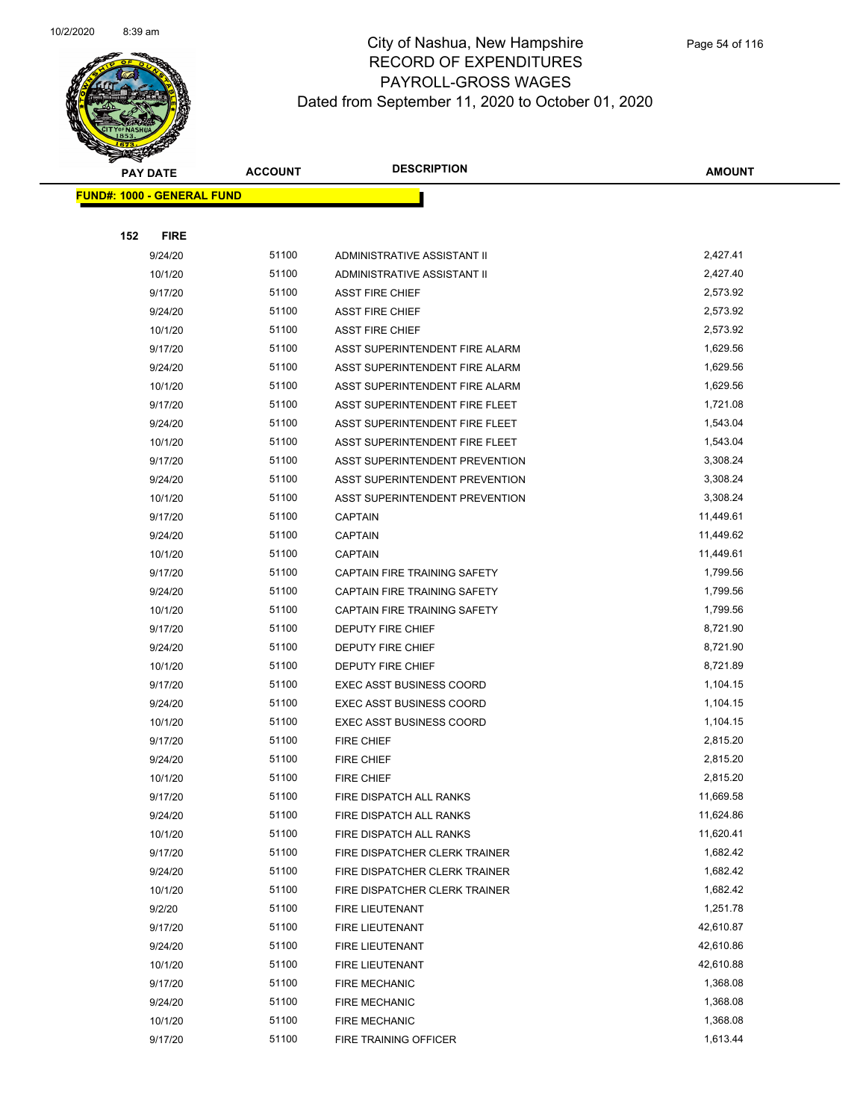

|     | <b>PAY DATE</b>                   | <b>ACCOUNT</b> | <b>DESCRIPTION</b>              | <b>AMOUNT</b> |
|-----|-----------------------------------|----------------|---------------------------------|---------------|
|     | <b>FUND#: 1000 - GENERAL FUND</b> |                |                                 |               |
|     |                                   |                |                                 |               |
| 152 | <b>FIRE</b>                       |                |                                 |               |
|     | 9/24/20                           | 51100          | ADMINISTRATIVE ASSISTANT II     | 2,427.41      |
|     | 10/1/20                           | 51100          | ADMINISTRATIVE ASSISTANT II     | 2,427.40      |
|     | 9/17/20                           | 51100          | <b>ASST FIRE CHIEF</b>          | 2,573.92      |
|     | 9/24/20                           | 51100          | <b>ASST FIRE CHIEF</b>          | 2,573.92      |
|     | 10/1/20                           | 51100          | <b>ASST FIRE CHIEF</b>          | 2,573.92      |
|     | 9/17/20                           | 51100          | ASST SUPERINTENDENT FIRE ALARM  | 1,629.56      |
|     | 9/24/20                           | 51100          | ASST SUPERINTENDENT FIRE ALARM  | 1,629.56      |
|     | 10/1/20                           | 51100          | ASST SUPERINTENDENT FIRE ALARM  | 1,629.56      |
|     | 9/17/20                           | 51100          | ASST SUPERINTENDENT FIRE FLEET  | 1,721.08      |
|     | 9/24/20                           | 51100          | ASST SUPERINTENDENT FIRE FLEET  | 1,543.04      |
|     | 10/1/20                           | 51100          | ASST SUPERINTENDENT FIRE FLEET  | 1,543.04      |
|     | 9/17/20                           | 51100          | ASST SUPERINTENDENT PREVENTION  | 3,308.24      |
|     | 9/24/20                           | 51100          | ASST SUPERINTENDENT PREVENTION  | 3,308.24      |
|     | 10/1/20                           | 51100          | ASST SUPERINTENDENT PREVENTION  | 3,308.24      |
|     | 9/17/20                           | 51100          | <b>CAPTAIN</b>                  | 11,449.61     |
|     | 9/24/20                           | 51100          | <b>CAPTAIN</b>                  | 11,449.62     |
|     | 10/1/20                           | 51100          | <b>CAPTAIN</b>                  | 11,449.61     |
|     | 9/17/20                           | 51100          | CAPTAIN FIRE TRAINING SAFETY    | 1,799.56      |
|     | 9/24/20                           | 51100          | CAPTAIN FIRE TRAINING SAFETY    | 1,799.56      |
|     | 10/1/20                           | 51100          | CAPTAIN FIRE TRAINING SAFETY    | 1,799.56      |
|     | 9/17/20                           | 51100          | <b>DEPUTY FIRE CHIEF</b>        | 8,721.90      |
|     | 9/24/20                           | 51100          | <b>DEPUTY FIRE CHIEF</b>        | 8,721.90      |
|     | 10/1/20                           | 51100          | <b>DEPUTY FIRE CHIEF</b>        | 8,721.89      |
|     | 9/17/20                           | 51100          | <b>EXEC ASST BUSINESS COORD</b> | 1,104.15      |
|     | 9/24/20                           | 51100          | <b>EXEC ASST BUSINESS COORD</b> | 1,104.15      |
|     | 10/1/20                           | 51100          | <b>EXEC ASST BUSINESS COORD</b> | 1,104.15      |
|     | 9/17/20                           | 51100          | FIRE CHIEF                      | 2,815.20      |
|     | 9/24/20                           | 51100          | <b>FIRE CHIEF</b>               | 2,815.20      |
|     | 10/1/20                           | 51100          | <b>FIRE CHIEF</b>               | 2,815.20      |
|     | 9/17/20                           | 51100          | FIRE DISPATCH ALL RANKS         | 11,669.58     |
|     | 9/24/20                           | 51100          | FIRE DISPATCH ALL RANKS         | 11,624.86     |
|     | 10/1/20                           | 51100          | FIRE DISPATCH ALL RANKS         | 11,620.41     |
|     | 9/17/20                           | 51100          | FIRE DISPATCHER CLERK TRAINER   | 1,682.42      |
|     | 9/24/20                           | 51100          | FIRE DISPATCHER CLERK TRAINER   | 1,682.42      |
|     | 10/1/20                           | 51100          | FIRE DISPATCHER CLERK TRAINER   | 1,682.42      |
|     | 9/2/20                            | 51100          | FIRE LIEUTENANT                 | 1,251.78      |
|     | 9/17/20                           | 51100          | FIRE LIEUTENANT                 | 42,610.87     |
|     | 9/24/20                           | 51100          | FIRE LIEUTENANT                 | 42,610.86     |
|     | 10/1/20                           | 51100          | FIRE LIEUTENANT                 | 42,610.88     |
|     | 9/17/20                           | 51100          | <b>FIRE MECHANIC</b>            | 1,368.08      |
|     | 9/24/20                           | 51100          | <b>FIRE MECHANIC</b>            | 1,368.08      |
|     | 10/1/20                           | 51100          | <b>FIRE MECHANIC</b>            | 1,368.08      |
|     | 9/17/20                           | 51100          | FIRE TRAINING OFFICER           | 1,613.44      |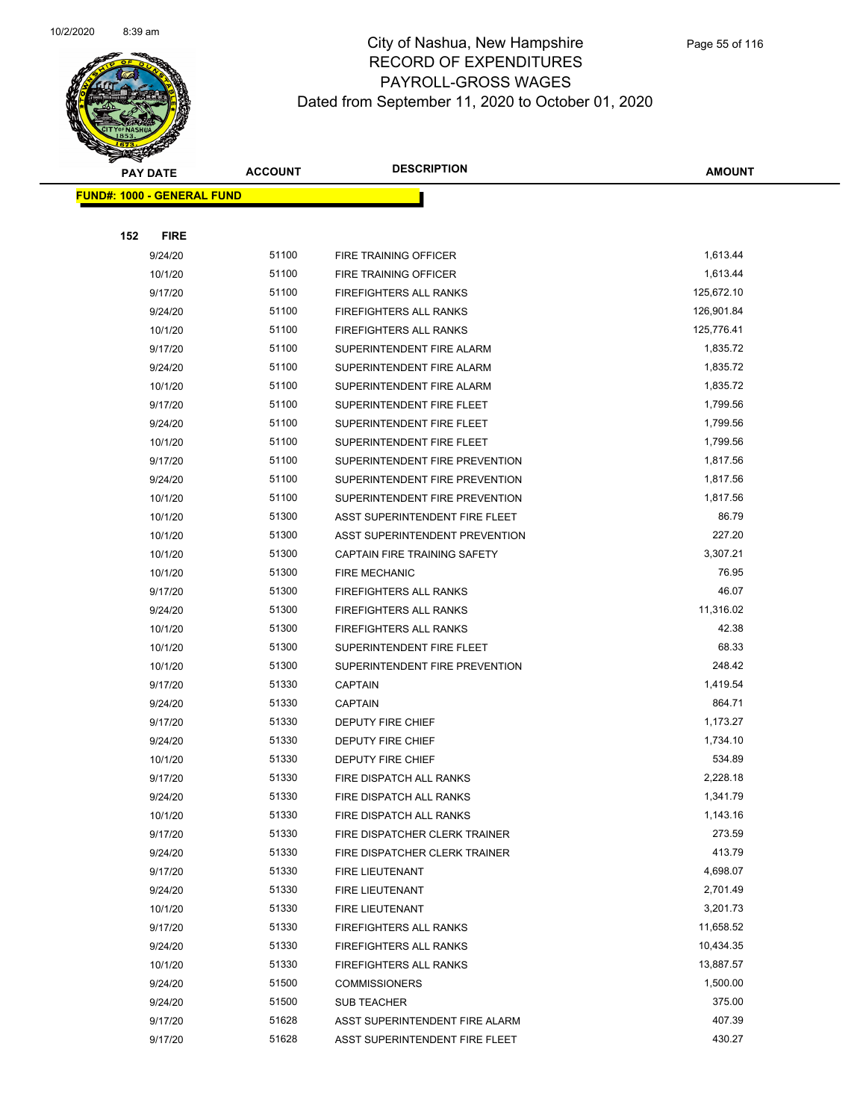

|     | PAY DATE                           | <b>ACCOUNT</b> | <b>DESCRIPTION</b>                               | AMOUNT               |
|-----|------------------------------------|----------------|--------------------------------------------------|----------------------|
|     | <u> FUND#: 1000 - GENERAL FUND</u> |                |                                                  |                      |
|     |                                    |                |                                                  |                      |
| 152 | <b>FIRE</b>                        |                |                                                  |                      |
|     | 9/24/20                            | 51100          | FIRE TRAINING OFFICER                            | 1,613.44             |
|     | 10/1/20                            | 51100          | FIRE TRAINING OFFICER                            | 1,613.44             |
|     | 9/17/20                            | 51100          | FIREFIGHTERS ALL RANKS                           | 125,672.10           |
|     | 9/24/20                            | 51100          | <b>FIREFIGHTERS ALL RANKS</b>                    | 126,901.84           |
|     | 10/1/20                            | 51100          | FIREFIGHTERS ALL RANKS                           | 125,776.41           |
|     | 9/17/20                            | 51100          | SUPERINTENDENT FIRE ALARM                        | 1,835.72             |
|     | 9/24/20                            | 51100          | SUPERINTENDENT FIRE ALARM                        | 1,835.72             |
|     | 10/1/20                            | 51100          | SUPERINTENDENT FIRE ALARM                        | 1,835.72             |
|     | 9/17/20                            | 51100          | SUPERINTENDENT FIRE FLEET                        | 1,799.56             |
|     | 9/24/20                            | 51100          | SUPERINTENDENT FIRE FLEET                        | 1,799.56             |
|     | 10/1/20                            | 51100          | SUPERINTENDENT FIRE FLEET                        | 1,799.56             |
|     | 9/17/20                            | 51100          | SUPERINTENDENT FIRE PREVENTION                   | 1,817.56             |
|     | 9/24/20                            | 51100          | SUPERINTENDENT FIRE PREVENTION                   | 1,817.56             |
|     | 10/1/20                            | 51100          | SUPERINTENDENT FIRE PREVENTION                   | 1,817.56             |
|     | 10/1/20                            | 51300          | ASST SUPERINTENDENT FIRE FLEET                   | 86.79                |
|     | 10/1/20                            | 51300          | ASST SUPERINTENDENT PREVENTION                   | 227.20               |
|     | 10/1/20                            | 51300          | CAPTAIN FIRE TRAINING SAFETY                     | 3,307.21             |
|     | 10/1/20                            | 51300          | <b>FIRE MECHANIC</b>                             | 76.95                |
|     | 9/17/20                            | 51300          | <b>FIREFIGHTERS ALL RANKS</b>                    | 46.07                |
|     | 9/24/20                            | 51300          | FIREFIGHTERS ALL RANKS                           | 11,316.02            |
|     | 10/1/20                            | 51300          | FIREFIGHTERS ALL RANKS                           | 42.38                |
|     | 10/1/20                            | 51300          | SUPERINTENDENT FIRE FLEET                        | 68.33                |
|     | 10/1/20                            | 51300          | SUPERINTENDENT FIRE PREVENTION                   | 248.42               |
|     | 9/17/20                            | 51330          | <b>CAPTAIN</b>                                   | 1,419.54             |
|     | 9/24/20                            | 51330          | <b>CAPTAIN</b>                                   | 864.71               |
|     | 9/17/20                            | 51330          | DEPUTY FIRE CHIEF                                | 1,173.27             |
|     | 9/24/20                            | 51330          | DEPUTY FIRE CHIEF                                | 1,734.10             |
|     | 10/1/20                            | 51330          | <b>DEPUTY FIRE CHIEF</b>                         | 534.89               |
|     | 9/17/20                            | 51330          | FIRE DISPATCH ALL RANKS                          | 2,228.18             |
|     | 9/24/20                            | 51330          | FIRE DISPATCH ALL RANKS                          | 1,341.79             |
|     | 10/1/20                            | 51330          | FIRE DISPATCH ALL RANKS                          | 1,143.16             |
|     | 9/17/20                            | 51330          | FIRE DISPATCHER CLERK TRAINER                    | 273.59               |
|     | 9/24/20                            | 51330          | FIRE DISPATCHER CLERK TRAINER                    | 413.79               |
|     | 9/17/20                            | 51330          | FIRE LIEUTENANT                                  | 4,698.07             |
|     | 9/24/20                            | 51330<br>51330 | FIRE LIEUTENANT                                  | 2,701.49<br>3,201.73 |
|     | 10/1/20<br>9/17/20                 | 51330          | FIRE LIEUTENANT                                  | 11,658.52            |
|     | 9/24/20                            | 51330          | FIREFIGHTERS ALL RANKS                           | 10,434.35            |
|     | 10/1/20                            | 51330          | FIREFIGHTERS ALL RANKS<br>FIREFIGHTERS ALL RANKS | 13,887.57            |
|     |                                    | 51500          |                                                  | 1,500.00             |
|     | 9/24/20<br>9/24/20                 | 51500          | <b>COMMISSIONERS</b><br>SUB TEACHER              | 375.00               |
|     | 9/17/20                            | 51628          | ASST SUPERINTENDENT FIRE ALARM                   | 407.39               |
|     | 9/17/20                            | 51628          | ASST SUPERINTENDENT FIRE FLEET                   | 430.27               |
|     |                                    |                |                                                  |                      |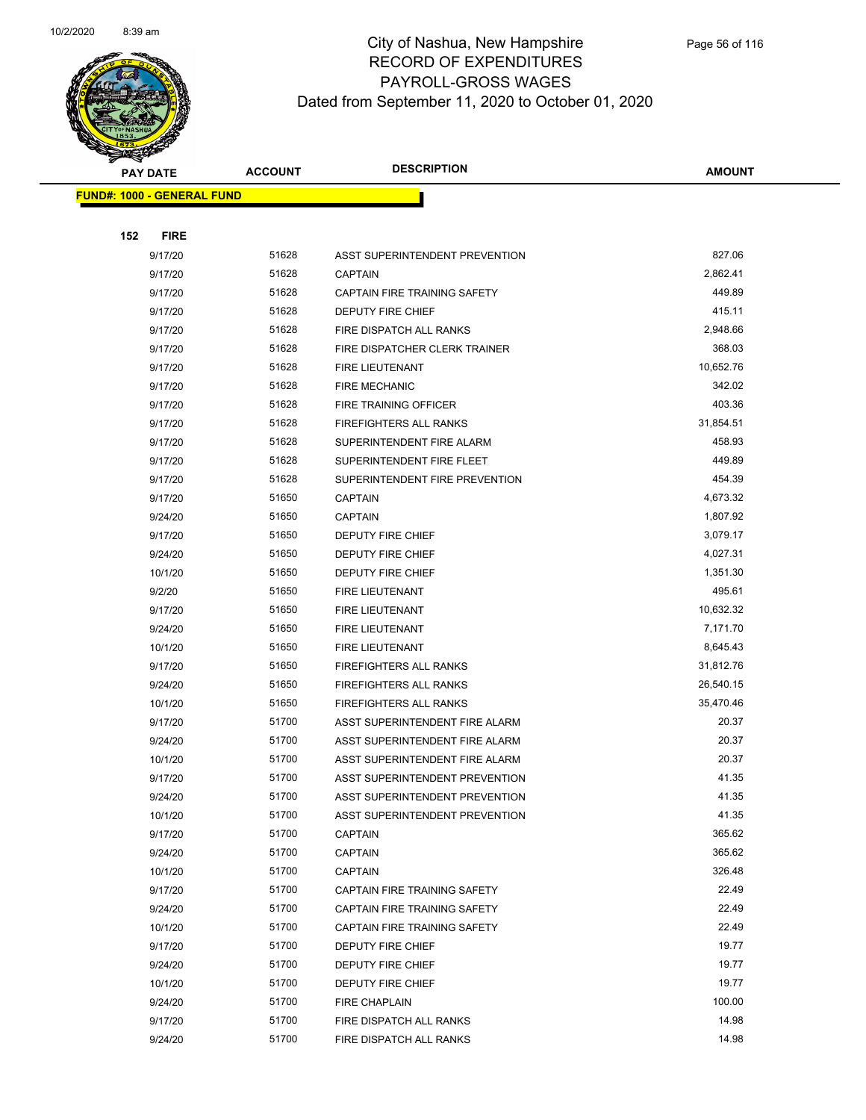

| PAY DATE                           | <b>ACCOUNT</b> | <b>DESCRIPTION</b>                    | AMOUNT          |
|------------------------------------|----------------|---------------------------------------|-----------------|
| <u> FUND#: 1000 - GENERAL FUND</u> |                |                                       |                 |
|                                    |                |                                       |                 |
| 152<br><b>FIRE</b>                 |                |                                       |                 |
| 9/17/20                            | 51628          | ASST SUPERINTENDENT PREVENTION        | 827.06          |
| 9/17/20                            | 51628          | <b>CAPTAIN</b>                        | 2,862.41        |
| 9/17/20                            | 51628          | CAPTAIN FIRE TRAINING SAFETY          | 449.89          |
| 9/17/20                            | 51628          | DEPUTY FIRE CHIEF                     | 415.11          |
| 9/17/20                            | 51628          | FIRE DISPATCH ALL RANKS               | 2,948.66        |
| 9/17/20                            | 51628          | FIRE DISPATCHER CLERK TRAINER         | 368.03          |
| 9/17/20                            | 51628          | FIRE LIEUTENANT                       | 10,652.76       |
| 9/17/20                            | 51628          | <b>FIRE MECHANIC</b>                  | 342.02          |
| 9/17/20                            | 51628          | FIRE TRAINING OFFICER                 | 403.36          |
| 9/17/20                            | 51628          | <b>FIREFIGHTERS ALL RANKS</b>         | 31,854.51       |
| 9/17/20                            | 51628          | SUPERINTENDENT FIRE ALARM             | 458.93          |
| 9/17/20                            | 51628          | SUPERINTENDENT FIRE FLEET             | 449.89          |
| 9/17/20                            | 51628          | SUPERINTENDENT FIRE PREVENTION        | 454.39          |
| 9/17/20                            | 51650          | <b>CAPTAIN</b>                        | 4,673.32        |
| 9/24/20                            | 51650          | <b>CAPTAIN</b>                        | 1,807.92        |
| 9/17/20                            | 51650          | DEPUTY FIRE CHIEF                     | 3,079.17        |
| 9/24/20                            | 51650          | <b>DEPUTY FIRE CHIEF</b>              | 4,027.31        |
| 10/1/20                            | 51650          | DEPUTY FIRE CHIEF                     | 1,351.30        |
| 9/2/20                             | 51650          | FIRE LIEUTENANT                       | 495.61          |
| 9/17/20                            | 51650          | <b>FIRE LIEUTENANT</b>                | 10,632.32       |
| 9/24/20                            | 51650          | FIRE LIEUTENANT                       | 7,171.70        |
| 10/1/20                            | 51650          | FIRE LIEUTENANT                       | 8,645.43        |
| 9/17/20                            | 51650          | <b>FIREFIGHTERS ALL RANKS</b>         | 31,812.76       |
| 9/24/20                            | 51650          | <b>FIREFIGHTERS ALL RANKS</b>         | 26,540.15       |
| 10/1/20                            | 51650          | <b>FIREFIGHTERS ALL RANKS</b>         | 35,470.46       |
| 9/17/20                            | 51700          | ASST SUPERINTENDENT FIRE ALARM        | 20.37           |
| 9/24/20                            | 51700          | ASST SUPERINTENDENT FIRE ALARM        | 20.37           |
| 10/1/20                            | 51700          | ASST SUPERINTENDENT FIRE ALARM        | 20.37           |
| 9/17/20                            | 51700          | <b>ASST SUPERINTENDENT PREVENTION</b> | 41.35           |
| 9/24/20                            | 51700          | ASST SUPERINTENDENT PREVENTION        | 41.35           |
| 10/1/20                            | 51700          | ASST SUPERINTENDENT PREVENTION        | 41.35           |
| 9/17/20                            | 51700          | CAPTAIN                               | 365.62          |
| 9/24/20                            | 51700          | <b>CAPTAIN</b>                        | 365.62          |
| 10/1/20                            | 51700          | <b>CAPTAIN</b>                        | 326.48          |
| 9/17/20                            | 51700          | CAPTAIN FIRE TRAINING SAFETY          | 22.49           |
| 9/24/20                            | 51700          | CAPTAIN FIRE TRAINING SAFETY          | 22.49           |
| 10/1/20                            | 51700          | CAPTAIN FIRE TRAINING SAFETY          | 22.49           |
| 9/17/20                            | 51700          | DEPUTY FIRE CHIEF                     | 19.77           |
| 9/24/20                            | 51700          | DEPUTY FIRE CHIEF                     | 19.77           |
| 10/1/20                            | 51700          | <b>DEPUTY FIRE CHIEF</b>              | 19.77           |
| 9/24/20                            | 51700<br>51700 | <b>FIRE CHAPLAIN</b>                  | 100.00<br>14.98 |
| 9/17/20                            |                | FIRE DISPATCH ALL RANKS               |                 |
| 9/24/20                            | 51700          | FIRE DISPATCH ALL RANKS               | 14.98           |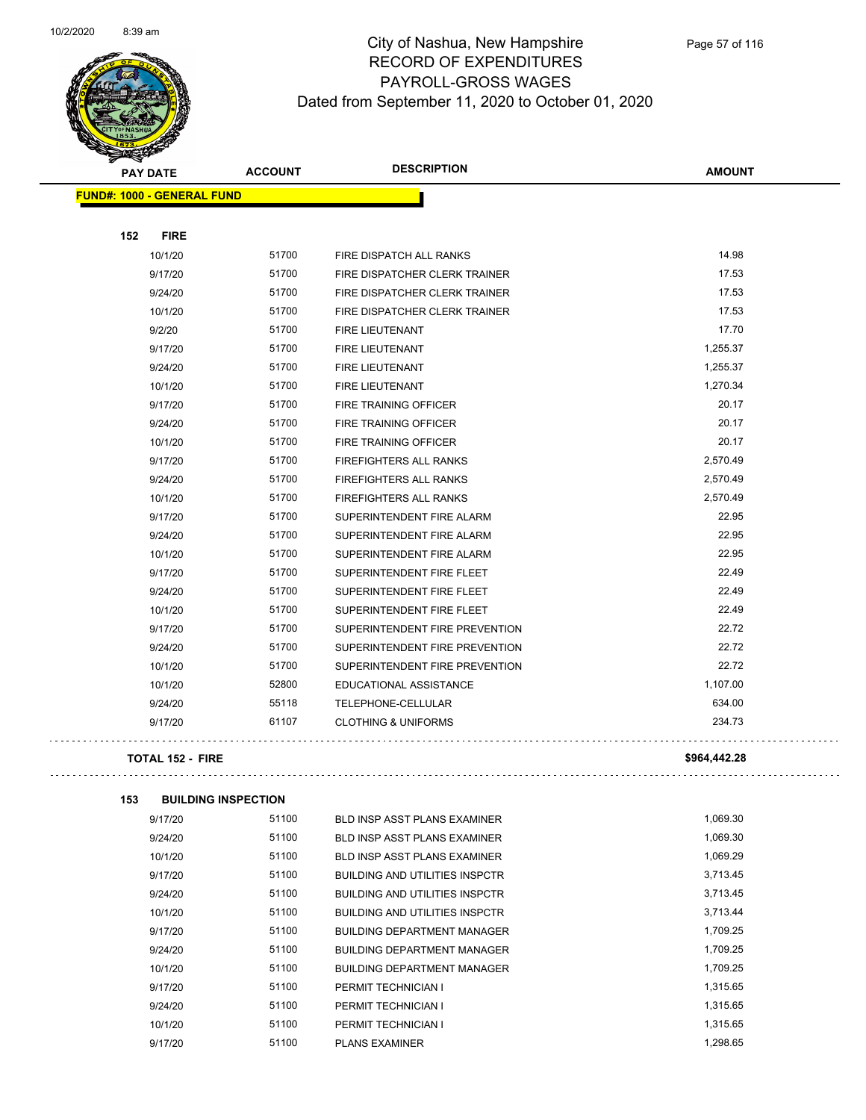

| <b>PAY DATE</b> |                                   | <b>ACCOUNT</b> | <b>DESCRIPTION</b>             | <b>AMOUNT</b> |
|-----------------|-----------------------------------|----------------|--------------------------------|---------------|
|                 | <b>FUND#: 1000 - GENERAL FUND</b> |                |                                |               |
|                 |                                   |                |                                |               |
| 152             | <b>FIRE</b>                       |                |                                |               |
|                 | 10/1/20                           | 51700          | FIRE DISPATCH ALL RANKS        | 14.98         |
|                 | 9/17/20                           | 51700          | FIRE DISPATCHER CLERK TRAINER  | 17.53         |
|                 | 9/24/20                           | 51700          | FIRE DISPATCHER CLERK TRAINER  | 17.53         |
|                 | 10/1/20                           | 51700          | FIRE DISPATCHER CLERK TRAINER  | 17.53         |
|                 | 9/2/20                            | 51700          | FIRE LIEUTENANT                | 17.70         |
|                 | 9/17/20                           | 51700          | FIRE LIEUTENANT                | 1,255.37      |
|                 | 9/24/20                           | 51700          | <b>FIRE LIEUTENANT</b>         | 1,255.37      |
|                 | 10/1/20                           | 51700          | <b>FIRE LIEUTENANT</b>         | 1,270.34      |
|                 | 9/17/20                           | 51700          | FIRE TRAINING OFFICER          | 20.17         |
|                 | 9/24/20                           | 51700          | FIRE TRAINING OFFICER          | 20.17         |
|                 | 10/1/20                           | 51700          | FIRE TRAINING OFFICER          | 20.17         |
|                 | 9/17/20                           | 51700          | FIREFIGHTERS ALL RANKS         | 2,570.49      |
|                 | 9/24/20                           | 51700          | <b>FIREFIGHTERS ALL RANKS</b>  | 2,570.49      |
|                 | 10/1/20                           | 51700          | <b>FIREFIGHTERS ALL RANKS</b>  | 2,570.49      |
|                 | 9/17/20                           | 51700          | SUPERINTENDENT FIRE ALARM      | 22.95         |
|                 | 9/24/20                           | 51700          | SUPERINTENDENT FIRE ALARM      | 22.95         |
|                 | 10/1/20                           | 51700          | SUPERINTENDENT FIRE ALARM      | 22.95         |
|                 | 9/17/20                           | 51700          | SUPERINTENDENT FIRE FLEET      | 22.49         |
|                 | 9/24/20                           | 51700          | SUPERINTENDENT FIRE FLEET      | 22.49         |
|                 | 10/1/20                           | 51700          | SUPERINTENDENT FIRE FLEET      | 22.49         |
|                 | 9/17/20                           | 51700          | SUPERINTENDENT FIRE PREVENTION | 22.72         |
|                 | 9/24/20                           | 51700          | SUPERINTENDENT FIRE PREVENTION | 22.72         |
|                 | 10/1/20                           | 51700          | SUPERINTENDENT FIRE PREVENTION | 22.72         |
|                 | 10/1/20                           | 52800          | EDUCATIONAL ASSISTANCE         | 1,107.00      |
|                 | 9/24/20                           | 55118          | TELEPHONE-CELLULAR             | 634.00        |
|                 | 9/17/20                           | 61107          | <b>CLOTHING &amp; UNIFORMS</b> | 234.73        |
|                 |                                   |                |                                |               |

#### **TOTAL 152 - FIRE \$964,442.28**

| 153 | <b>BUILDING INSPECTION</b> |       |                                       |          |
|-----|----------------------------|-------|---------------------------------------|----------|
|     | 9/17/20                    | 51100 | BLD INSP ASST PLANS EXAMINER          | 1,069.30 |
|     | 9/24/20                    | 51100 | <b>BLD INSP ASST PLANS EXAMINER</b>   | 1,069.30 |
|     | 10/1/20                    | 51100 | <b>BLD INSP ASST PLANS EXAMINER</b>   | 1,069.29 |
|     | 9/17/20                    | 51100 | <b>BUILDING AND UTILITIES INSPCTR</b> | 3,713.45 |
|     | 9/24/20                    | 51100 | <b>BUILDING AND UTILITIES INSPCTR</b> | 3,713.45 |
|     | 10/1/20                    | 51100 | <b>BUILDING AND UTILITIES INSPCTR</b> | 3,713.44 |
|     | 9/17/20                    | 51100 | <b>BUILDING DEPARTMENT MANAGER</b>    | 1,709.25 |
|     | 9/24/20                    | 51100 | <b>BUILDING DEPARTMENT MANAGER</b>    | 1,709.25 |
|     | 10/1/20                    | 51100 | <b>BUILDING DEPARTMENT MANAGER</b>    | 1,709.25 |
|     | 9/17/20                    | 51100 | PERMIT TECHNICIAN I                   | 1,315.65 |
|     | 9/24/20                    | 51100 | PERMIT TECHNICIAN I                   | 1,315.65 |
|     | 10/1/20                    | 51100 | PERMIT TECHNICIAN I                   | 1,315.65 |
|     | 9/17/20                    | 51100 | <b>PLANS EXAMINER</b>                 | 1.298.65 |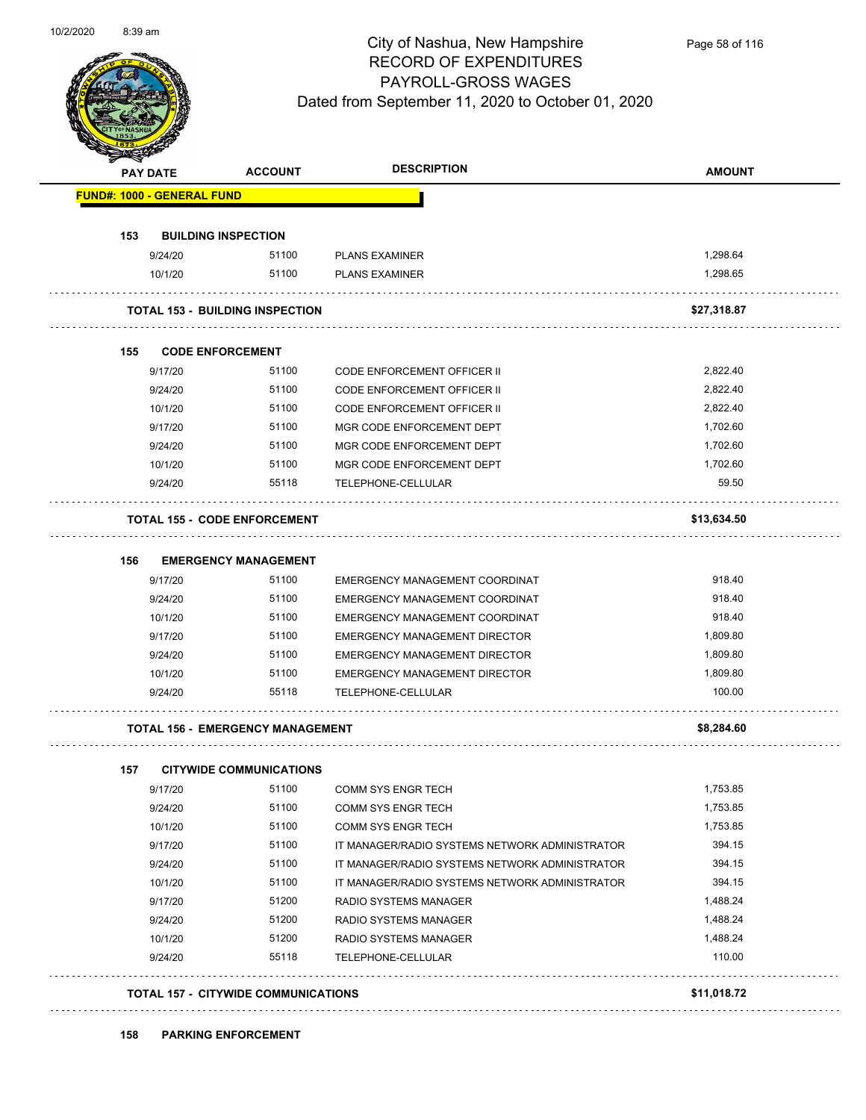

Page 58 of 116

|     | PAY DATE           | <b>ACCOUNT</b>                          | <b>DESCRIPTION</b>                                                           | <b>AMOUNT</b>    |
|-----|--------------------|-----------------------------------------|------------------------------------------------------------------------------|------------------|
|     |                    | <b>FUND#: 1000 - GENERAL FUND</b>       |                                                                              |                  |
| 153 |                    | <b>BUILDING INSPECTION</b>              |                                                                              |                  |
|     | 9/24/20            | 51100                                   | <b>PLANS EXAMINER</b>                                                        | 1,298.64         |
|     | 10/1/20            | 51100                                   | <b>PLANS EXAMINER</b>                                                        | 1,298.65         |
|     |                    | <b>TOTAL 153 - BUILDING INSPECTION</b>  |                                                                              | \$27,318.87      |
| 155 |                    | <b>CODE ENFORCEMENT</b>                 |                                                                              |                  |
|     | 9/17/20            | 51100                                   | <b>CODE ENFORCEMENT OFFICER II</b>                                           | 2,822.40         |
|     | 9/24/20            | 51100                                   | <b>CODE ENFORCEMENT OFFICER II</b>                                           | 2,822.40         |
|     | 10/1/20            | 51100                                   | <b>CODE ENFORCEMENT OFFICER II</b>                                           | 2,822.40         |
|     | 9/17/20            | 51100                                   | MGR CODE ENFORCEMENT DEPT                                                    | 1,702.60         |
|     | 9/24/20            | 51100                                   | MGR CODE ENFORCEMENT DEPT                                                    | 1,702.60         |
|     | 10/1/20            | 51100                                   | MGR CODE ENFORCEMENT DEPT                                                    | 1,702.60         |
|     | 9/24/20            | 55118                                   | TELEPHONE-CELLULAR                                                           | 59.50            |
|     |                    | <b>TOTAL 155 - CODE ENFORCEMENT</b>     |                                                                              | \$13,634.50      |
|     |                    |                                         |                                                                              |                  |
| 156 |                    | <b>EMERGENCY MANAGEMENT</b>             |                                                                              |                  |
|     | 9/17/20            | 51100                                   | EMERGENCY MANAGEMENT COORDINAT                                               | 918.40           |
|     | 9/24/20            | 51100<br>51100                          | EMERGENCY MANAGEMENT COORDINAT                                               | 918.40<br>918.40 |
|     | 10/1/20            | 51100                                   | EMERGENCY MANAGEMENT COORDINAT                                               | 1,809.80         |
|     | 9/17/20<br>9/24/20 | 51100                                   | <b>EMERGENCY MANAGEMENT DIRECTOR</b><br><b>EMERGENCY MANAGEMENT DIRECTOR</b> | 1,809.80         |
|     | 10/1/20            | 51100                                   | <b>EMERGENCY MANAGEMENT DIRECTOR</b>                                         | 1,809.80         |
|     | 9/24/20            | 55118                                   | TELEPHONE-CELLULAR                                                           | 100.00           |
|     |                    | <b>TOTAL 156 - EMERGENCY MANAGEMENT</b> | .                                                                            | \$8,284.60       |
| 157 |                    | <b>CITYWIDE COMMUNICATIONS</b>          |                                                                              |                  |
|     | 9/17/20            | 51100                                   | <b>COMM SYS ENGR TECH</b>                                                    | 1,753.85         |
|     | 9/24/20            | 51100                                   | COMM SYS ENGR TECH                                                           | 1,753.85         |
|     | 10/1/20            | 51100                                   | <b>COMM SYS ENGR TECH</b>                                                    | 1,753.85         |
|     | 9/17/20            | 51100                                   | IT MANAGER/RADIO SYSTEMS NETWORK ADMINISTRATOR                               | 394.15           |
|     | 9/24/20            | 51100                                   | IT MANAGER/RADIO SYSTEMS NETWORK ADMINISTRATOR                               | 394.15           |
|     | 10/1/20            | 51100                                   | IT MANAGER/RADIO SYSTEMS NETWORK ADMINISTRATOR                               | 394.15           |
|     | 9/17/20            | 51200                                   | RADIO SYSTEMS MANAGER                                                        | 1,488.24         |
|     | 9/24/20            | 51200                                   | RADIO SYSTEMS MANAGER                                                        | 1,488.24         |
|     | 10/1/20            | 51200                                   | RADIO SYSTEMS MANAGER                                                        | 1,488.24         |
|     | 9/24/20            | 55118                                   | TELEPHONE-CELLULAR                                                           | 110.00           |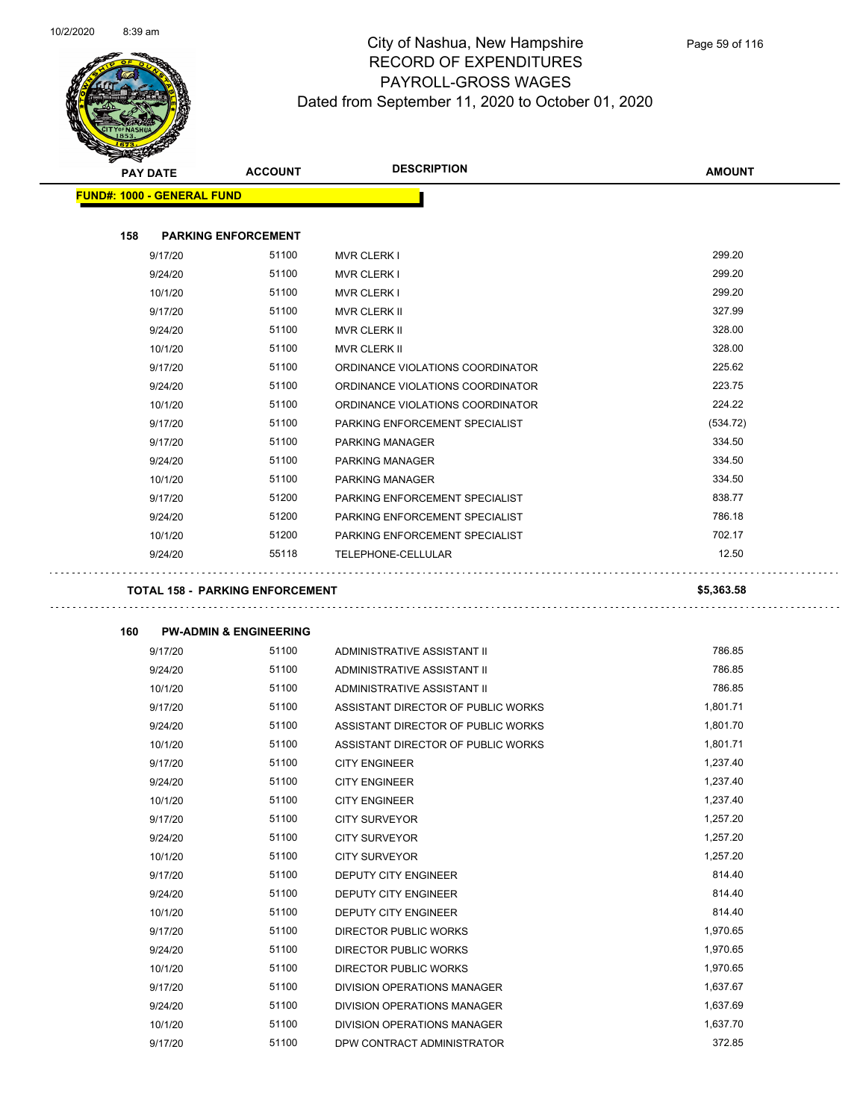

| <b>PAY DATE</b> |                                   | <b>ACCOUNT</b>                         | <b>DESCRIPTION</b>                 | <b>AMOUNT</b> |
|-----------------|-----------------------------------|----------------------------------------|------------------------------------|---------------|
|                 | <b>FUND#: 1000 - GENERAL FUND</b> |                                        |                                    |               |
|                 |                                   |                                        |                                    |               |
| 158             |                                   | <b>PARKING ENFORCEMENT</b>             |                                    |               |
|                 | 9/17/20                           | 51100                                  | <b>MVR CLERK I</b>                 | 299.20        |
|                 | 9/24/20                           | 51100                                  | <b>MVR CLERK I</b>                 | 299.20        |
|                 | 10/1/20                           | 51100                                  | <b>MVR CLERK I</b>                 | 299.20        |
|                 | 9/17/20                           | 51100                                  | <b>MVR CLERK II</b>                | 327.99        |
|                 | 9/24/20                           | 51100                                  | <b>MVR CLERK II</b>                | 328.00        |
|                 | 10/1/20                           | 51100                                  | <b>MVR CLERK II</b>                | 328.00        |
|                 | 9/17/20                           | 51100                                  | ORDINANCE VIOLATIONS COORDINATOR   | 225.62        |
|                 | 9/24/20                           | 51100                                  | ORDINANCE VIOLATIONS COORDINATOR   | 223.75        |
|                 | 10/1/20                           | 51100                                  | ORDINANCE VIOLATIONS COORDINATOR   | 224.22        |
|                 | 9/17/20                           | 51100                                  | PARKING ENFORCEMENT SPECIALIST     | (534.72)      |
|                 | 9/17/20                           | 51100                                  | <b>PARKING MANAGER</b>             | 334.50        |
|                 | 9/24/20                           | 51100                                  | PARKING MANAGER                    | 334.50        |
|                 | 10/1/20                           | 51100                                  | PARKING MANAGER                    | 334.50        |
|                 | 9/17/20                           | 51200                                  | PARKING ENFORCEMENT SPECIALIST     | 838.77        |
|                 | 9/24/20                           | 51200                                  | PARKING ENFORCEMENT SPECIALIST     | 786.18        |
|                 | 10/1/20                           | 51200                                  | PARKING ENFORCEMENT SPECIALIST     | 702.17        |
|                 | 9/24/20                           | 55118                                  | <b>TELEPHONE-CELLULAR</b>          | 12.50         |
|                 |                                   |                                        |                                    |               |
|                 |                                   | <b>TOTAL 158 - PARKING ENFORCEMENT</b> |                                    | \$5,363.58    |
|                 |                                   |                                        |                                    |               |
| 160             |                                   | <b>PW-ADMIN &amp; ENGINEERING</b>      |                                    |               |
|                 | 9/17/20                           | 51100                                  | ADMINISTRATIVE ASSISTANT II        | 786.85        |
|                 | 9/24/20                           | 51100                                  | ADMINISTRATIVE ASSISTANT II        | 786.85        |
|                 | 10/1/20                           | 51100                                  | ADMINISTRATIVE ASSISTANT II        | 786.85        |
|                 | 9/17/20                           | 51100                                  | ASSISTANT DIRECTOR OF PUBLIC WORKS | 1,801.71      |
|                 | 9/24/20                           | 51100                                  | ASSISTANT DIRECTOR OF PUBLIC WORKS | 1,801.70      |
|                 | 10/1/20                           | 51100                                  | ASSISTANT DIRECTOR OF PUBLIC WORKS | 1,801.71      |
|                 | 9/17/20                           | 51100                                  | <b>CITY ENGINEER</b>               | 1,237.40      |
|                 | 9/24/20                           | 51100                                  | <b>CITY ENGINEER</b>               | 1,237.40      |
|                 | 10/1/20                           | 51100                                  | <b>CITY ENGINEER</b>               | 1,237.40      |
|                 | 9/17/20                           | 51100                                  | <b>CITY SURVEYOR</b>               | 1,257.20      |
|                 | 9/24/20                           | 51100                                  | <b>CITY SURVEYOR</b>               | 1,257.20      |
|                 | 10/1/20                           | 51100                                  | <b>CITY SURVEYOR</b>               | 1,257.20      |
|                 | 9/17/20                           | 51100                                  | DEPUTY CITY ENGINEER               | 814.40        |
|                 | 9/24/20                           | 51100                                  | DEPUTY CITY ENGINEER               | 814.40        |
|                 | 10/1/20                           | 51100                                  | DEPUTY CITY ENGINEER               | 814.40        |
|                 | 9/17/20                           | 51100                                  | DIRECTOR PUBLIC WORKS              | 1,970.65      |
|                 | 9/24/20                           | 51100                                  | DIRECTOR PUBLIC WORKS              | 1,970.65      |
|                 | 10/1/20                           | 51100                                  | DIRECTOR PUBLIC WORKS              | 1,970.65      |
|                 | 9/17/20                           | 51100                                  | DIVISION OPERATIONS MANAGER        | 1,637.67      |
|                 | 9/24/20                           | 51100                                  | DIVISION OPERATIONS MANAGER        | 1,637.69      |
|                 | 10/1/20                           | 51100                                  | DIVISION OPERATIONS MANAGER        | 1,637.70      |
|                 | 9/17/20                           | 51100                                  | DPW CONTRACT ADMINISTRATOR         | 372.85        |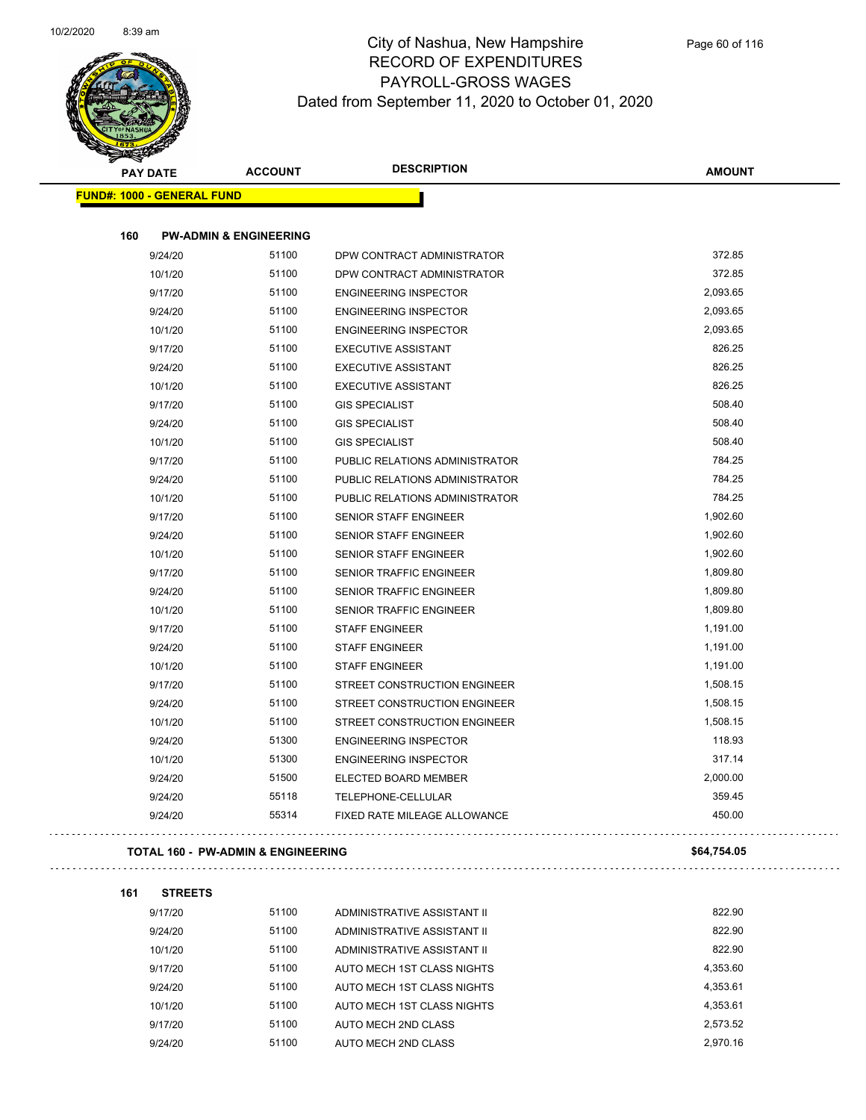

| <b>PAY DATE</b>                   | <b>ACCOUNT</b>                                | <b>DESCRIPTION</b>             | <b>AMOUNT</b> |
|-----------------------------------|-----------------------------------------------|--------------------------------|---------------|
| <b>FUND#: 1000 - GENERAL FUND</b> |                                               |                                |               |
| 160                               | <b>PW-ADMIN &amp; ENGINEERING</b>             |                                |               |
| 9/24/20                           | 51100                                         | DPW CONTRACT ADMINISTRATOR     | 372.85        |
| 10/1/20                           | 51100                                         | DPW CONTRACT ADMINISTRATOR     | 372.85        |
| 9/17/20                           | 51100                                         | <b>ENGINEERING INSPECTOR</b>   | 2,093.65      |
| 9/24/20                           | 51100                                         | <b>ENGINEERING INSPECTOR</b>   | 2,093.65      |
| 10/1/20                           | 51100                                         | <b>ENGINEERING INSPECTOR</b>   | 2,093.65      |
| 9/17/20                           | 51100                                         | <b>EXECUTIVE ASSISTANT</b>     | 826.25        |
| 9/24/20                           | 51100                                         | <b>EXECUTIVE ASSISTANT</b>     | 826.25        |
| 10/1/20                           | 51100                                         | <b>EXECUTIVE ASSISTANT</b>     | 826.25        |
| 9/17/20                           | 51100                                         | <b>GIS SPECIALIST</b>          | 508.40        |
| 9/24/20                           | 51100                                         | <b>GIS SPECIALIST</b>          | 508.40        |
| 10/1/20                           | 51100                                         | <b>GIS SPECIALIST</b>          | 508.40        |
| 9/17/20                           | 51100                                         | PUBLIC RELATIONS ADMINISTRATOR | 784.25        |
| 9/24/20                           | 51100                                         | PUBLIC RELATIONS ADMINISTRATOR | 784.25        |
| 10/1/20                           | 51100                                         | PUBLIC RELATIONS ADMINISTRATOR | 784.25        |
| 9/17/20                           | 51100                                         | SENIOR STAFF ENGINEER          | 1,902.60      |
| 9/24/20                           | 51100                                         | SENIOR STAFF ENGINEER          | 1,902.60      |
| 10/1/20                           | 51100                                         | <b>SENIOR STAFF ENGINEER</b>   | 1,902.60      |
| 9/17/20                           | 51100                                         | SENIOR TRAFFIC ENGINEER        | 1,809.80      |
| 9/24/20                           | 51100                                         | <b>SENIOR TRAFFIC ENGINEER</b> | 1,809.80      |
| 10/1/20                           | 51100                                         | <b>SENIOR TRAFFIC ENGINEER</b> | 1,809.80      |
| 9/17/20                           | 51100                                         | <b>STAFF ENGINEER</b>          | 1,191.00      |
| 9/24/20                           | 51100                                         | <b>STAFF ENGINEER</b>          | 1,191.00      |
| 10/1/20                           | 51100                                         | <b>STAFF ENGINEER</b>          | 1,191.00      |
| 9/17/20                           | 51100                                         | STREET CONSTRUCTION ENGINEER   | 1,508.15      |
| 9/24/20                           | 51100                                         | STREET CONSTRUCTION ENGINEER   | 1,508.15      |
| 10/1/20                           | 51100                                         | STREET CONSTRUCTION ENGINEER   | 1,508.15      |
| 9/24/20                           | 51300                                         | <b>ENGINEERING INSPECTOR</b>   | 118.93        |
| 10/1/20                           | 51300                                         | <b>ENGINEERING INSPECTOR</b>   | 317.14        |
| 9/24/20                           | 51500                                         | ELECTED BOARD MEMBER           | 2,000.00      |
| 9/24/20                           | 55118                                         | TELEPHONE-CELLULAR             | 359.45        |
| 9/24/20                           | 55314                                         | FIXED RATE MILEAGE ALLOWANCE   | 450.00        |
|                                   | <b>TOTAL 160 - PW-ADMIN &amp; ENGINEERING</b> |                                | \$64,754.05   |

| 161 | <b>STREETS</b> |       |                             |          |
|-----|----------------|-------|-----------------------------|----------|
|     | 9/17/20        | 51100 | ADMINISTRATIVE ASSISTANT II | 822.90   |
|     | 9/24/20        | 51100 | ADMINISTRATIVE ASSISTANT II | 822.90   |
|     | 10/1/20        | 51100 | ADMINISTRATIVE ASSISTANT II | 822.90   |
|     | 9/17/20        | 51100 | AUTO MECH 1ST CLASS NIGHTS  | 4,353.60 |
|     | 9/24/20        | 51100 | AUTO MECH 1ST CLASS NIGHTS  | 4.353.61 |
|     | 10/1/20        | 51100 | AUTO MECH 1ST CLASS NIGHTS  | 4.353.61 |
|     | 9/17/20        | 51100 | AUTO MECH 2ND CLASS         | 2.573.52 |
|     | 9/24/20        | 51100 | AUTO MECH 2ND CLASS         | 2.970.16 |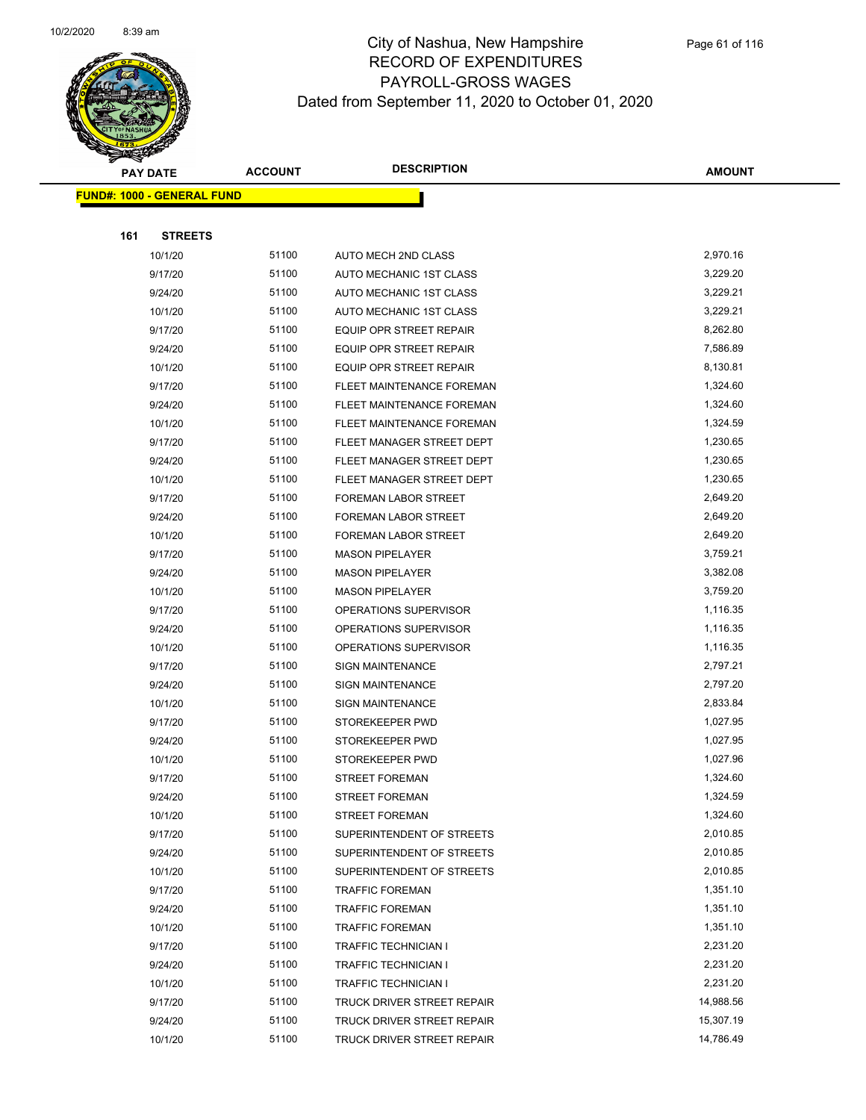

|     | <b>PAY DATE</b>                   | <b>ACCOUNT</b> | <b>DESCRIPTION</b>                                     | <b>AMOUNT</b>        |
|-----|-----------------------------------|----------------|--------------------------------------------------------|----------------------|
|     | <b>FUND#: 1000 - GENERAL FUND</b> |                |                                                        |                      |
|     |                                   |                |                                                        |                      |
| 161 | <b>STREETS</b>                    |                |                                                        |                      |
|     | 10/1/20                           | 51100          | <b>AUTO MECH 2ND CLASS</b>                             | 2,970.16             |
|     | 9/17/20                           | 51100          | AUTO MECHANIC 1ST CLASS                                | 3,229.20             |
|     | 9/24/20                           | 51100          | AUTO MECHANIC 1ST CLASS                                | 3,229.21             |
|     | 10/1/20                           | 51100          | AUTO MECHANIC 1ST CLASS                                | 3,229.21             |
|     | 9/17/20                           | 51100          | <b>EQUIP OPR STREET REPAIR</b>                         | 8,262.80             |
|     | 9/24/20                           | 51100          | <b>EQUIP OPR STREET REPAIR</b>                         | 7,586.89             |
|     | 10/1/20                           | 51100          | EQUIP OPR STREET REPAIR                                | 8,130.81             |
|     | 9/17/20                           | 51100          | FLEET MAINTENANCE FOREMAN                              | 1,324.60             |
|     | 9/24/20                           | 51100          | FLEET MAINTENANCE FOREMAN                              | 1,324.60             |
|     | 10/1/20                           | 51100          | FLEET MAINTENANCE FOREMAN                              | 1,324.59             |
|     | 9/17/20                           | 51100          | FLEET MANAGER STREET DEPT                              | 1,230.65             |
|     | 9/24/20                           | 51100          | FLEET MANAGER STREET DEPT                              | 1,230.65             |
|     | 10/1/20                           | 51100          | FLEET MANAGER STREET DEPT                              | 1,230.65             |
|     | 9/17/20                           | 51100          | FOREMAN LABOR STREET                                   | 2,649.20             |
|     | 9/24/20                           | 51100          | FOREMAN LABOR STREET                                   | 2,649.20             |
|     | 10/1/20                           | 51100          | FOREMAN LABOR STREET                                   | 2,649.20             |
|     | 9/17/20                           | 51100          | <b>MASON PIPELAYER</b>                                 | 3,759.21             |
|     | 9/24/20                           | 51100          | <b>MASON PIPELAYER</b>                                 | 3,382.08             |
|     | 10/1/20                           | 51100          | <b>MASON PIPELAYER</b>                                 | 3,759.20             |
|     | 9/17/20                           | 51100          | OPERATIONS SUPERVISOR                                  | 1,116.35             |
|     | 9/24/20                           | 51100          | OPERATIONS SUPERVISOR                                  | 1,116.35             |
|     | 10/1/20                           | 51100          | OPERATIONS SUPERVISOR                                  | 1,116.35             |
|     | 9/17/20                           | 51100          | <b>SIGN MAINTENANCE</b>                                | 2,797.21             |
|     | 9/24/20                           | 51100          | <b>SIGN MAINTENANCE</b>                                | 2,797.20             |
|     | 10/1/20                           | 51100          | <b>SIGN MAINTENANCE</b>                                | 2,833.84             |
|     | 9/17/20                           | 51100          | STOREKEEPER PWD                                        | 1,027.95             |
|     | 9/24/20                           | 51100          | STOREKEEPER PWD                                        | 1,027.95             |
|     | 10/1/20                           | 51100          | STOREKEEPER PWD                                        | 1,027.96             |
|     | 9/17/20                           | 51100          | <b>STREET FOREMAN</b>                                  | 1,324.60             |
|     | 9/24/20                           | 51100<br>51100 | <b>STREET FOREMAN</b>                                  | 1,324.59<br>1,324.60 |
|     | 10/1/20<br>9/17/20                | 51100          | <b>STREET FOREMAN</b>                                  | 2,010.85             |
|     | 9/24/20                           | 51100          | SUPERINTENDENT OF STREETS<br>SUPERINTENDENT OF STREETS | 2,010.85             |
|     | 10/1/20                           | 51100          | SUPERINTENDENT OF STREETS                              | 2,010.85             |
|     | 9/17/20                           | 51100          | <b>TRAFFIC FOREMAN</b>                                 | 1,351.10             |
|     | 9/24/20                           | 51100          | <b>TRAFFIC FOREMAN</b>                                 | 1,351.10             |
|     | 10/1/20                           | 51100          | <b>TRAFFIC FOREMAN</b>                                 | 1,351.10             |
|     | 9/17/20                           | 51100          | <b>TRAFFIC TECHNICIAN I</b>                            | 2,231.20             |
|     | 9/24/20                           | 51100          | TRAFFIC TECHNICIAN I                                   | 2,231.20             |
|     | 10/1/20                           | 51100          | TRAFFIC TECHNICIAN I                                   | 2,231.20             |
|     | 9/17/20                           | 51100          | TRUCK DRIVER STREET REPAIR                             | 14,988.56            |
|     | 9/24/20                           | 51100          | TRUCK DRIVER STREET REPAIR                             | 15,307.19            |
|     | 10/1/20                           | 51100          | TRUCK DRIVER STREET REPAIR                             | 14,786.49            |
|     |                                   |                |                                                        |                      |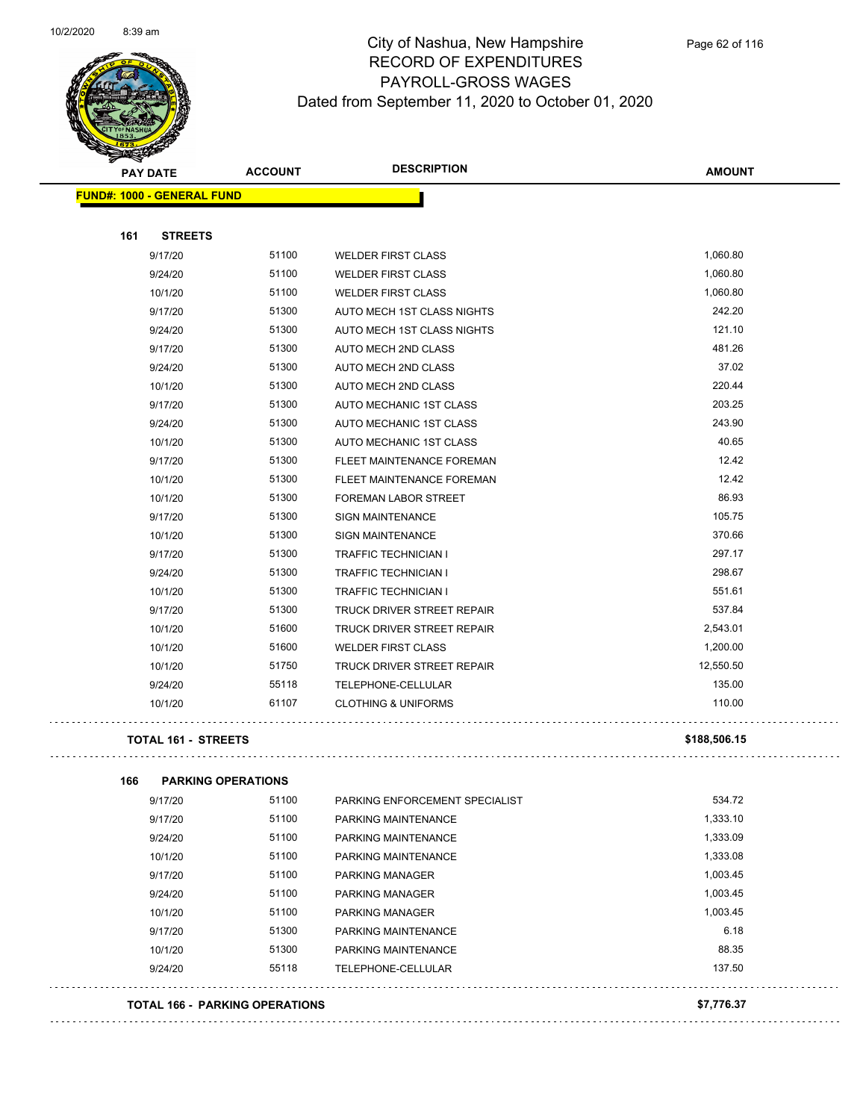

|     | <b>PAY DATE</b>                   | <b>ACCOUNT</b> | <b>DESCRIPTION</b>                | <b>AMOUNT</b> |
|-----|-----------------------------------|----------------|-----------------------------------|---------------|
|     | <b>FUND#: 1000 - GENERAL FUND</b> |                |                                   |               |
| 161 | <b>STREETS</b>                    |                |                                   |               |
|     | 9/17/20                           | 51100          | <b>WELDER FIRST CLASS</b>         | 1,060.80      |
|     | 9/24/20                           | 51100          | <b>WELDER FIRST CLASS</b>         | 1,060.80      |
|     | 10/1/20                           | 51100          | <b>WELDER FIRST CLASS</b>         | 1,060.80      |
|     | 9/17/20                           | 51300          | AUTO MECH 1ST CLASS NIGHTS        | 242.20        |
|     | 9/24/20                           | 51300          | AUTO MECH 1ST CLASS NIGHTS        | 121.10        |
|     | 9/17/20                           | 51300          | AUTO MECH 2ND CLASS               | 481.26        |
|     | 9/24/20                           | 51300          | <b>AUTO MECH 2ND CLASS</b>        | 37.02         |
|     | 10/1/20                           | 51300          | <b>AUTO MECH 2ND CLASS</b>        | 220.44        |
|     | 9/17/20                           | 51300          | AUTO MECHANIC 1ST CLASS           | 203.25        |
|     | 9/24/20                           | 51300          | AUTO MECHANIC 1ST CLASS           | 243.90        |
|     | 10/1/20                           | 51300          | AUTO MECHANIC 1ST CLASS           | 40.65         |
|     | 9/17/20                           | 51300          | FLEET MAINTENANCE FOREMAN         | 12.42         |
|     | 10/1/20                           | 51300          | FLEET MAINTENANCE FOREMAN         | 12.42         |
|     | 10/1/20                           | 51300          | FOREMAN LABOR STREET              | 86.93         |
|     | 9/17/20                           | 51300          | <b>SIGN MAINTENANCE</b>           | 105.75        |
|     | 10/1/20                           | 51300          | <b>SIGN MAINTENANCE</b>           | 370.66        |
|     | 9/17/20                           | 51300          | <b>TRAFFIC TECHNICIAN I</b>       | 297.17        |
|     | 9/24/20                           | 51300          | <b>TRAFFIC TECHNICIAN I</b>       | 298.67        |
|     | 10/1/20                           | 51300          | <b>TRAFFIC TECHNICIAN I</b>       | 551.61        |
|     | 9/17/20                           | 51300          | <b>TRUCK DRIVER STREET REPAIR</b> | 537.84        |
|     | 10/1/20                           | 51600          | TRUCK DRIVER STREET REPAIR        | 2,543.01      |
|     | 10/1/20                           | 51600          | <b>WELDER FIRST CLASS</b>         | 1,200.00      |
|     | 10/1/20                           | 51750          | TRUCK DRIVER STREET REPAIR        | 12,550.50     |
|     | 9/24/20                           | 55118          | <b>TELEPHONE-CELLULAR</b>         | 135.00        |
|     | 10/1/20                           | 61107          | <b>CLOTHING &amp; UNIFORMS</b>    | 110.00        |
|     |                                   |                |                                   |               |

#### **TOTAL 161 - STREETS \$188,506.15**

 $\bar{z}$  ,  $\bar{z}$ 

| 166 | <b>PARKING OPERATIONS</b>             |       |                                |            |
|-----|---------------------------------------|-------|--------------------------------|------------|
|     | 9/17/20                               | 51100 | PARKING ENFORCEMENT SPECIALIST | 534.72     |
|     | 9/17/20                               | 51100 | PARKING MAINTENANCE            | 1,333.10   |
|     | 9/24/20                               | 51100 | PARKING MAINTENANCE            | 1,333.09   |
|     | 10/1/20                               | 51100 | PARKING MAINTENANCE            | 1,333.08   |
|     | 9/17/20                               | 51100 | <b>PARKING MANAGER</b>         | 1,003.45   |
|     | 9/24/20                               | 51100 | <b>PARKING MANAGER</b>         | 1,003.45   |
|     | 10/1/20                               | 51100 | PARKING MANAGER                | 1,003.45   |
|     | 9/17/20                               | 51300 | PARKING MAINTENANCE            | 6.18       |
|     | 10/1/20                               | 51300 | PARKING MAINTENANCE            | 88.35      |
|     | 9/24/20                               | 55118 | TELEPHONE-CELLULAR             | 137.50     |
|     | <b>TOTAL 166 - PARKING OPERATIONS</b> |       |                                | \$7,776.37 |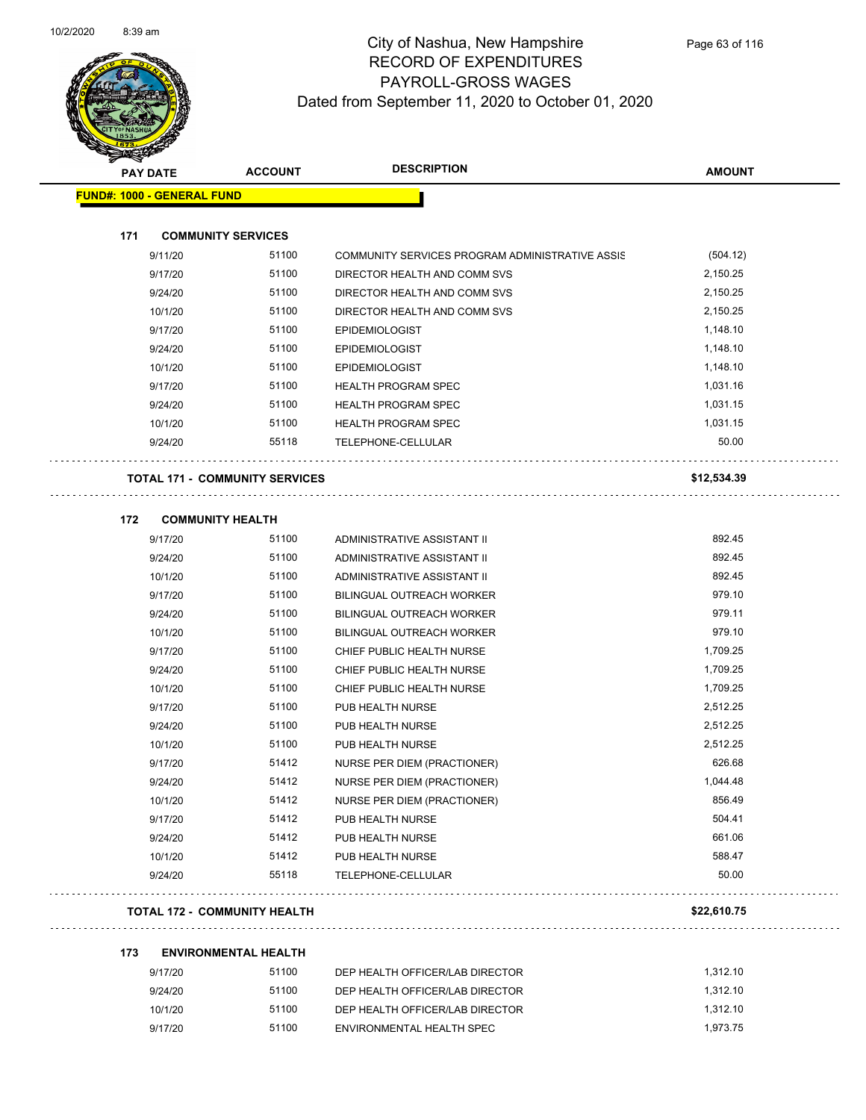

| <b>PAY DATE</b>                   | <b>ACCOUNT</b>                        | <b>DESCRIPTION</b>                              | <b>AMOUNT</b>   |
|-----------------------------------|---------------------------------------|-------------------------------------------------|-----------------|
| <b>FUND#: 1000 - GENERAL FUND</b> |                                       |                                                 |                 |
|                                   |                                       |                                                 |                 |
| 171<br>9/11/20                    | <b>COMMUNITY SERVICES</b><br>51100    | COMMUNITY SERVICES PROGRAM ADMINISTRATIVE ASSIS | (504.12)        |
| 9/17/20                           | 51100                                 | DIRECTOR HEALTH AND COMM SVS                    | 2,150.25        |
| 9/24/20                           | 51100                                 | DIRECTOR HEALTH AND COMM SVS                    | 2,150.25        |
| 10/1/20                           | 51100                                 | DIRECTOR HEALTH AND COMM SVS                    | 2,150.25        |
| 9/17/20                           | 51100                                 | <b>EPIDEMIOLOGIST</b>                           | 1,148.10        |
| 9/24/20                           | 51100                                 | EPIDEMIOLOGIST                                  | 1,148.10        |
| 10/1/20                           | 51100                                 | <b>EPIDEMIOLOGIST</b>                           | 1,148.10        |
| 9/17/20                           | 51100                                 | <b>HEALTH PROGRAM SPEC</b>                      | 1,031.16        |
| 9/24/20                           | 51100                                 | <b>HEALTH PROGRAM SPEC</b>                      | 1,031.15        |
| 10/1/20                           | 51100                                 | <b>HEALTH PROGRAM SPEC</b>                      | 1,031.15        |
| 9/24/20                           | 55118                                 | TELEPHONE-CELLULAR                              | 50.00           |
|                                   | <b>TOTAL 171 - COMMUNITY SERVICES</b> |                                                 | \$12,534.39     |
| 172                               | <b>COMMUNITY HEALTH</b>               |                                                 |                 |
| 9/17/20                           | 51100                                 | ADMINISTRATIVE ASSISTANT II                     | 892.45          |
| 9/24/20                           | 51100                                 | ADMINISTRATIVE ASSISTANT II                     | 892.45          |
| 10/1/20                           | 51100                                 | ADMINISTRATIVE ASSISTANT II                     | 892.45          |
| 9/17/20                           | 51100                                 | BILINGUAL OUTREACH WORKER                       | 979.10          |
| 9/24/20                           | 51100                                 | BILINGUAL OUTREACH WORKER                       | 979.11          |
| 10/1/20                           | 51100                                 | <b>BILINGUAL OUTREACH WORKER</b>                | 979.10          |
| 9/17/20                           | 51100                                 | CHIEF PUBLIC HEALTH NURSE                       | 1,709.25        |
| 9/24/20                           | 51100                                 | CHIEF PUBLIC HEALTH NURSE                       | 1,709.25        |
| 10/1/20                           | 51100                                 | CHIEF PUBLIC HEALTH NURSE                       | 1,709.25        |
| 9/17/20                           | 51100                                 | PUB HEALTH NURSE                                | 2,512.25        |
| 9/24/20                           | 51100                                 | PUB HEALTH NURSE                                | 2,512.25        |
| 10/1/20                           | 51100                                 | PUB HEALTH NURSE                                | 2,512.25        |
| 9/17/20                           | 51412                                 | NURSE PER DIEM (PRACTIONER)                     | 626.68          |
| 9/24/20                           | 51412                                 | NURSE PER DIEM (PRACTIONER)                     | 1,044.48        |
|                                   | 51412                                 | NURSE PER DIEM (PRACTIONER)                     | 856.49          |
| 10/1/20                           |                                       |                                                 |                 |
| 9/17/20                           | 51412                                 | PUB HEALTH NURSE                                | 504.41          |
| 9/24/20                           | 51412                                 | PUB HEALTH NURSE                                | 661.06          |
| 10/1/20<br>9/24/20                | 51412<br>55118                        | PUB HEALTH NURSE<br><b>TELEPHONE-CELLULAR</b>   | 588.47<br>50.00 |

#### **TOTAL 172 - COMMUNITY HEALTH \$22,610.75**

#### **173 ENVIRONMENTAL HEALTH**

| 9/17/20 | 51100 | DEP HEALTH OFFICER/LAB DIRECTOR | 1.312.10 |
|---------|-------|---------------------------------|----------|
| 9/24/20 | 51100 | DEP HEALTH OFFICER/LAB DIRECTOR | 1.312.10 |
| 10/1/20 | 51100 | DEP HEALTH OFFICER/LAB DIRECTOR | 1.312.10 |
| 9/17/20 | 51100 | ENVIRONMENTAL HEALTH SPEC       | 1.973.75 |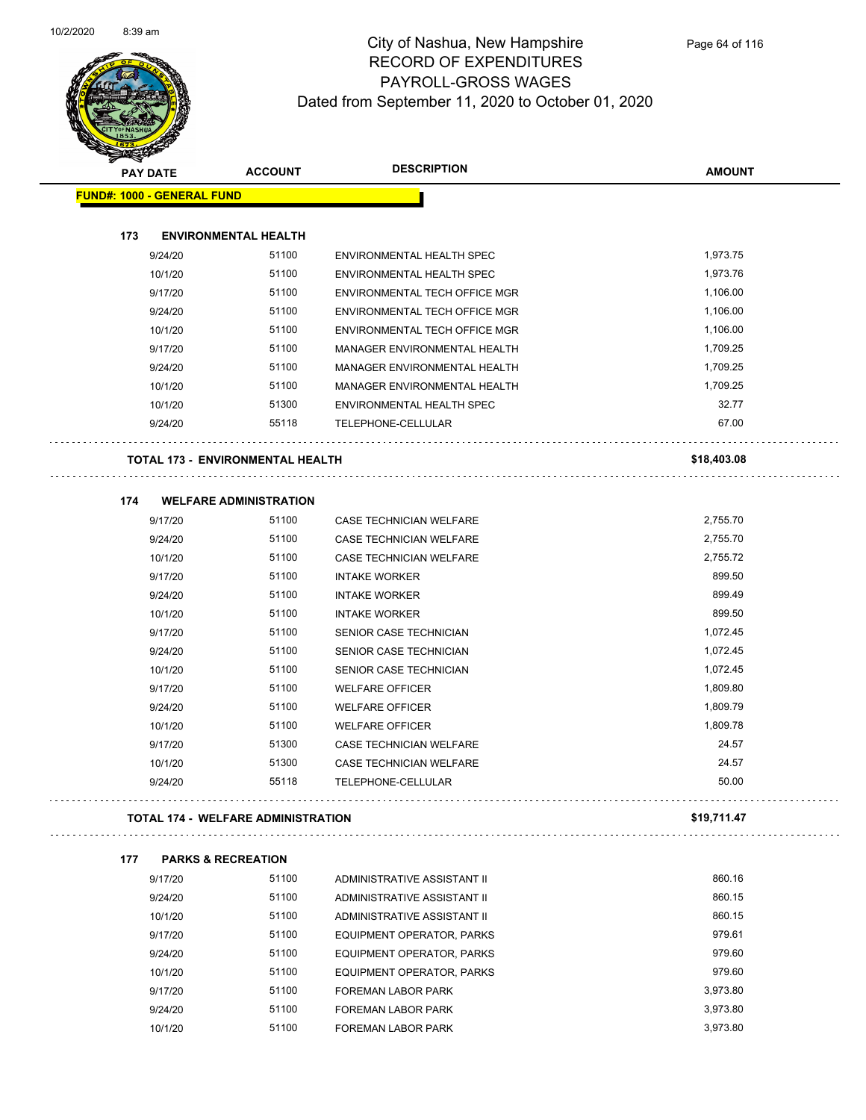

| <b>Santa Career</b>               |                                           |                                  |               |  |
|-----------------------------------|-------------------------------------------|----------------------------------|---------------|--|
| <b>PAY DATE</b>                   | <b>ACCOUNT</b>                            | <b>DESCRIPTION</b>               | <b>AMOUNT</b> |  |
| <b>FUND#: 1000 - GENERAL FUND</b> |                                           |                                  |               |  |
|                                   |                                           |                                  |               |  |
| 173                               | <b>ENVIRONMENTAL HEALTH</b>               |                                  |               |  |
| 9/24/20                           | 51100                                     | ENVIRONMENTAL HEALTH SPEC        | 1,973.75      |  |
| 10/1/20                           | 51100                                     | ENVIRONMENTAL HEALTH SPEC        | 1,973.76      |  |
| 9/17/20                           | 51100                                     | ENVIRONMENTAL TECH OFFICE MGR    | 1,106.00      |  |
| 9/24/20                           | 51100                                     | ENVIRONMENTAL TECH OFFICE MGR    | 1,106.00      |  |
| 10/1/20                           | 51100                                     | ENVIRONMENTAL TECH OFFICE MGR    | 1,106.00      |  |
| 9/17/20                           | 51100                                     | MANAGER ENVIRONMENTAL HEALTH     | 1,709.25      |  |
| 9/24/20                           | 51100                                     | MANAGER ENVIRONMENTAL HEALTH     | 1,709.25      |  |
| 10/1/20                           | 51100                                     | MANAGER ENVIRONMENTAL HEALTH     | 1,709.25      |  |
| 10/1/20                           | 51300                                     | ENVIRONMENTAL HEALTH SPEC        | 32.77         |  |
| 9/24/20                           | 55118                                     | TELEPHONE-CELLULAR               | 67.00         |  |
|                                   | <b>TOTAL 173 - ENVIRONMENTAL HEALTH</b>   |                                  | \$18,403.08   |  |
| 174                               | <b>WELFARE ADMINISTRATION</b>             |                                  |               |  |
| 9/17/20                           | 51100                                     | CASE TECHNICIAN WELFARE          | 2,755.70      |  |
| 9/24/20                           | 51100                                     | CASE TECHNICIAN WELFARE          | 2,755.70      |  |
| 10/1/20                           | 51100                                     | CASE TECHNICIAN WELFARE          | 2,755.72      |  |
| 9/17/20                           | 51100                                     | <b>INTAKE WORKER</b>             | 899.50        |  |
| 9/24/20                           | 51100                                     | <b>INTAKE WORKER</b>             | 899.49        |  |
| 10/1/20                           | 51100                                     | <b>INTAKE WORKER</b>             | 899.50        |  |
| 9/17/20                           | 51100                                     | SENIOR CASE TECHNICIAN           | 1,072.45      |  |
| 9/24/20                           | 51100                                     | SENIOR CASE TECHNICIAN           | 1,072.45      |  |
| 10/1/20                           | 51100                                     | SENIOR CASE TECHNICIAN           | 1,072.45      |  |
| 9/17/20                           | 51100                                     | <b>WELFARE OFFICER</b>           | 1,809.80      |  |
| 9/24/20                           | 51100                                     | <b>WELFARE OFFICER</b>           | 1,809.79      |  |
| 10/1/20                           | 51100                                     | <b>WELFARE OFFICER</b>           | 1,809.78      |  |
| 9/17/20                           | 51300                                     | CASE TECHNICIAN WELFARE          | 24.57         |  |
| 10/1/20                           | 51300                                     | CASE TECHNICIAN WELFARE          | 24.57         |  |
| 9/24/20                           | 55118                                     | TELEPHONE-CELLULAR               | 50.00         |  |
|                                   | <b>TOTAL 174 - WELFARE ADMINISTRATION</b> |                                  | \$19,711.47   |  |
| 177                               | <b>PARKS &amp; RECREATION</b>             |                                  |               |  |
| 9/17/20                           | 51100                                     | ADMINISTRATIVE ASSISTANT II      | 860.16        |  |
| 9/24/20                           | 51100                                     | ADMINISTRATIVE ASSISTANT II      | 860.15        |  |
| 10/1/20                           | 51100                                     | ADMINISTRATIVE ASSISTANT II      | 860.15        |  |
| 9/17/20                           | 51100                                     | EQUIPMENT OPERATOR, PARKS        | 979.61        |  |
| 9/24/20                           | 51100                                     | <b>EQUIPMENT OPERATOR, PARKS</b> | 979.60        |  |
| 10/1/20                           | 51100                                     | EQUIPMENT OPERATOR, PARKS        | 979.60        |  |
| 9/17/20                           | 51100                                     | <b>FOREMAN LABOR PARK</b>        | 3,973.80      |  |
| 9/24/20                           | 51100                                     | FOREMAN LABOR PARK               | 3,973.80      |  |
| 10/1/20                           | 51100                                     | <b>FOREMAN LABOR PARK</b>        | 3,973.80      |  |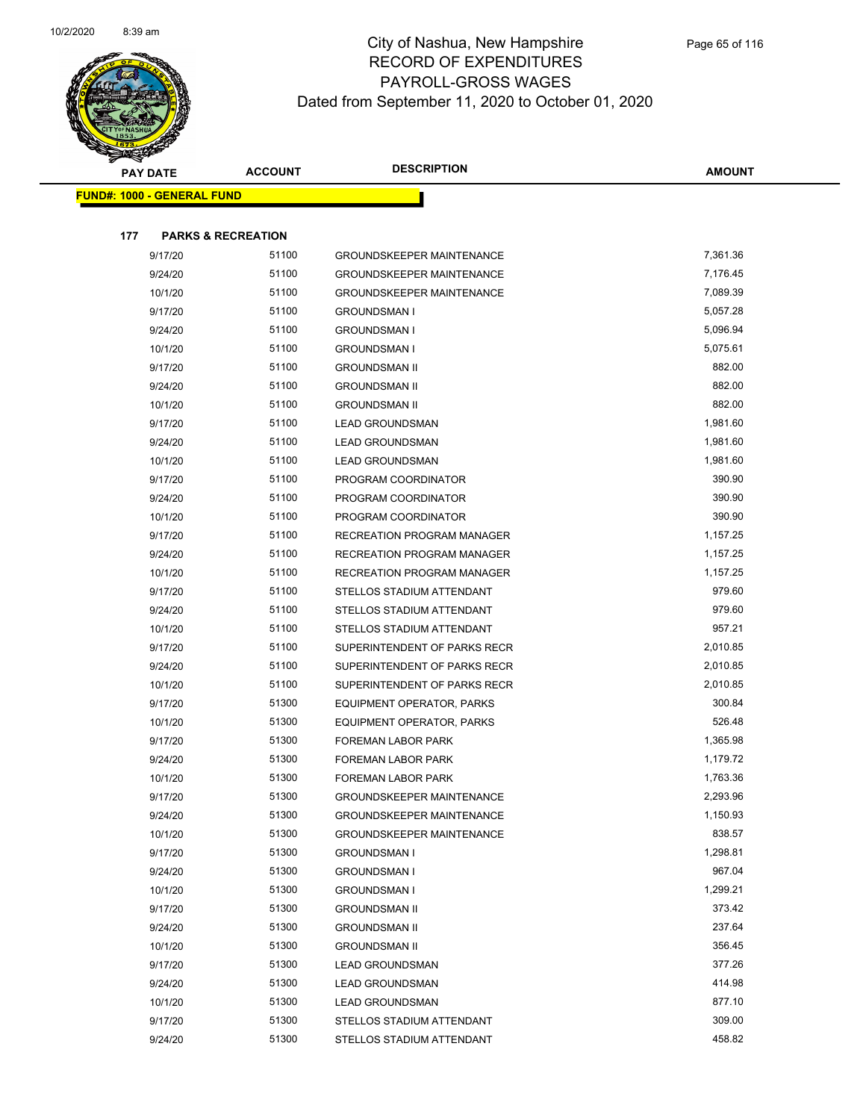

| <b>PAY DATE</b>                   | <b>ACCOUNT</b>                | <b>DESCRIPTION</b>                | AMOUNT   |  |
|-----------------------------------|-------------------------------|-----------------------------------|----------|--|
| <b>FUND#: 1000 - GENERAL FUND</b> |                               |                                   |          |  |
|                                   |                               |                                   |          |  |
| 177                               | <b>PARKS &amp; RECREATION</b> |                                   |          |  |
| 9/17/20                           | 51100                         | GROUNDSKEEPER MAINTENANCE         | 7,361.36 |  |
| 9/24/20                           | 51100                         | <b>GROUNDSKEEPER MAINTENANCE</b>  | 7,176.45 |  |
| 10/1/20                           | 51100                         | <b>GROUNDSKEEPER MAINTENANCE</b>  | 7,089.39 |  |
| 9/17/20                           | 51100                         | <b>GROUNDSMAN I</b>               | 5,057.28 |  |
| 9/24/20                           | 51100                         | <b>GROUNDSMAN I</b>               | 5,096.94 |  |
| 10/1/20                           | 51100                         | <b>GROUNDSMAN I</b>               | 5,075.61 |  |
| 9/17/20                           | 51100                         | <b>GROUNDSMAN II</b>              | 882.00   |  |
| 9/24/20                           | 51100                         | <b>GROUNDSMAN II</b>              | 882.00   |  |
| 10/1/20                           | 51100                         | <b>GROUNDSMAN II</b>              | 882.00   |  |
| 9/17/20                           | 51100                         | <b>LEAD GROUNDSMAN</b>            | 1,981.60 |  |
| 9/24/20                           | 51100                         | <b>LEAD GROUNDSMAN</b>            | 1,981.60 |  |
| 10/1/20                           | 51100                         | <b>LEAD GROUNDSMAN</b>            | 1,981.60 |  |
| 9/17/20                           | 51100                         | PROGRAM COORDINATOR               | 390.90   |  |
| 9/24/20                           | 51100                         | PROGRAM COORDINATOR               | 390.90   |  |
| 10/1/20                           | 51100                         | PROGRAM COORDINATOR               | 390.90   |  |
| 9/17/20                           | 51100                         | RECREATION PROGRAM MANAGER        | 1,157.25 |  |
| 9/24/20                           | 51100                         | <b>RECREATION PROGRAM MANAGER</b> | 1,157.25 |  |
| 10/1/20                           | 51100                         | <b>RECREATION PROGRAM MANAGER</b> | 1,157.25 |  |
| 9/17/20                           | 51100                         | STELLOS STADIUM ATTENDANT         | 979.60   |  |
| 9/24/20                           | 51100                         | STELLOS STADIUM ATTENDANT         | 979.60   |  |
| 10/1/20                           | 51100                         | STELLOS STADIUM ATTENDANT         | 957.21   |  |
| 9/17/20                           | 51100                         | SUPERINTENDENT OF PARKS RECR      | 2,010.85 |  |
| 9/24/20                           | 51100                         | SUPERINTENDENT OF PARKS RECR      | 2,010.85 |  |
| 10/1/20                           | 51100                         | SUPERINTENDENT OF PARKS RECR      | 2,010.85 |  |
| 9/17/20                           | 51300                         | EQUIPMENT OPERATOR, PARKS         | 300.84   |  |
| 10/1/20                           | 51300                         | EQUIPMENT OPERATOR, PARKS         | 526.48   |  |
| 9/17/20                           | 51300                         | FOREMAN LABOR PARK                | 1,365.98 |  |
| 9/24/20                           | 51300                         | FOREMAN LABOR PARK                | 1,179.72 |  |
| 10/1/20                           | 51300                         | FOREMAN LABOR PARK                | 1,763.36 |  |
| 9/17/20                           | 51300                         | GROUNDSKEEPER MAINTENANCE         | 2,293.96 |  |
| 9/24/20                           | 51300                         | <b>GROUNDSKEEPER MAINTENANCE</b>  | 1,150.93 |  |
| 10/1/20                           | 51300                         | <b>GROUNDSKEEPER MAINTENANCE</b>  | 838.57   |  |
| 9/17/20                           | 51300                         | <b>GROUNDSMAN I</b>               | 1,298.81 |  |
| 9/24/20                           | 51300                         | <b>GROUNDSMAN I</b>               | 967.04   |  |
| 10/1/20                           | 51300                         | <b>GROUNDSMAN I</b>               | 1,299.21 |  |
| 9/17/20                           | 51300                         | <b>GROUNDSMAN II</b>              | 373.42   |  |
| 9/24/20                           | 51300                         | <b>GROUNDSMAN II</b>              | 237.64   |  |
| 10/1/20                           | 51300                         | <b>GROUNDSMAN II</b>              | 356.45   |  |
| 9/17/20                           | 51300                         | <b>LEAD GROUNDSMAN</b>            | 377.26   |  |
| 9/24/20                           | 51300                         | <b>LEAD GROUNDSMAN</b>            | 414.98   |  |
| 10/1/20                           | 51300                         | <b>LEAD GROUNDSMAN</b>            | 877.10   |  |
| 9/17/20                           | 51300                         | STELLOS STADIUM ATTENDANT         | 309.00   |  |
| 9/24/20                           | 51300                         | STELLOS STADIUM ATTENDANT         | 458.82   |  |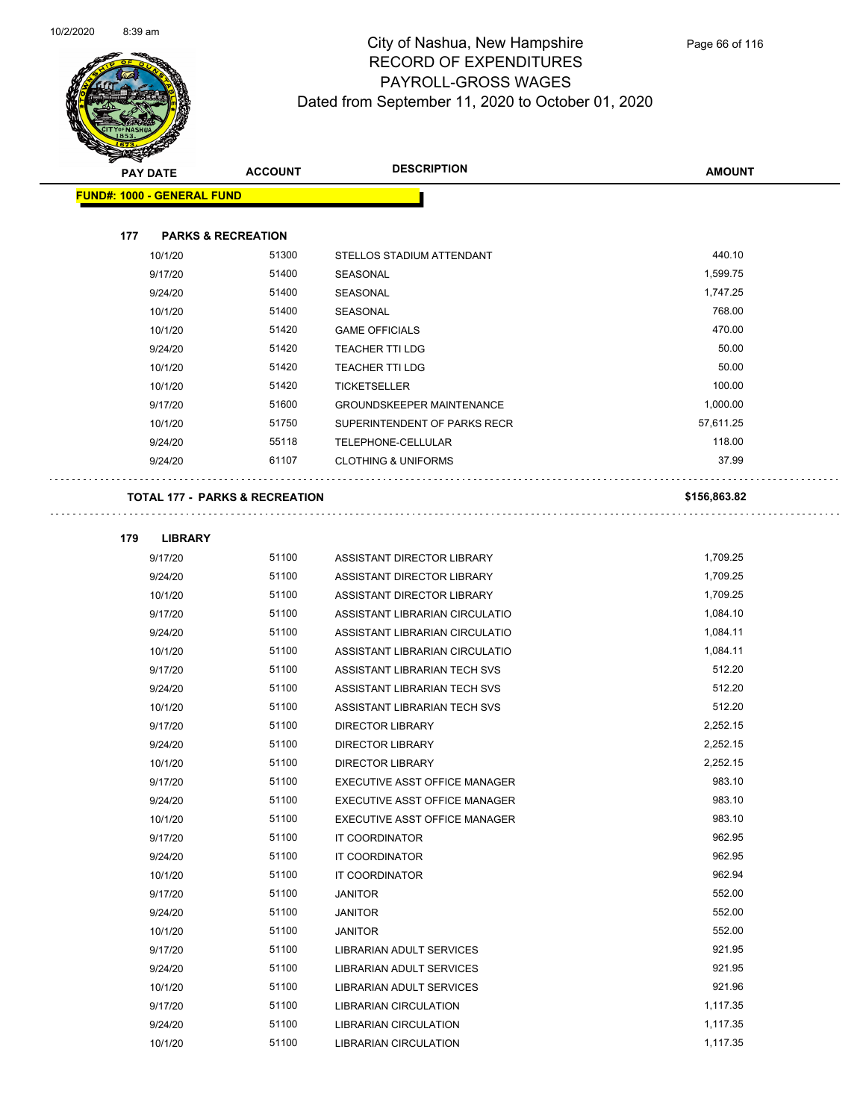$\bar{z}$  .



|     | <b>PAY DATE</b>                   | <b>ACCOUNT</b>                            | <b>DESCRIPTION</b>               | <b>AMOUNT</b> |
|-----|-----------------------------------|-------------------------------------------|----------------------------------|---------------|
|     | <b>FUND#: 1000 - GENERAL FUND</b> |                                           |                                  |               |
|     |                                   |                                           |                                  |               |
| 177 | <b>PARKS &amp; RECREATION</b>     |                                           |                                  |               |
|     | 10/1/20                           | 51300                                     | STELLOS STADIUM ATTENDANT        | 440.10        |
|     | 9/17/20                           | 51400                                     | SEASONAL                         | 1,599.75      |
|     | 9/24/20                           | 51400                                     | SEASONAL                         | 1,747.25      |
|     | 10/1/20                           | 51400                                     | <b>SEASONAL</b>                  | 768.00        |
|     | 10/1/20                           | 51420                                     | <b>GAME OFFICIALS</b>            | 470.00        |
|     | 9/24/20                           | 51420                                     | <b>TEACHER TTI LDG</b>           | 50.00         |
|     | 10/1/20                           | 51420                                     | <b>TEACHER TTI LDG</b>           | 50.00         |
|     | 10/1/20                           | 51420                                     | <b>TICKETSELLER</b>              | 100.00        |
|     | 9/17/20                           | 51600                                     | <b>GROUNDSKEEPER MAINTENANCE</b> | 1,000.00      |
|     | 10/1/20                           | 51750                                     | SUPERINTENDENT OF PARKS RECR     | 57,611.25     |
|     | 9/24/20                           | 55118                                     | TELEPHONE-CELLULAR               | 118.00        |
|     | 9/24/20                           | 61107                                     | <b>CLOTHING &amp; UNIFORMS</b>   | 37.99         |
|     |                                   |                                           |                                  |               |
|     |                                   | <b>TOTAL 177 - PARKS &amp; RECREATION</b> |                                  | \$156,863.82  |
|     |                                   |                                           |                                  |               |
| 179 | <b>LIBRARY</b>                    |                                           |                                  |               |
|     | 9/17/20                           | 51100                                     | ASSISTANT DIRECTOR LIBRARY       | 1,709.25      |
|     | 9/24/20                           | 51100                                     | ASSISTANT DIRECTOR LIBRARY       | 1,709.25      |
|     | 10/1/20                           | 51100                                     | ASSISTANT DIRECTOR LIBRARY       | 1,709.25      |
|     | 9/17/20                           | 51100                                     | ASSISTANT LIBRARIAN CIRCULATIO   | 1,084.10      |
|     | 9/24/20                           | 51100                                     | ASSISTANT LIBRARIAN CIRCULATIO   | 1,084.11      |
|     | 10/1/20                           | 51100                                     | ASSISTANT LIBRARIAN CIRCULATIO   | 1,084.11      |
|     | 9/17/20                           | 51100                                     | ASSISTANT LIBRARIAN TECH SVS     | 512.20        |
|     | 9/24/20                           | 51100                                     | ASSISTANT LIBRARIAN TECH SVS     | 512.20        |
|     | 10/1/20                           | 51100                                     | ASSISTANT LIBRARIAN TECH SVS     | 512.20        |
|     | 9/17/20                           | 51100                                     | <b>DIRECTOR LIBRARY</b>          | 2,252.15      |
|     | 9/24/20                           | 51100                                     | <b>DIRECTOR LIBRARY</b>          | 2,252.15      |
|     | 10/1/20                           | 51100                                     | <b>DIRECTOR LIBRARY</b>          | 2,252.15      |
|     | 9/17/20                           | 51100                                     | EXECUTIVE ASST OFFICE MANAGER    | 983.10        |
|     | 9/24/20                           | 51100                                     | EXECUTIVE ASST OFFICE MANAGER    | 983.10        |
|     | 10/1/20                           | 51100                                     | EXECUTIVE ASST OFFICE MANAGER    | 983.10        |
|     | 9/17/20                           | 51100                                     | IT COORDINATOR                   | 962.95        |
|     | 9/24/20                           | 51100                                     | IT COORDINATOR                   | 962.95        |
|     | 10/1/20                           | 51100                                     | IT COORDINATOR                   | 962.94        |
|     | 9/17/20                           | 51100                                     | <b>JANITOR</b>                   | 552.00        |
|     | 9/24/20                           | 51100                                     | <b>JANITOR</b>                   | 552.00        |
|     | 10/1/20                           | 51100                                     | <b>JANITOR</b>                   | 552.00        |
|     | 9/17/20                           | 51100                                     | LIBRARIAN ADULT SERVICES         | 921.95        |
|     | 9/24/20                           | 51100                                     | LIBRARIAN ADULT SERVICES         | 921.95        |
|     | 10/1/20                           | 51100                                     | LIBRARIAN ADULT SERVICES         | 921.96        |
|     | 9/17/20                           | 51100                                     | <b>LIBRARIAN CIRCULATION</b>     | 1,117.35      |
|     | 9/24/20                           | 51100                                     | LIBRARIAN CIRCULATION            | 1,117.35      |
|     | 10/1/20                           | 51100                                     | LIBRARIAN CIRCULATION            | 1,117.35      |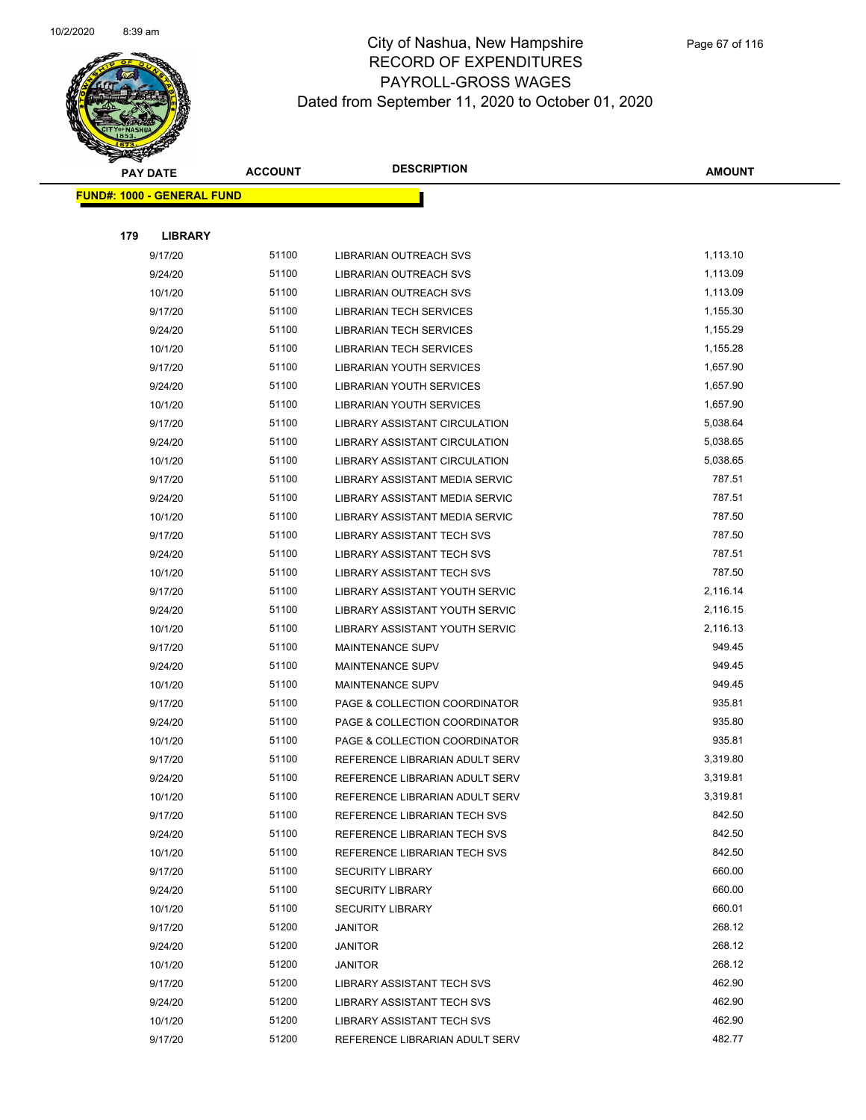

|     | <b>PAY DATE</b>                   | <b>ACCOUNT</b> | <b>DESCRIPTION</b>                | <b>AMOUNT</b> |
|-----|-----------------------------------|----------------|-----------------------------------|---------------|
|     | <b>FUND#: 1000 - GENERAL FUND</b> |                |                                   |               |
|     |                                   |                |                                   |               |
| 179 | <b>LIBRARY</b>                    |                |                                   |               |
|     | 9/17/20                           | 51100          | <b>LIBRARIAN OUTREACH SVS</b>     | 1,113.10      |
|     | 9/24/20                           | 51100          | LIBRARIAN OUTREACH SVS            | 1,113.09      |
|     | 10/1/20                           | 51100          | LIBRARIAN OUTREACH SVS            | 1,113.09      |
|     | 9/17/20                           | 51100          | <b>LIBRARIAN TECH SERVICES</b>    | 1,155.30      |
|     | 9/24/20                           | 51100          | <b>LIBRARIAN TECH SERVICES</b>    | 1,155.29      |
|     | 10/1/20                           | 51100          | <b>LIBRARIAN TECH SERVICES</b>    | 1,155.28      |
|     | 9/17/20                           | 51100          | <b>LIBRARIAN YOUTH SERVICES</b>   | 1,657.90      |
|     | 9/24/20                           | 51100          | LIBRARIAN YOUTH SERVICES          | 1,657.90      |
|     | 10/1/20                           | 51100          | <b>LIBRARIAN YOUTH SERVICES</b>   | 1,657.90      |
|     | 9/17/20                           | 51100          | LIBRARY ASSISTANT CIRCULATION     | 5,038.64      |
|     | 9/24/20                           | 51100          | LIBRARY ASSISTANT CIRCULATION     | 5,038.65      |
|     | 10/1/20                           | 51100          | LIBRARY ASSISTANT CIRCULATION     | 5,038.65      |
|     | 9/17/20                           | 51100          | LIBRARY ASSISTANT MEDIA SERVIC    | 787.51        |
|     | 9/24/20                           | 51100          | LIBRARY ASSISTANT MEDIA SERVIC    | 787.51        |
|     | 10/1/20                           | 51100          | LIBRARY ASSISTANT MEDIA SERVIC    | 787.50        |
|     | 9/17/20                           | 51100          | <b>LIBRARY ASSISTANT TECH SVS</b> | 787.50        |
|     | 9/24/20                           | 51100          | <b>LIBRARY ASSISTANT TECH SVS</b> | 787.51        |
|     | 10/1/20                           | 51100          | <b>LIBRARY ASSISTANT TECH SVS</b> | 787.50        |
|     | 9/17/20                           | 51100          | LIBRARY ASSISTANT YOUTH SERVIC    | 2,116.14      |
|     | 9/24/20                           | 51100          | LIBRARY ASSISTANT YOUTH SERVIC    | 2,116.15      |
|     | 10/1/20                           | 51100          | LIBRARY ASSISTANT YOUTH SERVIC    | 2,116.13      |
|     | 9/17/20                           | 51100          | <b>MAINTENANCE SUPV</b>           | 949.45        |
|     | 9/24/20                           | 51100          | <b>MAINTENANCE SUPV</b>           | 949.45        |
|     | 10/1/20                           | 51100          | MAINTENANCE SUPV                  | 949.45        |
|     | 9/17/20                           | 51100          | PAGE & COLLECTION COORDINATOR     | 935.81        |
|     | 9/24/20                           | 51100          | PAGE & COLLECTION COORDINATOR     | 935.80        |
|     | 10/1/20                           | 51100          | PAGE & COLLECTION COORDINATOR     | 935.81        |
|     | 9/17/20                           | 51100          | REFERENCE LIBRARIAN ADULT SERV    | 3,319.80      |
|     | 9/24/20                           | 51100          | REFERENCE LIBRARIAN ADULT SERV    | 3,319.81      |
|     | 10/1/20                           | 51100          | REFERENCE LIBRARIAN ADULT SERV    | 3,319.81      |
|     | 9/17/20                           | 51100          | REFERENCE LIBRARIAN TECH SVS      | 842.50        |
|     | 9/24/20                           | 51100          | REFERENCE LIBRARIAN TECH SVS      | 842.50        |
|     | 10/1/20                           | 51100          | REFERENCE LIBRARIAN TECH SVS      | 842.50        |
|     | 9/17/20                           | 51100          | <b>SECURITY LIBRARY</b>           | 660.00        |
|     | 9/24/20                           | 51100          | <b>SECURITY LIBRARY</b>           | 660.00        |
|     | 10/1/20                           | 51100          | <b>SECURITY LIBRARY</b>           | 660.01        |
|     | 9/17/20                           | 51200          | JANITOR                           | 268.12        |
|     | 9/24/20                           | 51200          | JANITOR                           | 268.12        |
|     | 10/1/20                           | 51200          | JANITOR                           | 268.12        |
|     | 9/17/20                           | 51200          | LIBRARY ASSISTANT TECH SVS        | 462.90        |
|     | 9/24/20                           | 51200          | LIBRARY ASSISTANT TECH SVS        | 462.90        |
|     | 10/1/20                           | 51200          | <b>LIBRARY ASSISTANT TECH SVS</b> | 462.90        |
|     | 9/17/20                           | 51200          | REFERENCE LIBRARIAN ADULT SERV    | 482.77        |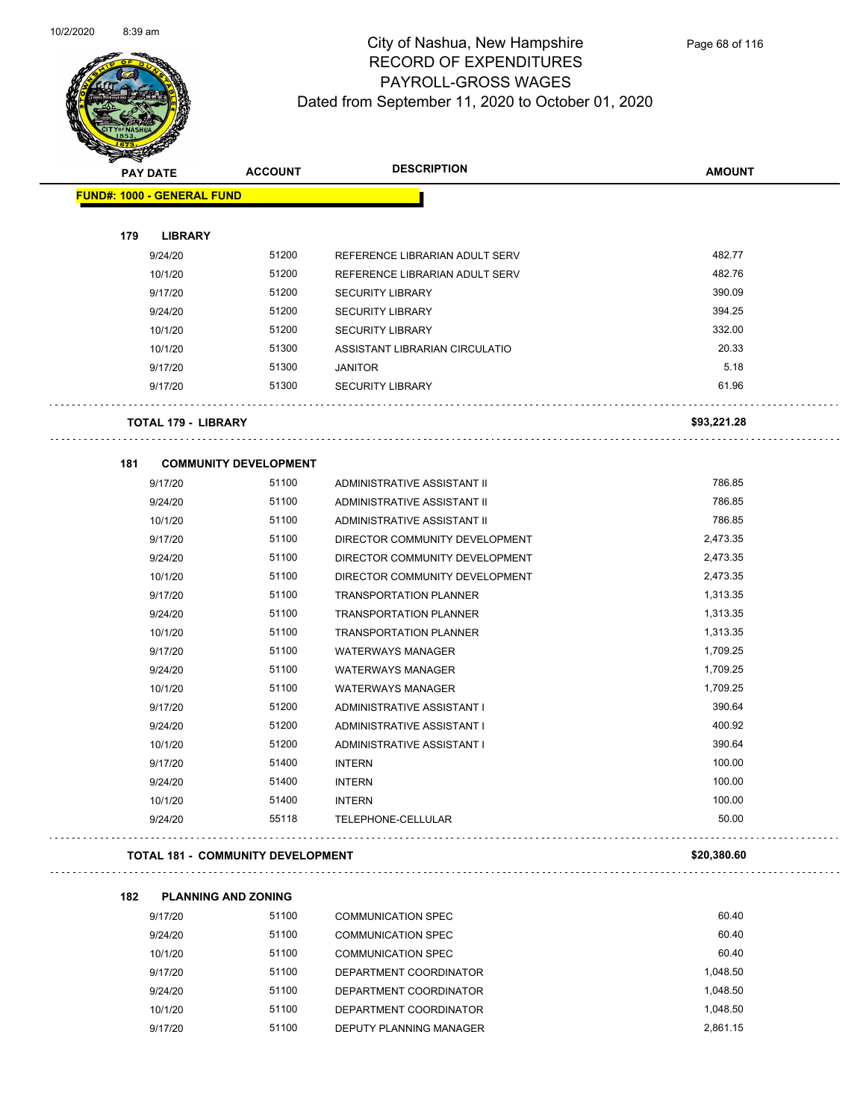

| <b>PAY DATE</b>                   | <b>ACCOUNT</b>               | <b>DESCRIPTION</b>             | <b>AMOUNT</b> |
|-----------------------------------|------------------------------|--------------------------------|---------------|
| <b>FUND#: 1000 - GENERAL FUND</b> |                              |                                |               |
| 179<br><b>LIBRARY</b>             |                              |                                |               |
| 9/24/20                           | 51200                        | REFERENCE LIBRARIAN ADULT SERV | 482.77        |
| 10/1/20                           | 51200                        | REFERENCE LIBRARIAN ADULT SERV | 482.76        |
| 9/17/20                           | 51200                        | <b>SECURITY LIBRARY</b>        | 390.09        |
| 9/24/20                           | 51200                        | <b>SECURITY LIBRARY</b>        | 394.25        |
| 10/1/20                           | 51200                        | <b>SECURITY LIBRARY</b>        | 332.00        |
| 10/1/20                           | 51300                        | ASSISTANT LIBRARIAN CIRCULATIO | 20.33         |
| 9/17/20                           | 51300                        | <b>JANITOR</b>                 | 5.18          |
| 9/17/20                           | 51300                        | <b>SECURITY LIBRARY</b>        | 61.96         |
| <b>TOTAL 179 - LIBRARY</b>        |                              |                                | \$93,221.28   |
| 181                               | <b>COMMUNITY DEVELOPMENT</b> |                                |               |
| 9/17/20                           | 51100                        | ADMINISTRATIVE ASSISTANT II    | 786.85        |
| 9/24/20                           | 51100                        | ADMINISTRATIVE ASSISTANT II    | 786.85        |
| 10/1/20                           | 51100                        | ADMINISTRATIVE ASSISTANT II    | 786.85        |
| 9/17/20                           | 51100                        | DIRECTOR COMMUNITY DEVELOPMENT | 2,473.35      |
| 9/24/20                           | 51100                        | DIRECTOR COMMUNITY DEVELOPMENT | 2,473.35      |
| 10/1/20                           | 51100                        | DIRECTOR COMMUNITY DEVELOPMENT | 2,473.35      |
| 9/17/20                           | 51100                        | <b>TRANSPORTATION PLANNER</b>  | 1,313.35      |
| 9/24/20                           | 51100                        | <b>TRANSPORTATION PLANNER</b>  | 1,313.35      |
| 10/1/20                           | 51100                        | <b>TRANSPORTATION PLANNER</b>  | 1,313.35      |
| 9/17/20                           | 51100                        | <b>WATERWAYS MANAGER</b>       | 1,709.25      |
| 9/24/20                           | 51100                        | <b>WATERWAYS MANAGER</b>       | 1,709.25      |
| 10/1/20                           | 51100                        | <b>WATERWAYS MANAGER</b>       | 1,709.25      |
| 9/17/20                           | 51200                        | ADMINISTRATIVE ASSISTANT I     | 390.64        |
| 9/24/20                           | 51200                        | ADMINISTRATIVE ASSISTANT I     | 400.92        |
| 10/1/20                           | 51200                        | ADMINISTRATIVE ASSISTANT I     | 390.64        |
| 9/17/20                           | 51400                        | <b>INTERN</b>                  | 100.00        |
| 9/24/20                           | 51400                        | <b>INTERN</b>                  | 100.00        |
|                                   |                              | <b>INTERN</b>                  | 100.00        |
| 10/1/20                           | 51400                        |                                |               |

#### **TOTAL 181 - COMMUNITY DEVELOPMENT \$20,380.60**

| 182 | <b>PLANNING AND ZONING</b> |       |                           |          |  |
|-----|----------------------------|-------|---------------------------|----------|--|
|     | 9/17/20                    | 51100 | <b>COMMUNICATION SPEC</b> | 60.40    |  |
|     | 9/24/20                    | 51100 | <b>COMMUNICATION SPEC</b> | 60.40    |  |
|     | 10/1/20                    | 51100 | <b>COMMUNICATION SPEC</b> | 60.40    |  |
|     | 9/17/20                    | 51100 | DEPARTMENT COORDINATOR    | 1.048.50 |  |
|     | 9/24/20                    | 51100 | DEPARTMENT COORDINATOR    | 1.048.50 |  |
|     | 10/1/20                    | 51100 | DEPARTMENT COORDINATOR    | 1.048.50 |  |
|     | 9/17/20                    | 51100 | DEPUTY PLANNING MANAGER   | 2.861.15 |  |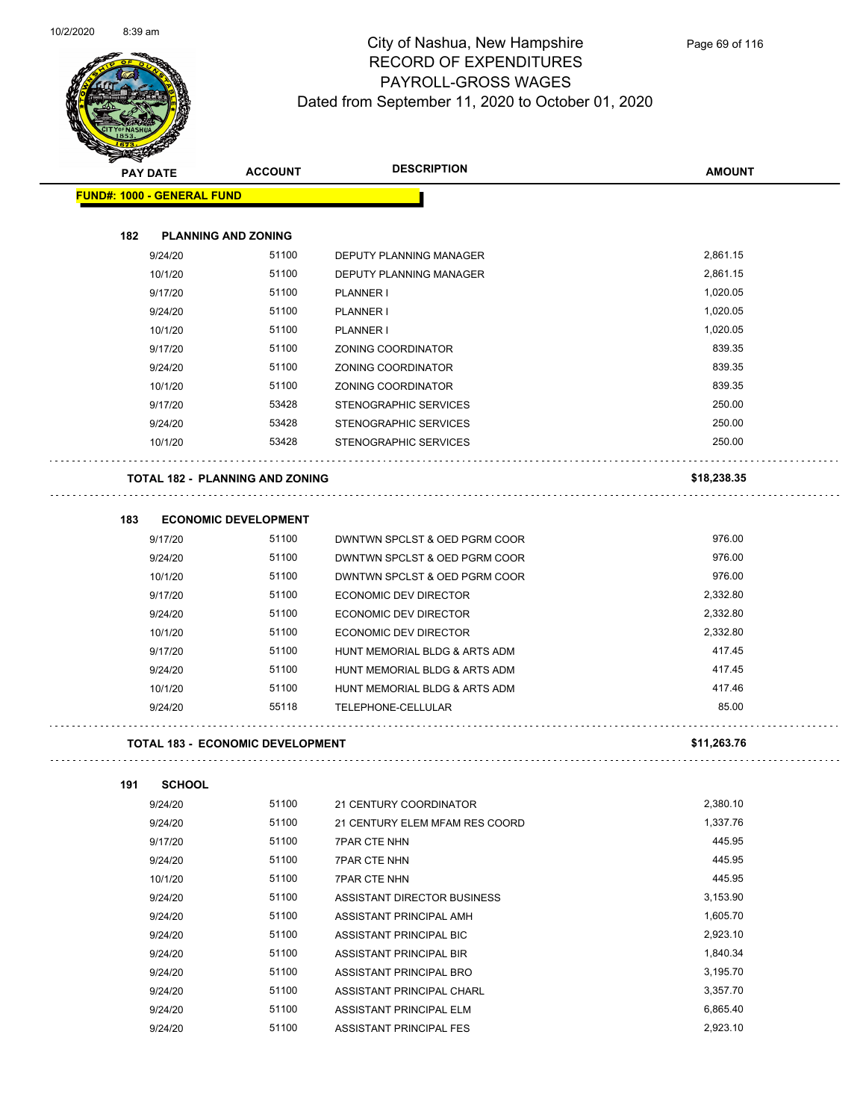$\overline{\phantom{0}}$ 



## City of Nashua, New Hampshire RECORD OF EXPENDITURES PAYROLL-GROSS WAGES Dated from September 11, 2020 to October 01, 2020

Page 69 of 116

|     | <b>PAY DATE</b>                         | <b>ACCOUNT</b>                  | <b>DESCRIPTION</b>             | <b>AMOUNT</b> |
|-----|-----------------------------------------|---------------------------------|--------------------------------|---------------|
|     | <b>FUND#: 1000 - GENERAL FUND</b>       |                                 |                                |               |
|     |                                         |                                 |                                |               |
| 182 |                                         | <b>PLANNING AND ZONING</b>      |                                |               |
|     | 9/24/20                                 | 51100                           | <b>DEPUTY PLANNING MANAGER</b> | 2,861.15      |
|     | 10/1/20                                 | 51100                           | DEPUTY PLANNING MANAGER        | 2,861.15      |
|     | 9/17/20                                 | 51100                           | <b>PLANNER I</b>               | 1,020.05      |
|     | 9/24/20                                 | 51100                           | <b>PLANNER I</b>               | 1,020.05      |
|     | 10/1/20                                 | 51100                           | PLANNER I                      | 1,020.05      |
|     | 9/17/20                                 | 51100                           | ZONING COORDINATOR             | 839.35        |
|     | 9/24/20                                 | 51100                           | ZONING COORDINATOR             | 839.35        |
|     | 10/1/20                                 | 51100                           | ZONING COORDINATOR             | 839.35        |
|     | 9/17/20                                 | 53428                           | STENOGRAPHIC SERVICES          | 250.00        |
|     | 9/24/20                                 | 53428                           | STENOGRAPHIC SERVICES          | 250.00        |
|     | 10/1/20                                 | 53428                           | STENOGRAPHIC SERVICES          | 250.00        |
|     |                                         | TOTAL 182 - PLANNING AND ZONING |                                | \$18,238.35   |
|     |                                         |                                 |                                |               |
| 183 |                                         | <b>ECONOMIC DEVELOPMENT</b>     |                                |               |
|     | 9/17/20                                 | 51100                           | DWNTWN SPCLST & OED PGRM COOR  | 976.00        |
|     | 9/24/20                                 | 51100                           | DWNTWN SPCLST & OED PGRM COOR  | 976.00        |
|     | 10/1/20                                 | 51100                           | DWNTWN SPCLST & OED PGRM COOR  | 976.00        |
|     | 9/17/20                                 | 51100                           | ECONOMIC DEV DIRECTOR          | 2,332.80      |
|     | 9/24/20                                 | 51100                           | ECONOMIC DEV DIRECTOR          | 2,332.80      |
|     | 10/1/20                                 | 51100                           | ECONOMIC DEV DIRECTOR          | 2,332.80      |
|     | 9/17/20                                 | 51100                           | HUNT MEMORIAL BLDG & ARTS ADM  | 417.45        |
|     | 9/24/20                                 | 51100                           | HUNT MEMORIAL BLDG & ARTS ADM  | 417.45        |
|     | 10/1/20                                 | 51100                           | HUNT MEMORIAL BLDG & ARTS ADM  | 417.46        |
|     | 9/24/20                                 | 55118                           | TELEPHONE-CELLULAR             | 85.00         |
|     | <b>TOTAL 183 - ECONOMIC DEVELOPMENT</b> |                                 | \$11,263.76                    |               |
| 191 | <b>SCHOOL</b>                           |                                 |                                |               |
|     | 9/24/20                                 | 51100                           | 21 CENTURY COORDINATOR         | 2,380.10      |
|     | 9/24/20                                 | 51100                           | 21 CENTURY ELEM MFAM RES COORD | 1,337.76      |
|     | 9/17/20                                 | 51100                           | <b>7PAR CTE NHN</b>            | 445.95        |
|     | 9/24/20                                 | 51100                           | <b>7PAR CTE NHN</b>            | 445.95        |
|     | 10/1/20                                 | 51100                           | <b>7PAR CTE NHN</b>            | 445.95        |
|     | 9/24/20                                 | 51100                           | ASSISTANT DIRECTOR BUSINESS    | 3,153.90      |
|     | 9/24/20                                 | 51100                           | ASSISTANT PRINCIPAL AMH        | 1,605.70      |
|     | 9/24/20                                 | 51100                           | ASSISTANT PRINCIPAL BIC        | 2,923.10      |
|     | 9/24/20                                 | 51100                           | ASSISTANT PRINCIPAL BIR        | 1,840.34      |
|     | 9/24/20                                 | 51100                           | ASSISTANT PRINCIPAL BRO        | 3,195.70      |
|     | 9/24/20                                 | 51100                           | ASSISTANT PRINCIPAL CHARL      | 3,357.70      |

9/24/20 51100 ASSISTANT PRINCIPAL ELM 6,865.40 9/24/20 51100 ASSISTANT PRINCIPAL FES 2,923.10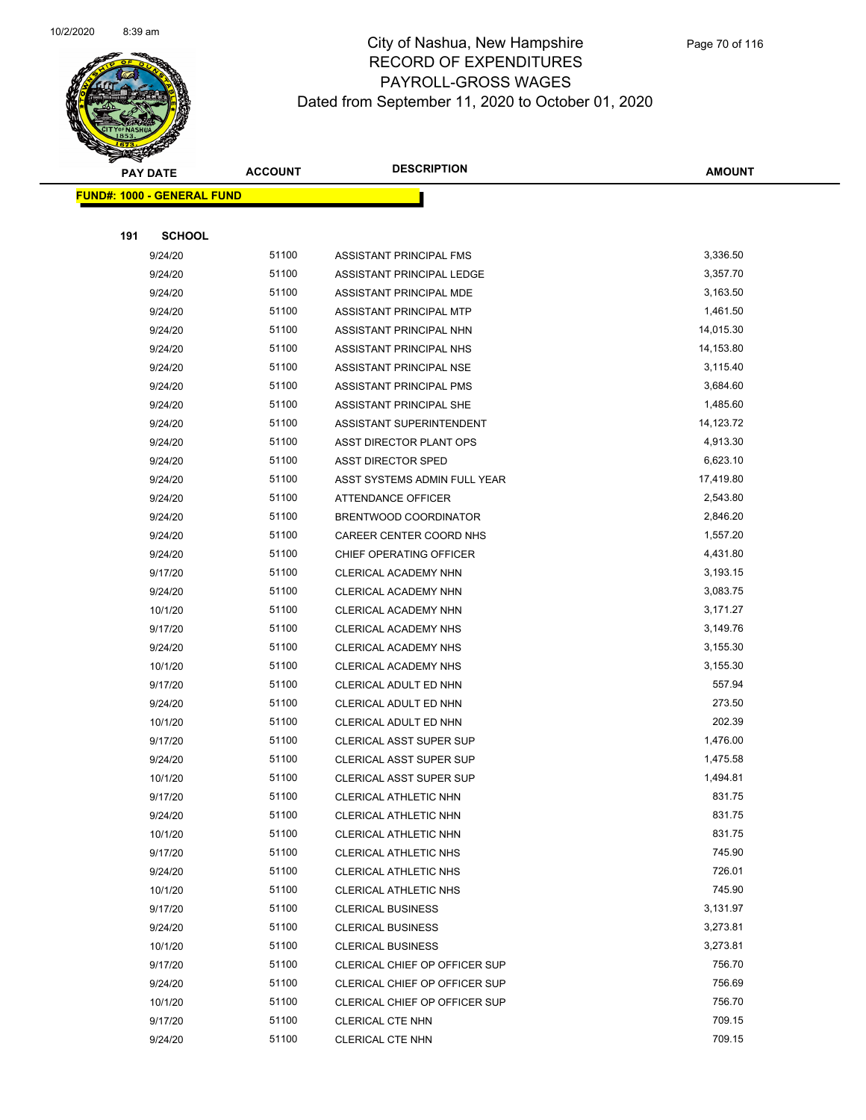

|     | <b>PAY DATE</b>                   | <b>ACCOUNT</b> | <b>DESCRIPTION</b>             | <b>AMOUNT</b> |
|-----|-----------------------------------|----------------|--------------------------------|---------------|
|     | <b>FUND#: 1000 - GENERAL FUND</b> |                |                                |               |
|     |                                   |                |                                |               |
| 191 | <b>SCHOOL</b>                     |                |                                |               |
|     | 9/24/20                           | 51100          | ASSISTANT PRINCIPAL FMS        | 3,336.50      |
|     | 9/24/20                           | 51100          | ASSISTANT PRINCIPAL LEDGE      | 3,357.70      |
|     | 9/24/20                           | 51100          | ASSISTANT PRINCIPAL MDE        | 3,163.50      |
|     | 9/24/20                           | 51100          | ASSISTANT PRINCIPAL MTP        | 1,461.50      |
|     | 9/24/20                           | 51100          | ASSISTANT PRINCIPAL NHN        | 14,015.30     |
|     | 9/24/20                           | 51100          | ASSISTANT PRINCIPAL NHS        | 14,153.80     |
|     | 9/24/20                           | 51100          | ASSISTANT PRINCIPAL NSE        | 3,115.40      |
|     | 9/24/20                           | 51100          | ASSISTANT PRINCIPAL PMS        | 3,684.60      |
|     | 9/24/20                           | 51100          | ASSISTANT PRINCIPAL SHE        | 1,485.60      |
|     | 9/24/20                           | 51100          | ASSISTANT SUPERINTENDENT       | 14,123.72     |
|     | 9/24/20                           | 51100          | ASST DIRECTOR PLANT OPS        | 4,913.30      |
|     | 9/24/20                           | 51100          | <b>ASST DIRECTOR SPED</b>      | 6,623.10      |
|     | 9/24/20                           | 51100          | ASST SYSTEMS ADMIN FULL YEAR   | 17,419.80     |
|     | 9/24/20                           | 51100          | ATTENDANCE OFFICER             | 2,543.80      |
|     | 9/24/20                           | 51100          | BRENTWOOD COORDINATOR          | 2,846.20      |
|     | 9/24/20                           | 51100          | CAREER CENTER COORD NHS        | 1,557.20      |
|     | 9/24/20                           | 51100          | CHIEF OPERATING OFFICER        | 4,431.80      |
|     | 9/17/20                           | 51100          | CLERICAL ACADEMY NHN           | 3,193.15      |
|     | 9/24/20                           | 51100          | CLERICAL ACADEMY NHN           | 3,083.75      |
|     | 10/1/20                           | 51100          | CLERICAL ACADEMY NHN           | 3,171.27      |
|     | 9/17/20                           | 51100          | CLERICAL ACADEMY NHS           | 3,149.76      |
|     | 9/24/20                           | 51100          | CLERICAL ACADEMY NHS           | 3,155.30      |
|     | 10/1/20                           | 51100          | CLERICAL ACADEMY NHS           | 3,155.30      |
|     | 9/17/20                           | 51100          | CLERICAL ADULT ED NHN          | 557.94        |
|     | 9/24/20                           | 51100          | CLERICAL ADULT ED NHN          | 273.50        |
|     | 10/1/20                           | 51100          | CLERICAL ADULT ED NHN          | 202.39        |
|     | 9/17/20                           | 51100          | CLERICAL ASST SUPER SUP        | 1,476.00      |
|     | 9/24/20                           | 51100          | CLERICAL ASST SUPER SUP        | 1,475.58      |
|     | 10/1/20                           | 51100          | <b>CLERICAL ASST SUPER SUP</b> | 1,494.81      |
|     | 9/17/20                           | 51100          | CLERICAL ATHLETIC NHN          | 831.75        |
|     | 9/24/20                           | 51100          | CLERICAL ATHLETIC NHN          | 831.75        |
|     | 10/1/20                           | 51100          | CLERICAL ATHLETIC NHN          | 831.75        |
|     | 9/17/20                           | 51100          | CLERICAL ATHLETIC NHS          | 745.90        |
|     | 9/24/20                           | 51100          | CLERICAL ATHLETIC NHS          | 726.01        |
|     | 10/1/20                           | 51100          | CLERICAL ATHLETIC NHS          | 745.90        |
|     | 9/17/20                           | 51100          | <b>CLERICAL BUSINESS</b>       | 3,131.97      |
|     | 9/24/20                           | 51100          | <b>CLERICAL BUSINESS</b>       | 3,273.81      |
|     | 10/1/20                           | 51100          | <b>CLERICAL BUSINESS</b>       | 3,273.81      |
|     | 9/17/20                           | 51100          | CLERICAL CHIEF OP OFFICER SUP  | 756.70        |
|     | 9/24/20                           | 51100          | CLERICAL CHIEF OP OFFICER SUP  | 756.69        |
|     | 10/1/20                           | 51100          | CLERICAL CHIEF OP OFFICER SUP  | 756.70        |
|     | 9/17/20                           | 51100          | <b>CLERICAL CTE NHN</b>        | 709.15        |
|     | 9/24/20                           | 51100          | CLERICAL CTE NHN               | 709.15        |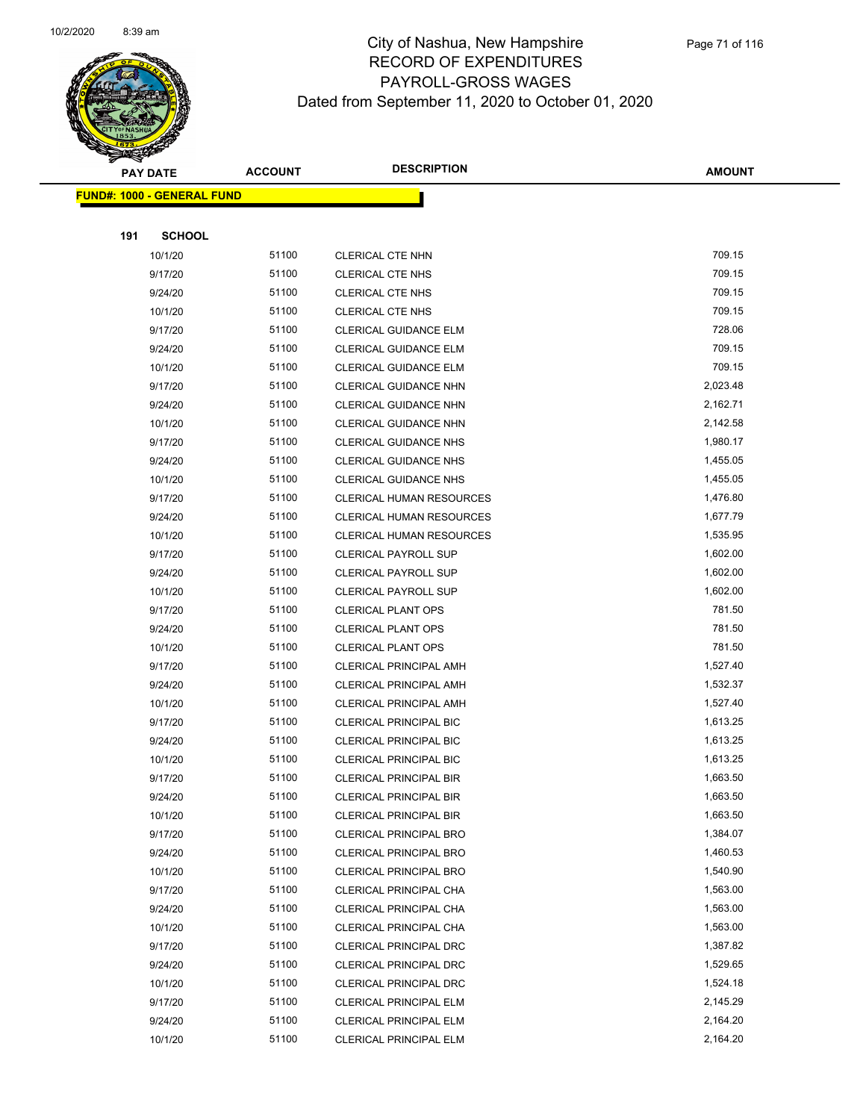

|     | <b>PAY DATE</b>                   | <b>ACCOUNT</b> | <b>DESCRIPTION</b>              | <b>AMOUNT</b> |
|-----|-----------------------------------|----------------|---------------------------------|---------------|
|     | <b>FUND#: 1000 - GENERAL FUND</b> |                |                                 |               |
|     |                                   |                |                                 |               |
| 191 | <b>SCHOOL</b>                     |                |                                 |               |
|     | 10/1/20                           | 51100          | <b>CLERICAL CTE NHN</b>         | 709.15        |
|     | 9/17/20                           | 51100          | <b>CLERICAL CTE NHS</b>         | 709.15        |
|     | 9/24/20                           | 51100          | <b>CLERICAL CTE NHS</b>         | 709.15        |
|     | 10/1/20                           | 51100          | <b>CLERICAL CTE NHS</b>         | 709.15        |
|     | 9/17/20                           | 51100          | CLERICAL GUIDANCE ELM           | 728.06        |
|     | 9/24/20                           | 51100          | CLERICAL GUIDANCE ELM           | 709.15        |
|     | 10/1/20                           | 51100          | <b>CLERICAL GUIDANCE ELM</b>    | 709.15        |
|     | 9/17/20                           | 51100          | CLERICAL GUIDANCE NHN           | 2,023.48      |
|     | 9/24/20                           | 51100          | CLERICAL GUIDANCE NHN           | 2,162.71      |
|     | 10/1/20                           | 51100          | CLERICAL GUIDANCE NHN           | 2,142.58      |
|     | 9/17/20                           | 51100          | <b>CLERICAL GUIDANCE NHS</b>    | 1,980.17      |
|     | 9/24/20                           | 51100          | <b>CLERICAL GUIDANCE NHS</b>    | 1,455.05      |
|     | 10/1/20                           | 51100          | <b>CLERICAL GUIDANCE NHS</b>    | 1,455.05      |
|     | 9/17/20                           | 51100          | <b>CLERICAL HUMAN RESOURCES</b> | 1,476.80      |
|     | 9/24/20                           | 51100          | <b>CLERICAL HUMAN RESOURCES</b> | 1,677.79      |
|     | 10/1/20                           | 51100          | <b>CLERICAL HUMAN RESOURCES</b> | 1,535.95      |
|     | 9/17/20                           | 51100          | <b>CLERICAL PAYROLL SUP</b>     | 1,602.00      |
|     | 9/24/20                           | 51100          | <b>CLERICAL PAYROLL SUP</b>     | 1,602.00      |
|     | 10/1/20                           | 51100          | <b>CLERICAL PAYROLL SUP</b>     | 1,602.00      |
|     | 9/17/20                           | 51100          | <b>CLERICAL PLANT OPS</b>       | 781.50        |
|     | 9/24/20                           | 51100          | <b>CLERICAL PLANT OPS</b>       | 781.50        |
|     | 10/1/20                           | 51100          | <b>CLERICAL PLANT OPS</b>       | 781.50        |
|     | 9/17/20                           | 51100          | <b>CLERICAL PRINCIPAL AMH</b>   | 1,527.40      |
|     | 9/24/20                           | 51100          | <b>CLERICAL PRINCIPAL AMH</b>   | 1,532.37      |
|     | 10/1/20                           | 51100          | <b>CLERICAL PRINCIPAL AMH</b>   | 1,527.40      |
|     | 9/17/20                           | 51100          | CLERICAL PRINCIPAL BIC          | 1,613.25      |
|     | 9/24/20                           | 51100          | <b>CLERICAL PRINCIPAL BIC</b>   | 1,613.25      |
|     | 10/1/20                           | 51100          | <b>CLERICAL PRINCIPAL BIC</b>   | 1,613.25      |
|     | 9/17/20                           | 51100          | CLERICAL PRINCIPAL BIR          | 1,663.50      |
|     | 9/24/20                           | 51100          | <b>CLERICAL PRINCIPAL BIR</b>   | 1,663.50      |
|     | 10/1/20                           | 51100          | <b>CLERICAL PRINCIPAL BIR</b>   | 1,663.50      |
|     | 9/17/20                           | 51100          | <b>CLERICAL PRINCIPAL BRO</b>   | 1,384.07      |
|     | 9/24/20                           | 51100          | <b>CLERICAL PRINCIPAL BRO</b>   | 1,460.53      |
|     | 10/1/20                           | 51100          | CLERICAL PRINCIPAL BRO          | 1,540.90      |
|     | 9/17/20                           | 51100          | CLERICAL PRINCIPAL CHA          | 1,563.00      |
|     | 9/24/20                           | 51100          | CLERICAL PRINCIPAL CHA          | 1,563.00      |
|     | 10/1/20                           | 51100          | CLERICAL PRINCIPAL CHA          | 1,563.00      |
|     | 9/17/20                           | 51100          | <b>CLERICAL PRINCIPAL DRC</b>   | 1,387.82      |
|     | 9/24/20                           | 51100          | CLERICAL PRINCIPAL DRC          | 1,529.65      |
|     | 10/1/20                           | 51100          | <b>CLERICAL PRINCIPAL DRC</b>   | 1,524.18      |
|     | 9/17/20                           | 51100          | <b>CLERICAL PRINCIPAL ELM</b>   | 2,145.29      |
|     | 9/24/20                           | 51100          | <b>CLERICAL PRINCIPAL ELM</b>   | 2,164.20      |
|     | 10/1/20                           | 51100          | <b>CLERICAL PRINCIPAL ELM</b>   | 2,164.20      |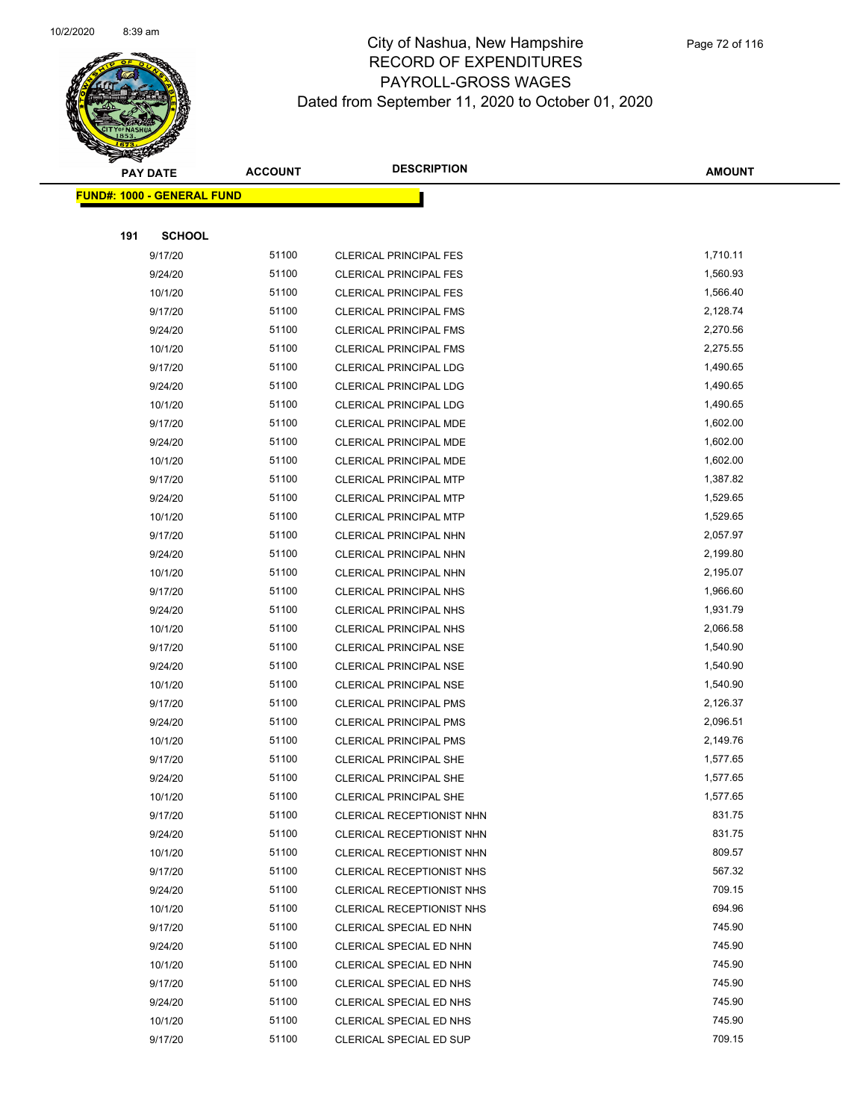

|     | <b>PAY DATE</b>                   | <b>ACCOUNT</b> | <b>DESCRIPTION</b>                                      | <b>AMOUNT</b>        |
|-----|-----------------------------------|----------------|---------------------------------------------------------|----------------------|
|     | <b>FUND#: 1000 - GENERAL FUND</b> |                |                                                         |                      |
|     |                                   |                |                                                         |                      |
| 191 | <b>SCHOOL</b>                     |                |                                                         |                      |
|     | 9/17/20                           | 51100          | <b>CLERICAL PRINCIPAL FES</b>                           | 1,710.11             |
|     | 9/24/20                           | 51100          | <b>CLERICAL PRINCIPAL FES</b>                           | 1,560.93             |
|     | 10/1/20                           | 51100          | <b>CLERICAL PRINCIPAL FES</b>                           | 1,566.40             |
|     | 9/17/20                           | 51100          | <b>CLERICAL PRINCIPAL FMS</b>                           | 2,128.74             |
|     | 9/24/20                           | 51100          | <b>CLERICAL PRINCIPAL FMS</b>                           | 2,270.56             |
|     | 10/1/20                           | 51100          | <b>CLERICAL PRINCIPAL FMS</b>                           | 2,275.55             |
|     | 9/17/20                           | 51100          | <b>CLERICAL PRINCIPAL LDG</b>                           | 1,490.65             |
|     | 9/24/20                           | 51100          | CLERICAL PRINCIPAL LDG                                  | 1,490.65             |
|     | 10/1/20                           | 51100          | <b>CLERICAL PRINCIPAL LDG</b>                           | 1,490.65             |
|     | 9/17/20                           | 51100          | CLERICAL PRINCIPAL MDE                                  | 1,602.00             |
|     | 9/24/20                           | 51100          | CLERICAL PRINCIPAL MDE                                  | 1,602.00             |
|     | 10/1/20                           | 51100          | CLERICAL PRINCIPAL MDE                                  | 1,602.00             |
|     | 9/17/20                           | 51100          | <b>CLERICAL PRINCIPAL MTP</b>                           | 1,387.82             |
|     | 9/24/20                           | 51100          | CLERICAL PRINCIPAL MTP                                  | 1,529.65             |
|     | 10/1/20                           | 51100          | <b>CLERICAL PRINCIPAL MTP</b>                           | 1,529.65             |
|     | 9/17/20                           | 51100          | CLERICAL PRINCIPAL NHN                                  | 2,057.97             |
|     | 9/24/20                           | 51100          | CLERICAL PRINCIPAL NHN                                  | 2,199.80             |
|     | 10/1/20                           | 51100          | CLERICAL PRINCIPAL NHN                                  | 2,195.07             |
|     | 9/17/20                           | 51100          | CLERICAL PRINCIPAL NHS                                  | 1,966.60             |
|     | 9/24/20                           | 51100          | <b>CLERICAL PRINCIPAL NHS</b>                           | 1,931.79             |
|     | 10/1/20                           | 51100          | <b>CLERICAL PRINCIPAL NHS</b>                           | 2,066.58             |
|     | 9/17/20                           | 51100<br>51100 | <b>CLERICAL PRINCIPAL NSE</b>                           | 1,540.90<br>1,540.90 |
|     | 9/24/20<br>10/1/20                | 51100          | <b>CLERICAL PRINCIPAL NSE</b><br>CLERICAL PRINCIPAL NSE | 1,540.90             |
|     | 9/17/20                           | 51100          | <b>CLERICAL PRINCIPAL PMS</b>                           | 2,126.37             |
|     | 9/24/20                           | 51100          | <b>CLERICAL PRINCIPAL PMS</b>                           | 2,096.51             |
|     | 10/1/20                           | 51100          | <b>CLERICAL PRINCIPAL PMS</b>                           | 2,149.76             |
|     | 9/17/20                           | 51100          | <b>CLERICAL PRINCIPAL SHE</b>                           | 1,577.65             |
|     | 9/24/20                           | 51100          | CLERICAL PRINCIPAL SHE                                  | 1,577.65             |
|     | 10/1/20                           | 51100          | <b>CLERICAL PRINCIPAL SHE</b>                           | 1,577.65             |
|     | 9/17/20                           | 51100          | CLERICAL RECEPTIONIST NHN                               | 831.75               |
|     | 9/24/20                           | 51100          | <b>CLERICAL RECEPTIONIST NHN</b>                        | 831.75               |
|     | 10/1/20                           | 51100          | CLERICAL RECEPTIONIST NHN                               | 809.57               |
|     | 9/17/20                           | 51100          | CLERICAL RECEPTIONIST NHS                               | 567.32               |
|     | 9/24/20                           | 51100          | CLERICAL RECEPTIONIST NHS                               | 709.15               |
|     | 10/1/20                           | 51100          | CLERICAL RECEPTIONIST NHS                               | 694.96               |
|     | 9/17/20                           | 51100          | CLERICAL SPECIAL ED NHN                                 | 745.90               |
|     | 9/24/20                           | 51100          | CLERICAL SPECIAL ED NHN                                 | 745.90               |
|     | 10/1/20                           | 51100          | CLERICAL SPECIAL ED NHN                                 | 745.90               |
|     | 9/17/20                           | 51100          | CLERICAL SPECIAL ED NHS                                 | 745.90               |
|     | 9/24/20                           | 51100          | CLERICAL SPECIAL ED NHS                                 | 745.90               |
|     | 10/1/20                           | 51100          | CLERICAL SPECIAL ED NHS                                 | 745.90               |
|     | 9/17/20                           | 51100          | CLERICAL SPECIAL ED SUP                                 | 709.15               |
|     |                                   |                |                                                         |                      |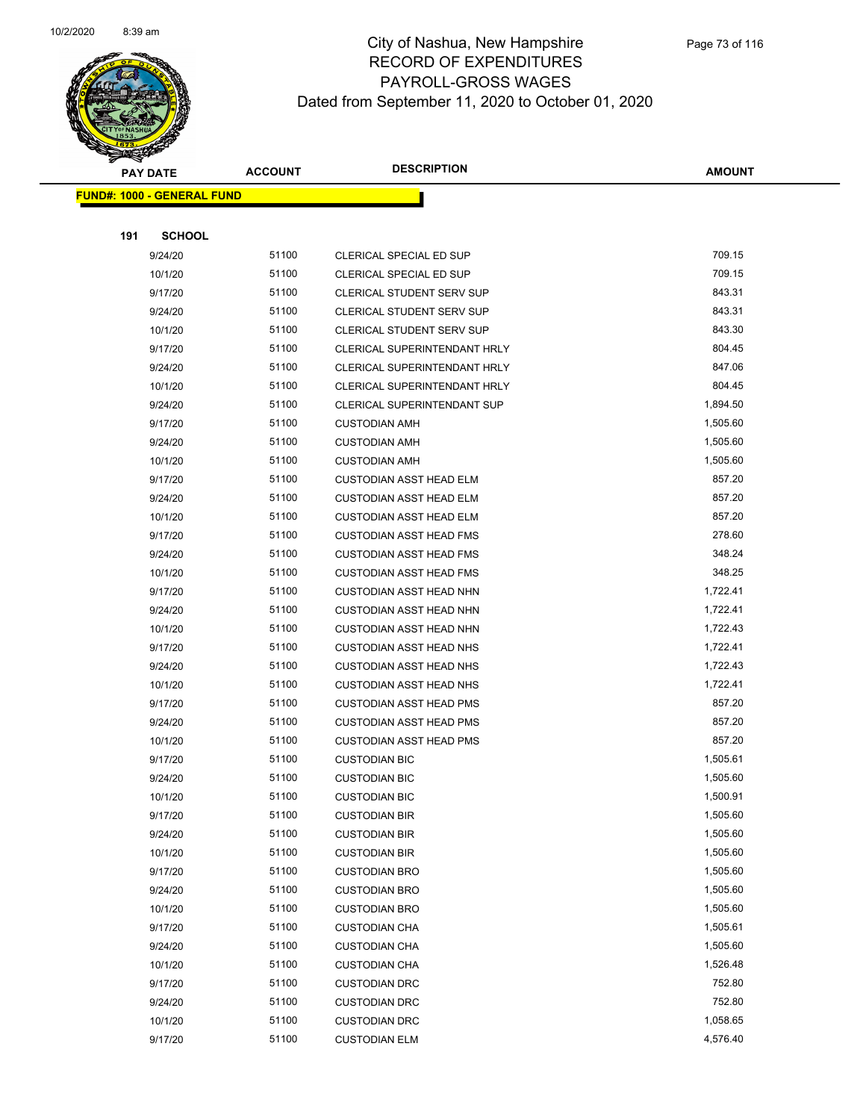

|     | <b>PAY DATE</b>                   | <b>ACCOUNT</b> | <b>DESCRIPTION</b>                  | <b>AMOUNT</b> |
|-----|-----------------------------------|----------------|-------------------------------------|---------------|
|     | <b>FUND#: 1000 - GENERAL FUND</b> |                |                                     |               |
|     |                                   |                |                                     |               |
| 191 | <b>SCHOOL</b>                     |                |                                     |               |
|     | 9/24/20                           | 51100          | CLERICAL SPECIAL ED SUP             | 709.15        |
|     | 10/1/20                           | 51100          | <b>CLERICAL SPECIAL ED SUP</b>      | 709.15        |
|     | 9/17/20                           | 51100          | <b>CLERICAL STUDENT SERV SUP</b>    | 843.31        |
|     | 9/24/20                           | 51100          | <b>CLERICAL STUDENT SERV SUP</b>    | 843.31        |
|     | 10/1/20                           | 51100          | CLERICAL STUDENT SERV SUP           | 843.30        |
|     | 9/17/20                           | 51100          | CLERICAL SUPERINTENDANT HRLY        | 804.45        |
|     | 9/24/20                           | 51100          | <b>CLERICAL SUPERINTENDANT HRLY</b> | 847.06        |
|     | 10/1/20                           | 51100          | CLERICAL SUPERINTENDANT HRLY        | 804.45        |
|     | 9/24/20                           | 51100          | CLERICAL SUPERINTENDANT SUP         | 1,894.50      |
|     | 9/17/20                           | 51100          | <b>CUSTODIAN AMH</b>                | 1,505.60      |
|     | 9/24/20                           | 51100          | <b>CUSTODIAN AMH</b>                | 1,505.60      |
|     | 10/1/20                           | 51100          | <b>CUSTODIAN AMH</b>                | 1,505.60      |
|     | 9/17/20                           | 51100          | <b>CUSTODIAN ASST HEAD ELM</b>      | 857.20        |
|     | 9/24/20                           | 51100          | <b>CUSTODIAN ASST HEAD ELM</b>      | 857.20        |
|     | 10/1/20                           | 51100          | <b>CUSTODIAN ASST HEAD ELM</b>      | 857.20        |
|     | 9/17/20                           | 51100          | <b>CUSTODIAN ASST HEAD FMS</b>      | 278.60        |
|     | 9/24/20                           | 51100          | <b>CUSTODIAN ASST HEAD FMS</b>      | 348.24        |
|     | 10/1/20                           | 51100          | <b>CUSTODIAN ASST HEAD FMS</b>      | 348.25        |
|     | 9/17/20                           | 51100          | <b>CUSTODIAN ASST HEAD NHN</b>      | 1,722.41      |
|     | 9/24/20                           | 51100          | CUSTODIAN ASST HEAD NHN             | 1,722.41      |
|     | 10/1/20                           | 51100          | <b>CUSTODIAN ASST HEAD NHN</b>      | 1,722.43      |
|     | 9/17/20                           | 51100          | <b>CUSTODIAN ASST HEAD NHS</b>      | 1,722.41      |
|     | 9/24/20                           | 51100          | <b>CUSTODIAN ASST HEAD NHS</b>      | 1,722.43      |
|     | 10/1/20                           | 51100          | <b>CUSTODIAN ASST HEAD NHS</b>      | 1,722.41      |
|     | 9/17/20                           | 51100          | <b>CUSTODIAN ASST HEAD PMS</b>      | 857.20        |
|     | 9/24/20                           | 51100          | <b>CUSTODIAN ASST HEAD PMS</b>      | 857.20        |
|     | 10/1/20                           | 51100          | <b>CUSTODIAN ASST HEAD PMS</b>      | 857.20        |
|     | 9/17/20                           | 51100          | <b>CUSTODIAN BIC</b>                | 1,505.61      |
|     | 9/24/20                           | 51100          | <b>CUSTODIAN BIC</b>                | 1,505.60      |
|     | 10/1/20                           | 51100          | <b>CUSTODIAN BIC</b>                | 1,500.91      |
|     | 9/17/20                           | 51100          | <b>CUSTODIAN BIR</b>                | 1,505.60      |
|     | 9/24/20                           | 51100          | <b>CUSTODIAN BIR</b>                | 1,505.60      |
|     | 10/1/20                           | 51100          | <b>CUSTODIAN BIR</b>                | 1,505.60      |
|     | 9/17/20                           | 51100          | <b>CUSTODIAN BRO</b>                | 1,505.60      |
|     | 9/24/20                           | 51100          | <b>CUSTODIAN BRO</b>                | 1,505.60      |
|     | 10/1/20                           | 51100          | <b>CUSTODIAN BRO</b>                | 1,505.60      |
|     | 9/17/20                           | 51100          | <b>CUSTODIAN CHA</b>                | 1,505.61      |
|     | 9/24/20                           | 51100          | <b>CUSTODIAN CHA</b>                | 1,505.60      |
|     | 10/1/20                           | 51100          | <b>CUSTODIAN CHA</b>                | 1,526.48      |
|     | 9/17/20                           | 51100          | <b>CUSTODIAN DRC</b>                | 752.80        |
|     | 9/24/20                           | 51100          | <b>CUSTODIAN DRC</b>                | 752.80        |
|     | 10/1/20                           | 51100          | <b>CUSTODIAN DRC</b>                | 1,058.65      |
|     | 9/17/20                           | 51100          | <b>CUSTODIAN ELM</b>                | 4,576.40      |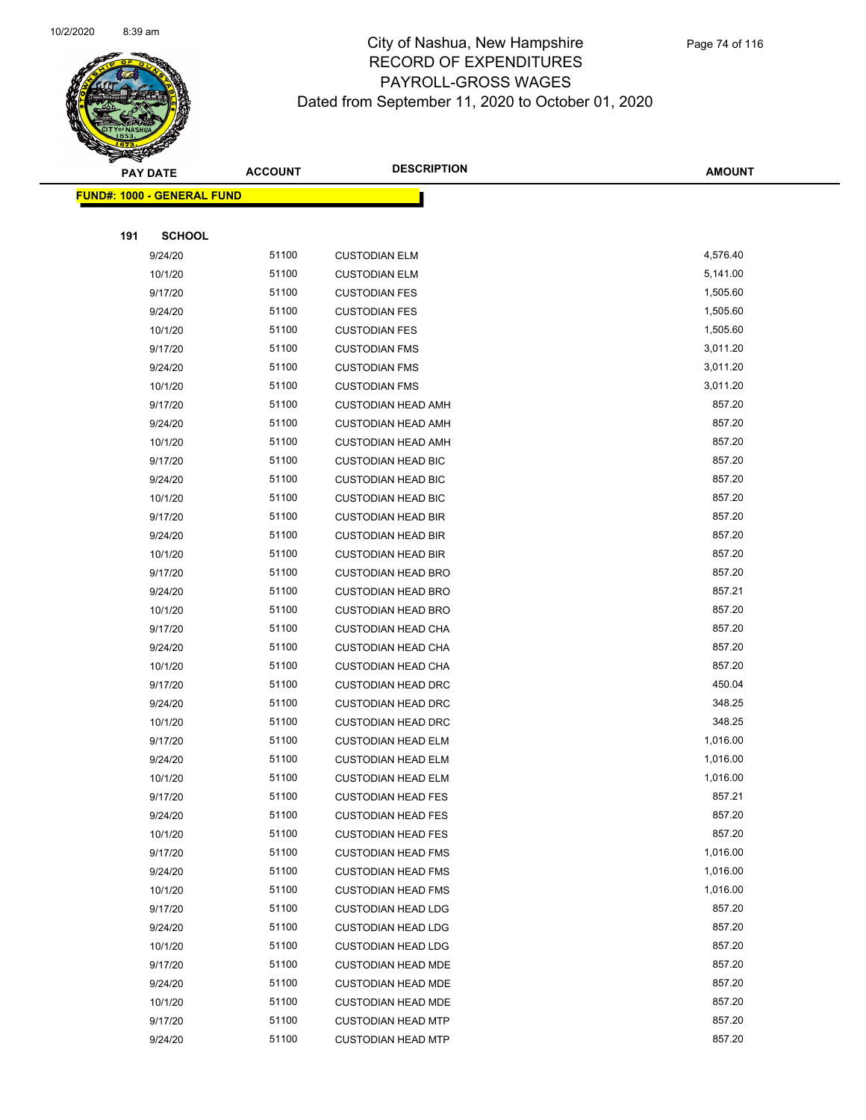

|     | <b>PAY DATE</b>                   | <b>ACCOUNT</b> | <b>DESCRIPTION</b>                                     | <b>AMOUNT</b>      |
|-----|-----------------------------------|----------------|--------------------------------------------------------|--------------------|
|     | <b>FUND#: 1000 - GENERAL FUND</b> |                |                                                        |                    |
|     |                                   |                |                                                        |                    |
| 191 | <b>SCHOOL</b>                     |                |                                                        |                    |
|     | 9/24/20                           | 51100          | <b>CUSTODIAN ELM</b>                                   | 4,576.40           |
|     | 10/1/20                           | 51100          | <b>CUSTODIAN ELM</b>                                   | 5,141.00           |
|     | 9/17/20                           | 51100          | <b>CUSTODIAN FES</b>                                   | 1,505.60           |
|     | 9/24/20                           | 51100          | <b>CUSTODIAN FES</b>                                   | 1,505.60           |
|     | 10/1/20                           | 51100          | <b>CUSTODIAN FES</b>                                   | 1,505.60           |
|     | 9/17/20                           | 51100          | <b>CUSTODIAN FMS</b>                                   | 3,011.20           |
|     | 9/24/20                           | 51100          | <b>CUSTODIAN FMS</b>                                   | 3,011.20           |
|     | 10/1/20                           | 51100          | <b>CUSTODIAN FMS</b>                                   | 3,011.20           |
|     | 9/17/20                           | 51100          | <b>CUSTODIAN HEAD AMH</b>                              | 857.20             |
|     | 9/24/20                           | 51100          | <b>CUSTODIAN HEAD AMH</b>                              | 857.20             |
|     | 10/1/20                           | 51100          | <b>CUSTODIAN HEAD AMH</b>                              | 857.20             |
|     | 9/17/20                           | 51100          | <b>CUSTODIAN HEAD BIC</b>                              | 857.20             |
|     | 9/24/20                           | 51100          | <b>CUSTODIAN HEAD BIC</b>                              | 857.20             |
|     | 10/1/20                           | 51100          | <b>CUSTODIAN HEAD BIC</b>                              | 857.20             |
|     | 9/17/20                           | 51100          | <b>CUSTODIAN HEAD BIR</b>                              | 857.20             |
|     | 9/24/20                           | 51100          | <b>CUSTODIAN HEAD BIR</b>                              | 857.20             |
|     | 10/1/20                           | 51100          | <b>CUSTODIAN HEAD BIR</b>                              | 857.20             |
|     | 9/17/20                           | 51100          | <b>CUSTODIAN HEAD BRO</b>                              | 857.20             |
|     | 9/24/20                           | 51100          | <b>CUSTODIAN HEAD BRO</b>                              | 857.21             |
|     | 10/1/20                           | 51100          | <b>CUSTODIAN HEAD BRO</b>                              | 857.20             |
|     | 9/17/20                           | 51100          | <b>CUSTODIAN HEAD CHA</b>                              | 857.20             |
|     | 9/24/20                           | 51100          | <b>CUSTODIAN HEAD CHA</b>                              | 857.20             |
|     | 10/1/20                           | 51100          | <b>CUSTODIAN HEAD CHA</b>                              | 857.20             |
|     | 9/17/20                           | 51100          | <b>CUSTODIAN HEAD DRC</b>                              | 450.04             |
|     | 9/24/20                           | 51100          | <b>CUSTODIAN HEAD DRC</b>                              | 348.25             |
|     | 10/1/20                           | 51100          | <b>CUSTODIAN HEAD DRC</b>                              | 348.25             |
|     | 9/17/20                           | 51100          | <b>CUSTODIAN HEAD ELM</b>                              | 1,016.00           |
|     | 9/24/20                           | 51100          | <b>CUSTODIAN HEAD ELM</b>                              | 1,016.00           |
|     | 10/1/20                           | 51100<br>51100 | <b>CUSTODIAN HEAD ELM</b>                              | 1,016.00<br>857.21 |
|     | 9/17/20                           | 51100          | <b>CUSTODIAN HEAD FES</b>                              | 857.20             |
|     | 9/24/20<br>10/1/20                | 51100          | <b>CUSTODIAN HEAD FES</b><br><b>CUSTODIAN HEAD FES</b> | 857.20             |
|     | 9/17/20                           | 51100          | <b>CUSTODIAN HEAD FMS</b>                              | 1,016.00           |
|     | 9/24/20                           | 51100          | <b>CUSTODIAN HEAD FMS</b>                              | 1,016.00           |
|     | 10/1/20                           | 51100          | <b>CUSTODIAN HEAD FMS</b>                              | 1,016.00           |
|     | 9/17/20                           | 51100          | <b>CUSTODIAN HEAD LDG</b>                              | 857.20             |
|     | 9/24/20                           | 51100          | <b>CUSTODIAN HEAD LDG</b>                              | 857.20             |
|     | 10/1/20                           | 51100          | <b>CUSTODIAN HEAD LDG</b>                              | 857.20             |
|     | 9/17/20                           | 51100          | <b>CUSTODIAN HEAD MDE</b>                              | 857.20             |
|     | 9/24/20                           | 51100          | <b>CUSTODIAN HEAD MDE</b>                              | 857.20             |
|     | 10/1/20                           | 51100          | <b>CUSTODIAN HEAD MDE</b>                              | 857.20             |
|     | 9/17/20                           | 51100          | <b>CUSTODIAN HEAD MTP</b>                              | 857.20             |
|     | 9/24/20                           | 51100          | <b>CUSTODIAN HEAD MTP</b>                              | 857.20             |
|     |                                   |                |                                                        |                    |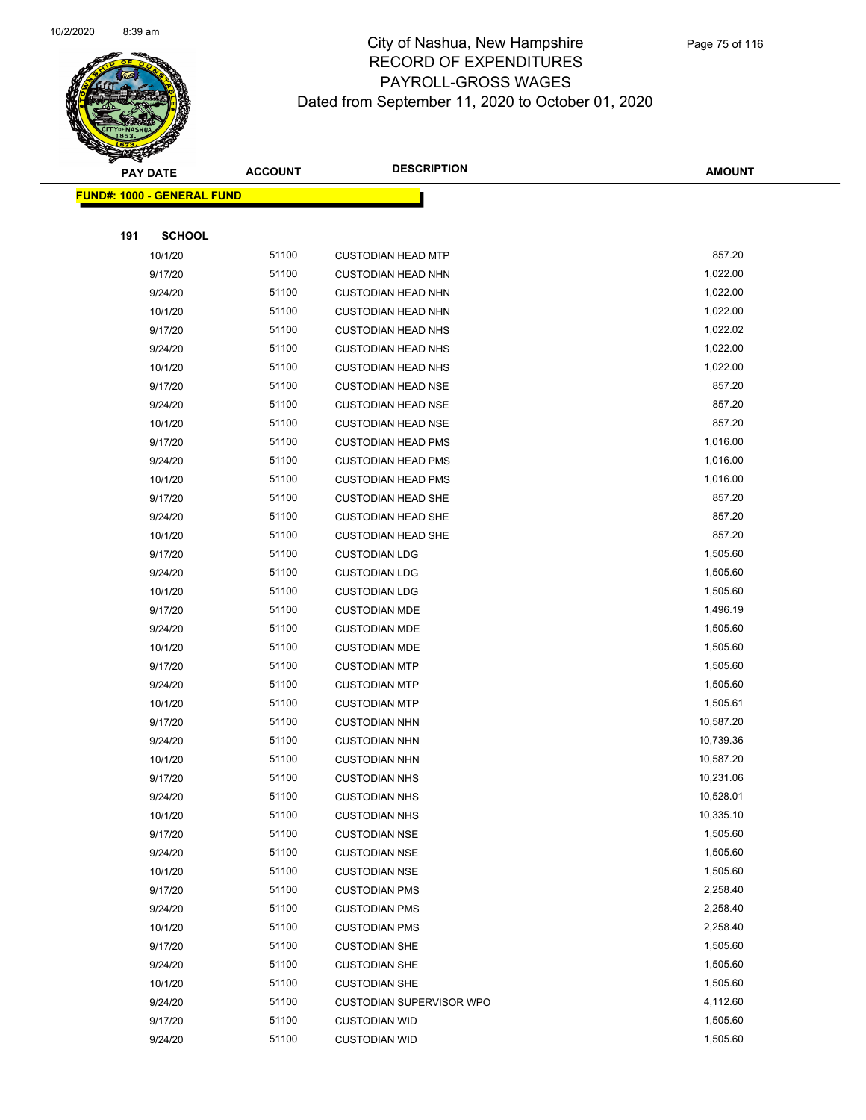

|     | <b>PAY DATE</b>            | <b>ACCOUNT</b> | <b>DESCRIPTION</b>              | <b>AMOUNT</b> |
|-----|----------------------------|----------------|---------------------------------|---------------|
|     | FUND#: 1000 - GENERAL FUND |                |                                 |               |
|     |                            |                |                                 |               |
| 191 | <b>SCHOOL</b>              |                |                                 |               |
|     | 10/1/20                    | 51100          | <b>CUSTODIAN HEAD MTP</b>       | 857.20        |
|     | 9/17/20                    | 51100          | <b>CUSTODIAN HEAD NHN</b>       | 1,022.00      |
|     | 9/24/20                    | 51100          | <b>CUSTODIAN HEAD NHN</b>       | 1,022.00      |
|     | 10/1/20                    | 51100          | <b>CUSTODIAN HEAD NHN</b>       | 1,022.00      |
|     | 9/17/20                    | 51100          | <b>CUSTODIAN HEAD NHS</b>       | 1,022.02      |
|     | 9/24/20                    | 51100          | <b>CUSTODIAN HEAD NHS</b>       | 1,022.00      |
|     | 10/1/20                    | 51100          | <b>CUSTODIAN HEAD NHS</b>       | 1,022.00      |
|     | 9/17/20                    | 51100          | <b>CUSTODIAN HEAD NSE</b>       | 857.20        |
|     | 9/24/20                    | 51100          | <b>CUSTODIAN HEAD NSE</b>       | 857.20        |
|     | 10/1/20                    | 51100          | <b>CUSTODIAN HEAD NSE</b>       | 857.20        |
|     | 9/17/20                    | 51100          | <b>CUSTODIAN HEAD PMS</b>       | 1,016.00      |
|     | 9/24/20                    | 51100          | <b>CUSTODIAN HEAD PMS</b>       | 1,016.00      |
|     | 10/1/20                    | 51100          | <b>CUSTODIAN HEAD PMS</b>       | 1,016.00      |
|     | 9/17/20                    | 51100          | <b>CUSTODIAN HEAD SHE</b>       | 857.20        |
|     | 9/24/20                    | 51100          | <b>CUSTODIAN HEAD SHE</b>       | 857.20        |
|     | 10/1/20                    | 51100          | <b>CUSTODIAN HEAD SHE</b>       | 857.20        |
|     | 9/17/20                    | 51100          | <b>CUSTODIAN LDG</b>            | 1,505.60      |
|     | 9/24/20                    | 51100          | <b>CUSTODIAN LDG</b>            | 1,505.60      |
|     | 10/1/20                    | 51100          | <b>CUSTODIAN LDG</b>            | 1,505.60      |
|     | 9/17/20                    | 51100          | <b>CUSTODIAN MDE</b>            | 1,496.19      |
|     | 9/24/20                    | 51100          | <b>CUSTODIAN MDE</b>            | 1,505.60      |
|     | 10/1/20                    | 51100          | <b>CUSTODIAN MDE</b>            | 1,505.60      |
|     | 9/17/20                    | 51100          | <b>CUSTODIAN MTP</b>            | 1,505.60      |
|     | 9/24/20                    | 51100          | <b>CUSTODIAN MTP</b>            | 1,505.60      |
|     | 10/1/20                    | 51100          | <b>CUSTODIAN MTP</b>            | 1,505.61      |
|     | 9/17/20                    | 51100          | <b>CUSTODIAN NHN</b>            | 10,587.20     |
|     | 9/24/20                    | 51100          | <b>CUSTODIAN NHN</b>            | 10,739.36     |
|     | 10/1/20                    | 51100          | <b>CUSTODIAN NHN</b>            | 10,587.20     |
|     | 9/17/20                    | 51100          | <b>CUSTODIAN NHS</b>            | 10,231.06     |
|     | 9/24/20                    | 51100          | <b>CUSTODIAN NHS</b>            | 10,528.01     |
|     | 10/1/20                    | 51100          | <b>CUSTODIAN NHS</b>            | 10,335.10     |
|     | 9/17/20                    | 51100          | <b>CUSTODIAN NSE</b>            | 1,505.60      |
|     | 9/24/20                    | 51100          | <b>CUSTODIAN NSE</b>            | 1,505.60      |
|     | 10/1/20                    | 51100          | <b>CUSTODIAN NSE</b>            | 1,505.60      |
|     | 9/17/20                    | 51100          | <b>CUSTODIAN PMS</b>            | 2,258.40      |
|     | 9/24/20                    | 51100          | <b>CUSTODIAN PMS</b>            | 2,258.40      |
|     | 10/1/20                    | 51100          | <b>CUSTODIAN PMS</b>            | 2,258.40      |
|     | 9/17/20                    | 51100          | <b>CUSTODIAN SHE</b>            | 1,505.60      |
|     | 9/24/20                    | 51100          | <b>CUSTODIAN SHE</b>            | 1,505.60      |
|     | 10/1/20                    | 51100          | <b>CUSTODIAN SHE</b>            | 1,505.60      |
|     | 9/24/20                    | 51100          | <b>CUSTODIAN SUPERVISOR WPO</b> | 4,112.60      |
|     | 9/17/20                    | 51100          | <b>CUSTODIAN WID</b>            | 1,505.60      |
|     | 9/24/20                    | 51100          | <b>CUSTODIAN WID</b>            | 1,505.60      |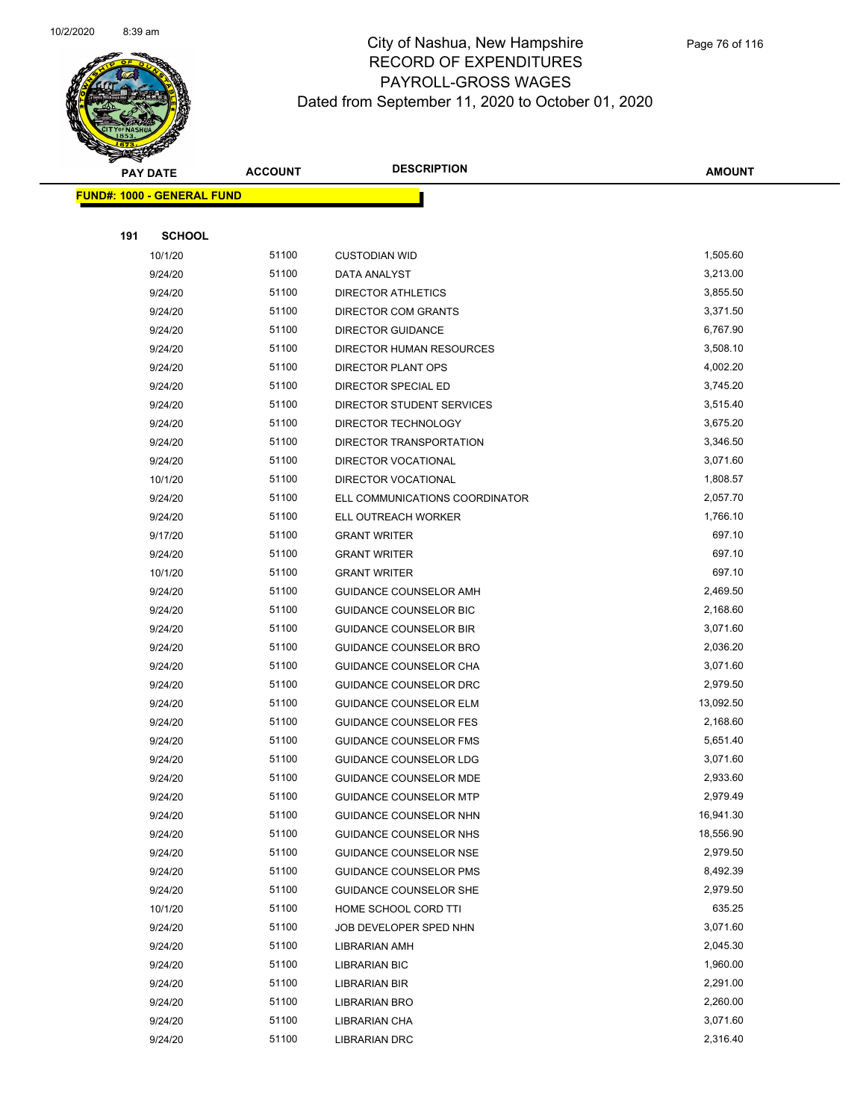

|     | <b>PAY DATE</b>                   | <b>ACCOUNT</b> | <b>DESCRIPTION</b>             | <b>AMOUNT</b> |
|-----|-----------------------------------|----------------|--------------------------------|---------------|
|     | <b>FUND#: 1000 - GENERAL FUND</b> |                |                                |               |
|     |                                   |                |                                |               |
| 191 | <b>SCHOOL</b>                     |                |                                |               |
|     | 10/1/20                           | 51100          | <b>CUSTODIAN WID</b>           | 1,505.60      |
|     | 9/24/20                           | 51100          | DATA ANALYST                   | 3,213.00      |
|     | 9/24/20                           | 51100          | <b>DIRECTOR ATHLETICS</b>      | 3,855.50      |
|     | 9/24/20                           | 51100          | DIRECTOR COM GRANTS            | 3,371.50      |
|     | 9/24/20                           | 51100          | <b>DIRECTOR GUIDANCE</b>       | 6,767.90      |
|     | 9/24/20                           | 51100          | DIRECTOR HUMAN RESOURCES       | 3,508.10      |
|     | 9/24/20                           | 51100          | DIRECTOR PLANT OPS             | 4,002.20      |
|     | 9/24/20                           | 51100          | DIRECTOR SPECIAL ED            | 3,745.20      |
|     | 9/24/20                           | 51100          | DIRECTOR STUDENT SERVICES      | 3,515.40      |
|     | 9/24/20                           | 51100          | DIRECTOR TECHNOLOGY            | 3,675.20      |
|     | 9/24/20                           | 51100          | DIRECTOR TRANSPORTATION        | 3,346.50      |
|     | 9/24/20                           | 51100          | <b>DIRECTOR VOCATIONAL</b>     | 3,071.60      |
|     | 10/1/20                           | 51100          | <b>DIRECTOR VOCATIONAL</b>     | 1,808.57      |
|     | 9/24/20                           | 51100          | ELL COMMUNICATIONS COORDINATOR | 2,057.70      |
|     | 9/24/20                           | 51100          | ELL OUTREACH WORKER            | 1,766.10      |
|     | 9/17/20                           | 51100          | <b>GRANT WRITER</b>            | 697.10        |
|     | 9/24/20                           | 51100          | <b>GRANT WRITER</b>            | 697.10        |
|     | 10/1/20                           | 51100          | <b>GRANT WRITER</b>            | 697.10        |
|     | 9/24/20                           | 51100          | GUIDANCE COUNSELOR AMH         | 2,469.50      |
|     | 9/24/20                           | 51100          | GUIDANCE COUNSELOR BIC         | 2,168.60      |
|     | 9/24/20                           | 51100          | <b>GUIDANCE COUNSELOR BIR</b>  | 3,071.60      |
|     | 9/24/20                           | 51100          | GUIDANCE COUNSELOR BRO         | 2,036.20      |
|     | 9/24/20                           | 51100          | GUIDANCE COUNSELOR CHA         | 3,071.60      |
|     | 9/24/20                           | 51100          | GUIDANCE COUNSELOR DRC         | 2,979.50      |
|     | 9/24/20                           | 51100          | <b>GUIDANCE COUNSELOR ELM</b>  | 13,092.50     |
|     | 9/24/20                           | 51100          | <b>GUIDANCE COUNSELOR FES</b>  | 2,168.60      |
|     | 9/24/20                           | 51100          | GUIDANCE COUNSELOR FMS         | 5,651.40      |
|     | 9/24/20                           | 51100          | GUIDANCE COUNSELOR LDG         | 3,071.60      |
|     | 9/24/20                           | 51100          | GUIDANCE COUNSELOR MDE         | 2,933.60      |
|     | 9/24/20                           | 51100          | <b>GUIDANCE COUNSELOR MTP</b>  | 2,979.49      |
|     | 9/24/20                           | 51100          | GUIDANCE COUNSELOR NHN         | 16,941.30     |
|     | 9/24/20                           | 51100          | GUIDANCE COUNSELOR NHS         | 18,556.90     |
|     | 9/24/20                           | 51100          | <b>GUIDANCE COUNSELOR NSE</b>  | 2,979.50      |
|     | 9/24/20                           | 51100          | GUIDANCE COUNSELOR PMS         | 8,492.39      |
|     | 9/24/20                           | 51100          | <b>GUIDANCE COUNSELOR SHE</b>  | 2,979.50      |
|     | 10/1/20                           | 51100          | HOME SCHOOL CORD TTI           | 635.25        |
|     | 9/24/20                           | 51100          | JOB DEVELOPER SPED NHN         | 3,071.60      |
|     | 9/24/20                           | 51100          | LIBRARIAN AMH                  | 2,045.30      |
|     | 9/24/20                           | 51100          | <b>LIBRARIAN BIC</b>           | 1,960.00      |
|     | 9/24/20                           | 51100          | LIBRARIAN BIR                  | 2,291.00      |
|     | 9/24/20                           | 51100          | LIBRARIAN BRO                  | 2,260.00      |
|     | 9/24/20                           | 51100          | LIBRARIAN CHA                  | 3,071.60      |
|     | 9/24/20                           | 51100          | LIBRARIAN DRC                  | 2,316.40      |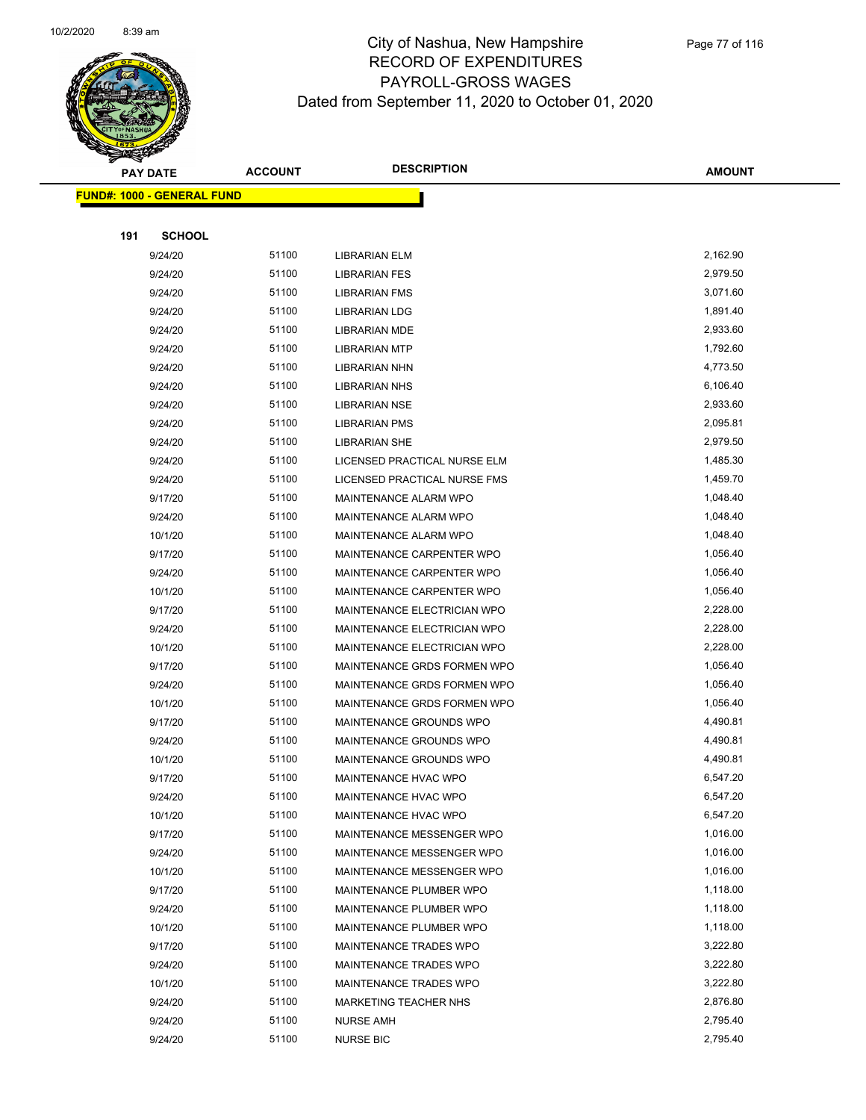

|     | <b>PAY DATE</b>                    | <b>ACCOUNT</b> | <b>DESCRIPTION</b>                  | <b>AMOUNT</b> |
|-----|------------------------------------|----------------|-------------------------------------|---------------|
|     | <u> FUND#: 1000 - GENERAL FUND</u> |                |                                     |               |
|     |                                    |                |                                     |               |
| 191 | <b>SCHOOL</b>                      |                |                                     |               |
|     | 9/24/20                            | 51100          | <b>LIBRARIAN ELM</b>                | 2,162.90      |
|     | 9/24/20                            | 51100          | <b>LIBRARIAN FES</b>                | 2,979.50      |
|     | 9/24/20                            | 51100          | <b>LIBRARIAN FMS</b>                | 3,071.60      |
|     | 9/24/20                            | 51100          | <b>LIBRARIAN LDG</b>                | 1,891.40      |
|     | 9/24/20                            | 51100          | LIBRARIAN MDE                       | 2,933.60      |
|     | 9/24/20                            | 51100          | <b>LIBRARIAN MTP</b>                | 1,792.60      |
|     | 9/24/20                            | 51100          | <b>LIBRARIAN NHN</b>                | 4,773.50      |
|     | 9/24/20                            | 51100          | <b>LIBRARIAN NHS</b>                | 6,106.40      |
|     | 9/24/20                            | 51100          | <b>LIBRARIAN NSE</b>                | 2,933.60      |
|     | 9/24/20                            | 51100          | <b>LIBRARIAN PMS</b>                | 2,095.81      |
|     | 9/24/20                            | 51100          | <b>LIBRARIAN SHE</b>                | 2,979.50      |
|     | 9/24/20                            | 51100          | LICENSED PRACTICAL NURSE ELM        | 1,485.30      |
|     | 9/24/20                            | 51100          | <b>LICENSED PRACTICAL NURSE FMS</b> | 1,459.70      |
|     | 9/17/20                            | 51100          | MAINTENANCE ALARM WPO               | 1,048.40      |
|     | 9/24/20                            | 51100          | MAINTENANCE ALARM WPO               | 1,048.40      |
|     | 10/1/20                            | 51100          | MAINTENANCE ALARM WPO               | 1,048.40      |
|     | 9/17/20                            | 51100          | MAINTENANCE CARPENTER WPO           | 1,056.40      |
|     | 9/24/20                            | 51100          | MAINTENANCE CARPENTER WPO           | 1,056.40      |
|     | 10/1/20                            | 51100          | MAINTENANCE CARPENTER WPO           | 1,056.40      |
|     | 9/17/20                            | 51100          | MAINTENANCE ELECTRICIAN WPO         | 2,228.00      |
|     | 9/24/20                            | 51100          | MAINTENANCE ELECTRICIAN WPO         | 2,228.00      |
|     | 10/1/20                            | 51100          | MAINTENANCE ELECTRICIAN WPO         | 2,228.00      |
|     | 9/17/20                            | 51100          | MAINTENANCE GRDS FORMEN WPO         | 1,056.40      |
|     | 9/24/20                            | 51100          | MAINTENANCE GRDS FORMEN WPO         | 1,056.40      |
|     | 10/1/20                            | 51100          | MAINTENANCE GRDS FORMEN WPO         | 1,056.40      |
|     | 9/17/20                            | 51100          | MAINTENANCE GROUNDS WPO             | 4,490.81      |
|     | 9/24/20                            | 51100          | MAINTENANCE GROUNDS WPO             | 4,490.81      |
|     | 10/1/20                            | 51100          | MAINTENANCE GROUNDS WPO             | 4,490.81      |
|     | 9/17/20                            | 51100          | MAINTENANCE HVAC WPO                | 6,547.20      |
|     | 9/24/20                            | 51100          | MAINTENANCE HVAC WPO                | 6,547.20      |
|     | 10/1/20                            | 51100          | MAINTENANCE HVAC WPO                | 6,547.20      |
|     | 9/17/20                            | 51100          | MAINTENANCE MESSENGER WPO           | 1,016.00      |
|     | 9/24/20                            | 51100          | MAINTENANCE MESSENGER WPO           | 1,016.00      |
|     | 10/1/20                            | 51100          | MAINTENANCE MESSENGER WPO           | 1,016.00      |
|     | 9/17/20                            | 51100          | MAINTENANCE PLUMBER WPO             | 1,118.00      |
|     | 9/24/20                            | 51100          | MAINTENANCE PLUMBER WPO             | 1,118.00      |
|     | 10/1/20                            | 51100          | MAINTENANCE PLUMBER WPO             | 1,118.00      |
|     | 9/17/20                            | 51100          | MAINTENANCE TRADES WPO              | 3,222.80      |
|     | 9/24/20                            | 51100          | MAINTENANCE TRADES WPO              | 3,222.80      |
|     | 10/1/20                            | 51100          | MAINTENANCE TRADES WPO              | 3,222.80      |
|     | 9/24/20                            | 51100          | <b>MARKETING TEACHER NHS</b>        | 2,876.80      |
|     | 9/24/20                            | 51100          | <b>NURSE AMH</b>                    | 2,795.40      |
|     | 9/24/20                            | 51100          | <b>NURSE BIC</b>                    | 2,795.40      |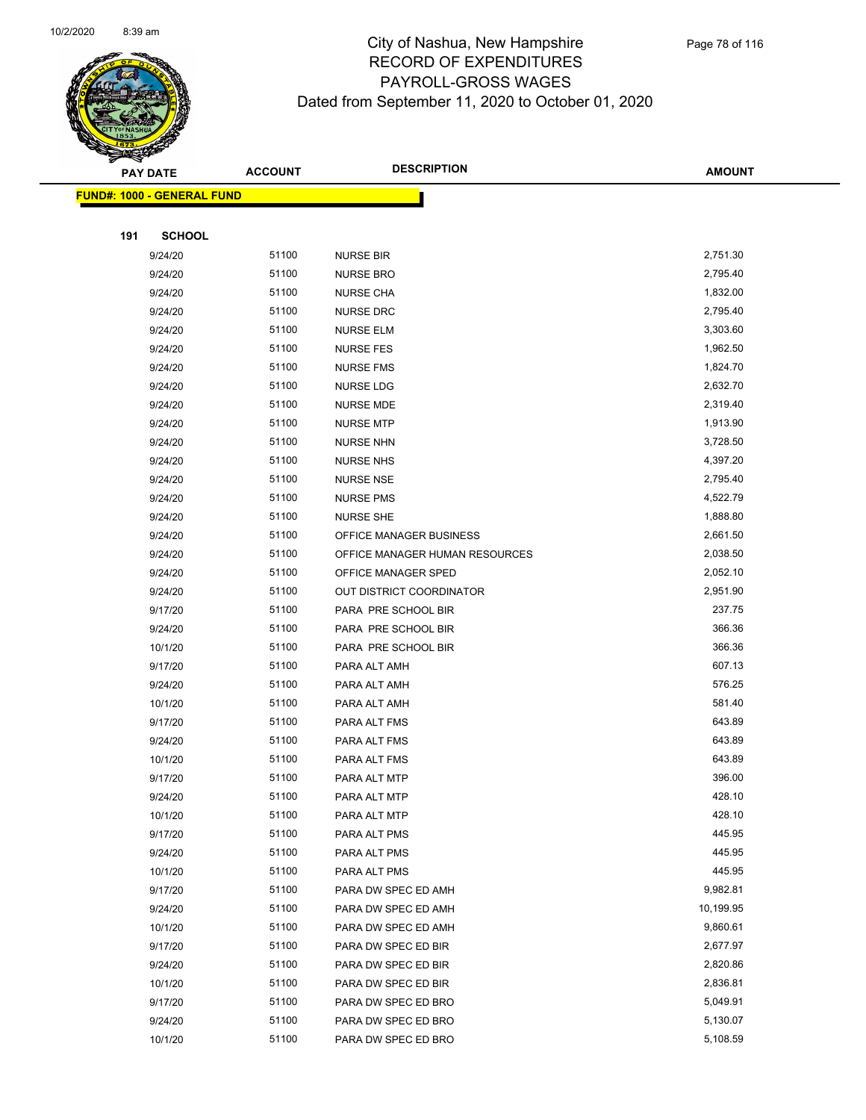

|     | <b>PAY DATE</b>                   | <b>ACCOUNT</b> | <b>DESCRIPTION</b>             | <b>AMOUNT</b> |
|-----|-----------------------------------|----------------|--------------------------------|---------------|
|     | <b>FUND#: 1000 - GENERAL FUND</b> |                |                                |               |
|     |                                   |                |                                |               |
| 191 | <b>SCHOOL</b>                     |                |                                |               |
|     | 9/24/20                           | 51100          | <b>NURSE BIR</b>               | 2,751.30      |
|     | 9/24/20                           | 51100          | <b>NURSE BRO</b>               | 2,795.40      |
|     | 9/24/20                           | 51100          | <b>NURSE CHA</b>               | 1,832.00      |
|     | 9/24/20                           | 51100          | NURSE DRC                      | 2,795.40      |
|     | 9/24/20                           | 51100          | <b>NURSE ELM</b>               | 3,303.60      |
|     | 9/24/20                           | 51100          | <b>NURSE FES</b>               | 1,962.50      |
|     | 9/24/20                           | 51100          | <b>NURSE FMS</b>               | 1,824.70      |
|     | 9/24/20                           | 51100          | <b>NURSE LDG</b>               | 2,632.70      |
|     | 9/24/20                           | 51100          | NURSE MDE                      | 2,319.40      |
|     | 9/24/20                           | 51100          | <b>NURSE MTP</b>               | 1,913.90      |
|     | 9/24/20                           | 51100          | <b>NURSE NHN</b>               | 3,728.50      |
|     | 9/24/20                           | 51100          | <b>NURSE NHS</b>               | 4,397.20      |
|     | 9/24/20                           | 51100          | <b>NURSE NSE</b>               | 2,795.40      |
|     | 9/24/20                           | 51100          | <b>NURSE PMS</b>               | 4,522.79      |
|     | 9/24/20                           | 51100          | <b>NURSE SHE</b>               | 1,888.80      |
|     | 9/24/20                           | 51100          | OFFICE MANAGER BUSINESS        | 2,661.50      |
|     | 9/24/20                           | 51100          | OFFICE MANAGER HUMAN RESOURCES | 2,038.50      |
|     | 9/24/20                           | 51100          | OFFICE MANAGER SPED            | 2,052.10      |
|     | 9/24/20                           | 51100          | OUT DISTRICT COORDINATOR       | 2,951.90      |
|     | 9/17/20                           | 51100          | PARA PRE SCHOOL BIR            | 237.75        |
|     | 9/24/20                           | 51100          | PARA PRE SCHOOL BIR            | 366.36        |
|     | 10/1/20                           | 51100          | PARA PRE SCHOOL BIR            | 366.36        |
|     | 9/17/20                           | 51100          | PARA ALT AMH                   | 607.13        |
|     | 9/24/20                           | 51100          | PARA ALT AMH                   | 576.25        |
|     | 10/1/20                           | 51100          | PARA ALT AMH                   | 581.40        |
|     | 9/17/20                           | 51100          | PARA ALT FMS                   | 643.89        |
|     | 9/24/20                           | 51100          | PARA ALT FMS                   | 643.89        |
|     | 10/1/20                           | 51100          | PARA ALT FMS                   | 643.89        |
|     | 9/17/20                           | 51100          | PARA ALT MTP                   | 396.00        |
|     | 9/24/20                           | 51100          | PARA ALT MTP                   | 428.10        |
|     | 10/1/20                           | 51100          | PARA ALT MTP                   | 428.10        |
|     | 9/17/20                           | 51100          | PARA ALT PMS                   | 445.95        |
|     | 9/24/20                           | 51100          | PARA ALT PMS                   | 445.95        |
|     | 10/1/20                           | 51100          | PARA ALT PMS                   | 445.95        |
|     | 9/17/20                           | 51100          | PARA DW SPEC ED AMH            | 9,982.81      |
|     | 9/24/20                           | 51100          | PARA DW SPEC ED AMH            | 10,199.95     |
|     | 10/1/20                           | 51100          | PARA DW SPEC ED AMH            | 9,860.61      |
|     | 9/17/20                           | 51100          | PARA DW SPEC ED BIR            | 2,677.97      |
|     | 9/24/20                           | 51100          | PARA DW SPEC ED BIR            | 2,820.86      |
|     | 10/1/20                           | 51100          | PARA DW SPEC ED BIR            | 2,836.81      |
|     | 9/17/20                           | 51100          | PARA DW SPEC ED BRO            | 5,049.91      |
|     | 9/24/20                           | 51100          | PARA DW SPEC ED BRO            | 5,130.07      |
|     | 10/1/20                           | 51100          | PARA DW SPEC ED BRO            | 5,108.59      |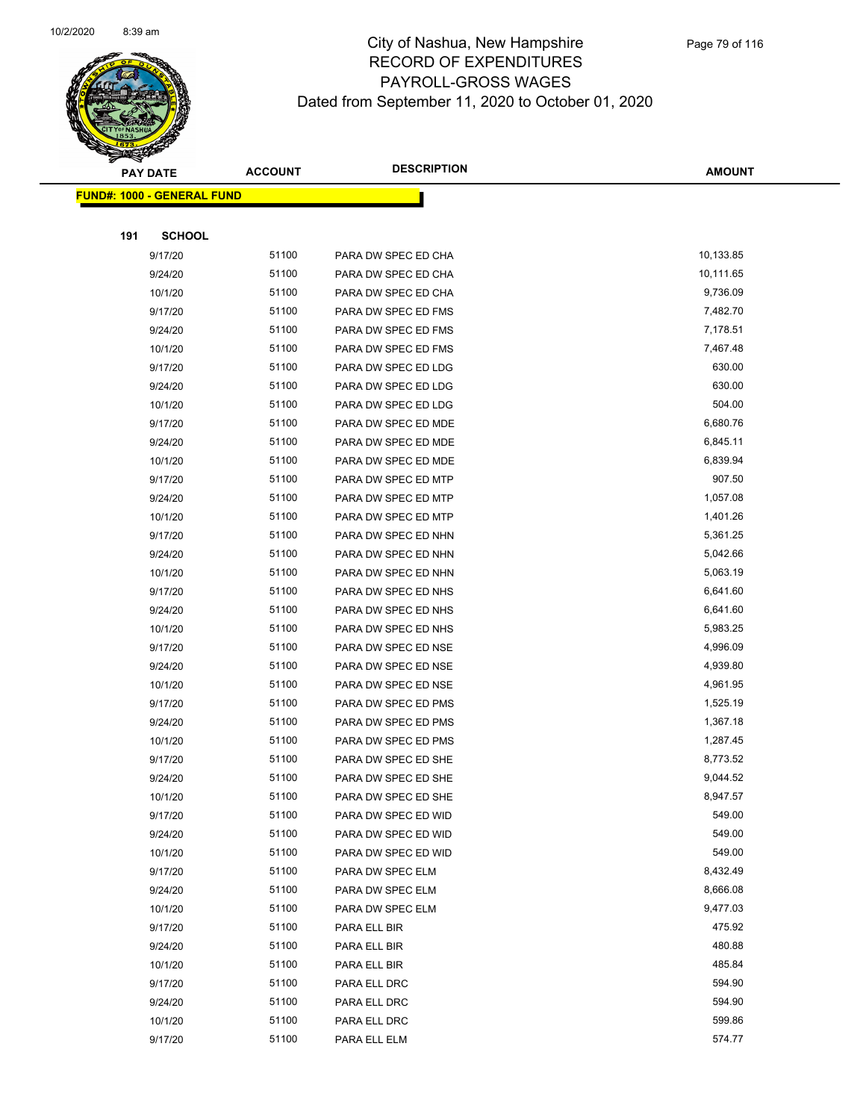

|     | <b>PAY DATE</b>                   | <b>ACCOUNT</b> | <b>DESCRIPTION</b>  | <b>AMOUNT</b> |
|-----|-----------------------------------|----------------|---------------------|---------------|
|     | <b>FUND#: 1000 - GENERAL FUND</b> |                |                     |               |
|     |                                   |                |                     |               |
| 191 | <b>SCHOOL</b>                     |                |                     |               |
|     | 9/17/20                           | 51100          | PARA DW SPEC ED CHA | 10,133.85     |
|     | 9/24/20                           | 51100          | PARA DW SPEC ED CHA | 10,111.65     |
|     | 10/1/20                           | 51100          | PARA DW SPEC ED CHA | 9,736.09      |
|     | 9/17/20                           | 51100          | PARA DW SPEC ED FMS | 7,482.70      |
|     | 9/24/20                           | 51100          | PARA DW SPEC ED FMS | 7,178.51      |
|     | 10/1/20                           | 51100          | PARA DW SPEC ED FMS | 7,467.48      |
|     | 9/17/20                           | 51100          | PARA DW SPEC ED LDG | 630.00        |
|     | 9/24/20                           | 51100          | PARA DW SPEC ED LDG | 630.00        |
|     | 10/1/20                           | 51100          | PARA DW SPEC ED LDG | 504.00        |
|     | 9/17/20                           | 51100          | PARA DW SPEC ED MDE | 6,680.76      |
|     | 9/24/20                           | 51100          | PARA DW SPEC ED MDE | 6,845.11      |
|     | 10/1/20                           | 51100          | PARA DW SPEC ED MDE | 6,839.94      |
|     | 9/17/20                           | 51100          | PARA DW SPEC ED MTP | 907.50        |
|     | 9/24/20                           | 51100          | PARA DW SPEC ED MTP | 1,057.08      |
|     | 10/1/20                           | 51100          | PARA DW SPEC ED MTP | 1,401.26      |
|     | 9/17/20                           | 51100          | PARA DW SPEC ED NHN | 5,361.25      |
|     | 9/24/20                           | 51100          | PARA DW SPEC ED NHN | 5,042.66      |
|     | 10/1/20                           | 51100          | PARA DW SPEC ED NHN | 5,063.19      |
|     | 9/17/20                           | 51100          | PARA DW SPEC ED NHS | 6,641.60      |
|     | 9/24/20                           | 51100          | PARA DW SPEC ED NHS | 6,641.60      |
|     | 10/1/20                           | 51100          | PARA DW SPEC ED NHS | 5,983.25      |
|     | 9/17/20                           | 51100          | PARA DW SPEC ED NSE | 4,996.09      |
|     | 9/24/20                           | 51100          | PARA DW SPEC ED NSE | 4,939.80      |
|     | 10/1/20                           | 51100          | PARA DW SPEC ED NSE | 4,961.95      |
|     | 9/17/20                           | 51100          | PARA DW SPEC ED PMS | 1,525.19      |
|     | 9/24/20                           | 51100          | PARA DW SPEC ED PMS | 1,367.18      |
|     | 10/1/20                           | 51100          | PARA DW SPEC ED PMS | 1,287.45      |
|     | 9/17/20                           | 51100          | PARA DW SPEC ED SHE | 8,773.52      |
|     | 9/24/20                           | 51100          | PARA DW SPEC ED SHE | 9,044.52      |
|     | 10/1/20                           | 51100          | PARA DW SPEC ED SHE | 8,947.57      |
|     | 9/17/20                           | 51100          | PARA DW SPEC ED WID | 549.00        |
|     | 9/24/20                           | 51100          | PARA DW SPEC ED WID | 549.00        |
|     | 10/1/20                           | 51100          | PARA DW SPEC ED WID | 549.00        |
|     | 9/17/20                           | 51100          | PARA DW SPEC ELM    | 8,432.49      |
|     | 9/24/20                           | 51100          | PARA DW SPEC ELM    | 8,666.08      |
|     | 10/1/20                           | 51100          | PARA DW SPEC ELM    | 9,477.03      |
|     | 9/17/20                           | 51100          | PARA ELL BIR        | 475.92        |
|     | 9/24/20                           | 51100          | PARA ELL BIR        | 480.88        |
|     | 10/1/20                           | 51100          | PARA ELL BIR        | 485.84        |
|     | 9/17/20                           | 51100          | PARA ELL DRC        | 594.90        |
|     | 9/24/20                           | 51100          | PARA ELL DRC        | 594.90        |
|     | 10/1/20                           | 51100          | PARA ELL DRC        | 599.86        |
|     | 9/17/20                           | 51100          | PARA ELL ELM        | 574.77        |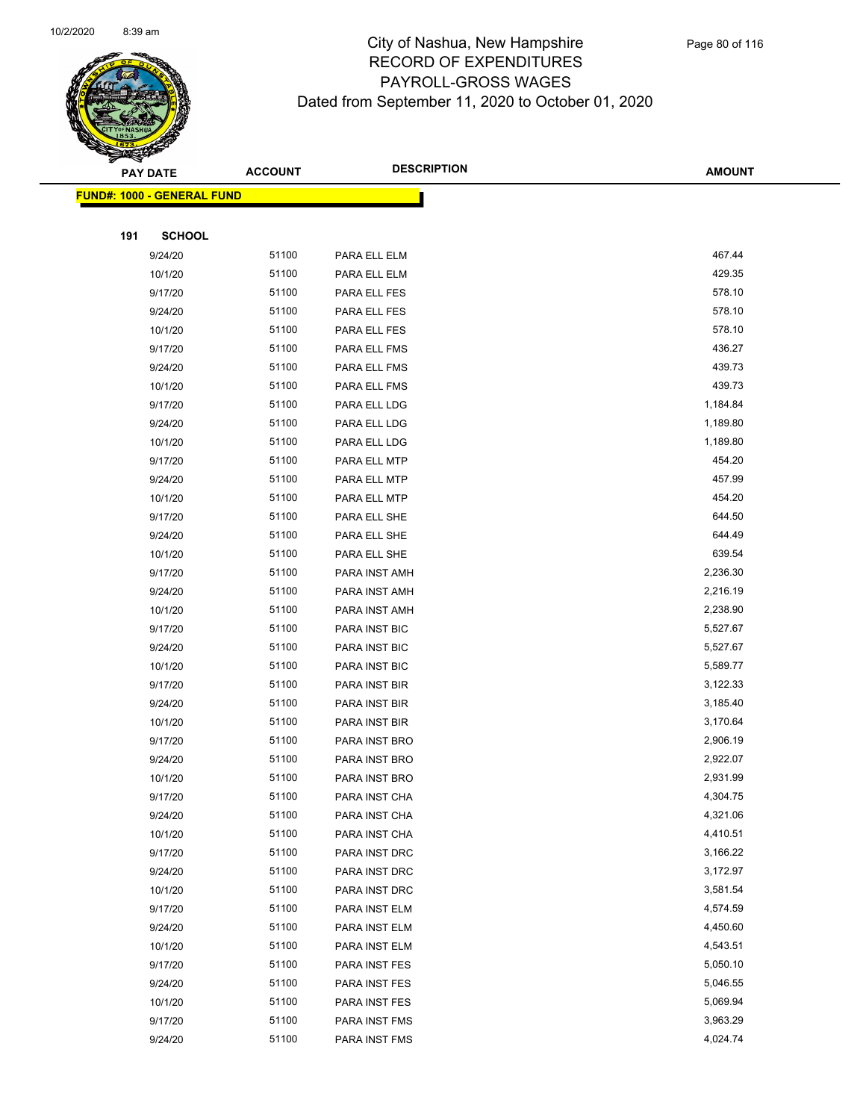

|     | <b>PAY DATE</b>                   | <b>ACCOUNT</b> | <b>DESCRIPTION</b> | <b>AMOUNT</b> |
|-----|-----------------------------------|----------------|--------------------|---------------|
|     | <b>FUND#: 1000 - GENERAL FUND</b> |                |                    |               |
|     |                                   |                |                    |               |
| 191 | <b>SCHOOL</b>                     |                |                    |               |
|     | 9/24/20                           | 51100          | PARA ELL ELM       | 467.44        |
|     | 10/1/20                           | 51100          | PARA ELL ELM       | 429.35        |
|     | 9/17/20                           | 51100          | PARA ELL FES       | 578.10        |
|     | 9/24/20                           | 51100          | PARA ELL FES       | 578.10        |
|     | 10/1/20                           | 51100          | PARA ELL FES       | 578.10        |
|     | 9/17/20                           | 51100          | PARA ELL FMS       | 436.27        |
|     | 9/24/20                           | 51100          | PARA ELL FMS       | 439.73        |
|     | 10/1/20                           | 51100          | PARA ELL FMS       | 439.73        |
|     | 9/17/20                           | 51100          | PARA ELL LDG       | 1,184.84      |
|     | 9/24/20                           | 51100          | PARA ELL LDG       | 1,189.80      |
|     | 10/1/20                           | 51100          | PARA ELL LDG       | 1,189.80      |
|     | 9/17/20                           | 51100          | PARA ELL MTP       | 454.20        |
|     | 9/24/20                           | 51100          | PARA ELL MTP       | 457.99        |
|     | 10/1/20                           | 51100          | PARA ELL MTP       | 454.20        |
|     | 9/17/20                           | 51100          | PARA ELL SHE       | 644.50        |
|     | 9/24/20                           | 51100          | PARA ELL SHE       | 644.49        |
|     | 10/1/20                           | 51100          | PARA ELL SHE       | 639.54        |
|     | 9/17/20                           | 51100          | PARA INST AMH      | 2,236.30      |
|     | 9/24/20                           | 51100          | PARA INST AMH      | 2,216.19      |
|     | 10/1/20                           | 51100          | PARA INST AMH      | 2,238.90      |
|     | 9/17/20                           | 51100          | PARA INST BIC      | 5,527.67      |
|     | 9/24/20                           | 51100          | PARA INST BIC      | 5,527.67      |
|     | 10/1/20                           | 51100          | PARA INST BIC      | 5,589.77      |
|     | 9/17/20                           | 51100          | PARA INST BIR      | 3,122.33      |
|     | 9/24/20                           | 51100          | PARA INST BIR      | 3,185.40      |
|     | 10/1/20                           | 51100          | PARA INST BIR      | 3,170.64      |
|     | 9/17/20                           | 51100          | PARA INST BRO      | 2,906.19      |
|     | 9/24/20                           | 51100          | PARA INST BRO      | 2,922.07      |
|     | 10/1/20                           | 51100          | PARA INST BRO      | 2,931.99      |
|     | 9/17/20                           | 51100          | PARA INST CHA      | 4,304.75      |
|     | 9/24/20                           | 51100          | PARA INST CHA      | 4,321.06      |
|     | 10/1/20                           | 51100          | PARA INST CHA      | 4,410.51      |
|     | 9/17/20                           | 51100          | PARA INST DRC      | 3,166.22      |
|     | 9/24/20                           | 51100          | PARA INST DRC      | 3,172.97      |
|     | 10/1/20                           | 51100          | PARA INST DRC      | 3,581.54      |
|     | 9/17/20                           | 51100          | PARA INST ELM      | 4,574.59      |
|     | 9/24/20                           | 51100          | PARA INST ELM      | 4,450.60      |
|     | 10/1/20                           | 51100          | PARA INST ELM      | 4,543.51      |
|     | 9/17/20                           | 51100          | PARA INST FES      | 5,050.10      |
|     | 9/24/20                           | 51100          | PARA INST FES      | 5,046.55      |
|     | 10/1/20                           | 51100          | PARA INST FES      | 5,069.94      |
|     | 9/17/20                           | 51100          | PARA INST FMS      | 3,963.29      |
|     | 9/24/20                           | 51100          | PARA INST FMS      | 4,024.74      |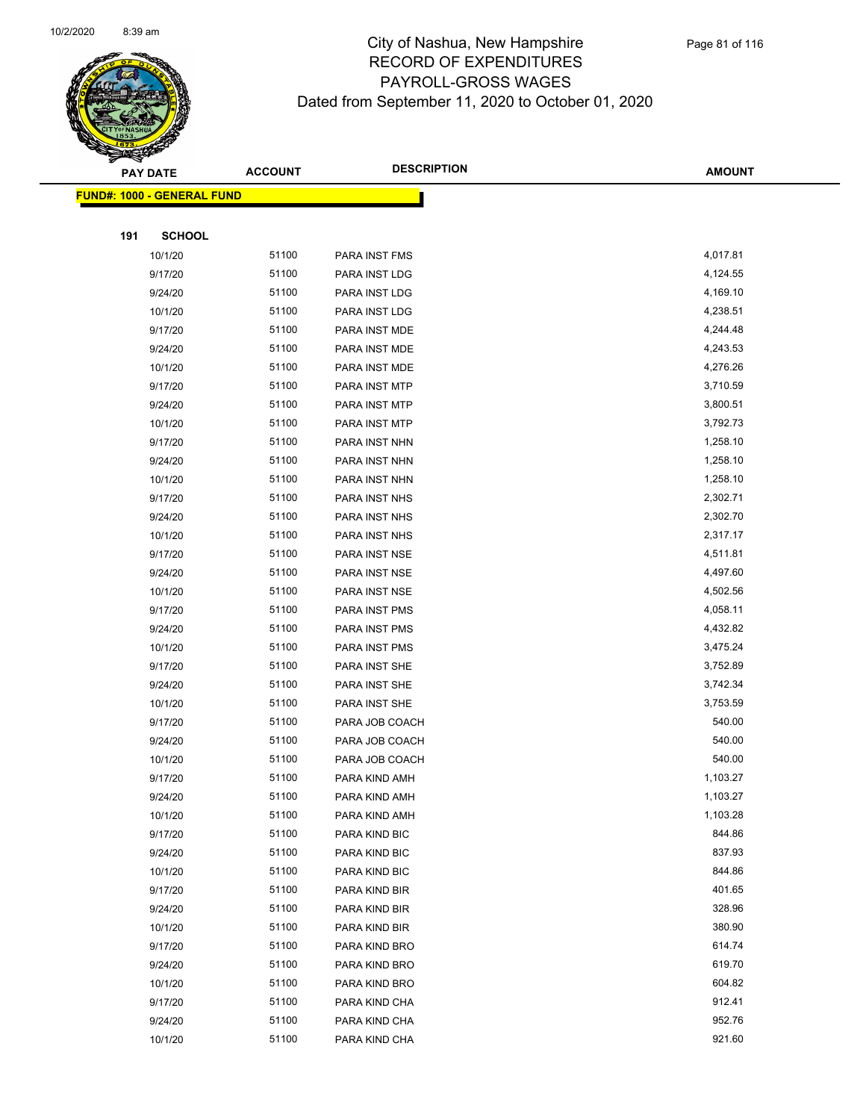

|     | <b>PAY DATE</b>                   | <b>ACCOUNT</b> | <b>DESCRIPTION</b>             | <b>AMOUNT</b>        |
|-----|-----------------------------------|----------------|--------------------------------|----------------------|
|     | <b>FUND#: 1000 - GENERAL FUND</b> |                |                                |                      |
|     |                                   |                |                                |                      |
| 191 | <b>SCHOOL</b>                     |                |                                |                      |
|     | 10/1/20                           | 51100          | <b>PARA INST FMS</b>           | 4,017.81             |
|     | 9/17/20                           | 51100          | PARA INST LDG                  | 4,124.55             |
|     | 9/24/20                           | 51100          | PARA INST LDG                  | 4,169.10             |
|     | 10/1/20                           | 51100          | PARA INST LDG                  | 4,238.51             |
|     | 9/17/20                           | 51100          | PARA INST MDE                  | 4,244.48             |
|     | 9/24/20                           | 51100          | PARA INST MDE                  | 4,243.53             |
|     | 10/1/20                           | 51100          | PARA INST MDE                  | 4,276.26             |
|     | 9/17/20                           | 51100          | PARA INST MTP                  | 3,710.59             |
|     | 9/24/20                           | 51100          | PARA INST MTP                  | 3,800.51             |
|     | 10/1/20                           | 51100          | PARA INST MTP                  | 3,792.73             |
|     | 9/17/20                           | 51100          | PARA INST NHN                  | 1,258.10             |
|     | 9/24/20                           | 51100          | PARA INST NHN                  | 1,258.10             |
|     | 10/1/20                           | 51100          | PARA INST NHN                  | 1,258.10             |
|     | 9/17/20                           | 51100          | PARA INST NHS                  | 2,302.71             |
|     | 9/24/20                           | 51100          | PARA INST NHS                  | 2,302.70             |
|     | 10/1/20                           | 51100          | PARA INST NHS                  | 2,317.17             |
|     | 9/17/20                           | 51100          | PARA INST NSE                  | 4,511.81             |
|     | 9/24/20                           | 51100          | PARA INST NSE                  | 4,497.60             |
|     | 10/1/20                           | 51100          | PARA INST NSE                  | 4,502.56             |
|     | 9/17/20                           | 51100          | PARA INST PMS                  | 4,058.11             |
|     | 9/24/20                           | 51100          | PARA INST PMS                  | 4,432.82             |
|     | 10/1/20                           | 51100          | PARA INST PMS                  | 3,475.24             |
|     | 9/17/20                           | 51100          | PARA INST SHE                  | 3,752.89             |
|     | 9/24/20                           | 51100          | PARA INST SHE                  | 3,742.34             |
|     | 10/1/20                           | 51100          | PARA INST SHE                  | 3,753.59             |
|     | 9/17/20                           | 51100          | PARA JOB COACH                 | 540.00               |
|     | 9/24/20                           | 51100          | PARA JOB COACH                 | 540.00               |
|     | 10/1/20                           | 51100          | PARA JOB COACH                 | 540.00               |
|     | 9/17/20                           | 51100          | PARA KIND AMH                  | 1,103.27             |
|     | 9/24/20<br>10/1/20                | 51100<br>51100 | PARA KIND AMH                  | 1,103.27<br>1,103.28 |
|     | 9/17/20                           | 51100          | PARA KIND AMH<br>PARA KIND BIC | 844.86               |
|     | 9/24/20                           | 51100          | PARA KIND BIC                  | 837.93               |
|     | 10/1/20                           | 51100          | PARA KIND BIC                  | 844.86               |
|     | 9/17/20                           | 51100          | PARA KIND BIR                  | 401.65               |
|     | 9/24/20                           | 51100          | PARA KIND BIR                  | 328.96               |
|     | 10/1/20                           | 51100          | PARA KIND BIR                  | 380.90               |
|     | 9/17/20                           | 51100          | PARA KIND BRO                  | 614.74               |
|     | 9/24/20                           | 51100          | PARA KIND BRO                  | 619.70               |
|     | 10/1/20                           | 51100          | PARA KIND BRO                  | 604.82               |
|     | 9/17/20                           | 51100          | PARA KIND CHA                  | 912.41               |
|     | 9/24/20                           | 51100          | PARA KIND CHA                  | 952.76               |
|     | 10/1/20                           | 51100          | PARA KIND CHA                  | 921.60               |
|     |                                   |                |                                |                      |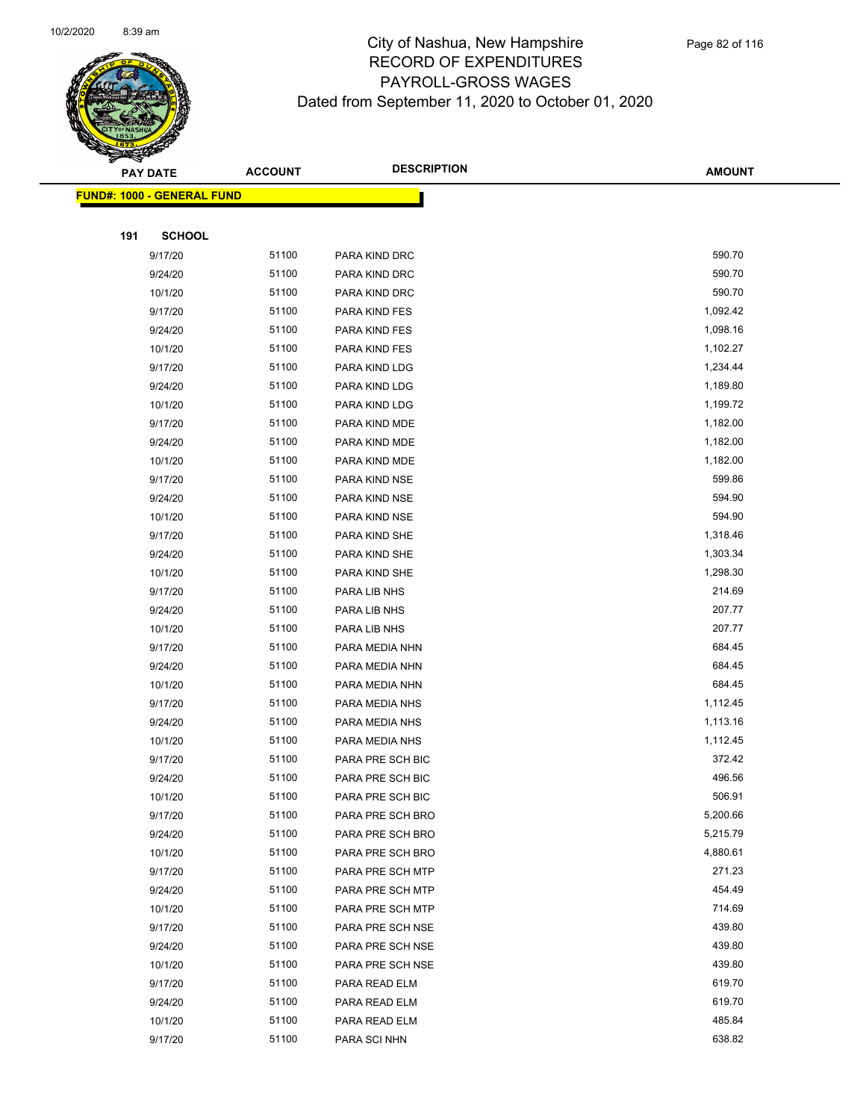

|     | <b>PAY DATE</b>                    | <b>ACCOUNT</b> | <b>DESCRIPTION</b> | <b>AMOUNT</b> |
|-----|------------------------------------|----------------|--------------------|---------------|
|     | <u> FUND#: 1000 - GENERAL FUND</u> |                |                    |               |
|     |                                    |                |                    |               |
| 191 | <b>SCHOOL</b>                      |                |                    |               |
|     | 9/17/20                            | 51100          | PARA KIND DRC      | 590.70        |
|     | 9/24/20                            | 51100          | PARA KIND DRC      | 590.70        |
|     | 10/1/20                            | 51100          | PARA KIND DRC      | 590.70        |
|     | 9/17/20                            | 51100          | PARA KIND FES      | 1,092.42      |
|     | 9/24/20                            | 51100          | PARA KIND FES      | 1,098.16      |
|     | 10/1/20                            | 51100          | PARA KIND FES      | 1,102.27      |
|     | 9/17/20                            | 51100          | PARA KIND LDG      | 1,234.44      |
|     | 9/24/20                            | 51100          | PARA KIND LDG      | 1,189.80      |
|     | 10/1/20                            | 51100          | PARA KIND LDG      | 1,199.72      |
|     | 9/17/20                            | 51100          | PARA KIND MDE      | 1,182.00      |
|     | 9/24/20                            | 51100          | PARA KIND MDE      | 1,182.00      |
|     | 10/1/20                            | 51100          | PARA KIND MDE      | 1,182.00      |
|     | 9/17/20                            | 51100          | PARA KIND NSE      | 599.86        |
|     | 9/24/20                            | 51100          | PARA KIND NSE      | 594.90        |
|     | 10/1/20                            | 51100          | PARA KIND NSE      | 594.90        |
|     | 9/17/20                            | 51100          | PARA KIND SHE      | 1,318.46      |
|     | 9/24/20                            | 51100          | PARA KIND SHE      | 1,303.34      |
|     | 10/1/20                            | 51100          | PARA KIND SHE      | 1,298.30      |
|     | 9/17/20                            | 51100          | PARA LIB NHS       | 214.69        |
|     | 9/24/20                            | 51100          | PARA LIB NHS       | 207.77        |
|     | 10/1/20                            | 51100          | PARA LIB NHS       | 207.77        |
|     | 9/17/20                            | 51100          | PARA MEDIA NHN     | 684.45        |
|     | 9/24/20                            | 51100          | PARA MEDIA NHN     | 684.45        |
|     | 10/1/20                            | 51100          | PARA MEDIA NHN     | 684.45        |
|     | 9/17/20                            | 51100          | PARA MEDIA NHS     | 1,112.45      |
|     | 9/24/20                            | 51100          | PARA MEDIA NHS     | 1,113.16      |
|     | 10/1/20                            | 51100          | PARA MEDIA NHS     | 1,112.45      |
|     | 9/17/20                            | 51100          | PARA PRE SCH BIC   | 372.42        |
|     | 9/24/20                            | 51100          | PARA PRE SCH BIC   | 496.56        |
|     | 10/1/20                            | 51100          | PARA PRE SCH BIC   | 506.91        |
|     | 9/17/20                            | 51100          | PARA PRE SCH BRO   | 5,200.66      |
|     | 9/24/20                            | 51100          | PARA PRE SCH BRO   | 5,215.79      |
|     | 10/1/20                            | 51100          | PARA PRE SCH BRO   | 4,880.61      |
|     | 9/17/20                            | 51100          | PARA PRE SCH MTP   | 271.23        |
|     | 9/24/20                            | 51100          | PARA PRE SCH MTP   | 454.49        |
|     | 10/1/20                            | 51100          | PARA PRE SCH MTP   | 714.69        |
|     | 9/17/20                            | 51100          | PARA PRE SCH NSE   | 439.80        |
|     | 9/24/20                            | 51100          | PARA PRE SCH NSE   | 439.80        |
|     | 10/1/20                            | 51100          | PARA PRE SCH NSE   | 439.80        |
|     | 9/17/20                            | 51100          | PARA READ ELM      | 619.70        |
|     | 9/24/20                            | 51100          | PARA READ ELM      | 619.70        |
|     | 10/1/20                            | 51100          | PARA READ ELM      | 485.84        |
|     | 9/17/20                            | 51100          | PARA SCI NHN       | 638.82        |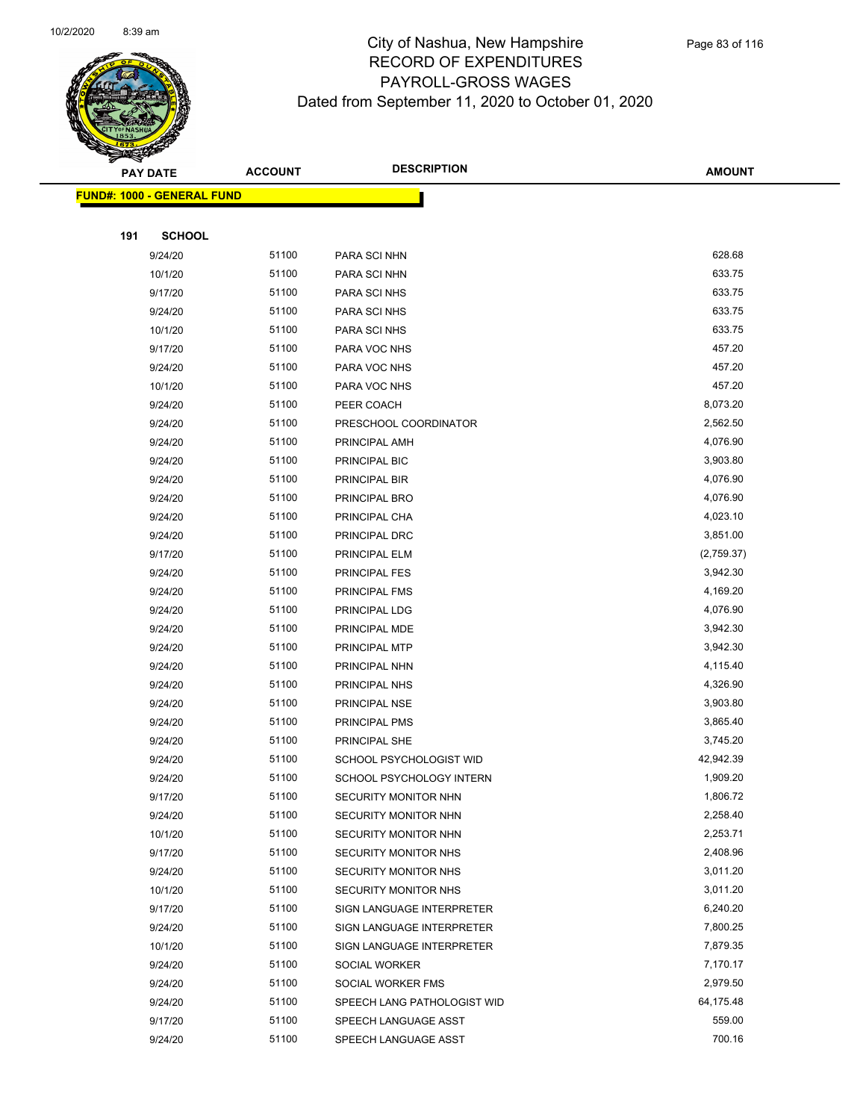

|     | <b>PAY DATE</b>                   | <b>ACCOUNT</b> | <b>DESCRIPTION</b>          | <b>AMOUNT</b> |  |
|-----|-----------------------------------|----------------|-----------------------------|---------------|--|
|     | <b>FUND#: 1000 - GENERAL FUND</b> |                |                             |               |  |
|     |                                   |                |                             |               |  |
| 191 | <b>SCHOOL</b>                     |                |                             |               |  |
|     | 9/24/20                           | 51100          | PARA SCI NHN                | 628.68        |  |
|     | 10/1/20                           | 51100          | PARA SCI NHN                | 633.75        |  |
|     | 9/17/20                           | 51100          | PARA SCI NHS                | 633.75        |  |
|     | 9/24/20                           | 51100          | PARA SCI NHS                | 633.75        |  |
|     | 10/1/20                           | 51100          | PARA SCI NHS                | 633.75        |  |
|     | 9/17/20                           | 51100          | PARA VOC NHS                | 457.20        |  |
|     | 9/24/20                           | 51100          | PARA VOC NHS                | 457.20        |  |
|     | 10/1/20                           | 51100          | PARA VOC NHS                | 457.20        |  |
|     | 9/24/20                           | 51100          | PEER COACH                  | 8,073.20      |  |
|     | 9/24/20                           | 51100          | PRESCHOOL COORDINATOR       | 2,562.50      |  |
|     | 9/24/20                           | 51100          | PRINCIPAL AMH               | 4,076.90      |  |
|     | 9/24/20                           | 51100          | PRINCIPAL BIC               | 3,903.80      |  |
|     | 9/24/20                           | 51100          | PRINCIPAL BIR               | 4,076.90      |  |
|     | 9/24/20                           | 51100          | PRINCIPAL BRO               | 4,076.90      |  |
|     | 9/24/20                           | 51100          | PRINCIPAL CHA               | 4,023.10      |  |
|     | 9/24/20                           | 51100          | PRINCIPAL DRC               | 3,851.00      |  |
|     | 9/17/20                           | 51100          | PRINCIPAL ELM               | (2,759.37)    |  |
|     | 9/24/20                           | 51100          | PRINCIPAL FES               | 3,942.30      |  |
|     | 9/24/20                           | 51100          | PRINCIPAL FMS               | 4,169.20      |  |
|     | 9/24/20                           | 51100          | PRINCIPAL LDG               | 4,076.90      |  |
|     | 9/24/20                           | 51100          | PRINCIPAL MDE               | 3,942.30      |  |
|     | 9/24/20                           | 51100          | PRINCIPAL MTP               | 3,942.30      |  |
|     | 9/24/20                           | 51100          | PRINCIPAL NHN               | 4,115.40      |  |
|     | 9/24/20                           | 51100          | PRINCIPAL NHS               | 4,326.90      |  |
|     | 9/24/20                           | 51100          | PRINCIPAL NSE               | 3,903.80      |  |
|     | 9/24/20                           | 51100          | PRINCIPAL PMS               | 3,865.40      |  |
|     | 9/24/20                           | 51100          | PRINCIPAL SHE               | 3,745.20      |  |
|     | 9/24/20                           | 51100          | SCHOOL PSYCHOLOGIST WID     | 42,942.39     |  |
|     | 9/24/20                           | 51100          | SCHOOL PSYCHOLOGY INTERN    | 1,909.20      |  |
|     | 9/17/20                           | 51100          | SECURITY MONITOR NHN        | 1,806.72      |  |
|     | 9/24/20                           | 51100          | SECURITY MONITOR NHN        | 2,258.40      |  |
|     | 10/1/20                           | 51100          | SECURITY MONITOR NHN        | 2,253.71      |  |
|     | 9/17/20                           | 51100          | SECURITY MONITOR NHS        | 2,408.96      |  |
|     | 9/24/20                           | 51100          | SECURITY MONITOR NHS        | 3,011.20      |  |
|     | 10/1/20                           | 51100          | SECURITY MONITOR NHS        | 3,011.20      |  |
|     | 9/17/20                           | 51100          | SIGN LANGUAGE INTERPRETER   | 6,240.20      |  |
|     | 9/24/20                           | 51100          | SIGN LANGUAGE INTERPRETER   | 7,800.25      |  |
|     | 10/1/20                           | 51100          | SIGN LANGUAGE INTERPRETER   | 7,879.35      |  |
|     | 9/24/20                           | 51100          | SOCIAL WORKER               | 7,170.17      |  |
|     | 9/24/20                           | 51100          | SOCIAL WORKER FMS           | 2,979.50      |  |
|     | 9/24/20                           | 51100          | SPEECH LANG PATHOLOGIST WID | 64,175.48     |  |
|     | 9/17/20                           | 51100          | SPEECH LANGUAGE ASST        | 559.00        |  |
|     | 9/24/20                           | 51100          | SPEECH LANGUAGE ASST        | 700.16        |  |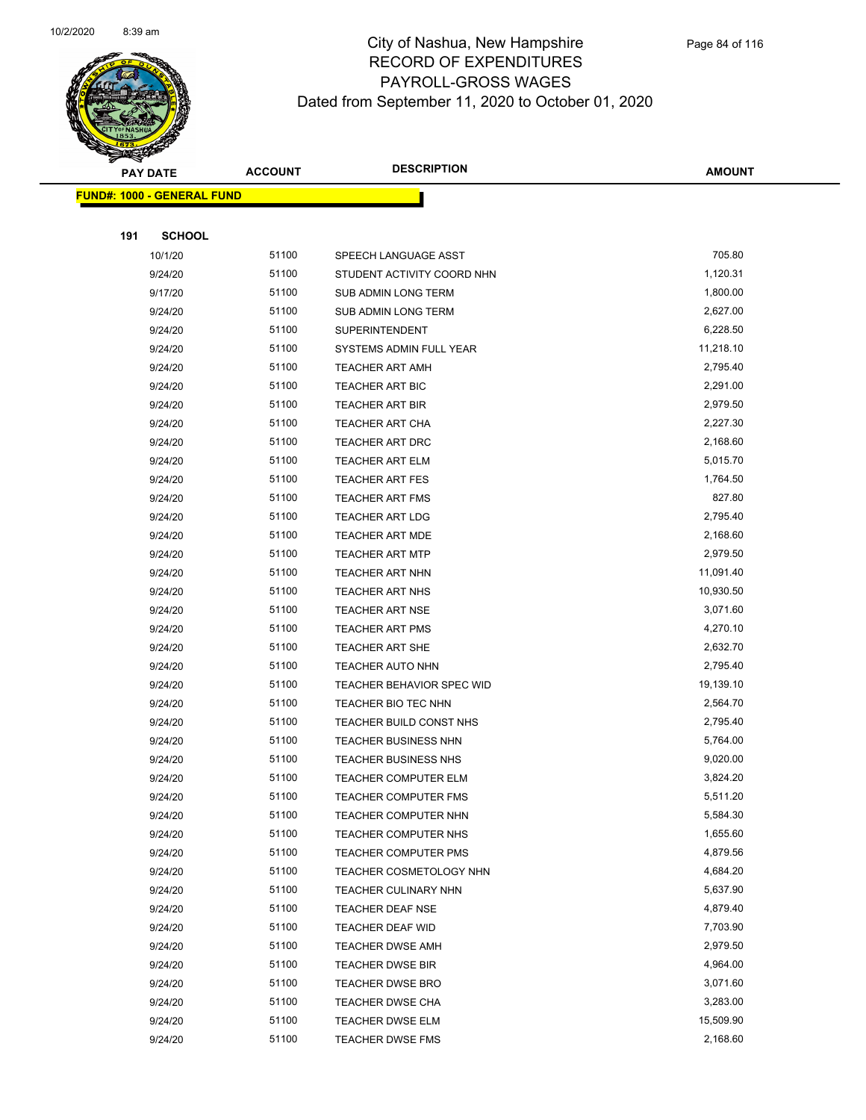

| <b>PAY DATE</b> |                                   | <b>DESCRIPTION</b><br><b>ACCOUNT</b> |                                  | <b>AMOUNT</b> |  |
|-----------------|-----------------------------------|--------------------------------------|----------------------------------|---------------|--|
|                 | <b>FUND#: 1000 - GENERAL FUND</b> |                                      |                                  |               |  |
|                 |                                   |                                      |                                  |               |  |
| 191             | <b>SCHOOL</b>                     |                                      |                                  |               |  |
|                 | 10/1/20                           | 51100                                | SPEECH LANGUAGE ASST             | 705.80        |  |
|                 | 9/24/20                           | 51100                                | STUDENT ACTIVITY COORD NHN       | 1,120.31      |  |
|                 | 9/17/20                           | 51100                                | SUB ADMIN LONG TERM              | 1,800.00      |  |
|                 | 9/24/20                           | 51100                                | SUB ADMIN LONG TERM              | 2,627.00      |  |
|                 | 9/24/20                           | 51100                                | SUPERINTENDENT                   | 6,228.50      |  |
|                 | 9/24/20                           | 51100                                | SYSTEMS ADMIN FULL YEAR          | 11,218.10     |  |
|                 | 9/24/20                           | 51100                                | <b>TEACHER ART AMH</b>           | 2,795.40      |  |
|                 | 9/24/20                           | 51100                                | TEACHER ART BIC                  | 2,291.00      |  |
|                 | 9/24/20                           | 51100                                | <b>TEACHER ART BIR</b>           | 2,979.50      |  |
|                 | 9/24/20                           | 51100                                | <b>TEACHER ART CHA</b>           | 2,227.30      |  |
|                 | 9/24/20                           | 51100                                | <b>TEACHER ART DRC</b>           | 2,168.60      |  |
|                 | 9/24/20                           | 51100                                | TEACHER ART ELM                  | 5,015.70      |  |
|                 | 9/24/20                           | 51100                                | <b>TEACHER ART FES</b>           | 1,764.50      |  |
|                 | 9/24/20                           | 51100                                | <b>TEACHER ART FMS</b>           | 827.80        |  |
|                 | 9/24/20                           | 51100                                | <b>TEACHER ART LDG</b>           | 2,795.40      |  |
|                 | 9/24/20                           | 51100                                | TEACHER ART MDE                  | 2,168.60      |  |
|                 | 9/24/20                           | 51100                                | <b>TEACHER ART MTP</b>           | 2,979.50      |  |
|                 | 9/24/20                           | 51100                                | <b>TEACHER ART NHN</b>           | 11,091.40     |  |
|                 | 9/24/20                           | 51100                                | <b>TEACHER ART NHS</b>           | 10,930.50     |  |
|                 | 9/24/20                           | 51100                                | <b>TEACHER ART NSE</b>           | 3,071.60      |  |
|                 | 9/24/20                           | 51100                                | <b>TEACHER ART PMS</b>           | 4,270.10      |  |
|                 | 9/24/20                           | 51100                                | <b>TEACHER ART SHE</b>           | 2,632.70      |  |
|                 | 9/24/20                           | 51100                                | TEACHER AUTO NHN                 | 2,795.40      |  |
|                 | 9/24/20                           | 51100                                | <b>TEACHER BEHAVIOR SPEC WID</b> | 19,139.10     |  |
|                 | 9/24/20                           | 51100                                | TEACHER BIO TEC NHN              | 2,564.70      |  |
|                 | 9/24/20                           | 51100                                | TEACHER BUILD CONST NHS          | 2,795.40      |  |
|                 | 9/24/20                           | 51100                                | <b>TEACHER BUSINESS NHN</b>      | 5,764.00      |  |
|                 | 9/24/20                           | 51100                                | <b>TEACHER BUSINESS NHS</b>      | 9,020.00      |  |
|                 | 9/24/20                           | 51100                                | <b>TEACHER COMPUTER ELM</b>      | 3,824.20      |  |
|                 | 9/24/20                           | 51100                                | TEACHER COMPUTER FMS             | 5,511.20      |  |
|                 | 9/24/20                           | 51100                                | TEACHER COMPUTER NHN             | 5,584.30      |  |
|                 | 9/24/20                           | 51100                                | TEACHER COMPUTER NHS             | 1,655.60      |  |
|                 | 9/24/20                           | 51100                                | <b>TEACHER COMPUTER PMS</b>      | 4,879.56      |  |
|                 | 9/24/20                           | 51100                                | TEACHER COSMETOLOGY NHN          | 4,684.20      |  |
|                 | 9/24/20                           | 51100                                | <b>TEACHER CULINARY NHN</b>      | 5,637.90      |  |
|                 | 9/24/20                           | 51100                                | TEACHER DEAF NSE                 | 4,879.40      |  |
|                 | 9/24/20                           | 51100                                | TEACHER DEAF WID                 | 7,703.90      |  |
|                 | 9/24/20                           | 51100                                | <b>TEACHER DWSE AMH</b>          | 2,979.50      |  |
|                 | 9/24/20                           | 51100                                | <b>TEACHER DWSE BIR</b>          | 4,964.00      |  |
|                 | 9/24/20                           | 51100                                | <b>TEACHER DWSE BRO</b>          | 3,071.60      |  |
|                 | 9/24/20                           | 51100                                | <b>TEACHER DWSE CHA</b>          | 3,283.00      |  |
|                 | 9/24/20                           | 51100                                | TEACHER DWSE ELM                 | 15,509.90     |  |
|                 | 9/24/20                           | 51100                                | <b>TEACHER DWSE FMS</b>          | 2,168.60      |  |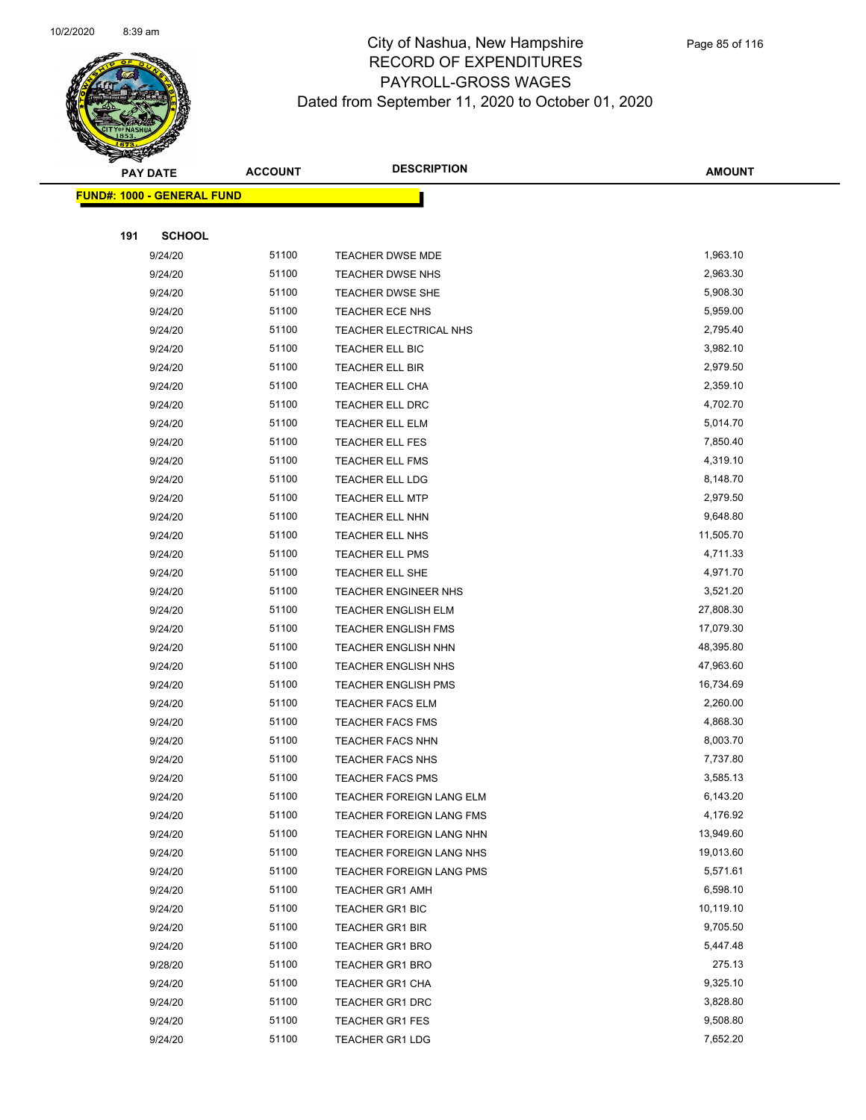

|     | <b>PAY DATE</b>                   | <b>ACCOUNT</b> | <b>DESCRIPTION</b>         | <b>AMOUNT</b> |
|-----|-----------------------------------|----------------|----------------------------|---------------|
|     | <b>FUND#: 1000 - GENERAL FUND</b> |                |                            |               |
|     |                                   |                |                            |               |
| 191 | <b>SCHOOL</b>                     |                |                            |               |
|     | 9/24/20                           | 51100          | TEACHER DWSE MDE           | 1,963.10      |
|     | 9/24/20                           | 51100          | TEACHER DWSE NHS           | 2,963.30      |
|     | 9/24/20                           | 51100          | TEACHER DWSE SHE           | 5,908.30      |
|     | 9/24/20                           | 51100          | TEACHER ECE NHS            | 5,959.00      |
|     | 9/24/20                           | 51100          | TEACHER ELECTRICAL NHS     | 2,795.40      |
|     | 9/24/20                           | 51100          | TEACHER ELL BIC            | 3,982.10      |
|     | 9/24/20                           | 51100          | TEACHER ELL BIR            | 2,979.50      |
|     | 9/24/20                           | 51100          | TEACHER ELL CHA            | 2,359.10      |
|     | 9/24/20                           | 51100          | TEACHER ELL DRC            | 4,702.70      |
|     | 9/24/20                           | 51100          | <b>TEACHER ELL ELM</b>     | 5,014.70      |
|     | 9/24/20                           | 51100          | <b>TEACHER ELL FES</b>     | 7,850.40      |
|     | 9/24/20                           | 51100          | TEACHER ELL FMS            | 4,319.10      |
|     | 9/24/20                           | 51100          | TEACHER ELL LDG            | 8,148.70      |
|     | 9/24/20                           | 51100          | <b>TEACHER ELL MTP</b>     | 2,979.50      |
|     | 9/24/20                           | 51100          | TEACHER ELL NHN            | 9,648.80      |
|     | 9/24/20                           | 51100          | TEACHER ELL NHS            | 11,505.70     |
|     | 9/24/20                           | 51100          | TEACHER ELL PMS            | 4,711.33      |
|     | 9/24/20                           | 51100          | TEACHER ELL SHE            | 4,971.70      |
|     | 9/24/20                           | 51100          | TEACHER ENGINEER NHS       | 3,521.20      |
|     | 9/24/20                           | 51100          | <b>TEACHER ENGLISH ELM</b> | 27,808.30     |
|     | 9/24/20                           | 51100          | <b>TEACHER ENGLISH FMS</b> | 17,079.30     |
|     | 9/24/20                           | 51100          | TEACHER ENGLISH NHN        | 48,395.80     |
|     | 9/24/20                           | 51100          | TEACHER ENGLISH NHS        | 47,963.60     |
|     | 9/24/20                           | 51100          | <b>TEACHER ENGLISH PMS</b> | 16,734.69     |
|     | 9/24/20                           | 51100          | <b>TEACHER FACS ELM</b>    | 2,260.00      |
|     | 9/24/20                           | 51100          | <b>TEACHER FACS FMS</b>    | 4,868.30      |
|     | 9/24/20                           | 51100          | <b>TEACHER FACS NHN</b>    | 8,003.70      |
|     | 9/24/20                           | 51100          | TEACHER FACS NHS           | 7,737.80      |
|     | 9/24/20                           | 51100          | <b>TEACHER FACS PMS</b>    | 3,585.13      |
|     | 9/24/20                           | 51100          | TEACHER FOREIGN LANG ELM   | 6,143.20      |
|     | 9/24/20                           | 51100          | TEACHER FOREIGN LANG FMS   | 4,176.92      |
|     | 9/24/20                           | 51100          | TEACHER FOREIGN LANG NHN   | 13,949.60     |
|     | 9/24/20                           | 51100          | TEACHER FOREIGN LANG NHS   | 19,013.60     |
|     | 9/24/20                           | 51100          | TEACHER FOREIGN LANG PMS   | 5,571.61      |
|     | 9/24/20                           | 51100          | <b>TEACHER GR1 AMH</b>     | 6,598.10      |
|     | 9/24/20                           | 51100          | <b>TEACHER GR1 BIC</b>     | 10,119.10     |
|     | 9/24/20                           | 51100          | <b>TEACHER GR1 BIR</b>     | 9,705.50      |
|     | 9/24/20                           | 51100          | TEACHER GR1 BRO            | 5,447.48      |
|     | 9/28/20                           | 51100          | <b>TEACHER GR1 BRO</b>     | 275.13        |
|     | 9/24/20                           | 51100          | TEACHER GR1 CHA            | 9,325.10      |
|     | 9/24/20                           | 51100          | TEACHER GR1 DRC            | 3,828.80      |
|     | 9/24/20                           | 51100          | <b>TEACHER GR1 FES</b>     | 9,508.80      |
|     | 9/24/20                           | 51100          | <b>TEACHER GR1 LDG</b>     | 7,652.20      |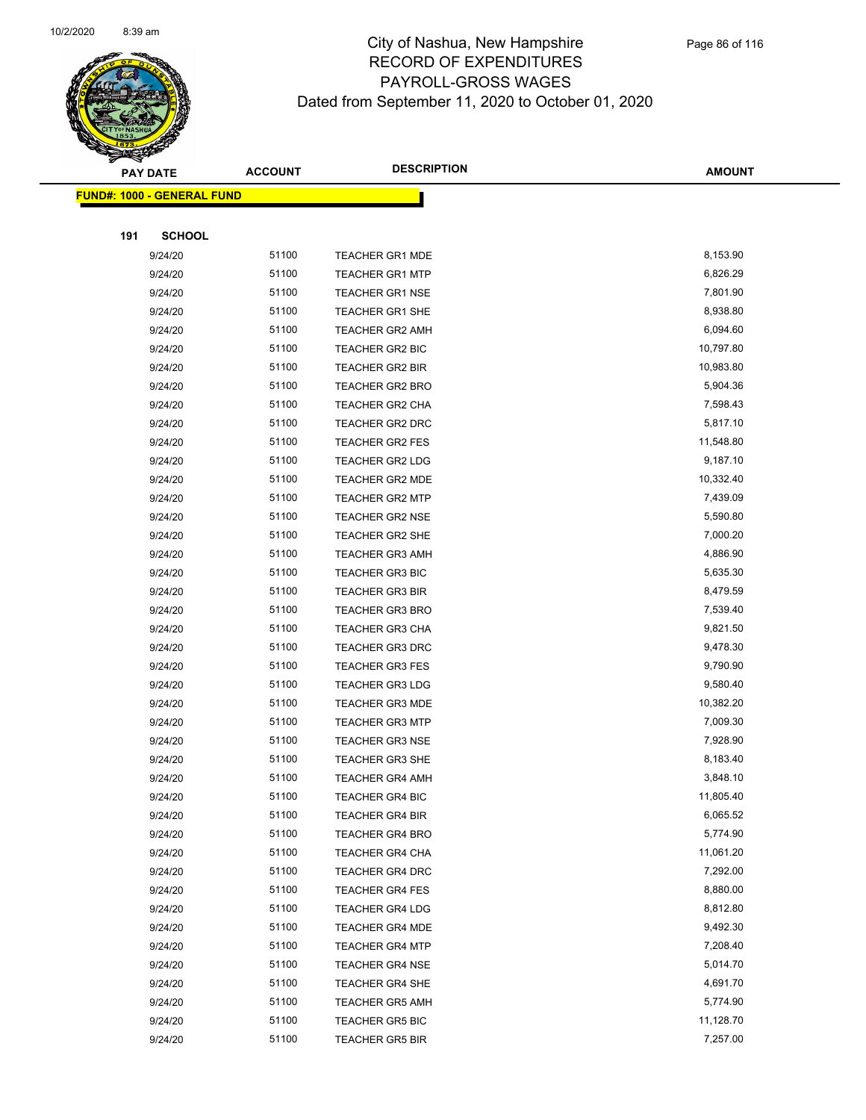

|     | <b>PAY DATE</b>                    | <b>ACCOUNT</b> | <b>DESCRIPTION</b>     | <b>AMOUNT</b> |
|-----|------------------------------------|----------------|------------------------|---------------|
|     | <u> FUND#: 1000 - GENERAL FUND</u> |                |                        |               |
|     |                                    |                |                        |               |
| 191 | <b>SCHOOL</b>                      |                |                        |               |
|     | 9/24/20                            | 51100          | <b>TEACHER GR1 MDE</b> | 8,153.90      |
|     | 9/24/20                            | 51100          | <b>TEACHER GR1 MTP</b> | 6,826.29      |
|     | 9/24/20                            | 51100          | <b>TEACHER GR1 NSE</b> | 7,801.90      |
|     | 9/24/20                            | 51100          | <b>TEACHER GR1 SHE</b> | 8,938.80      |
|     | 9/24/20                            | 51100          | <b>TEACHER GR2 AMH</b> | 6,094.60      |
|     | 9/24/20                            | 51100          | <b>TEACHER GR2 BIC</b> | 10,797.80     |
|     | 9/24/20                            | 51100          | <b>TEACHER GR2 BIR</b> | 10,983.80     |
|     | 9/24/20                            | 51100          | <b>TEACHER GR2 BRO</b> | 5,904.36      |
|     | 9/24/20                            | 51100          | TEACHER GR2 CHA        | 7,598.43      |
|     | 9/24/20                            | 51100          | TEACHER GR2 DRC        | 5,817.10      |
|     | 9/24/20                            | 51100          | <b>TEACHER GR2 FES</b> | 11,548.80     |
|     | 9/24/20                            | 51100          | <b>TEACHER GR2 LDG</b> | 9,187.10      |
|     | 9/24/20                            | 51100          | <b>TEACHER GR2 MDE</b> | 10,332.40     |
|     | 9/24/20                            | 51100          | <b>TEACHER GR2 MTP</b> | 7,439.09      |
|     | 9/24/20                            | 51100          | <b>TEACHER GR2 NSE</b> | 5,590.80      |
|     | 9/24/20                            | 51100          | TEACHER GR2 SHE        | 7,000.20      |
|     | 9/24/20                            | 51100          | <b>TEACHER GR3 AMH</b> | 4,886.90      |
|     | 9/24/20                            | 51100          | <b>TEACHER GR3 BIC</b> | 5,635.30      |
|     | 9/24/20                            | 51100          | <b>TEACHER GR3 BIR</b> | 8,479.59      |
|     | 9/24/20                            | 51100          | <b>TEACHER GR3 BRO</b> | 7,539.40      |
|     | 9/24/20                            | 51100          | <b>TEACHER GR3 CHA</b> | 9,821.50      |
|     | 9/24/20                            | 51100          | <b>TEACHER GR3 DRC</b> | 9,478.30      |
|     | 9/24/20                            | 51100          | <b>TEACHER GR3 FES</b> | 9,790.90      |
|     | 9/24/20                            | 51100          | <b>TEACHER GR3 LDG</b> | 9,580.40      |
|     | 9/24/20                            | 51100          | <b>TEACHER GR3 MDE</b> | 10,382.20     |
|     | 9/24/20                            | 51100          | <b>TEACHER GR3 MTP</b> | 7,009.30      |
|     | 9/24/20                            | 51100          | <b>TEACHER GR3 NSE</b> | 7,928.90      |
|     | 9/24/20                            | 51100          | <b>TEACHER GR3 SHE</b> | 8,183.40      |
|     | 9/24/20                            | 51100          | <b>TEACHER GR4 AMH</b> | 3,848.10      |
|     | 9/24/20                            | 51100          | TEACHER GR4 BIC        | 11,805.40     |
|     | 9/24/20                            | 51100          | TEACHER GR4 BIR        | 6,065.52      |
|     | 9/24/20                            | 51100          | <b>TEACHER GR4 BRO</b> | 5,774.90      |
|     | 9/24/20                            | 51100          | <b>TEACHER GR4 CHA</b> | 11,061.20     |
|     | 9/24/20                            | 51100          | <b>TEACHER GR4 DRC</b> | 7,292.00      |
|     | 9/24/20                            | 51100          | <b>TEACHER GR4 FES</b> | 8,880.00      |
|     | 9/24/20                            | 51100          | TEACHER GR4 LDG        | 8,812.80      |
|     | 9/24/20                            | 51100          | <b>TEACHER GR4 MDE</b> | 9,492.30      |
|     | 9/24/20                            | 51100          | <b>TEACHER GR4 MTP</b> | 7,208.40      |
|     | 9/24/20                            | 51100          | <b>TEACHER GR4 NSE</b> | 5,014.70      |
|     | 9/24/20                            | 51100          | <b>TEACHER GR4 SHE</b> | 4,691.70      |
|     | 9/24/20                            | 51100          | <b>TEACHER GR5 AMH</b> | 5,774.90      |
|     | 9/24/20                            | 51100          | <b>TEACHER GR5 BIC</b> | 11,128.70     |
|     | 9/24/20                            | 51100          | <b>TEACHER GR5 BIR</b> | 7,257.00      |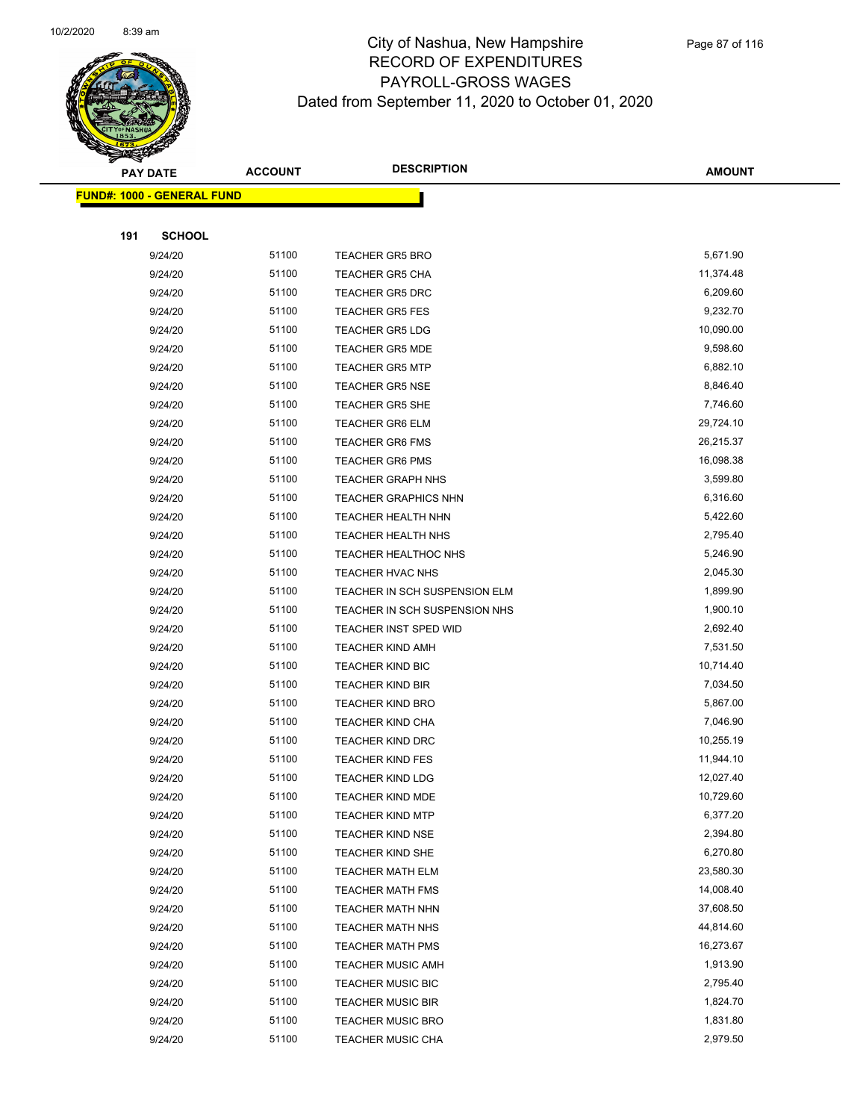

Page 87 of 116

|     | <b>PAY DATE</b>                    | <b>ACCOUNT</b> | <b>DESCRIPTION</b>            | <b>AMOUNT</b> |
|-----|------------------------------------|----------------|-------------------------------|---------------|
|     | <u> FUND#: 1000 - GENERAL FUND</u> |                |                               |               |
|     |                                    |                |                               |               |
| 191 | <b>SCHOOL</b>                      |                |                               |               |
|     | 9/24/20                            | 51100          | <b>TEACHER GR5 BRO</b>        | 5,671.90      |
|     | 9/24/20                            | 51100          | <b>TEACHER GR5 CHA</b>        | 11,374.48     |
|     | 9/24/20                            | 51100          | <b>TEACHER GR5 DRC</b>        | 6,209.60      |
|     | 9/24/20                            | 51100          | <b>TEACHER GR5 FES</b>        | 9,232.70      |
|     | 9/24/20                            | 51100          | <b>TEACHER GR5 LDG</b>        | 10,090.00     |
|     | 9/24/20                            | 51100          | <b>TEACHER GR5 MDE</b>        | 9,598.60      |
|     | 9/24/20                            | 51100          | <b>TEACHER GR5 MTP</b>        | 6,882.10      |
|     | 9/24/20                            | 51100          | <b>TEACHER GR5 NSE</b>        | 8,846.40      |
|     | 9/24/20                            | 51100          | <b>TEACHER GR5 SHE</b>        | 7,746.60      |
|     | 9/24/20                            | 51100          | <b>TEACHER GR6 ELM</b>        | 29,724.10     |
|     | 9/24/20                            | 51100          | <b>TEACHER GR6 FMS</b>        | 26,215.37     |
|     | 9/24/20                            | 51100          | <b>TEACHER GR6 PMS</b>        | 16,098.38     |
|     | 9/24/20                            | 51100          | <b>TEACHER GRAPH NHS</b>      | 3,599.80      |
|     | 9/24/20                            | 51100          | <b>TEACHER GRAPHICS NHN</b>   | 6,316.60      |
|     | 9/24/20                            | 51100          | <b>TEACHER HEALTH NHN</b>     | 5,422.60      |
|     | 9/24/20                            | 51100          | <b>TEACHER HEALTH NHS</b>     | 2,795.40      |
|     | 9/24/20                            | 51100          | <b>TEACHER HEALTHOC NHS</b>   | 5,246.90      |
|     | 9/24/20                            | 51100          | TEACHER HVAC NHS              | 2,045.30      |
|     | 9/24/20                            | 51100          | TEACHER IN SCH SUSPENSION ELM | 1,899.90      |
|     | 9/24/20                            | 51100          | TEACHER IN SCH SUSPENSION NHS | 1,900.10      |
|     | 9/24/20                            | 51100          | TEACHER INST SPED WID         | 2,692.40      |
|     | 9/24/20                            | 51100          | <b>TEACHER KIND AMH</b>       | 7,531.50      |
|     | 9/24/20                            | 51100          | TEACHER KIND BIC              | 10,714.40     |
|     | 9/24/20                            | 51100          | <b>TEACHER KIND BIR</b>       | 7,034.50      |
|     | 9/24/20                            | 51100          | <b>TEACHER KIND BRO</b>       | 5,867.00      |
|     | 9/24/20                            | 51100          | <b>TEACHER KIND CHA</b>       | 7,046.90      |
|     | 9/24/20                            | 51100          | <b>TEACHER KIND DRC</b>       | 10,255.19     |
|     | 9/24/20                            | 51100          | <b>TEACHER KIND FES</b>       | 11,944.10     |
|     | 9/24/20                            | 51100          | <b>TEACHER KIND LDG</b>       | 12,027.40     |
|     | 9/24/20                            | 51100          | TEACHER KIND MDE              | 10,729.60     |
|     | 9/24/20                            | 51100          | <b>TEACHER KIND MTP</b>       | 6,377.20      |
|     | 9/24/20                            | 51100          | <b>TEACHER KIND NSE</b>       | 2,394.80      |
|     | 9/24/20                            | 51100          | TEACHER KIND SHE              | 6,270.80      |
|     | 9/24/20                            | 51100          | <b>TEACHER MATH ELM</b>       | 23,580.30     |
|     | 9/24/20                            | 51100          | <b>TEACHER MATH FMS</b>       | 14,008.40     |
|     | 9/24/20                            | 51100          | <b>TEACHER MATH NHN</b>       | 37,608.50     |
|     | 9/24/20                            | 51100          | <b>TEACHER MATH NHS</b>       | 44,814.60     |
|     | 9/24/20                            | 51100          | <b>TEACHER MATH PMS</b>       | 16,273.67     |
|     | 9/24/20                            | 51100          | <b>TEACHER MUSIC AMH</b>      | 1,913.90      |
|     | 9/24/20                            | 51100          | <b>TEACHER MUSIC BIC</b>      | 2,795.40      |
|     | 9/24/20                            | 51100          | <b>TEACHER MUSIC BIR</b>      | 1,824.70      |
|     | 9/24/20                            | 51100          | <b>TEACHER MUSIC BRO</b>      | 1,831.80      |
|     | 9/24/20                            | 51100          | TEACHER MUSIC CHA             | 2,979.50      |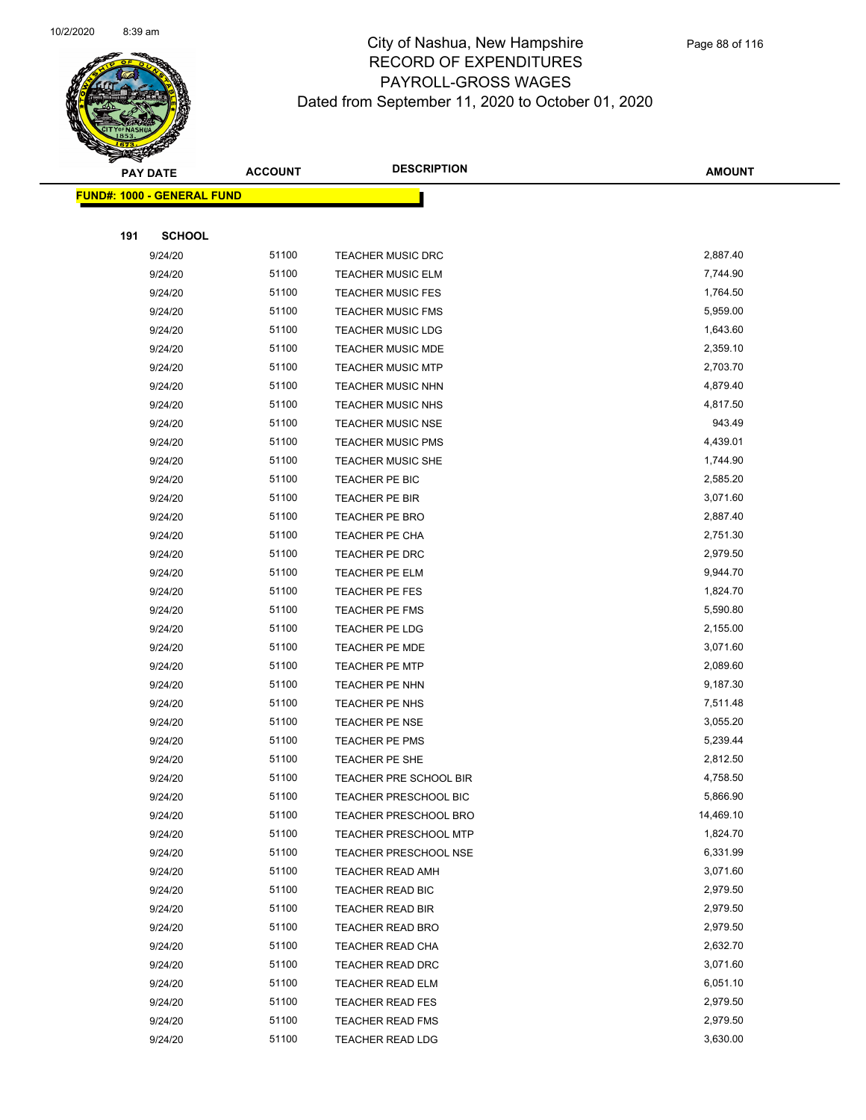

|     | <b>PAY DATE</b>                   | <b>ACCOUNT</b> | <b>DESCRIPTION</b>                       | <b>AMOUNT</b>        |
|-----|-----------------------------------|----------------|------------------------------------------|----------------------|
|     | <b>FUND#: 1000 - GENERAL FUND</b> |                |                                          |                      |
|     |                                   |                |                                          |                      |
| 191 | <b>SCHOOL</b>                     |                |                                          |                      |
|     | 9/24/20                           | 51100          | <b>TEACHER MUSIC DRC</b>                 | 2,887.40             |
|     | 9/24/20                           | 51100          | <b>TEACHER MUSIC ELM</b>                 | 7,744.90             |
|     | 9/24/20                           | 51100          | <b>TEACHER MUSIC FES</b>                 | 1,764.50             |
|     | 9/24/20                           | 51100          | <b>TEACHER MUSIC FMS</b>                 | 5,959.00             |
|     | 9/24/20                           | 51100          | <b>TEACHER MUSIC LDG</b>                 | 1,643.60             |
|     | 9/24/20                           | 51100          | TEACHER MUSIC MDE                        | 2,359.10             |
|     | 9/24/20                           | 51100          | <b>TEACHER MUSIC MTP</b>                 | 2,703.70             |
|     | 9/24/20                           | 51100          | <b>TEACHER MUSIC NHN</b>                 | 4,879.40             |
|     | 9/24/20                           | 51100          | <b>TEACHER MUSIC NHS</b>                 | 4,817.50             |
|     | 9/24/20                           | 51100          | <b>TEACHER MUSIC NSE</b>                 | 943.49               |
|     | 9/24/20                           | 51100          | <b>TEACHER MUSIC PMS</b>                 | 4,439.01             |
|     | 9/24/20                           | 51100          | <b>TEACHER MUSIC SHE</b>                 | 1,744.90             |
|     | 9/24/20                           | 51100          | TEACHER PE BIC                           | 2,585.20             |
|     | 9/24/20                           | 51100          | TEACHER PE BIR                           | 3,071.60             |
|     | 9/24/20                           | 51100          | TEACHER PE BRO                           | 2,887.40             |
|     | 9/24/20                           | 51100          | TEACHER PE CHA                           | 2,751.30             |
|     | 9/24/20                           | 51100          | TEACHER PE DRC                           | 2,979.50             |
|     | 9/24/20                           | 51100          | TEACHER PE ELM                           | 9,944.70             |
|     | 9/24/20                           | 51100          | TEACHER PE FES                           | 1,824.70             |
|     | 9/24/20                           | 51100          | TEACHER PE FMS                           | 5,590.80             |
|     | 9/24/20                           | 51100          | TEACHER PE LDG                           | 2,155.00             |
|     | 9/24/20                           | 51100          | <b>TEACHER PE MDE</b>                    | 3,071.60             |
|     | 9/24/20                           | 51100          | <b>TEACHER PE MTP</b>                    | 2,089.60             |
|     | 9/24/20                           | 51100          | TEACHER PE NHN                           | 9,187.30             |
|     | 9/24/20                           | 51100          | TEACHER PE NHS                           | 7,511.48             |
|     | 9/24/20                           | 51100          | TEACHER PE NSE                           | 3,055.20             |
|     | 9/24/20                           | 51100          | TEACHER PE PMS                           | 5,239.44             |
|     | 9/24/20                           | 51100          | TEACHER PE SHE<br>TEACHER PRE SCHOOL BIR | 2,812.50             |
|     | 9/24/20<br>9/24/20                | 51100<br>51100 | <b>TEACHER PRESCHOOL BIC</b>             | 4,758.50<br>5,866.90 |
|     | 9/24/20                           | 51100          | <b>TEACHER PRESCHOOL BRO</b>             | 14,469.10            |
|     | 9/24/20                           | 51100          | <b>TEACHER PRESCHOOL MTP</b>             | 1,824.70             |
|     | 9/24/20                           | 51100          | <b>TEACHER PRESCHOOL NSE</b>             | 6,331.99             |
|     | 9/24/20                           | 51100          | TEACHER READ AMH                         | 3,071.60             |
|     | 9/24/20                           | 51100          | <b>TEACHER READ BIC</b>                  | 2,979.50             |
|     | 9/24/20                           | 51100          | TEACHER READ BIR                         | 2,979.50             |
|     | 9/24/20                           | 51100          | TEACHER READ BRO                         | 2,979.50             |
|     | 9/24/20                           | 51100          | <b>TEACHER READ CHA</b>                  | 2,632.70             |
|     | 9/24/20                           | 51100          | TEACHER READ DRC                         | 3,071.60             |
|     | 9/24/20                           | 51100          | TEACHER READ ELM                         | 6,051.10             |
|     | 9/24/20                           | 51100          | <b>TEACHER READ FES</b>                  | 2,979.50             |
|     | 9/24/20                           | 51100          | <b>TEACHER READ FMS</b>                  | 2,979.50             |
|     | 9/24/20                           | 51100          | <b>TEACHER READ LDG</b>                  | 3,630.00             |
|     |                                   |                |                                          |                      |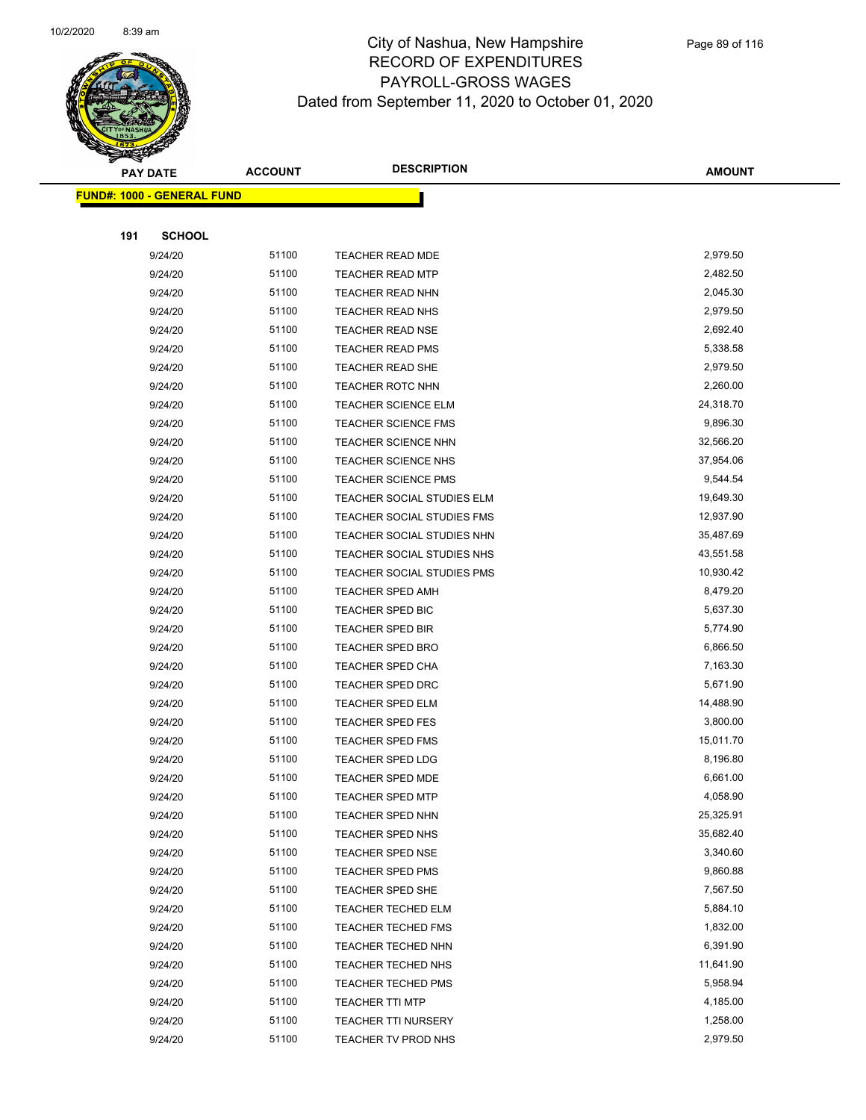

|     | <b>PAY DATE</b>                   | <b>ACCOUNT</b> | <b>DESCRIPTION</b>         | <b>AMOUNT</b> |
|-----|-----------------------------------|----------------|----------------------------|---------------|
|     | <b>FUND#: 1000 - GENERAL FUND</b> |                |                            |               |
|     |                                   |                |                            |               |
| 191 | <b>SCHOOL</b>                     |                |                            |               |
|     | 9/24/20                           | 51100          | <b>TEACHER READ MDE</b>    | 2,979.50      |
|     | 9/24/20                           | 51100          | <b>TEACHER READ MTP</b>    | 2,482.50      |
|     | 9/24/20                           | 51100          | <b>TEACHER READ NHN</b>    | 2,045.30      |
|     | 9/24/20                           | 51100          | <b>TEACHER READ NHS</b>    | 2,979.50      |
|     | 9/24/20                           | 51100          | <b>TEACHER READ NSE</b>    | 2,692.40      |
|     | 9/24/20                           | 51100          | <b>TEACHER READ PMS</b>    | 5,338.58      |
|     | 9/24/20                           | 51100          | <b>TEACHER READ SHE</b>    | 2,979.50      |
|     | 9/24/20                           | 51100          | TEACHER ROTC NHN           | 2,260.00      |
|     | 9/24/20                           | 51100          | <b>TEACHER SCIENCE ELM</b> | 24,318.70     |
|     | 9/24/20                           | 51100          | <b>TEACHER SCIENCE FMS</b> | 9,896.30      |
|     | 9/24/20                           | 51100          | <b>TEACHER SCIENCE NHN</b> | 32,566.20     |
|     | 9/24/20                           | 51100          | <b>TEACHER SCIENCE NHS</b> | 37,954.06     |
|     | 9/24/20                           | 51100          | <b>TEACHER SCIENCE PMS</b> | 9,544.54      |
|     | 9/24/20                           | 51100          | TEACHER SOCIAL STUDIES ELM | 19,649.30     |
|     | 9/24/20                           | 51100          | TEACHER SOCIAL STUDIES FMS | 12,937.90     |
|     | 9/24/20                           | 51100          | TEACHER SOCIAL STUDIES NHN | 35,487.69     |
|     | 9/24/20                           | 51100          | TEACHER SOCIAL STUDIES NHS | 43,551.58     |
|     | 9/24/20                           | 51100          | TEACHER SOCIAL STUDIES PMS | 10,930.42     |
|     | 9/24/20                           | 51100          | <b>TEACHER SPED AMH</b>    | 8,479.20      |
|     | 9/24/20                           | 51100          | TEACHER SPED BIC           | 5,637.30      |
|     | 9/24/20                           | 51100          | <b>TEACHER SPED BIR</b>    | 5,774.90      |
|     | 9/24/20                           | 51100          | <b>TEACHER SPED BRO</b>    | 6,866.50      |
|     | 9/24/20                           | 51100          | TEACHER SPED CHA           | 7,163.30      |
|     | 9/24/20                           | 51100          | <b>TEACHER SPED DRC</b>    | 5,671.90      |
|     | 9/24/20                           | 51100          | <b>TEACHER SPED ELM</b>    | 14,488.90     |
|     | 9/24/20                           | 51100          | <b>TEACHER SPED FES</b>    | 3,800.00      |
|     | 9/24/20                           | 51100          | <b>TEACHER SPED FMS</b>    | 15,011.70     |
|     | 9/24/20                           | 51100          | TEACHER SPED LDG           | 8,196.80      |
|     | 9/24/20                           | 51100          | <b>TEACHER SPED MDE</b>    | 6,661.00      |
|     | 9/24/20                           | 51100          | TEACHER SPED MTP           | 4,058.90      |
|     | 9/24/20                           | 51100          | <b>TEACHER SPED NHN</b>    | 25,325.91     |
|     | 9/24/20                           | 51100          | TEACHER SPED NHS           | 35,682.40     |
|     | 9/24/20                           | 51100          | <b>TEACHER SPED NSE</b>    | 3,340.60      |
|     | 9/24/20                           | 51100          | <b>TEACHER SPED PMS</b>    | 9,860.88      |
|     | 9/24/20                           | 51100          | TEACHER SPED SHE           | 7,567.50      |
|     | 9/24/20                           | 51100          | <b>TEACHER TECHED ELM</b>  | 5,884.10      |
|     | 9/24/20                           | 51100          | <b>TEACHER TECHED FMS</b>  | 1,832.00      |
|     | 9/24/20                           | 51100          | TEACHER TECHED NHN         | 6,391.90      |
|     | 9/24/20                           | 51100          | TEACHER TECHED NHS         | 11,641.90     |
|     | 9/24/20                           | 51100          | <b>TEACHER TECHED PMS</b>  | 5,958.94      |
|     | 9/24/20                           | 51100          | <b>TEACHER TTI MTP</b>     | 4,185.00      |
|     | 9/24/20                           | 51100          | TEACHER TTI NURSERY        | 1,258.00      |
|     | 9/24/20                           | 51100          | TEACHER TV PROD NHS        | 2,979.50      |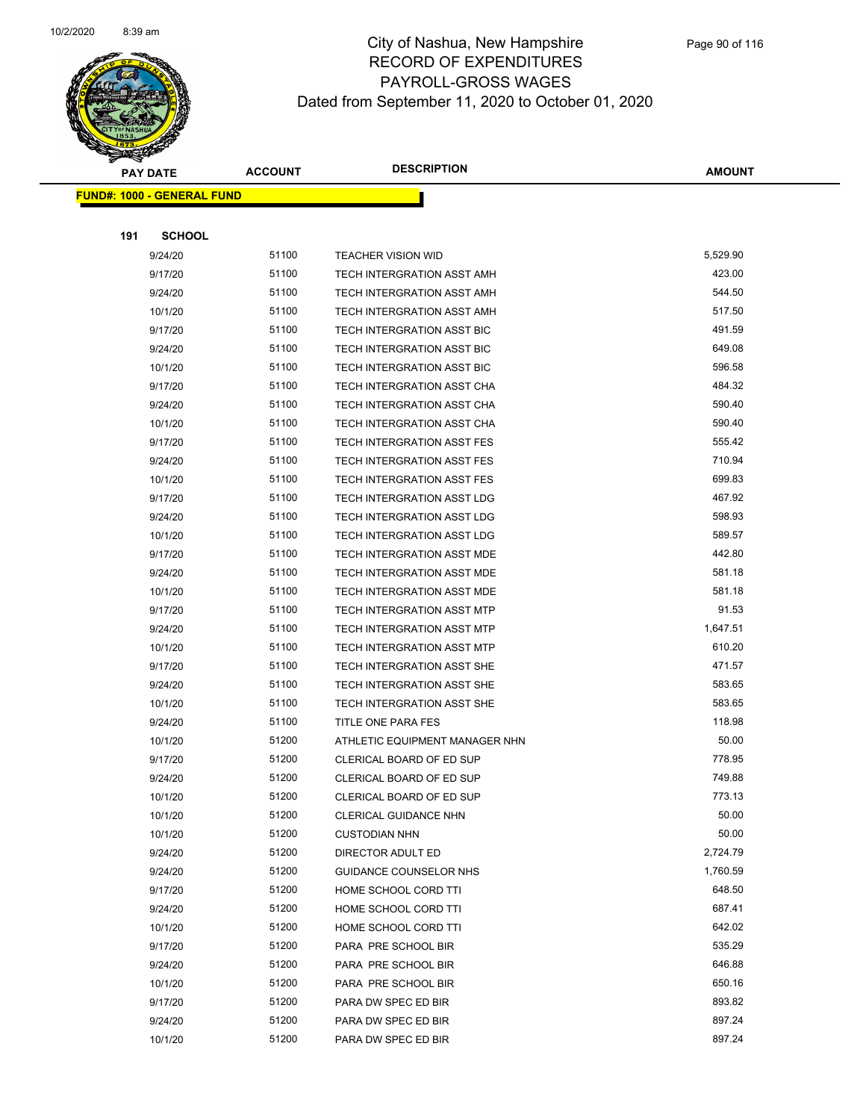

|     | <b>PAY DATE</b>                    | <b>ACCOUNT</b> | <b>DESCRIPTION</b>                | <b>AMOUNT</b> |
|-----|------------------------------------|----------------|-----------------------------------|---------------|
|     | <u> FUND#: 1000 - GENERAL FUND</u> |                |                                   |               |
|     |                                    |                |                                   |               |
| 191 | <b>SCHOOL</b>                      |                |                                   |               |
|     | 9/24/20                            | 51100          | <b>TEACHER VISION WID</b>         | 5,529.90      |
|     | 9/17/20                            | 51100          | TECH INTERGRATION ASST AMH        | 423.00        |
|     | 9/24/20                            | 51100          | TECH INTERGRATION ASST AMH        | 544.50        |
|     | 10/1/20                            | 51100          | TECH INTERGRATION ASST AMH        | 517.50        |
|     | 9/17/20                            | 51100          | TECH INTERGRATION ASST BIC        | 491.59        |
|     | 9/24/20                            | 51100          | TECH INTERGRATION ASST BIC        | 649.08        |
|     | 10/1/20                            | 51100          | TECH INTERGRATION ASST BIC        | 596.58        |
|     | 9/17/20                            | 51100          | TECH INTERGRATION ASST CHA        | 484.32        |
|     | 9/24/20                            | 51100          | TECH INTERGRATION ASST CHA        | 590.40        |
|     | 10/1/20                            | 51100          | TECH INTERGRATION ASST CHA        | 590.40        |
|     | 9/17/20                            | 51100          | <b>TECH INTERGRATION ASST FES</b> | 555.42        |
|     | 9/24/20                            | 51100          | TECH INTERGRATION ASST FES        | 710.94        |
|     | 10/1/20                            | 51100          | TECH INTERGRATION ASST FES        | 699.83        |
|     | 9/17/20                            | 51100          | TECH INTERGRATION ASST LDG        | 467.92        |
|     | 9/24/20                            | 51100          | TECH INTERGRATION ASST LDG        | 598.93        |
|     | 10/1/20                            | 51100          | TECH INTERGRATION ASST LDG        | 589.57        |
|     | 9/17/20                            | 51100          | TECH INTERGRATION ASST MDE        | 442.80        |
|     | 9/24/20                            | 51100          | TECH INTERGRATION ASST MDE        | 581.18        |
|     | 10/1/20                            | 51100          | TECH INTERGRATION ASST MDE        | 581.18        |
|     | 9/17/20                            | 51100          | <b>TECH INTERGRATION ASST MTP</b> | 91.53         |
|     | 9/24/20                            | 51100          | <b>TECH INTERGRATION ASST MTP</b> | 1,647.51      |
|     | 10/1/20                            | 51100          | <b>TECH INTERGRATION ASST MTP</b> | 610.20        |
|     | 9/17/20                            | 51100          | TECH INTERGRATION ASST SHE        | 471.57        |
|     | 9/24/20                            | 51100          | TECH INTERGRATION ASST SHE        | 583.65        |
|     | 10/1/20                            | 51100          | TECH INTERGRATION ASST SHE        | 583.65        |
|     | 9/24/20                            | 51100          | TITLE ONE PARA FES                | 118.98        |
|     | 10/1/20                            | 51200          | ATHLETIC EQUIPMENT MANAGER NHN    | 50.00         |
|     | 9/17/20                            | 51200          | <b>CLERICAL BOARD OF ED SUP</b>   | 778.95        |
|     | 9/24/20                            | 51200          | CLERICAL BOARD OF ED SUP          | 749.88        |
|     | 10/1/20                            | 51200          | CLERICAL BOARD OF ED SUP          | 773.13        |
|     | 10/1/20                            | 51200          | CLERICAL GUIDANCE NHN             | 50.00         |
|     | 10/1/20                            | 51200          | <b>CUSTODIAN NHN</b>              | 50.00         |
|     | 9/24/20                            | 51200          | DIRECTOR ADULT ED                 | 2,724.79      |
|     | 9/24/20                            | 51200          | <b>GUIDANCE COUNSELOR NHS</b>     | 1,760.59      |
|     | 9/17/20                            | 51200          | HOME SCHOOL CORD TTI              | 648.50        |
|     | 9/24/20                            | 51200          | HOME SCHOOL CORD TTI              | 687.41        |
|     | 10/1/20                            | 51200          | HOME SCHOOL CORD TTI              | 642.02        |
|     | 9/17/20                            | 51200          | PARA PRE SCHOOL BIR               | 535.29        |
|     | 9/24/20                            | 51200          | PARA PRE SCHOOL BIR               | 646.88        |
|     | 10/1/20                            | 51200          | PARA PRE SCHOOL BIR               | 650.16        |
|     | 9/17/20                            | 51200          | PARA DW SPEC ED BIR               | 893.82        |
|     | 9/24/20                            | 51200          | PARA DW SPEC ED BIR               | 897.24        |
|     | 10/1/20                            | 51200          | PARA DW SPEC ED BIR               | 897.24        |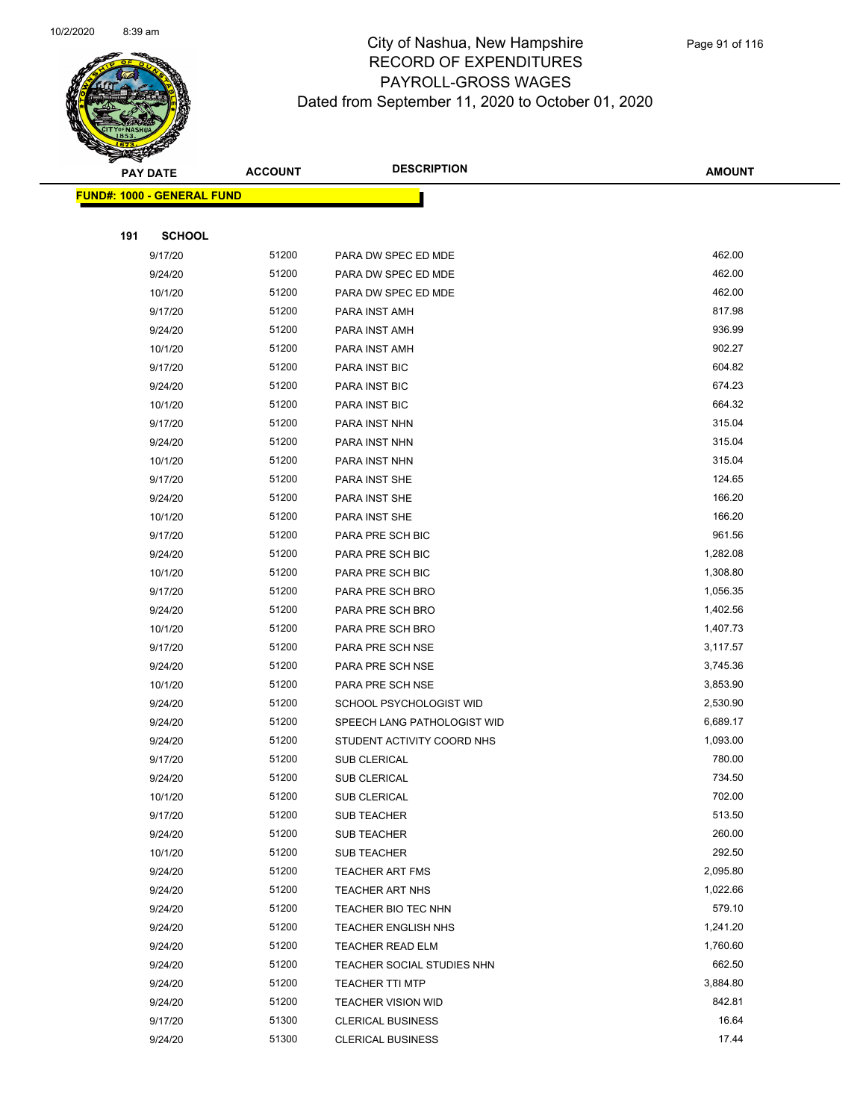

|     | <b>PAY DATE</b>                   | <b>ACCOUNT</b> | <b>DESCRIPTION</b>          | <b>AMOUNT</b> |
|-----|-----------------------------------|----------------|-----------------------------|---------------|
|     | <b>FUND#: 1000 - GENERAL FUND</b> |                |                             |               |
|     |                                   |                |                             |               |
| 191 | <b>SCHOOL</b>                     |                |                             |               |
|     | 9/17/20                           | 51200          | PARA DW SPEC ED MDE         | 462.00        |
|     | 9/24/20                           | 51200          | PARA DW SPEC ED MDE         | 462.00        |
|     | 10/1/20                           | 51200          | PARA DW SPEC ED MDE         | 462.00        |
|     | 9/17/20                           | 51200          | PARA INST AMH               | 817.98        |
|     | 9/24/20                           | 51200          | PARA INST AMH               | 936.99        |
|     | 10/1/20                           | 51200          | PARA INST AMH               | 902.27        |
|     | 9/17/20                           | 51200          | <b>PARA INST BIC</b>        | 604.82        |
|     | 9/24/20                           | 51200          | PARA INST BIC               | 674.23        |
|     | 10/1/20                           | 51200          | PARA INST BIC               | 664.32        |
|     | 9/17/20                           | 51200          | PARA INST NHN               | 315.04        |
|     | 9/24/20                           | 51200          | PARA INST NHN               | 315.04        |
|     | 10/1/20                           | 51200          | PARA INST NHN               | 315.04        |
|     | 9/17/20                           | 51200          | PARA INST SHE               | 124.65        |
|     | 9/24/20                           | 51200          | PARA INST SHE               | 166.20        |
|     | 10/1/20                           | 51200          | PARA INST SHE               | 166.20        |
|     | 9/17/20                           | 51200          | PARA PRE SCH BIC            | 961.56        |
|     | 9/24/20                           | 51200          | PARA PRE SCH BIC            | 1,282.08      |
|     | 10/1/20                           | 51200          | PARA PRE SCH BIC            | 1,308.80      |
|     | 9/17/20                           | 51200          | PARA PRE SCH BRO            | 1,056.35      |
|     | 9/24/20                           | 51200          | PARA PRE SCH BRO            | 1,402.56      |
|     | 10/1/20                           | 51200          | PARA PRE SCH BRO            | 1,407.73      |
|     | 9/17/20                           | 51200          | PARA PRE SCH NSE            | 3,117.57      |
|     | 9/24/20                           | 51200          | PARA PRE SCH NSE            | 3,745.36      |
|     | 10/1/20                           | 51200          | PARA PRE SCH NSE            | 3,853.90      |
|     | 9/24/20                           | 51200          | SCHOOL PSYCHOLOGIST WID     | 2,530.90      |
|     | 9/24/20                           | 51200          | SPEECH LANG PATHOLOGIST WID | 6,689.17      |
|     | 9/24/20                           | 51200          | STUDENT ACTIVITY COORD NHS  | 1,093.00      |
|     | 9/17/20                           | 51200          | <b>SUB CLERICAL</b>         | 780.00        |
|     | 9/24/20                           | 51200          | <b>SUB CLERICAL</b>         | 734.50        |
|     | 10/1/20                           | 51200          | <b>SUB CLERICAL</b>         | 702.00        |
|     | 9/17/20                           | 51200          | SUB TEACHER                 | 513.50        |
|     | 9/24/20                           | 51200          | <b>SUB TEACHER</b>          | 260.00        |
|     | 10/1/20                           | 51200          | <b>SUB TEACHER</b>          | 292.50        |
|     | 9/24/20                           | 51200          | <b>TEACHER ART FMS</b>      | 2,095.80      |
|     | 9/24/20                           | 51200          | TEACHER ART NHS             | 1,022.66      |
|     | 9/24/20                           | 51200          | TEACHER BIO TEC NHN         | 579.10        |
|     | 9/24/20                           | 51200          | <b>TEACHER ENGLISH NHS</b>  | 1,241.20      |
|     | 9/24/20                           | 51200          | TEACHER READ ELM            | 1,760.60      |
|     | 9/24/20                           | 51200          | TEACHER SOCIAL STUDIES NHN  | 662.50        |
|     | 9/24/20                           | 51200          | <b>TEACHER TTI MTP</b>      | 3,884.80      |
|     | 9/24/20                           | 51200          | <b>TEACHER VISION WID</b>   | 842.81        |
|     | 9/17/20                           | 51300          | <b>CLERICAL BUSINESS</b>    | 16.64         |
|     | 9/24/20                           | 51300          | <b>CLERICAL BUSINESS</b>    | 17.44         |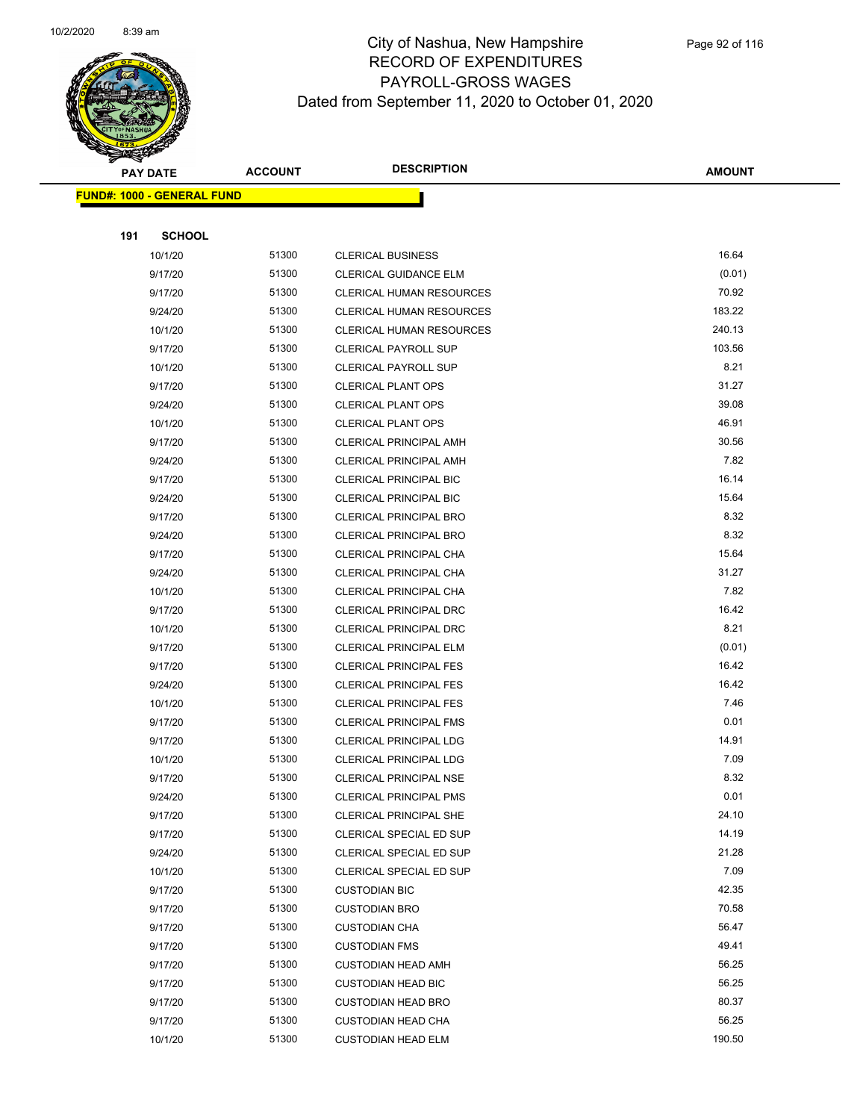

|     | <b>PAY DATE</b>                   | <b>ACCOUNT</b> | <b>DESCRIPTION</b>              | <b>AMOUNT</b> |
|-----|-----------------------------------|----------------|---------------------------------|---------------|
|     | <b>FUND#: 1000 - GENERAL FUND</b> |                |                                 |               |
|     |                                   |                |                                 |               |
| 191 | <b>SCHOOL</b>                     |                |                                 |               |
|     | 10/1/20                           | 51300          | <b>CLERICAL BUSINESS</b>        | 16.64         |
|     | 9/17/20                           | 51300          | CLERICAL GUIDANCE ELM           | (0.01)        |
|     | 9/17/20                           | 51300          | <b>CLERICAL HUMAN RESOURCES</b> | 70.92         |
|     | 9/24/20                           | 51300          | <b>CLERICAL HUMAN RESOURCES</b> | 183.22        |
|     | 10/1/20                           | 51300          | <b>CLERICAL HUMAN RESOURCES</b> | 240.13        |
|     | 9/17/20                           | 51300          | <b>CLERICAL PAYROLL SUP</b>     | 103.56        |
|     | 10/1/20                           | 51300          | <b>CLERICAL PAYROLL SUP</b>     | 8.21          |
|     | 9/17/20                           | 51300          | <b>CLERICAL PLANT OPS</b>       | 31.27         |
|     | 9/24/20                           | 51300          | <b>CLERICAL PLANT OPS</b>       | 39.08         |
|     | 10/1/20                           | 51300          | <b>CLERICAL PLANT OPS</b>       | 46.91         |
|     | 9/17/20                           | 51300          | <b>CLERICAL PRINCIPAL AMH</b>   | 30.56         |
|     | 9/24/20                           | 51300          | <b>CLERICAL PRINCIPAL AMH</b>   | 7.82          |
|     | 9/17/20                           | 51300          | <b>CLERICAL PRINCIPAL BIC</b>   | 16.14         |
|     | 9/24/20                           | 51300          | <b>CLERICAL PRINCIPAL BIC</b>   | 15.64         |
|     | 9/17/20                           | 51300          | <b>CLERICAL PRINCIPAL BRO</b>   | 8.32          |
|     | 9/24/20                           | 51300          | CLERICAL PRINCIPAL BRO          | 8.32          |
|     | 9/17/20                           | 51300          | CLERICAL PRINCIPAL CHA          | 15.64         |
|     | 9/24/20                           | 51300          | CLERICAL PRINCIPAL CHA          | 31.27         |
|     | 10/1/20                           | 51300          | CLERICAL PRINCIPAL CHA          | 7.82          |
|     | 9/17/20                           | 51300          | CLERICAL PRINCIPAL DRC          | 16.42         |
|     | 10/1/20                           | 51300          | CLERICAL PRINCIPAL DRC          | 8.21          |
|     | 9/17/20                           | 51300          | <b>CLERICAL PRINCIPAL ELM</b>   | (0.01)        |
|     | 9/17/20                           | 51300          | <b>CLERICAL PRINCIPAL FES</b>   | 16.42         |
|     | 9/24/20                           | 51300          | <b>CLERICAL PRINCIPAL FES</b>   | 16.42         |
|     | 10/1/20                           | 51300          | <b>CLERICAL PRINCIPAL FES</b>   | 7.46          |
|     | 9/17/20                           | 51300          | CLERICAL PRINCIPAL FMS          | 0.01          |
|     | 9/17/20                           | 51300          | <b>CLERICAL PRINCIPAL LDG</b>   | 14.91         |
|     | 10/1/20                           | 51300          | <b>CLERICAL PRINCIPAL LDG</b>   | 7.09          |
|     | 9/17/20                           | 51300          | CLERICAL PRINCIPAL NSE          | 8.32          |
|     | 9/24/20                           | 51300          | <b>CLERICAL PRINCIPAL PMS</b>   | 0.01          |
|     | 9/17/20                           | 51300          | <b>CLERICAL PRINCIPAL SHE</b>   | 24.10         |
|     | 9/17/20                           | 51300          | CLERICAL SPECIAL ED SUP         | 14.19         |
|     | 9/24/20                           | 51300          | CLERICAL SPECIAL ED SUP         | 21.28         |
|     | 10/1/20                           | 51300          | CLERICAL SPECIAL ED SUP         | 7.09          |
|     | 9/17/20                           | 51300          | <b>CUSTODIAN BIC</b>            | 42.35         |
|     | 9/17/20                           | 51300          | <b>CUSTODIAN BRO</b>            | 70.58         |
|     | 9/17/20                           | 51300          | <b>CUSTODIAN CHA</b>            | 56.47         |
|     | 9/17/20                           | 51300          | <b>CUSTODIAN FMS</b>            | 49.41         |
|     | 9/17/20                           | 51300          | <b>CUSTODIAN HEAD AMH</b>       | 56.25         |
|     | 9/17/20                           | 51300          | <b>CUSTODIAN HEAD BIC</b>       | 56.25         |
|     | 9/17/20                           | 51300          | <b>CUSTODIAN HEAD BRO</b>       | 80.37         |
|     | 9/17/20                           | 51300          | <b>CUSTODIAN HEAD CHA</b>       | 56.25         |
|     | 10/1/20                           | 51300          | <b>CUSTODIAN HEAD ELM</b>       | 190.50        |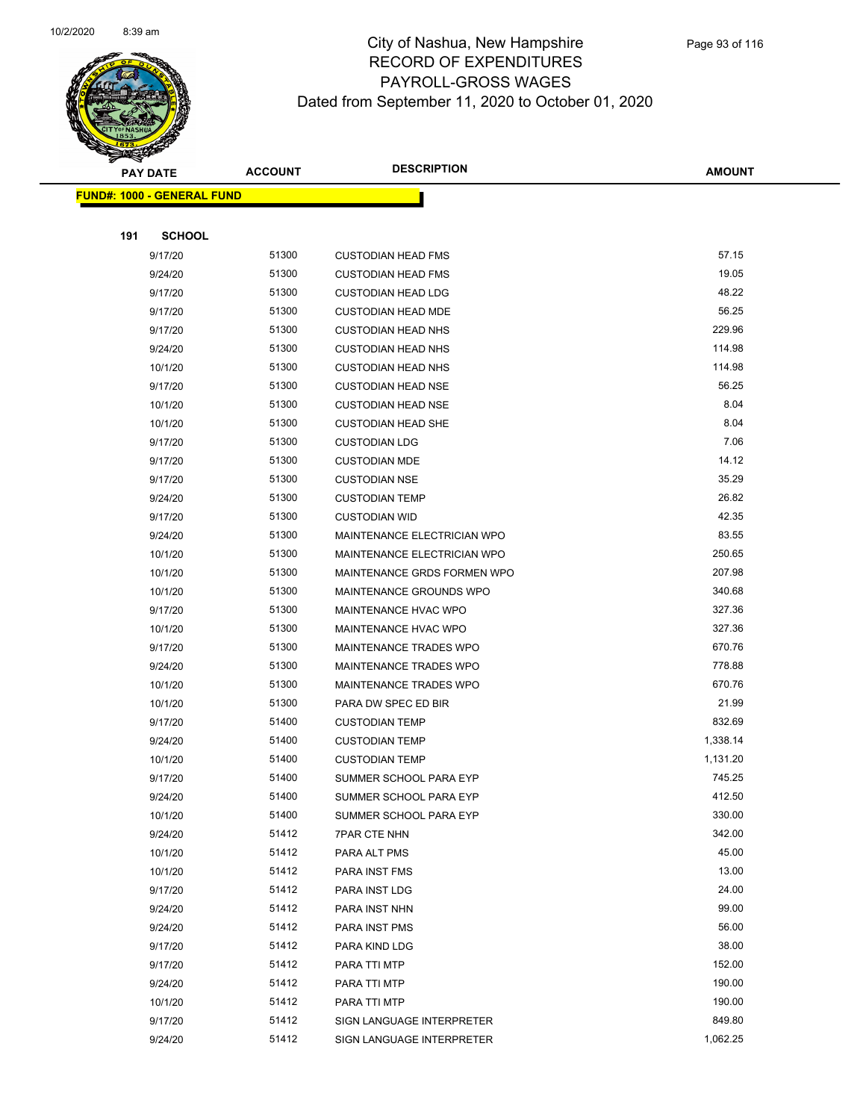

|     | <b>PAY DATE</b>                   | <b>ACCOUNT</b> | <b>DESCRIPTION</b>            | <b>AMOUNT</b>    |
|-----|-----------------------------------|----------------|-------------------------------|------------------|
|     | <b>FUND#: 1000 - GENERAL FUND</b> |                |                               |                  |
|     |                                   |                |                               |                  |
| 191 | <b>SCHOOL</b>                     |                |                               |                  |
|     | 9/17/20                           | 51300          | <b>CUSTODIAN HEAD FMS</b>     | 57.15            |
|     | 9/24/20                           | 51300          | <b>CUSTODIAN HEAD FMS</b>     | 19.05            |
|     | 9/17/20                           | 51300          | <b>CUSTODIAN HEAD LDG</b>     | 48.22            |
|     | 9/17/20                           | 51300          | <b>CUSTODIAN HEAD MDE</b>     | 56.25            |
|     | 9/17/20                           | 51300          | <b>CUSTODIAN HEAD NHS</b>     | 229.96           |
|     | 9/24/20                           | 51300          | <b>CUSTODIAN HEAD NHS</b>     | 114.98           |
|     | 10/1/20                           | 51300          | <b>CUSTODIAN HEAD NHS</b>     | 114.98           |
|     | 9/17/20                           | 51300          | <b>CUSTODIAN HEAD NSE</b>     | 56.25            |
|     | 10/1/20                           | 51300          | <b>CUSTODIAN HEAD NSE</b>     | 8.04             |
|     | 10/1/20                           | 51300          | <b>CUSTODIAN HEAD SHE</b>     | 8.04             |
|     | 9/17/20                           | 51300          | <b>CUSTODIAN LDG</b>          | 7.06             |
|     | 9/17/20                           | 51300          | <b>CUSTODIAN MDE</b>          | 14.12            |
|     | 9/17/20                           | 51300          | <b>CUSTODIAN NSE</b>          | 35.29            |
|     | 9/24/20                           | 51300          | <b>CUSTODIAN TEMP</b>         | 26.82            |
|     | 9/17/20                           | 51300          | <b>CUSTODIAN WID</b>          | 42.35            |
|     | 9/24/20                           | 51300          | MAINTENANCE ELECTRICIAN WPO   | 83.55            |
|     | 10/1/20                           | 51300          | MAINTENANCE ELECTRICIAN WPO   | 250.65           |
|     | 10/1/20                           | 51300          | MAINTENANCE GRDS FORMEN WPO   | 207.98           |
|     | 10/1/20                           | 51300          | MAINTENANCE GROUNDS WPO       | 340.68           |
|     | 9/17/20                           | 51300          | MAINTENANCE HVAC WPO          | 327.36           |
|     | 10/1/20                           | 51300          | MAINTENANCE HVAC WPO          | 327.36           |
|     | 9/17/20                           | 51300          | <b>MAINTENANCE TRADES WPO</b> | 670.76           |
|     | 9/24/20                           | 51300          | MAINTENANCE TRADES WPO        | 778.88           |
|     | 10/1/20                           | 51300          | MAINTENANCE TRADES WPO        | 670.76           |
|     | 10/1/20                           | 51300          | PARA DW SPEC ED BIR           | 21.99            |
|     | 9/17/20                           | 51400          | <b>CUSTODIAN TEMP</b>         | 832.69           |
|     | 9/24/20                           | 51400          | <b>CUSTODIAN TEMP</b>         | 1,338.14         |
|     | 10/1/20                           | 51400          | <b>CUSTODIAN TEMP</b>         | 1,131.20         |
|     | 9/17/20                           | 51400          | SUMMER SCHOOL PARA EYP        | 745.25           |
|     | 9/24/20                           | 51400          | SUMMER SCHOOL PARA EYP        | 412.50           |
|     | 10/1/20                           | 51400          | SUMMER SCHOOL PARA EYP        | 330.00           |
|     | 9/24/20                           | 51412          | <b>7PAR CTE NHN</b>           | 342.00           |
|     | 10/1/20                           | 51412          | PARA ALT PMS                  | 45.00            |
|     | 10/1/20                           | 51412          | PARA INST FMS                 | 13.00            |
|     | 9/17/20                           | 51412          | PARA INST LDG                 | 24.00            |
|     | 9/24/20                           | 51412          | PARA INST NHN                 | 99.00            |
|     | 9/24/20                           | 51412          | PARA INST PMS                 | 56.00            |
|     | 9/17/20                           | 51412          | PARA KIND LDG                 | 38.00            |
|     | 9/17/20                           | 51412          | PARA TTI MTP                  | 152.00           |
|     | 9/24/20                           | 51412          | PARA TTI MTP                  | 190.00           |
|     | 10/1/20                           | 51412          | PARA TTI MTP                  | 190.00<br>849.80 |
|     | 9/17/20                           | 51412          | SIGN LANGUAGE INTERPRETER     |                  |
|     | 9/24/20                           | 51412          | SIGN LANGUAGE INTERPRETER     | 1,062.25         |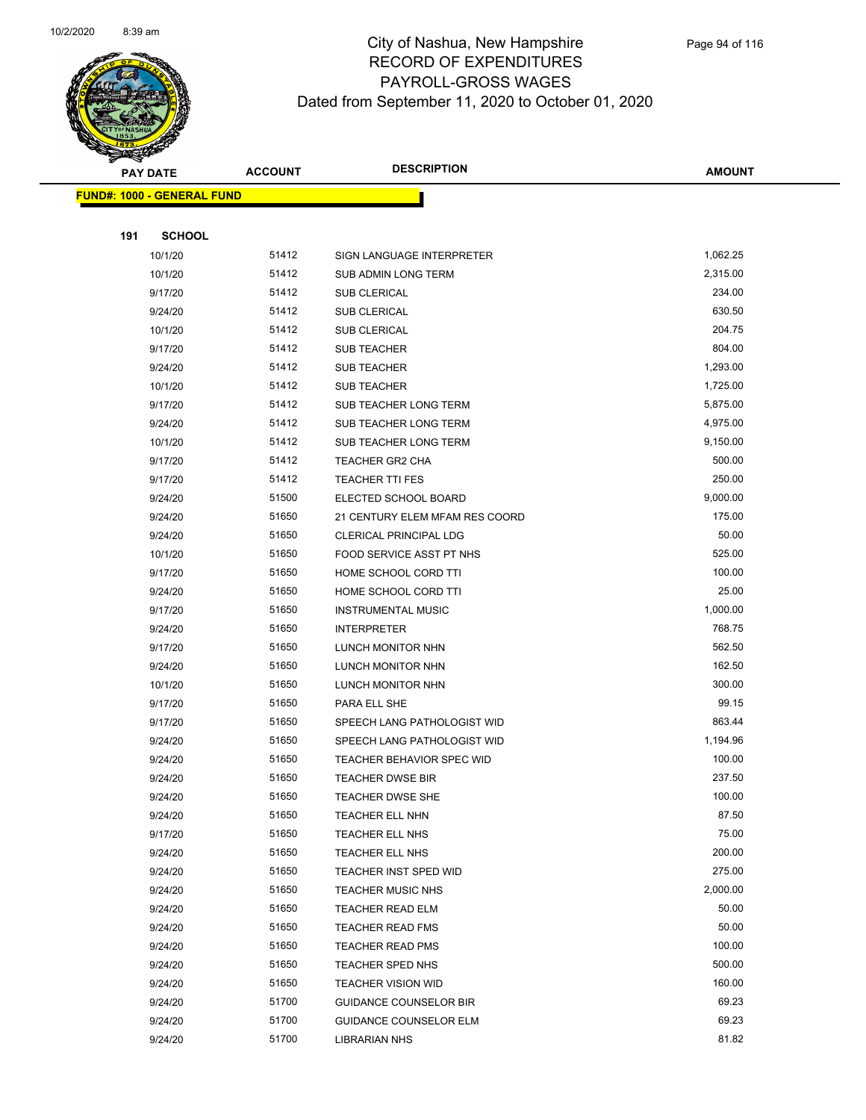

|     | <b>PAY DATE</b>                    | <b>ACCOUNT</b> | <b>DESCRIPTION</b>               | AMOUNT   |
|-----|------------------------------------|----------------|----------------------------------|----------|
|     | <u> FUND#: 1000 - GENERAL FUND</u> |                |                                  |          |
|     |                                    |                |                                  |          |
| 191 | <b>SCHOOL</b>                      |                |                                  |          |
|     | 10/1/20                            | 51412          | SIGN LANGUAGE INTERPRETER        | 1,062.25 |
|     | 10/1/20                            | 51412          | SUB ADMIN LONG TERM              | 2,315.00 |
|     | 9/17/20                            | 51412          | SUB CLERICAL                     | 234.00   |
|     | 9/24/20                            | 51412          | <b>SUB CLERICAL</b>              | 630.50   |
|     | 10/1/20                            | 51412          | <b>SUB CLERICAL</b>              | 204.75   |
|     | 9/17/20                            | 51412          | <b>SUB TEACHER</b>               | 804.00   |
|     | 9/24/20                            | 51412          | SUB TEACHER                      | 1,293.00 |
|     | 10/1/20                            | 51412          | <b>SUB TEACHER</b>               | 1,725.00 |
|     | 9/17/20                            | 51412          | SUB TEACHER LONG TERM            | 5,875.00 |
|     | 9/24/20                            | 51412          | SUB TEACHER LONG TERM            | 4,975.00 |
|     | 10/1/20                            | 51412          | SUB TEACHER LONG TERM            | 9,150.00 |
|     | 9/17/20                            | 51412          | TEACHER GR2 CHA                  | 500.00   |
|     | 9/17/20                            | 51412          | <b>TEACHER TTI FES</b>           | 250.00   |
|     | 9/24/20                            | 51500          | ELECTED SCHOOL BOARD             | 9,000.00 |
|     | 9/24/20                            | 51650          | 21 CENTURY ELEM MFAM RES COORD   | 175.00   |
|     | 9/24/20                            | 51650          | CLERICAL PRINCIPAL LDG           | 50.00    |
|     | 10/1/20                            | 51650          | FOOD SERVICE ASST PT NHS         | 525.00   |
|     | 9/17/20                            | 51650          | HOME SCHOOL CORD TTI             | 100.00   |
|     | 9/24/20                            | 51650          | HOME SCHOOL CORD TTI             | 25.00    |
|     | 9/17/20                            | 51650          | <b>INSTRUMENTAL MUSIC</b>        | 1,000.00 |
|     | 9/24/20                            | 51650          | <b>INTERPRETER</b>               | 768.75   |
|     | 9/17/20                            | 51650          | LUNCH MONITOR NHN                | 562.50   |
|     | 9/24/20                            | 51650          | LUNCH MONITOR NHN                | 162.50   |
|     | 10/1/20                            | 51650          | LUNCH MONITOR NHN                | 300.00   |
|     | 9/17/20                            | 51650          | PARA ELL SHE                     | 99.15    |
|     | 9/17/20                            | 51650          | SPEECH LANG PATHOLOGIST WID      | 863.44   |
|     | 9/24/20                            | 51650          | SPEECH LANG PATHOLOGIST WID      | 1,194.96 |
|     | 9/24/20                            | 51650          | <b>TEACHER BEHAVIOR SPEC WID</b> | 100.00   |
|     | 9/24/20                            | 51650          | <b>TEACHER DWSE BIR</b>          | 237.50   |
|     | 9/24/20                            | 51650          | TEACHER DWSE SHE                 | 100.00   |
|     | 9/24/20                            | 51650          | TEACHER ELL NHN                  | 87.50    |
|     | 9/17/20                            | 51650          | TEACHER ELL NHS                  | 75.00    |
|     | 9/24/20                            | 51650          | TEACHER ELL NHS                  | 200.00   |
|     | 9/24/20                            | 51650          | TEACHER INST SPED WID            | 275.00   |
|     | 9/24/20                            | 51650          | <b>TEACHER MUSIC NHS</b>         | 2,000.00 |
|     | 9/24/20                            | 51650          | <b>TEACHER READ ELM</b>          | 50.00    |
|     | 9/24/20                            | 51650          | <b>TEACHER READ FMS</b>          | 50.00    |
|     | 9/24/20                            | 51650          | <b>TEACHER READ PMS</b>          | 100.00   |
|     | 9/24/20                            | 51650          | TEACHER SPED NHS                 | 500.00   |
|     | 9/24/20                            | 51650          | <b>TEACHER VISION WID</b>        | 160.00   |
|     | 9/24/20                            | 51700          | <b>GUIDANCE COUNSELOR BIR</b>    | 69.23    |
|     | 9/24/20                            | 51700          | GUIDANCE COUNSELOR ELM           | 69.23    |
|     | 9/24/20                            | 51700          | LIBRARIAN NHS                    | 81.82    |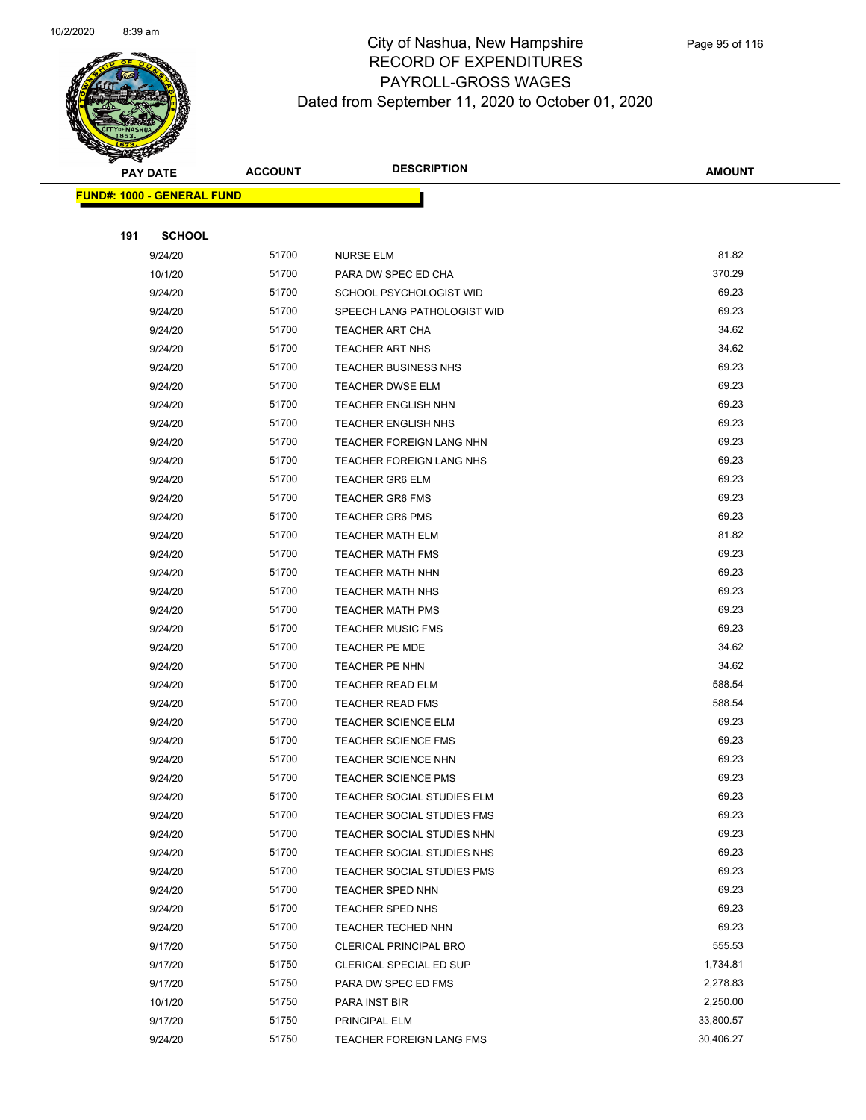

|     | <b>PAY DATE</b>                   | <b>ACCOUNT</b> | <b>DESCRIPTION</b>            | <b>AMOUNT</b> |
|-----|-----------------------------------|----------------|-------------------------------|---------------|
|     | <b>FUND#: 1000 - GENERAL FUND</b> |                |                               |               |
|     |                                   |                |                               |               |
| 191 | <b>SCHOOL</b>                     |                |                               |               |
|     | 9/24/20                           | 51700          | <b>NURSE ELM</b>              | 81.82         |
|     | 10/1/20                           | 51700          | PARA DW SPEC ED CHA           | 370.29        |
|     | 9/24/20                           | 51700          | SCHOOL PSYCHOLOGIST WID       | 69.23         |
|     | 9/24/20                           | 51700          | SPEECH LANG PATHOLOGIST WID   | 69.23         |
|     | 9/24/20                           | 51700          | TEACHER ART CHA               | 34.62         |
|     | 9/24/20                           | 51700          | <b>TEACHER ART NHS</b>        | 34.62         |
|     | 9/24/20                           | 51700          | <b>TEACHER BUSINESS NHS</b>   | 69.23         |
|     | 9/24/20                           | 51700          | <b>TEACHER DWSE ELM</b>       | 69.23         |
|     | 9/24/20                           | 51700          | <b>TEACHER ENGLISH NHN</b>    | 69.23         |
|     | 9/24/20                           | 51700          | <b>TEACHER ENGLISH NHS</b>    | 69.23         |
|     | 9/24/20                           | 51700          | TEACHER FOREIGN LANG NHN      | 69.23         |
|     | 9/24/20                           | 51700          | TEACHER FOREIGN LANG NHS      | 69.23         |
|     | 9/24/20                           | 51700          | <b>TEACHER GR6 ELM</b>        | 69.23         |
|     | 9/24/20                           | 51700          | <b>TEACHER GR6 FMS</b>        | 69.23         |
|     | 9/24/20                           | 51700          | <b>TEACHER GR6 PMS</b>        | 69.23         |
|     | 9/24/20                           | 51700          | <b>TEACHER MATH ELM</b>       | 81.82         |
|     | 9/24/20                           | 51700          | <b>TEACHER MATH FMS</b>       | 69.23         |
|     | 9/24/20                           | 51700          | <b>TEACHER MATH NHN</b>       | 69.23         |
|     | 9/24/20                           | 51700          | <b>TEACHER MATH NHS</b>       | 69.23         |
|     | 9/24/20                           | 51700          | <b>TEACHER MATH PMS</b>       | 69.23         |
|     | 9/24/20                           | 51700          | <b>TEACHER MUSIC FMS</b>      | 69.23         |
|     | 9/24/20                           | 51700          | <b>TEACHER PE MDE</b>         | 34.62         |
|     | 9/24/20                           | 51700          | TEACHER PE NHN                | 34.62         |
|     | 9/24/20                           | 51700          | <b>TEACHER READ ELM</b>       | 588.54        |
|     | 9/24/20                           | 51700          | <b>TEACHER READ FMS</b>       | 588.54        |
|     | 9/24/20                           | 51700          | <b>TEACHER SCIENCE ELM</b>    | 69.23         |
|     | 9/24/20                           | 51700          | <b>TEACHER SCIENCE FMS</b>    | 69.23         |
|     | 9/24/20                           | 51700          | <b>TEACHER SCIENCE NHN</b>    | 69.23         |
|     | 9/24/20                           | 51700          | <b>TEACHER SCIENCE PMS</b>    | 69.23         |
|     | 9/24/20                           | 51700          | TEACHER SOCIAL STUDIES ELM    | 69.23         |
|     | 9/24/20                           | 51700          | TEACHER SOCIAL STUDIES FMS    | 69.23         |
|     | 9/24/20                           | 51700          | TEACHER SOCIAL STUDIES NHN    | 69.23         |
|     | 9/24/20                           | 51700          | TEACHER SOCIAL STUDIES NHS    | 69.23         |
|     | 9/24/20                           | 51700          | TEACHER SOCIAL STUDIES PMS    | 69.23         |
|     | 9/24/20                           | 51700          | <b>TEACHER SPED NHN</b>       | 69.23         |
|     | 9/24/20                           | 51700          | <b>TEACHER SPED NHS</b>       | 69.23         |
|     | 9/24/20                           | 51700          | <b>TEACHER TECHED NHN</b>     | 69.23         |
|     | 9/17/20                           | 51750          | <b>CLERICAL PRINCIPAL BRO</b> | 555.53        |
|     | 9/17/20                           | 51750          | CLERICAL SPECIAL ED SUP       | 1,734.81      |
|     | 9/17/20                           | 51750          | PARA DW SPEC ED FMS           | 2,278.83      |
|     | 10/1/20                           | 51750          | PARA INST BIR                 | 2,250.00      |
|     | 9/17/20                           | 51750          | PRINCIPAL ELM                 | 33,800.57     |
|     | 9/24/20                           | 51750          | TEACHER FOREIGN LANG FMS      | 30,406.27     |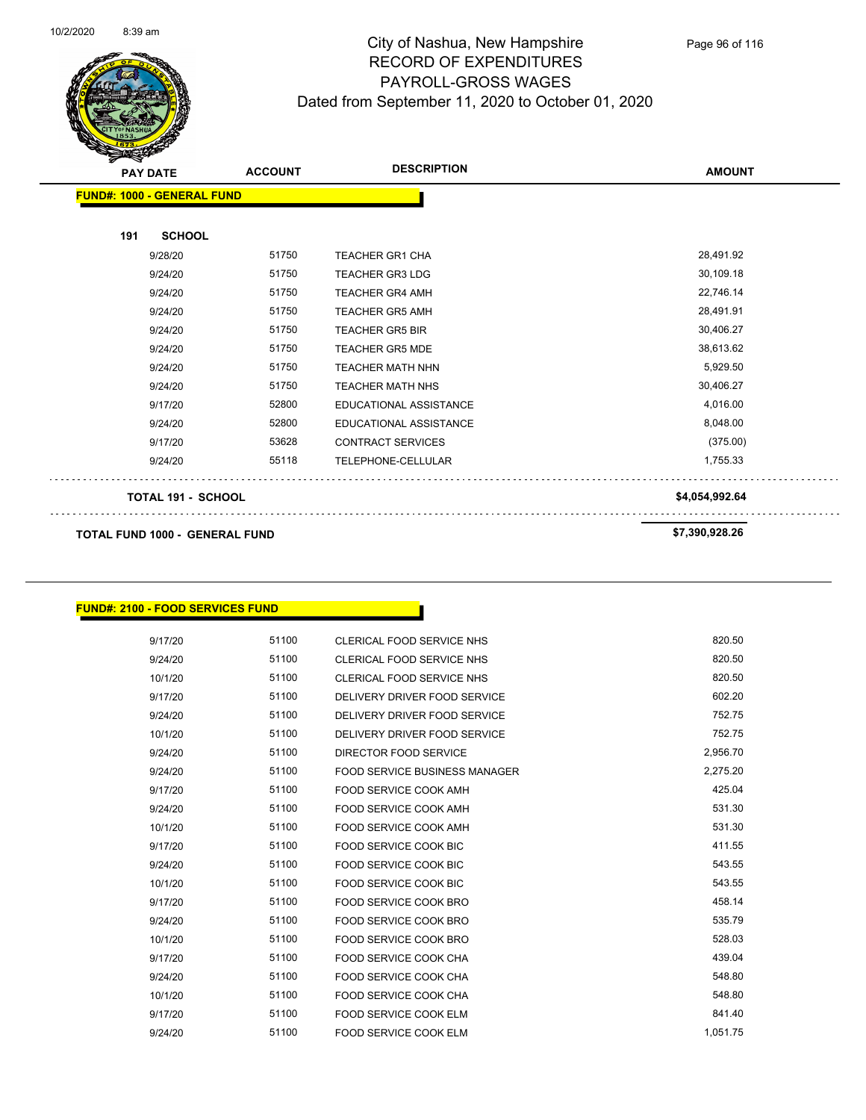

Page 96 of 116

| <b>PAY DATE</b>                       | <b>ACCOUNT</b> | <b>DESCRIPTION</b>       | <b>AMOUNT</b>  |
|---------------------------------------|----------------|--------------------------|----------------|
| <b>FUND#: 1000 - GENERAL FUND</b>     |                |                          |                |
| 191<br><b>SCHOOL</b>                  |                |                          |                |
| 9/28/20                               | 51750          | <b>TEACHER GR1 CHA</b>   | 28,491.92      |
| 9/24/20                               | 51750          | <b>TEACHER GR3 LDG</b>   | 30,109.18      |
| 9/24/20                               | 51750          | <b>TEACHER GR4 AMH</b>   | 22,746.14      |
| 9/24/20                               | 51750          | <b>TEACHER GR5 AMH</b>   | 28,491.91      |
| 9/24/20                               | 51750          | <b>TEACHER GR5 BIR</b>   | 30,406.27      |
| 9/24/20                               | 51750          | <b>TEACHER GR5 MDE</b>   | 38,613.62      |
| 9/24/20                               | 51750          | <b>TEACHER MATH NHN</b>  | 5,929.50       |
| 9/24/20                               | 51750          | <b>TEACHER MATH NHS</b>  | 30,406.27      |
| 9/17/20                               | 52800          | EDUCATIONAL ASSISTANCE   | 4,016.00       |
| 9/24/20                               | 52800          | EDUCATIONAL ASSISTANCE   | 8,048.00       |
| 9/17/20                               | 53628          | <b>CONTRACT SERVICES</b> | (375.00)       |
| 9/24/20                               | 55118          | TELEPHONE-CELLULAR       | 1,755.33       |
| <b>TOTAL 191 - SCHOOL</b>             |                |                          | \$4,054,992.64 |
| <b>TOTAL FUND 1000 - GENERAL FUND</b> |                | \$7,390,928.26           |                |

#### **FUND#: 2100 - FOOD SERVICES FUND**

| 9/17/20 | 51100 | CLERICAL FOOD SERVICE NHS            | 820.50   |
|---------|-------|--------------------------------------|----------|
| 9/24/20 | 51100 | CLERICAL FOOD SERVICE NHS            | 820.50   |
| 10/1/20 | 51100 | CLERICAL FOOD SERVICE NHS            | 820.50   |
| 9/17/20 | 51100 | DELIVERY DRIVER FOOD SERVICE         | 602.20   |
| 9/24/20 | 51100 | DELIVERY DRIVER FOOD SERVICE         | 752.75   |
| 10/1/20 | 51100 | DELIVERY DRIVER FOOD SERVICE         | 752.75   |
| 9/24/20 | 51100 | DIRECTOR FOOD SERVICE                | 2,956.70 |
| 9/24/20 | 51100 | <b>FOOD SERVICE BUSINESS MANAGER</b> | 2,275.20 |
| 9/17/20 | 51100 | FOOD SERVICE COOK AMH                | 425.04   |
| 9/24/20 | 51100 | FOOD SERVICE COOK AMH                | 531.30   |
| 10/1/20 | 51100 | FOOD SERVICE COOK AMH                | 531.30   |
| 9/17/20 | 51100 | <b>FOOD SERVICE COOK BIC</b>         | 411.55   |
| 9/24/20 | 51100 | FOOD SERVICE COOK BIC                | 543.55   |
| 10/1/20 | 51100 | <b>FOOD SERVICE COOK BIC</b>         | 543.55   |
| 9/17/20 | 51100 | FOOD SERVICE COOK BRO                | 458.14   |
| 9/24/20 | 51100 | FOOD SERVICE COOK BRO                | 535.79   |
| 10/1/20 | 51100 | FOOD SERVICE COOK BRO                | 528.03   |
| 9/17/20 | 51100 | FOOD SERVICE COOK CHA                | 439.04   |
| 9/24/20 | 51100 | <b>FOOD SERVICE COOK CHA</b>         | 548.80   |
| 10/1/20 | 51100 | FOOD SERVICE COOK CHA                | 548.80   |
| 9/17/20 | 51100 | <b>FOOD SERVICE COOK ELM</b>         | 841.40   |
| 9/24/20 | 51100 | FOOD SERVICE COOK ELM                | 1.051.75 |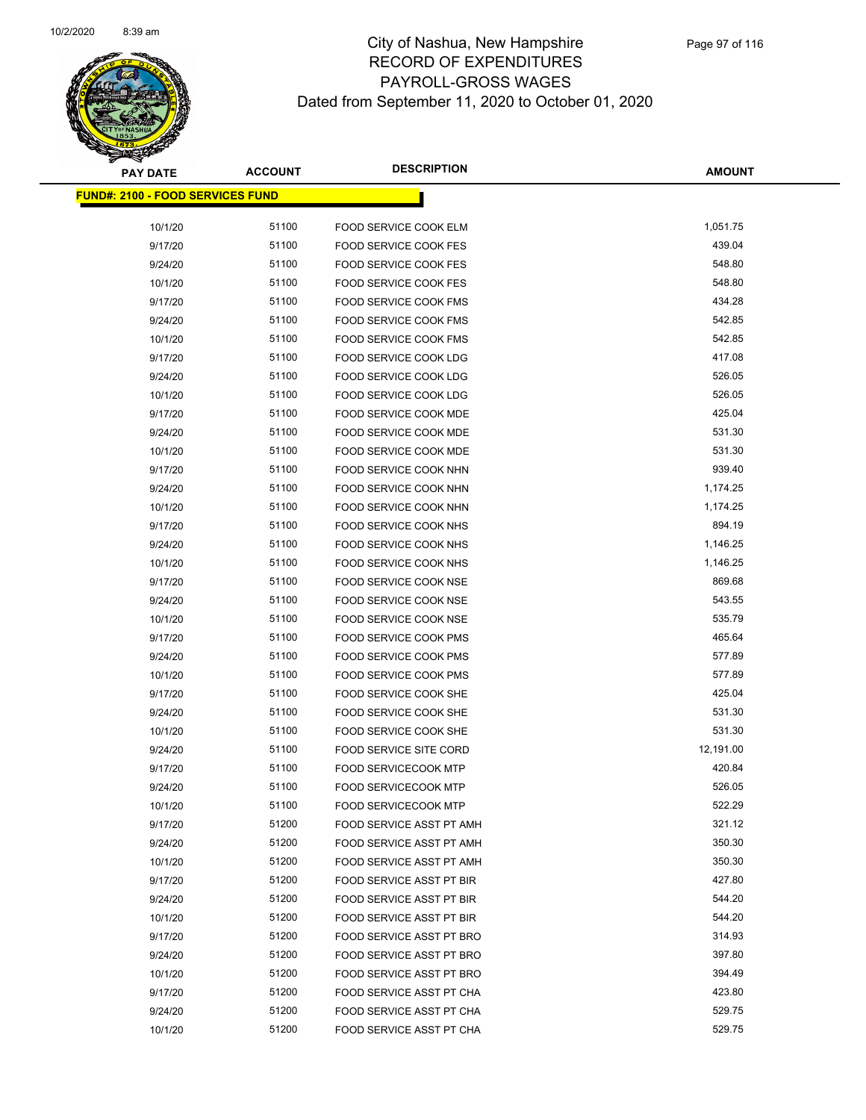

| <b>PAY DATE</b>                         | <b>ACCOUNT</b> | <b>DESCRIPTION</b>                             | <b>AMOUNT</b>    |
|-----------------------------------------|----------------|------------------------------------------------|------------------|
| <b>FUND#: 2100 - FOOD SERVICES FUND</b> |                |                                                |                  |
|                                         |                |                                                |                  |
| 10/1/20                                 | 51100          | FOOD SERVICE COOK ELM                          | 1,051.75         |
| 9/17/20                                 | 51100          | <b>FOOD SERVICE COOK FES</b>                   | 439.04           |
| 9/24/20                                 | 51100          | <b>FOOD SERVICE COOK FES</b>                   | 548.80           |
| 10/1/20                                 | 51100          | <b>FOOD SERVICE COOK FES</b>                   | 548.80           |
| 9/17/20                                 | 51100          | <b>FOOD SERVICE COOK FMS</b>                   | 434.28           |
| 9/24/20                                 | 51100          | <b>FOOD SERVICE COOK FMS</b>                   | 542.85           |
| 10/1/20                                 | 51100          | <b>FOOD SERVICE COOK FMS</b>                   | 542.85<br>417.08 |
| 9/17/20                                 | 51100<br>51100 | <b>FOOD SERVICE COOK LDG</b>                   | 526.05           |
| 9/24/20                                 | 51100          | <b>FOOD SERVICE COOK LDG</b>                   | 526.05           |
| 10/1/20                                 | 51100          | FOOD SERVICE COOK LDG                          | 425.04           |
| 9/17/20<br>9/24/20                      | 51100          | FOOD SERVICE COOK MDE<br>FOOD SERVICE COOK MDE | 531.30           |
|                                         | 51100          |                                                | 531.30           |
| 10/1/20<br>9/17/20                      | 51100          | FOOD SERVICE COOK MDE<br>FOOD SERVICE COOK NHN | 939.40           |
| 9/24/20                                 | 51100          | FOOD SERVICE COOK NHN                          | 1,174.25         |
| 10/1/20                                 | 51100          | FOOD SERVICE COOK NHN                          | 1,174.25         |
| 9/17/20                                 | 51100          | FOOD SERVICE COOK NHS                          | 894.19           |
| 9/24/20                                 | 51100          | FOOD SERVICE COOK NHS                          | 1,146.25         |
| 10/1/20                                 | 51100          | FOOD SERVICE COOK NHS                          | 1,146.25         |
| 9/17/20                                 | 51100          | <b>FOOD SERVICE COOK NSE</b>                   | 869.68           |
| 9/24/20                                 | 51100          | FOOD SERVICE COOK NSE                          | 543.55           |
| 10/1/20                                 | 51100          | FOOD SERVICE COOK NSE                          | 535.79           |
| 9/17/20                                 | 51100          | FOOD SERVICE COOK PMS                          | 465.64           |
| 9/24/20                                 | 51100          | FOOD SERVICE COOK PMS                          | 577.89           |
| 10/1/20                                 | 51100          | FOOD SERVICE COOK PMS                          | 577.89           |
| 9/17/20                                 | 51100          | FOOD SERVICE COOK SHE                          | 425.04           |
| 9/24/20                                 | 51100          | FOOD SERVICE COOK SHE                          | 531.30           |
| 10/1/20                                 | 51100          | FOOD SERVICE COOK SHE                          | 531.30           |
| 9/24/20                                 | 51100          | FOOD SERVICE SITE CORD                         | 12,191.00        |
| 9/17/20                                 | 51100          | <b>FOOD SERVICECOOK MTP</b>                    | 420.84           |
| 9/24/20                                 | 51100          | <b>FOOD SERVICECOOK MTP</b>                    | 526.05           |
| 10/1/20                                 | 51100          | <b>FOOD SERVICECOOK MTP</b>                    | 522.29           |
| 9/17/20                                 | 51200          | <b>FOOD SERVICE ASST PT AMH</b>                | 321.12           |
| 9/24/20                                 | 51200          | FOOD SERVICE ASST PT AMH                       | 350.30           |
| 10/1/20                                 | 51200          | FOOD SERVICE ASST PT AMH                       | 350.30           |
| 9/17/20                                 | 51200          | FOOD SERVICE ASST PT BIR                       | 427.80           |
| 9/24/20                                 | 51200          | FOOD SERVICE ASST PT BIR                       | 544.20           |
| 10/1/20                                 | 51200          | FOOD SERVICE ASST PT BIR                       | 544.20           |
| 9/17/20                                 | 51200          | FOOD SERVICE ASST PT BRO                       | 314.93           |
| 9/24/20                                 | 51200          | FOOD SERVICE ASST PT BRO                       | 397.80           |
| 10/1/20                                 | 51200          | FOOD SERVICE ASST PT BRO                       | 394.49           |
| 9/17/20                                 | 51200          | FOOD SERVICE ASST PT CHA                       | 423.80           |
| 9/24/20                                 | 51200          | FOOD SERVICE ASST PT CHA                       | 529.75           |
| 10/1/20                                 | 51200          | FOOD SERVICE ASST PT CHA                       | 529.75           |
|                                         |                |                                                |                  |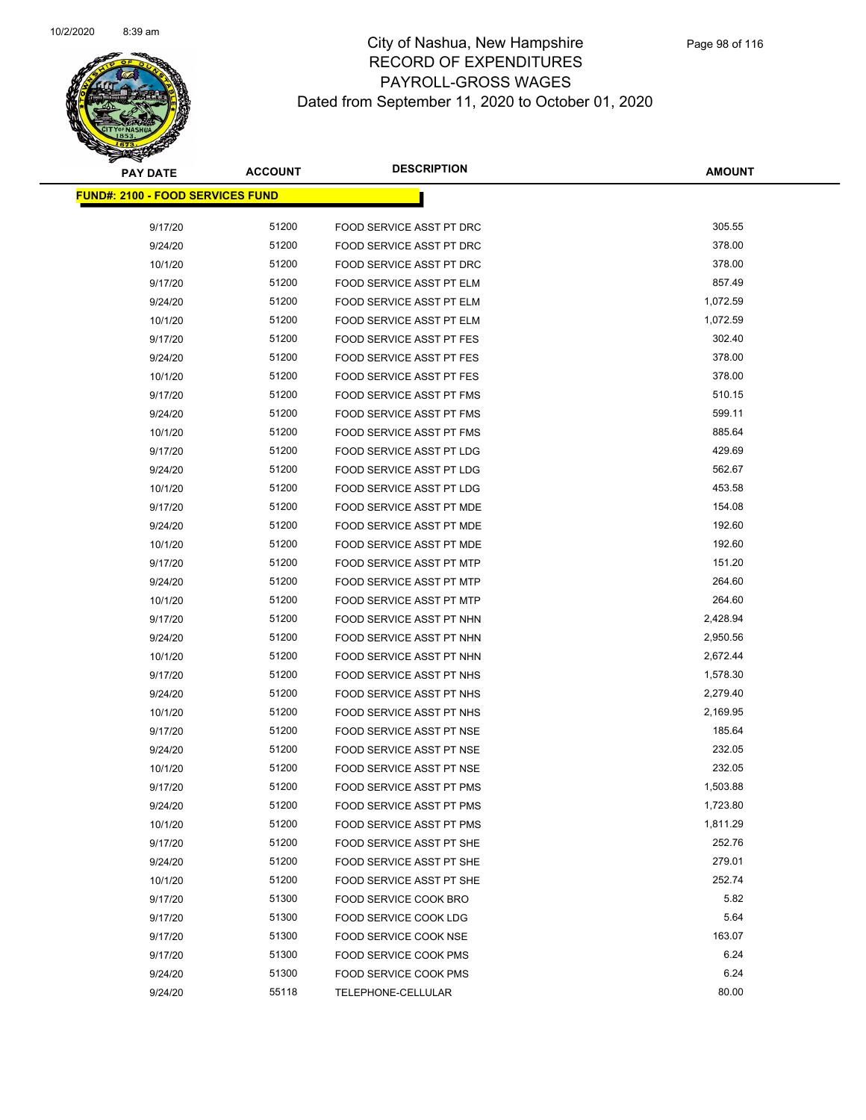

| <b>PAY DATE</b>                         | <b>ACCOUNT</b> | <b>DESCRIPTION</b>              | <b>AMOUNT</b>    |
|-----------------------------------------|----------------|---------------------------------|------------------|
| <b>FUND#: 2100 - FOOD SERVICES FUND</b> |                |                                 |                  |
|                                         |                |                                 |                  |
| 9/17/20                                 | 51200          | FOOD SERVICE ASST PT DRC        | 305.55           |
| 9/24/20                                 | 51200          | FOOD SERVICE ASST PT DRC        | 378.00           |
| 10/1/20                                 | 51200          | FOOD SERVICE ASST PT DRC        | 378.00<br>857.49 |
| 9/17/20                                 | 51200          | FOOD SERVICE ASST PT ELM        |                  |
| 9/24/20                                 | 51200          | FOOD SERVICE ASST PT ELM        | 1,072.59         |
| 10/1/20                                 | 51200          | FOOD SERVICE ASST PT ELM        | 1,072.59         |
| 9/17/20                                 | 51200          | <b>FOOD SERVICE ASST PT FES</b> | 302.40           |
| 9/24/20                                 | 51200          | <b>FOOD SERVICE ASST PT FES</b> | 378.00           |
| 10/1/20                                 | 51200          | FOOD SERVICE ASST PT FES        | 378.00           |
| 9/17/20                                 | 51200          | FOOD SERVICE ASST PT FMS        | 510.15           |
| 9/24/20                                 | 51200          | FOOD SERVICE ASST PT FMS        | 599.11           |
| 10/1/20                                 | 51200          | FOOD SERVICE ASST PT FMS        | 885.64           |
| 9/17/20                                 | 51200          | FOOD SERVICE ASST PT LDG        | 429.69           |
| 9/24/20                                 | 51200          | FOOD SERVICE ASST PT LDG        | 562.67           |
| 10/1/20                                 | 51200          | FOOD SERVICE ASST PT LDG        | 453.58           |
| 9/17/20                                 | 51200          | <b>FOOD SERVICE ASST PT MDE</b> | 154.08           |
| 9/24/20                                 | 51200          | FOOD SERVICE ASST PT MDE        | 192.60           |
| 10/1/20                                 | 51200          | FOOD SERVICE ASST PT MDE        | 192.60           |
| 9/17/20                                 | 51200          | FOOD SERVICE ASST PT MTP        | 151.20           |
| 9/24/20                                 | 51200          | FOOD SERVICE ASST PT MTP        | 264.60           |
| 10/1/20                                 | 51200          | FOOD SERVICE ASST PT MTP        | 264.60           |
| 9/17/20                                 | 51200          | FOOD SERVICE ASST PT NHN        | 2,428.94         |
| 9/24/20                                 | 51200          | FOOD SERVICE ASST PT NHN        | 2,950.56         |
| 10/1/20                                 | 51200          | FOOD SERVICE ASST PT NHN        | 2,672.44         |
| 9/17/20                                 | 51200          | FOOD SERVICE ASST PT NHS        | 1,578.30         |
| 9/24/20                                 | 51200          | FOOD SERVICE ASST PT NHS        | 2,279.40         |
| 10/1/20                                 | 51200          | FOOD SERVICE ASST PT NHS        | 2,169.95         |
| 9/17/20                                 | 51200          | FOOD SERVICE ASST PT NSE        | 185.64           |
| 9/24/20                                 | 51200          | FOOD SERVICE ASST PT NSE        | 232.05           |
| 10/1/20                                 | 51200          | FOOD SERVICE ASST PT NSE        | 232.05           |
| 9/17/20                                 | 51200          | FOOD SERVICE ASST PT PMS        | 1,503.88         |
| 9/24/20                                 | 51200          | FOOD SERVICE ASST PT PMS        | 1,723.80         |
| 10/1/20                                 | 51200          | FOOD SERVICE ASST PT PMS        | 1,811.29         |
| 9/17/20                                 | 51200          | FOOD SERVICE ASST PT SHE        | 252.76           |
| 9/24/20                                 | 51200          | FOOD SERVICE ASST PT SHE        | 279.01           |
| 10/1/20                                 | 51200          | FOOD SERVICE ASST PT SHE        | 252.74           |
| 9/17/20                                 | 51300          | FOOD SERVICE COOK BRO           | 5.82             |
| 9/17/20                                 | 51300          | FOOD SERVICE COOK LDG           | 5.64             |
| 9/17/20                                 | 51300          | FOOD SERVICE COOK NSE           | 163.07           |
| 9/17/20                                 | 51300          | FOOD SERVICE COOK PMS           | 6.24             |
| 9/24/20                                 | 51300          | FOOD SERVICE COOK PMS           | 6.24             |
| 9/24/20                                 | 55118          | TELEPHONE-CELLULAR              | 80.00            |
|                                         |                |                                 |                  |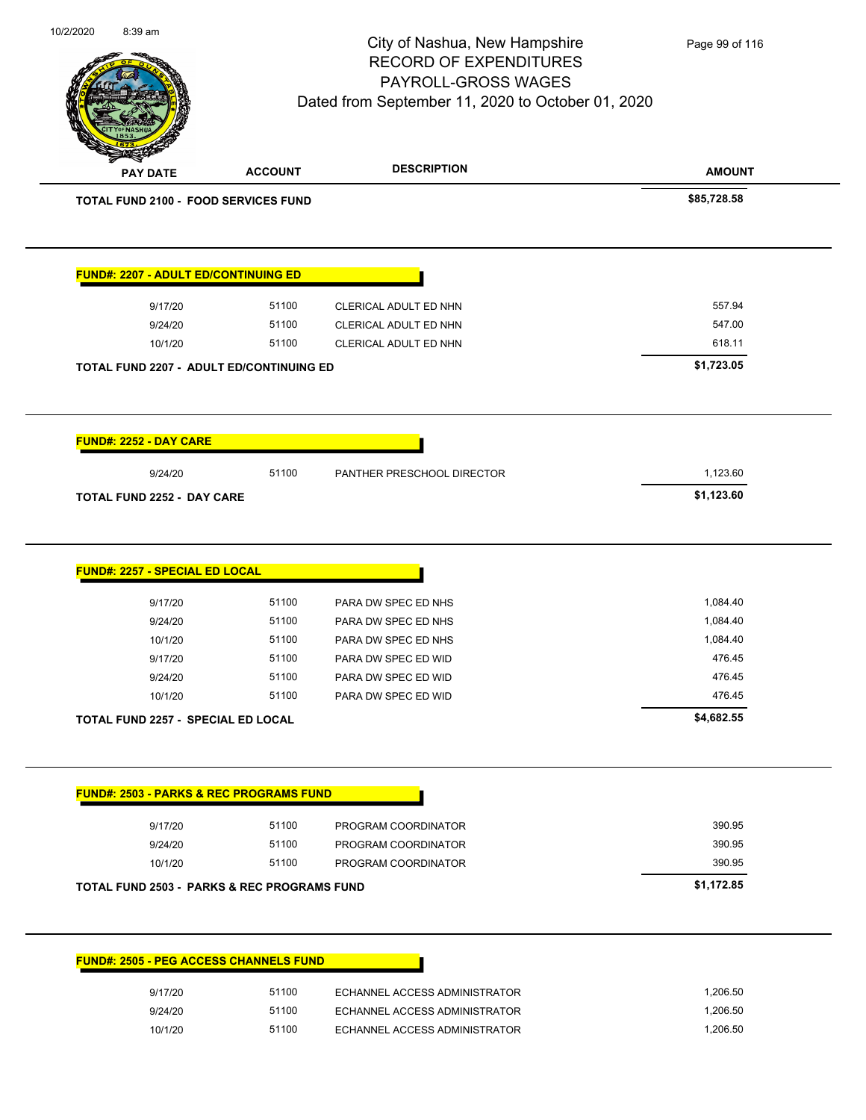| 10/2/2020<br>8:39 am                                   |                                          | City of Nashua, New Hampshire<br><b>RECORD OF EXPENDITURES</b><br>PAYROLL-GROSS WAGES<br>Dated from September 11, 2020 to October 01, 2020 | Page 99 of 116 |
|--------------------------------------------------------|------------------------------------------|--------------------------------------------------------------------------------------------------------------------------------------------|----------------|
| <b>PAY DATE</b>                                        | <b>ACCOUNT</b>                           | <b>DESCRIPTION</b>                                                                                                                         | <b>AMOUNT</b>  |
| <b>TOTAL FUND 2100 - FOOD SERVICES FUND</b>            |                                          |                                                                                                                                            | \$85,728.58    |
| <b>FUND#: 2207 - ADULT ED/CONTINUING ED</b>            |                                          |                                                                                                                                            |                |
| 9/17/20                                                | 51100                                    | CLERICAL ADULT ED NHN                                                                                                                      | 557.94         |
| 9/24/20                                                | 51100                                    | CLERICAL ADULT ED NHN                                                                                                                      | 547.00         |
| 10/1/20                                                | 51100                                    | CLERICAL ADULT ED NHN                                                                                                                      | 618.11         |
|                                                        | TOTAL FUND 2207 - ADULT ED/CONTINUING ED |                                                                                                                                            | \$1,723.05     |
| FUND#: 2252 - DAY CARE                                 |                                          |                                                                                                                                            |                |
| 9/24/20                                                | 51100                                    | PANTHER PRESCHOOL DIRECTOR                                                                                                                 | 1,123.60       |
| TOTAL FUND 2252 - DAY CARE                             |                                          |                                                                                                                                            | \$1,123.60     |
| <b>FUND#: 2257 - SPECIAL ED LOCAL</b><br>9/17/20       | 51100                                    | PARA DW SPEC ED NHS                                                                                                                        | 1,084.40       |
| 9/24/20                                                | 51100                                    | PARA DW SPEC ED NHS                                                                                                                        | 1,084.40       |
| 10/1/20                                                | 51100                                    | PARA DW SPEC ED NHS                                                                                                                        | 1,084.40       |
| 9/17/20                                                | 51100                                    | PARA DW SPEC ED WID                                                                                                                        | 476.45         |
| 9/24/20                                                | 51100                                    | PARA DW SPEC ED WID                                                                                                                        | 476.45         |
| 10/1/20                                                | 51100                                    | PARA DW SPEC ED WID                                                                                                                        | 476.45         |
| <b>TOTAL FUND 2257 - SPECIAL ED LOCAL</b>              |                                          |                                                                                                                                            | \$4,682.55     |
| <b>FUND#: 2503 - PARKS &amp; REC PROGRAMS FUND</b>     |                                          |                                                                                                                                            |                |
| 9/17/20                                                | 51100                                    | PROGRAM COORDINATOR                                                                                                                        | 390.95         |
| 9/24/20                                                | 51100                                    | PROGRAM COORDINATOR                                                                                                                        | 390.95         |
| 10/1/20                                                | 51100                                    | PROGRAM COORDINATOR                                                                                                                        | 390.95         |
| <b>TOTAL FUND 2503 - PARKS &amp; REC PROGRAMS FUND</b> |                                          |                                                                                                                                            | \$1,172.85     |
|                                                        |                                          |                                                                                                                                            |                |
| <b>FUND#: 2505 - PEG ACCESS CHANNELS FUND</b>          |                                          |                                                                                                                                            |                |
| 9/17/20                                                | 51100                                    | ECHANNEL ACCESS ADMINISTRATOR                                                                                                              | 1,206.50       |
| 9/24/20                                                | 51100                                    | ECHANNEL ACCESS ADMINISTRATOR                                                                                                              | 1,206.50       |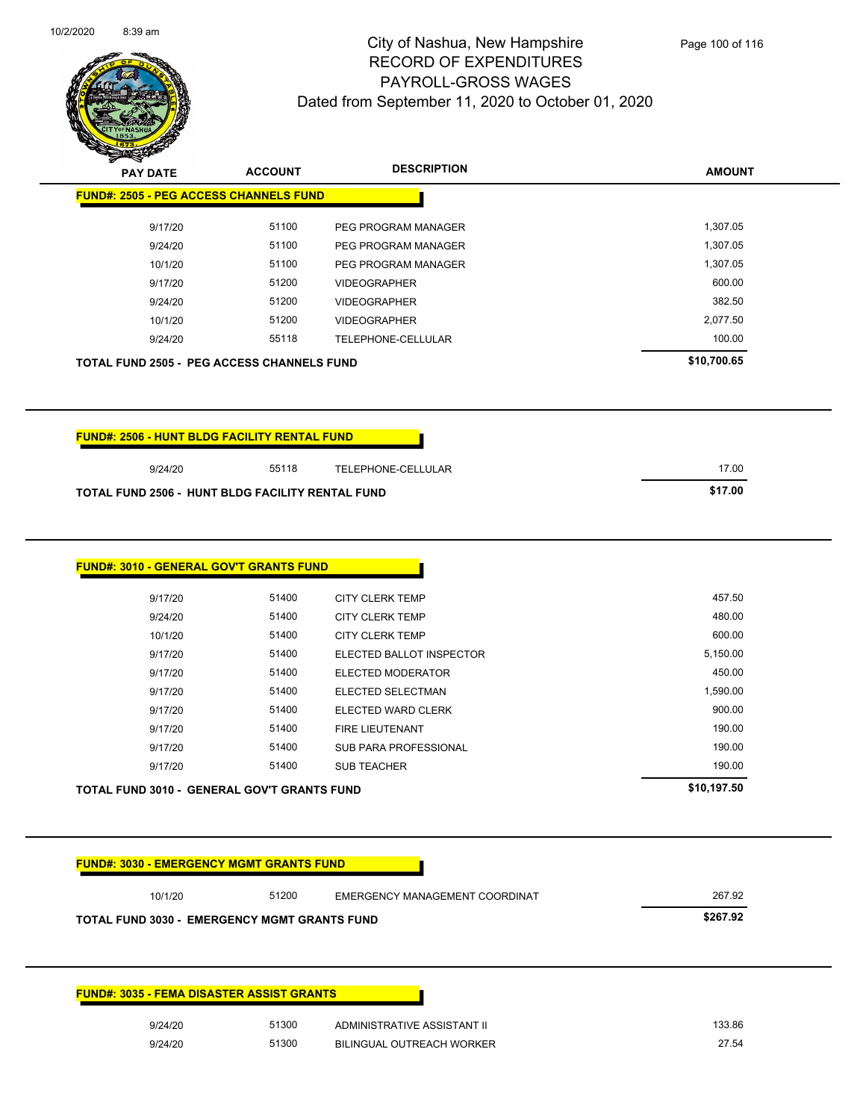

|                                                                                                           | <b>FUND#: 2505 - PEG ACCESS CHANNELS FUND</b> |                                                  |                  |
|-----------------------------------------------------------------------------------------------------------|-----------------------------------------------|--------------------------------------------------|------------------|
| 9/17/20                                                                                                   | 51100                                         | PEG PROGRAM MANAGER                              | 1,307.05         |
| 9/24/20                                                                                                   | 51100                                         | PEG PROGRAM MANAGER                              | 1,307.05         |
| 10/1/20                                                                                                   | 51100                                         | PEG PROGRAM MANAGER                              | 1,307.05         |
| 9/17/20                                                                                                   | 51200                                         | <b>VIDEOGRAPHER</b>                              | 600.00           |
| 9/24/20                                                                                                   | 51200                                         | <b>VIDEOGRAPHER</b>                              | 382.50           |
| 10/1/20                                                                                                   | 51200                                         | <b>VIDEOGRAPHER</b>                              | 2,077.50         |
| 9/24/20                                                                                                   | 55118                                         | TELEPHONE-CELLULAR                               | 100.00           |
| <b>TOTAL FUND 2505 - PEG ACCESS CHANNELS FUND</b>                                                         |                                               |                                                  | \$10,700.65      |
|                                                                                                           |                                               |                                                  |                  |
|                                                                                                           |                                               |                                                  |                  |
|                                                                                                           |                                               |                                                  |                  |
| <b>FUND#: 2506 - HUNT BLDG FACILITY RENTAL FUND</b><br>9/24/20                                            | 55118                                         | <b>TELEPHONE-CELLULAR</b>                        | 17.00            |
|                                                                                                           |                                               |                                                  | \$17.00          |
| <b>TOTAL FUND 2506 - HUNT BLDG FACILITY RENTAL FUND</b><br><b>FUND#: 3010 - GENERAL GOV'T GRANTS FUND</b> |                                               |                                                  |                  |
|                                                                                                           | 51400                                         |                                                  | 457.50           |
| 9/17/20<br>9/24/20                                                                                        | 51400                                         | <b>CITY CLERK TEMP</b><br><b>CITY CLERK TEMP</b> |                  |
| 10/1/20                                                                                                   | 51400                                         | <b>CITY CLERK TEMP</b>                           | 480.00<br>600.00 |
| 9/17/20                                                                                                   | 51400                                         | ELECTED BALLOT INSPECTOR                         | 5,150.00         |
| 9/17/20                                                                                                   | 51400                                         | ELECTED MODERATOR                                | 450.00           |
| 9/17/20                                                                                                   | 51400                                         | ELECTED SELECTMAN                                | 1,590.00         |
| 9/17/20                                                                                                   | 51400                                         | ELECTED WARD CLERK                               | 900.00           |
| 9/17/20                                                                                                   | 51400                                         | FIRE LIEUTENANT                                  | 190.00           |
| 9/17/20                                                                                                   | 51400                                         | <b>SUB PARA PROFESSIONAL</b>                     | 190.00           |
| 9/17/20                                                                                                   | 51400                                         | <b>SUB TEACHER</b>                               | 190.00           |

| 10/1/20                                             | 51200 | EMERGENCY MANAGEMENT COORDINAT | 267.92   |
|-----------------------------------------------------|-------|--------------------------------|----------|
| <b>TOTAL FUND 3030 - EMERGENCY MGMT GRANTS FUND</b> |       |                                | \$267.92 |
|                                                     |       |                                |          |
|                                                     |       |                                |          |
|                                                     |       |                                |          |
|                                                     |       |                                |          |
|                                                     |       |                                |          |
| <b>FUND#: 3035 - FEMA DISASTER ASSIST GRANTS</b>    |       |                                |          |
| 9/24/20                                             | 51300 | ADMINISTRATIVE ASSISTANT II    | 133.86   |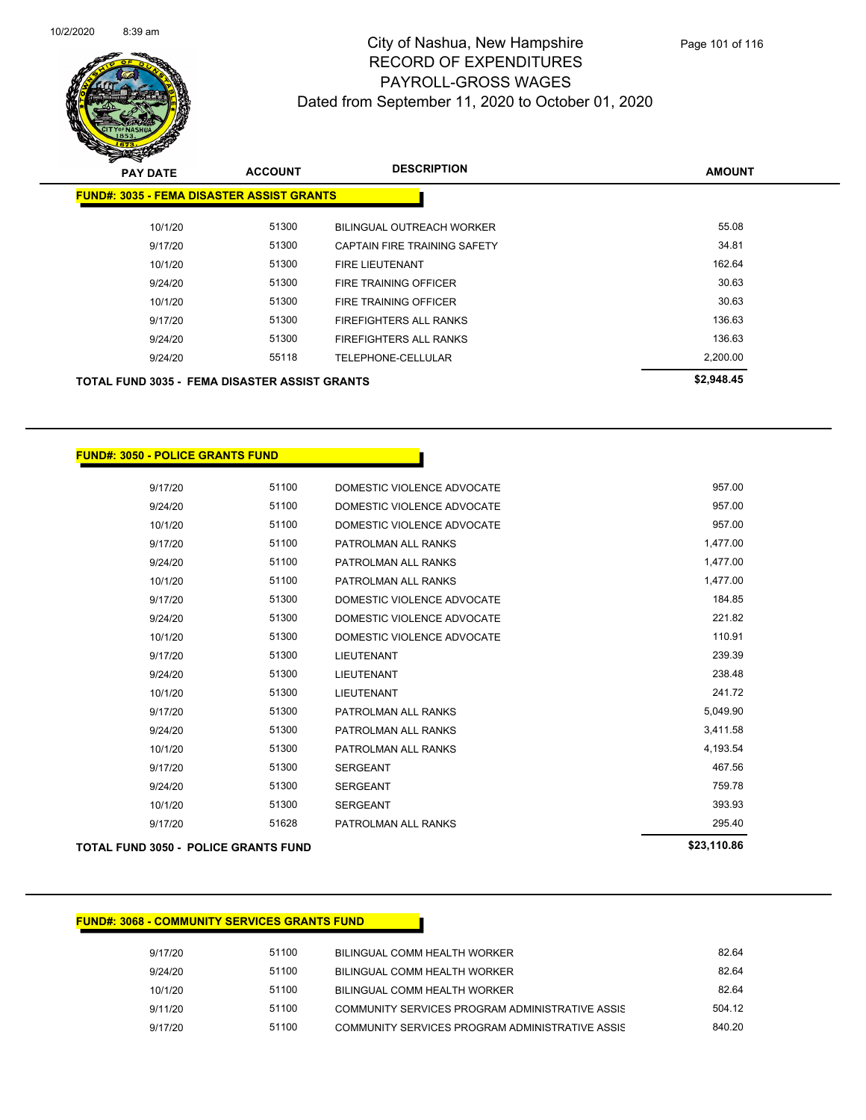

| <b>PAY DATE</b>                                      | <b>ACCOUNT</b> | <b>DESCRIPTION</b>           | <b>AMOUNT</b> |
|------------------------------------------------------|----------------|------------------------------|---------------|
| <b>FUND#: 3035 - FEMA DISASTER ASSIST GRANTS</b>     |                |                              |               |
| 10/1/20                                              | 51300          | BILINGUAL OUTREACH WORKER    | 55.08         |
| 9/17/20                                              | 51300          | CAPTAIN FIRE TRAINING SAFETY | 34.81         |
| 10/1/20                                              | 51300          | <b>FIRE LIEUTENANT</b>       | 162.64        |
| 9/24/20                                              | 51300          | <b>FIRE TRAINING OFFICER</b> | 30.63         |
| 10/1/20                                              | 51300          | FIRE TRAINING OFFICER        | 30.63         |
| 9/17/20                                              | 51300          | FIREFIGHTERS ALL RANKS       | 136.63        |
| 9/24/20                                              | 51300          | FIREFIGHTERS ALL RANKS       | 136.63        |
| 9/24/20                                              | 55118          | TELEPHONE-CELLULAR           | 2,200.00      |
| <b>TOTAL FUND 3035 - FEMA DISASTER ASSIST GRANTS</b> |                |                              | \$2,948.45    |

#### **FUND#: 3050 - POLICE GRANTS FUND**

| 9/17/20 | 51100 | DOMESTIC VIOLENCE ADVOCATE | 957.00   |
|---------|-------|----------------------------|----------|
| 9/24/20 | 51100 | DOMESTIC VIOLENCE ADVOCATE | 957.00   |
| 10/1/20 | 51100 | DOMESTIC VIOLENCE ADVOCATE | 957.00   |
| 9/17/20 | 51100 | PATROLMAN ALL RANKS        | 1,477.00 |
| 9/24/20 | 51100 | PATROLMAN ALL RANKS        | 1,477.00 |
| 10/1/20 | 51100 | PATROLMAN ALL RANKS        | 1,477.00 |
| 9/17/20 | 51300 | DOMESTIC VIOLENCE ADVOCATE | 184.85   |
| 9/24/20 | 51300 | DOMESTIC VIOLENCE ADVOCATE | 221.82   |
| 10/1/20 | 51300 | DOMESTIC VIOLENCE ADVOCATE | 110.91   |
| 9/17/20 | 51300 | <b>LIEUTENANT</b>          | 239.39   |
| 9/24/20 | 51300 | <b>LIEUTENANT</b>          | 238.48   |
| 10/1/20 | 51300 | <b>LIEUTENANT</b>          | 241.72   |
| 9/17/20 | 51300 | PATROLMAN ALL RANKS        | 5,049.90 |
| 9/24/20 | 51300 | PATROLMAN ALL RANKS        | 3,411.58 |
| 10/1/20 | 51300 | PATROLMAN ALL RANKS        | 4.193.54 |
| 9/17/20 | 51300 | <b>SERGEANT</b>            | 467.56   |
| 9/24/20 | 51300 | <b>SERGEANT</b>            | 759.78   |
| 10/1/20 | 51300 | <b>SERGEANT</b>            | 393.93   |
| 9/17/20 | 51628 | PATROLMAN ALL RANKS        | 295.40   |
|         |       |                            |          |

#### **TOTAL FUND 3050 - POLICE GRANTS FUND \$23,110.86**

#### **FUND#: 3068 - COMMUNITY SERVICES GRANTS FUND**

| 9/17/20 | 51100 | BILINGUAL COMM HEALTH WORKER                    | 82.64  |
|---------|-------|-------------------------------------------------|--------|
| 9/24/20 | 51100 | BILINGUAL COMM HEALTH WORKER                    | 82.64  |
| 10/1/20 | 51100 | BILINGUAL COMM HEALTH WORKER                    | 82.64  |
| 9/11/20 | 51100 | COMMUNITY SERVICES PROGRAM ADMINISTRATIVE ASSIS | 504 12 |
| 9/17/20 | 51100 | COMMUNITY SERVICES PROGRAM ADMINISTRATIVE ASSIS | 840.20 |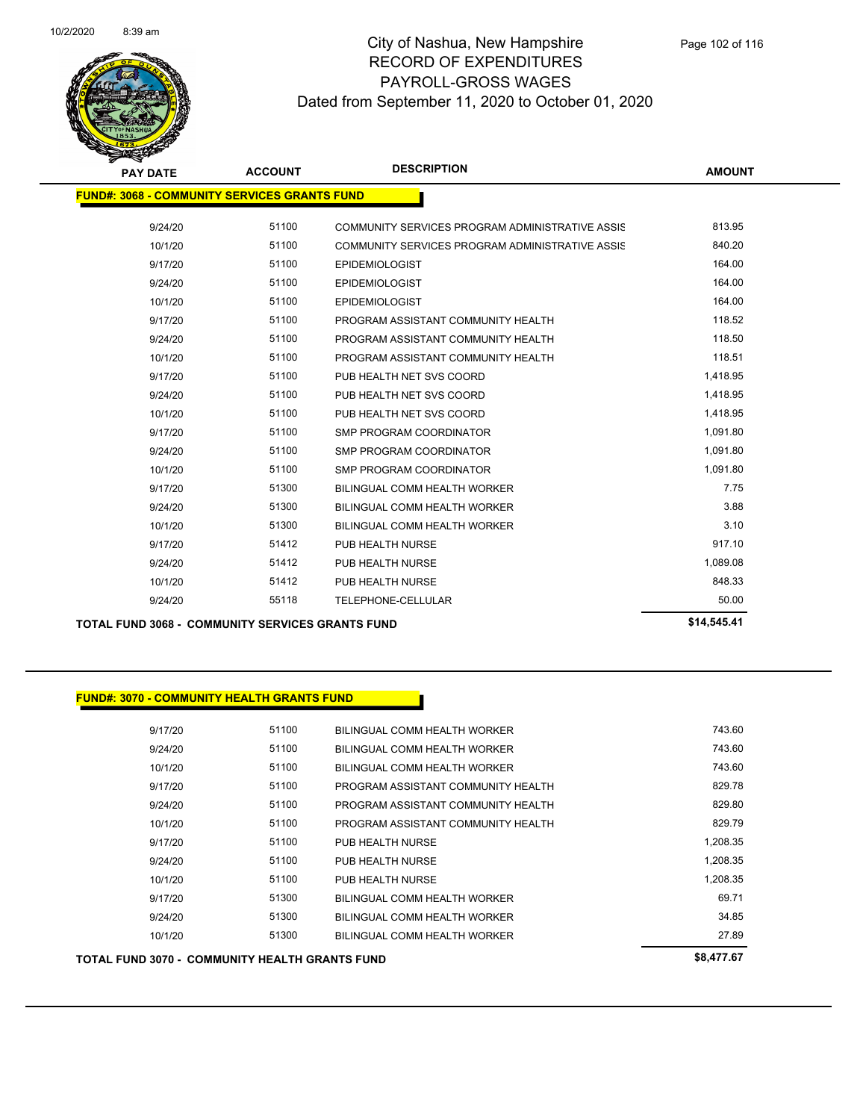

| <b>PAY DATE</b>                                     | <b>ACCOUNT</b> | <b>DESCRIPTION</b>                              | <b>AMOUNT</b> |
|-----------------------------------------------------|----------------|-------------------------------------------------|---------------|
| <b>FUND#: 3068 - COMMUNITY SERVICES GRANTS FUND</b> |                |                                                 |               |
| 9/24/20                                             | 51100          | COMMUNITY SERVICES PROGRAM ADMINISTRATIVE ASSIS | 813.95        |
| 10/1/20                                             | 51100          | COMMUNITY SERVICES PROGRAM ADMINISTRATIVE ASSIS | 840.20        |
| 9/17/20                                             | 51100          | <b>EPIDEMIOLOGIST</b>                           | 164.00        |
| 9/24/20                                             | 51100          | <b>EPIDEMIOLOGIST</b>                           | 164.00        |
| 10/1/20                                             | 51100          | <b>EPIDEMIOLOGIST</b>                           | 164.00        |
| 9/17/20                                             | 51100          | PROGRAM ASSISTANT COMMUNITY HEALTH              | 118.52        |
| 9/24/20                                             | 51100          | PROGRAM ASSISTANT COMMUNITY HEALTH              | 118.50        |
| 10/1/20                                             | 51100          | PROGRAM ASSISTANT COMMUNITY HEALTH              | 118.51        |
| 9/17/20                                             | 51100          | PUB HEALTH NET SVS COORD                        | 1,418.95      |
| 9/24/20                                             | 51100          | PUB HEALTH NET SVS COORD                        | 1,418.95      |
| 10/1/20                                             | 51100          | PUB HEALTH NET SVS COORD                        | 1,418.95      |
| 9/17/20                                             | 51100          | <b>SMP PROGRAM COORDINATOR</b>                  | 1,091.80      |
| 9/24/20                                             | 51100          | <b>SMP PROGRAM COORDINATOR</b>                  | 1,091.80      |
| 10/1/20                                             | 51100          | SMP PROGRAM COORDINATOR                         | 1,091.80      |
| 9/17/20                                             | 51300          | BILINGUAL COMM HEALTH WORKER                    | 7.75          |
| 9/24/20                                             | 51300          | BILINGUAL COMM HEALTH WORKER                    | 3.88          |
| 10/1/20                                             | 51300          | BILINGUAL COMM HEALTH WORKER                    | 3.10          |
| 9/17/20                                             | 51412          | PUB HEALTH NURSE                                | 917.10        |
| 9/24/20                                             | 51412          | PUB HEALTH NURSE                                | 1,089.08      |
| 10/1/20                                             | 51412          | PUB HEALTH NURSE                                | 848.33        |
| 9/24/20                                             | 55118          | TELEPHONE-CELLULAR                              | 50.00         |
|                                                     |                |                                                 | CAA EAE AA    |

**TOTAL FUND 3068 - COMMUNITY SERVICES GRANTS FUND \$14,545.41** 

| <b>TOTAL FUND 3070 - COMMUNITY HEALTH GRANTS FUND</b> |       |                                    | \$8,477.67 |
|-------------------------------------------------------|-------|------------------------------------|------------|
| 10/1/20                                               | 51300 | BILINGUAL COMM HEALTH WORKER       | 27.89      |
| 9/24/20                                               | 51300 | BILINGUAL COMM HEALTH WORKER       | 34.85      |
| 9/17/20                                               | 51300 | BILINGUAL COMM HEALTH WORKER       | 69.71      |
| 10/1/20                                               | 51100 | PUB HEALTH NURSE                   | 1,208.35   |
| 9/24/20                                               | 51100 | PUB HEALTH NURSE                   | 1,208.35   |
| 9/17/20                                               | 51100 | PUB HEALTH NURSE                   | 1,208.35   |
| 10/1/20                                               | 51100 | PROGRAM ASSISTANT COMMUNITY HEALTH | 829.79     |
| 9/24/20                                               | 51100 | PROGRAM ASSISTANT COMMUNITY HEALTH | 829.80     |
| 9/17/20                                               | 51100 | PROGRAM ASSISTANT COMMUNITY HEALTH | 829.78     |
| 10/1/20                                               | 51100 | BILINGUAL COMM HEALTH WORKER       | 743.60     |
| 9/24/20                                               | 51100 | BILINGUAL COMM HEALTH WORKER       | 743.60     |
| 9/17/20                                               | 51100 | BILINGUAL COMM HEALTH WORKER       | 743.60     |
|                                                       |       |                                    |            |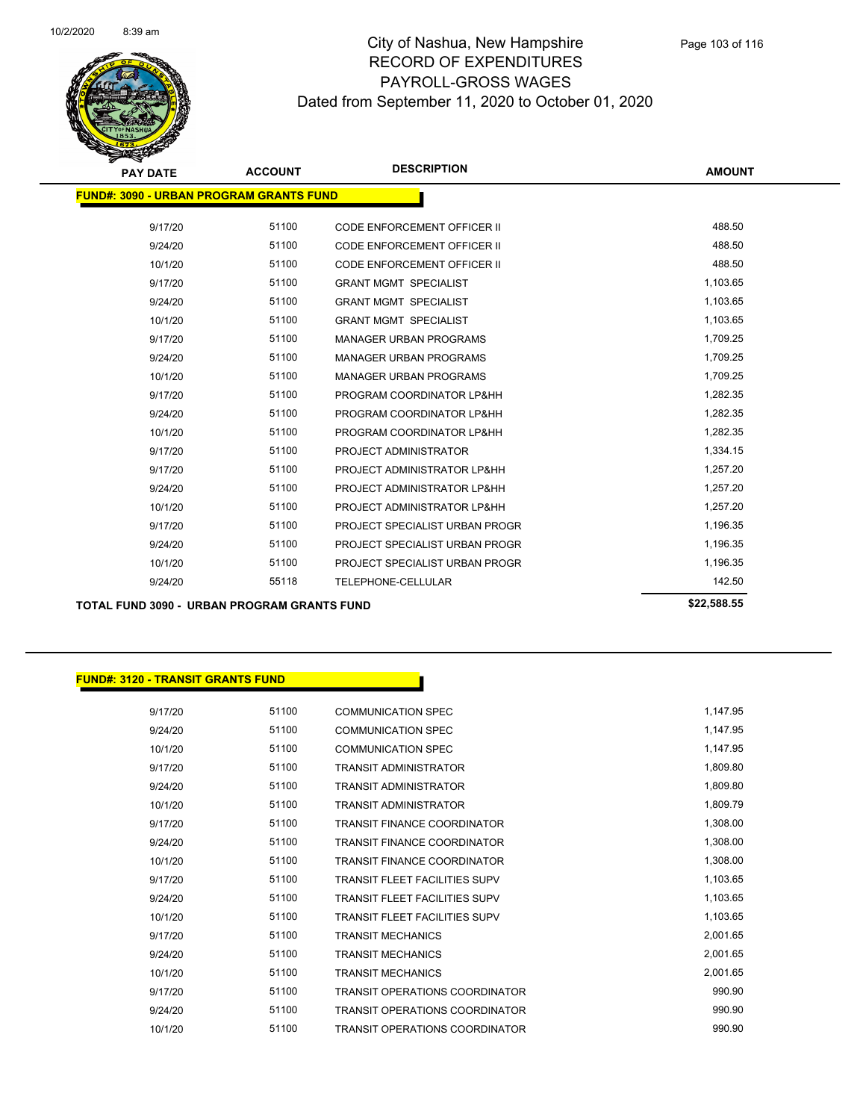

| <b>PAY DATE</b>                                | <b>ACCOUNT</b> | <b>DESCRIPTION</b>                 | <b>AMOUNT</b> |
|------------------------------------------------|----------------|------------------------------------|---------------|
| <b>FUND#: 3090 - URBAN PROGRAM GRANTS FUND</b> |                |                                    |               |
| 9/17/20                                        | 51100          | <b>CODE ENFORCEMENT OFFICER II</b> | 488.50        |
| 9/24/20                                        | 51100          | <b>CODE ENFORCEMENT OFFICER II</b> | 488.50        |
| 10/1/20                                        | 51100          | <b>CODE ENFORCEMENT OFFICER II</b> | 488.50        |
| 9/17/20                                        | 51100          | <b>GRANT MGMT SPECIALIST</b>       | 1,103.65      |
| 9/24/20                                        | 51100          | <b>GRANT MGMT SPECIALIST</b>       | 1,103.65      |
| 10/1/20                                        | 51100          | <b>GRANT MGMT SPECIALIST</b>       | 1,103.65      |
| 9/17/20                                        | 51100          | <b>MANAGER URBAN PROGRAMS</b>      | 1,709.25      |
| 9/24/20                                        | 51100          | <b>MANAGER URBAN PROGRAMS</b>      | 1,709.25      |
| 10/1/20                                        | 51100          | <b>MANAGER URBAN PROGRAMS</b>      | 1,709.25      |
| 9/17/20                                        | 51100          | PROGRAM COORDINATOR LP&HH          | 1,282.35      |
| 9/24/20                                        | 51100          | PROGRAM COORDINATOR LP&HH          | 1,282.35      |
| 10/1/20                                        | 51100          | PROGRAM COORDINATOR LP&HH          | 1,282.35      |
| 9/17/20                                        | 51100          | PROJECT ADMINISTRATOR              | 1,334.15      |
| 9/17/20                                        | 51100          | PROJECT ADMINISTRATOR LP&HH        | 1,257.20      |
| 9/24/20                                        | 51100          | PROJECT ADMINISTRATOR LP&HH        | 1,257.20      |
| 10/1/20                                        | 51100          | PROJECT ADMINISTRATOR LP&HH        | 1,257.20      |
| 9/17/20                                        | 51100          | PROJECT SPECIALIST URBAN PROGR     | 1,196.35      |
| 9/24/20                                        | 51100          | PROJECT SPECIALIST URBAN PROGR     | 1,196.35      |
| 10/1/20                                        | 51100          | PROJECT SPECIALIST URBAN PROGR     | 1,196.35      |
| 9/24/20                                        | 55118          | TELEPHONE-CELLULAR                 | 142.50        |
|                                                |                |                                    |               |

**TOTAL FUND 3090 - URBAN PROGRAM GRANTS FUND \$22,588.55** 

#### **FUND#: 3120 - TRANSIT GRANTS FUND**

| 9/17/20 | 51100 | <b>COMMUNICATION SPEC</b>             | 1,147.95 |
|---------|-------|---------------------------------------|----------|
| 9/24/20 | 51100 | <b>COMMUNICATION SPEC</b>             | 1,147.95 |
| 10/1/20 | 51100 | <b>COMMUNICATION SPEC</b>             | 1,147.95 |
| 9/17/20 | 51100 | <b>TRANSIT ADMINISTRATOR</b>          | 1,809.80 |
| 9/24/20 | 51100 | <b>TRANSIT ADMINISTRATOR</b>          | 1,809.80 |
| 10/1/20 | 51100 | <b>TRANSIT ADMINISTRATOR</b>          | 1,809.79 |
| 9/17/20 | 51100 | <b>TRANSIT FINANCE COORDINATOR</b>    | 1,308.00 |
| 9/24/20 | 51100 | <b>TRANSIT FINANCE COORDINATOR</b>    | 1,308.00 |
| 10/1/20 | 51100 | <b>TRANSIT FINANCE COORDINATOR</b>    | 1,308.00 |
| 9/17/20 | 51100 | <b>TRANSIT FLEET FACILITIES SUPV</b>  | 1,103.65 |
| 9/24/20 | 51100 | <b>TRANSIT FLEET FACILITIES SUPV</b>  | 1,103.65 |
| 10/1/20 | 51100 | <b>TRANSIT FLEET FACILITIES SUPV</b>  | 1,103.65 |
| 9/17/20 | 51100 | <b>TRANSIT MECHANICS</b>              | 2,001.65 |
| 9/24/20 | 51100 | <b>TRANSIT MECHANICS</b>              | 2,001.65 |
| 10/1/20 | 51100 | <b>TRANSIT MECHANICS</b>              | 2,001.65 |
| 9/17/20 | 51100 | <b>TRANSIT OPERATIONS COORDINATOR</b> | 990.90   |
| 9/24/20 | 51100 | <b>TRANSIT OPERATIONS COORDINATOR</b> | 990.90   |
| 10/1/20 | 51100 | <b>TRANSIT OPERATIONS COORDINATOR</b> | 990.90   |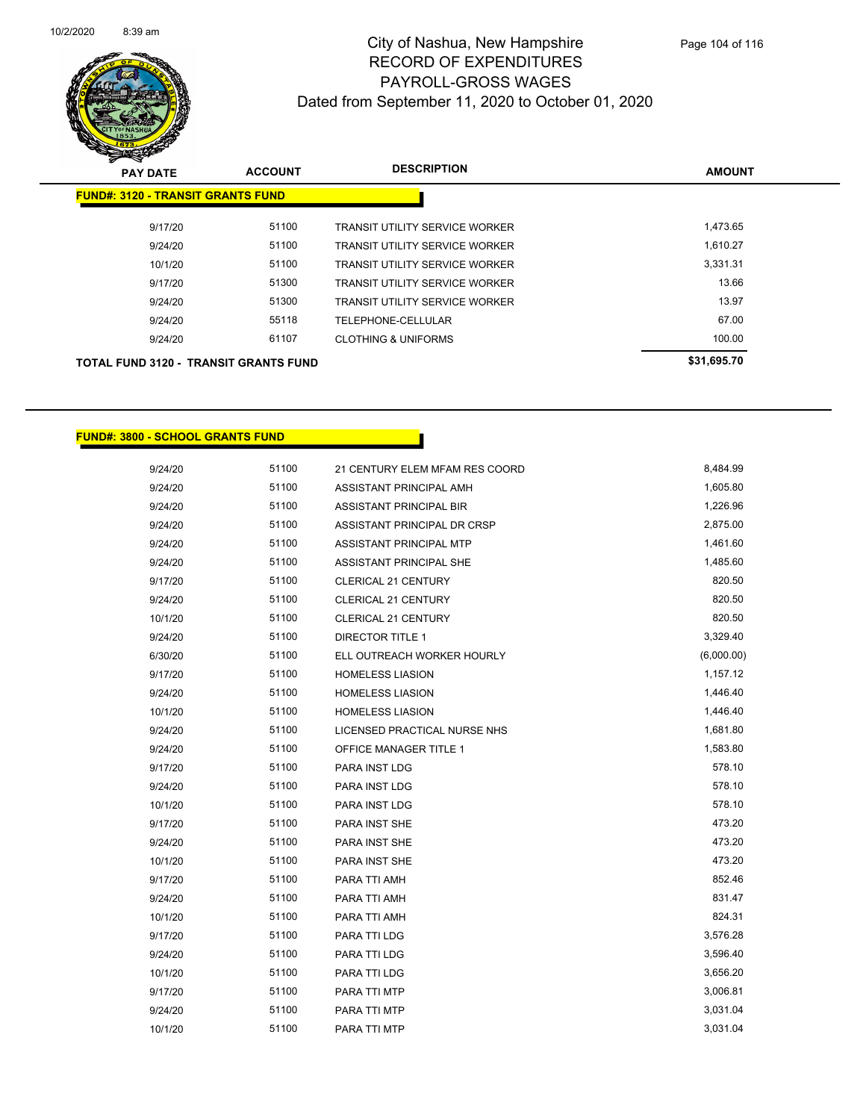

| <b>PAY DATE</b>                              | <b>ACCOUNT</b> | <b>DESCRIPTION</b>                    | <b>AMOUNT</b> |
|----------------------------------------------|----------------|---------------------------------------|---------------|
| <b>FUND#: 3120 - TRANSIT GRANTS FUND</b>     |                |                                       |               |
| 9/17/20                                      | 51100          | TRANSIT UTILITY SERVICE WORKER        | 1,473.65      |
| 9/24/20                                      | 51100          | <b>TRANSIT UTILITY SERVICE WORKER</b> | 1,610.27      |
| 10/1/20                                      | 51100          | <b>TRANSIT UTILITY SERVICE WORKER</b> | 3,331.31      |
| 9/17/20                                      | 51300          | <b>TRANSIT UTILITY SERVICE WORKER</b> | 13.66         |
| 9/24/20                                      | 51300          | <b>TRANSIT UTILITY SERVICE WORKER</b> | 13.97         |
| 9/24/20                                      | 55118          | TELEPHONE-CELLULAR                    | 67.00         |
| 9/24/20                                      | 61107          | <b>CLOTHING &amp; UNIFORMS</b>        | 100.00        |
| <b>TOTAL FUND 3120 - TRANSIT GRANTS FUND</b> |                |                                       | \$31,695.70   |

**FUND#: 3800 - SCHOOL GRANTS FUND**

| 9/24/20 | 51100 | 21 CENTURY ELEM MFAM RES COORD | 8,484.99   |
|---------|-------|--------------------------------|------------|
| 9/24/20 | 51100 | ASSISTANT PRINCIPAL AMH        | 1,605.80   |
| 9/24/20 | 51100 | <b>ASSISTANT PRINCIPAL BIR</b> | 1,226.96   |
| 9/24/20 | 51100 | ASSISTANT PRINCIPAL DR CRSP    | 2,875.00   |
| 9/24/20 | 51100 | ASSISTANT PRINCIPAL MTP        | 1,461.60   |
| 9/24/20 | 51100 | ASSISTANT PRINCIPAL SHE        | 1,485.60   |
| 9/17/20 | 51100 | CLERICAL 21 CENTURY            | 820.50     |
| 9/24/20 | 51100 | <b>CLERICAL 21 CENTURY</b>     | 820.50     |
| 10/1/20 | 51100 | CLERICAL 21 CENTURY            | 820.50     |
| 9/24/20 | 51100 | <b>DIRECTOR TITLE 1</b>        | 3,329.40   |
| 6/30/20 | 51100 | ELL OUTREACH WORKER HOURLY     | (6,000.00) |
| 9/17/20 | 51100 | <b>HOMELESS LIASION</b>        | 1,157.12   |
| 9/24/20 | 51100 | <b>HOMELESS LIASION</b>        | 1,446.40   |
| 10/1/20 | 51100 | <b>HOMELESS LIASION</b>        | 1,446.40   |
| 9/24/20 | 51100 | LICENSED PRACTICAL NURSE NHS   | 1,681.80   |
| 9/24/20 | 51100 | <b>OFFICE MANAGER TITLE 1</b>  | 1,583.80   |
| 9/17/20 | 51100 | PARA INST LDG                  | 578.10     |
| 9/24/20 | 51100 | PARA INST LDG                  | 578.10     |
| 10/1/20 | 51100 | PARA INST LDG                  | 578.10     |
| 9/17/20 | 51100 | PARA INST SHE                  | 473.20     |
| 9/24/20 | 51100 | <b>PARA INST SHE</b>           | 473.20     |
| 10/1/20 | 51100 | <b>PARA INST SHE</b>           | 473.20     |
| 9/17/20 | 51100 | PARA TTI AMH                   | 852.46     |
| 9/24/20 | 51100 | PARA TTI AMH                   | 831.47     |
| 10/1/20 | 51100 | PARA TTI AMH                   | 824.31     |
| 9/17/20 | 51100 | PARA TTI LDG                   | 3,576.28   |
| 9/24/20 | 51100 | PARA TTI LDG                   | 3,596.40   |
| 10/1/20 | 51100 | PARA TTI LDG                   | 3,656.20   |
| 9/17/20 | 51100 | PARA TTI MTP                   | 3,006.81   |
| 9/24/20 | 51100 | PARA TTI MTP                   | 3,031.04   |
| 10/1/20 | 51100 | PARA TTI MTP                   | 3,031.04   |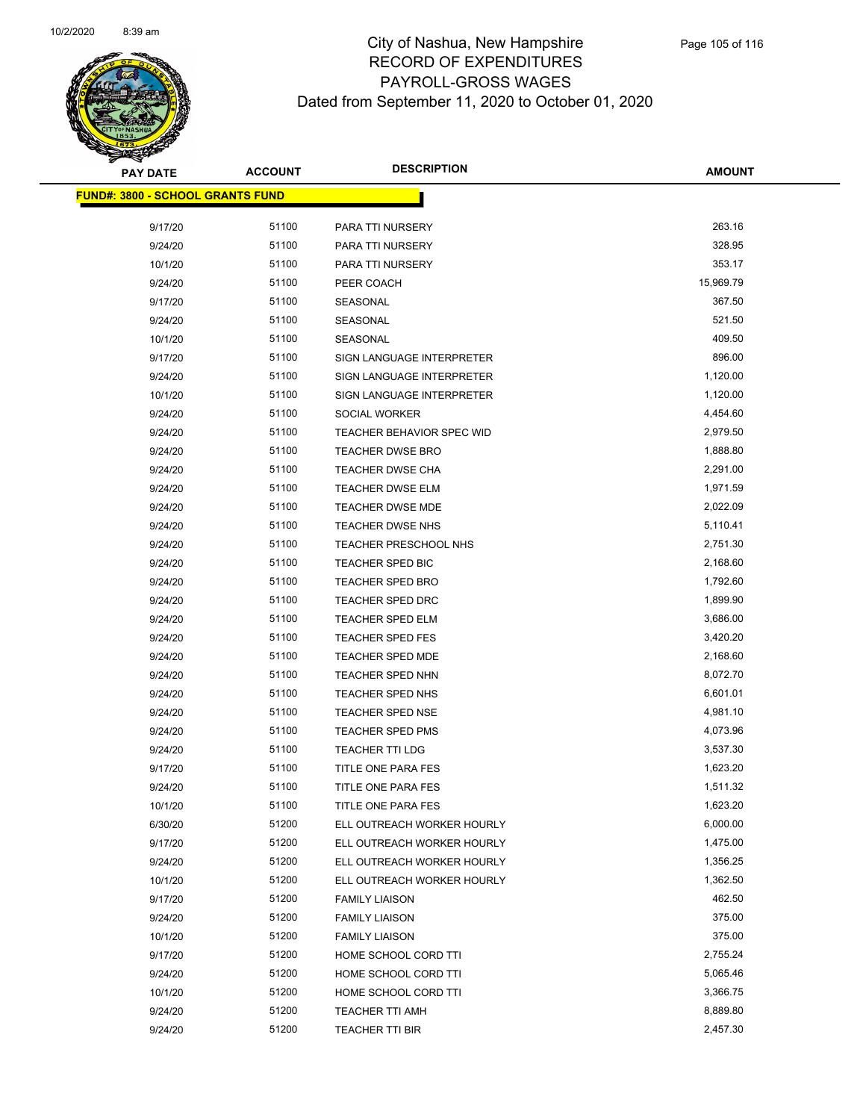

| <b>PAY DATE</b>                  | <b>ACCOUNT</b> | <b>DESCRIPTION</b>               | <b>AMOUNT</b> |
|----------------------------------|----------------|----------------------------------|---------------|
| FUND#: 3800 - SCHOOL GRANTS FUND |                |                                  |               |
| 9/17/20                          | 51100          | PARA TTI NURSERY                 | 263.16        |
| 9/24/20                          | 51100          | PARA TTI NURSERY                 | 328.95        |
| 10/1/20                          | 51100          | PARA TTI NURSERY                 | 353.17        |
| 9/24/20                          | 51100          | PEER COACH                       | 15,969.79     |
| 9/17/20                          | 51100          | SEASONAL                         | 367.50        |
| 9/24/20                          | 51100          | SEASONAL                         | 521.50        |
| 10/1/20                          | 51100          | SEASONAL                         | 409.50        |
| 9/17/20                          | 51100          | SIGN LANGUAGE INTERPRETER        | 896.00        |
| 9/24/20                          | 51100          | SIGN LANGUAGE INTERPRETER        | 1,120.00      |
| 10/1/20                          | 51100          | SIGN LANGUAGE INTERPRETER        | 1,120.00      |
| 9/24/20                          | 51100          | SOCIAL WORKER                    | 4,454.60      |
| 9/24/20                          | 51100          | <b>TEACHER BEHAVIOR SPEC WID</b> | 2,979.50      |
| 9/24/20                          | 51100          | <b>TEACHER DWSE BRO</b>          | 1,888.80      |
| 9/24/20                          | 51100          | TEACHER DWSE CHA                 | 2,291.00      |
| 9/24/20                          | 51100          | TEACHER DWSE ELM                 | 1,971.59      |
| 9/24/20                          | 51100          | TEACHER DWSE MDE                 | 2,022.09      |
| 9/24/20                          | 51100          | <b>TEACHER DWSE NHS</b>          | 5,110.41      |
| 9/24/20                          | 51100          | TEACHER PRESCHOOL NHS            | 2,751.30      |
| 9/24/20                          | 51100          | TEACHER SPED BIC                 | 2,168.60      |
| 9/24/20                          | 51100          | <b>TEACHER SPED BRO</b>          | 1,792.60      |
| 9/24/20                          | 51100          | <b>TEACHER SPED DRC</b>          | 1,899.90      |
| 9/24/20                          | 51100          | <b>TEACHER SPED ELM</b>          | 3,686.00      |
| 9/24/20                          | 51100          | TEACHER SPED FES                 | 3,420.20      |
| 9/24/20                          | 51100          | <b>TEACHER SPED MDE</b>          | 2,168.60      |
| 9/24/20                          | 51100          | TEACHER SPED NHN                 | 8,072.70      |
| 9/24/20                          | 51100          | <b>TEACHER SPED NHS</b>          | 6,601.01      |
| 9/24/20                          | 51100          | <b>TEACHER SPED NSE</b>          | 4,981.10      |
| 9/24/20                          | 51100          | TEACHER SPED PMS                 | 4,073.96      |
| 9/24/20                          | 51100          | <b>TEACHER TTI LDG</b>           | 3,537.30      |
| 9/17/20                          | 51100          | TITLE ONE PARA FES               | 1,623.20      |
| 9/24/20                          | 51100          | <b>TITLE ONE PARA FES</b>        | 1,511.32      |
| 10/1/20                          | 51100          | TITLE ONE PARA FES               | 1,623.20      |
| 6/30/20                          | 51200          | ELL OUTREACH WORKER HOURLY       | 6,000.00      |
| 9/17/20                          | 51200          | ELL OUTREACH WORKER HOURLY       | 1,475.00      |
| 9/24/20                          | 51200          | ELL OUTREACH WORKER HOURLY       | 1,356.25      |
| 10/1/20                          | 51200          | ELL OUTREACH WORKER HOURLY       | 1,362.50      |
| 9/17/20                          | 51200          | <b>FAMILY LIAISON</b>            | 462.50        |
| 9/24/20                          | 51200          | <b>FAMILY LIAISON</b>            | 375.00        |
| 10/1/20                          | 51200          | <b>FAMILY LIAISON</b>            | 375.00        |
| 9/17/20                          | 51200          | HOME SCHOOL CORD TTI             | 2,755.24      |
| 9/24/20                          | 51200          | HOME SCHOOL CORD TTI             | 5,065.46      |
| 10/1/20                          | 51200          | HOME SCHOOL CORD TTI             | 3,366.75      |
| 9/24/20                          | 51200          | TEACHER TTI AMH                  | 8,889.80      |
| 9/24/20                          | 51200          | TEACHER TTI BIR                  | 2,457.30      |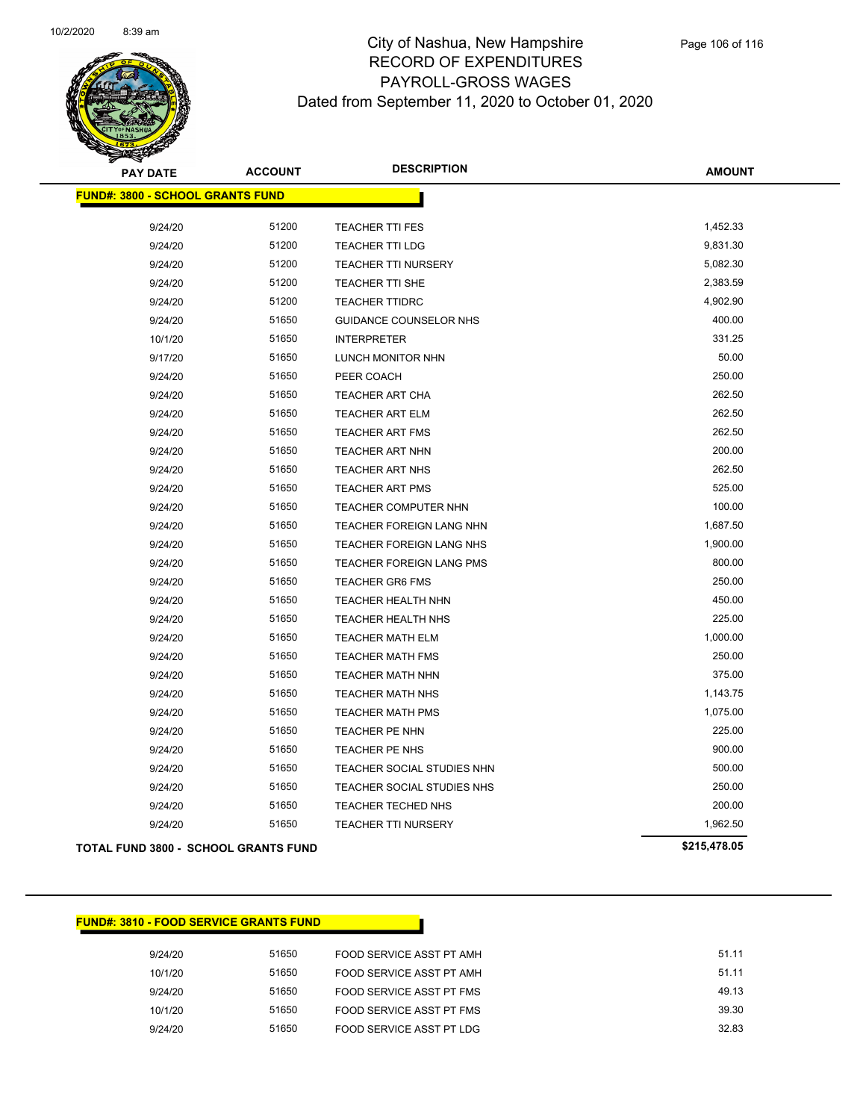

| <b>PAY DATE</b>                             | <b>ACCOUNT</b> | <b>DESCRIPTION</b>              | <b>AMOUNT</b> |
|---------------------------------------------|----------------|---------------------------------|---------------|
| <b>FUND#: 3800 - SCHOOL GRANTS FUND</b>     |                |                                 |               |
|                                             |                |                                 |               |
| 9/24/20                                     | 51200          | <b>TEACHER TTI FES</b>          | 1,452.33      |
| 9/24/20                                     | 51200          | <b>TEACHER TTI LDG</b>          | 9,831.30      |
| 9/24/20                                     | 51200          | <b>TEACHER TTI NURSERY</b>      | 5,082.30      |
| 9/24/20                                     | 51200          | <b>TEACHER TTI SHE</b>          | 2,383.59      |
| 9/24/20                                     | 51200          | <b>TEACHER TTIDRC</b>           | 4,902.90      |
| 9/24/20                                     | 51650          | GUIDANCE COUNSELOR NHS          | 400.00        |
| 10/1/20                                     | 51650          | <b>INTERPRETER</b>              | 331.25        |
| 9/17/20                                     | 51650          | LUNCH MONITOR NHN               | 50.00         |
| 9/24/20                                     | 51650          | PEER COACH                      | 250.00        |
| 9/24/20                                     | 51650          | <b>TEACHER ART CHA</b>          | 262.50        |
| 9/24/20                                     | 51650          | <b>TEACHER ART ELM</b>          | 262.50        |
| 9/24/20                                     | 51650          | <b>TEACHER ART FMS</b>          | 262.50        |
| 9/24/20                                     | 51650          | <b>TEACHER ART NHN</b>          | 200.00        |
| 9/24/20                                     | 51650          | <b>TEACHER ART NHS</b>          | 262.50        |
| 9/24/20                                     | 51650          | <b>TEACHER ART PMS</b>          | 525.00        |
| 9/24/20                                     | 51650          | TEACHER COMPUTER NHN            | 100.00        |
| 9/24/20                                     | 51650          | TEACHER FOREIGN LANG NHN        | 1,687.50      |
| 9/24/20                                     | 51650          | TEACHER FOREIGN LANG NHS        | 1,900.00      |
| 9/24/20                                     | 51650          | <b>TEACHER FOREIGN LANG PMS</b> | 800.00        |
| 9/24/20                                     | 51650          | TEACHER GR6 FMS                 | 250.00        |
| 9/24/20                                     | 51650          | TEACHER HEALTH NHN              | 450.00        |
| 9/24/20                                     | 51650          | TEACHER HEALTH NHS              | 225.00        |
| 9/24/20                                     | 51650          | <b>TEACHER MATH ELM</b>         | 1,000.00      |
| 9/24/20                                     | 51650          | <b>TEACHER MATH FMS</b>         | 250.00        |
| 9/24/20                                     | 51650          | <b>TEACHER MATH NHN</b>         | 375.00        |
| 9/24/20                                     | 51650          | <b>TEACHER MATH NHS</b>         | 1,143.75      |
| 9/24/20                                     | 51650          | TEACHER MATH PMS                | 1,075.00      |
| 9/24/20                                     | 51650          | TEACHER PE NHN                  | 225.00        |
| 9/24/20                                     | 51650          | TEACHER PE NHS                  | 900.00        |
| 9/24/20                                     | 51650          | TEACHER SOCIAL STUDIES NHN      | 500.00        |
| 9/24/20                                     | 51650          | TEACHER SOCIAL STUDIES NHS      | 250.00        |
| 9/24/20                                     | 51650          | TEACHER TECHED NHS              | 200.00        |
| 9/24/20                                     | 51650          | <b>TEACHER TTI NURSERY</b>      | 1,962.50      |
| <b>TOTAL FUND 3800 - SCHOOL GRANTS FUND</b> |                |                                 | \$215,478.05  |

| <b>FUND#: 3810 - FOOD SERVICE GRANTS FUND</b> |
|-----------------------------------------------|
|-----------------------------------------------|

| 9/24/20 | 51650 | FOOD SERVICE ASST PT AMH | 51.11 |
|---------|-------|--------------------------|-------|
| 10/1/20 | 51650 | FOOD SERVICE ASST PT AMH | 51.11 |
| 9/24/20 | 51650 | FOOD SERVICE ASST PT FMS | 49.13 |
| 10/1/20 | 51650 | FOOD SERVICE ASST PT FMS | 39.30 |
| 9/24/20 | 51650 | FOOD SERVICE ASST PT LDG | 32.83 |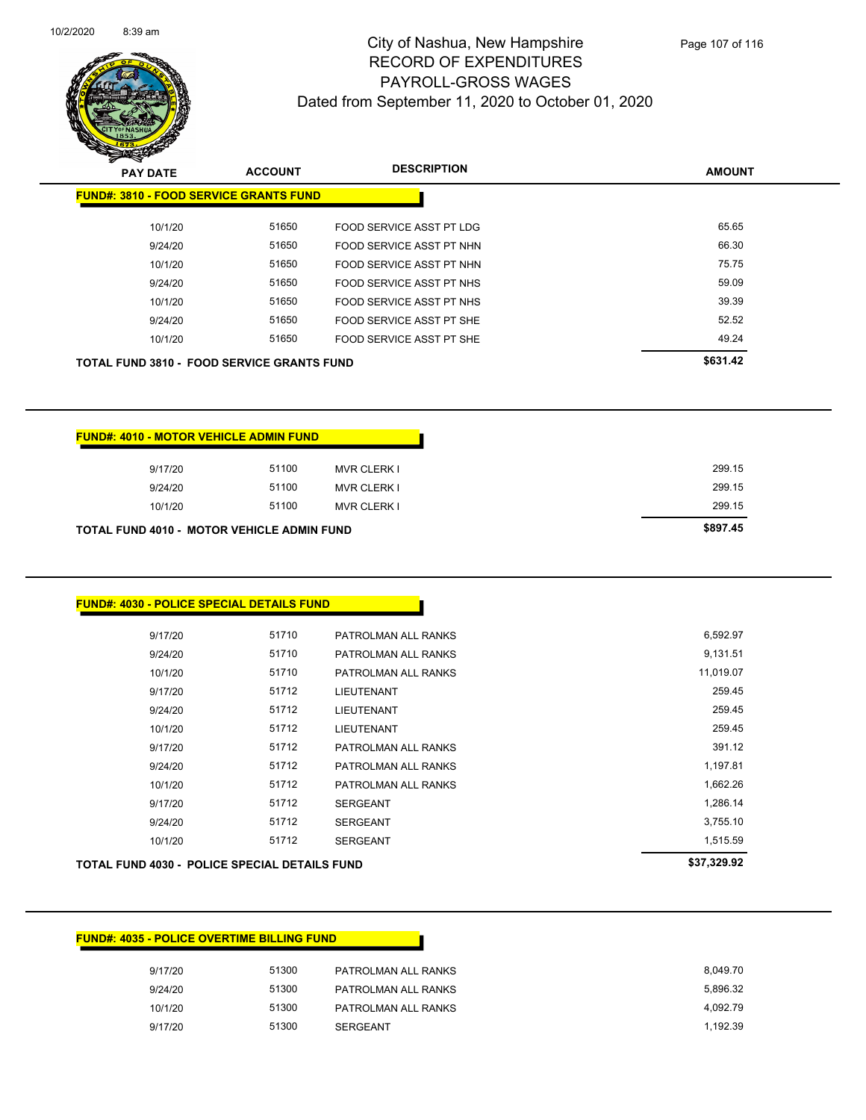

| <b>PAY DATE</b>                                   | <b>ACCOUNT</b> | <b>DESCRIPTION</b>       | <b>AMOUNT</b> |
|---------------------------------------------------|----------------|--------------------------|---------------|
| <b>FUND#: 3810 - FOOD SERVICE GRANTS FUND</b>     |                |                          |               |
| 10/1/20                                           | 51650          | FOOD SERVICE ASST PT LDG | 65.65         |
| 9/24/20                                           | 51650          | FOOD SERVICE ASST PT NHN | 66.30         |
| 10/1/20                                           | 51650          | FOOD SERVICE ASST PT NHN | 75.75         |
| 9/24/20                                           | 51650          | FOOD SERVICE ASST PT NHS | 59.09         |
| 10/1/20                                           | 51650          | FOOD SERVICE ASST PT NHS | 39.39         |
| 9/24/20                                           | 51650          | FOOD SERVICE ASST PT SHE | 52.52         |
| 10/1/20                                           | 51650          | FOOD SERVICE ASST PT SHE | 49.24         |
| <b>TOTAL FUND 3810 - FOOD SERVICE GRANTS FUND</b> |                |                          | \$631.42      |

| <b>FUND#: 4010 - MOTOR VEHICLE ADMIN FUND</b>     |       |                    |
|---------------------------------------------------|-------|--------------------|
| 9/17/20                                           | 51100 | <b>MVR CLERK I</b> |
| 9/24/20                                           | 51100 | <b>MVR CLERK I</b> |
| 10/1/20                                           | 51100 | <b>MVR CLERK I</b> |
| <b>TOTAL FUND 4010 - MOTOR VEHICLE ADMIN FUND</b> |       |                    |

#### **FUND#: 4030 - POLICE SPECIAL DETAILS FUND**

| TOTAL FUND 4030 - POLICE SPECIAL DETAILS FUND |       |                     | \$37,329.92 |
|-----------------------------------------------|-------|---------------------|-------------|
| 10/1/20                                       | 51712 | <b>SERGEANT</b>     | 1,515.59    |
| 9/24/20                                       | 51712 | <b>SERGEANT</b>     | 3,755.10    |
| 9/17/20                                       | 51712 | <b>SERGEANT</b>     | 1,286.14    |
| 10/1/20                                       | 51712 | PATROLMAN ALL RANKS | 1,662.26    |
| 9/24/20                                       | 51712 | PATROLMAN ALL RANKS | 1,197.81    |
| 9/17/20                                       | 51712 | PATROLMAN ALL RANKS | 391.12      |
| 10/1/20                                       | 51712 | <b>LIEUTENANT</b>   | 259.45      |
| 9/24/20                                       | 51712 | <b>LIEUTENANT</b>   | 259.45      |
| 9/17/20                                       | 51712 | <b>LIEUTENANT</b>   | 259.45      |
| 10/1/20                                       | 51710 | PATROLMAN ALL RANKS | 11,019.07   |
| 9/24/20                                       | 51710 | PATROLMAN ALL RANKS | 9,131.51    |
| 9/17/20                                       | 51710 | PATROLMAN ALL RANKS | 6,592.97    |
|                                               |       |                     |             |

| <b>FUND#: 4035 - POLICE OVERTIME BILLING FUND</b> |       |                     |          |
|---------------------------------------------------|-------|---------------------|----------|
| 9/17/20                                           | 51300 | PATROLMAN ALL RANKS | 8.049.70 |
| 9/24/20                                           | 51300 | PATROLMAN ALL RANKS | 5.896.32 |
| 10/1/20                                           | 51300 | PATROLMAN ALL RANKS | 4.092.79 |
| 9/17/20                                           | 51300 | <b>SERGEANT</b>     | 1.192.39 |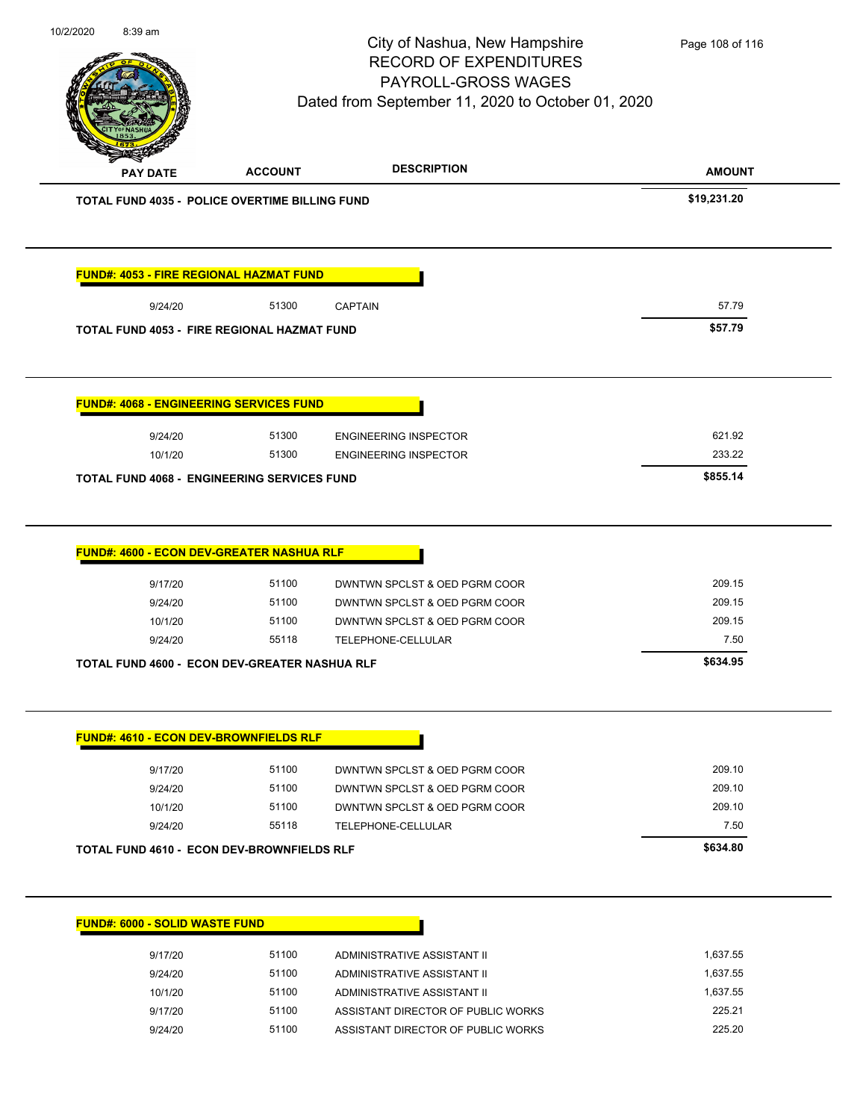| PAY DATE                                              |                         | PAYROLL-GROSS WAGES<br>Dated from September 11, 2020 to October 01, 2020                        |                            |
|-------------------------------------------------------|-------------------------|-------------------------------------------------------------------------------------------------|----------------------------|
|                                                       | <b>ACCOUNT</b>          | <b>DESCRIPTION</b>                                                                              | <b>AMOUNT</b>              |
| <b>TOTAL FUND 4035 - POLICE OVERTIME BILLING FUND</b> |                         |                                                                                                 | \$19,231.20                |
| FUND#: 4053 - FIRE REGIONAL HAZMAT FUND               |                         |                                                                                                 |                            |
| 9/24/20                                               | 51300                   | <b>CAPTAIN</b>                                                                                  | 57.79                      |
| <b>TOTAL FUND 4053 - FIRE REGIONAL HAZMAT FUND</b>    |                         |                                                                                                 | \$57.79                    |
| <b>FUND#: 4068 - ENGINEERING SERVICES FUND</b>        |                         |                                                                                                 |                            |
|                                                       |                         |                                                                                                 | 621.92                     |
| 9/24/20<br>10/1/20                                    | 51300<br>51300          | <b>ENGINEERING INSPECTOR</b><br><b>ENGINEERING INSPECTOR</b>                                    | 233.22                     |
| <b>TOTAL FUND 4068 - ENGINEERING SERVICES FUND</b>    |                         |                                                                                                 | \$855.14                   |
| 9/17/20<br>9/24/20<br>10/1/20                         | 51100<br>51100<br>51100 | DWNTWN SPCLST & OED PGRM COOR<br>DWNTWN SPCLST & OED PGRM COOR<br>DWNTWN SPCLST & OED PGRM COOR | 209.15<br>209.15<br>209.15 |
| 9/24/20                                               | 55118                   | TELEPHONE-CELLULAR                                                                              | 7.50                       |
| TOTAL FUND 4600 - ECON DEV-GREATER NASHUA RLF         |                         |                                                                                                 | \$634.95                   |
|                                                       |                         |                                                                                                 |                            |
| <b>FUND#: 4610 - ECON DEV-BROWNFIELDS RLF</b>         |                         |                                                                                                 |                            |
| 9/17/20                                               | 51100                   | DWNTWN SPCLST & OED PGRM COOR                                                                   | 209.10                     |
| 9/24/20                                               | 51100                   | DWNTWN SPCLST & OED PGRM COOR                                                                   | 209.10                     |
| 10/1/20                                               | 51100                   | DWNTWN SPCLST & OED PGRM COOR                                                                   | 209.10                     |
| 9/24/20                                               | 55118                   | TELEPHONE-CELLULAR                                                                              | 7.50                       |
| TOTAL FUND 4610 - ECON DEV-BROWNFIELDS RLF            |                         |                                                                                                 | \$634.80                   |
| <b>FUND#: 6000 - SOLID WASTE FUND</b>                 |                         |                                                                                                 |                            |
| 9/17/20                                               | 51100                   | ADMINISTRATIVE ASSISTANT II                                                                     | 1,637.55                   |
| 9/24/20                                               | 51100                   | ADMINISTRATIVE ASSISTANT II                                                                     | 1,637.55                   |
| 10/1/20                                               | 51100                   | ADMINISTRATIVE ASSISTANT II                                                                     | 1,637.55<br>225.21         |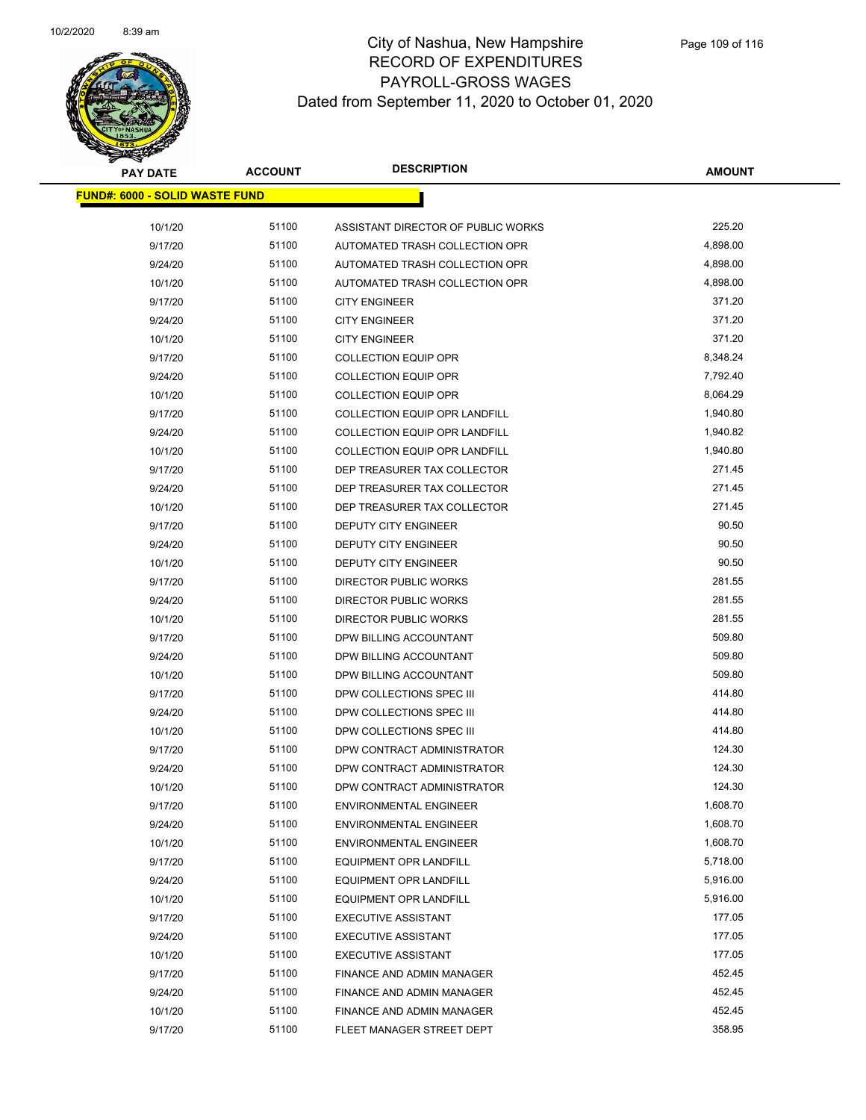

| <b>PAY DATE</b>                       | <b>ACCOUNT</b> | <b>DESCRIPTION</b>                   | <b>AMOUNT</b> |
|---------------------------------------|----------------|--------------------------------------|---------------|
| <b>FUND#: 6000 - SOLID WASTE FUND</b> |                |                                      |               |
| 10/1/20                               | 51100          | ASSISTANT DIRECTOR OF PUBLIC WORKS   | 225.20        |
| 9/17/20                               | 51100          | AUTOMATED TRASH COLLECTION OPR       | 4,898.00      |
| 9/24/20                               | 51100          | AUTOMATED TRASH COLLECTION OPR       | 4,898.00      |
| 10/1/20                               | 51100          | AUTOMATED TRASH COLLECTION OPR       | 4,898.00      |
| 9/17/20                               | 51100          | <b>CITY ENGINEER</b>                 | 371.20        |
| 9/24/20                               | 51100          | <b>CITY ENGINEER</b>                 | 371.20        |
| 10/1/20                               | 51100          | <b>CITY ENGINEER</b>                 | 371.20        |
| 9/17/20                               | 51100          | <b>COLLECTION EQUIP OPR</b>          | 8,348.24      |
| 9/24/20                               | 51100          | COLLECTION EQUIP OPR                 | 7,792.40      |
| 10/1/20                               | 51100          | <b>COLLECTION EQUIP OPR</b>          | 8,064.29      |
| 9/17/20                               | 51100          | <b>COLLECTION EQUIP OPR LANDFILL</b> | 1,940.80      |
| 9/24/20                               | 51100          | COLLECTION EQUIP OPR LANDFILL        | 1,940.82      |
| 10/1/20                               | 51100          | COLLECTION EQUIP OPR LANDFILL        | 1,940.80      |
| 9/17/20                               | 51100          | DEP TREASURER TAX COLLECTOR          | 271.45        |
| 9/24/20                               | 51100          | DEP TREASURER TAX COLLECTOR          | 271.45        |
| 10/1/20                               | 51100          | DEP TREASURER TAX COLLECTOR          | 271.45        |
| 9/17/20                               | 51100          | <b>DEPUTY CITY ENGINEER</b>          | 90.50         |
| 9/24/20                               | 51100          | <b>DEPUTY CITY ENGINEER</b>          | 90.50         |
| 10/1/20                               | 51100          | <b>DEPUTY CITY ENGINEER</b>          | 90.50         |
| 9/17/20                               | 51100          | DIRECTOR PUBLIC WORKS                | 281.55        |
| 9/24/20                               | 51100          | DIRECTOR PUBLIC WORKS                | 281.55        |
| 10/1/20                               | 51100          | DIRECTOR PUBLIC WORKS                | 281.55        |
| 9/17/20                               | 51100          | DPW BILLING ACCOUNTANT               | 509.80        |
| 9/24/20                               | 51100          | DPW BILLING ACCOUNTANT               | 509.80        |
| 10/1/20                               | 51100          | DPW BILLING ACCOUNTANT               | 509.80        |
| 9/17/20                               | 51100          | DPW COLLECTIONS SPEC III             | 414.80        |
| 9/24/20                               | 51100          | DPW COLLECTIONS SPEC III             | 414.80        |
| 10/1/20                               | 51100          | DPW COLLECTIONS SPEC III             | 414.80        |
| 9/17/20                               | 51100          | DPW CONTRACT ADMINISTRATOR           | 124.30        |
| 9/24/20                               | 51100          | DPW CONTRACT ADMINISTRATOR           | 124.30        |
| 10/1/20                               | 51100          | DPW CONTRACT ADMINISTRATOR           | 124.30        |
| 9/17/20                               | 51100          | <b>ENVIRONMENTAL ENGINEER</b>        | 1,608.70      |
| 9/24/20                               | 51100          | <b>ENVIRONMENTAL ENGINEER</b>        | 1,608.70      |
| 10/1/20                               | 51100          | <b>ENVIRONMENTAL ENGINEER</b>        | 1,608.70      |
| 9/17/20                               | 51100          | <b>EQUIPMENT OPR LANDFILL</b>        | 5,718.00      |
| 9/24/20                               | 51100          | <b>EQUIPMENT OPR LANDFILL</b>        | 5,916.00      |
| 10/1/20                               | 51100          | <b>EQUIPMENT OPR LANDFILL</b>        | 5,916.00      |
| 9/17/20                               | 51100          | <b>EXECUTIVE ASSISTANT</b>           | 177.05        |
| 9/24/20                               | 51100          | <b>EXECUTIVE ASSISTANT</b>           | 177.05        |
| 10/1/20                               | 51100          | <b>EXECUTIVE ASSISTANT</b>           | 177.05        |
| 9/17/20                               | 51100          | <b>FINANCE AND ADMIN MANAGER</b>     | 452.45        |
| 9/24/20                               | 51100          | FINANCE AND ADMIN MANAGER            | 452.45        |
| 10/1/20                               | 51100          | FINANCE AND ADMIN MANAGER            | 452.45        |
| 9/17/20                               | 51100          | FLEET MANAGER STREET DEPT            | 358.95        |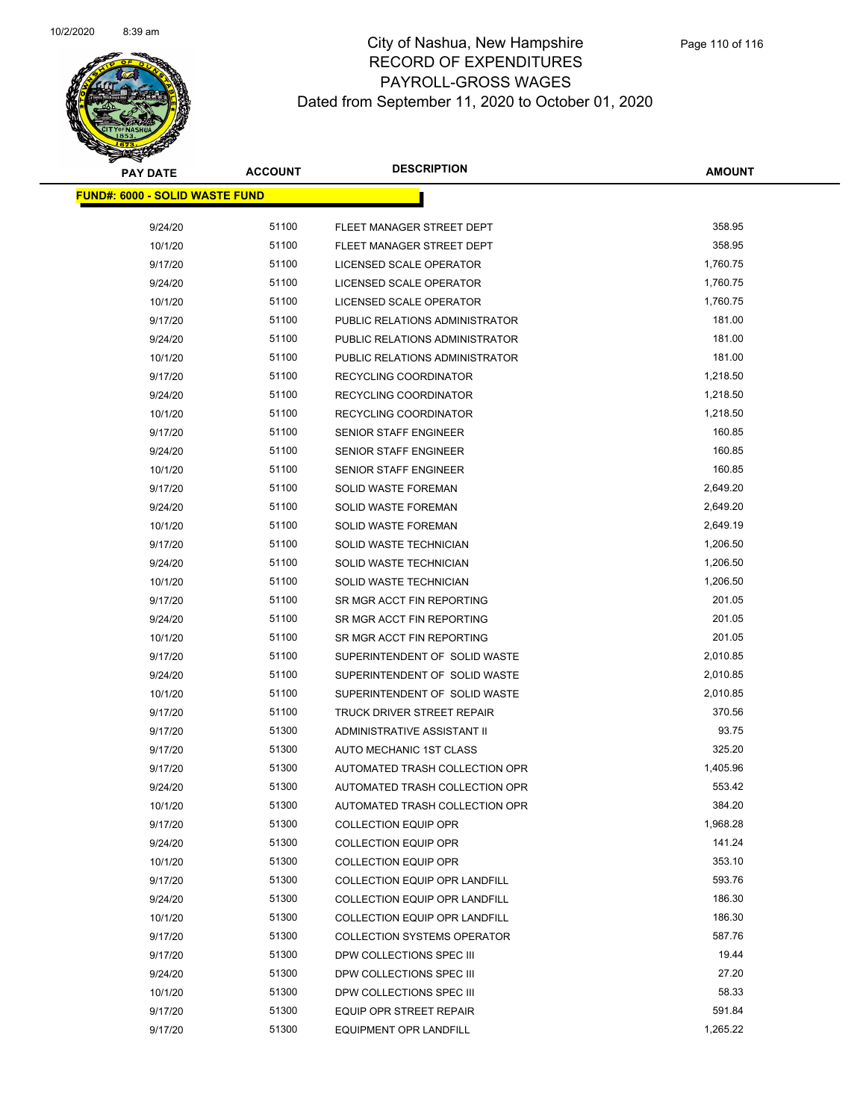

| <b>PAY DATE</b>                       | <b>ACCOUNT</b> | <b>DESCRIPTION</b>                   | <b>AMOUNT</b> |
|---------------------------------------|----------------|--------------------------------------|---------------|
| <b>FUND#: 6000 - SOLID WASTE FUND</b> |                |                                      |               |
|                                       |                |                                      |               |
| 9/24/20                               | 51100          | FLEET MANAGER STREET DEPT            | 358.95        |
| 10/1/20                               | 51100          | FLEET MANAGER STREET DEPT            | 358.95        |
| 9/17/20                               | 51100          | LICENSED SCALE OPERATOR              | 1,760.75      |
| 9/24/20                               | 51100          | LICENSED SCALE OPERATOR              | 1,760.75      |
| 10/1/20                               | 51100          | LICENSED SCALE OPERATOR              | 1,760.75      |
| 9/17/20                               | 51100          | PUBLIC RELATIONS ADMINISTRATOR       | 181.00        |
| 9/24/20                               | 51100          | PUBLIC RELATIONS ADMINISTRATOR       | 181.00        |
| 10/1/20                               | 51100          | PUBLIC RELATIONS ADMINISTRATOR       | 181.00        |
| 9/17/20                               | 51100          | RECYCLING COORDINATOR                | 1,218.50      |
| 9/24/20                               | 51100          | RECYCLING COORDINATOR                | 1,218.50      |
| 10/1/20                               | 51100          | RECYCLING COORDINATOR                | 1,218.50      |
| 9/17/20                               | 51100          | SENIOR STAFF ENGINEER                | 160.85        |
| 9/24/20                               | 51100          | SENIOR STAFF ENGINEER                | 160.85        |
| 10/1/20                               | 51100          | <b>SENIOR STAFF ENGINEER</b>         | 160.85        |
| 9/17/20                               | 51100          | SOLID WASTE FOREMAN                  | 2,649.20      |
| 9/24/20                               | 51100          | <b>SOLID WASTE FOREMAN</b>           | 2,649.20      |
| 10/1/20                               | 51100          | <b>SOLID WASTE FOREMAN</b>           | 2,649.19      |
| 9/17/20                               | 51100          | SOLID WASTE TECHNICIAN               | 1,206.50      |
| 9/24/20                               | 51100          | SOLID WASTE TECHNICIAN               | 1,206.50      |
| 10/1/20                               | 51100          | SOLID WASTE TECHNICIAN               | 1,206.50      |
| 9/17/20                               | 51100          | SR MGR ACCT FIN REPORTING            | 201.05        |
| 9/24/20                               | 51100          | SR MGR ACCT FIN REPORTING            | 201.05        |
| 10/1/20                               | 51100          | SR MGR ACCT FIN REPORTING            | 201.05        |
| 9/17/20                               | 51100          | SUPERINTENDENT OF SOLID WASTE        | 2,010.85      |
| 9/24/20                               | 51100          | SUPERINTENDENT OF SOLID WASTE        | 2,010.85      |
| 10/1/20                               | 51100          | SUPERINTENDENT OF SOLID WASTE        | 2,010.85      |
| 9/17/20                               | 51100          | TRUCK DRIVER STREET REPAIR           | 370.56        |
| 9/17/20                               | 51300          | ADMINISTRATIVE ASSISTANT II          | 93.75         |
| 9/17/20                               | 51300          | AUTO MECHANIC 1ST CLASS              | 325.20        |
| 9/17/20                               | 51300          | AUTOMATED TRASH COLLECTION OPR       | 1,405.96      |
| 9/24/20                               | 51300          | AUTOMATED TRASH COLLECTION OPR       | 553.42        |
| 10/1/20                               | 51300          | AUTOMATED TRASH COLLECTION OPR       | 384.20        |
| 9/17/20                               | 51300          | <b>COLLECTION EQUIP OPR</b>          | 1,968.28      |
| 9/24/20                               | 51300          | <b>COLLECTION EQUIP OPR</b>          | 141.24        |
| 10/1/20                               | 51300          | <b>COLLECTION EQUIP OPR</b>          | 353.10        |
| 9/17/20                               | 51300          | <b>COLLECTION EQUIP OPR LANDFILL</b> | 593.76        |
| 9/24/20                               | 51300          | <b>COLLECTION EQUIP OPR LANDFILL</b> | 186.30        |
| 10/1/20                               | 51300          | <b>COLLECTION EQUIP OPR LANDFILL</b> | 186.30        |
| 9/17/20                               | 51300          | <b>COLLECTION SYSTEMS OPERATOR</b>   | 587.76        |
| 9/17/20                               | 51300          | DPW COLLECTIONS SPEC III             | 19.44         |
| 9/24/20                               | 51300          | DPW COLLECTIONS SPEC III             | 27.20         |
| 10/1/20                               | 51300          | DPW COLLECTIONS SPEC III             | 58.33         |
| 9/17/20                               | 51300          | <b>EQUIP OPR STREET REPAIR</b>       | 591.84        |
| 9/17/20                               | 51300          | EQUIPMENT OPR LANDFILL               | 1,265.22      |
|                                       |                |                                      |               |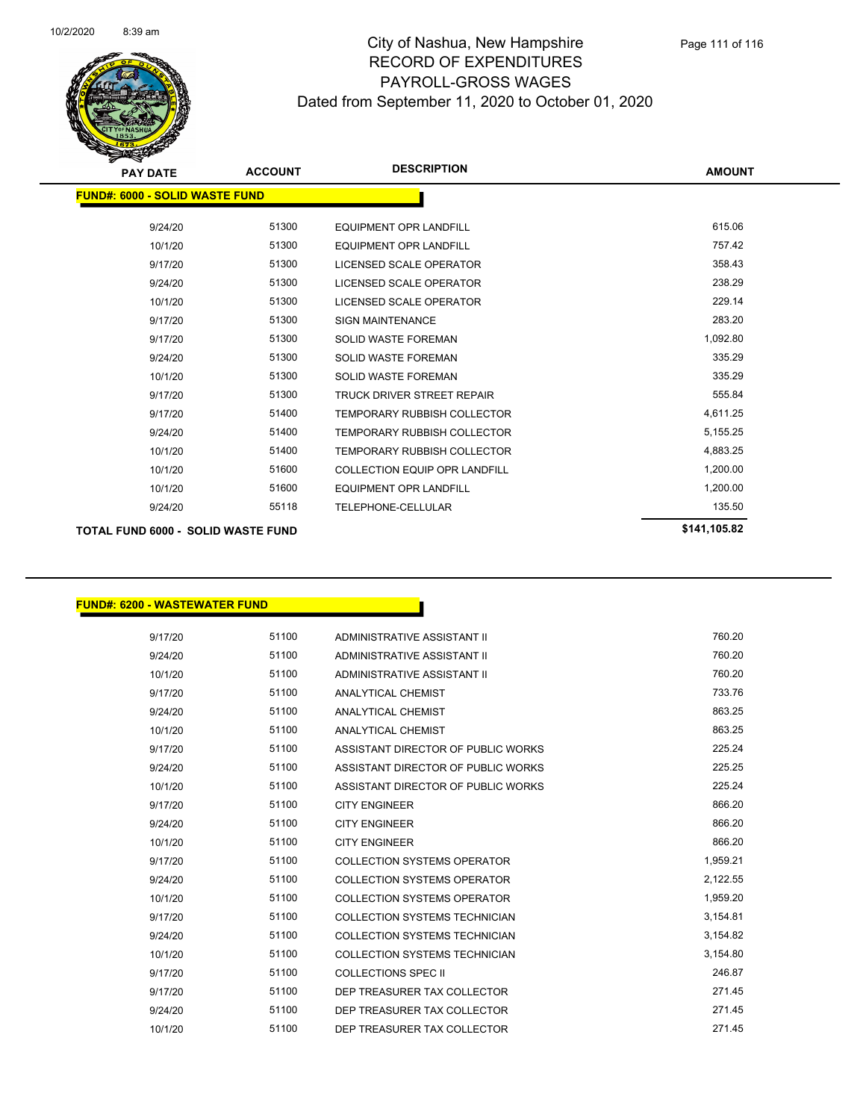

| <b>PAY DATE</b>                           | <b>ACCOUNT</b> | <b>DESCRIPTION</b>                   | <b>AMOUNT</b> |  |
|-------------------------------------------|----------------|--------------------------------------|---------------|--|
| <b>FUND#: 6000 - SOLID WASTE FUND</b>     |                |                                      |               |  |
|                                           |                |                                      |               |  |
| 9/24/20                                   | 51300          | <b>EQUIPMENT OPR LANDFILL</b>        | 615.06        |  |
| 10/1/20                                   | 51300          | <b>EQUIPMENT OPR LANDFILL</b>        | 757.42        |  |
| 9/17/20                                   | 51300          | LICENSED SCALE OPERATOR              | 358.43        |  |
| 9/24/20                                   | 51300          | <b>LICENSED SCALE OPERATOR</b>       | 238.29        |  |
| 10/1/20                                   | 51300          | LICENSED SCALE OPERATOR              | 229.14        |  |
| 9/17/20                                   | 51300          | <b>SIGN MAINTENANCE</b>              | 283.20        |  |
| 9/17/20                                   | 51300          | <b>SOLID WASTE FOREMAN</b>           | 1,092.80      |  |
| 9/24/20                                   | 51300          | <b>SOLID WASTE FOREMAN</b>           | 335.29        |  |
| 10/1/20                                   | 51300          | <b>SOLID WASTE FOREMAN</b>           | 335.29        |  |
| 9/17/20                                   | 51300          | TRUCK DRIVER STREET REPAIR           | 555.84        |  |
| 9/17/20                                   | 51400          | TEMPORARY RUBBISH COLLECTOR          | 4,611.25      |  |
| 9/24/20                                   | 51400          | <b>TEMPORARY RUBBISH COLLECTOR</b>   | 5,155.25      |  |
| 10/1/20                                   | 51400          | <b>TEMPORARY RUBBISH COLLECTOR</b>   | 4,883.25      |  |
| 10/1/20                                   | 51600          | <b>COLLECTION EQUIP OPR LANDFILL</b> | 1,200.00      |  |
| 10/1/20                                   | 51600          | <b>EQUIPMENT OPR LANDFILL</b>        | 1,200.00      |  |
| 9/24/20                                   | 55118          | TELEPHONE-CELLULAR                   | 135.50        |  |
| <b>TOTAL FUND 6000 - SOLID WASTE FUND</b> |                |                                      | \$141,105.82  |  |

#### **FUND#: 6200 - WASTEWATER FUND**

| 9/17/20 | 51100 | ADMINISTRATIVE ASSISTANT II        | 760.20   |
|---------|-------|------------------------------------|----------|
| 9/24/20 | 51100 | ADMINISTRATIVE ASSISTANT II        | 760.20   |
| 10/1/20 | 51100 | ADMINISTRATIVE ASSISTANT II        | 760.20   |
| 9/17/20 | 51100 | ANALYTICAL CHEMIST                 | 733.76   |
| 9/24/20 | 51100 | ANALYTICAL CHEMIST                 | 863.25   |
| 10/1/20 | 51100 | ANALYTICAL CHEMIST                 | 863.25   |
| 9/17/20 | 51100 | ASSISTANT DIRECTOR OF PUBLIC WORKS | 225.24   |
| 9/24/20 | 51100 | ASSISTANT DIRECTOR OF PUBLIC WORKS | 225.25   |
| 10/1/20 | 51100 | ASSISTANT DIRECTOR OF PUBLIC WORKS | 225.24   |
| 9/17/20 | 51100 | <b>CITY ENGINEER</b>               | 866.20   |
| 9/24/20 | 51100 | <b>CITY ENGINEER</b>               | 866.20   |
| 10/1/20 | 51100 | <b>CITY ENGINEER</b>               | 866.20   |
| 9/17/20 | 51100 | <b>COLLECTION SYSTEMS OPERATOR</b> | 1,959.21 |
| 9/24/20 | 51100 | <b>COLLECTION SYSTEMS OPERATOR</b> | 2,122.55 |
| 10/1/20 | 51100 | <b>COLLECTION SYSTEMS OPERATOR</b> | 1,959.20 |
| 9/17/20 | 51100 | COLLECTION SYSTEMS TECHNICIAN      | 3,154.81 |
| 9/24/20 | 51100 | COLLECTION SYSTEMS TECHNICIAN      | 3,154.82 |
| 10/1/20 | 51100 | COLLECTION SYSTEMS TECHNICIAN      | 3,154.80 |
| 9/17/20 | 51100 | <b>COLLECTIONS SPEC II</b>         | 246.87   |
| 9/17/20 | 51100 | DEP TREASURER TAX COLLECTOR        | 271.45   |
| 9/24/20 | 51100 | DEP TREASURER TAX COLLECTOR        | 271.45   |
| 10/1/20 | 51100 | DEP TREASURER TAX COLLECTOR        | 271.45   |
|         |       |                                    |          |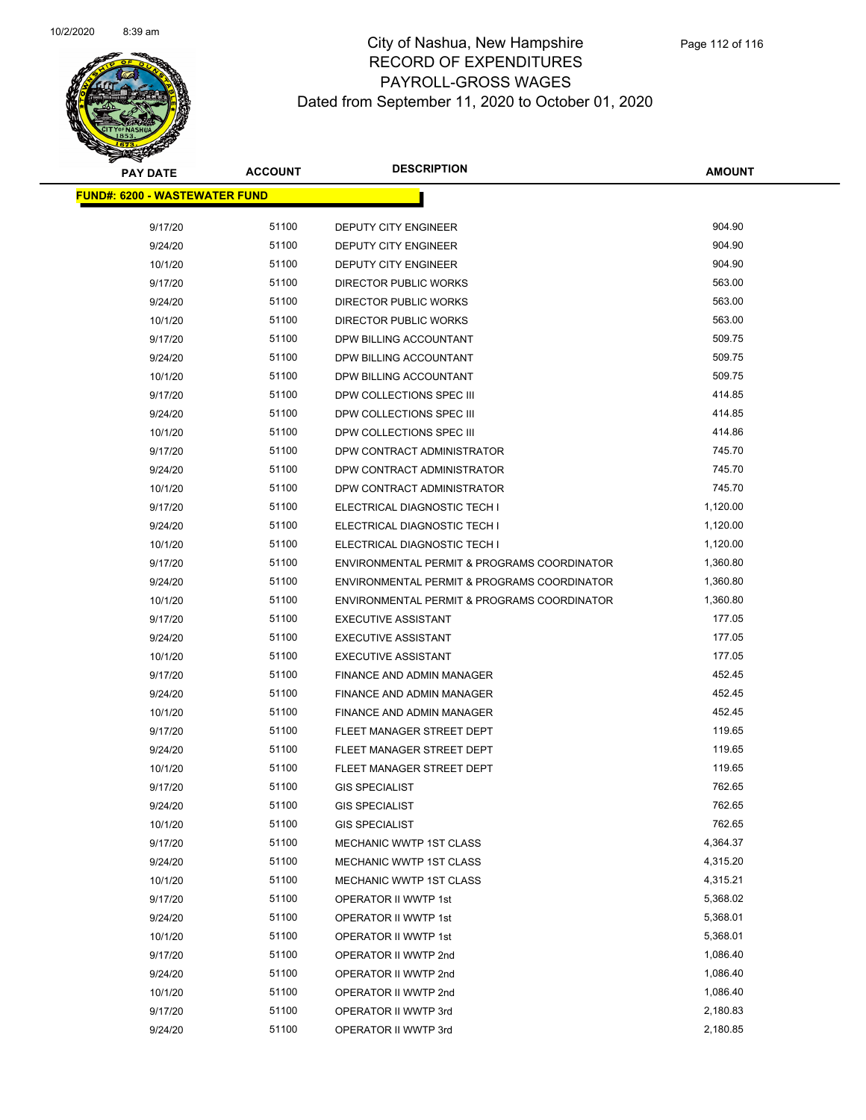

| <b>PAY DATE</b>                      | <b>ACCOUNT</b> | <b>DESCRIPTION</b>                          | <b>AMOUNT</b> |
|--------------------------------------|----------------|---------------------------------------------|---------------|
| <b>FUND#: 6200 - WASTEWATER FUND</b> |                |                                             |               |
| 9/17/20                              | 51100          | DEPUTY CITY ENGINEER                        | 904.90        |
| 9/24/20                              | 51100          | DEPUTY CITY ENGINEER                        | 904.90        |
| 10/1/20                              | 51100          | <b>DEPUTY CITY ENGINEER</b>                 | 904.90        |
| 9/17/20                              | 51100          | <b>DIRECTOR PUBLIC WORKS</b>                | 563.00        |
| 9/24/20                              | 51100          | <b>DIRECTOR PUBLIC WORKS</b>                | 563.00        |
| 10/1/20                              | 51100          | DIRECTOR PUBLIC WORKS                       | 563.00        |
| 9/17/20                              | 51100          | DPW BILLING ACCOUNTANT                      | 509.75        |
| 9/24/20                              | 51100          | DPW BILLING ACCOUNTANT                      | 509.75        |
| 10/1/20                              | 51100          | DPW BILLING ACCOUNTANT                      | 509.75        |
| 9/17/20                              | 51100          | DPW COLLECTIONS SPEC III                    | 414.85        |
| 9/24/20                              | 51100          | DPW COLLECTIONS SPEC III                    | 414.85        |
| 10/1/20                              | 51100          | DPW COLLECTIONS SPEC III                    | 414.86        |
| 9/17/20                              | 51100          | DPW CONTRACT ADMINISTRATOR                  | 745.70        |
| 9/24/20                              | 51100          | DPW CONTRACT ADMINISTRATOR                  | 745.70        |
| 10/1/20                              | 51100          | DPW CONTRACT ADMINISTRATOR                  | 745.70        |
| 9/17/20                              | 51100          | ELECTRICAL DIAGNOSTIC TECH I                | 1,120.00      |
| 9/24/20                              | 51100          | ELECTRICAL DIAGNOSTIC TECH I                | 1,120.00      |
| 10/1/20                              | 51100          | ELECTRICAL DIAGNOSTIC TECH I                | 1,120.00      |
| 9/17/20                              | 51100          | ENVIRONMENTAL PERMIT & PROGRAMS COORDINATOR | 1,360.80      |
| 9/24/20                              | 51100          | ENVIRONMENTAL PERMIT & PROGRAMS COORDINATOR | 1,360.80      |
| 10/1/20                              | 51100          | ENVIRONMENTAL PERMIT & PROGRAMS COORDINATOR | 1,360.80      |
| 9/17/20                              | 51100          | <b>EXECUTIVE ASSISTANT</b>                  | 177.05        |
| 9/24/20                              | 51100          | <b>EXECUTIVE ASSISTANT</b>                  | 177.05        |
| 10/1/20                              | 51100          | <b>EXECUTIVE ASSISTANT</b>                  | 177.05        |
| 9/17/20                              | 51100          | FINANCE AND ADMIN MANAGER                   | 452.45        |
| 9/24/20                              | 51100          | FINANCE AND ADMIN MANAGER                   | 452.45        |
| 10/1/20                              | 51100          | FINANCE AND ADMIN MANAGER                   | 452.45        |
| 9/17/20                              | 51100          | FLEET MANAGER STREET DEPT                   | 119.65        |
| 9/24/20                              | 51100          | FLEET MANAGER STREET DEPT                   | 119.65        |
| 10/1/20                              | 51100          | FLEET MANAGER STREET DEPT                   | 119.65        |
| 9/17/20                              | 51100          | <b>GIS SPECIALIST</b>                       | 762.65        |
| 9/24/20                              | 51100          | <b>GIS SPECIALIST</b>                       | 762.65        |
| 10/1/20                              | 51100          | <b>GIS SPECIALIST</b>                       | 762.65        |
| 9/17/20                              | 51100          | MECHANIC WWTP 1ST CLASS                     | 4,364.37      |
| 9/24/20                              | 51100          | MECHANIC WWTP 1ST CLASS                     | 4,315.20      |
| 10/1/20                              | 51100          | <b>MECHANIC WWTP 1ST CLASS</b>              | 4,315.21      |
| 9/17/20                              | 51100          | OPERATOR II WWTP 1st                        | 5,368.02      |
| 9/24/20                              | 51100          | OPERATOR II WWTP 1st                        | 5,368.01      |
| 10/1/20                              | 51100          | OPERATOR II WWTP 1st                        | 5,368.01      |
| 9/17/20                              | 51100          | OPERATOR II WWTP 2nd                        | 1,086.40      |
| 9/24/20                              | 51100          | OPERATOR II WWTP 2nd                        | 1,086.40      |
| 10/1/20                              | 51100          | OPERATOR II WWTP 2nd                        | 1,086.40      |
| 9/17/20                              | 51100          | OPERATOR II WWTP 3rd                        | 2,180.83      |
| 9/24/20                              | 51100          | OPERATOR II WWTP 3rd                        | 2,180.85      |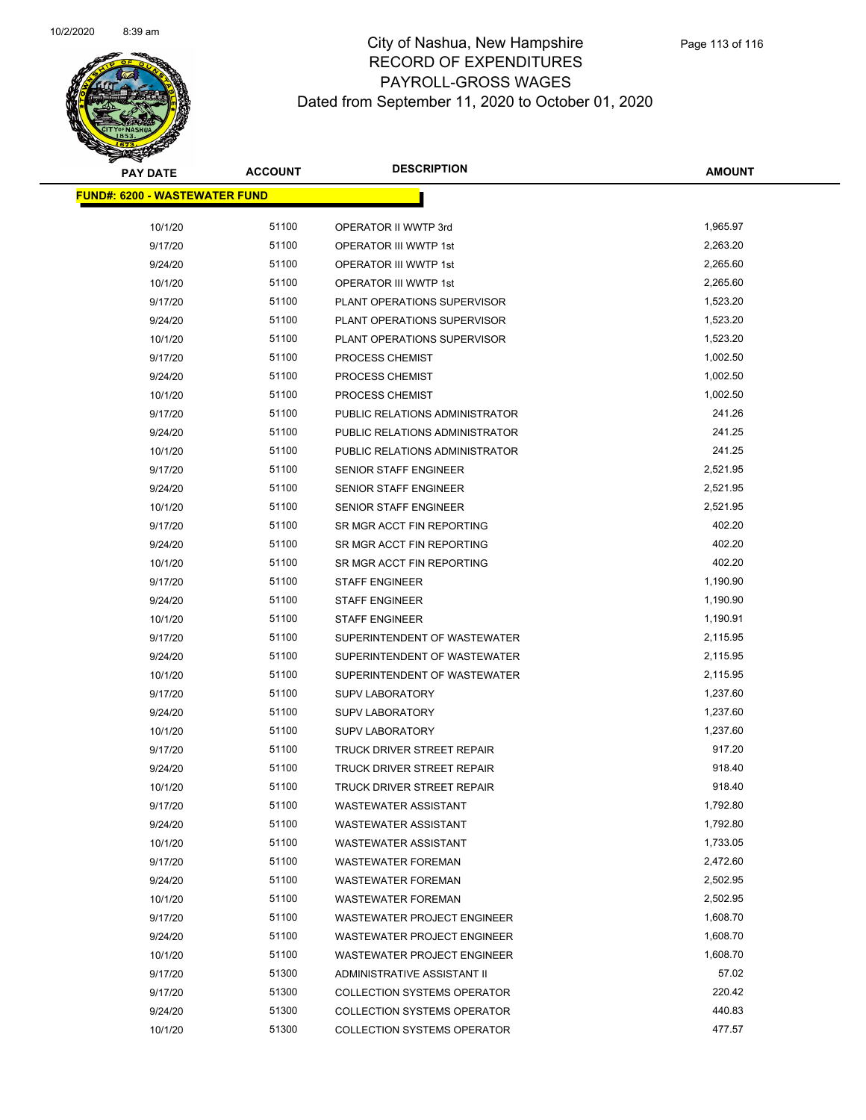

| <b>PAY DATE</b>                      | <b>ACCOUNT</b> | <b>DESCRIPTION</b>                 | <b>AMOUNT</b> |
|--------------------------------------|----------------|------------------------------------|---------------|
| <b>FUND#: 6200 - WASTEWATER FUND</b> |                |                                    |               |
|                                      |                |                                    |               |
| 10/1/20                              | 51100          | OPERATOR II WWTP 3rd               | 1,965.97      |
| 9/17/20                              | 51100          | OPERATOR III WWTP 1st              | 2,263.20      |
| 9/24/20                              | 51100          | OPERATOR III WWTP 1st              | 2,265.60      |
| 10/1/20                              | 51100          | OPERATOR III WWTP 1st              | 2,265.60      |
| 9/17/20                              | 51100          | PLANT OPERATIONS SUPERVISOR        | 1,523.20      |
| 9/24/20                              | 51100          | PLANT OPERATIONS SUPERVISOR        | 1,523.20      |
| 10/1/20                              | 51100          | PLANT OPERATIONS SUPERVISOR        | 1,523.20      |
| 9/17/20                              | 51100          | PROCESS CHEMIST                    | 1,002.50      |
| 9/24/20                              | 51100          | PROCESS CHEMIST                    | 1,002.50      |
| 10/1/20                              | 51100          | PROCESS CHEMIST                    | 1,002.50      |
| 9/17/20                              | 51100          | PUBLIC RELATIONS ADMINISTRATOR     | 241.26        |
| 9/24/20                              | 51100          | PUBLIC RELATIONS ADMINISTRATOR     | 241.25        |
| 10/1/20                              | 51100          | PUBLIC RELATIONS ADMINISTRATOR     | 241.25        |
| 9/17/20                              | 51100          | SENIOR STAFF ENGINEER              | 2,521.95      |
| 9/24/20                              | 51100          | SENIOR STAFF ENGINEER              | 2,521.95      |
| 10/1/20                              | 51100          | SENIOR STAFF ENGINEER              | 2,521.95      |
| 9/17/20                              | 51100          | SR MGR ACCT FIN REPORTING          | 402.20        |
| 9/24/20                              | 51100          | SR MGR ACCT FIN REPORTING          | 402.20        |
| 10/1/20                              | 51100          | SR MGR ACCT FIN REPORTING          | 402.20        |
| 9/17/20                              | 51100          | <b>STAFF ENGINEER</b>              | 1,190.90      |
| 9/24/20                              | 51100          | <b>STAFF ENGINEER</b>              | 1,190.90      |
| 10/1/20                              | 51100          | <b>STAFF ENGINEER</b>              | 1,190.91      |
| 9/17/20                              | 51100          | SUPERINTENDENT OF WASTEWATER       | 2,115.95      |
| 9/24/20                              | 51100          | SUPERINTENDENT OF WASTEWATER       | 2,115.95      |
| 10/1/20                              | 51100          | SUPERINTENDENT OF WASTEWATER       | 2,115.95      |
| 9/17/20                              | 51100          | <b>SUPV LABORATORY</b>             | 1,237.60      |
| 9/24/20                              | 51100          | <b>SUPV LABORATORY</b>             | 1,237.60      |
| 10/1/20                              | 51100          | <b>SUPV LABORATORY</b>             | 1,237.60      |
| 9/17/20                              | 51100          | TRUCK DRIVER STREET REPAIR         | 917.20        |
| 9/24/20                              | 51100          | TRUCK DRIVER STREET REPAIR         | 918.40        |
| 10/1/20                              | 51100          | <b>TRUCK DRIVER STREET REPAIR</b>  | 918.40        |
| 9/17/20                              | 51100          | <b>WASTEWATER ASSISTANT</b>        | 1,792.80      |
| 9/24/20                              | 51100          | <b>WASTEWATER ASSISTANT</b>        | 1,792.80      |
| 10/1/20                              | 51100          | <b>WASTEWATER ASSISTANT</b>        | 1,733.05      |
| 9/17/20                              | 51100          | <b>WASTEWATER FOREMAN</b>          | 2,472.60      |
| 9/24/20                              | 51100          | <b>WASTEWATER FOREMAN</b>          | 2,502.95      |
| 10/1/20                              | 51100          | <b>WASTEWATER FOREMAN</b>          | 2,502.95      |
| 9/17/20                              | 51100          | WASTEWATER PROJECT ENGINEER        | 1,608.70      |
| 9/24/20                              | 51100          | WASTEWATER PROJECT ENGINEER        | 1,608.70      |
| 10/1/20                              | 51100          | WASTEWATER PROJECT ENGINEER        | 1,608.70      |
| 9/17/20                              | 51300          | ADMINISTRATIVE ASSISTANT II        | 57.02         |
| 9/17/20                              | 51300          | <b>COLLECTION SYSTEMS OPERATOR</b> | 220.42        |
| 9/24/20                              | 51300          | <b>COLLECTION SYSTEMS OPERATOR</b> | 440.83        |
| 10/1/20                              | 51300          | <b>COLLECTION SYSTEMS OPERATOR</b> | 477.57        |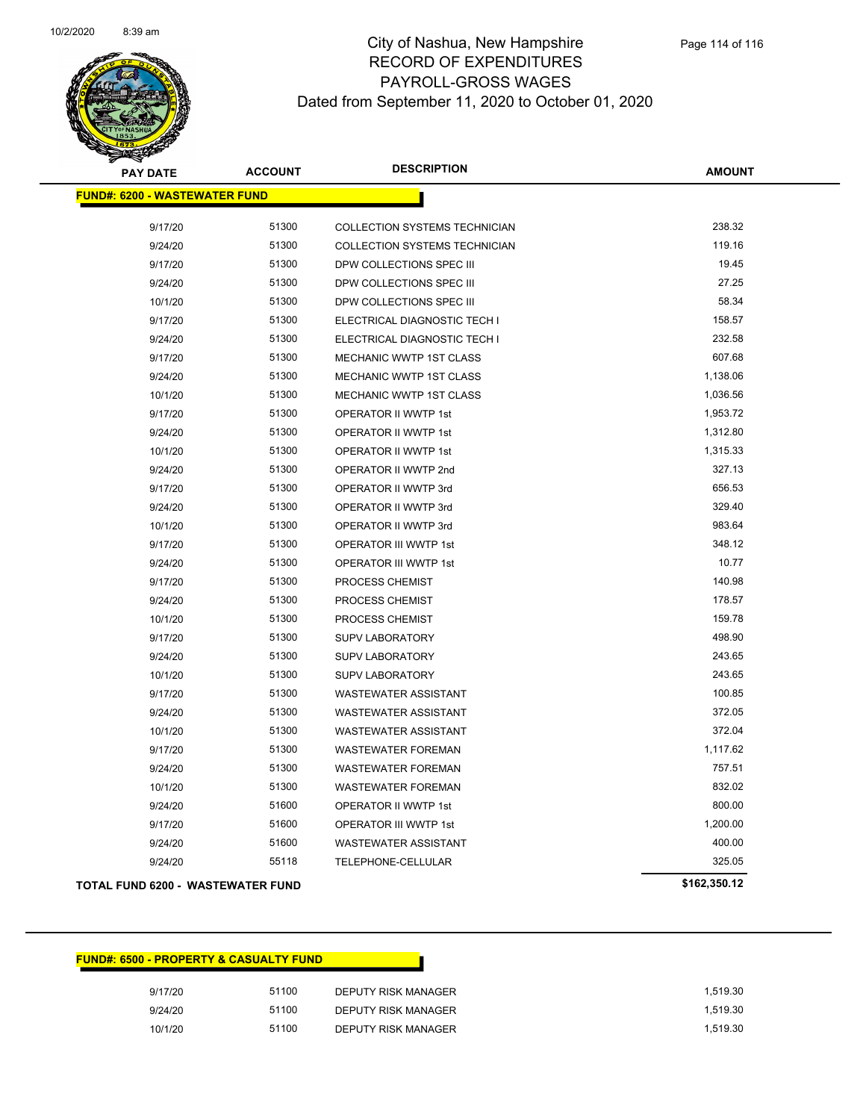

| <b>PAY DATE</b>                          | <b>ACCOUNT</b> | <b>DESCRIPTION</b>             | <b>AMOUNT</b> |
|------------------------------------------|----------------|--------------------------------|---------------|
| <b>FUND#: 6200 - WASTEWATER FUND</b>     |                |                                |               |
| 9/17/20                                  | 51300          | COLLECTION SYSTEMS TECHNICIAN  | 238.32        |
| 9/24/20                                  | 51300          | COLLECTION SYSTEMS TECHNICIAN  | 119.16        |
| 9/17/20                                  | 51300          | DPW COLLECTIONS SPEC III       | 19.45         |
| 9/24/20                                  | 51300          | DPW COLLECTIONS SPEC III       | 27.25         |
| 10/1/20                                  | 51300          | DPW COLLECTIONS SPEC III       | 58.34         |
| 9/17/20                                  | 51300          | ELECTRICAL DIAGNOSTIC TECH I   | 158.57        |
| 9/24/20                                  | 51300          | ELECTRICAL DIAGNOSTIC TECH I   | 232.58        |
| 9/17/20                                  | 51300          | <b>MECHANIC WWTP 1ST CLASS</b> | 607.68        |
| 9/24/20                                  | 51300          | MECHANIC WWTP 1ST CLASS        | 1,138.06      |
| 10/1/20                                  | 51300          | MECHANIC WWTP 1ST CLASS        | 1,036.56      |
| 9/17/20                                  | 51300          | OPERATOR II WWTP 1st           | 1,953.72      |
| 9/24/20                                  | 51300          | OPERATOR II WWTP 1st           | 1,312.80      |
| 10/1/20                                  | 51300          | OPERATOR II WWTP 1st           | 1,315.33      |
| 9/24/20                                  | 51300          | OPERATOR II WWTP 2nd           | 327.13        |
| 9/17/20                                  | 51300          | OPERATOR II WWTP 3rd           | 656.53        |
| 9/24/20                                  | 51300          | OPERATOR II WWTP 3rd           | 329.40        |
| 10/1/20                                  | 51300          | OPERATOR II WWTP 3rd           | 983.64        |
| 9/17/20                                  | 51300          | OPERATOR III WWTP 1st          | 348.12        |
| 9/24/20                                  | 51300          | OPERATOR III WWTP 1st          | 10.77         |
| 9/17/20                                  | 51300          | PROCESS CHEMIST                | 140.98        |
| 9/24/20                                  | 51300          | PROCESS CHEMIST                | 178.57        |
| 10/1/20                                  | 51300          | PROCESS CHEMIST                | 159.78        |
| 9/17/20                                  | 51300          | <b>SUPV LABORATORY</b>         | 498.90        |
| 9/24/20                                  | 51300          | <b>SUPV LABORATORY</b>         | 243.65        |
| 10/1/20                                  | 51300          | <b>SUPV LABORATORY</b>         | 243.65        |
| 9/17/20                                  | 51300          | <b>WASTEWATER ASSISTANT</b>    | 100.85        |
| 9/24/20                                  | 51300          | <b>WASTEWATER ASSISTANT</b>    | 372.05        |
| 10/1/20                                  | 51300          | WASTEWATER ASSISTANT           | 372.04        |
| 9/17/20                                  | 51300          | <b>WASTEWATER FOREMAN</b>      | 1,117.62      |
| 9/24/20                                  | 51300          | WASTEWATER FOREMAN             | 757.51        |
| 10/1/20                                  | 51300          | <b>WASTEWATER FOREMAN</b>      | 832.02        |
| 9/24/20                                  | 51600          | OPERATOR II WWTP 1st           | 800.00        |
| 9/17/20                                  | 51600          | OPERATOR III WWTP 1st          | 1,200.00      |
| 9/24/20                                  | 51600          | <b>WASTEWATER ASSISTANT</b>    | 400.00        |
| 9/24/20                                  | 55118          | TELEPHONE-CELLULAR             | 325.05        |
| <b>TOTAL FUND 6200 - WASTEWATER FUND</b> |                |                                | \$162,350.12  |

# **FUND#: 6500 - PROPERTY & CASUALTY FUND** 9/17/20 51100 DEPUTY RISK MANAGER 1,519.30 9/24/20 51100 DEPUTY RISK MANAGER 1,519.30 10/1/20 51100 DEPUTY RISK MANAGER 1,519.30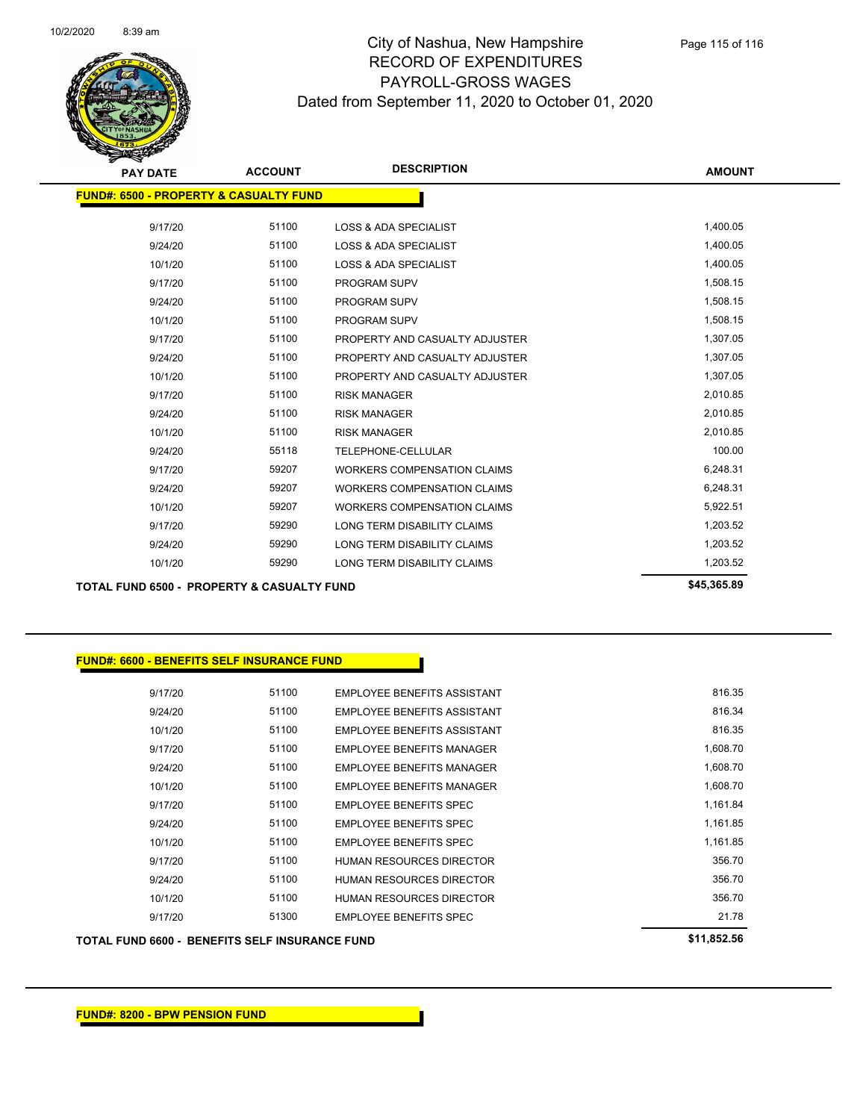

| ıre | Page 115 of 116 |
|-----|-----------------|
| =ຊ  |                 |

| <b>PAY DATE</b>                                       | <b>ACCOUNT</b> | <b>DESCRIPTION</b>                 | <b>AMOUNT</b> |
|-------------------------------------------------------|----------------|------------------------------------|---------------|
| <b>FUND#: 6500 - PROPERTY &amp; CASUALTY FUND</b>     |                |                                    |               |
|                                                       |                |                                    |               |
| 9/17/20                                               | 51100          | <b>LOSS &amp; ADA SPECIALIST</b>   | 1,400.05      |
| 9/24/20                                               | 51100          | <b>LOSS &amp; ADA SPECIALIST</b>   | 1,400.05      |
| 10/1/20                                               | 51100          | <b>LOSS &amp; ADA SPECIALIST</b>   | 1,400.05      |
| 9/17/20                                               | 51100          | PROGRAM SUPV                       | 1,508.15      |
| 9/24/20                                               | 51100          | PROGRAM SUPV                       | 1,508.15      |
| 10/1/20                                               | 51100          | PROGRAM SUPV                       | 1,508.15      |
| 9/17/20                                               | 51100          | PROPERTY AND CASUALTY ADJUSTER     | 1,307.05      |
| 9/24/20                                               | 51100          | PROPERTY AND CASUALTY ADJUSTER     | 1,307.05      |
| 10/1/20                                               | 51100          | PROPERTY AND CASUALTY ADJUSTER     | 1,307.05      |
| 9/17/20                                               | 51100          | <b>RISK MANAGER</b>                | 2,010.85      |
| 9/24/20                                               | 51100          | <b>RISK MANAGER</b>                | 2,010.85      |
| 10/1/20                                               | 51100          | <b>RISK MANAGER</b>                | 2,010.85      |
| 9/24/20                                               | 55118          | TELEPHONE-CELLULAR                 | 100.00        |
| 9/17/20                                               | 59207          | <b>WORKERS COMPENSATION CLAIMS</b> | 6,248.31      |
| 9/24/20                                               | 59207          | <b>WORKERS COMPENSATION CLAIMS</b> | 6,248.31      |
| 10/1/20                                               | 59207          | <b>WORKERS COMPENSATION CLAIMS</b> | 5,922.51      |
| 9/17/20                                               | 59290          | LONG TERM DISABILITY CLAIMS        | 1,203.52      |
| 9/24/20                                               | 59290          | <b>LONG TERM DISABILITY CLAIMS</b> | 1,203.52      |
| 10/1/20                                               | 59290          | LONG TERM DISABILITY CLAIMS        | 1,203.52      |
| <b>TOTAL FUND 6500 - PROPERTY &amp; CASUALTY FUND</b> |                |                                    | \$45,365.89   |
|                                                       |                |                                    |               |
|                                                       |                |                                    |               |

#### **FUND#: 6600 - BENEFITS SELF INSURANCE FUND**

| 9/17/20 | 51100 | <b>EMPLOYEE BENEFITS ASSISTANT</b> | 816.35   |
|---------|-------|------------------------------------|----------|
| 9/24/20 | 51100 | <b>EMPLOYEE BENEEITS ASSISTANT</b> | 816.34   |
| 10/1/20 | 51100 | EMPLOYEE BENEFITS ASSISTANT        | 816.35   |
| 9/17/20 | 51100 | EMPLOYEE BENEFITS MANAGER          | 1,608.70 |
| 9/24/20 | 51100 | EMPLOYEE BENEFITS MANAGER          | 1.608.70 |
| 10/1/20 | 51100 | <b>EMPLOYEE BENEEITS MANAGER</b>   | 1,608.70 |
| 9/17/20 | 51100 | <b>EMPLOYEE BENEEITS SPEC</b>      | 1,161.84 |
| 9/24/20 | 51100 | <b>EMPLOYEE BENEFITS SPEC</b>      | 1.161.85 |
| 10/1/20 | 51100 | <b>EMPLOYEE BENEEITS SPEC</b>      | 1.161.85 |
| 9/17/20 | 51100 | HUMAN RESOURCES DIRECTOR           | 356.70   |
| 9/24/20 | 51100 | HUMAN RESOURCES DIRECTOR           | 356.70   |
| 10/1/20 | 51100 | HUMAN RESOURCES DIRECTOR           | 356.70   |
| 9/17/20 | 51300 | EMPLOYEE BENEFITS SPEC             | 21.78    |

#### **TOTAL FUND 6600 - BENEFITS SELF INSURANCE FUND \$11,852.56**